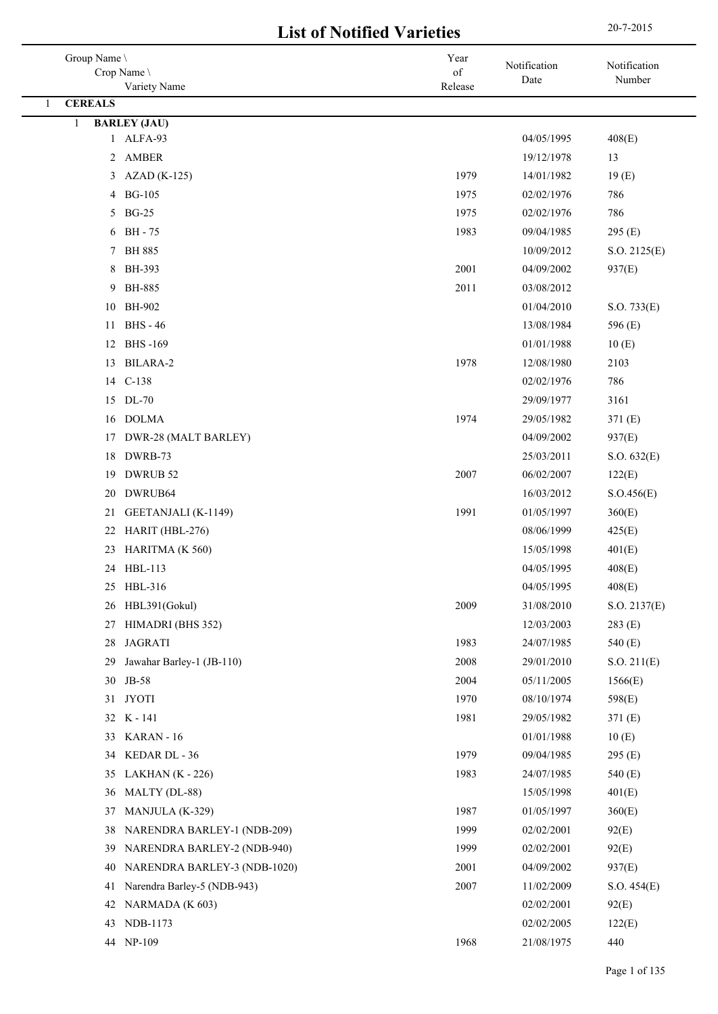## 20-7-2015 **List of Notified Varieties**

| Group Name \                                                      | Year                  | Notification             | Notification         |
|-------------------------------------------------------------------|-----------------------|--------------------------|----------------------|
| Crop Name \<br>Variety Name                                       | $\sigma f$<br>Release | Date                     | Number               |
| <b>CEREALS</b><br>1                                               |                       |                          |                      |
| <b>BARLEY (JAU)</b><br>1                                          |                       |                          |                      |
| 1 ALFA-93                                                         |                       | 04/05/1995               | 408(E)               |
| 2 AMBER                                                           |                       | 19/12/1978               | 13                   |
| $AZAD(K-125)$<br>3                                                | 1979                  | 14/01/1982               | 19(E)                |
| <b>BG-105</b><br>4                                                | 1975                  | 02/02/1976               | 786                  |
| <b>BG-25</b><br>5                                                 | 1975                  | 02/02/1976               | 786                  |
| <b>BH</b> - 75<br>6                                               | 1983                  | 09/04/1985               | 295 (E)              |
| 7 BH 885                                                          |                       | 10/09/2012               | S.O. 2125(E)         |
| 8<br>BH-393                                                       | 2001                  | 04/09/2002               | 937(E)               |
| <b>BH-885</b><br>9                                                | 2011                  | 03/08/2012               |                      |
| 10 BH-902                                                         |                       | 01/04/2010               | S.O. 733(E)          |
| <b>BHS</b> - 46<br>11                                             |                       | 13/08/1984               | 596 (E)              |
| <b>BHS-169</b><br>12                                              |                       | 01/01/1988               | 10(E)                |
| BILARA-2<br>13                                                    | 1978                  | 12/08/1980               | 2103                 |
| 14 C-138                                                          |                       | 02/02/1976               | 786                  |
| DL-70<br>15                                                       |                       | 29/09/1977               | 3161                 |
| <b>DOLMA</b><br>16                                                | 1974                  | 29/05/1982               | 371 (E)              |
| DWR-28 (MALT BARLEY)<br>17                                        |                       | 04/09/2002               | 937(E)               |
| DWRB-73<br>18                                                     |                       | 25/03/2011               | S.O. 632(E)          |
| DWRUB <sub>52</sub><br>19                                         | 2007                  | 06/02/2007               | 122(E)               |
| DWRUB64<br>20                                                     |                       | 16/03/2012               | S. O.456(E)          |
| GEETANJALI (K-1149)<br>21                                         | 1991                  | 01/05/1997               | 360(E)               |
| HARIT (HBL-276)<br>22                                             |                       | 08/06/1999               | 425(E)               |
| HARITMA (K 560)<br>23                                             |                       | 15/05/1998               | 401(E)               |
| HBL-113<br>24                                                     |                       | 04/05/1995               | 408(E)               |
| HBL-316<br>25                                                     |                       | 04/05/1995               | 408(E)               |
| HBL391(Gokul)<br>26                                               | 2009                  | 31/08/2010               | S.O. 2137(E)         |
| HIMADRI (BHS 352)<br>27                                           |                       | 12/03/2003               | 283(E)               |
| <b>JAGRATI</b><br>28                                              | 1983                  | 24/07/1985               | 540 (E)              |
| Jawahar Barley-1 (JB-110)<br>29                                   | 2008                  | 29/01/2010               | S.O. 211(E)          |
| JB-58<br>30                                                       | 2004                  | 05/11/2005               | 1566(E)              |
| <b>JYOTI</b><br>31                                                | 1970                  | 08/10/1974               | 598(E)               |
| 32 K - 141                                                        | 1981                  | 29/05/1982               | 371(E)               |
| KARAN - 16<br>33                                                  |                       | 01/01/1988               | 10(E)                |
| KEDAR DL - 36<br>34                                               | 1979                  | 09/04/1985               | 295(E)               |
| LAKHAN $(K - 226)$<br>35                                          | 1983                  | 24/07/1985               | 540 (E)              |
| MALTY (DL-88)<br>36                                               |                       | 15/05/1998               | 401(E)               |
| MANJULA (K-329)<br>37<br>NARENDRA BARLEY-1 (NDB-209)<br>38        | 1987<br>1999          | 01/05/1997<br>02/02/2001 | 360(E)<br>92(E)      |
| 39                                                                | 1999                  |                          |                      |
| NARENDRA BARLEY-2 (NDB-940)<br>NARENDRA BARLEY-3 (NDB-1020)<br>40 | 2001                  | 02/02/2001<br>04/09/2002 | 92(E)<br>937(E)      |
| Narendra Barley-5 (NDB-943)                                       | 2007                  |                          |                      |
| 41<br>NARMADA (K 603)<br>42                                       |                       | 11/02/2009<br>02/02/2001 | S.O. 454(E)<br>92(E) |
| NDB-1173<br>43                                                    |                       | 02/02/2005               | 122(E)               |
| NP-109<br>44                                                      | 1968                  | 21/08/1975               | 440                  |
|                                                                   |                       |                          |                      |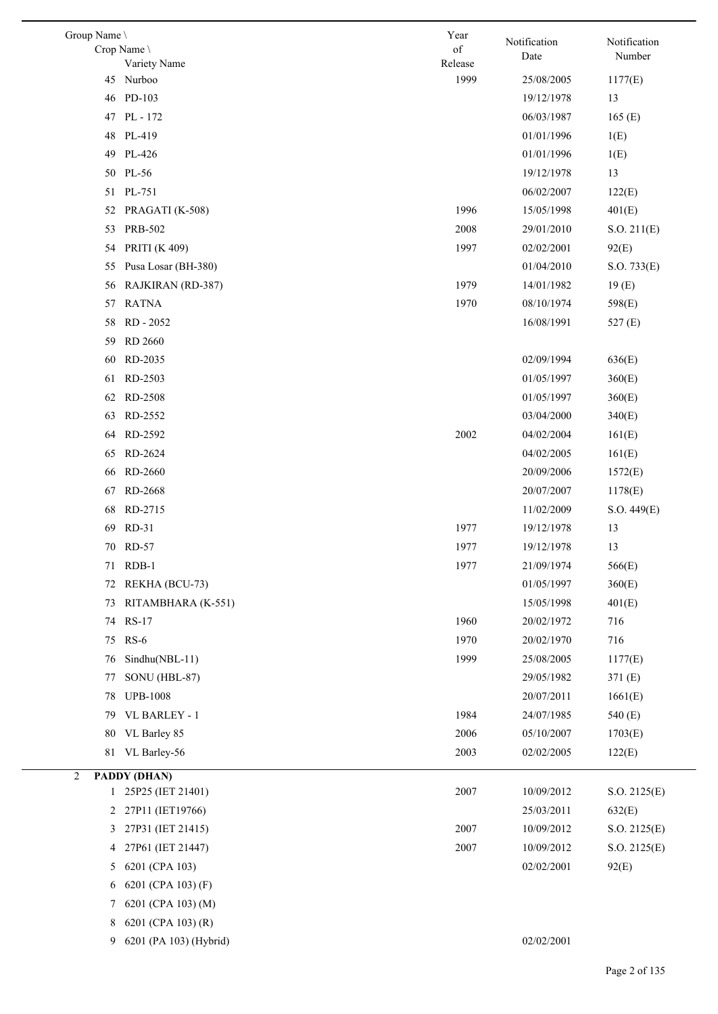| Group Name     | Crop Name \<br>Variety Name | Year<br>of<br>Release | Notification<br>Date | Notification<br>Number |
|----------------|-----------------------------|-----------------------|----------------------|------------------------|
|                | 45 Nurboo                   | 1999                  | 25/08/2005           | 1177(E)                |
| 46             | PD-103                      |                       | 19/12/1978           | 13                     |
| 47             | PL - 172                    |                       | 06/03/1987           | 165(E)                 |
| 48             | PL-419                      |                       | 01/01/1996           | 1(E)                   |
| 49             | PL-426                      |                       | 01/01/1996           | 1(E)                   |
|                | 50 PL-56                    |                       | 19/12/1978           | 13                     |
|                | 51 PL-751                   |                       | 06/02/2007           | 122(E)                 |
| 52             | PRAGATI (K-508)             | 1996                  | 15/05/1998           | 401(E)                 |
| 53             | <b>PRB-502</b>              | 2008                  | 29/01/2010           | S.O. 211(E)            |
| 54             | <b>PRITI (K 409)</b>        | 1997                  | 02/02/2001           | 92(E)                  |
| 55             | Pusa Losar (BH-380)         |                       | 01/04/2010           | S.O. 733(E)            |
| 56             | RAJKIRAN (RD-387)           | 1979                  | 14/01/1982           | 19(E)                  |
| 57             | <b>RATNA</b>                | 1970                  | 08/10/1974           | 598(E)                 |
| 58             | RD - 2052                   |                       | 16/08/1991           | 527 (E)                |
| 59             | <b>RD 2660</b>              |                       |                      |                        |
| 60             | RD-2035                     |                       | 02/09/1994           | 636(E)                 |
| 61             | RD-2503                     |                       | 01/05/1997           | 360(E)                 |
| 62             | RD-2508                     |                       | 01/05/1997           | 360(E)                 |
| 63             | RD-2552                     |                       | 03/04/2000           | 340(E)                 |
| 64             | RD-2592                     | 2002                  | 04/02/2004           | 161(E)                 |
| 65             | RD-2624                     |                       | 04/02/2005           | 161(E)                 |
| 66             | RD-2660                     |                       | 20/09/2006           | 1572(E)                |
| 67             | RD-2668                     |                       | 20/07/2007           | 1178(E)                |
| 68             | RD-2715                     |                       | 11/02/2009           | S.O. 449(E)            |
| 69             | $RD-31$                     | 1977                  | 19/12/1978           | 13                     |
|                | 70 RD-57                    | 1977                  | 19/12/1978           | 13                     |
| 71             | $RDB-1$                     | 1977                  | 21/09/1974           | 566(E)                 |
| 72             | REKHA (BCU-73)              |                       | 01/05/1997           | 360(E)                 |
| 73             | RITAMBHARA (K-551)          |                       | 15/05/1998           | 401(E)                 |
| 74             | <b>RS-17</b>                | 1960                  | 20/02/1972           | 716                    |
| 75             | $RS-6$                      | 1970                  | 20/02/1970           | 716                    |
| 76             | Sindhu(NBL-11)              | 1999                  | 25/08/2005           | 1177(E)                |
| 77             | SONU (HBL-87)               |                       | 29/05/1982           | 371(E)                 |
| 78             | <b>UPB-1008</b>             |                       | 20/07/2011           | 1661(E)                |
| 79             | VL BARLEY - 1               | 1984                  | 24/07/1985           | 540 (E)                |
|                | 80 VL Barley 85             | 2006                  | 05/10/2007           | 1703(E)                |
| 81             | VL Barley-56                | 2003                  | 02/02/2005           | 122(E)                 |
| 2              | PADDY (DHAN)                |                       |                      |                        |
|                | 1 25P25 (IET 21401)         | 2007                  | 10/09/2012           | S.O. 2125(E)           |
| $\overline{2}$ | 27P11 (IET19766)            |                       | 25/03/2011           | 632(E)                 |
| 3              | 27P31 (IET 21415)           | 2007                  | 10/09/2012           | S.O. 2125(E)           |
| 4              | 27P61 (IET 21447)           | 2007                  | 10/09/2012           | S.O. 2125(E)           |
| 5              | 6201 (CPA 103)              |                       | 02/02/2001           | 92(E)                  |
| 6              | 6201 (CPA 103) (F)          |                       |                      |                        |
| 7              | 6201 (CPA 103) (M)          |                       |                      |                        |
| 8              | 6201 (CPA 103) (R)          |                       |                      |                        |
|                |                             |                       |                      |                        |

6201 (PA 103) (Hybrid) 02/02/2001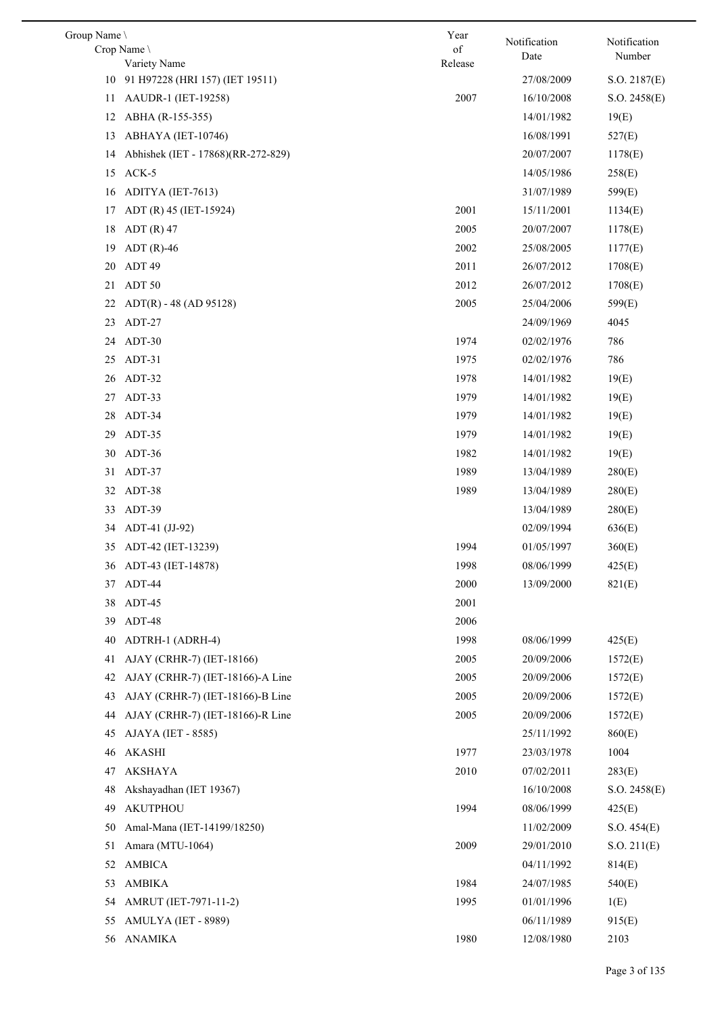| Group Name | Crop Name                                       | Year<br>of | Notification<br>Date | Notification<br>Number |
|------------|-------------------------------------------------|------------|----------------------|------------------------|
|            | Variety Name<br>91 H97228 (HRI 157) (IET 19511) | Release    | 27/08/2009           |                        |
| 10         | AAUDR-1 (IET-19258)                             | 2007       | 16/10/2008           | S.O. 2187(E)           |
| 11         |                                                 |            | 14/01/1982           | S.O. 2458(E)           |
| 12         | ABHA (R-155-355)                                |            |                      | 19(E)                  |
| 13         | ABHAYA (IET-10746)                              |            | 16/08/1991           | 527(E)                 |
| 14         | Abhishek (IET - 17868)(RR-272-829)              |            | 20/07/2007           | 1178(E)                |
| 15         | ACK-5                                           |            | 14/05/1986           | 258(E)                 |
| 16         | ADITYA (IET-7613)                               |            | 31/07/1989           | 599(E)                 |
| 17         | ADT (R) 45 (IET-15924)                          | 2001       | 15/11/2001           | 1134(E)                |
| 18         | $ADT(R)$ 47                                     | 2005       | 20/07/2007           | 1178(E)                |
| 19         | $ADT(R)-46$                                     | 2002       | 25/08/2005           | 1177(E)                |
| 20         | ADT 49                                          | 2011       | 26/07/2012           | 1708(E)                |
| 21         | ADT 50                                          | 2012       | 26/07/2012           | 1708(E)                |
| 22         | $ADT(R) - 48 (AD 95128)$                        | 2005       | 25/04/2006           | 599(E)                 |
| 23         | ADT-27                                          |            | 24/09/1969           | 4045                   |
| 24         | ADT-30                                          | 1974       | 02/02/1976           | 786                    |
| 25         | ADT-31                                          | 1975       | 02/02/1976           | 786                    |
| 26         | ADT-32                                          | 1978       | 14/01/1982           | 19(E)                  |
| 27         | ADT-33                                          | 1979       | 14/01/1982           | 19(E)                  |
| 28         | ADT-34                                          | 1979       | 14/01/1982           | 19(E)                  |
| 29         | ADT-35                                          | 1979       | 14/01/1982           | 19(E)                  |
| 30         | ADT-36                                          | 1982       | 14/01/1982           | 19(E)                  |
| 31         | ADT-37                                          | 1989       | 13/04/1989           | 280(E)                 |
| 32         | ADT-38                                          | 1989       | 13/04/1989           | 280(E)                 |
| 33         | ADT-39                                          |            | 13/04/1989           | 280(E)                 |
| 34         | ADT-41 (JJ-92)                                  |            | 02/09/1994           | 636(E)                 |
|            | 35 ADT-42 (IET-13239)                           | 1994       | 01/05/1997           | 360(E)                 |
| 36         | ADT-43 (IET-14878)                              | 1998       | 08/06/1999           | 425(E)                 |
| 37         | ADT-44                                          | 2000       | 13/09/2000           | 821(E)                 |
| 38         | ADT-45                                          | 2001       |                      |                        |
| 39         | ADT-48                                          | 2006       |                      |                        |
| 40         | ADTRH-1 (ADRH-4)                                | 1998       | 08/06/1999           | 425(E)                 |
| 41         | AJAY (CRHR-7) (IET-18166)                       | 2005       | 20/09/2006           | 1572(E)                |
| 42         | AJAY (CRHR-7) (IET-18166)-A Line                | 2005       | 20/09/2006           | 1572(E)                |
| 43         | AJAY (CRHR-7) (IET-18166)-B Line                | 2005       | 20/09/2006           | 1572(E)                |
| 44         | AJAY (CRHR-7) (IET-18166)-R Line                | 2005       | 20/09/2006           | 1572(E)                |
| 45         | AJAYA (IET - 8585)                              |            | 25/11/1992           | 860(E)                 |
| 46         | <b>AKASHI</b>                                   | 1977       | 23/03/1978           | 1004                   |
| 47         | <b>AKSHAYA</b>                                  | 2010       | 07/02/2011           | 283(E)                 |
| 48         | Akshayadhan (IET 19367)                         |            | 16/10/2008           | S.O. 2458(E)           |
| 49         | <b>AKUTPHOU</b>                                 | 1994       | 08/06/1999           | 425(E)                 |
| 50         | Amal-Mana (IET-14199/18250)                     |            | 11/02/2009           | S.O. 454(E)            |
| 51         | Amara (MTU-1064)                                | 2009       | 29/01/2010           | S.O. 211(E)            |
| 52         | <b>AMBICA</b>                                   |            | 04/11/1992           | 814(E)                 |
| 53         | <b>AMBIKA</b>                                   | 1984       | 24/07/1985           | 540(E)                 |
| 54         | AMRUT (IET-7971-11-2)                           | 1995       | 01/01/1996           | 1(E)                   |
| 55         | AMULYA (IET - 8989)                             |            | 06/11/1989           | 915(E)                 |
| 56         | <b>ANAMIKA</b>                                  | 1980       | 12/08/1980           | 2103                   |
|            |                                                 |            |                      |                        |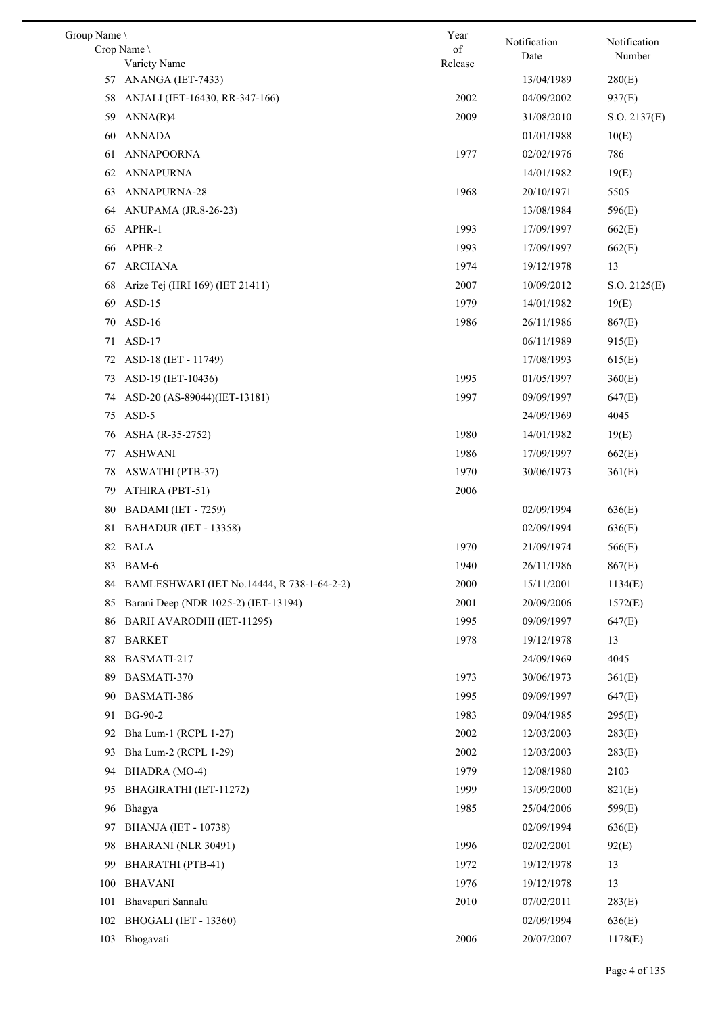| Group Name |                                            | Year    | Notification | Notification |
|------------|--------------------------------------------|---------|--------------|--------------|
|            | Crop Name                                  | of      | Date         | Number       |
|            | Variety Name                               | Release |              |              |
| 57         | ANANGA (IET-7433)                          |         | 13/04/1989   | 280(E)       |
| 58         | ANJALI (IET-16430, RR-347-166)             | 2002    | 04/09/2002   | 937(E)       |
| 59         | ANNA(R)4                                   | 2009    | 31/08/2010   | S.O. 2137(E) |
| 60         | <b>ANNADA</b>                              |         | 01/01/1988   | 10(E)        |
| 61         | ANNAPOORNA                                 | 1977    | 02/02/1976   | 786          |
| 62         | <b>ANNAPURNA</b>                           |         | 14/01/1982   | 19(E)        |
| 63         | ANNAPURNA-28                               | 1968    | 20/10/1971   | 5505         |
| 64         | ANUPAMA (JR.8-26-23)                       |         | 13/08/1984   | 596(E)       |
| 65         | APHR-1                                     | 1993    | 17/09/1997   | 662(E)       |
| 66         | APHR-2                                     | 1993    | 17/09/1997   | 662(E)       |
| 67         | <b>ARCHANA</b>                             | 1974    | 19/12/1978   | 13           |
| 68         | Arize Tej (HRI 169) (IET 21411)            | 2007    | 10/09/2012   | S.O. 2125(E) |
| 69         | $ASD-15$                                   | 1979    | 14/01/1982   | 19(E)        |
| 70         | $ASD-16$                                   | 1986    | 26/11/1986   | 867(E)       |
| 71         | $ASD-17$                                   |         | 06/11/1989   | 915(E)       |
| 72         | ASD-18 (IET - 11749)                       |         | 17/08/1993   | 615(E)       |
| 73         | ASD-19 (IET-10436)                         | 1995    | 01/05/1997   | 360(E)       |
| 74         | ASD-20 (AS-89044)(IET-13181)               | 1997    | 09/09/1997   | 647(E)       |
| 75         | ASD-5                                      |         | 24/09/1969   | 4045         |
| 76         | ASHA (R-35-2752)                           | 1980    | 14/01/1982   | 19(E)        |
| 77         | ASHWANI                                    | 1986    | 17/09/1997   | 662(E)       |
| 78         | <b>ASWATHI</b> (PTB-37)                    | 1970    | 30/06/1973   | 361(E)       |
| 79         | ATHIRA (PBT-51)                            | 2006    |              |              |
| 80         | BADAMI (IET - 7259)                        |         | 02/09/1994   | 636(E)       |
| 81         | BAHADUR (IET - 13358)                      |         | 02/09/1994   | 636(E)       |
|            | 82 BALA                                    | 1970    | 21/09/1974   | 566(E)       |
|            | 83 BAM-6                                   | 1940    | 26/11/1986   | 867(E)       |
| 84         | BAMLESHWARI (IET No.14444, R 738-1-64-2-2) | 2000    | 15/11/2001   | 1134(E)      |
| 85         | Barani Deep (NDR 1025-2) (IET-13194)       | 2001    | 20/09/2006   | 1572(E)      |
| 86         | BARH AVARODHI (IET-11295)                  | 1995    | 09/09/1997   | 647(E)       |
| 87         | <b>BARKET</b>                              | 1978    | 19/12/1978   | 13           |
| 88         | BASMATI-217                                |         | 24/09/1969   | 4045         |
| 89         | BASMATI-370                                | 1973    | 30/06/1973   | 361(E)       |
|            | BASMATI-386                                | 1995    |              |              |
| 90         |                                            |         | 09/09/1997   | 647(E)       |
| 91         | BG-90-2                                    | 1983    | 09/04/1985   | 295(E)       |
| 92         | Bha Lum-1 (RCPL 1-27)                      | 2002    | 12/03/2003   | 283(E)       |
| 93         | Bha Lum-2 (RCPL 1-29)                      | 2002    | 12/03/2003   | 283(E)       |
| 94         | BHADRA (MO-4)                              | 1979    | 12/08/1980   | 2103         |
| 95         | BHAGIRATHI (IET-11272)                     | 1999    | 13/09/2000   | 821(E)       |
| 96         | Bhagya                                     | 1985    | 25/04/2006   | 599(E)       |
| 97         | <b>BHANJA</b> (IET - 10738)                |         | 02/09/1994   | 636(E)       |
| 98         | BHARANI (NLR 30491)                        | 1996    | 02/02/2001   | 92(E)        |
| 99         | BHARATHI (PTB-41)                          | 1972    | 19/12/1978   | 13           |
| 100        | <b>BHAVANI</b>                             | 1976    | 19/12/1978   | 13           |
| 101        | Bhavapuri Sannalu                          | 2010    | 07/02/2011   | 283(E)       |
| 102        | BHOGALI (IET - 13360)                      |         | 02/09/1994   | 636(E)       |
|            | 103 Bhogavati                              | 2006    | 20/07/2007   | 1178(E)      |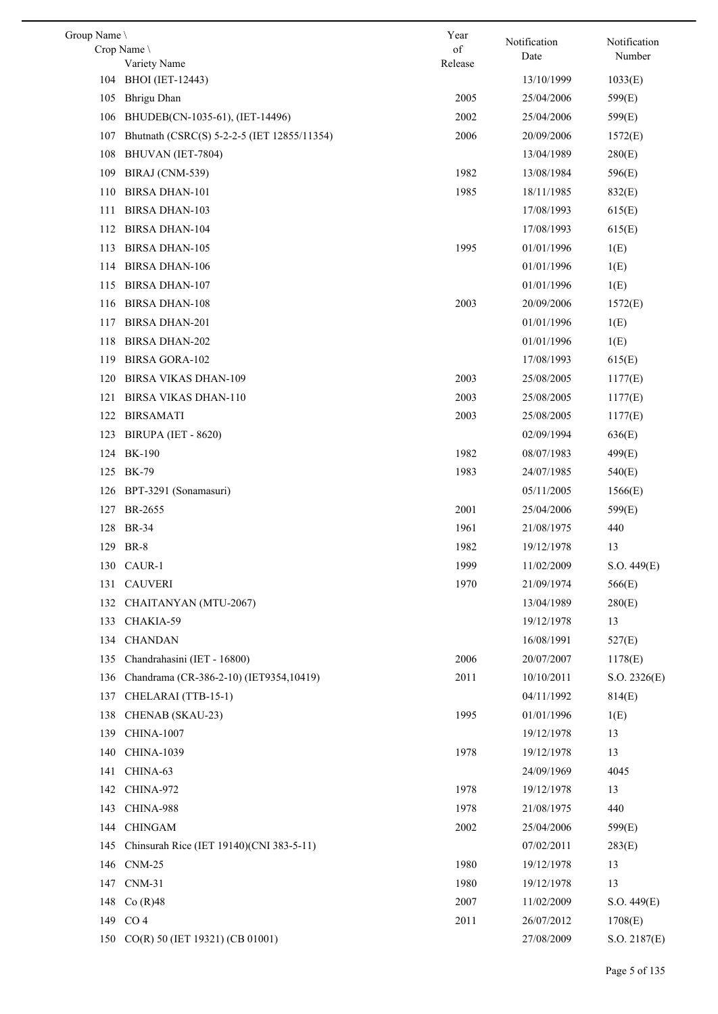| Group Name                                         | Year    | Notification | Notification |
|----------------------------------------------------|---------|--------------|--------------|
| Crop Name                                          | of      | Date         | Number       |
| Variety Name                                       | Release |              |              |
| 104 BHOI (IET-12443)                               |         | 13/10/1999   | 1033(E)      |
| <b>Bhrigu Dhan</b><br>105                          | 2005    | 25/04/2006   | 599(E)       |
| BHUDEB(CN-1035-61), (IET-14496)<br>106             | 2002    | 25/04/2006   | 599(E)       |
| Bhutnath (CSRC(S) 5-2-2-5 (IET 12855/11354)<br>107 | 2006    | 20/09/2006   | 1572(E)      |
| 108<br>BHUVAN (IET-7804)                           |         | 13/04/1989   | 280(E)       |
| BIRAJ (CNM-539)<br>109                             | 1982    | 13/08/1984   | 596(E)       |
| <b>BIRSA DHAN-101</b><br>110                       | 1985    | 18/11/1985   | 832(E)       |
| <b>BIRSA DHAN-103</b><br>111                       |         | 17/08/1993   | 615(E)       |
| <b>BIRSA DHAN-104</b><br>112                       |         | 17/08/1993   | 615(E)       |
| <b>BIRSA DHAN-105</b><br>113                       | 1995    | 01/01/1996   | 1(E)         |
| <b>BIRSA DHAN-106</b><br>114                       |         | 01/01/1996   | 1(E)         |
| <b>BIRSA DHAN-107</b><br>115                       |         | 01/01/1996   | 1(E)         |
| <b>BIRSA DHAN-108</b><br>116                       | 2003    | 20/09/2006   | 1572(E)      |
| <b>BIRSA DHAN-201</b><br>117                       |         | 01/01/1996   | 1(E)         |
| <b>BIRSA DHAN-202</b><br>118                       |         | 01/01/1996   | 1(E)         |
| <b>BIRSA GORA-102</b><br>119                       |         | 17/08/1993   | 615(E)       |
| <b>BIRSA VIKAS DHAN-109</b><br>120                 | 2003    | 25/08/2005   | 1177(E)      |
| <b>BIRSA VIKAS DHAN-110</b><br>121                 | 2003    | 25/08/2005   | 1177(E)      |
| <b>BIRSAMATI</b><br>122                            | 2003    | 25/08/2005   | 1177(E)      |
| 123<br><b>BIRUPA (IET - 8620)</b>                  |         | 02/09/1994   | 636(E)       |
| BK-190<br>124                                      | 1982    | 08/07/1983   | 499(E)       |
| BK-79<br>125                                       | 1983    | 24/07/1985   | 540(E)       |
| BPT-3291 (Sonamasuri)<br>126                       |         | 05/11/2005   | 1566(E)      |
| BR-2655<br>127                                     | 2001    | 25/04/2006   | 599(E)       |
| 128 BR-34                                          | 1961    | 21/08/1975   | 440          |
| 129 BR-8                                           | 1982    | 19/12/1978   | 13           |
| 130 CAUR-1                                         | 1999    | 11/02/2009   | S.O. 449(E)  |
| <b>CAUVERI</b><br>131                              | 1970    | 21/09/1974   | 566(E)       |
| 132 CHAITANYAN (MTU-2067)                          |         | 13/04/1989   | 280(E)       |
| CHAKIA-59<br>133                                   |         | 19/12/1978   | 13           |
|                                                    |         |              |              |
| <b>CHANDAN</b><br>134                              |         | 16/08/1991   | 527(E)       |
| Chandrahasini (IET - 16800)<br>135                 | 2006    | 20/07/2007   | 1178(E)      |
| Chandrama (CR-386-2-10) (IET9354,10419)<br>136     | 2011    | 10/10/2011   | S.O. 2326(E) |
| CHELARAI (TTB-15-1)<br>137                         |         | 04/11/1992   | 814(E)       |
| 138<br>CHENAB (SKAU-23)                            | 1995    | 01/01/1996   | 1(E)         |
| 139<br><b>CHINA-1007</b>                           |         | 19/12/1978   | 13           |
| <b>CHINA-1039</b><br>140                           | 1978    | 19/12/1978   | 13           |
| 141<br>CHINA-63                                    |         | 24/09/1969   | 4045         |
| 142<br>CHINA-972                                   | 1978    | 19/12/1978   | 13           |
| CHINA-988<br>143                                   | 1978    | 21/08/1975   | 440          |
| 144<br><b>CHINGAM</b>                              | 2002    | 25/04/2006   | 599(E)       |
| Chinsurah Rice (IET 19140)(CNI 383-5-11)<br>145    |         | 07/02/2011   | 283(E)       |
| $CNM-25$<br>146                                    | 1980    | 19/12/1978   | 13           |
| 147<br>$CNM-31$                                    | 1980    | 19/12/1978   | 13           |
| 148<br>Co(R)48                                     | 2007    | 11/02/2009   | S.O. 449(E)  |
| 149 CO 4                                           | 2011    | 26/07/2012   | 1708(E)      |
| 150 CO(R) 50 (IET 19321) (CB 01001)                |         | 27/08/2009   | S.O. 2187(E) |
|                                                    |         |              |              |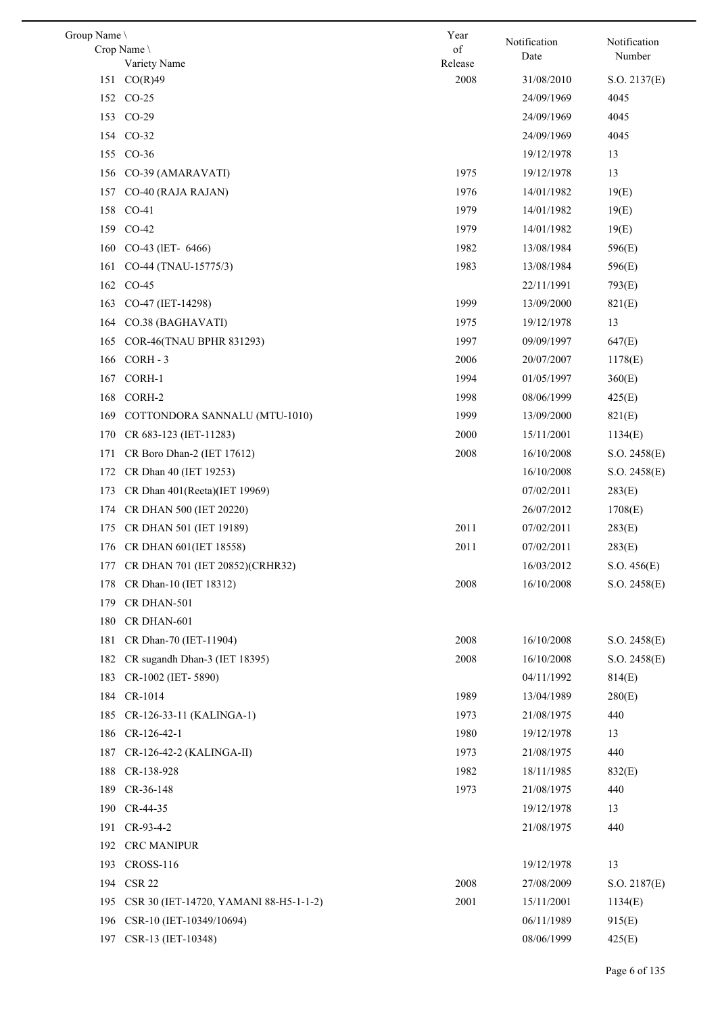| Group Name \                                  | Year            | Notification | Notification         |
|-----------------------------------------------|-----------------|--------------|----------------------|
| Crop Name                                     | of              | Date         | Number               |
| Variety Name<br>CO(R)49<br>151                | Release<br>2008 | 31/08/2010   |                      |
| 152 CO-25                                     |                 | 24/09/1969   | S.O. 2137(E)<br>4045 |
| 153<br>$CO-29$                                |                 | 24/09/1969   | 4045                 |
|                                               |                 | 24/09/1969   |                      |
| 154 CO-32                                     |                 |              | 4045                 |
| $CO-36$<br>155                                |                 | 19/12/1978   | 13                   |
| CO-39 (AMARAVATI)<br>156                      | 1975            | 19/12/1978   | 13                   |
| 157<br>CO-40 (RAJA RAJAN)                     | 1976            | 14/01/1982   | 19(E)                |
| 158<br>$CO-41$                                | 1979            | 14/01/1982   | 19(E)                |
| 159 CO-42                                     | 1979            | 14/01/1982   | 19(E)                |
| CO-43 (IET- 6466)<br>160                      | 1982            | 13/08/1984   | 596(E)               |
| CO-44 (TNAU-15775/3)<br>161                   | 1983            | 13/08/1984   | 596(E)               |
| 162 CO-45                                     |                 | 22/11/1991   | 793(E)               |
| CO-47 (IET-14298)<br>163                      | 1999            | 13/09/2000   | 821(E)               |
| CO.38 (BAGHAVATI)<br>164                      | 1975            | 19/12/1978   | 13                   |
| COR-46(TNAU BPHR 831293)<br>165               | 1997            | 09/09/1997   | 647(E)               |
| CORH-3<br>166                                 | 2006            | 20/07/2007   | 1178(E)              |
| CORH-1<br>167                                 | 1994            | 01/05/1997   | 360(E)               |
| CORH-2<br>168                                 | 1998            | 08/06/1999   | 425(E)               |
| 169<br>COTTONDORA SANNALU (MTU-1010)          | 1999            | 13/09/2000   | 821(E)               |
| 170<br>CR 683-123 (IET-11283)                 | 2000            | 15/11/2001   | 1134(E)              |
| CR Boro Dhan-2 (IET 17612)<br>171             | 2008            | 16/10/2008   | S.O. 2458(E)         |
| CR Dhan 40 (IET 19253)<br>172                 |                 | 16/10/2008   | S.O. 2458(E)         |
| CR Dhan 401(Reeta)(IET 19969)<br>173          |                 | 07/02/2011   | 283(E)               |
| 174<br>CR DHAN 500 (IET 20220)                |                 | 26/07/2012   | 1708(E)              |
| CR DHAN 501 (IET 19189)<br>175                | 2011            | 07/02/2011   | 283(E)               |
| 176<br>CR DHAN 601(IET 18558)                 | 2011            | 07/02/2011   | 283(E)               |
| 177 CR DHAN 701 (IET 20852)(CRHR32)           |                 | 16/03/2012   | S.O. 456(E)          |
| CR Dhan-10 (IET 18312)<br>178                 | 2008            | 16/10/2008   | S.O. 2458(E)         |
| 179<br>CR DHAN-501                            |                 |              |                      |
| 180<br>CR DHAN-601                            |                 |              |                      |
| 181<br>CR Dhan-70 (IET-11904)                 | 2008            | 16/10/2008   | S.O. 2458(E)         |
| 182<br>CR sugandh Dhan-3 (IET 18395)          | 2008            | 16/10/2008   | S.O. 2458(E)         |
| 183<br>CR-1002 (IET-5890)                     |                 | 04/11/1992   | 814(E)               |
| 184<br>CR-1014                                | 1989            | 13/04/1989   | 280(E)               |
| 185<br>CR-126-33-11 (KALINGA-1)               | 1973            | 21/08/1975   | 440                  |
| 186<br>CR-126-42-1                            | 1980            | 19/12/1978   | 13                   |
| 187<br>CR-126-42-2 (KALINGA-II)               | 1973            | 21/08/1975   | 440                  |
| 188<br>CR-138-928                             | 1982            | 18/11/1985   | 832(E)               |
| 189<br>CR-36-148                              | 1973            | 21/08/1975   | 440                  |
| 190<br>CR-44-35                               |                 | 19/12/1978   | 13                   |
| 191<br>CR-93-4-2                              |                 | 21/08/1975   | 440                  |
| 192<br><b>CRC MANIPUR</b>                     |                 |              |                      |
| <b>CROSS-116</b><br>193                       |                 | 19/12/1978   | 13                   |
| <b>CSR 22</b><br>194                          | 2008            | 27/08/2009   | S.O. 2187(E)         |
| 195<br>CSR 30 (IET-14720, YAMANI 88-H5-1-1-2) | 2001            | 15/11/2001   | 1134(E)              |
| 196<br>CSR-10 (IET-10349/10694)               |                 | 06/11/1989   | 915(E)               |
| 197<br>CSR-13 (IET-10348)                     |                 | 08/06/1999   | 425(E)               |
|                                               |                 |              |                      |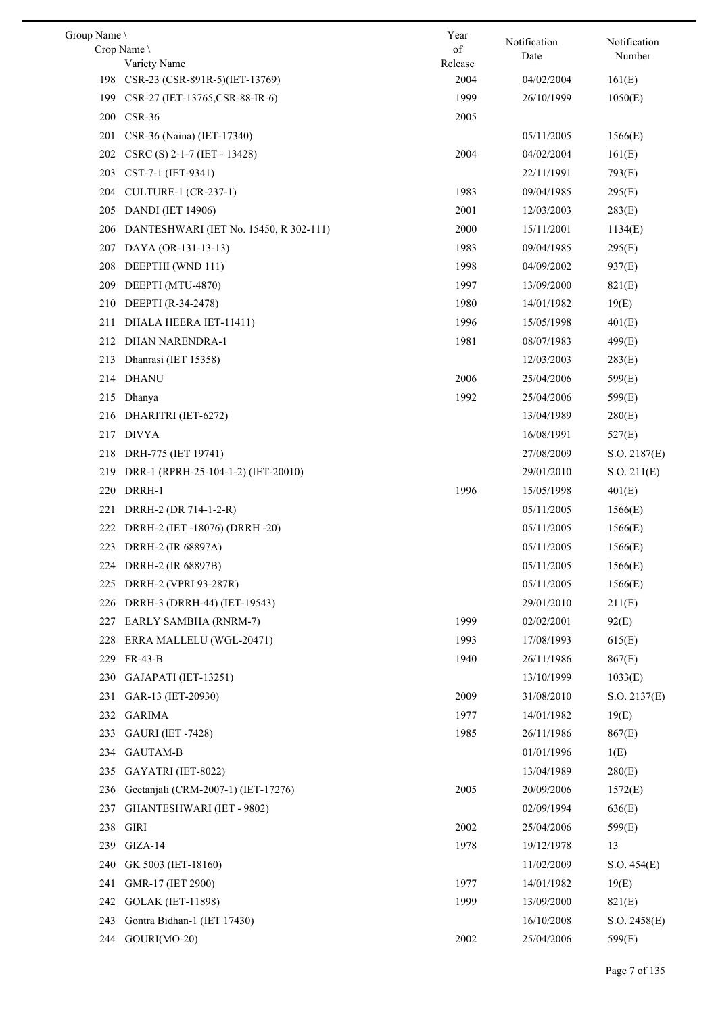| Group Name |                                        | Year    | Notification |                        |
|------------|----------------------------------------|---------|--------------|------------------------|
|            | Crop Name                              | of      | Date         | Notification<br>Number |
|            | Variety Name                           | Release |              |                        |
|            | 198 CSR-23 (CSR-891R-5)(IET-13769)     | 2004    | 04/02/2004   | 161(E)                 |
| 199        | CSR-27 (IET-13765,CSR-88-IR-6)         | 1999    | 26/10/1999   | 1050(E)                |
| 200        | $CSR-36$                               | 2005    |              |                        |
| 201        | CSR-36 (Naina) (IET-17340)             |         | 05/11/2005   | 1566(E)                |
| 202        | CSRC (S) 2-1-7 (IET - 13428)           | 2004    | 04/02/2004   | 161(E)                 |
| 203        | CST-7-1 (IET-9341)                     |         | 22/11/1991   | 793(E)                 |
| 204        | CULTURE-1 (CR-237-1)                   | 1983    | 09/04/1985   | 295(E)                 |
| 205        | <b>DANDI</b> (IET 14906)               | 2001    | 12/03/2003   | 283(E)                 |
| 206        | DANTESHWARI (IET No. 15450, R 302-111) | 2000    | 15/11/2001   | 1134(E)                |
| 207        | DAYA (OR-131-13-13)                    | 1983    | 09/04/1985   | 295(E)                 |
| 208        | DEEPTHI (WND 111)                      | 1998    | 04/09/2002   | 937(E)                 |
| 209        | DEEPTI (MTU-4870)                      | 1997    | 13/09/2000   | 821(E)                 |
| 210        | DEEPTI (R-34-2478)                     | 1980    | 14/01/1982   | 19(E)                  |
| 211        | DHALA HEERA IET-11411)                 | 1996    | 15/05/1998   | 401(E)                 |
| 212        | DHAN NARENDRA-1                        | 1981    | 08/07/1983   | 499(E)                 |
| 213        | Dhanrasi (IET 15358)                   |         | 12/03/2003   | 283(E)                 |
|            | 214 DHANU                              | 2006    | 25/04/2006   | 599(E)                 |
| 215        | Dhanya                                 | 1992    | 25/04/2006   | 599(E)                 |
|            | 216 DHARITRI (IET-6272)                |         | 13/04/1989   | 280(E)                 |
| 217        | DIVYA                                  |         | 16/08/1991   | 527(E)                 |
| 218        | DRH-775 (IET 19741)                    |         | 27/08/2009   | S.O. 2187(E)           |
| 219        | DRR-1 (RPRH-25-104-1-2) (IET-20010)    |         | 29/01/2010   | S.O. 211(E)            |
| 220        | DRRH-1                                 | 1996    | 15/05/1998   | 401(E)                 |
| 221        | DRRH-2 (DR 714-1-2-R)                  |         | 05/11/2005   | 1566(E)                |
| 222        | DRRH-2 (IET -18076) (DRRH -20)         |         | 05/11/2005   | 1566(E)                |
|            | 223 DRRH-2 (IR 68897A)                 |         | 05/11/2005   | 1566(E)                |
|            | 224 DRRH-2 (IR 68897B)                 |         | 05/11/2005   | 1566(E)                |
| 225        | DRRH-2 (VPRI 93-287R)                  |         | 05/11/2005   | 1566(E)                |
| 226        | DRRH-3 (DRRH-44) (IET-19543)           |         | 29/01/2010   | 211(E)                 |
| 227        | EARLY SAMBHA (RNRM-7)                  | 1999    | 02/02/2001   | 92(E)                  |
| 228        | ERRA MALLELU (WGL-20471)               | 1993    | 17/08/1993   |                        |
|            | FR-43-B                                | 1940    |              | 615(E)                 |
| 229        |                                        |         | 26/11/1986   | 867(E)                 |
| 230        | GAJAPATI (IET-13251)                   |         | 13/10/1999   | 1033(E)                |
| 231        | GAR-13 (IET-20930)                     | 2009    | 31/08/2010   | S.O. 2137(E)           |
| 232        | <b>GARIMA</b>                          | 1977    | 14/01/1982   | 19(E)                  |
| 233        | <b>GAURI</b> (IET -7428)               | 1985    | 26/11/1986   | 867(E)                 |
| 234        | <b>GAUTAM-B</b>                        |         | 01/01/1996   | 1(E)                   |
| 235        | GAYATRI (IET-8022)                     |         | 13/04/1989   | 280(E)                 |
| 236        | Geetaniali (CRM-2007-1) (IET-17276)    | 2005    | 20/09/2006   | 1572(E)                |
| 237        | GHANTESHWARI (IET - 9802)              |         | 02/09/1994   | 636(E)                 |
| 238        | GIRI                                   | 2002    | 25/04/2006   | 599(E)                 |
| 239        | $GIZA-14$                              | 1978    | 19/12/1978   | 13                     |
| 240        | GK 5003 (IET-18160)                    |         | 11/02/2009   | S.O. 454(E)            |
| 241        | GMR-17 (IET 2900)                      | 1977    | 14/01/1982   | 19(E)                  |
| 242        | <b>GOLAK (IET-11898)</b>               | 1999    | 13/09/2000   | 821(E)                 |
| 243        | Gontra Bidhan-1 (IET 17430)            |         | 16/10/2008   | S.O. 2458(E)           |
| 244        | GOURI(MO-20)                           | 2002    | 25/04/2006   | 599(E)                 |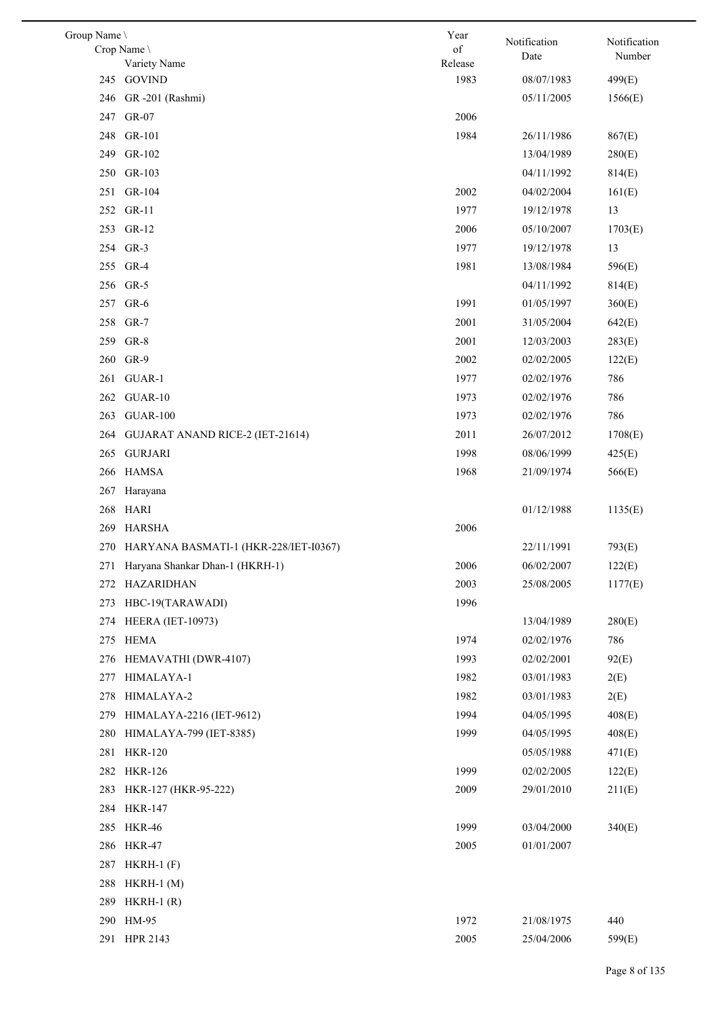| Group Name \                                   | Year    | Notification | Notification |
|------------------------------------------------|---------|--------------|--------------|
| Crop Name                                      | of      | Date         | Number       |
| Variety Name                                   | Release |              |              |
| 245 GOVIND                                     | 1983    | 08/07/1983   | 499(E)       |
| 246 GR -201 (Rashmi)                           |         | 05/11/2005   | 1566(E)      |
| GR-07<br>247                                   | 2006    |              |              |
| 248 GR-101                                     | 1984    | 26/11/1986   | 867(E)       |
| GR-102<br>249                                  |         | 13/04/1989   | 280(E)       |
| GR-103<br>250                                  |         | 04/11/1992   | 814(E)       |
| 251 GR-104                                     | 2002    | 04/02/2004   | 161(E)       |
| 252 GR-11                                      | 1977    | 19/12/1978   | 13           |
| 253 GR-12                                      | 2006    | 05/10/2007   | 1703(E)      |
| 254 GR-3                                       | 1977    | 19/12/1978   | 13           |
| 255 GR-4                                       | 1981    | 13/08/1984   | 596(E)       |
| 256 GR-5                                       |         | 04/11/1992   | 814(E)       |
| GR-6<br>257                                    | 1991    | 01/05/1997   | 360(E)       |
| 258 GR-7                                       | 2001    | 31/05/2004   | 642(E)       |
| $GR-8$<br>259                                  | 2001    | 12/03/2003   | 283(E)       |
| 260 GR-9                                       | 2002    | 02/02/2005   | 122(E)       |
| 261 GUAR-1                                     | 1977    | 02/02/1976   | 786          |
| 262 GUAR-10                                    | 1973    | 02/02/1976   | 786          |
| 263<br><b>GUAR-100</b>                         | 1973    | 02/02/1976   | 786          |
| 264<br><b>GUJARAT ANAND RICE-2 (IET-21614)</b> | 2011    | 26/07/2012   | 1708(E)      |
| <b>GURJARI</b><br>265                          | 1998    | 08/06/1999   | 425(E)       |
| <b>HAMSA</b><br>266                            | 1968    | 21/09/1974   | 566(E)       |
| 267<br>Harayana                                |         |              |              |
| 268 HARI                                       |         | 01/12/1988   | 1135(E)      |
| <b>HARSHA</b><br>269                           | 2006    |              |              |
| 270 HARYANA BASMATI-1 (HKR-228/IET-I0367)      |         | 22/11/1991   | 793(E)       |
| 271 Haryana Shankar Dhan-1 (HKRH-1)            | 2006    | 06/02/2007   | 122(E)       |
| 272 HAZARIDHAN                                 | 2003    | 25/08/2005   | 1177(E)      |
| HBC-19(TARAWADI)<br>273                        | 1996    |              |              |
| <b>HEERA</b> (IET-10973)<br>274                |         | 13/04/1989   | 280(E)       |
| 275<br><b>HEMA</b>                             | 1974    | 02/02/1976   | 786          |
| HEMAVATHI (DWR-4107)<br>276                    | 1993    | 02/02/2001   | 92(E)        |
| HIMALAYA-1<br>277                              | 1982    | 03/01/1983   | 2(E)         |
| HIMALAYA-2<br>278                              | 1982    | 03/01/1983   | 2(E)         |
| 279<br>HIMALAYA-2216 (IET-9612)                | 1994    | 04/05/1995   | 408(E)       |
| 280<br>HIMALAYA-799 (IET-8385)                 | 1999    | 04/05/1995   | 408(E)       |
| <b>HKR-120</b><br>281                          |         | 05/05/1988   | 471(E)       |
| <b>HKR-126</b><br>282                          | 1999    | 02/02/2005   | 122(E)       |
| HKR-127 (HKR-95-222)<br>283                    | 2009    | 29/01/2010   | 211(E)       |
| 284 HKR-147                                    |         |              |              |
| <b>HKR-46</b><br>285                           | 1999    | 03/04/2000   | 340(E)       |
|                                                |         |              |              |
| 286<br><b>HKR-47</b>                           | 2005    | 01/01/2007   |              |
| 287<br>$HKRH-1$ $(F)$                          |         |              |              |
| 288<br>$HKRH-1$ (M)                            |         |              |              |
| 289<br>$HKRH-1$ $(R)$                          |         |              |              |
| HM-95<br>290                                   | 1972    | 21/08/1975   | 440          |
| 291 HPR 2143                                   | 2005    | 25/04/2006   | 599(E)       |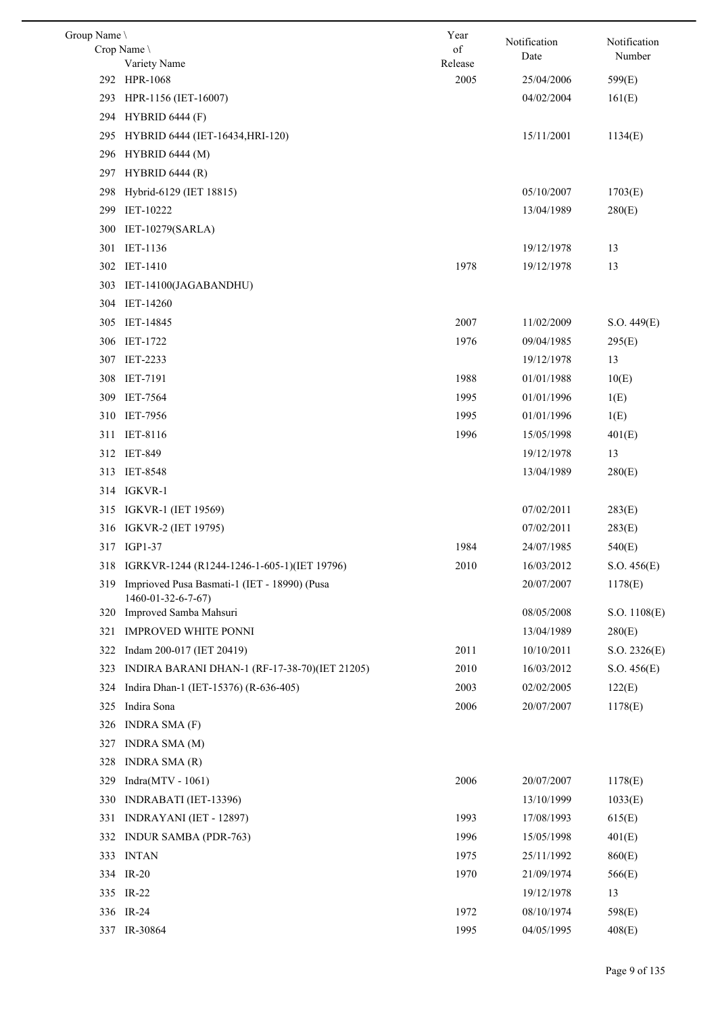| Group Name \ |                                                 | Year            | Notification | Notification |
|--------------|-------------------------------------------------|-----------------|--------------|--------------|
|              | Crop Name \                                     | of              | Date         | Number       |
|              | Variety Name<br>292 HPR-1068                    | Release<br>2005 |              |              |
|              |                                                 |                 | 25/04/2006   | 599(E)       |
| 293          | HPR-1156 (IET-16007)                            |                 | 04/02/2004   | 161(E)       |
|              | 294 HYBRID 6444 (F)                             |                 |              |              |
| 295          | HYBRID 6444 (IET-16434, HRI-120)                |                 | 15/11/2001   | 1134(E)      |
| 296          | <b>HYBRID 6444 (M)</b>                          |                 |              |              |
| 297          | <b>HYBRID 6444 (R)</b>                          |                 |              |              |
| 298          | Hybrid-6129 (IET 18815)                         |                 | 05/10/2007   | 1703(E)      |
| 299          | IET-10222                                       |                 | 13/04/1989   | 280(E)       |
| 300          | IET-10279(SARLA)                                |                 |              |              |
| 301          | IET-1136                                        |                 | 19/12/1978   | 13           |
|              | 302 IET-1410                                    | 1978            | 19/12/1978   | 13           |
| 303          | IET-14100(JAGABANDHU)                           |                 |              |              |
| 304          | IET-14260                                       |                 |              |              |
|              | 305 IET-14845                                   | 2007            | 11/02/2009   | S.O. 449(E)  |
|              | 306 IET-1722                                    | 1976            | 09/04/1985   | 295(E)       |
|              | 307 IET-2233                                    |                 | 19/12/1978   | 13           |
|              | 308 IET-7191                                    | 1988            | 01/01/1988   | 10(E)        |
|              | 309 IET-7564                                    | 1995            | 01/01/1996   | 1(E)         |
|              | 310 IET-7956                                    | 1995            | 01/01/1996   | 1(E)         |
| 311          | IET-8116                                        | 1996            | 15/05/1998   | 401(E)       |
|              | 312 IET-849                                     |                 | 19/12/1978   | 13           |
|              | 313 IET-8548                                    |                 | 13/04/1989   | 280(E)       |
|              | 314 IGKVR-1                                     |                 |              |              |
|              | 315 IGKVR-1 (IET 19569)                         |                 | 07/02/2011   | 283(E)       |
|              | 316 IGKVR-2 (IET 19795)                         |                 | 07/02/2011   | 283(E)       |
|              | 317 IGP1-37                                     | 1984            | 24/07/1985   | 540(E)       |
|              | 318 IGRKVR-1244 (R1244-1246-1-605-1)(IET 19796) | 2010            | 16/03/2012   | S.O. 456(E)  |
| 319          | Imprioved Pusa Basmati-1 (IET - 18990) (Pusa    |                 | 20/07/2007   | 1178(E)      |
|              | 1460-01-32-6-7-67)                              |                 |              |              |
|              | 320 Improved Samba Mahsuri                      |                 | 08/05/2008   | S.O. 1108(E) |
| 321          | <b>IMPROVED WHITE PONNI</b>                     |                 | 13/04/1989   | 280(E)       |
| 322          | Indam 200-017 (IET 20419)                       | 2011            | 10/10/2011   | S.O. 2326(E) |
| 323          | INDIRA BARANI DHAN-1 (RF-17-38-70)(IET 21205)   | 2010            | 16/03/2012   | S.O. 456(E)  |
| 324          | Indira Dhan-1 (IET-15376) (R-636-405)           | 2003            | 02/02/2005   | 122(E)       |
| 325          | Indira Sona                                     | 2006            | 20/07/2007   | 1178(E)      |
| 326          | INDRA SMA $(F)$                                 |                 |              |              |
| 327          | <b>INDRA SMA (M)</b>                            |                 |              |              |
| 328          | INDRA SMA (R)                                   |                 |              |              |
| 329          | $Indra(MTV - 1061)$                             | 2006            | 20/07/2007   | 1178(E)      |
| 330          | INDRABATI (IET-13396)                           |                 | 13/10/1999   | 1033(E)      |
| 331          | INDRAYANI (IET - 12897)                         | 1993            | 17/08/1993   | 615(E)       |
| 332          | <b>INDUR SAMBA (PDR-763)</b>                    | 1996            | 15/05/1998   | 401(E)       |
| 333          | <b>INTAN</b>                                    | 1975            | 25/11/1992   | 860(E)       |
|              | 334 IR-20                                       | 1970            | 21/09/1974   | 566(E)       |
|              | 335 IR-22                                       |                 | 19/12/1978   | 13           |
|              | 336 IR-24                                       | 1972            | 08/10/1974   | 598(E)       |
|              | 337 IR-30864                                    | 1995            | 04/05/1995   | 408(E)       |
|              |                                                 |                 |              |              |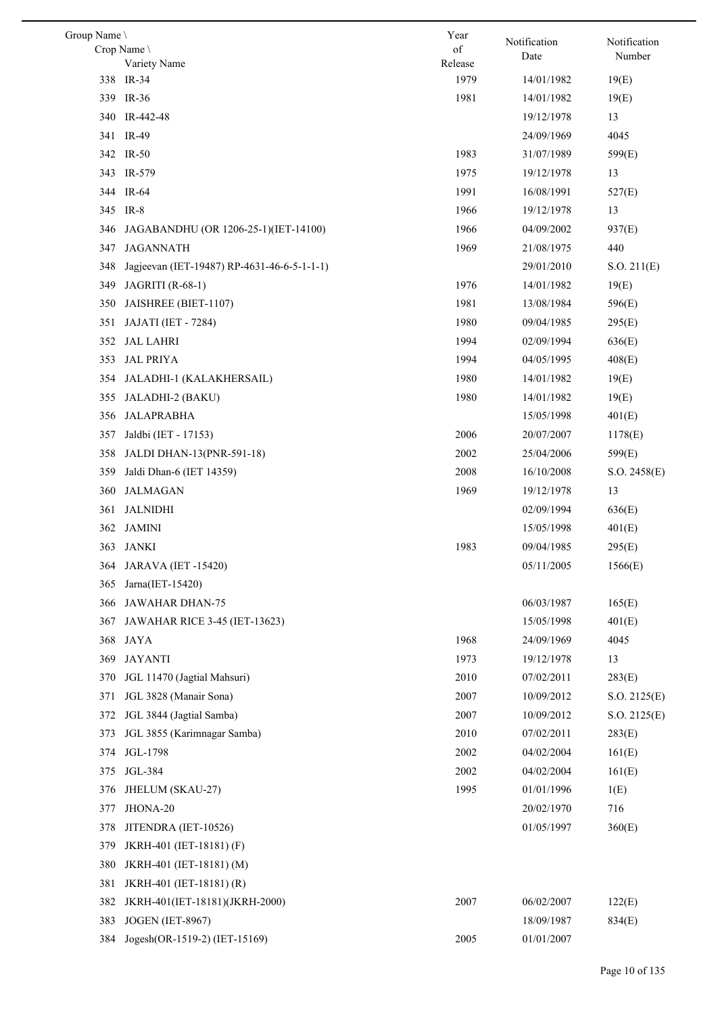| Group Name \ |                                             | Year            | Notification | Notification |
|--------------|---------------------------------------------|-----------------|--------------|--------------|
|              | Crop Name \                                 | of              | Date         | Number       |
|              | Variety Name                                | Release<br>1979 |              |              |
|              | 338 IR-34                                   |                 | 14/01/1982   | 19(E)        |
|              | 339 IR-36                                   | 1981            | 14/01/1982   | 19(E)        |
| 340          | IR-442-48                                   |                 | 19/12/1978   | 13           |
|              | 341 IR-49                                   |                 | 24/09/1969   | 4045         |
|              | 342 IR-50                                   | 1983            | 31/07/1989   | 599(E)       |
|              | 343 IR-579                                  | 1975            | 19/12/1978   | 13           |
|              | 344 IR-64                                   | 1991            | 16/08/1991   | 527(E)       |
| 345          | IR-8                                        | 1966            | 19/12/1978   | 13           |
| 346          | JAGABANDHU (OR 1206-25-1)(IET-14100)        | 1966            | 04/09/2002   | 937(E)       |
| 347          | <b>JAGANNATH</b>                            | 1969            | 21/08/1975   | 440          |
| 348          | Jagjeevan (IET-19487) RP-4631-46-6-5-1-1-1) |                 | 29/01/2010   | S.O. 211(E)  |
| 349          | <b>JAGRITI</b> (R-68-1)                     | 1976            | 14/01/1982   | 19(E)        |
| 350          | JAISHREE (BIET-1107)                        | 1981            | 13/08/1984   | 596(E)       |
| 351          | JAJATI (IET - 7284)                         | 1980            | 09/04/1985   | 295(E)       |
| 352          | <b>JAL LAHRI</b>                            | 1994            | 02/09/1994   | 636(E)       |
| 353          | <b>JAL PRIYA</b>                            | 1994            | 04/05/1995   | 408(E)       |
| 354          | JALADHI-1 (KALAKHERSAIL)                    | 1980            | 14/01/1982   | 19(E)        |
| 355          | JALADHI-2 (BAKU)                            | 1980            | 14/01/1982   | 19(E)        |
| 356          | JALAPRABHA                                  |                 | 15/05/1998   | 401(E)       |
| 357          | Jaldbi (IET - 17153)                        | 2006            | 20/07/2007   | 1178(E)      |
| 358          | <b>JALDI DHAN-13(PNR-591-18)</b>            | 2002            | 25/04/2006   | 599(E)       |
| 359          | Jaldi Dhan-6 (IET 14359)                    | 2008            | 16/10/2008   | S.O. 2458(E) |
| 360          | <b>JALMAGAN</b>                             | 1969            | 19/12/1978   | 13           |
| 361          | <b>JALNIDHI</b>                             |                 | 02/09/1994   | 636(E)       |
| 362          | JAMINI                                      |                 | 15/05/1998   | 401(E)       |
| 363          | JANKI                                       | 1983            | 09/04/1985   | 295(E)       |
|              | 364 JARAVA (IET-15420)                      |                 | 05/11/2005   | 1566(E)      |
| 365          | Jarna(IET-15420)                            |                 |              |              |
| 366          | JAWAHAR DHAN-75                             |                 | 06/03/1987   | 165(E)       |
| 367          | JAWAHAR RICE 3-45 (IET-13623)               |                 | 15/05/1998   | 401(E)       |
| 368          | JAYA                                        | 1968            | 24/09/1969   | 4045         |
|              | <b>JAYANTI</b>                              | 1973            |              |              |
| 369          |                                             |                 | 19/12/1978   | 13           |
| 370          | JGL 11470 (Jagtial Mahsuri)                 | 2010            | 07/02/2011   | 283(E)       |
| 371          | JGL 3828 (Manair Sona)                      | 2007            | 10/09/2012   | S.O. 2125(E) |
| 372          | JGL 3844 (Jagtial Samba)                    | 2007            | 10/09/2012   | S.O. 2125(E) |
| 373          | JGL 3855 (Karimnagar Samba)                 | 2010            | 07/02/2011   | 283(E)       |
| 374          | JGL-1798                                    | 2002            | 04/02/2004   | 161(E)       |
| 375          | JGL-384                                     | 2002            | 04/02/2004   | 161(E)       |
| 376          | JHELUM (SKAU-27)                            | 1995            | 01/01/1996   | 1(E)         |
| 377          | JHONA-20                                    |                 | 20/02/1970   | 716          |
| 378          | JITENDRA (IET-10526)                        |                 | 01/05/1997   | 360(E)       |
| 379          | JKRH-401 (IET-18181) (F)                    |                 |              |              |
| 380          | JKRH-401 (IET-18181) (M)                    |                 |              |              |
| 381          | JKRH-401 (IET-18181) (R)                    |                 |              |              |
| 382          | JKRH-401(IET-18181)(JKRH-2000)              | 2007            | 06/02/2007   | 122(E)       |
| 383          | <b>JOGEN</b> (IET-8967)                     |                 | 18/09/1987   | 834(E)       |
| 384          | Jogesh(OR-1519-2) (IET-15169)               | 2005            | 01/01/2007   |              |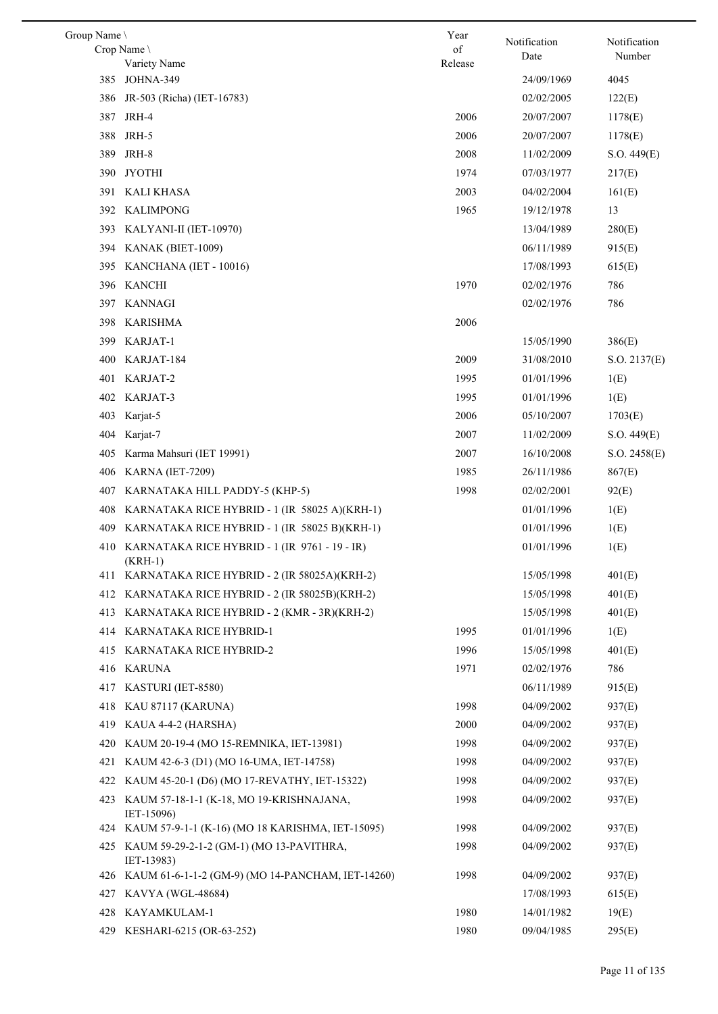| Group Name |                                                            | Year          |                      |                        |
|------------|------------------------------------------------------------|---------------|----------------------|------------------------|
|            | Crop Name<br>Variety Name                                  | of<br>Release | Notification<br>Date | Notification<br>Number |
| 385        | JOHNA-349                                                  |               | 24/09/1969           | 4045                   |
| 386        | JR-503 (Richa) (IET-16783)                                 |               | 02/02/2005           | 122(E)                 |
|            | 387 JRH-4                                                  | 2006          | 20/07/2007           | 1178(E)                |
|            | 388 JRH-5                                                  | 2006          | 20/07/2007           | 1178(E)                |
| 389        | JRH-8                                                      | 2008          | 11/02/2009           | S.O. 449(E)            |
| 390        | JYOTHI                                                     | 1974          | 07/03/1977           | 217(E)                 |
|            | 391 KALI KHASA                                             | 2003          | 04/02/2004           | 161(E)                 |
|            | 392 KALIMPONG                                              | 1965          | 19/12/1978           | 13                     |
|            | 393 KALYANI-II (IET-10970)                                 |               | 13/04/1989           | 280(E)                 |
|            | 394 KANAK (BIET-1009)                                      |               | 06/11/1989           | 915(E)                 |
|            | 395 KANCHANA (IET - 10016)                                 |               | 17/08/1993           | 615(E)                 |
|            | 396 KANCHI                                                 | 1970          | 02/02/1976           | 786                    |
|            | 397 KANNAGI                                                |               | 02/02/1976           | 786                    |
|            | 398 KARISHMA                                               | 2006          |                      |                        |
| 399        | KARJAT-1                                                   |               | 15/05/1990           | 386(E)                 |
| 400        | KARJAT-184                                                 | 2009          | 31/08/2010           | S.O. 2137(E)           |
| 401        | KARJAT-2                                                   | 1995          | 01/01/1996           | 1(E)                   |
| 402        | KARJAT-3                                                   | 1995          | 01/01/1996           | 1(E)                   |
| 403        | Karjat-5                                                   | 2006          | 05/10/2007           | 1703(E)                |
| 404        | Karjat-7                                                   | 2007          | 11/02/2009           | S.O. 449(E)            |
| 405        | Karma Mahsuri (IET 19991)                                  | 2007          | 16/10/2008           | S.O. 2458(E)           |
| 406        | <b>KARNA</b> (IET-7209)                                    | 1985          | 26/11/1986           | 867(E)                 |
| 407        | KARNATAKA HILL PADDY-5 (KHP-5)                             | 1998          | 02/02/2001           | 92(E)                  |
| 408        | KARNATAKA RICE HYBRID - 1 (IR 58025 A)(KRH-1)              |               | 01/01/1996           | 1(E)                   |
| 409        | KARNATAKA RICE HYBRID - 1 (IR 58025 B)(KRH-1)              |               | 01/01/1996           | 1(E)                   |
| 410        | KARNATAKA RICE HYBRID - 1 (IR 9761 - 19 - IR)              |               | 01/01/1996           | 1(E)                   |
|            | $(KRH-1)$                                                  |               |                      |                        |
|            | 411 KARNATAKA RICE HYBRID - 2 (IR 58025A)(KRH-2)           |               | 15/05/1998           | 401(E)                 |
|            | 412 KARNATAKA RICE HYBRID - 2 (IR 58025B)(KRH-2)           |               | 15/05/1998           | 401(E)                 |
|            | 413 KARNATAKA RICE HYBRID - 2 (KMR - 3R)(KRH-2)            |               | 15/05/1998           | 401(E)                 |
|            | 414 KARNATAKA RICE HYBRID-1                                | 1995          | 01/01/1996           | 1(E)                   |
|            | 415 KARNATAKA RICE HYBRID-2                                | 1996          | 15/05/1998           | 401(E)                 |
|            | 416 KARUNA                                                 | 1971          | 02/02/1976           | 786                    |
|            | 417 KASTURI (IET-8580)                                     |               | 06/11/1989           | 915(E)                 |
|            | 418 KAU 87117 (KARUNA)                                     | 1998          | 04/09/2002           | 937(E)                 |
| 419        | KAUA 4-4-2 (HARSHA)                                        | 2000          | 04/09/2002           | 937(E)                 |
| 420        | KAUM 20-19-4 (MO 15-REMNIKA, IET-13981)                    | 1998          | 04/09/2002           | 937(E)                 |
| 421        | KAUM 42-6-3 (D1) (MO 16-UMA, IET-14758)                    | 1998          | 04/09/2002           | 937(E)                 |
| 422        | KAUM 45-20-1 (D6) (MO 17-REVATHY, IET-15322)               | 1998          | 04/09/2002           | 937(E)                 |
|            | 423 KAUM 57-18-1-1 (K-18, MO 19-KRISHNAJANA,<br>IET-15096) | 1998          | 04/09/2002           | 937(E)                 |
|            | 424 KAUM 57-9-1-1 (K-16) (MO 18 KARISHMA, IET-15095)       | 1998          | 04/09/2002           | 937(E)                 |
|            | 425 KAUM 59-29-2-1-2 (GM-1) (MO 13-PAVITHRA,<br>IET-13983) | 1998          | 04/09/2002           | 937(E)                 |
|            | 426 KAUM 61-6-1-1-2 (GM-9) (MO 14-PANCHAM, IET-14260)      | 1998          | 04/09/2002           | 937(E)                 |
|            | 427 KAVYA (WGL-48684)                                      |               | 17/08/1993           | 615(E)                 |
| 428        | KAYAMKULAM-1                                               | 1980          | 14/01/1982           | 19(E)                  |
|            | 429 KESHARI-6215 (OR-63-252)                               | 1980          | 09/04/1985           | 295(E)                 |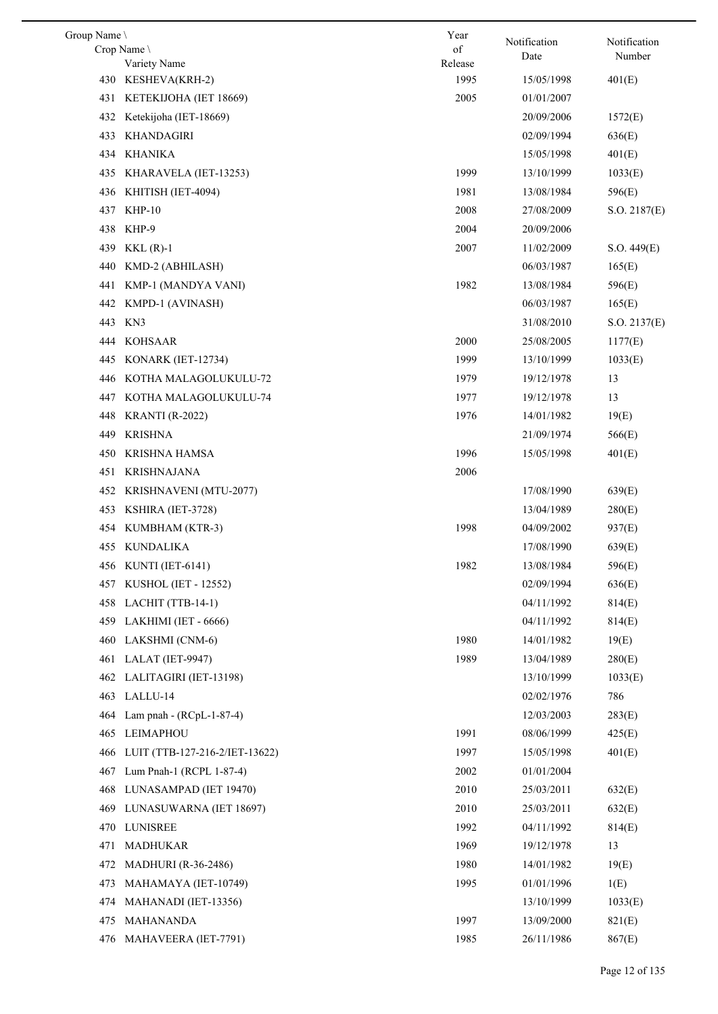| Group Name \ |                                | Year            | Notification | Notification |
|--------------|--------------------------------|-----------------|--------------|--------------|
|              | Crop Name \                    | of              | Date         | Number       |
|              | Variety Name                   | Release<br>1995 |              |              |
|              | 430 KESHEVA(KRH-2)             |                 | 15/05/1998   | 401(E)       |
| 431          | KETEKIJOHA (IET 18669)         | 2005            | 01/01/2007   |              |
| 432          | Ketekijoha (IET-18669)         |                 | 20/09/2006   | 1572(E)      |
| 433          | KHANDAGIRI                     |                 | 02/09/1994   | 636(E)       |
| 434          | KHANIKA                        |                 | 15/05/1998   | 401(E)       |
| 435          | KHARAVELA (IET-13253)          | 1999            | 13/10/1999   | 1033(E)      |
| 436          | KHITISH (IET-4094)             | 1981            | 13/08/1984   | 596(E)       |
| 437          | $KHP-10$                       | 2008            | 27/08/2009   | S.O. 2187(E) |
| 438          | KHP-9                          | 2004            | 20/09/2006   |              |
| 439          | $KKL(R)-1$                     | 2007            | 11/02/2009   | S.O. 449(E)  |
| 440          | KMD-2 (ABHILASH)               |                 | 06/03/1987   | 165(E)       |
| 441          | KMP-1 (MANDYA VANI)            | 1982            | 13/08/1984   | 596(E)       |
| 442          | KMPD-1 (AVINASH)               |                 | 06/03/1987   | 165(E)       |
| 443          | KN3                            |                 | 31/08/2010   | S.O. 2137(E) |
| 444          | <b>KOHSAAR</b>                 | 2000            | 25/08/2005   | 1177(E)      |
| 445          | KONARK (IET-12734)             | 1999            | 13/10/1999   | 1033(E)      |
| 446          | KOTHA MALAGOLUKULU-72          | 1979            | 19/12/1978   | 13           |
| 447          | KOTHA MALAGOLUKULU-74          | 1977            | 19/12/1978   | 13           |
| 448          | <b>KRANTI</b> (R-2022)         | 1976            | 14/01/1982   | 19(E)        |
| 449          | <b>KRISHNA</b>                 |                 | 21/09/1974   | 566(E)       |
| 450          | KRISHNA HAMSA                  | 1996            | 15/05/1998   | 401(E)       |
| 451          | <b>KRISHNAJANA</b>             | 2006            |              |              |
| 452          | KRISHNAVENI (MTU-2077)         |                 | 17/08/1990   | 639(E)       |
| 453          | KSHIRA (IET-3728)              |                 | 13/04/1989   | 280(E)       |
| 454          | KUMBHAM (KTR-3)                | 1998            | 04/09/2002   | 937(E)       |
|              | 455 KUNDALIKA                  |                 | 17/08/1990   | 639(E)       |
|              | 456 KUNTI (IET-6141)           | 1982            | 13/08/1984   | 596(E)       |
|              | 457 KUSHOL (IET - 12552)       |                 | 02/09/1994   | 636(E)       |
|              | 458 LACHIT (TTB-14-1)          |                 | 04/11/1992   | 814(E)       |
|              | 459 LAKHIMI (IET - 6666)       |                 | 04/11/1992   | 814(E)       |
| 460          | LAKSHMI (CNM-6)                | 1980            | 14/01/1982   | 19(E)        |
| 461          | LALAT (IET-9947)               | 1989            |              |              |
|              | LALITAGIRI (IET-13198)         |                 | 13/04/1989   | 280(E)       |
| 462          |                                |                 | 13/10/1999   | 1033(E)      |
| 463          | LALLU-14                       |                 | 02/02/1976   | 786          |
| 464          | Lam pnah - $(RCpL-1-87-4)$     |                 | 12/03/2003   | 283(E)       |
| 465          | LEIMAPHOU                      | 1991            | 08/06/1999   | 425(E)       |
| 466          | LUIT (TTB-127-216-2/IET-13622) | 1997            | 15/05/1998   | 401(E)       |
| 467          | Lum Pnah-1 (RCPL 1-87-4)       | 2002            | 01/01/2004   |              |
| 468          | LUNASAMPAD (IET 19470)         | 2010            | 25/03/2011   | 632(E)       |
| 469          | LUNASUWARNA (IET 18697)        | 2010            | 25/03/2011   | 632(E)       |
| 470          | LUNISREE                       | 1992            | 04/11/1992   | 814(E)       |
| 471          | <b>MADHUKAR</b>                | 1969            | 19/12/1978   | 13           |
| 472          | <b>MADHURI</b> (R-36-2486)     | 1980            | 14/01/1982   | 19(E)        |
| 473          | MAHAMAYA (IET-10749)           | 1995            | 01/01/1996   | 1(E)         |
| 474          | MAHANADI (IET-13356)           |                 | 13/10/1999   | 1033(E)      |
| 475          | <b>MAHANANDA</b>               | 1997            | 13/09/2000   | 821(E)       |
|              | 476 MAHAVEERA (IET-7791)       | 1985            | 26/11/1986   | 867(E)       |
|              |                                |                 |              |              |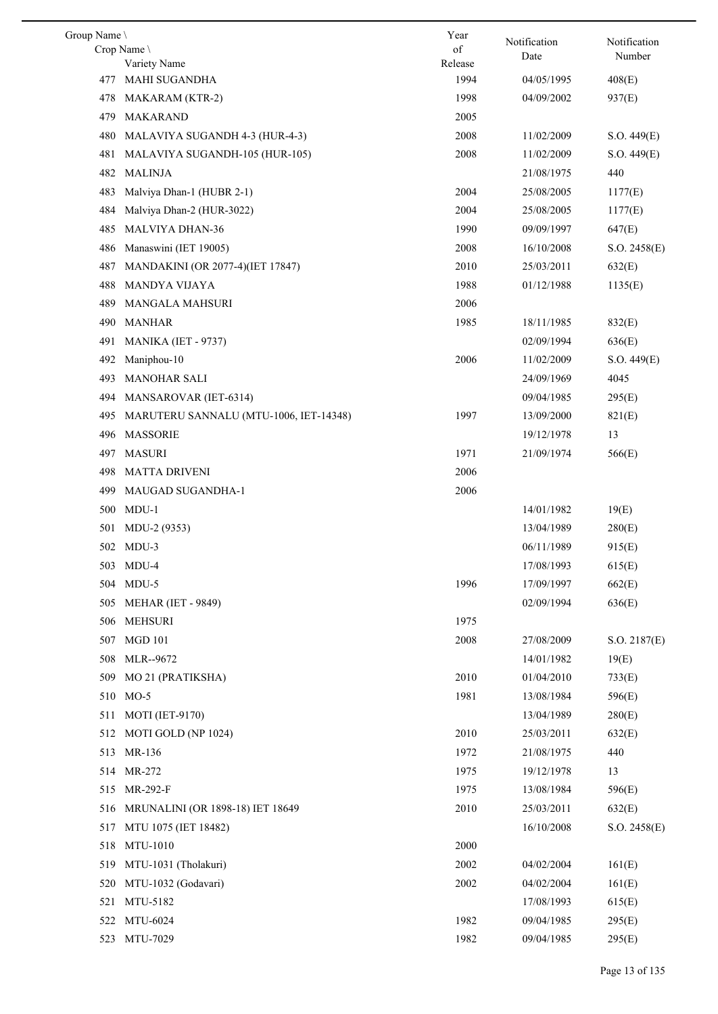| Group Name |                                         | Year            | Notification | Notification |
|------------|-----------------------------------------|-----------------|--------------|--------------|
|            | Crop Name                               | of              | Date         | Number       |
| 477        | Variety Name<br>MAHI SUGANDHA           | Release<br>1994 | 04/05/1995   | 408(E)       |
|            |                                         | 1998            | 04/09/2002   |              |
| 478        | MAKARAM (KTR-2)<br>MAKARAND             |                 |              | 937(E)       |
| 479        |                                         | 2005            |              |              |
| 480        | MALAVIYA SUGANDH 4-3 (HUR-4-3)          | 2008            | 11/02/2009   | S.O. 449(E)  |
| 481        | MALAVIYA SUGANDH-105 (HUR-105)          | 2008            | 11/02/2009   | S.O. 449(E)  |
| 482        | <b>MALINJA</b>                          |                 | 21/08/1975   | 440          |
| 483        | Malviya Dhan-1 (HUBR 2-1)               | 2004            | 25/08/2005   | 1177(E)      |
| 484        | Malviya Dhan-2 (HUR-3022)               | 2004            | 25/08/2005   | 1177(E)      |
| 485        | <b>MALVIYA DHAN-36</b>                  | 1990            | 09/09/1997   | 647(E)       |
| 486        | Manaswini (IET 19005)                   | 2008            | 16/10/2008   | S.O. 2458(E) |
| 487        | MANDAKINI (OR 2077-4)(IET 17847)        | 2010            | 25/03/2011   | 632(E)       |
| 488        | <b>MANDYA VIJAYA</b>                    | 1988            | 01/12/1988   | 1135(E)      |
| 489        | <b>MANGALA MAHSURI</b>                  | 2006            |              |              |
| 490        | <b>MANHAR</b>                           | 1985            | 18/11/1985   | 832(E)       |
| 491        | MANIKA (IET - 9737)                     |                 | 02/09/1994   | 636(E)       |
| 492        | Maniphou-10                             | 2006            | 11/02/2009   | S.O. 449(E)  |
| 493        | <b>MANOHAR SALI</b>                     |                 | 24/09/1969   | 4045         |
| 494        | MANSAROVAR (IET-6314)                   |                 | 09/04/1985   | 295(E)       |
| 495        | MARUTERU SANNALU (MTU-1006, IET-14348)  | 1997            | 13/09/2000   | 821(E)       |
| 496        | <b>MASSORIE</b>                         |                 | 19/12/1978   | 13           |
| 497        | MASURI                                  | 1971            | 21/09/1974   | 566(E)       |
| 498        | <b>MATTA DRIVENI</b>                    | 2006            |              |              |
| 499        | MAUGAD SUGANDHA-1                       | 2006            |              |              |
| 500        | $MDU-1$                                 |                 | 14/01/1982   | 19(E)        |
| 501        | MDU-2 (9353)                            |                 | 13/04/1989   | 280(E)       |
|            | 502 MDU-3                               |                 | 06/11/1989   | 915(E)       |
|            | 503 MDU-4                               |                 | 17/08/1993   | 615(E)       |
|            | 504 MDU-5                               | 1996            | 17/09/1997   | 662(E)       |
| 505        | <b>MEHAR (IET - 9849)</b>               |                 | 02/09/1994   | 636(E)       |
| 506        | <b>MEHSURI</b>                          | 1975            |              |              |
| 507        | <b>MGD 101</b>                          | 2008            | 27/08/2009   | S.O. 2187(E) |
| 508        | MLR--9672                               |                 | 14/01/1982   | 19(E)        |
| 509        | MO 21 (PRATIKSHA)                       | 2010            | 01/04/2010   | 733(E)       |
|            | 510 MO-5                                | 1981            | 13/08/1984   | 596(E)       |
| 511        | <b>MOTI</b> (IET-9170)                  |                 | 13/04/1989   | 280(E)       |
|            | 512 MOTI GOLD (NP 1024)                 | 2010            | 25/03/2011   | 632(E)       |
| 513        | MR-136                                  | 1972            | 21/08/1975   | 440          |
|            | 514 MR-272                              | 1975            | 19/12/1978   | 13           |
| 515        | MR-292-F                                | 1975            | 13/08/1984   | 596(E)       |
| 516        | <b>MRUNALINI (OR 1898-18) IET 18649</b> | 2010            | 25/03/2011   | 632(E)       |
| 517        | MTU 1075 (IET 18482)                    |                 | 16/10/2008   | S.O. 2458(E) |
| 518        | MTU-1010                                | 2000            |              |              |
|            | 519 MTU-1031 (Tholakuri)                | 2002            | 04/02/2004   | 161(E)       |
| 520        | MTU-1032 (Godavari)                     | 2002            | 04/02/2004   | 161(E)       |
| 521        | MTU-5182                                |                 | 17/08/1993   | 615(E)       |
|            | 522 MTU-6024                            | 1982            | 09/04/1985   | 295(E)       |
|            | MTU-7029                                |                 |              |              |
| 523        |                                         | 1982            | 09/04/1985   | 295(E)       |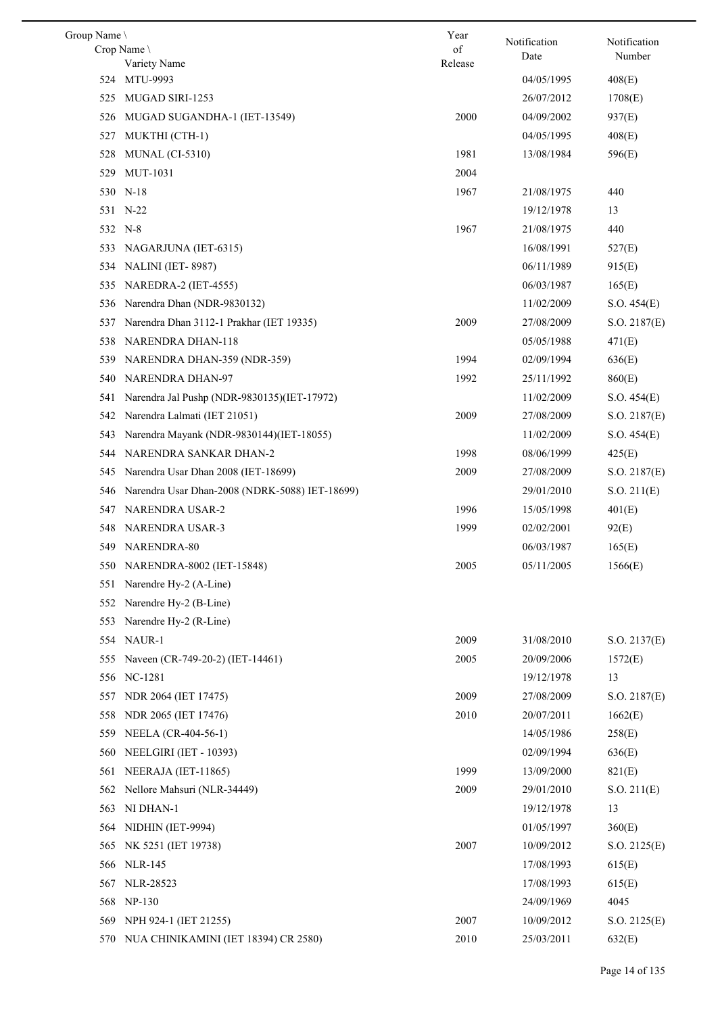| Group Name |                                                | Year    | Notification | Notification      |
|------------|------------------------------------------------|---------|--------------|-------------------|
|            | Crop Name                                      | of      | Date         | Number            |
| 524        | Variety Name<br>MTU-9993                       | Release | 04/05/1995   |                   |
| 525        | MUGAD SIRI-1253                                |         | 26/07/2012   | 408(E)<br>1708(E) |
|            |                                                | 2000    |              |                   |
| 526        | MUGAD SUGANDHA-1 (IET-13549)                   |         | 04/09/2002   | 937(E)            |
| 527        | MUKTHI (CTH-1)                                 |         | 04/05/1995   | 408(E)            |
| 528        | MUNAL (CI-5310)                                | 1981    | 13/08/1984   | 596(E)            |
| 529        | <b>MUT-1031</b>                                | 2004    |              |                   |
|            | 530 N-18                                       | 1967    | 21/08/1975   | 440               |
|            | 531 N-22                                       |         | 19/12/1978   | 13                |
|            | 532 N-8                                        | 1967    | 21/08/1975   | 440               |
| 533        | NAGARJUNA (IET-6315)                           |         | 16/08/1991   | 527(E)            |
|            | 534 NALINI (IET-8987)                          |         | 06/11/1989   | 915(E)            |
| 535        | NAREDRA-2 (IET-4555)                           |         | 06/03/1987   | 165(E)            |
| 536        | Narendra Dhan (NDR-9830132)                    |         | 11/02/2009   | S.O. 454(E)       |
| 537        | Narendra Dhan 3112-1 Prakhar (IET 19335)       | 2009    | 27/08/2009   | S.O. 2187(E)      |
| 538        | NARENDRA DHAN-118                              |         | 05/05/1988   | 471(E)            |
| 539        | NARENDRA DHAN-359 (NDR-359)                    | 1994    | 02/09/1994   | 636(E)            |
| 540        | NARENDRA DHAN-97                               | 1992    | 25/11/1992   | 860(E)            |
| 541        | Narendra Jal Pushp (NDR-9830135)(IET-17972)    |         | 11/02/2009   | S.O. 454(E)       |
| 542        | Narendra Lalmati (IET 21051)                   | 2009    | 27/08/2009   | S.O. 2187(E)      |
| 543        | Narendra Mayank (NDR-9830144)(IET-18055)       |         | 11/02/2009   | S.O. 454(E)       |
| 544        | NARENDRA SANKAR DHAN-2                         | 1998    | 08/06/1999   | 425(E)            |
| 545        | Narendra Usar Dhan 2008 (IET-18699)            | 2009    | 27/08/2009   | S.O. 2187(E)      |
| 546        | Narendra Usar Dhan-2008 (NDRK-5088) IET-18699) |         | 29/01/2010   | S.O. 211(E)       |
| 547        | NARENDRA USAR-2                                | 1996    | 15/05/1998   | 401(E)            |
| 548        | <b>NARENDRA USAR-3</b>                         | 1999    | 02/02/2001   | 92(E)             |
| 549        | NARENDRA-80                                    |         | 06/03/1987   | 165(E)            |
|            | 550 NARENDRA-8002 (IET-15848)                  | 2005    | 05/11/2005   | 1566(E)           |
|            | 551 Narendre Hy-2 (A-Line)                     |         |              |                   |
| 552        | Narendre Hy-2 (B-Line)                         |         |              |                   |
| 553        | Narendre Hy-2 (R-Line)                         |         |              |                   |
|            | 554 NAUR-1                                     | 2009    | 31/08/2010   | S.O. 2137(E)      |
| 555        | Naveen (CR-749-20-2) (IET-14461)               | 2005    | 20/09/2006   | 1572(E)           |
|            | 556 NC-1281                                    |         | 19/12/1978   | 13                |
| 557        | NDR 2064 (IET 17475)                           | 2009    | 27/08/2009   | S.O. 2187(E)      |
| 558        | NDR 2065 (IET 17476)                           | 2010    | 20/07/2011   | 1662(E)           |
| 559        | NEELA (CR-404-56-1)                            |         | 14/05/1986   | 258(E)            |
| 560        | NEELGIRI (IET - 10393)                         |         | 02/09/1994   | 636(E)            |
| 561        | NEERAJA (IET-11865)                            | 1999    | 13/09/2000   | 821(E)            |
| 562        | Nellore Mahsuri (NLR-34449)                    | 2009    | 29/01/2010   | S.O. 211(E)       |
| 563        | NI DHAN-1                                      |         | 19/12/1978   | 13                |
| 564        | NIDHIN (IET-9994)                              |         | 01/05/1997   | 360(E)            |
| 565        | NK 5251 (IET 19738)                            | 2007    | 10/09/2012   | S.O. 2125(E)      |
| 566        | <b>NLR-145</b>                                 |         | 17/08/1993   | 615(E)            |
| 567        | NLR-28523                                      |         | 17/08/1993   | 615(E)            |
| 568        | $NP-130$                                       |         | 24/09/1969   | 4045              |
| 569        | NPH 924-1 (IET 21255)                          | 2007    | 10/09/2012   | S.O. 2125(E)      |
|            | 570 NUA CHINIKAMINI (IET 18394) CR 2580)       | 2010    | 25/03/2011   | 632(E)            |
|            |                                                |         |              |                   |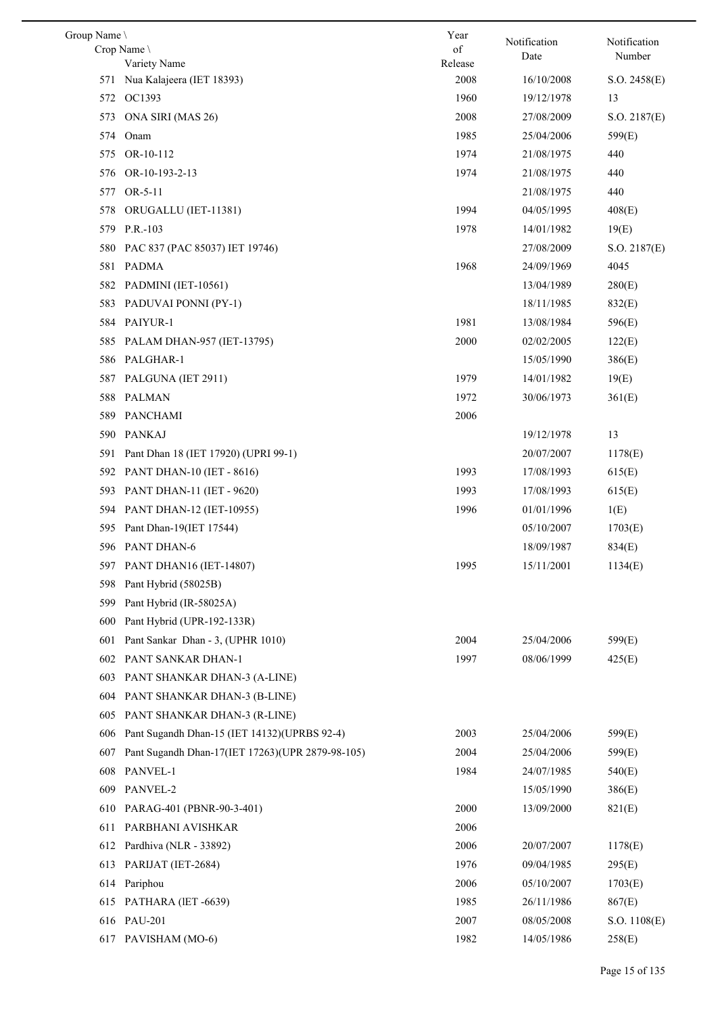| Group Name |                                                  | Year          | Notification | Notification |
|------------|--------------------------------------------------|---------------|--------------|--------------|
|            | Crop Name<br>Variety Name                        | of<br>Release | Date         | Number       |
|            | 571 Nua Kalajeera (IET 18393)                    | 2008          | 16/10/2008   | S.O. 2458(E) |
|            | 572 OC1393                                       | 1960          | 19/12/1978   | 13           |
| 573        | ONA SIRI (MAS 26)                                | 2008          | 27/08/2009   | S.O. 2187(E) |
| 574        | Onam                                             | 1985          | 25/04/2006   | 599(E)       |
| 575        | OR-10-112                                        | 1974          | 21/08/1975   | 440          |
| 576        | OR-10-193-2-13                                   | 1974          | 21/08/1975   | 440          |
|            | 577 OR-5-11                                      |               | 21/08/1975   | 440          |
| 578        | ORUGALLU (IET-11381)                             | 1994          | 04/05/1995   | 408(E)       |
|            | 579 P.R.-103                                     | 1978          | 14/01/1982   | 19(E)        |
| 580        | PAC 837 (PAC 85037) IET 19746)                   |               | 27/08/2009   | S.O. 2187(E) |
|            | 581 PADMA                                        | 1968          | 24/09/1969   | 4045         |
|            | 582 PADMINI (IET-10561)                          |               | 13/04/1989   | 280(E)       |
| 583        | PADUVAI PONNI (PY-1)                             |               | 18/11/1985   | 832(E)       |
|            | 584 PAIYUR-1                                     | 1981          | 13/08/1984   | 596(E)       |
| 585        | PALAM DHAN-957 (IET-13795)                       | 2000          | 02/02/2005   | 122(E)       |
|            | 586 PALGHAR-1                                    |               | 15/05/1990   | 386(E)       |
|            | 587 PALGUNA (IET 2911)                           | 1979          | 14/01/1982   | 19(E)        |
| 588        | PALMAN                                           | 1972          | 30/06/1973   | 361(E)       |
| 589        | PANCHAMI                                         | 2006          |              |              |
|            | 590 PANKAJ                                       |               | 19/12/1978   | 13           |
| 591        | Pant Dhan 18 (IET 17920) (UPRI 99-1)             |               | 20/07/2007   | 1178(E)      |
|            | 592 PANT DHAN-10 (IET - 8616)                    | 1993          | 17/08/1993   | 615(E)       |
|            | 593 PANT DHAN-11 (IET - 9620)                    | 1993          | 17/08/1993   | 615(E)       |
|            | 594 PANT DHAN-12 (IET-10955)                     | 1996          | 01/01/1996   | 1(E)         |
|            | 595 Pant Dhan-19(IET 17544)                      |               | 05/10/2007   | 1703(E)      |
|            | 596 PANT DHAN-6                                  |               | 18/09/1987   | 834(E)       |
|            | 597 PANT DHAN16 (IET-14807)                      | 1995          | 15/11/2001   | 1134(E)      |
| 598        | Pant Hybrid (58025B)                             |               |              |              |
| 599        | Pant Hybrid (IR-58025A)                          |               |              |              |
| 600        | Pant Hybrid (UPR-192-133R)                       |               |              |              |
| 601        | Pant Sankar Dhan - 3, (UPHR 1010)                | 2004          | 25/04/2006   | 599(E)       |
| 602        | PANT SANKAR DHAN-1                               | 1997          | 08/06/1999   | 425(E)       |
| 603        | PANT SHANKAR DHAN-3 (A-LINE)                     |               |              |              |
| 604        | PANT SHANKAR DHAN-3 (B-LINE)                     |               |              |              |
| 605        | PANT SHANKAR DHAN-3 (R-LINE)                     |               |              |              |
| 606        | Pant Sugandh Dhan-15 (IET 14132)(UPRBS 92-4)     | 2003          | 25/04/2006   | 599(E)       |
| 607        | Pant Sugandh Dhan-17(IET 17263)(UPR 2879-98-105) | 2004          | 25/04/2006   | 599(E)       |
| 608        | PANVEL-1                                         | 1984          | 24/07/1985   | 540(E)       |
| 609        | PANVEL-2                                         |               | 15/05/1990   | 386(E)       |
| 610        | PARAG-401 (PBNR-90-3-401)                        | 2000          | 13/09/2000   | 821(E)       |
| 611        | PARBHANI AVISHKAR                                | 2006          |              |              |
| 612        | Pardhiva (NLR - 33892)                           | 2006          | 20/07/2007   | 1178(E)      |
| 613        | PARIJAT (IET-2684)                               | 1976          | 09/04/1985   | 295(E)       |
| 614        | Pariphou                                         | 2006          | 05/10/2007   | 1703(E)      |
| 615        | PATHARA (IET -6639)                              | 1985          | 26/11/1986   | 867(E)       |
| 616        | <b>PAU-201</b>                                   | 2007          | 08/05/2008   | S.O. 1108(E) |
| 617        | PAVISHAM (MO-6)                                  | 1982          | 14/05/1986   | 258(E)       |
|            |                                                  |               |              |              |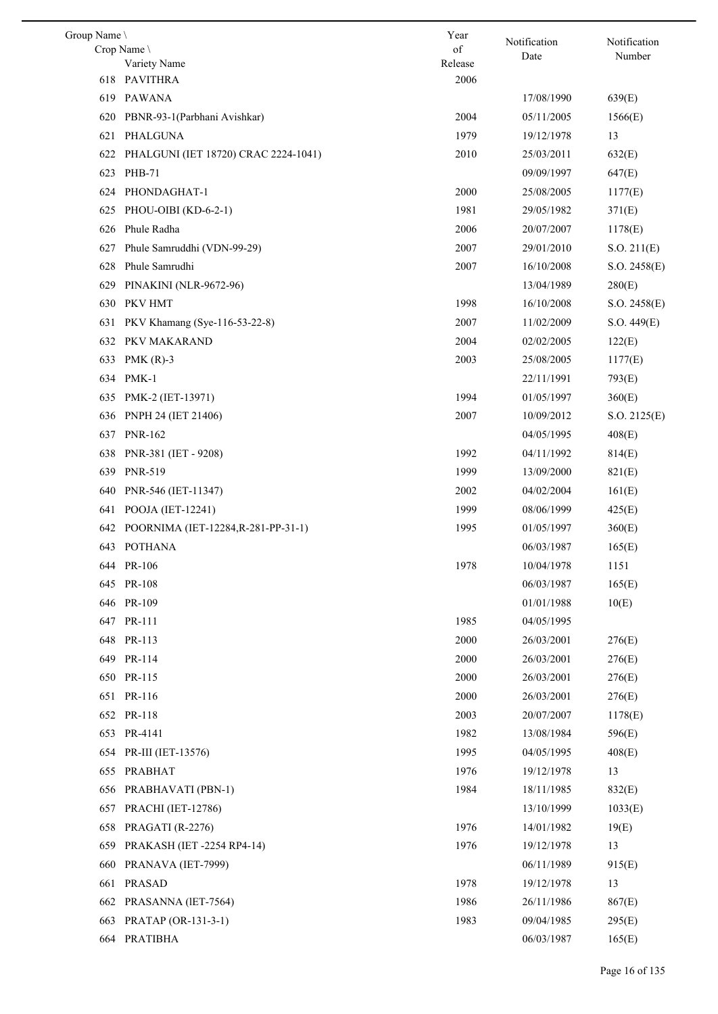| Group Name |                                         | Year            | Notification | Notification |
|------------|-----------------------------------------|-----------------|--------------|--------------|
|            | Crop Name                               | of              | Date         | Number       |
|            | Variety Name<br>618 PAVITHRA            | Release<br>2006 |              |              |
|            |                                         |                 |              |              |
| 619        | PAWANA                                  |                 | 17/08/1990   | 639(E)       |
| 620        | PBNR-93-1(Parbhani Avishkar)            | 2004            | 05/11/2005   | 1566(E)      |
| 621        | PHALGUNA                                | 1979            | 19/12/1978   | 13           |
| 622        | PHALGUNI (IET 18720) CRAC 2224-1041)    | 2010            | 25/03/2011   | 632(E)       |
|            | 623 PHB-71                              |                 | 09/09/1997   | 647(E)       |
| 624        | PHONDAGHAT-1                            | 2000            | 25/08/2005   | 1177(E)      |
| 625        | PHOU-OIBI (KD-6-2-1)                    | 1981            | 29/05/1982   | 371(E)       |
| 626        | Phule Radha                             | 2006            | 20/07/2007   | 1178(E)      |
| 627        | Phule Samruddhi (VDN-99-29)             | 2007            | 29/01/2010   | S.O. 211(E)  |
| 628        | Phule Samrudhi                          | 2007            | 16/10/2008   | S.O. 2458(E) |
| 629        | PINAKINI (NLR-9672-96)                  |                 | 13/04/1989   | 280(E)       |
|            | 630 PKV HMT                             | 1998            | 16/10/2008   | S.O. 2458(E) |
| 631        | PKV Khamang (Sye-116-53-22-8)           | 2007            | 11/02/2009   | S.O. 449(E)  |
| 632        | PKV MAKARAND                            | 2004            | 02/02/2005   | 122(E)       |
| 633        | PMK $(R)-3$                             | 2003            | 25/08/2005   | 1177(E)      |
|            | 634 PMK-1                               |                 | 22/11/1991   | 793(E)       |
|            | 635 PMK-2 (IET-13971)                   | 1994            | 01/05/1997   | 360(E)       |
| 636        | PNPH 24 (IET 21406)                     | 2007            | 10/09/2012   | S.O. 2125(E) |
| 637        | <b>PNR-162</b>                          |                 | 04/05/1995   | 408(E)       |
| 638        | PNR-381 (IET - 9208)                    | 1992            | 04/11/1992   | 814(E)       |
| 639        | <b>PNR-519</b>                          | 1999            | 13/09/2000   | 821(E)       |
| 640        | PNR-546 (IET-11347)                     | 2002            | 04/02/2004   | 161(E)       |
| 641        | POOJA (IET-12241)                       | 1999            | 08/06/1999   | 425(E)       |
|            | 642 POORNIMA (IET-12284, R-281-PP-31-1) | 1995            | 01/05/1997   | 360(E)       |
|            | 643 POTHANA                             |                 | 06/03/1987   | 165(E)       |
|            | 644 PR-106                              | 1978            | 10/04/1978   | 1151         |
|            | 645 PR-108                              |                 | 06/03/1987   | 165(E)       |
|            | 646 PR-109                              |                 | 01/01/1988   | 10(E)        |
|            | 647 PR-111                              | 1985            | 04/05/1995   |              |
|            | 648 PR-113                              | 2000            | 26/03/2001   | 276(E)       |
|            | 649 PR-114                              | 2000            | 26/03/2001   | 276(E)       |
|            | 650 PR-115                              | 2000            | 26/03/2001   | 276(E)       |
|            | 651 PR-116                              | 2000            | 26/03/2001   | 276(E)       |
|            | 652 PR-118                              | 2003            | 20/07/2007   | 1178(E)      |
|            | 653 PR-4141                             | 1982            | 13/08/1984   | 596(E)       |
|            |                                         | 1995            | 04/05/1995   |              |
|            | 654 PR-III (IET-13576)                  |                 |              | 408(E)       |
| 655        | PRABHAT                                 | 1976            | 19/12/1978   | 13           |
| 656        | PRABHAVATI (PBN-1)                      | 1984            | 18/11/1985   | 832(E)       |
| 657        | <b>PRACHI</b> (IET-12786)               |                 | 13/10/1999   | 1033(E)      |
| 658        | PRAGATI (R-2276)                        | 1976            | 14/01/1982   | 19(E)        |
| 659        | PRAKASH (IET -2254 RP4-14)              | 1976            | 19/12/1978   | 13           |
| 660        | PRANAVA (IET-7999)                      |                 | 06/11/1989   | 915(E)       |
| 661        | <b>PRASAD</b>                           | 1978            | 19/12/1978   | 13           |
| 662        | PRASANNA (IET-7564)                     | 1986            | 26/11/1986   | 867(E)       |
| 663        | PRATAP (OR-131-3-1)                     | 1983            | 09/04/1985   | 295(E)       |
|            | 664 PRATIBHA                            |                 | 06/03/1987   | 165(E)       |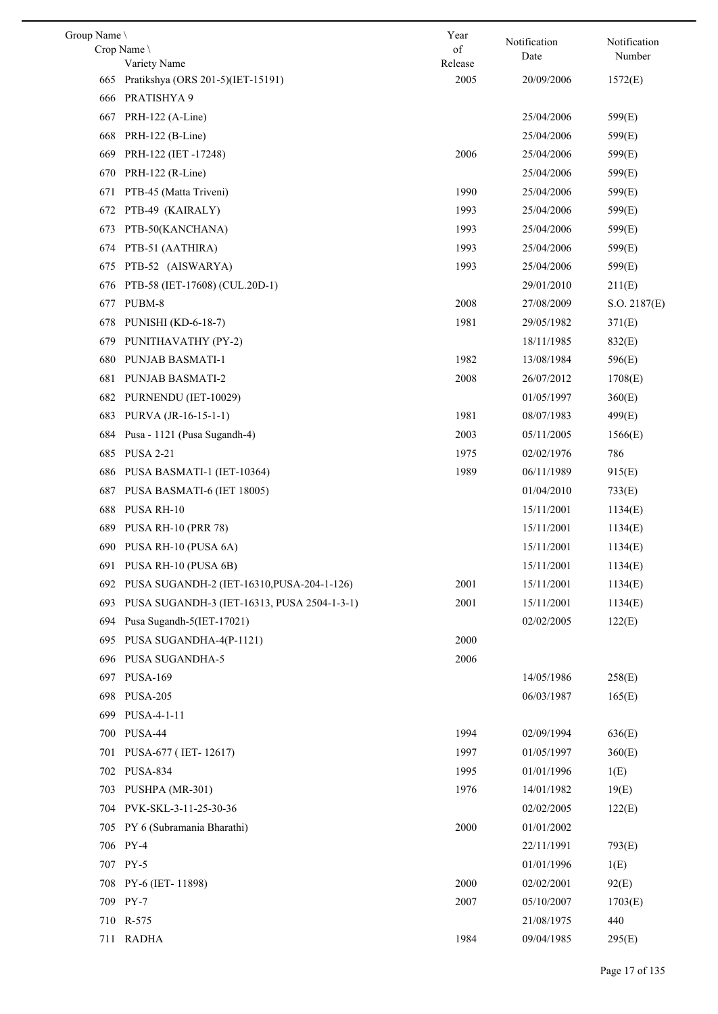| Group Name |                                                | Year    | Notification | Notification |
|------------|------------------------------------------------|---------|--------------|--------------|
|            | Crop Name                                      | of      | Date         | Number       |
|            | Variety Name                                   | Release |              |              |
|            | 665 Pratikshya (ORS 201-5)(IET-15191)          | 2005    | 20/09/2006   | 1572(E)      |
|            | 666 PRATISHYA 9                                |         |              |              |
| 667        | PRH-122 (A-Line)                               |         | 25/04/2006   | 599(E)       |
| 668        | PRH-122 (B-Line)                               |         | 25/04/2006   | 599(E)       |
| 669        | PRH-122 (IET-17248)                            | 2006    | 25/04/2006   | 599(E)       |
| 670        | PRH-122 (R-Line)                               |         | 25/04/2006   | 599(E)       |
| 671        | PTB-45 (Matta Triveni)                         | 1990    | 25/04/2006   | 599(E)       |
| 672        | PTB-49 (KAIRALY)                               | 1993    | 25/04/2006   | 599(E)       |
| 673        | PTB-50(KANCHANA)                               | 1993    | 25/04/2006   | 599(E)       |
|            | 674 PTB-51 (AATHIRA)                           | 1993    | 25/04/2006   | 599(E)       |
| 675        | PTB-52 (AISWARYA)                              | 1993    | 25/04/2006   | 599(E)       |
| 676        | PTB-58 (IET-17608) (CUL.20D-1)                 |         | 29/01/2010   | 211(E)       |
| 677        | PUBM-8                                         | 2008    | 27/08/2009   | S.O. 2187(E) |
| 678        | <b>PUNISHI (KD-6-18-7)</b>                     | 1981    | 29/05/1982   | 371(E)       |
| 679        | PUNITHAVATHY (PY-2)                            |         | 18/11/1985   | 832(E)       |
| 680        | PUNJAB BASMATI-1                               | 1982    | 13/08/1984   | 596(E)       |
| 681        | PUNJAB BASMATI-2                               | 2008    | 26/07/2012   | 1708(E)      |
| 682        | PURNENDU (IET-10029)                           |         | 01/05/1997   | 360(E)       |
| 683        | PURVA (JR-16-15-1-1)                           | 1981    | 08/07/1983   | 499(E)       |
| 684        | Pusa - 1121 (Pusa Sugandh-4)                   | 2003    | 05/11/2005   | 1566(E)      |
|            | 685 PUSA 2-21                                  | 1975    | 02/02/1976   | 786          |
| 686        | PUSA BASMATI-1 (IET-10364)                     | 1989    | 06/11/1989   | 915(E)       |
| 687        | PUSA BASMATI-6 (IET 18005)                     |         | 01/04/2010   | 733(E)       |
| 688        | PUSA RH-10                                     |         | 15/11/2001   | 1134(E)      |
| 689        | <b>PUSA RH-10 (PRR 78)</b>                     |         | 15/11/2001   | 1134(E)      |
|            | 690 PUSA RH-10 (PUSA 6A)                       |         | 15/11/2001   | 1134(E)      |
|            | 691 PUSA RH-10 (PUSA 6B)                       |         | 15/11/2001   | 1134(E)      |
|            | 692 PUSA SUGANDH-2 (IET-16310, PUSA-204-1-126) | 2001    | 15/11/2001   | 1134(E)      |
| 693        | PUSA SUGANDH-3 (IET-16313, PUSA 2504-1-3-1)    | 2001    | 15/11/2001   | 1134(E)      |
| 694        | Pusa Sugandh-5(IET-17021)                      |         | 02/02/2005   | 122(E)       |
| 695        | PUSA SUGANDHA-4(P-1121)                        | 2000    |              |              |
|            | 696 PUSA SUGANDHA-5                            | 2006    |              |              |
|            | 697 PUSA-169                                   |         | 14/05/1986   | 258(E)       |
| 698        | <b>PUSA-205</b>                                |         | 06/03/1987   | 165(E)       |
| 699        | PUSA-4-1-11                                    |         |              |              |
|            | 700 PUSA-44                                    | 1994    | 02/09/1994   | 636(E)       |
| 701        | PUSA-677 (IET-12617)                           | 1997    | 01/05/1997   | 360(E)       |
|            | 702 PUSA-834                                   | 1995    | 01/01/1996   | 1(E)         |
| 703        | PUSHPA (MR-301)                                | 1976    | 14/01/1982   |              |
|            | 704 PVK-SKL-3-11-25-30-36                      |         |              | 19(E)        |
|            |                                                |         | 02/02/2005   | 122(E)       |
| 705        | PY 6 (Subramania Bharathi)                     | 2000    | 01/01/2002   |              |
|            | 706 PY-4                                       |         | 22/11/1991   | 793(E)       |
|            | 707 PY-5                                       |         | 01/01/1996   | 1(E)         |
|            | 708 PY-6 (IET-11898)                           | 2000    | 02/02/2001   | 92(E)        |
|            | 709 PY-7                                       | 2007    | 05/10/2007   | 1703(E)      |
|            | 710 R-575                                      |         | 21/08/1975   | 440          |
|            | 711 RADHA                                      | 1984    | 09/04/1985   | 295(E)       |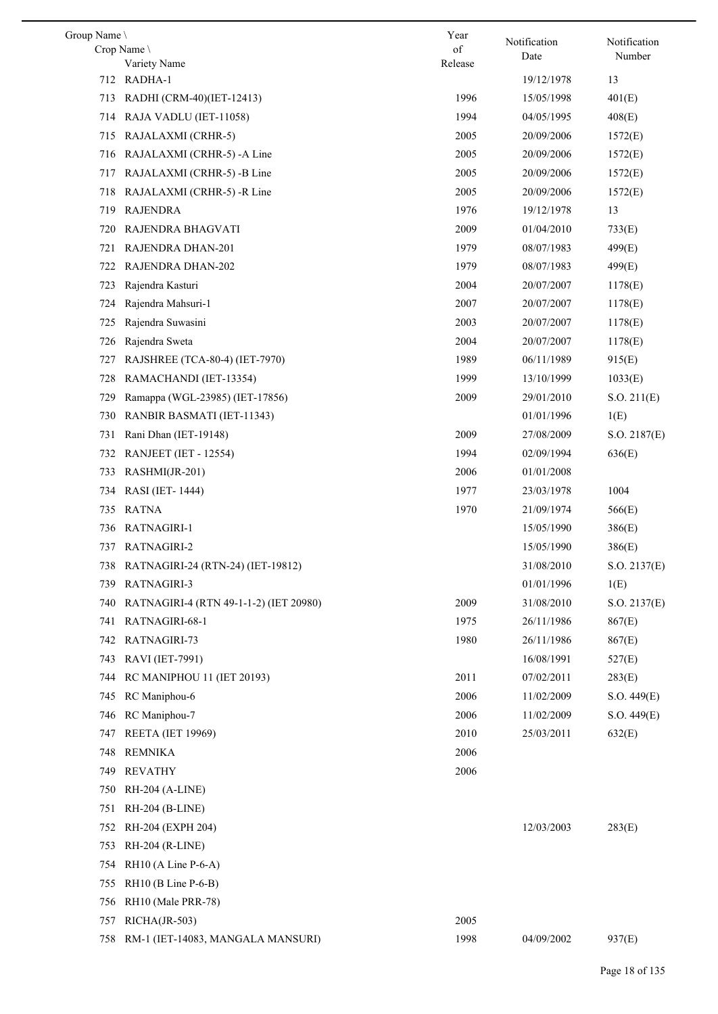| Group Name |                                        | Year    | Notification | Notification |
|------------|----------------------------------------|---------|--------------|--------------|
|            | Crop Name                              | of      | Date         | Number       |
|            | Variety Name<br>712 RADHA-1            | Release | 19/12/1978   | 13           |
| 713        | RADHI (CRM-40)(IET-12413)              | 1996    | 15/05/1998   | 401(E)       |
| 714        | RAJA VADLU (IET-11058)                 | 1994    | 04/05/1995   | 408(E)       |
| 715        |                                        | 2005    | 20/09/2006   |              |
|            | RAJALAXMI (CRHR-5)                     |         |              | 1572(E)      |
| 716        | RAJALAXMI (CRHR-5) -A Line             | 2005    | 20/09/2006   | 1572(E)      |
| 717        | RAJALAXMI (CRHR-5) -B Line             | 2005    | 20/09/2006   | 1572(E)      |
| 718        | RAJALAXMI (CRHR-5) -R Line             | 2005    | 20/09/2006   | 1572(E)      |
| 719        | <b>RAJENDRA</b>                        | 1976    | 19/12/1978   | 13           |
| 720        | RAJENDRA BHAGVATI                      | 2009    | 01/04/2010   | 733(E)       |
| 721        | RAJENDRA DHAN-201                      | 1979    | 08/07/1983   | 499(E)       |
| 722        | <b>RAJENDRA DHAN-202</b>               | 1979    | 08/07/1983   | 499(E)       |
| 723        | Rajendra Kasturi                       | 2004    | 20/07/2007   | 1178(E)      |
| 724        | Rajendra Mahsuri-1                     | 2007    | 20/07/2007   | 1178(E)      |
| 725        | Rajendra Suwasini                      | 2003    | 20/07/2007   | 1178(E)      |
| 726        | Rajendra Sweta                         | 2004    | 20/07/2007   | 1178(E)      |
| 727        | RAJSHREE (TCA-80-4) (IET-7970)         | 1989    | 06/11/1989   | 915(E)       |
| 728        | RAMACHANDI (IET-13354)                 | 1999    | 13/10/1999   | 1033(E)      |
| 729        | Ramappa (WGL-23985) (IET-17856)        | 2009    | 29/01/2010   | S.O. 211(E)  |
| 730        | RANBIR BASMATI (IET-11343)             |         | 01/01/1996   | 1(E)         |
| 731        | Rani Dhan (IET-19148)                  | 2009    | 27/08/2009   | S.O. 2187(E) |
| 732        | <b>RANJEET</b> (IET - 12554)           | 1994    | 02/09/1994   | 636(E)       |
| 733        | RASHMI(JR-201)                         | 2006    | 01/01/2008   |              |
| 734        | RASI (IET-1444)                        | 1977    | 23/03/1978   | 1004         |
| 735        | <b>RATNA</b>                           | 1970    | 21/09/1974   | 566(E)       |
| 736        | RATNAGIRI-1                            |         | 15/05/1990   | 386(E)       |
| 737        | RATNAGIRI-2                            |         | 15/05/1990   | 386(E)       |
|            | 738 RATNAGIRI-24 (RTN-24) (IET-19812)  |         | 31/08/2010   | S.O. 2137(E) |
|            | 739 RATNAGIRI-3                        |         | 01/01/1996   | 1(E)         |
| 740        | RATNAGIRI-4 (RTN 49-1-1-2) (IET 20980) | 2009    | 31/08/2010   | S.O. 2137(E) |
| 741        | RATNAGIRI-68-1                         | 1975    | 26/11/1986   | 867(E)       |
| 742        | RATNAGIRI-73                           | 1980    | 26/11/1986   | 867(E)       |
| 743        | RAVI (IET-7991)                        |         | 16/08/1991   | 527(E)       |
| 744        | <b>RC MANIPHOU 11 (IET 20193)</b>      | 2011    | 07/02/2011   | 283(E)       |
| 745        | RC Maniphou-6                          | 2006    | 11/02/2009   | S.O. 449(E)  |
| 746        | RC Maniphou-7                          | 2006    | 11/02/2009   | S.O. 449(E)  |
| 747        | <b>REETA</b> (IET 19969)               | 2010    | 25/03/2011   | 632(E)       |
| 748        | <b>REMNIKA</b>                         | 2006    |              |              |
| 749        | <b>REVATHY</b>                         | 2006    |              |              |
| 750        | RH-204 (A-LINE)                        |         |              |              |
| 751        | RH-204 (B-LINE)                        |         |              |              |
| 752        | RH-204 (EXPH 204)                      |         | 12/03/2003   | 283(E)       |
| 753        | RH-204 (R-LINE)                        |         |              |              |
|            |                                        |         |              |              |
| 754        | $RH10$ (A Line P-6-A)                  |         |              |              |
| 755        | $RH10$ (B Line P-6-B)                  |         |              |              |
| 756        | RH10 (Male PRR-78)                     |         |              |              |
| 757        | RICHA(JR-503)                          | 2005    |              |              |
|            | 758 RM-1 (IET-14083, MANGALA MANSURI)  | 1998    | 04/09/2002   | 937(E)       |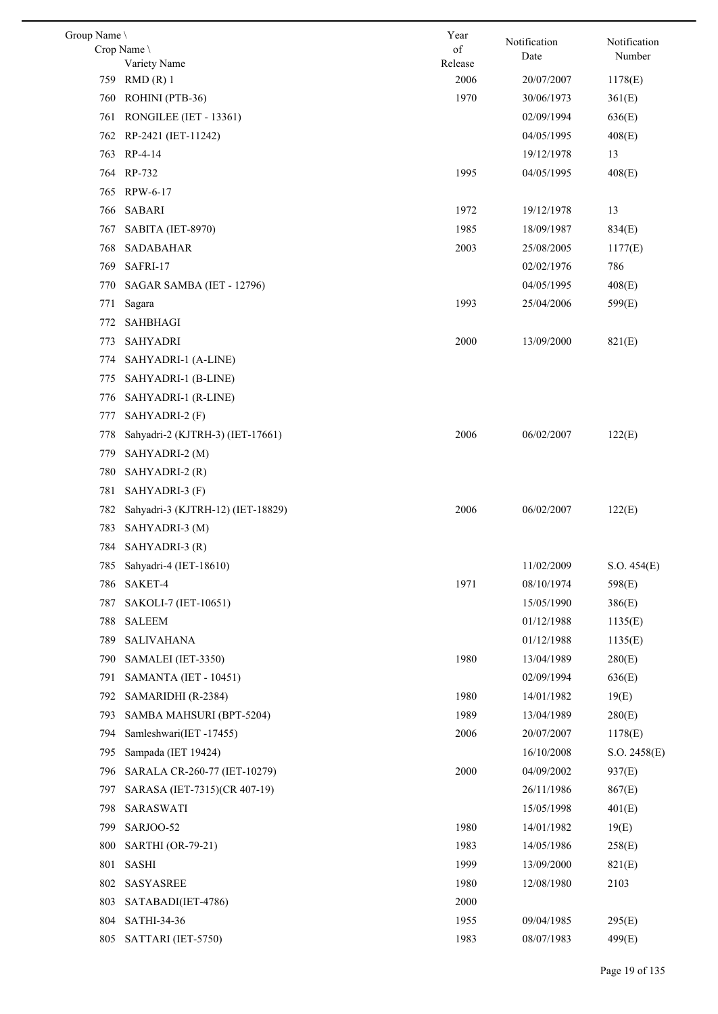| Group Name \ |                                   | Year            | Notification | Notification |
|--------------|-----------------------------------|-----------------|--------------|--------------|
|              | Crop Name                         | of              | Date         | Number       |
|              | Variety Name                      | Release<br>2006 |              |              |
|              | 759 RMD (R) 1                     |                 | 20/07/2007   | 1178(E)      |
| 760          | ROHINI (PTB-36)                   | 1970            | 30/06/1973   | 361(E)       |
|              | 761 RONGILEE (IET - 13361)        |                 | 02/09/1994   | 636(E)       |
|              | 762 RP-2421 (IET-11242)           |                 | 04/05/1995   | 408(E)       |
|              | 763 RP-4-14                       |                 | 19/12/1978   | 13           |
|              | 764 RP-732                        | 1995            | 04/05/1995   | 408(E)       |
|              | 765 RPW-6-17                      |                 |              |              |
| 766          | SABARI                            | 1972            | 19/12/1978   | 13           |
| 767          | SABITA (IET-8970)                 | 1985            | 18/09/1987   | 834(E)       |
| 768          | SADABAHAR                         | 2003            | 25/08/2005   | 1177(E)      |
| 769          | SAFRI-17                          |                 | 02/02/1976   | 786          |
| 770          | SAGAR SAMBA (IET - 12796)         |                 | 04/05/1995   | 408(E)       |
| 771          | Sagara                            | 1993            | 25/04/2006   | 599(E)       |
| 772          | <b>SAHBHAGI</b>                   |                 |              |              |
| 773          | <b>SAHYADRI</b>                   | 2000            | 13/09/2000   | 821(E)       |
| 774          | SAHYADRI-1 (A-LINE)               |                 |              |              |
| 775          | SAHYADRI-1 (B-LINE)               |                 |              |              |
| 776          | SAHYADRI-1 (R-LINE)               |                 |              |              |
| 777          | SAHYADRI-2 (F)                    |                 |              |              |
| 778          | Sahyadri-2 (KJTRH-3) (IET-17661)  | 2006            | 06/02/2007   | 122(E)       |
| 779          | SAHYADRI-2 (M)                    |                 |              |              |
| 780          | SAHYADRI-2 (R)                    |                 |              |              |
| 781          | SAHYADRI-3 (F)                    |                 |              |              |
| 782          | Sahyadri-3 (KJTRH-12) (IET-18829) | 2006            | 06/02/2007   | 122(E)       |
| 783          | SAHYADRI-3 (M)                    |                 |              |              |
|              | 784 SAHYADRI-3 (R)                |                 |              |              |
|              | 785 Sahyadri-4 (IET-18610)        |                 | 11/02/2009   | S.O. 454(E)  |
| 786          | SAKET-4                           | 1971            | 08/10/1974   | 598(E)       |
| 787          | SAKOLI-7 (IET-10651)              |                 | 15/05/1990   | 386(E)       |
| 788          | SALEEM                            |                 | 01/12/1988   | 1135(E)      |
| 789          | SALIVAHANA                        |                 | 01/12/1988   | 1135(E)      |
| 790          | SAMALEI (IET-3350)                | 1980            | 13/04/1989   | 280(E)       |
| 791          | SAMANTA (IET - 10451)             |                 | 02/09/1994   | 636(E)       |
| 792          | SAMARIDHI (R-2384)                | 1980            | 14/01/1982   | 19(E)        |
| 793          | SAMBA MAHSURI (BPT-5204)          | 1989            | 13/04/1989   | 280(E)       |
| 794          | Samleshwari(IET -17455)           | 2006            | 20/07/2007   | 1178(E)      |
| 795          | Sampada (IET 19424)               |                 | 16/10/2008   | S.O. 2458(E) |
| 796          | SARALA CR-260-77 (IET-10279)      | 2000            | 04/09/2002   | 937(E)       |
| 797          | SARASA (IET-7315)(CR 407-19)      |                 | 26/11/1986   | 867(E)       |
| 798          | SARASWATI                         |                 | 15/05/1998   | 401(E)       |
| 799          | SARJOO-52                         | 1980            | 14/01/1982   | 19(E)        |
| 800          | SARTHI (OR-79-21)                 | 1983            | 14/05/1986   | 258(E)       |
| 801          | <b>SASHI</b>                      | 1999            | 13/09/2000   | 821(E)       |
| 802          | <b>SASYASREE</b>                  | 1980            | 12/08/1980   | 2103         |
| 803          | SATABADI(IET-4786)                | 2000            |              |              |
| 804          | SATHI-34-36                       | 1955            | 09/04/1985   | 295(E)       |
| 805          | SATTARI (IET-5750)                | 1983            | 08/07/1983   | 499(E)       |
|              |                                   |                 |              |              |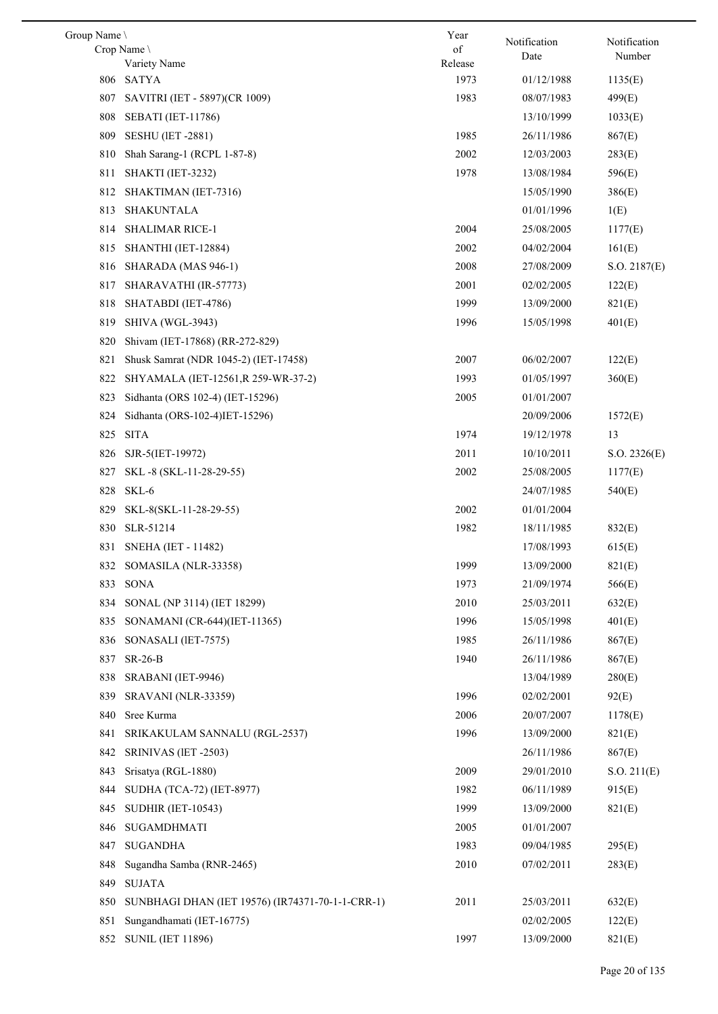| Group Name |                                                  | Year    |                      |                        |
|------------|--------------------------------------------------|---------|----------------------|------------------------|
|            | Crop Name                                        | of      | Notification<br>Date | Notification<br>Number |
|            | Variety Name                                     | Release |                      |                        |
| 806        | SATYA                                            | 1973    | 01/12/1988           | 1135(E)                |
| 807        | SAVITRI (IET - 5897)(CR 1009)                    | 1983    | 08/07/1983           | 499(E)                 |
| 808        | <b>SEBATI</b> (IET-11786)                        |         | 13/10/1999           | 1033(E)                |
| 809        | <b>SESHU</b> (IET -2881)                         | 1985    | 26/11/1986           | 867(E)                 |
| 810        | Shah Sarang-1 (RCPL 1-87-8)                      | 2002    | 12/03/2003           | 283(E)                 |
| 811        | SHAKTI (IET-3232)                                | 1978    | 13/08/1984           | 596(E)                 |
| 812        | SHAKTIMAN (IET-7316)                             |         | 15/05/1990           | 386(E)                 |
| 813        | SHAKUNTALA                                       |         | 01/01/1996           | 1(E)                   |
| 814        | <b>SHALIMAR RICE-1</b>                           | 2004    | 25/08/2005           | 1177(E)                |
| 815        | SHANTHI (IET-12884)                              | 2002    | 04/02/2004           | 161(E)                 |
| 816        | SHARADA (MAS 946-1)                              | 2008    | 27/08/2009           | S.O. 2187(E)           |
| 817        | SHARAVATHI (IR-57773)                            | 2001    | 02/02/2005           | 122(E)                 |
| 818        | SHATABDI (IET-4786)                              | 1999    | 13/09/2000           | 821(E)                 |
| 819        | <b>SHIVA (WGL-3943)</b>                          | 1996    | 15/05/1998           | 401(E)                 |
| 820        | Shivam (IET-17868) (RR-272-829)                  |         |                      |                        |
| 821        | Shusk Samrat (NDR 1045-2) (IET-17458)            | 2007    | 06/02/2007           | 122(E)                 |
| 822        | SHYAMALA (IET-12561, R 259-WR-37-2)              | 1993    | 01/05/1997           | 360(E)                 |
| 823        | Sidhanta (ORS 102-4) (IET-15296)                 | 2005    | 01/01/2007           |                        |
| 824        | Sidhanta (ORS-102-4)IET-15296)                   |         | 20/09/2006           | 1572(E)                |
| 825        | <b>SITA</b>                                      | 1974    | 19/12/1978           | 13                     |
| 826        | SJR-5(IET-19972)                                 | 2011    | 10/10/2011           | S.O. 2326(E)           |
| 827        | SKL-8 (SKL-11-28-29-55)                          | 2002    | 25/08/2005           | 1177(E)                |
| 828        | SKL-6                                            |         | 24/07/1985           | 540(E)                 |
| 829        | SKL-8(SKL-11-28-29-55)                           | 2002    | 01/01/2004           |                        |
| 830        | SLR-51214                                        | 1982    | 18/11/1985           | 832(E)                 |
| 831        | SNEHA (IET - 11482)                              |         | 17/08/1993           | 615(E)                 |
|            | 832 SOMASILA (NLR-33358)                         | 1999    | 13/09/2000           | 821(E)                 |
|            | 833 SONA                                         | 1973    | 21/09/1974           | 566(E)                 |
| 834        | SONAL (NP 3114) (IET 18299)                      | 2010    | 25/03/2011           | 632(E)                 |
| 835        | SONAMANI (CR-644)(IET-11365)                     | 1996    | 15/05/1998           | 401(E)                 |
| 836        | SONASALI (IET-7575)                              | 1985    | 26/11/1986           | 867(E)                 |
| 837        | $SR-26-B$                                        | 1940    | 26/11/1986           | 867(E)                 |
|            |                                                  |         |                      |                        |
| 838        | SRABANI (IET-9946)                               |         | 13/04/1989           | 280(E)                 |
| 839        | <b>SRAVANI</b> (NLR-33359)                       | 1996    | 02/02/2001           | 92(E)                  |
| 840        | Sree Kurma                                       | 2006    | 20/07/2007           | 1178(E)                |
| 841        | SRIKAKULAM SANNALU (RGL-2537)                    | 1996    | 13/09/2000           | 821(E)                 |
| 842        | SRINIVAS (IET-2503)                              |         | 26/11/1986           | 867(E)                 |
| 843        | Srisatya (RGL-1880)                              | 2009    | 29/01/2010           | S.O. 211(E)            |
| 844        | SUDHA (TCA-72) (IET-8977)                        | 1982    | 06/11/1989           | 915(E)                 |
| 845        | <b>SUDHIR (IET-10543)</b>                        | 1999    | 13/09/2000           | 821(E)                 |
| 846        | SUGAMDHMATI                                      | 2005    | 01/01/2007           |                        |
| 847        | <b>SUGANDHA</b>                                  | 1983    | 09/04/1985           | 295(E)                 |
| 848        | Sugandha Samba (RNR-2465)                        | 2010    | 07/02/2011           | 283(E)                 |
| 849        | <b>SUJATA</b>                                    |         |                      |                        |
| 850        | SUNBHAGI DHAN (IET 19576) (IR74371-70-1-1-CRR-1) | 2011    | 25/03/2011           | 632(E)                 |
| 851        | Sungandhamati (IET-16775)                        |         | 02/02/2005           | 122(E)                 |
| 852        | <b>SUNIL (IET 11896)</b>                         | 1997    | 13/09/2000           | 821(E)                 |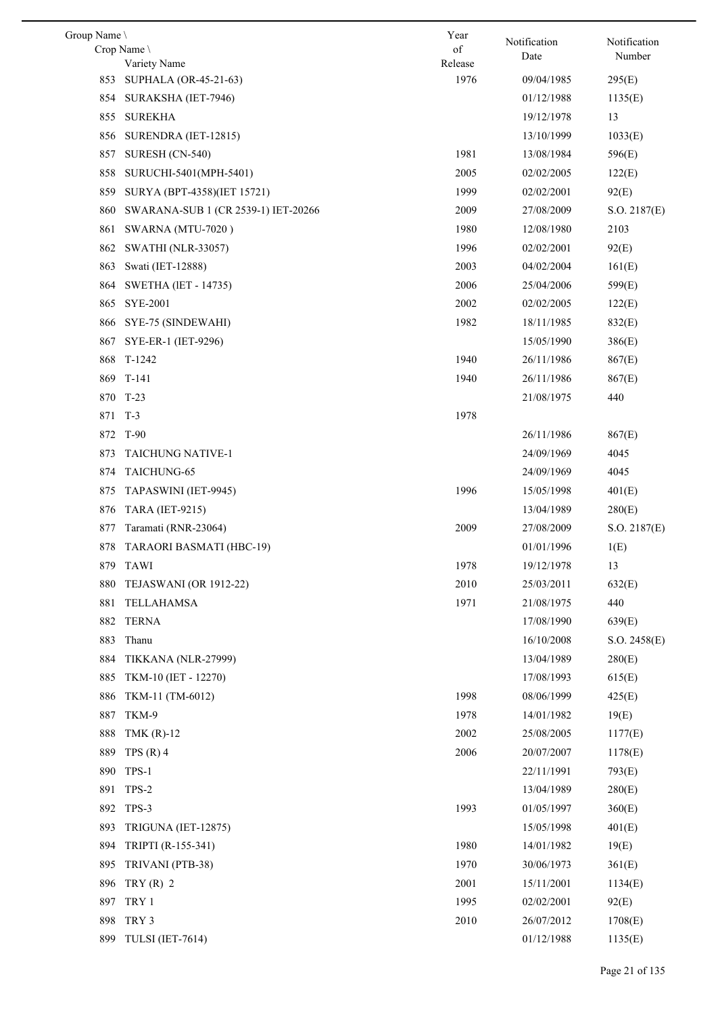| Group Name |                                       | Year            | Notification | Notification  |
|------------|---------------------------------------|-----------------|--------------|---------------|
|            | Crop Name \                           | of              | Date         | Number        |
|            | Variety Name<br>SUPHALA (OR-45-21-63) | Release<br>1976 | 09/04/1985   | 295(E)        |
| 853<br>854 |                                       |                 | 01/12/1988   |               |
|            | SURAKSHA (IET-7946)                   |                 |              | 1135(E)<br>13 |
| 855        | <b>SUREKHA</b>                        |                 | 19/12/1978   |               |
|            | 856 SURENDRA (IET-12815)              |                 | 13/10/1999   | 1033(E)       |
| 857        | SURESH (CN-540)                       | 1981            | 13/08/1984   | 596(E)        |
| 858        | SURUCHI-5401(MPH-5401)                | 2005            | 02/02/2005   | 122(E)        |
| 859        | SURYA (BPT-4358)(IET 15721)           | 1999            | 02/02/2001   | 92(E)         |
| 860        | SWARANA-SUB 1 (CR 2539-1) IET-20266   | 2009            | 27/08/2009   | S.O. 2187(E)  |
| 861        | SWARNA (MTU-7020)                     | 1980            | 12/08/1980   | 2103          |
| 862        | <b>SWATHI (NLR-33057)</b>             | 1996            | 02/02/2001   | 92(E)         |
| 863        | Swati (IET-12888)                     | 2003            | 04/02/2004   | 161(E)        |
| 864        | <b>SWETHA (IET - 14735)</b>           | 2006            | 25/04/2006   | 599(E)        |
| 865        | <b>SYE-2001</b>                       | 2002            | 02/02/2005   | 122(E)        |
| 866        | SYE-75 (SINDEWAHI)                    | 1982            | 18/11/1985   | 832(E)        |
| 867        | SYE-ER-1 (IET-9296)                   |                 | 15/05/1990   | 386(E)        |
|            | 868 T-1242                            | 1940            | 26/11/1986   | 867(E)        |
| 869        | $T-141$                               | 1940            | 26/11/1986   | 867(E)        |
|            | 870 T-23                              |                 | 21/08/1975   | 440           |
| 871        | $T-3$                                 | 1978            |              |               |
| 872        | $T-90$                                |                 | 26/11/1986   | 867(E)        |
| 873        | <b>TAICHUNG NATIVE-1</b>              |                 | 24/09/1969   | 4045          |
| 874        | TAICHUNG-65                           |                 | 24/09/1969   | 4045          |
| 875        | TAPASWINI (IET-9945)                  | 1996            | 15/05/1998   | 401(E)        |
| 876        | <b>TARA (IET-9215)</b>                |                 | 13/04/1989   | 280(E)        |
| 877        | Taramati (RNR-23064)                  | 2009            | 27/08/2009   | S.O. 2187(E)  |
| 878        | TARAORI BASMATI (HBC-19)              |                 | 01/01/1996   | 1(E)          |
|            | 879 TAWI                              | 1978            | 19/12/1978   | 13            |
| 880        | TEJASWANI (OR 1912-22)                | 2010            | 25/03/2011   | 632(E)        |
| 881        | TELLAHAMSA                            | 1971            | 21/08/1975   | 440           |
| 882        | <b>TERNA</b>                          |                 | 17/08/1990   | 639(E)        |
| 883        | Thanu                                 |                 | 16/10/2008   | S.O. 2458(E)  |
| 884        | TIKKANA (NLR-27999)                   |                 | 13/04/1989   | 280(E)        |
| 885        | TKM-10 (IET - 12270)                  |                 | 17/08/1993   | 615(E)        |
| 886        | TKM-11 (TM-6012)                      | 1998            | 08/06/1999   | 425(E)        |
| 887        | TKM-9                                 | 1978            | 14/01/1982   | 19(E)         |
| 888        | TMK $(R)-12$                          | 2002            | 25/08/2005   | 1177(E)       |
| 889        | TPS $(R)$ 4                           | 2006            | 20/07/2007   | 1178(E)       |
| 890        | TPS-1                                 |                 | 22/11/1991   | 793(E)        |
| 891        | TPS-2                                 |                 | 13/04/1989   | 280(E)        |
|            | 892 TPS-3                             | 1993            | 01/05/1997   | 360(E)        |
| 893        | TRIGUNA (IET-12875)                   |                 | 15/05/1998   | 401(E)        |
| 894        | TRIPTI (R-155-341)                    | 1980            | 14/01/1982   | 19(E)         |
| 895        | TRIVANI (PTB-38)                      | 1970            | 30/06/1973   | 361(E)        |
| 896        | TRY $(R)$ 2                           | 2001            | 15/11/2001   | 1134(E)       |
| 897        | TRY 1                                 | 1995            | 02/02/2001   | 92(E)         |
| 898        | TRY 3                                 | 2010            | 26/07/2012   | 1708(E)       |
|            | 899 TULSI (IET-7614)                  |                 | 01/12/1988   | 1135(E)       |
|            |                                       |                 |              |               |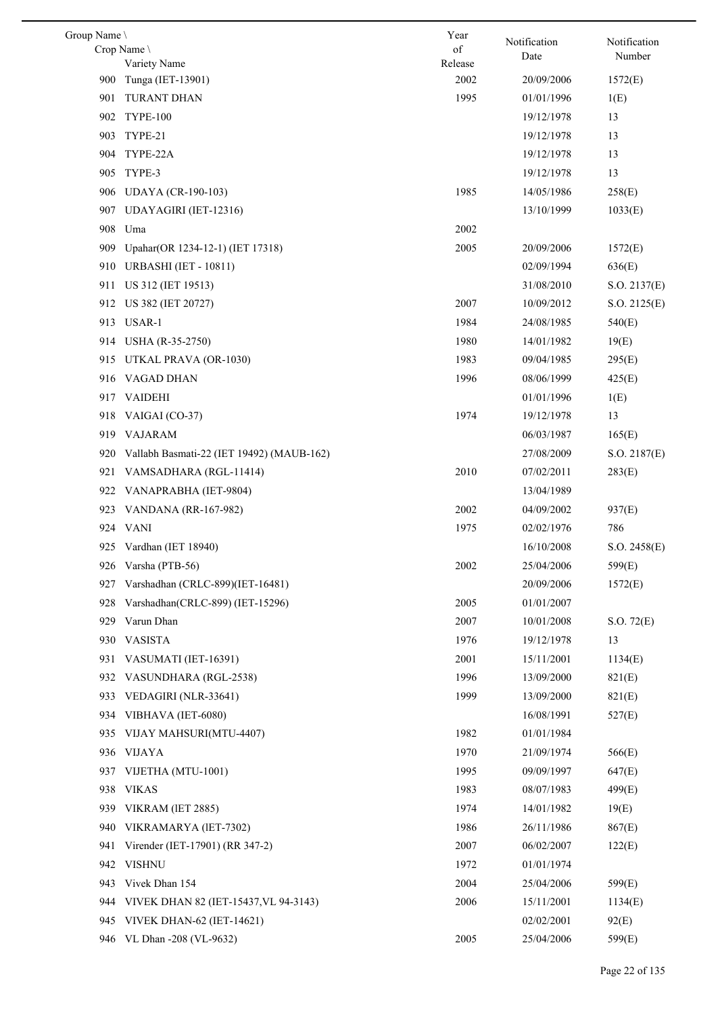| Group Name \ |                                           | Year            | Notification | Notification |
|--------------|-------------------------------------------|-----------------|--------------|--------------|
|              | Crop Name                                 | of              | Date         | Number       |
|              | Variety Name                              | Release<br>2002 |              |              |
| 900          | Tunga (IET-13901)                         |                 | 20/09/2006   | 1572(E)      |
| 901          | TURANT DHAN                               | 1995            | 01/01/1996   | 1(E)         |
| 902          | <b>TYPE-100</b>                           |                 | 19/12/1978   | 13           |
| 903          | TYPE-21                                   |                 | 19/12/1978   | 13           |
| 904          | TYPE-22A                                  |                 | 19/12/1978   | 13           |
| 905          | TYPE-3                                    |                 | 19/12/1978   | 13           |
| 906          | <b>UDAYA</b> (CR-190-103)                 | 1985            | 14/05/1986   | 258(E)       |
| 907          | UDAYAGIRI (IET-12316)                     |                 | 13/10/1999   | 1033(E)      |
| 908          | Uma                                       | 2002            |              |              |
| 909          | Upahar(OR 1234-12-1) (IET 17318)          | 2005            | 20/09/2006   | 1572(E)      |
| 910          | <b>URBASHI</b> (IET - 10811)              |                 | 02/09/1994   | 636(E)       |
| 911          | US 312 (IET 19513)                        |                 | 31/08/2010   | S.O. 2137(E) |
| 912          | US 382 (IET 20727)                        | 2007            | 10/09/2012   | S.O. 2125(E) |
|              | 913 USAR-1                                | 1984            | 24/08/1985   | 540(E)       |
| 914          | USHA (R-35-2750)                          | 1980            | 14/01/1982   | 19(E)        |
| 915          | UTKAL PRAVA (OR-1030)                     | 1983            | 09/04/1985   | 295(E)       |
|              | 916 VAGAD DHAN                            | 1996            | 08/06/1999   | 425(E)       |
|              | 917 VAIDEHI                               |                 | 01/01/1996   | 1(E)         |
| 918          | VAIGAI (CO-37)                            | 1974            | 19/12/1978   | 13           |
|              | 919 VAJARAM                               |                 | 06/03/1987   | 165(E)       |
| 920          | Vallabh Basmati-22 (IET 19492) (MAUB-162) |                 | 27/08/2009   | S.O. 2187(E) |
| 921          | VAMSADHARA (RGL-11414)                    | 2010            | 07/02/2011   | 283(E)       |
| 922          | VANAPRABHA (IET-9804)                     |                 | 13/04/1989   |              |
| 923          | <b>VANDANA</b> (RR-167-982)               | 2002            | 04/09/2002   | 937(E)       |
|              | 924 VANI                                  | 1975            | 02/02/1976   | 786          |
|              | 925 Vardhan (IET 18940)                   |                 | 16/10/2008   | S.O. 2458(E) |
|              | 926 Varsha (PTB-56)                       | 2002            | 25/04/2006   | 599(E)       |
| 927          | Varshadhan (CRLC-899)(IET-16481)          |                 | 20/09/2006   | 1572(E)      |
| 928          | Varshadhan(CRLC-899) (IET-15296)          | 2005            | 01/01/2007   |              |
| 929          | Varun Dhan                                | 2007            | 10/01/2008   | S.O. 72(E)   |
| 930          | <b>VASISTA</b>                            | 1976            | 19/12/1978   | 13           |
| 931          | VASUMATI (IET-16391)                      | 2001            | 15/11/2001   | 1134(E)      |
| 932          | VASUNDHARA (RGL-2538)                     | 1996            | 13/09/2000   | 821(E)       |
| 933          | VEDAGIRI (NLR-33641)                      | 1999            | 13/09/2000   | 821(E)       |
| 934          | VIBHAVA (IET-6080)                        |                 | 16/08/1991   | 527(E)       |
| 935          | VIJAY MAHSURI(MTU-4407)                   | 1982            | 01/01/1984   |              |
|              |                                           | 1970            |              |              |
| 936          | <b>VIJAYA</b>                             |                 | 21/09/1974   | 566(E)       |
| 937          | VIJETHA (MTU-1001)                        | 1995            | 09/09/1997   | 647(E)       |
| 938          | <b>VIKAS</b>                              | 1983            | 08/07/1983   | 499(E)       |
| 939          | VIKRAM (IET 2885)                         | 1974            | 14/01/1982   | 19(E)        |
| 940          | VIKRAMARYA (IET-7302)                     | 1986            | 26/11/1986   | 867(E)       |
| 941          | Virender (IET-17901) (RR 347-2)           | 2007            | 06/02/2007   | 122(E)       |
| 942          | <b>VISHNU</b>                             | 1972            | 01/01/1974   |              |
| 943          | Vivek Dhan 154                            | 2004            | 25/04/2006   | 599(E)       |
| 944          | VIVEK DHAN 82 (IET-15437, VL 94-3143)     | 2006            | 15/11/2001   | 1134(E)      |
| 945          | <b>VIVEK DHAN-62 (IET-14621)</b>          |                 | 02/02/2001   | 92(E)        |
|              | 946 VL Dhan -208 (VL-9632)                | 2005            | 25/04/2006   | 599(E)       |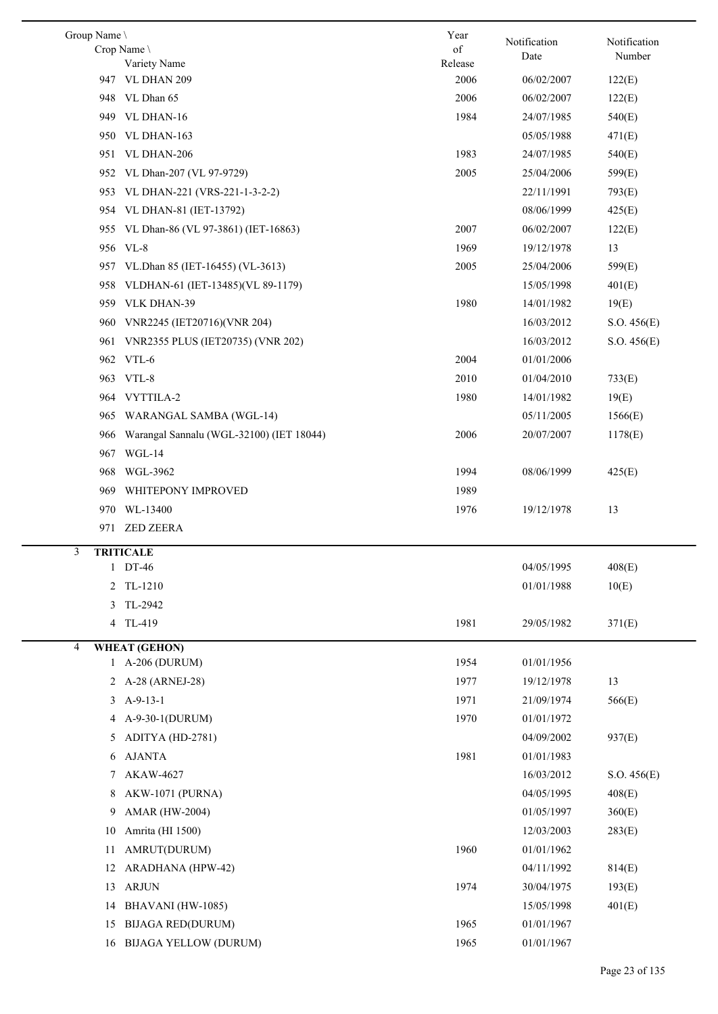| Group Name        | Crop Name<br>Variety Name                | Year<br>of<br>Release | Notification<br>Date | Notification<br>Number |
|-------------------|------------------------------------------|-----------------------|----------------------|------------------------|
| 947               | VL DHAN 209                              | 2006                  | 06/02/2007           | 122(E)                 |
| 948               | VL Dhan 65                               | 2006                  | 06/02/2007           | 122(E)                 |
| 949               | VL DHAN-16                               | 1984                  | 24/07/1985           | 540(E)                 |
|                   | 950 VL DHAN-163                          |                       | 05/05/1988           | 471(E)                 |
| 951               | VL DHAN-206                              | 1983                  | 24/07/1985           | 540(E)                 |
| 952               | VL Dhan-207 (VL 97-9729)                 | 2005                  | 25/04/2006           | 599(E)                 |
| 953               | VL DHAN-221 (VRS-221-1-3-2-2)            |                       | 22/11/1991           | 793(E)                 |
| 954               | VL DHAN-81 (IET-13792)                   |                       | 08/06/1999           | 425(E)                 |
| 955.              | VL Dhan-86 (VL 97-3861) (IET-16863)      | 2007                  | 06/02/2007           | 122(E)                 |
| 956               | $VL-8$                                   | 1969                  | 19/12/1978           | 13                     |
| 957.              | VL.Dhan 85 (IET-16455) (VL-3613)         | 2005                  | 25/04/2006           | 599(E)                 |
| 958               | VLDHAN-61 (IET-13485)(VL 89-1179)        |                       | 15/05/1998           | 401(E)                 |
| 959               | VLK DHAN-39                              | 1980                  | 14/01/1982           | 19(E)                  |
| 960               | VNR2245 (IET20716)(VNR 204)              |                       | 16/03/2012           | S.O. 456(E)            |
| 961               | VNR2355 PLUS (IET20735) (VNR 202)        |                       | 16/03/2012           | S.O. 456(E)            |
| 962               | VTL-6                                    | 2004                  | 01/01/2006           |                        |
|                   | 963 VTL-8                                | 2010                  | 01/04/2010           | 733(E)                 |
| 964               | VYTTILA-2                                | 1980                  | 14/01/1982           | 19(E)                  |
| 965               | WARANGAL SAMBA (WGL-14)                  |                       | 05/11/2005           | 1566(E)                |
|                   |                                          |                       |                      |                        |
| 966               | Warangal Sannalu (WGL-32100) (IET 18044) | 2006                  | 20/07/2007           | 1178(E)                |
| 967               | WGL-14                                   |                       |                      |                        |
| 968               | WGL-3962                                 | 1994                  | 08/06/1999           | 425(E)                 |
| 969               | WHITEPONY IMPROVED                       | 1989                  |                      |                        |
| 970               | WL-13400                                 | 1976                  | 19/12/1978           | 13                     |
| 971               | <b>ZED ZEERA</b>                         |                       |                      |                        |
| 3<br>$\mathbf{1}$ | <b>TRITICALE</b><br>DT-46                |                       | 04/05/1995           | 408(E)                 |
| 2                 | TL-1210                                  |                       | 01/01/1988           | 10(E)                  |
| 3                 | TL-2942                                  |                       |                      |                        |
| 4                 | TL-419                                   | 1981                  | 29/05/1982           | 371(E)                 |
|                   |                                          |                       |                      |                        |
| 4                 | <b>WHEAT (GEHON)</b>                     |                       |                      |                        |
|                   | 1 A-206 (DURUM)                          | 1954                  | 01/01/1956           |                        |
| 2                 | A-28 (ARNEJ-28)                          | 1977                  | 19/12/1978           | 13                     |
| 3                 | $A-9-13-1$                               | 1971                  | 21/09/1974           | 566(E)                 |
| 4                 | A-9-30-1(DURUM)                          | 1970                  | 01/01/1972           |                        |
| 5                 | ADITYA (HD-2781)                         |                       | 04/09/2002           | 937(E)                 |
| 6                 | <b>AJANTA</b>                            | 1981                  | 01/01/1983           |                        |
| 7                 | AKAW-4627                                |                       | 16/03/2012           | S.O. 456(E)            |
| 8                 | AKW-1071 (PURNA)                         |                       | 04/05/1995           | 408(E)                 |
| 9                 | <b>AMAR (HW-2004)</b>                    |                       | 01/05/1997           | 360(E)                 |
| 10                | Amrita (HI 1500)                         |                       | 12/03/2003           | 283(E)                 |
| 11                | AMRUT(DURUM)                             | 1960                  | 01/01/1962           |                        |
| 12                | ARADHANA (HPW-42)                        |                       | 04/11/1992           | 814(E)                 |
| 13                | <b>ARJUN</b>                             | 1974                  | 30/04/1975           | 193(E)                 |
| 14                | BHAVANI (HW-1085)                        |                       | 15/05/1998           | 401(E)                 |
| 15                | <b>BIJAGA RED(DURUM)</b>                 | 1965                  | 01/01/1967           |                        |
| 16                | <b>BIJAGA YELLOW (DURUM)</b>             | 1965                  | 01/01/1967           |                        |

L,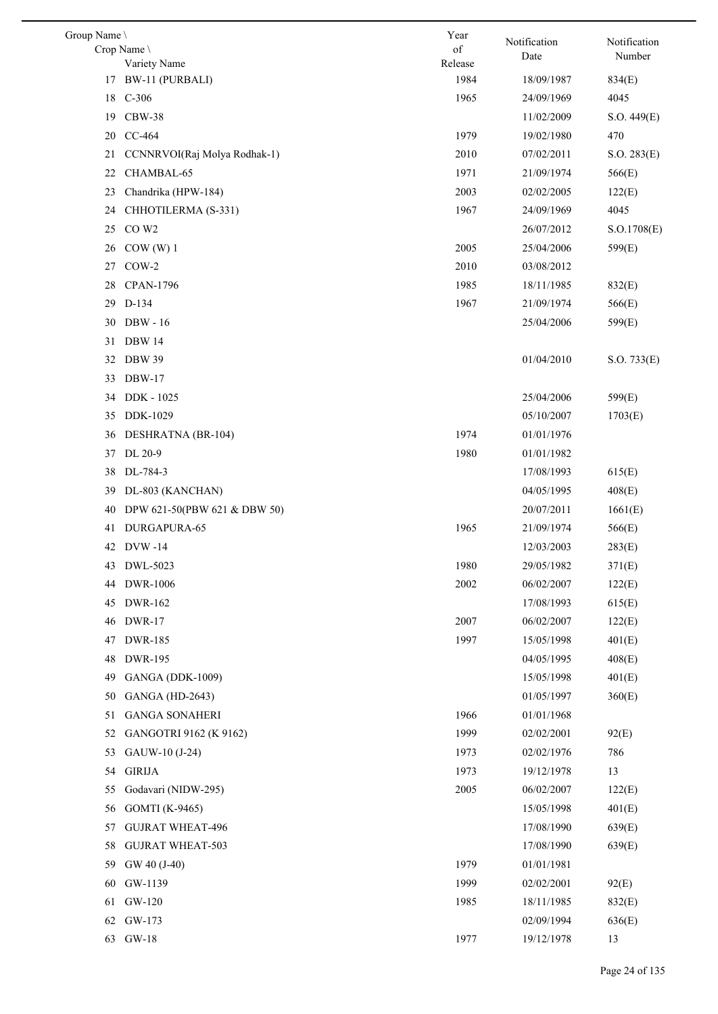| Group Name \ |                              | Year          | Notification | Notification |
|--------------|------------------------------|---------------|--------------|--------------|
|              | Crop Name<br>Variety Name    | of<br>Release | Date         | Number       |
|              | 17 BW-11 (PURBALI)           | 1984          | 18/09/1987   | 834(E)       |
| 18           | $C-306$                      | 1965          | 24/09/1969   | 4045         |
| 19           | $CBW-38$                     |               | 11/02/2009   | S.O. 449(E)  |
|              | 20 CC-464                    | 1979          | 19/02/1980   | 470          |
| 21           | CCNNRVOI(Raj Molya Rodhak-1) | 2010          | 07/02/2011   | S.O. 283(E)  |
| 22           | CHAMBAL-65                   | 1971          | 21/09/1974   | 566(E)       |
| 23           | Chandrika (HPW-184)          | 2003          | 02/02/2005   | 122(E)       |
| 24           | CHHOTILERMA (S-331)          | 1967          | 24/09/1969   | 4045         |
| 25           | CO W <sub>2</sub>            |               | 26/07/2012   | S.O.1708(E)  |
| 26           | COW(W)1                      | 2005          | 25/04/2006   | 599(E)       |
| 27           | $COW-2$                      | 2010          | 03/08/2012   |              |
| 28           | <b>CPAN-1796</b>             | 1985          | 18/11/1985   | 832(E)       |
|              | 29 D-134                     | 1967          | 21/09/1974   | 566(E)       |
| 30           | <b>DBW</b> - 16              |               | 25/04/2006   | 599(E)       |
| 31           | <b>DBW 14</b>                |               |              |              |
| 32           | <b>DBW 39</b>                |               | 01/04/2010   | S.O. 733(E)  |
| 33           | <b>DBW-17</b>                |               |              |              |
| 34           | DDK - 1025                   |               | 25/04/2006   | 599(E)       |
| 35           | DDK-1029                     |               | 05/10/2007   | 1703(E)      |
| 36           | DESHRATNA (BR-104)           | 1974          | 01/01/1976   |              |
|              | 37 DL 20-9                   | 1980          | 01/01/1982   |              |
| 38           | DL-784-3                     |               | 17/08/1993   | 615(E)       |
| 39           | DL-803 (KANCHAN)             |               | 04/05/1995   | 408(E)       |
| 40           | DPW 621-50(PBW 621 & DBW 50) |               | 20/07/2011   | 1661(E)      |
| 41           | DURGAPURA-65                 | 1965          | 21/09/1974   | 566(E)       |
| 42           | <b>DVW-14</b>                |               | 12/03/2003   | 283(E)       |
|              | 43 DWL-5023                  | 1980          | 29/05/1982   | 371(E)       |
| 44           | <b>DWR-1006</b>              | 2002          | 06/02/2007   | 122(E)       |
| 45           | DWR-162                      |               | 17/08/1993   | 615(E)       |
| 46           | DWR-17                       | 2007          | 06/02/2007   | 122(E)       |
| 47           | <b>DWR-185</b>               | 1997          | 15/05/1998   | 401(E)       |
| 48           | <b>DWR-195</b>               |               | 04/05/1995   | 408(E)       |
| 49           | <b>GANGA (DDK-1009)</b>      |               | 15/05/1998   | 401(E)       |
| 50           | <b>GANGA</b> (HD-2643)       |               | 01/05/1997   | 360(E)       |
| 51           | <b>GANGA SONAHERI</b>        | 1966          | 01/01/1968   |              |
| 52           | GANGOTRI 9162 (K 9162)       | 1999          | 02/02/2001   | 92(E)        |
| 53           | GAUW-10 (J-24)               | 1973          | 02/02/1976   | 786          |
| 54           | <b>GIRIJA</b>                | 1973          | 19/12/1978   | 13           |
| 55           | Godavari (NIDW-295)          | 2005          | 06/02/2007   | 122(E)       |
| 56           | GOMTI (K-9465)               |               | 15/05/1998   | 401(E)       |
| 57           | <b>GUJRAT WHEAT-496</b>      |               | 17/08/1990   | 639(E)       |
| 58           | <b>GUJRAT WHEAT-503</b>      |               | 17/08/1990   | 639(E)       |
| 59           | GW 40 (J-40)                 | 1979          | 01/01/1981   |              |
| 60           | GW-1139                      | 1999          | 02/02/2001   | 92(E)        |
| 61           | GW-120                       | 1985          | 18/11/1985   | 832(E)       |
| 62           | GW-173                       |               | 02/09/1994   | 636(E)       |
|              | 63 GW-18                     | 1977          | 19/12/1978   | 13           |
|              |                              |               |              |              |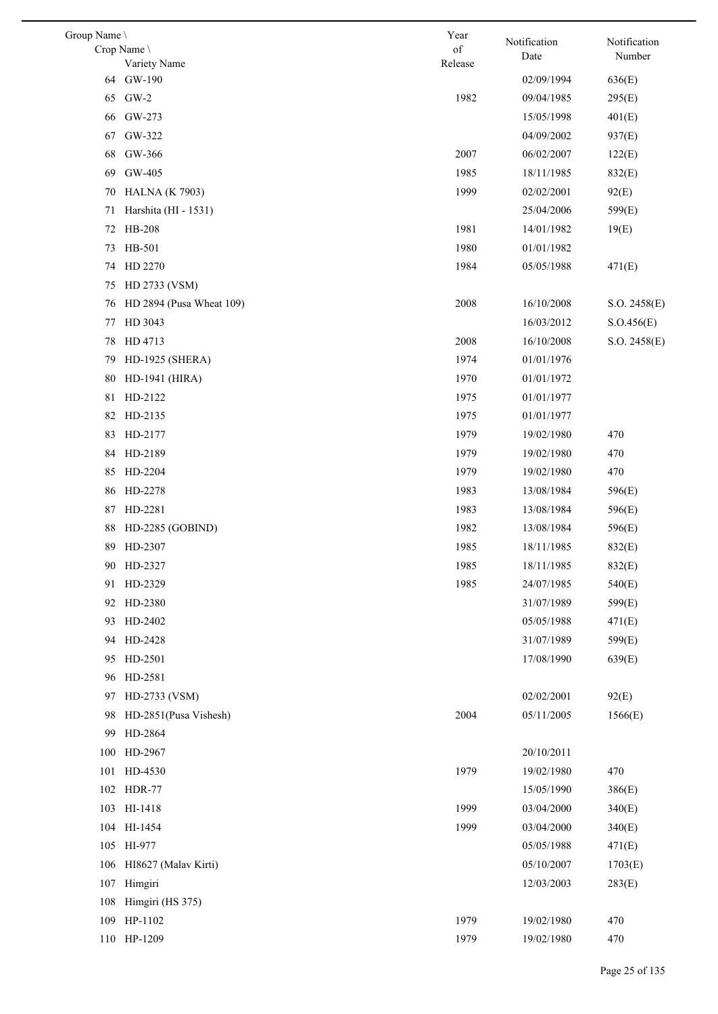| Group Name |                           | Year          | Notification             | Notification |
|------------|---------------------------|---------------|--------------------------|--------------|
|            | Crop Name<br>Variety Name | of<br>Release | Date                     | Number       |
| 64         | GW-190                    |               | 02/09/1994               | 636(E)       |
| 65         | $GW-2$                    | 1982          | 09/04/1985               | 295(E)       |
| 66         | GW-273                    |               | 15/05/1998               | 401(E)       |
| 67         | GW-322                    |               | 04/09/2002               | 937(E)       |
| 68         | GW-366                    | 2007          | 06/02/2007               | 122(E)       |
| 69         | GW-405                    | 1985          | 18/11/1985               | 832(E)       |
| 70         | <b>HALNA</b> (K 7903)     | 1999          | 02/02/2001               | 92(E)        |
| 71         | Harshita (HI - 1531)      |               | 25/04/2006               | 599(E)       |
| 72         | HB-208                    | 1981          | 14/01/1982               | 19(E)        |
| 73         | HB-501                    | 1980          | 01/01/1982               |              |
| 74         | HD 2270                   | 1984          | 05/05/1988               | 471(E)       |
| 75         | HD 2733 (VSM)             |               |                          |              |
| 76         | HD 2894 (Pusa Wheat 109)  | 2008          | 16/10/2008               | S.O. 2458(E) |
| 77         | HD 3043                   |               | 16/03/2012               | S.O.456(E)   |
| 78         | HD 4713                   | 2008          | 16/10/2008               | S.O. 2458(E) |
| 79         | HD-1925 (SHERA)           | 1974          | 01/01/1976               |              |
| 80         | HD-1941 (HIRA)            | 1970          | 01/01/1972               |              |
| 81         | HD-2122                   | 1975          | 01/01/1977               |              |
| 82         | HD-2135                   | 1975          | 01/01/1977               |              |
| 83         | HD-2177                   | 1979          | 19/02/1980               | 470          |
| 84         | HD-2189                   | 1979          | 19/02/1980               | 470          |
| 85         | HD-2204                   | 1979          | 19/02/1980               | 470          |
| 86         | HD-2278                   | 1983          | 13/08/1984               | 596(E)       |
| 87         | HD-2281                   | 1983          | 13/08/1984               | 596(E)       |
| 88         | HD-2285 (GOBIND)          | 1982          | 13/08/1984               | 596(E)       |
| 89         | HD-2307                   | 1985          | 18/11/1985               | 832(E)       |
|            | 90 HD-2327                | 1985          | 18/11/1985               | 832(E)       |
| 91         | HD-2329                   | 1985          | 24/07/1985               | 540(E)       |
|            | 92 HD-2380                |               | 31/07/1989               | 599(E)       |
| 93         | HD-2402                   |               | 05/05/1988               | 471(E)       |
| 94         | HD-2428                   |               | 31/07/1989               | 599(E)       |
| 95         | HD-2501                   |               | 17/08/1990               | 639(E)       |
|            | 96 HD-2581                |               |                          |              |
| 97         | HD-2733 (VSM)             |               | 02/02/2001               | 92(E)        |
| 98         | HD-2851(Pusa Vishesh)     | 2004          | 05/11/2005               | 1566(E)      |
| 99         | HD-2864                   |               |                          |              |
| 100        | HD-2967                   |               | 20/10/2011               |              |
| 101        | HD-4530                   | 1979          | 19/02/1980               | 470          |
| 102        | <b>HDR-77</b>             |               | 15/05/1990               | 386(E)       |
| 103        | HI-1418                   | 1999          | 03/04/2000               | 340(E)       |
| 104        | HI-1454                   | 1999          | 03/04/2000               | 340(E)       |
| 105        | HI-977                    |               | 05/05/1988               | 471(E)       |
| 106        | HI8627 (Malav Kirti)      |               | 05/10/2007               | 1703(E)      |
| 107        | Himgiri                   |               | 12/03/2003               | 283(E)       |
| 108        | Himgiri (HS 375)          |               |                          |              |
| 109        | HP-1102<br>110 HP-1209    | 1979<br>1979  | 19/02/1980<br>19/02/1980 | 470<br>470   |
|            |                           |               |                          |              |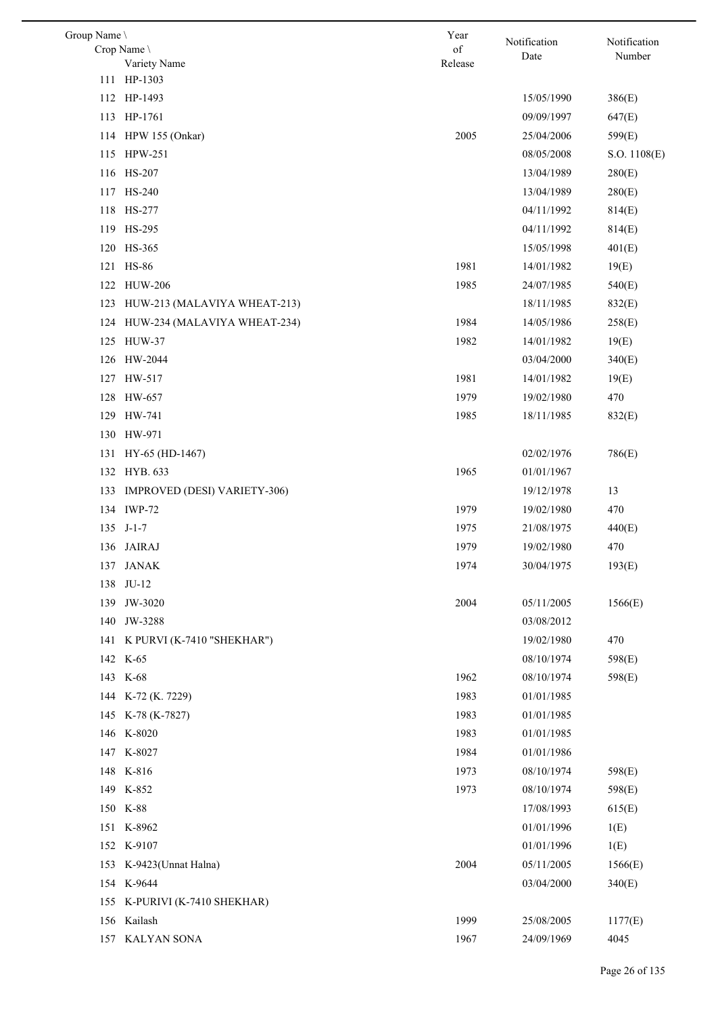| Group Name |                                | Year    | Notification | Notification |
|------------|--------------------------------|---------|--------------|--------------|
|            | Crop Name                      | of      | Date         | Number       |
|            | Variety Name                   | Release |              |              |
|            | 111 HP-1303                    |         |              |              |
|            | 112 HP-1493                    |         | 15/05/1990   | 386(E)       |
|            | 113 HP-1761                    |         | 09/09/1997   | 647(E)       |
|            | 114 HPW 155 (Onkar)            | 2005    | 25/04/2006   | 599(E)       |
| 115        | HPW-251                        |         | 08/05/2008   | S.O. 1108(E) |
|            | 116 HS-207                     |         | 13/04/1989   | 280(E)       |
|            | 117 HS-240                     |         | 13/04/1989   | 280(E)       |
|            | 118 HS-277                     |         | 04/11/1992   | 814(E)       |
|            | 119 HS-295                     |         | 04/11/1992   | 814(E)       |
|            | 120 HS-365                     |         | 15/05/1998   | 401(E)       |
|            | 121 HS-86                      | 1981    | 14/01/1982   | 19(E)        |
| 122        | <b>HUW-206</b>                 | 1985    | 24/07/1985   | 540(E)       |
| 123        | HUW-213 (MALAVIYA WHEAT-213)   |         | 18/11/1985   | 832(E)       |
| 124        | HUW-234 (MALAVIYA WHEAT-234)   | 1984    | 14/05/1986   | 258(E)       |
| 125        | <b>HUW-37</b>                  | 1982    | 14/01/1982   | 19(E)        |
|            | 126 HW-2044                    |         | 03/04/2000   | 340(E)       |
|            | 127 HW-517                     | 1981    | 14/01/1982   | 19(E)        |
| 128        | HW-657                         | 1979    | 19/02/1980   | 470          |
|            | 129 HW-741                     | 1985    | 18/11/1985   | 832(E)       |
| 130        | HW-971                         |         |              |              |
|            | 131 HY-65 (HD-1467)            |         | 02/02/1976   | 786(E)       |
|            | 132 HYB. 633                   | 1965    | 01/01/1967   |              |
| 133        | IMPROVED (DESI) VARIETY-306)   |         | 19/12/1978   | 13           |
|            | 134 IWP-72                     | 1979    | 19/02/1980   | 470          |
|            | 135 J-1-7                      | 1975    | 21/08/1975   | 440(E)       |
|            | 136 JAIRAJ                     | 1979    | 19/02/1980   | 470          |
|            | 137 JANAK                      | 1974    | 30/04/1975   | 193(E)       |
|            | 138 JU-12                      |         |              |              |
|            | 139 JW-3020                    | 2004    | 05/11/2005   | 1566(E)      |
|            | 140 JW-3288                    |         | 03/08/2012   |              |
|            |                                |         | 19/02/1980   |              |
|            | 141 K PURVI (K-7410 "SHEKHAR") |         |              | 470          |
|            | 142 K-65                       |         | 08/10/1974   | 598(E)       |
|            | 143 K-68                       | 1962    | 08/10/1974   | 598(E)       |
|            | 144 K-72 (K. 7229)             | 1983    | 01/01/1985   |              |
|            | 145 K-78 (K-7827)              | 1983    | 01/01/1985   |              |
|            | 146 K-8020                     | 1983    | 01/01/1985   |              |
|            | 147 K-8027                     | 1984    | 01/01/1986   |              |
|            | 148 K-816                      | 1973    | 08/10/1974   | 598(E)       |
|            | 149 K-852                      | 1973    | 08/10/1974   | 598(E)       |
|            | 150 K-88                       |         | 17/08/1993   | 615(E)       |
|            | 151 K-8962                     |         | 01/01/1996   | 1(E)         |
|            | 152 K-9107                     |         | 01/01/1996   | 1(E)         |
|            | 153 K-9423(Unnat Halna)        | 2004    | 05/11/2005   | 1566(E)      |
|            | 154 K-9644                     |         | 03/04/2000   | 340(E)       |
|            | 155 K-PURIVI (K-7410 SHEKHAR)  |         |              |              |
|            | 156 Kailash                    | 1999    | 25/08/2005   | 1177(E)      |
|            | 157 KALYAN SONA                | 1967    | 24/09/1969   | 4045         |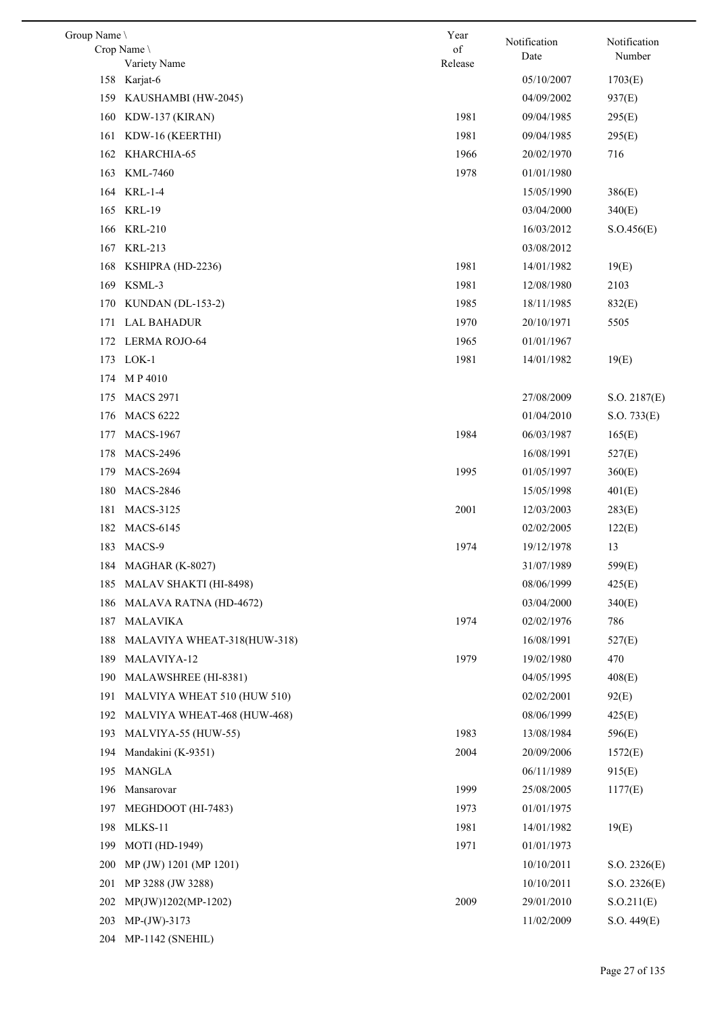| Group Name \ |                               | Year    | Notification | Notification |
|--------------|-------------------------------|---------|--------------|--------------|
|              | Crop Name \                   | of      | Date         | Number       |
|              | Variety Name<br>158 Karjat-6  | Release | 05/10/2007   | 1703(E)      |
|              | 159 KAUSHAMBI (HW-2045)       |         | 04/09/2002   | 937(E)       |
|              |                               | 1981    |              |              |
|              | 160 KDW-137 (KIRAN)           |         | 09/04/1985   | 295(E)       |
|              | 161 KDW-16 (KEERTHI)          | 1981    | 09/04/1985   | 295(E)       |
|              | 162 KHARCHIA-65               | 1966    | 20/02/1970   | 716          |
| 163          | KML-7460                      | 1978    | 01/01/1980   |              |
|              | 164 KRL-1-4                   |         | 15/05/1990   | 386(E)       |
|              | 165 KRL-19                    |         | 03/04/2000   | 340(E)       |
|              | 166 KRL-210                   |         | 16/03/2012   | S. O.456(E)  |
|              | 167 KRL-213                   |         | 03/08/2012   |              |
| 168          | KSHIPRA (HD-2236)             | 1981    | 14/01/1982   | 19(E)        |
|              | 169 KSML-3                    | 1981    | 12/08/1980   | 2103         |
| 170          | KUNDAN (DL-153-2)             | 1985    | 18/11/1985   | 832(E)       |
|              | 171 LAL BAHADUR               | 1970    | 20/10/1971   | 5505         |
|              | 172 LERMA ROJO-64             | 1965    | 01/01/1967   |              |
|              | 173 LOK-1                     | 1981    | 14/01/1982   | 19(E)        |
|              | 174 MP 4010                   |         |              |              |
| 175          | <b>MACS 2971</b>              |         | 27/08/2009   | S.O. 2187(E) |
|              | 176 MACS 6222                 |         | 01/04/2010   | S.O. 733(E)  |
| 177          | <b>MACS-1967</b>              | 1984    | 06/03/1987   | 165(E)       |
|              | 178 MACS-2496                 |         | 16/08/1991   | 527(E)       |
| 179          | <b>MACS-2694</b>              | 1995    | 01/05/1997   | 360(E)       |
| 180          | <b>MACS-2846</b>              |         | 15/05/1998   | 401(E)       |
| 181          | <b>MACS-3125</b>              | 2001    | 12/03/2003   | 283(E)       |
|              | 182 MACS-6145                 |         | 02/02/2005   | 122(E)       |
|              | 183 MACS-9                    | 1974    | 19/12/1978   | 13           |
|              | 184 MAGHAR (K-8027)           |         | 31/07/1989   | 599(E)       |
| 185          | MALAV SHAKTI (HI-8498)        |         | 08/06/1999   | 425(E)       |
| 186          | <b>MALAVA RATNA (HD-4672)</b> |         | 03/04/2000   | 340(E)       |
| 187          | MALAVIKA                      | 1974    | 02/02/1976   | 786          |
| 188          | MALAVIYA WHEAT-318(HUW-318)   |         | 16/08/1991   | 527(E)       |
| 189          | MALAVIYA-12                   | 1979    | 19/02/1980   | 470          |
| 190          | MALAWSHREE (HI-8381)          |         | 04/05/1995   | 408(E)       |
| 191          | MALVIYA WHEAT 510 (HUW 510)   |         | 02/02/2001   | 92(E)        |
| 192          | MALVIYA WHEAT-468 (HUW-468)   |         | 08/06/1999   | 425(E)       |
| 193          | MALVIYA-55 (HUW-55)           | 1983    | 13/08/1984   | 596(E)       |
| 194          | Mandakini (K-9351)            | 2004    | 20/09/2006   | 1572(E)      |
|              | 195 MANGLA                    |         | 06/11/1989   | 915(E)       |
| 196          | Mansarovar                    | 1999    | 25/08/2005   | 1177(E)      |
| 197          | MEGHDOOT (HI-7483)            | 1973    | 01/01/1975   |              |
| 198          | MLKS-11                       | 1981    | 14/01/1982   | 19(E)        |
| 199          | MOTI (HD-1949)                | 1971    | 01/01/1973   |              |
| 200          | MP (JW) 1201 (MP 1201)        |         | 10/10/2011   | S.O. 2326(E) |
| 201          | MP 3288 (JW 3288)             |         | 10/10/2011   | S.O. 2326(E) |
| 202          | MP(JW)1202(MP-1202)           | 2009    | 29/01/2010   | S. O.211(E)  |
| 203          | $MP-(JW)-3173$                |         | 11/02/2009   | S.O. 449(E)  |
| 204          | MP-1142 (SNEHIL)              |         |              |              |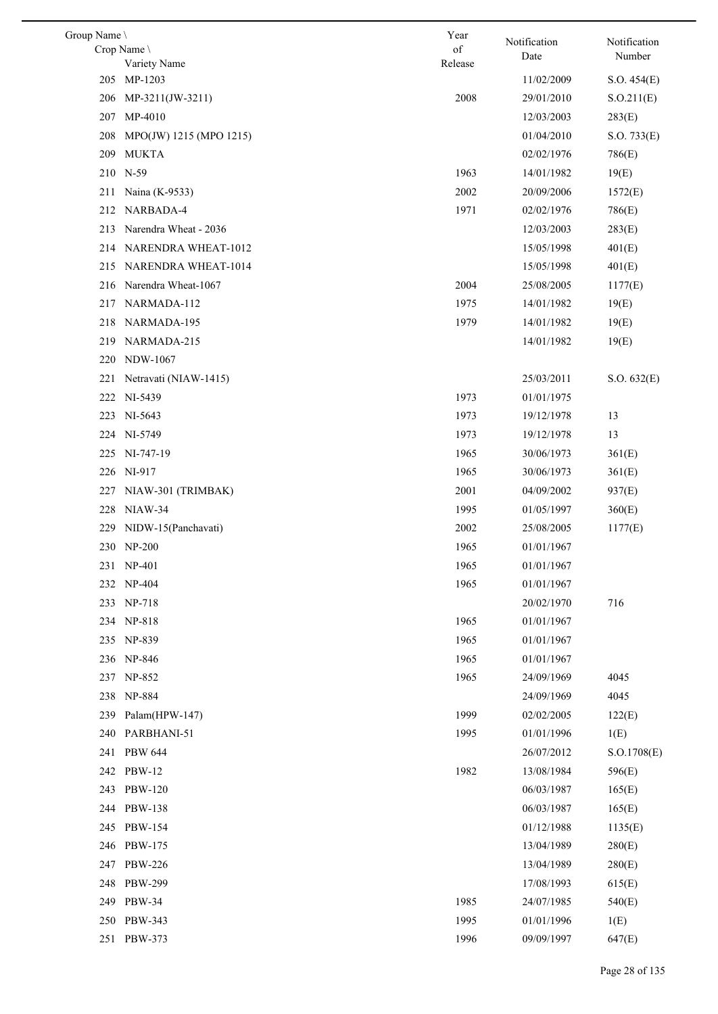| Group Name |                             | Year    | Notification             | Notification |
|------------|-----------------------------|---------|--------------------------|--------------|
|            | Crop Name \                 | of      | Date                     | Number       |
|            | Variety Name<br>205 MP-1203 | Release | 11/02/2009               | S.O. 454(E)  |
| 206        | MP-3211(JW-3211)            | 2008    | 29/01/2010               | S. O.211(E)  |
| 207        | MP-4010                     |         | 12/03/2003               | 283(E)       |
| 208        |                             |         | 01/04/2010               |              |
|            | MPO(JW) 1215 (MPO 1215)     |         | 02/02/1976               | S.O. 733(E)  |
| 209<br>210 | <b>MUKTA</b><br>$N-59$      | 1963    |                          | 786(E)       |
|            |                             | 2002    | 14/01/1982<br>20/09/2006 | 19(E)        |
| 211        | Naina (K-9533)              |         |                          | 1572(E)      |
| 212        | NARBADA-4                   | 1971    | 02/02/1976               | 786(E)       |
| 213        | Narendra Wheat - 2036       |         | 12/03/2003               | 283(E)       |
|            | 214 NARENDRA WHEAT-1012     |         | 15/05/1998               | 401(E)       |
| 215        | <b>NARENDRA WHEAT-1014</b>  |         | 15/05/1998               | 401(E)       |
| 216        | Narendra Wheat-1067         | 2004    | 25/08/2005               | 1177(E)      |
| 217        | NARMADA-112                 | 1975    | 14/01/1982               | 19(E)        |
| 218        | NARMADA-195                 | 1979    | 14/01/1982               | 19(E)        |
| 219        | NARMADA-215                 |         | 14/01/1982               | 19(E)        |
| 220        | NDW-1067                    |         |                          |              |
| 221        | Netravati (NIAW-1415)       |         | 25/03/2011               | S.O. 632(E)  |
| 222        | NI-5439                     | 1973    | 01/01/1975               |              |
| 223        | NI-5643                     | 1973    | 19/12/1978               | 13           |
|            | 224 NI-5749                 | 1973    | 19/12/1978               | 13           |
| 225        | NI-747-19                   | 1965    | 30/06/1973               | 361(E)       |
| 226        | NI-917                      | 1965    | 30/06/1973               | 361(E)       |
| 227        | NIAW-301 (TRIMBAK)          | 2001    | 04/09/2002               | 937(E)       |
| 228        | $NIAW-34$                   | 1995    | 01/05/1997               | 360(E)       |
| 229        | NIDW-15(Panchavati)         | 2002    | 25/08/2005               | 1177(E)      |
|            | 230 NP-200                  | 1965    | 01/01/1967               |              |
|            | 231 NP-401                  | 1965    | 01/01/1967               |              |
|            | 232 NP-404                  | 1965    | 01/01/1967               |              |
|            | 233 NP-718                  |         | 20/02/1970               | 716          |
| 234        | NP-818                      | 1965    | 01/01/1967               |              |
|            | 235 NP-839                  | 1965    | 01/01/1967               |              |
|            | 236 NP-846                  | 1965    | 01/01/1967               |              |
|            | 237 NP-852                  | 1965    | 24/09/1969               | 4045         |
| 238        | NP-884                      |         | 24/09/1969               | 4045         |
| 239        | Palam(HPW-147)              | 1999    | 02/02/2005               | 122(E)       |
| 240        | PARBHANI-51                 | 1995    | 01/01/1996               | 1(E)         |
| 241        | <b>PBW 644</b>              |         | 26/07/2012               | S. O.1708(E) |
|            | 242 PBW-12                  | 1982    | 13/08/1984               | 596(E)       |
| 243        | PBW-120                     |         | 06/03/1987               | 165(E)       |
| 244        | <b>PBW-138</b>              |         | 06/03/1987               | 165(E)       |
| 245        | PBW-154                     |         | 01/12/1988               | 1135(E)      |
| 246        | PBW-175                     |         | 13/04/1989               | 280(E)       |
| 247        | <b>PBW-226</b>              |         | 13/04/1989               | 280(E)       |
| 248        | <b>PBW-299</b>              |         | 17/08/1993               | 615(E)       |
| 249        | PBW-34                      | 1985    | 24/07/1985               | 540(E)       |
| 250        | PBW-343                     | 1995    | 01/01/1996               | 1(E)         |
| 251        | PBW-373                     | 1996    | 09/09/1997               | 647(E)       |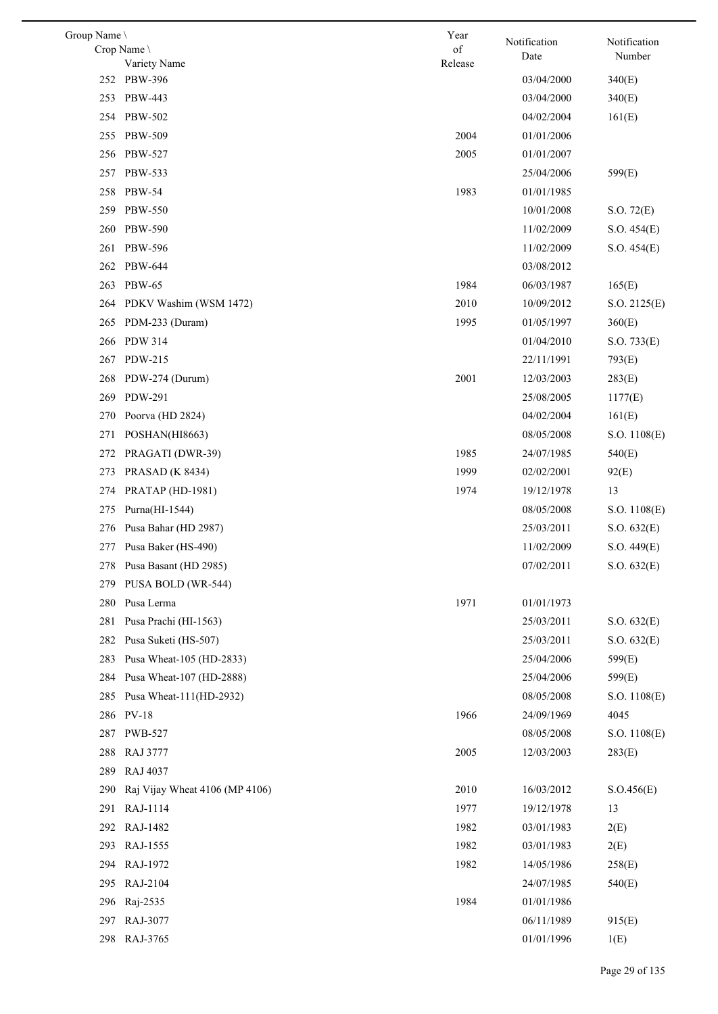| Group Name |                                | Year       | Notification | Notification |
|------------|--------------------------------|------------|--------------|--------------|
|            | Crop Name                      | $\sigma f$ | Date         | Number       |
|            | Variety Name<br>252 PBW-396    | Release    | 03/04/2000   | 340(E)       |
| 253        | PBW-443                        |            | 03/04/2000   | 340(E)       |
| 254        | PBW-502                        |            | 04/02/2004   | 161(E)       |
|            | 255 PBW-509                    | 2004       | 01/01/2006   |              |
| 256        | PBW-527                        | 2005       | 01/01/2007   |              |
| 257        | PBW-533                        |            | 25/04/2006   | 599(E)       |
|            | 258 PBW-54                     | 1983       | 01/01/1985   |              |
| 259        | <b>PBW-550</b>                 |            | 10/01/2008   | S.O. 72(E)   |
| 260        | <b>PBW-590</b>                 |            | 11/02/2009   | S.O. 454(E)  |
| 261        | <b>PBW-596</b>                 |            | 11/02/2009   | S.O. 454(E)  |
| 262        | PBW-644                        |            | 03/08/2012   |              |
| 263        | <b>PBW-65</b>                  | 1984       | 06/03/1987   | 165(E)       |
| 264        | PDKV Washim (WSM 1472)         | 2010       | 10/09/2012   | S.O. 2125(E) |
| 265        | PDM-233 (Duram)                | 1995       | 01/05/1997   | 360(E)       |
| 266        | <b>PDW 314</b>                 |            | 01/04/2010   | S.O. 733(E)  |
|            | 267 PDW-215                    |            | 22/11/1991   | 793(E)       |
| 268        | PDW-274 (Durum)                | 2001       | 12/03/2003   | 283(E)       |
| 269        | PDW-291                        |            | 25/08/2005   | 1177(E)      |
| 270        | Poorva (HD 2824)               |            | 04/02/2004   | 161(E)       |
| 271        | POSHAN(HI8663)                 |            | 08/05/2008   | S.O. 1108(E) |
| 272        | PRAGATI (DWR-39)               | 1985       | 24/07/1985   | 540(E)       |
| 273        | <b>PRASAD</b> (K 8434)         | 1999       | 02/02/2001   | 92(E)        |
| 274        | PRATAP (HD-1981)               | 1974       | 19/12/1978   | 13           |
| 275        | Purna(HI-1544)                 |            | 08/05/2008   | S.O. 1108(E) |
| 276        | Pusa Bahar (HD 2987)           |            | 25/03/2011   | S.O. 632(E)  |
|            | 277 Pusa Baker (HS-490)        |            | 11/02/2009   | S.O. 449(E)  |
|            | 278 Pusa Basant (HD 2985)      |            | 07/02/2011   | S.O. 632(E)  |
|            | 279 PUSA BOLD (WR-544)         |            |              |              |
| 280        | Pusa Lerma                     | 1971       | 01/01/1973   |              |
| 281        | Pusa Prachi (HI-1563)          |            | 25/03/2011   | S.O. 632(E)  |
| 282        | Pusa Suketi (HS-507)           |            | 25/03/2011   | S.O. 632(E)  |
| 283        | Pusa Wheat-105 (HD-2833)       |            | 25/04/2006   | 599(E)       |
| 284        | Pusa Wheat-107 (HD-2888)       |            | 25/04/2006   | 599(E)       |
| 285        | Pusa Wheat-111(HD-2932)        |            | 08/05/2008   | S.O. 1108(E) |
| 286        | <b>PV-18</b>                   | 1966       | 24/09/1969   | 4045         |
| 287        | PWB-527                        |            | 08/05/2008   | S.O. 1108(E) |
| 288        | <b>RAJ 3777</b>                | 2005       | 12/03/2003   | 283(E)       |
| 289        | RAJ 4037                       |            |              |              |
| 290        | Raj Vijay Wheat 4106 (MP 4106) | 2010       | 16/03/2012   | S. O.456(E)  |
| 291        | RAJ-1114                       | 1977       | 19/12/1978   | 13           |
| 292        | RAJ-1482                       | 1982       | 03/01/1983   | 2(E)         |
| 293        | RAJ-1555                       | 1982       | 03/01/1983   | 2(E)         |
| 294        | RAJ-1972                       | 1982       | 14/05/1986   | 258(E)       |
| 295        | RAJ-2104                       |            | 24/07/1985   | 540(E)       |
| 296        | Raj-2535                       | 1984       | 01/01/1986   |              |
|            | 297 RAJ-3077                   |            | 06/11/1989   | 915(E)       |
|            | 298 RAJ-3765                   |            | 01/01/1996   | 1(E)         |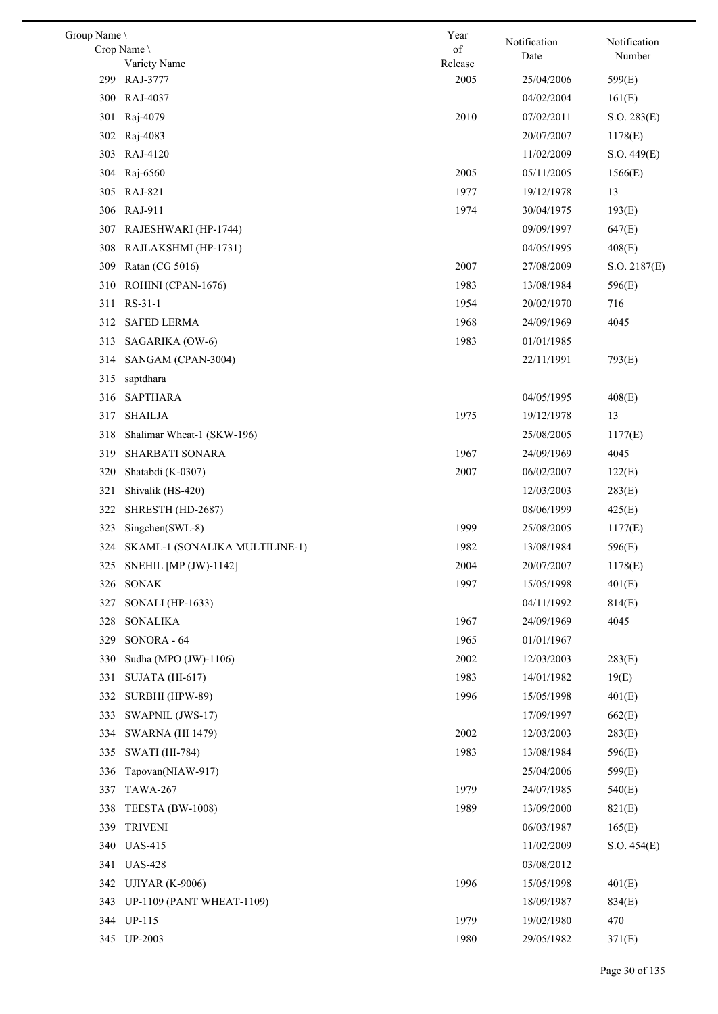| Group Name \ |                                     | Year            | Notification | Notification  |
|--------------|-------------------------------------|-----------------|--------------|---------------|
|              | Crop Name                           | of              | Date         | Number        |
| 299          | Variety Name<br>RAJ-3777            | Release<br>2005 | 25/04/2006   | 599(E)        |
| 300          | RAJ-4037                            |                 | 04/02/2004   | 161(E)        |
| 301          | Raj-4079                            | 2010            | 07/02/2011   | S.O. 283(E)   |
| 302          | Raj-4083                            |                 | 20/07/2007   | 1178(E)       |
| 303          | RAJ-4120                            |                 | 11/02/2009   |               |
| 304          | Raj-6560                            | 2005            | 05/11/2005   | S.O. 449(E)   |
|              | 305 RAJ-821                         | 1977            | 19/12/1978   | 1566(E)<br>13 |
|              |                                     | 1974            | 30/04/1975   |               |
| 307          | 306 RAJ-911<br>RAJESHWARI (HP-1744) |                 | 09/09/1997   | 193(E)        |
|              |                                     |                 |              | 647(E)        |
| 308          | RAJLAKSHMI (HP-1731)                |                 | 04/05/1995   | 408(E)        |
| 309          | Ratan (CG 5016)                     | 2007            | 27/08/2009   | S.O. 2187(E)  |
| 310          | ROHINI (CPAN-1676)                  | 1983            | 13/08/1984   | 596(E)        |
| 311          | RS-31-1                             | 1954            | 20/02/1970   | 716           |
| 312          | <b>SAFED LERMA</b>                  | 1968            | 24/09/1969   | 4045          |
| 313          | SAGARIKA (OW-6)                     | 1983            | 01/01/1985   |               |
| 314          | SANGAM (CPAN-3004)                  |                 | 22/11/1991   | 793(E)        |
| 315          | saptdhara                           |                 |              |               |
| 316          | <b>SAPTHARA</b>                     |                 | 04/05/1995   | 408(E)        |
| 317          | <b>SHAILJA</b>                      | 1975            | 19/12/1978   | 13            |
| 318          | Shalimar Wheat-1 (SKW-196)          |                 | 25/08/2005   | 1177(E)       |
| 319          | SHARBATI SONARA                     | 1967            | 24/09/1969   | 4045          |
| 320          | Shatabdi (K-0307)                   | 2007            | 06/02/2007   | 122(E)        |
| 321          | Shivalik (HS-420)                   |                 | 12/03/2003   | 283(E)        |
| 322          | SHRESTH (HD-2687)                   |                 | 08/06/1999   | 425(E)        |
| 323          | Singchen(SWL-8)                     | 1999            | 25/08/2005   | 1177(E)       |
| 324          | SKAML-1 (SONALIKA MULTILINE-1)      | 1982            | 13/08/1984   | 596(E)        |
|              | 325 SNEHIL [MP (JW)-1142]           | 2004            | 20/07/2007   | 1178(E)       |
| 326          | <b>SONAK</b>                        | 1997            | 15/05/1998   | 401(E)        |
| 327          | SONALI (HP-1633)                    |                 | 04/11/1992   | 814(E)        |
| 328          | <b>SONALIKA</b>                     | 1967            | 24/09/1969   | 4045          |
| 329          | SONORA - 64                         | 1965            | 01/01/1967   |               |
| 330          | Sudha (MPO (JW)-1106)               | 2002            | 12/03/2003   | 283(E)        |
| 331          | SUJATA (HI-617)                     | 1983            | 14/01/1982   | 19(E)         |
| 332          | SURBHI (HPW-89)                     | 1996            | 15/05/1998   | 401(E)        |
| 333          | SWAPNIL (JWS-17)                    |                 | 17/09/1997   | 662(E)        |
| 334          | <b>SWARNA (HI 1479)</b>             | 2002            | 12/03/2003   | 283(E)        |
| 335          | <b>SWATI</b> (HI-784)               | 1983            | 13/08/1984   | 596(E)        |
| 336          | Tapovan(NIAW-917)                   |                 | 25/04/2006   | 599(E)        |
| 337          | <b>TAWA-267</b>                     | 1979            | 24/07/1985   | 540(E)        |
| 338          | TEESTA (BW-1008)                    | 1989            | 13/09/2000   | 821(E)        |
| 339          | <b>TRIVENI</b>                      |                 | 06/03/1987   | 165(E)        |
| 340          | <b>UAS-415</b>                      |                 | 11/02/2009   | S.O. 454(E)   |
| 341          | <b>UAS-428</b>                      |                 | 03/08/2012   |               |
| 342          | <b>UJIYAR (K-9006)</b>              | 1996            | 15/05/1998   | 401(E)        |
|              | 343 UP-1109 (PANT WHEAT-1109)       |                 | 18/09/1987   | 834(E)        |
|              | 344 UP-115                          | 1979            | 19/02/1980   | 470           |
|              | 345 UP-2003                         | 1980            | 29/05/1982   | 371(E)        |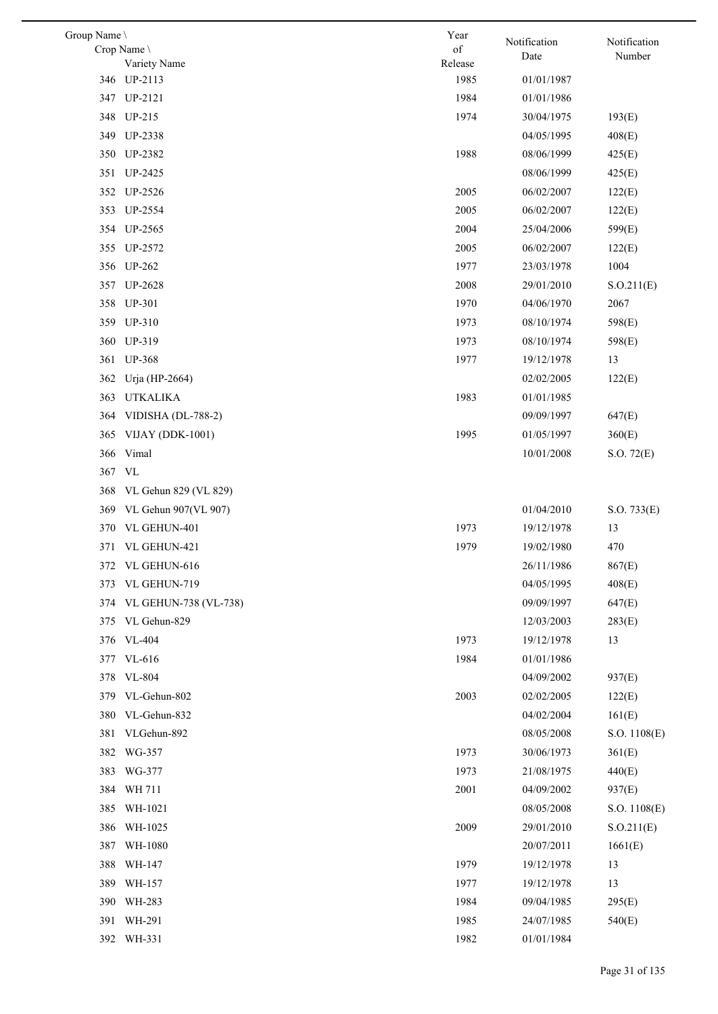| Group Name \ |                             | Year          | Notification | Notification |
|--------------|-----------------------------|---------------|--------------|--------------|
|              | Crop Name \<br>Variety Name | of<br>Release | Date         | Number       |
|              | 346 UP-2113                 | 1985          | 01/01/1987   |              |
|              | 347 UP-2121                 | 1984          | 01/01/1986   |              |
|              | 348 UP-215                  | 1974          | 30/04/1975   | 193(E)       |
|              | 349 UP-2338                 |               | 04/05/1995   | 408(E)       |
|              | 350 UP-2382                 | 1988          | 08/06/1999   | 425(E)       |
|              | 351 UP-2425                 |               | 08/06/1999   | 425(E)       |
|              | 352 UP-2526                 | 2005          | 06/02/2007   | 122(E)       |
|              | 353 UP-2554                 | 2005          | 06/02/2007   | 122(E)       |
|              | 354 UP-2565                 | 2004          | 25/04/2006   | 599(E)       |
|              | 355 UP-2572                 | 2005          | 06/02/2007   | 122(E)       |
|              | 356 UP-262                  | 1977          | 23/03/1978   | 1004         |
|              | 357 UP-2628                 | 2008          | 29/01/2010   | S. O.211(E)  |
|              | 358 UP-301                  | 1970          | 04/06/1970   | 2067         |
|              | 359 UP-310                  | 1973          | 08/10/1974   | 598(E)       |
|              | 360 UP-319                  | 1973          | 08/10/1974   | 598(E)       |
|              | 361 UP-368                  | 1977          | 19/12/1978   | 13           |
|              | 362 Urja (HP-2664)          |               | 02/02/2005   | 122(E)       |
| 363          | <b>UTKALIKA</b>             | 1983          | 01/01/1985   |              |
| 364          | VIDISHA (DL-788-2)          |               | 09/09/1997   | 647(E)       |
|              |                             | 1995          |              |              |
| 365<br>366   | VIJAY (DDK-1001)<br>Vimal   |               | 01/05/1997   | 360(E)       |
|              |                             |               | 10/01/2008   | S.O. 72(E)   |
| 367 VL       |                             |               |              |              |
| 368          | VL Gehun 829 (VL 829)       |               |              |              |
|              | 369 VL Gehun 907(VL 907)    |               | 01/04/2010   | S.O. 733(E)  |
|              | 370 VL GEHUN-401            | 1973          | 19/12/1978   | 13           |
|              | 371 VL GEHUN-421            | 1979          | 19/02/1980   | 470          |
|              | 372 VL GEHUN-616            |               | 26/11/1986   | 867(E)       |
| 373          | VL GEHUN-719                |               | 04/05/1995   | 408(E)       |
|              | 374 VL GEHUN-738 (VL-738)   |               | 09/09/1997   | 647(E)       |
| 375          | VL Gehun-829                |               | 12/03/2003   | 283(E)       |
|              | 376 VL-404                  | 1973          | 19/12/1978   | 13           |
|              | 377 VL-616                  | 1984          | 01/01/1986   |              |
|              | 378 VL-804                  |               | 04/09/2002   | 937(E)       |
| 379          | VL-Gehun-802                | 2003          | 02/02/2005   | 122(E)       |
| 380          | VL-Gehun-832                |               | 04/02/2004   | 161(E)       |
| 381          | VLGehun-892                 |               | 08/05/2008   | S.O. 1108(E) |
| 382          | WG-357                      | 1973          | 30/06/1973   | 361(E)       |
| 383          | WG-377                      | 1973          | 21/08/1975   | 440(E)       |
| 384          | WH 711                      | 2001          | 04/09/2002   | 937(E)       |
| 385          | WH-1021                     |               | 08/05/2008   | S.O. 1108(E) |
| 386          | WH-1025                     | 2009          | 29/01/2010   | S. O.211(E)  |
| 387          | WH-1080                     |               | 20/07/2011   | 1661(E)      |
| 388          | WH-147                      | 1979          | 19/12/1978   | 13           |
| 389          | WH-157                      | 1977          | 19/12/1978   | 13           |
| 390          | WH-283                      | 1984          | 09/04/1985   | 295(E)       |
|              | 391 WH-291                  | 1985          | 24/07/1985   | 540(E)       |
|              | 392 WH-331                  | 1982          | 01/01/1984   |              |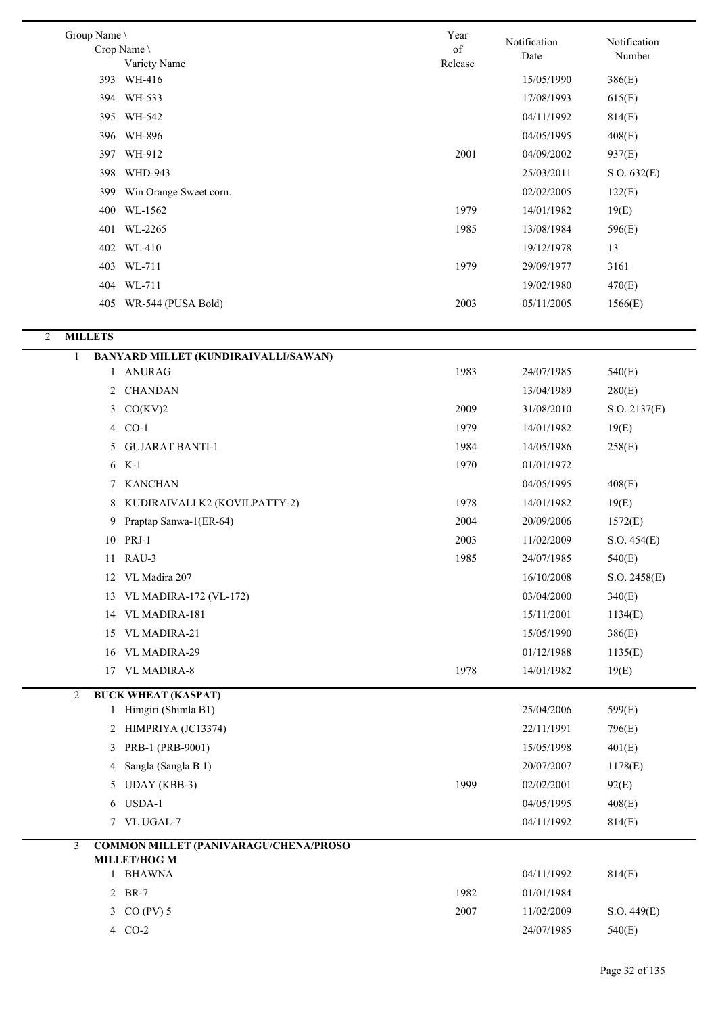| Group Name \        |                                                       | Year    |              |              |
|---------------------|-------------------------------------------------------|---------|--------------|--------------|
|                     | Crop Name \                                           | of      | Notification | Notification |
|                     | Variety Name                                          | Release | Date         | Number       |
|                     | 393 WH-416                                            |         | 15/05/1990   | 386(E)       |
|                     | 394 WH-533                                            |         | 17/08/1993   | 615(E)       |
|                     | 395 WH-542                                            |         | 04/11/1992   | 814(E)       |
|                     | 396 WH-896                                            |         | 04/05/1995   | 408(E)       |
| 397                 | WH-912                                                | 2001    | 04/09/2002   | 937(E)       |
| 398                 | WHD-943                                               |         | 25/03/2011   | S.O. 632(E)  |
| 399                 | Win Orange Sweet corn.                                |         | 02/02/2005   | 122(E)       |
| 400                 | WL-1562                                               | 1979    | 14/01/1982   | 19(E)        |
| 401                 | WL-2265                                               | 1985    | 13/08/1984   | 596(E)       |
|                     | 402 WL-410                                            |         | 19/12/1978   | 13           |
|                     | 403 WL-711                                            | 1979    | 29/09/1977   | 3161         |
|                     | 404 WL-711                                            |         | 19/02/1980   | 470(E)       |
|                     | 405 WR-544 (PUSA Bold)                                | 2003    | 05/11/2005   | 1566(E)      |
|                     |                                                       |         |              |              |
| 2<br><b>MILLETS</b> |                                                       |         |              |              |
| 1                   | BANYARD MILLET (KUNDIRAIVALLI/SAWAN)                  |         |              |              |
| 1                   | <b>ANURAG</b>                                         | 1983    | 24/07/1985   | 540(E)       |
| $\mathbf{2}$        | <b>CHANDAN</b>                                        |         | 13/04/1989   | 280(E)       |
|                     | $3$ $CO(KV)2$                                         | 2009    | 31/08/2010   | S.O. 2137(E) |
| 4                   | $CO-1$                                                | 1979    | 14/01/1982   | 19(E)        |
| 5                   | <b>GUJARAT BANTI-1</b>                                | 1984    | 14/05/1986   | 258(E)       |
| 6                   | $K-1$                                                 | 1970    | 01/01/1972   |              |
| 7                   | <b>KANCHAN</b>                                        |         | 04/05/1995   | 408(E)       |
| 8                   | KUDIRAIVALI K2 (KOVILPATTY-2)                         | 1978    | 14/01/1982   | 19(E)        |
| 9                   | Praptap Sanwa-1(ER-64)                                | 2004    | 20/09/2006   | 1572(E)      |
|                     | 10 PRJ-1                                              | 2003    | 11/02/2009   | S.O. 454(E)  |
|                     | 11 RAU-3                                              | 1985    | 24/07/1985   | 540(E)       |
|                     | 12 VL Madira 207                                      |         | 16/10/2008   | S.O. 2458(E) |
| 13                  | <b>VL MADIRA-172 (VL-172)</b>                         |         | 03/04/2000   | 340(E)       |
| 14                  | VL MADIRA-181                                         |         | 15/11/2001   | 1134(E)      |
|                     | 15 VL MADIRA-21                                       |         | 15/05/1990   | 386(E)       |
| 16                  | VL MADIRA-29                                          |         | 01/12/1988   | 1135(E)      |
|                     | 17 VL MADIRA-8                                        | 1978    | 14/01/1982   | 19(E)        |
| 2                   | <b>BUCK WHEAT (KASPAT)</b>                            |         |              |              |
|                     | 1 Himgiri (Shimla B1)                                 |         | 25/04/2006   | 599(E)       |
|                     | 2 HIMPRIYA (JC13374)                                  |         | 22/11/1991   | 796(E)       |
| 3                   | PRB-1 (PRB-9001)                                      |         | 15/05/1998   | 401(E)       |
| 4                   | Sangla (Sangla B 1)                                   |         | 20/07/2007   | 1178(E)      |
| 5                   | UDAY (KBB-3)                                          | 1999    | 02/02/2001   | 92(E)        |
| 6                   | USDA-1                                                |         | 04/05/1995   | 408(E)       |
|                     | 7 VL UGAL-7                                           |         | 04/11/1992   | 814(E)       |
|                     |                                                       |         |              |              |
| 3                   | COMMON MILLET (PANIVARAGU/CHENA/PROSO<br>MILLET/HOG M |         |              |              |
|                     | 1 BHAWNA                                              |         | 04/11/1992   | 814(E)       |
|                     | 2 BR-7                                                | 1982    | 01/01/1984   |              |
|                     | 3 CO (PV) 5                                           | 2007    | 11/02/2009   | S.O. 449(E)  |
|                     | 4 CO-2                                                |         | 24/07/1985   | 540(E)       |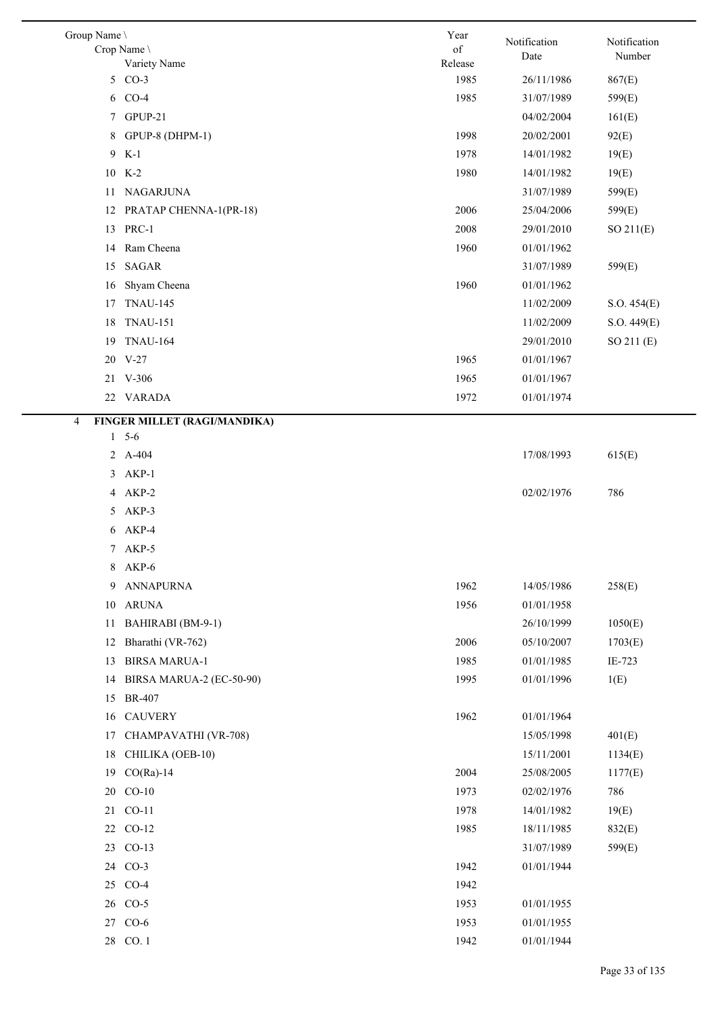| Group Name \                      | Year            | Notification             | Notification |
|-----------------------------------|-----------------|--------------------------|--------------|
| Crop Name \                       | of              | Date                     | Number       |
| Variety Name<br>5 CO-3            | Release<br>1985 |                          |              |
| $CO-4$                            | 1985            | 26/11/1986<br>31/07/1989 | 867(E)       |
| 6<br>7 GPUP-21                    |                 |                          | 599(E)       |
|                                   | 1998            | 04/02/2004<br>20/02/2001 | 161(E)       |
| GPUP-8 (DHPM-1)<br>8              |                 |                          | 92(E)        |
| 9 K-1<br>10<br>K-2                | 1978<br>1980    | 14/01/1982               | 19(E)        |
| 11 NAGARJUNA                      |                 | 14/01/1982<br>31/07/1989 | 19(E)        |
|                                   |                 |                          | 599(E)       |
| PRATAP CHENNA-1(PR-18)<br>12      | 2006            | 25/04/2006               | 599(E)       |
| PRC-1<br>13<br>14 Ram Cheena      | 2008<br>1960    | 29/01/2010               | SO $211(E)$  |
|                                   |                 | 01/01/1962               |              |
| SAGAR<br>15                       |                 | 31/07/1989               | 599(E)       |
| Shyam Cheena<br>16                | 1960            | 01/01/1962               |              |
| <b>TNAU-145</b><br>17             |                 | 11/02/2009               | S.O. 454(E)  |
| <b>TNAU-151</b><br>18             |                 | 11/02/2009               | S.O. 449(E)  |
| <b>TNAU-164</b><br>19             |                 | 29/01/2010               | SO 211 (E)   |
| 20 V-27                           | 1965            | 01/01/1967               |              |
| 21 V-306                          | 1965            | 01/01/1967               |              |
| <b>VARADA</b><br>22               | 1972            | 01/01/1974               |              |
| FINGER MILLET (RAGI/MANDIKA)<br>4 |                 |                          |              |
| $1 \quad 5-6$                     |                 |                          |              |
| 2 A-404                           |                 | 17/08/1993               | 615(E)       |
| 3 AKP-1                           |                 |                          |              |
| 4 AKP-2                           |                 | 02/02/1976               | 786          |
| 5 AKP-3                           |                 |                          |              |
| AKP-4<br>6                        |                 |                          |              |
| 7 AKP-5                           |                 |                          |              |
| 8<br>AKP-6                        |                 |                          |              |
| <b>ANNAPURNA</b><br>9             | 1962            | 14/05/1986               | 258(E)       |
| ${\bf ARUNA}$<br>10               | 1956            | 01/01/1958               |              |
| BAHIRABI (BM-9-1)<br>11           |                 | 26/10/1999               | 1050(E)      |
| Bharathi (VR-762)<br>12           | 2006            | 05/10/2007               | 1703(E)      |
| <b>BIRSA MARUA-1</b><br>13        | 1985            | 01/01/1985               | IE-723       |
| BIRSA MARUA-2 (EC-50-90)<br>14    | 1995            | 01/01/1996               | 1(E)         |
| <b>BR-407</b><br>15               |                 |                          |              |
| <b>CAUVERY</b><br>16              | 1962            | 01/01/1964               |              |
| CHAMPAVATHI (VR-708)<br>17        |                 | 15/05/1998               | 401(E)       |
| CHILIKA (OEB-10)<br>18            |                 | 15/11/2001               | 1134(E)      |
| $CO(Ra)$ -14<br>19                | 2004            | 25/08/2005               | 1177(E)      |
| $CO-10$<br>20                     | 1973            | 02/02/1976               | 786          |
| $CO-11$<br>21                     | 1978            | 14/01/1982               | 19(E)        |
| $CO-12$<br>22                     | 1985            | 18/11/1985               | 832(E)       |
| $CO-13$<br>23                     |                 | 31/07/1989               | 599(E)       |
| $CO-3$<br>24                      | 1942            | 01/01/1944               |              |
| $CO-4$<br>25                      | 1942            |                          |              |
| $CO-5$<br>26                      | 1953            | 01/01/1955               |              |
| $CO-6$<br>27                      | 1953            | 01/01/1955               |              |
| 28 CO. 1                          | 1942            | 01/01/1944               |              |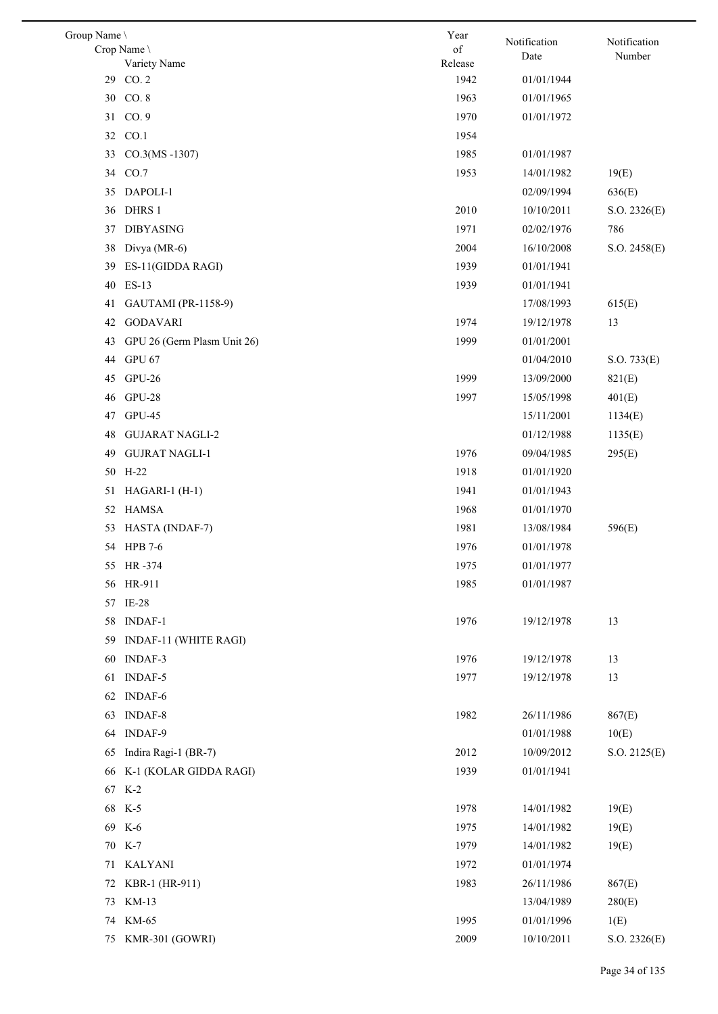| Group Name \ |                             | Year            | Notification | Notification |
|--------------|-----------------------------|-----------------|--------------|--------------|
|              | Crop Name \                 | of              | Date         | Number       |
| 29           | Variety Name<br>CO.2        | Release<br>1942 | 01/01/1944   |              |
|              | 30 CO.8                     | 1963            | 01/01/1965   |              |
|              | 31 CO. 9                    | 1970            | 01/01/1972   |              |
|              | 32 CO.1                     | 1954            |              |              |
| 33           | $CO.3(MS - 1307)$           | 1985            | 01/01/1987   |              |
|              | 34 CO.7                     | 1953            | 14/01/1982   | 19(E)        |
|              | 35 DAPOLI-1                 |                 | 02/09/1994   |              |
|              |                             |                 |              | 636(E)       |
| 36           | DHRS 1                      | 2010<br>1971    | 10/10/2011   | S.O. 2326(E) |
| 37           | <b>DIBYASING</b>            | 2004            | 02/02/1976   | 786          |
| 38           | Divya (MR-6)                |                 | 16/10/2008   | S.O. 2458(E) |
| 39           | ES-11(GIDDA RAGI)           | 1939            | 01/01/1941   |              |
| 40           | $ES-13$                     | 1939            | 01/01/1941   |              |
| 41           | GAUTAMI (PR-1158-9)         |                 | 17/08/1993   | 615(E)       |
| 42           | <b>GODAVARI</b>             | 1974            | 19/12/1978   | 13           |
| 43           | GPU 26 (Germ Plasm Unit 26) | 1999            | 01/01/2001   |              |
| 44           | GPU 67                      |                 | 01/04/2010   | S.O. 733(E)  |
| 45           | $GPU-26$                    | 1999            | 13/09/2000   | 821(E)       |
| 46           | GPU-28                      | 1997            | 15/05/1998   | 401(E)       |
| 47           | <b>GPU-45</b>               |                 | 15/11/2001   | 1134(E)      |
| 48           | <b>GUJARAT NAGLI-2</b>      |                 | 01/12/1988   | 1135(E)      |
| 49           | <b>GUJRAT NAGLI-1</b>       | 1976            | 09/04/1985   | 295(E)       |
| 50           | $H-22$                      | 1918            | 01/01/1920   |              |
| 51           | $HAGARI-1 (H-1)$            | 1941            | 01/01/1943   |              |
|              | 52 HAMSA                    | 1968            | 01/01/1970   |              |
| 53           | HASTA (INDAF-7)             | 1981            | 13/08/1984   | 596(E)       |
|              | 54 HPB 7-6                  | 1976            | 01/01/1978   |              |
|              | 55 HR-374                   | 1975            | 01/01/1977   |              |
|              | 56 HR-911                   | 1985            | 01/01/1987   |              |
|              | 57 IE-28                    |                 |              |              |
|              | 58 INDAF-1                  | 1976            | 19/12/1978   | 13           |
| 59           | INDAF-11 (WHITE RAGI)       |                 |              |              |
| 60           | INDAF-3                     | 1976            | 19/12/1978   | 13           |
| 61           | <b>INDAF-5</b>              | 1977            | 19/12/1978   | 13           |
|              | 62 INDAF-6                  |                 |              |              |
|              | 63 INDAF-8                  | 1982            | 26/11/1986   | 867(E)       |
|              | 64 INDAF-9                  |                 | 01/01/1988   | 10(E)        |
| 65           | Indira Ragi-1 (BR-7)        | 2012            | 10/09/2012   | S.O. 2125(E) |
|              | 66 K-1 (KOLAR GIDDA RAGI)   | 1939            | 01/01/1941   |              |
|              | 67 K-2                      |                 |              |              |
|              | 68 K-5                      | 1978            | 14/01/1982   | 19(E)        |
|              | 69 K-6                      | 1975            | 14/01/1982   | 19(E)        |
|              | 70 K-7                      | 1979            | 14/01/1982   | 19(E)        |
|              | 71 KALYANI                  | 1972            | 01/01/1974   |              |
| 72           | KBR-1 (HR-911)              | 1983            | 26/11/1986   | 867(E)       |
|              | 73 KM-13                    |                 | 13/04/1989   | 280(E)       |
|              | 74 KM-65                    | 1995            | 01/01/1996   | 1(E)         |
|              | 75 KMR-301 (GOWRI)          | 2009            | 10/10/2011   | S.O. 2326(E) |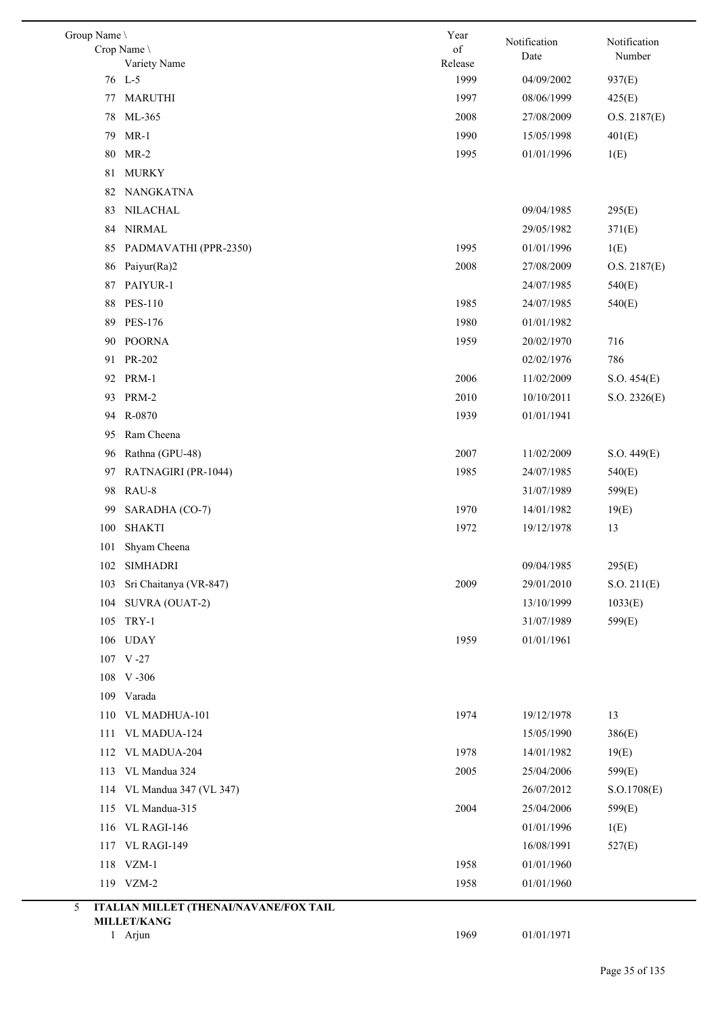| Group Name \ | Crop Name<br>Variety Name              | Year<br>of<br>Release | Notification<br>Date     | Notification<br>Number |
|--------------|----------------------------------------|-----------------------|--------------------------|------------------------|
|              | 76 L-5                                 | 1999                  | 04/09/2002               | 937(E)                 |
| 77           | <b>MARUTHI</b>                         | 1997                  | 08/06/1999               | 425(E)                 |
| 78           | ML-365                                 | 2008                  | 27/08/2009               | O.S. 2187(E)           |
| 79           | $MR-1$                                 | 1990                  | 15/05/1998               | 401(E)                 |
| 80           | $MR-2$                                 | 1995                  | 01/01/1996               | 1(E)                   |
| 81           | <b>MURKY</b>                           |                       |                          |                        |
| 82           | NANGKATNA                              |                       |                          |                        |
| 83           | NILACHAL                               |                       | 09/04/1985               | 295(E)                 |
| 84           | <b>NIRMAL</b>                          |                       | 29/05/1982               | 371(E)                 |
| 85           | PADMAVATHI (PPR-2350)                  | 1995                  | 01/01/1996               | 1(E)                   |
| 86           | Paiyur(Ra)2                            | 2008                  | 27/08/2009               | O.S. 2187(E)           |
| 87           | PAIYUR-1                               |                       | 24/07/1985               | 540(E)                 |
| 88           | <b>PES-110</b>                         | 1985                  | 24/07/1985               | 540(E)                 |
| 89           | <b>PES-176</b>                         | 1980                  | 01/01/1982               |                        |
| 90           | <b>POORNA</b>                          | 1959                  | 20/02/1970               | 716                    |
| 91           | PR-202                                 |                       | 02/02/1976               | 786                    |
|              | 92 PRM-1                               | 2006                  | 11/02/2009               | S.O. 454(E)            |
| 93           | PRM-2                                  | 2010                  | 10/10/2011               | S.O. 2326(E)           |
| 94           | R-0870                                 | 1939                  | 01/01/1941               |                        |
| 95           | Ram Cheena                             |                       |                          |                        |
| 96           | Rathna (GPU-48)                        | 2007                  | 11/02/2009               | S.O. 449(E)            |
| 97           | RATNAGIRI (PR-1044)                    | 1985                  | 24/07/1985               | 540(E)                 |
| 98           | RAU-8                                  |                       | 31/07/1989               | 599(E)                 |
| 99           | SARADHA (CO-7)                         | 1970                  | 14/01/1982               | 19(E)                  |
| 100          | <b>SHAKTI</b>                          | 1972                  | 19/12/1978               | 13                     |
| 101          | Shyam Cheena                           |                       |                          |                        |
|              | 102 SIMHADRI                           |                       | 09/04/1985               | 295(E)                 |
| 103          | Sri Chaitanya (VR-847)                 | 2009                  | 29/01/2010               | S.O. 211(E)            |
| 104          | SUVRA (OUAT-2)                         |                       | 13/10/1999               | 1033(E)                |
| 105          | TRY-1                                  |                       | 31/07/1989               | 599(E)                 |
|              | 106 UDAY                               | 1959                  | 01/01/1961               |                        |
|              | 107 V-27                               |                       |                          |                        |
|              | 108 V-306                              |                       |                          |                        |
|              | 109 Varada                             |                       |                          |                        |
|              | 110 VL MADHUA-101                      | 1974                  | 19/12/1978               | 13                     |
|              | 111 VL MADUA-124                       |                       | 15/05/1990               | 386(E)                 |
|              | 112 VL MADUA-204                       | 1978                  | 14/01/1982               | 19(E)                  |
|              | 113 VL Mandua 324                      | 2005                  | 25/04/2006               | 599(E)                 |
|              | 114 VL Mandua 347 (VL 347)             |                       | 26/07/2012               | S.O.1708(E)            |
|              |                                        |                       |                          |                        |
| 115          | VL Mandua-315<br>116 VL RAGI-146       | 2004                  | 25/04/2006<br>01/01/1996 | 599(E)                 |
|              |                                        |                       | 16/08/1991               | 1(E)                   |
|              | 117 VL RAGI-149                        |                       |                          | 527(E)                 |
|              | 118 VZM-1                              | 1958                  | 01/01/1960               |                        |
|              | 119 VZM-2                              | 1958                  | 01/01/1960               |                        |
| 5            | ITALIAN MILLET (THENAI/NAVANE/FOX TAIL |                       |                          |                        |
|              | <b>MILLET/KANG</b><br>1 Arjun          | 1969                  | 01/01/1971               |                        |
|              |                                        |                       |                          |                        |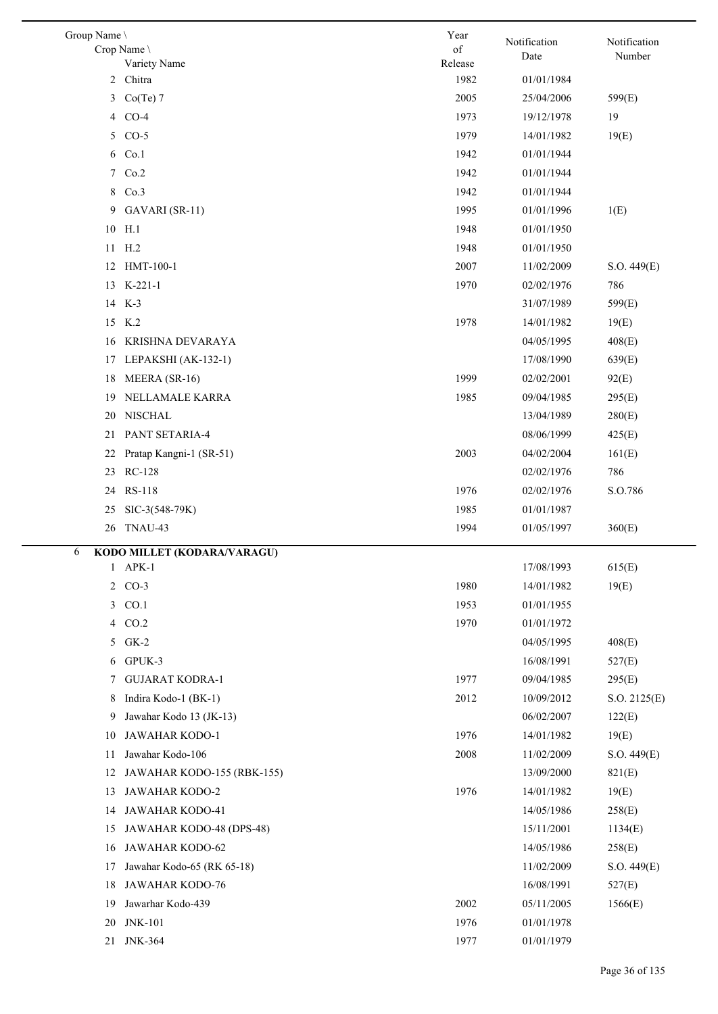| Group Name \<br>Crop Name \      | Year<br>of | Notification | Notification |
|----------------------------------|------------|--------------|--------------|
| Variety Name                     | Release    | Date         | Number       |
| Chitra<br>2                      | 1982       | 01/01/1984   |              |
| 3<br>$Co(Te)$ 7                  | 2005       | 25/04/2006   | 599(E)       |
| $CO-4$<br>4                      | 1973       | 19/12/1978   | 19           |
| $CO-5$<br>5                      | 1979       | 14/01/1982   | 19(E)        |
| 6<br>Co.1                        | 1942       | 01/01/1944   |              |
| 7<br>Co.2                        | 1942       | 01/01/1944   |              |
| Co.3<br>8                        | 1942       | 01/01/1944   |              |
| 9<br>GAVARI (SR-11)              | 1995       | 01/01/1996   | 1(E)         |
| 10<br>H.1                        | 1948       | 01/01/1950   |              |
| H <sub>.2</sub><br>11            | 1948       | 01/01/1950   |              |
| HMT-100-1<br>12                  | 2007       | 11/02/2009   | S.O. 449(E)  |
| 13 K-221-1                       | 1970       | 02/02/1976   | 786          |
| 14 K-3                           |            | 31/07/1989   | 599(E)       |
| K.2<br>15                        | 1978       | 14/01/1982   | 19(E)        |
| KRISHNA DEVARAYA<br>16           |            | 04/05/1995   | 408(E)       |
| LEPAKSHI (AK-132-1)<br>17        |            | 17/08/1990   | 639(E)       |
| MEERA (SR-16)<br>18              | 1999       | 02/02/2001   | 92(E)        |
| NELLAMALE KARRA<br>19            | 1985       | 09/04/1985   | 295(E)       |
| <b>NISCHAL</b><br>20             |            | 13/04/1989   | 280(E)       |
| PANT SETARIA-4<br>21             |            | 08/06/1999   | 425(E)       |
| Pratap Kangni-1 (SR-51)<br>22    | 2003       | 04/02/2004   | 161(E)       |
| RC-128<br>23                     |            | 02/02/1976   | 786          |
| RS-118<br>24                     | 1976       | 02/02/1976   | S.O.786      |
| SIC-3(548-79K)<br>25             | 1985       | 01/01/1987   |              |
| TNAU-43<br>26                    | 1994       | 01/05/1997   | 360(E)       |
|                                  |            |              |              |
| KODO MILLET (KODARA/VARAGU)<br>6 |            |              |              |
| APK-1<br>1                       |            | 17/08/1993   | 615(E)       |
| 2 CO-3                           | 1980       | 14/01/1982   | 19(E)        |
| CO.1<br>3                        | 1953       | 01/01/1955   |              |
| CO.2<br>4                        | 1970       | 01/01/1972   |              |
| $GK-2$<br>5                      |            | 04/05/1995   | 408(E)       |
| GPUK-3<br>6                      |            | 16/08/1991   | 527(E)       |
| <b>GUJARAT KODRA-1</b><br>7      | 1977       | 09/04/1985   | 295(E)       |
| Indira Kodo-1 (BK-1)<br>8        | 2012       | 10/09/2012   | S.O. 2125(E) |
| Jawahar Kodo 13 (JK-13)<br>9     |            | 06/02/2007   | 122(E)       |
| JAWAHAR KODO-1<br>10             | 1976       | 14/01/1982   | 19(E)        |
| Jawahar Kodo-106<br>11           | 2008       | 11/02/2009   | S.O. 449(E)  |
| JAWAHAR KODO-155 (RBK-155)<br>12 |            | 13/09/2000   | 821(E)       |
| <b>JAWAHAR KODO-2</b><br>13      | 1976       | 14/01/1982   | 19(E)        |
| JAWAHAR KODO-41<br>14            |            | 14/05/1986   | 258(E)       |
| JAWAHAR KODO-48 (DPS-48)<br>15   |            | 15/11/2001   | 1134(E)      |
| JAWAHAR KODO-62<br>16            |            | 14/05/1986   | 258(E)       |
| Jawahar Kodo-65 (RK 65-18)<br>17 |            | 11/02/2009   | S.O. 449(E)  |
| <b>JAWAHAR KODO-76</b><br>18     |            | 16/08/1991   | 527(E)       |
| Jawarhar Kodo-439<br>19          | 2002       | 05/11/2005   | 1566(E)      |
| <b>JNK-101</b><br>20             | 1976       | 01/01/1978   |              |
| 21<br><b>JNK-364</b>             | 1977       | 01/01/1979   |              |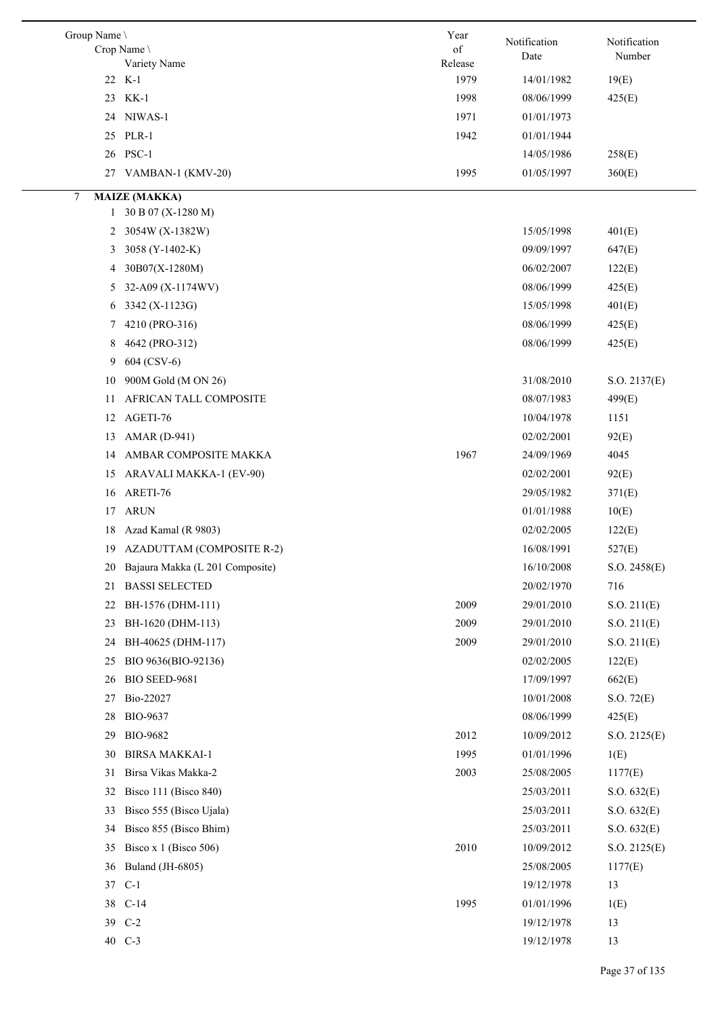| Group Name | Crop Name<br>Variety Name       | Year<br>of<br>Release | Notification<br>Date | Notification<br>Number |
|------------|---------------------------------|-----------------------|----------------------|------------------------|
|            | 22 K-1                          | 1979                  | 14/01/1982           | 19(E)                  |
|            | 23 KK-1                         | 1998                  | 08/06/1999           | 425(E)                 |
|            | 24 NIWAS-1                      | 1971                  | 01/01/1973           |                        |
|            | 25 PLR-1                        | 1942                  | 01/01/1944           |                        |
|            | 26 PSC-1                        |                       | 14/05/1986           | 258(E)                 |
|            | 27 VAMBAN-1 (KMV-20)            | 1995                  | 01/05/1997           | 360(E)                 |
| 7          | <b>MAIZE (MAKKA)</b>            |                       |                      |                        |
|            | 1 30 B 07 (X-1280 M)            |                       |                      |                        |
| 2          | 3054W (X-1382W)                 |                       | 15/05/1998           | 401(E)                 |
| 3          | 3058 (Y-1402-K)                 |                       | 09/09/1997           | 647(E)                 |
| 4          | $30B07(X-1280M)$                |                       | 06/02/2007           | 122(E)                 |
| 5          | 32-A09 (X-1174WV)               |                       | 08/06/1999           | 425(E)                 |
| 6          | 3342 (X-1123G)                  |                       | 15/05/1998           | 401(E)                 |
| 7          | 4210 (PRO-316)                  |                       | 08/06/1999           | 425(E)                 |
| 8          | 4642 (PRO-312)                  |                       | 08/06/1999           | 425(E)                 |
| 9          | 604 (CSV-6)                     |                       |                      |                        |
| 10         | 900M Gold (M ON 26)             |                       | 31/08/2010           | S.O. 2137(E)           |
| 11         | AFRICAN TALL COMPOSITE          |                       | 08/07/1983           | 499(E)                 |
| 12         | AGETI-76                        |                       | 10/04/1978           | 1151                   |
| 13         | <b>AMAR</b> (D-941)             |                       | 02/02/2001           | 92(E)                  |
| 14         | AMBAR COMPOSITE MAKKA           | 1967                  | 24/09/1969           | 4045                   |
| 15         | ARAVALI MAKKA-1 (EV-90)         |                       | 02/02/2001           | 92(E)                  |
| 16         | ARETI-76                        |                       | 29/05/1982           | 371(E)                 |
| 17         | ARUN                            |                       | 01/01/1988           | 10(E)                  |
| 18         | Azad Kamal (R 9803)             |                       | 02/02/2005           | 122(E)                 |
| 19         | AZADUTTAM (COMPOSITE R-2)       |                       | 16/08/1991           | 527(E)                 |
| 20         | Bajaura Makka (L 201 Composite) |                       | 16/10/2008           | S.O. 2458(E)           |
| 21         | <b>BASSI SELECTED</b>           |                       | 20/02/1970           | 716                    |
| 22         | BH-1576 (DHM-111)               | 2009                  | 29/01/2010           | S.O. 211(E)            |
| 23         | BH-1620 (DHM-113)               | 2009                  | 29/01/2010           | S.O. 211(E)            |
| 24         | BH-40625 (DHM-117)              | 2009                  | 29/01/2010           | S.O. 211(E)            |
| 25         | BIO 9636(BIO-92136)             |                       | 02/02/2005           | 122(E)                 |
| 26         | <b>BIO SEED-9681</b>            |                       | 17/09/1997           | 662(E)                 |
| 27         | Bio-22027                       |                       | 10/01/2008           | S.O. 72(E)             |
| 28         | <b>BIO-9637</b>                 |                       | 08/06/1999           | 425(E)                 |
| 29         | <b>BIO-9682</b>                 | 2012                  | 10/09/2012           | S.O. 2125(E)           |
| 30         | <b>BIRSA MAKKAI-1</b>           | 1995                  | 01/01/1996           | 1(E)                   |
| 31         | Birsa Vikas Makka-2             | 2003                  | 25/08/2005           | 1177(E)                |
| 32         | Bisco 111 (Bisco 840)           |                       | 25/03/2011           | S.O. 632(E)            |
| 33         | Bisco 555 (Bisco Ujala)         |                       | 25/03/2011           | S.O. 632(E)            |
| 34         | Bisco 855 (Bisco Bhim)          |                       | 25/03/2011           | S.O. 632(E)            |
| 35         | Bisco x 1 (Bisco 506)           | 2010                  | 10/09/2012           | S.O. 2125(E)           |
| 36         | Buland (JH-6805)                |                       | 25/08/2005           | 1177(E)                |
|            | 37 C-1                          |                       | 19/12/1978           | 13                     |
|            | 38 C-14                         | 1995                  | 01/01/1996           | 1(E)                   |
|            | 39 C-2                          |                       | 19/12/1978           | 13                     |
|            | 40 C-3                          |                       | 19/12/1978           | 13                     |
|            |                                 |                       |                      |                        |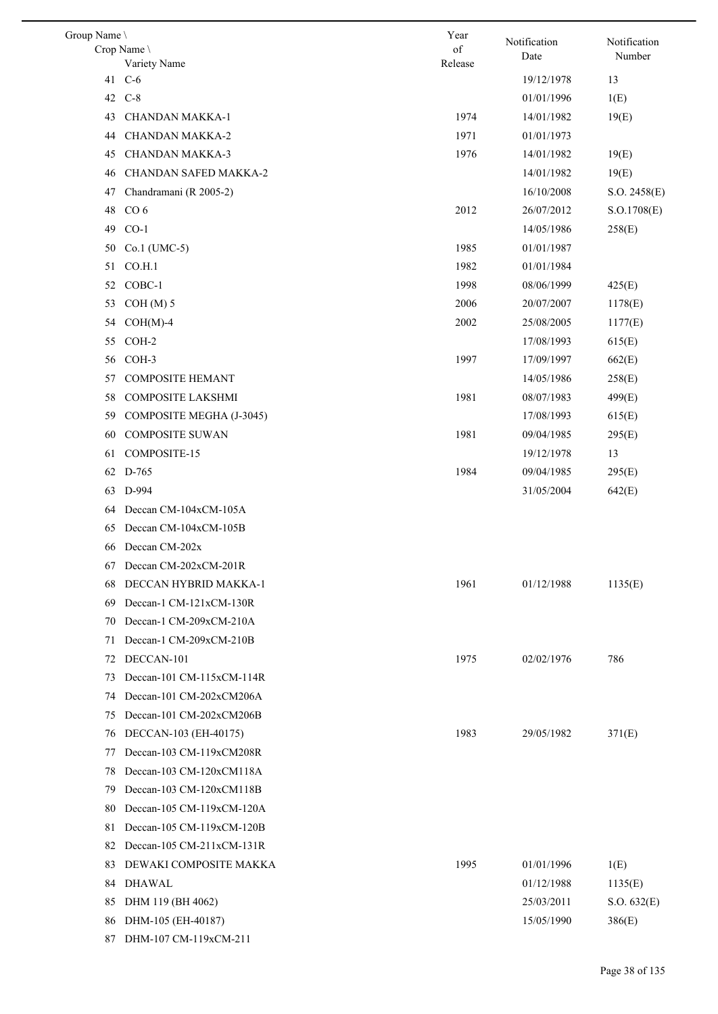| Group Name \ |                           | Year    | Notification | Notification |
|--------------|---------------------------|---------|--------------|--------------|
|              | Crop Name                 | of      | Date         | Number       |
| 41           | Variety Name<br>$C-6$     | Release | 19/12/1978   | 13           |
|              | 42 C-8                    |         | 01/01/1996   | 1(E)         |
| 43           | CHANDAN MAKKA-1           | 1974    | 14/01/1982   |              |
|              |                           | 1971    |              | 19(E)        |
| 44           | <b>CHANDAN MAKKA-2</b>    |         | 01/01/1973   |              |
| 45           | <b>CHANDAN MAKKA-3</b>    | 1976    | 14/01/1982   | 19(E)        |
| 46           | CHANDAN SAFED MAKKA-2     |         | 14/01/1982   | 19(E)        |
| 47           | Chandramani (R 2005-2)    |         | 16/10/2008   | S.O. 2458(E) |
| 48           | CO <sub>6</sub>           | 2012    | 26/07/2012   | S.O.1708(E)  |
| 49           | $CO-1$                    |         | 14/05/1986   | 258(E)       |
| 50           | Co.1 (UMC-5)              | 1985    | 01/01/1987   |              |
| 51           | CO.H.1                    | 1982    | 01/01/1984   |              |
| 52           | COBC-1                    | 1998    | 08/06/1999   | 425(E)       |
| 53           | $COH(M)$ 5                | 2006    | 20/07/2007   | 1178(E)      |
| 54           | $COH(M)-4$                | 2002    | 25/08/2005   | 1177(E)      |
| 55           | COH-2                     |         | 17/08/1993   | 615(E)       |
| 56           | COH-3                     | 1997    | 17/09/1997   | 662(E)       |
| 57           | <b>COMPOSITE HEMANT</b>   |         | 14/05/1986   | 258(E)       |
| 58           | COMPOSITE LAKSHMI         | 1981    | 08/07/1983   | 499(E)       |
| 59           | COMPOSITE MEGHA (J-3045)  |         | 17/08/1993   | 615(E)       |
| 60           | <b>COMPOSITE SUWAN</b>    | 1981    | 09/04/1985   | 295(E)       |
| 61           | COMPOSITE-15              |         | 19/12/1978   | 13           |
|              | 62 D-765                  | 1984    | 09/04/1985   | 295(E)       |
| 63           | D-994                     |         | 31/05/2004   | 642(E)       |
| 64           | Deccan CM-104xCM-105A     |         |              |              |
| 65           | Deccan CM-104xCM-105B     |         |              |              |
| 66           | Deccan CM-202x            |         |              |              |
|              | 67 Deccan CM-202xCM-201R  |         |              |              |
| 68           | DECCAN HYBRID MAKKA-1     | 1961    | 01/12/1988   | 1135(E)      |
| 69           | Deccan-1 CM-121xCM-130R   |         |              |              |
| 70           | Deccan-1 CM-209xCM-210A   |         |              |              |
| 71           | Deccan-1 CM-209xCM-210B   |         |              |              |
| 72           | DECCAN-101                | 1975    | 02/02/1976   | 786          |
| 73           | Deccan-101 CM-115xCM-114R |         |              |              |
| 74           | Deccan-101 CM-202xCM206A  |         |              |              |
| 75           | Deccan-101 CM-202xCM206B  |         |              |              |
| 76           | DECCAN-103 (EH-40175)     | 1983    | 29/05/1982   | 371(E)       |
| 77           | Deccan-103 CM-119xCM208R  |         |              |              |
| 78           | Deccan-103 CM-120xCM118A  |         |              |              |
| 79           | Deccan-103 CM-120xCM118B  |         |              |              |
| 80           | Deccan-105 CM-119xCM-120A |         |              |              |
| 81           | Deccan-105 CM-119xCM-120B |         |              |              |
| 82           | Deccan-105 CM-211xCM-131R |         |              |              |
| 83           | DEWAKI COMPOSITE MAKKA    | 1995    | 01/01/1996   | 1(E)         |
| 84           | <b>DHAWAL</b>             |         | 01/12/1988   | 1135(E)      |
| 85           | DHM 119 (BH 4062)         |         | 25/03/2011   | S.O. 632(E)  |
| 86           | DHM-105 (EH-40187)        |         | 15/05/1990   | 386(E)       |
| 87           | DHM-107 CM-119xCM-211     |         |              |              |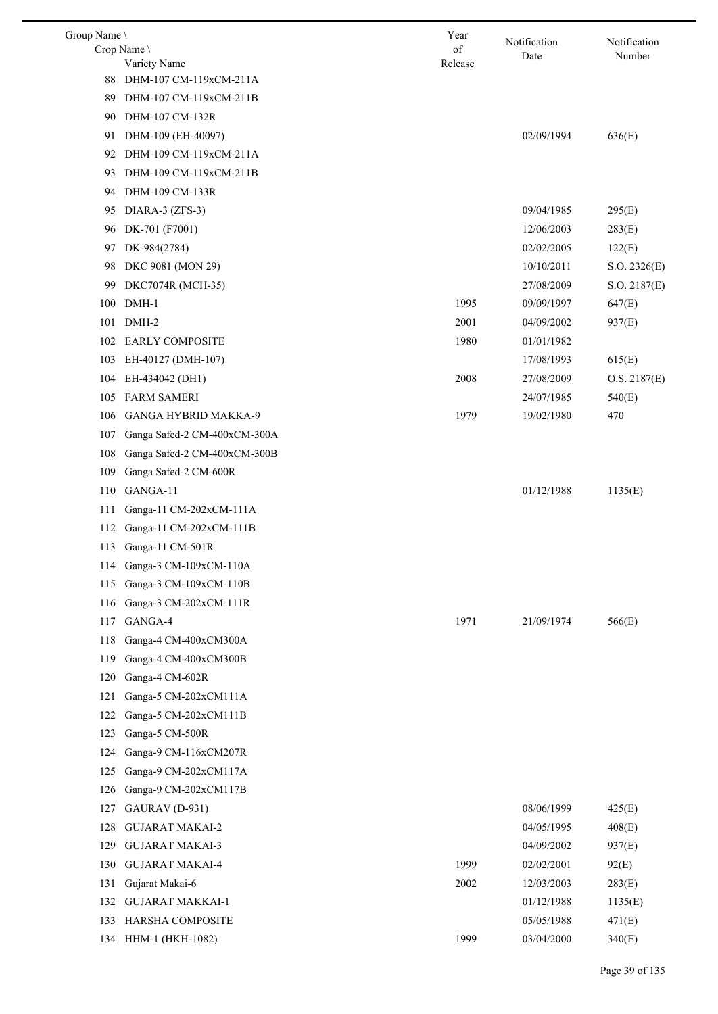| Group Name \ | Crop Name                    | Year<br>of | Notification | Notification |
|--------------|------------------------------|------------|--------------|--------------|
|              | Variety Name                 | Release    | Date         | Number       |
| 88           | DHM-107 CM-119xCM-211A       |            |              |              |
| 89           | DHM-107 CM-119xCM-211B       |            |              |              |
| 90           | DHM-107 CM-132R              |            |              |              |
| 91           | DHM-109 (EH-40097)           |            | 02/09/1994   | 636(E)       |
| 92           | DHM-109 CM-119xCM-211A       |            |              |              |
| 93           | DHM-109 CM-119xCM-211B       |            |              |              |
| 94           | DHM-109 CM-133R              |            |              |              |
| 95           | DIARA-3 (ZFS-3)              |            | 09/04/1985   | 295(E)       |
| 96           | DK-701 (F7001)               |            | 12/06/2003   | 283(E)       |
| 97           | DK-984(2784)                 |            | 02/02/2005   | 122(E)       |
| 98           | DKC 9081 (MON 29)            |            | 10/10/2011   | S.O. 2326(E) |
| 99           | DKC7074R (MCH-35)            |            | 27/08/2009   | S.O. 2187(E) |
| 100          | DMH-1                        | 1995       | 09/09/1997   | 647(E)       |
| 101          | DMH-2                        | 2001       | 04/09/2002   | 937(E)       |
| 102          | <b>EARLY COMPOSITE</b>       | 1980       | 01/01/1982   |              |
| 103          | EH-40127 (DMH-107)           |            | 17/08/1993   | 615(E)       |
| 104          | EH-434042 (DH1)              | 2008       | 27/08/2009   | O.S. 2187(E) |
| 105          | <b>FARM SAMERI</b>           |            | 24/07/1985   | 540(E)       |
| 106          | <b>GANGA HYBRID MAKKA-9</b>  | 1979       | 19/02/1980   | 470          |
| 107          | Ganga Safed-2 CM-400xCM-300A |            |              |              |
| 108          | Ganga Safed-2 CM-400xCM-300B |            |              |              |
| 109          | Ganga Safed-2 CM-600R        |            |              |              |
| 110          | GANGA-11                     |            | 01/12/1988   | 1135(E)      |
| 111          | Ganga-11 CM-202xCM-111A      |            |              |              |
| 112          | Ganga-11 CM-202xCM-111B      |            |              |              |
| 113          | Ganga-11 CM-501R             |            |              |              |
| 114          | Ganga-3 CM-109xCM-110A       |            |              |              |
| 115          | Ganga-3 CM-109xCM-110B       |            |              |              |
| 116          | Ganga-3 CM-202xCM-111R       |            |              |              |
| 117          | GANGA-4                      | 1971       | 21/09/1974   | 566(E)       |
| 118          | Ganga-4 CM-400xCM300A        |            |              |              |
| 119          | Ganga-4 CM-400xCM300B        |            |              |              |
| 120          | Ganga-4 CM-602R              |            |              |              |
| 121          | Ganga-5 CM-202xCM111A        |            |              |              |
| 122          | Ganga-5 CM-202xCM111B        |            |              |              |
| 123          | Ganga-5 CM-500R              |            |              |              |
| 124          | Ganga-9 CM-116xCM207R        |            |              |              |
| 125          | Ganga-9 CM-202xCM117A        |            |              |              |
| 126          | Ganga-9 CM-202xCM117B        |            |              |              |
| 127          | GAURAV (D-931)               |            | 08/06/1999   | 425(E)       |
| 128          | <b>GUJARAT MAKAI-2</b>       |            | 04/05/1995   | 408(E)       |
| 129          | <b>GUJARAT MAKAI-3</b>       |            | 04/09/2002   | 937(E)       |
| 130          | <b>GUJARAT MAKAI-4</b>       | 1999       | 02/02/2001   | 92(E)        |
| 131          | Gujarat Makai-6              | 2002       | 12/03/2003   | 283(E)       |
| 132          | <b>GUJARAT MAKKAI-1</b>      |            | 01/12/1988   | 1135(E)      |
| 133          | HARSHA COMPOSITE             |            | 05/05/1988   | 471(E)       |
| 134          | HHM-1 (HKH-1082)             | 1999       | 03/04/2000   | 340(E)       |
|              |                              |            |              |              |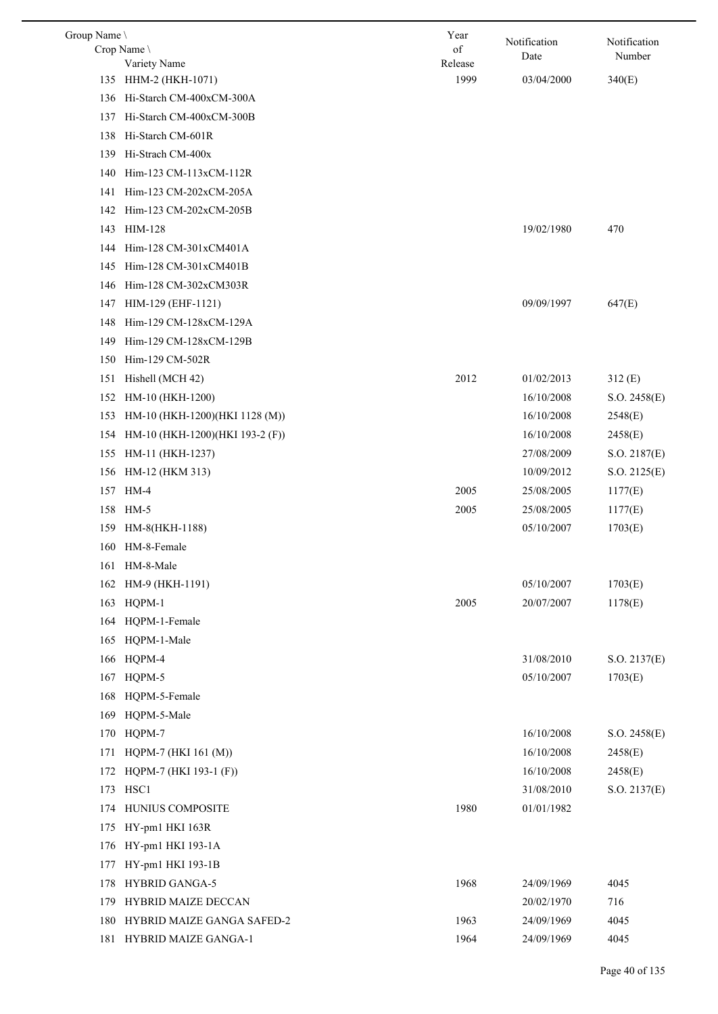| Group Name |                                 | Year    | Notification | Notification |
|------------|---------------------------------|---------|--------------|--------------|
|            | Crop Name                       | of      | Date         | Number       |
|            | Variety Name                    | Release |              |              |
|            | 135 HHM-2 (HKH-1071)            | 1999    | 03/04/2000   | 340(E)       |
| 136        | Hi-Starch CM-400xCM-300A        |         |              |              |
| 137        | Hi-Starch CM-400xCM-300B        |         |              |              |
| 138        | Hi-Starch CM-601R               |         |              |              |
| 139        | Hi-Strach CM-400x               |         |              |              |
| 140        | Him-123 CM-113xCM-112R          |         |              |              |
| 141        | Him-123 CM-202xCM-205A          |         |              |              |
| 142        | Him-123 CM-202xCM-205B          |         |              |              |
|            | 143 HIM-128                     |         | 19/02/1980   | 470          |
| 144        | Him-128 CM-301xCM401A           |         |              |              |
| 145        | Him-128 CM-301xCM401B           |         |              |              |
| 146        | Him-128 CM-302xCM303R           |         |              |              |
| 147        | HIM-129 (EHF-1121)              |         | 09/09/1997   | 647(E)       |
| 148        | Him-129 CM-128xCM-129A          |         |              |              |
| 149        | Him-129 CM-128xCM-129B          |         |              |              |
| 150        | Him-129 CM-502R                 |         |              |              |
| 151        | Hishell (MCH 42)                | 2012    | 01/02/2013   | 312(E)       |
| 152        | HM-10 (HKH-1200)                |         | 16/10/2008   | S.O. 2458(E) |
| 153        | HM-10 (HKH-1200)(HKI 1128 (M))  |         | 16/10/2008   | 2548(E)      |
| 154        | HM-10 (HKH-1200)(HKI 193-2 (F)) |         | 16/10/2008   | 2458(E)      |
| 155        | HM-11 (HKH-1237)                |         | 27/08/2009   | S.O. 2187(E) |
| 156        | HM-12 (HKM 313)                 |         | 10/09/2012   | S.O. 2125(E) |
| 157        | HM-4                            | 2005    | 25/08/2005   | 1177(E)      |
|            | 158 HM-5                        | 2005    | 25/08/2005   | 1177(E)      |
| 159        | HM-8(HKH-1188)                  |         | 05/10/2007   | 1703(E)      |
|            | 160 HM-8-Female                 |         |              |              |
|            | 161 HM-8-Male                   |         |              |              |
| 162        | HM-9 (HKH-1191)                 |         | 05/10/2007   | 1703(E)      |
| 163        | HQPM-1                          | 2005    | 20/07/2007   | 1178(E)      |
| 164        | HQPM-1-Female                   |         |              |              |
| 165        | HQPM-1-Male                     |         |              |              |
|            | HQPM-4                          |         | 31/08/2010   |              |
| 166        | HQPM-5                          |         |              | S.O. 2137(E) |
| 167        |                                 |         | 05/10/2007   | 1703(E)      |
| 168        | HQPM-5-Female                   |         |              |              |
| 169        | HQPM-5-Male                     |         |              |              |
| 170        | HQPM-7                          |         | 16/10/2008   | S.O. 2458(E) |
| 171        | HQPM-7 (HKI 161 (M))            |         | 16/10/2008   | 2458(E)      |
| 172        | HQPM-7 (HKI 193-1 (F))          |         | 16/10/2008   | 2458(E)      |
| 173        | HSC1                            |         | 31/08/2010   | S.O. 2137(E) |
| 174        | HUNIUS COMPOSITE                | 1980    | 01/01/1982   |              |
| 175        | HY-pm1 HKI 163R                 |         |              |              |
| 176        | HY-pm1 HKI 193-1A               |         |              |              |
| 177        | HY-pm1 HKI 193-1B               |         |              |              |
| 178        | <b>HYBRID GANGA-5</b>           | 1968    | 24/09/1969   | 4045         |
| 179        | HYBRID MAIZE DECCAN             |         | 20/02/1970   | 716          |
| 180        | HYBRID MAIZE GANGA SAFED-2      | 1963    | 24/09/1969   | 4045         |
| 181        | HYBRID MAIZE GANGA-1            | 1964    | 24/09/1969   | 4045         |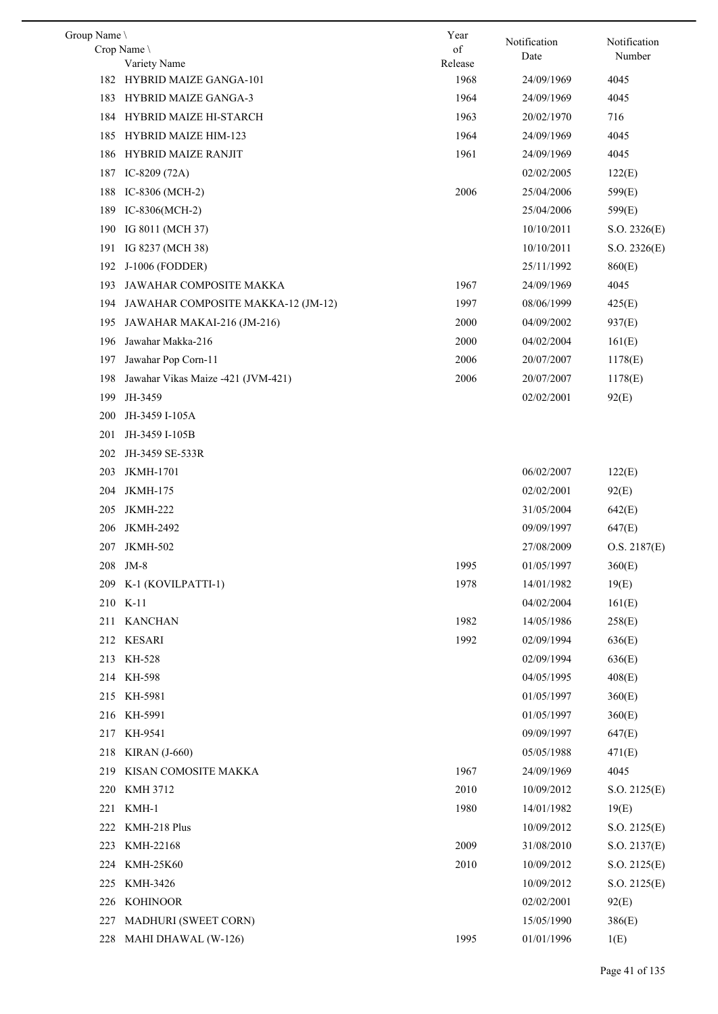| Group Name \ |                                    | Year    | Notification | Notification |
|--------------|------------------------------------|---------|--------------|--------------|
|              | Crop Name                          | of      | Date         | Number       |
|              | Variety Name                       | Release |              |              |
|              | 182 HYBRID MAIZE GANGA-101         | 1968    | 24/09/1969   | 4045         |
| 183          | <b>HYBRID MAIZE GANGA-3</b>        | 1964    | 24/09/1969   | 4045         |
| 184          | HYBRID MAIZE HI-STARCH             | 1963    | 20/02/1970   | 716          |
| 185          | <b>HYBRID MAIZE HIM-123</b>        | 1964    | 24/09/1969   | 4045         |
| 186          | <b>HYBRID MAIZE RANJIT</b>         | 1961    | 24/09/1969   | 4045         |
| 187          | IC-8209 $(72A)$                    |         | 02/02/2005   | 122(E)       |
| 188          | IC-8306 (MCH-2)                    | 2006    | 25/04/2006   | 599(E)       |
| 189          | IC-8306(MCH-2)                     |         | 25/04/2006   | 599(E)       |
| 190          | IG 8011 (MCH 37)                   |         | 10/10/2011   | S.O. 2326(E) |
| 191          | IG 8237 (MCH 38)                   |         | 10/10/2011   | S.O. 2326(E) |
| 192          | J-1006 (FODDER)                    |         | 25/11/1992   | 860(E)       |
| 193          | JAWAHAR COMPOSITE MAKKA            | 1967    | 24/09/1969   | 4045         |
| 194          | JAWAHAR COMPOSITE MAKKA-12 (JM-12) | 1997    | 08/06/1999   | 425(E)       |
| 195          | JAWAHAR MAKAI-216 (JM-216)         | 2000    | 04/09/2002   | 937(E)       |
| 196          | Jawahar Makka-216                  | 2000    | 04/02/2004   | 161(E)       |
| 197          | Jawahar Pop Corn-11                | 2006    | 20/07/2007   | 1178(E)      |
| 198          | Jawahar Vikas Maize -421 (JVM-421) | 2006    | 20/07/2007   | 1178(E)      |
| 199          | JH-3459                            |         | 02/02/2001   | 92(E)        |
| 200          | JH-3459 I-105A                     |         |              |              |
| 201          | JH-3459 I-105B                     |         |              |              |
| 202          | JH-3459 SE-533R                    |         |              |              |
| 203          | <b>JKMH-1701</b>                   |         | 06/02/2007   | 122(E)       |
| 204          | <b>JKMH-175</b>                    |         | 02/02/2001   | 92(E)        |
| 205          | <b>JKMH-222</b>                    |         | 31/05/2004   | 642(E)       |
| 206          | JKMH-2492                          |         | 09/09/1997   | 647(E)       |
| 207          | <b>JKMH-502</b>                    |         | 27/08/2009   | O.S. 2187(E) |
|              | 208 JM-8                           | 1995    | 01/05/1997   | 360(E)       |
|              | 209 K-1 (KOVILPATTI-1)             | 1978    | 14/01/1982   | 19(E)        |
|              | 210 K-11                           |         | 04/02/2004   | 161(E)       |
|              | 211 KANCHAN                        | 1982    | 14/05/1986   | 258(E)       |
|              | 212 KESARI                         | 1992    | 02/09/1994   |              |
|              |                                    |         |              | 636(E)       |
|              | 213 KH-528                         |         | 02/09/1994   | 636(E)       |
|              | 214 KH-598                         |         | 04/05/1995   | 408(E)       |
|              | 215 KH-5981                        |         | 01/05/1997   | 360(E)       |
|              | 216 KH-5991                        |         | 01/05/1997   | 360(E)       |
|              | 217 KH-9541                        |         | 09/09/1997   | 647(E)       |
| 218          | <b>KIRAN</b> (J-660)               |         | 05/05/1988   | 471(E)       |
| 219          | KISAN COMOSITE MAKKA               | 1967    | 24/09/1969   | 4045         |
| 220          | <b>KMH 3712</b>                    | 2010    | 10/09/2012   | S.O. 2125(E) |
|              | 221 KMH-1                          | 1980    | 14/01/1982   | 19(E)        |
| 222          | KMH-218 Plus                       |         | 10/09/2012   | S.O. 2125(E) |
| 223          | KMH-22168                          | 2009    | 31/08/2010   | S.O. 2137(E) |
|              | 224 KMH-25K60                      | 2010    | 10/09/2012   | S.O. 2125(E) |
| 225          | KMH-3426                           |         | 10/09/2012   | S.O. 2125(E) |
| 226          | KOHINOOR                           |         | 02/02/2001   | 92(E)        |
| 227          | MADHURI (SWEET CORN)               |         | 15/05/1990   | 386(E)       |
|              | 228 MAHI DHAWAL (W-126)            | 1995    | 01/01/1996   | 1(E)         |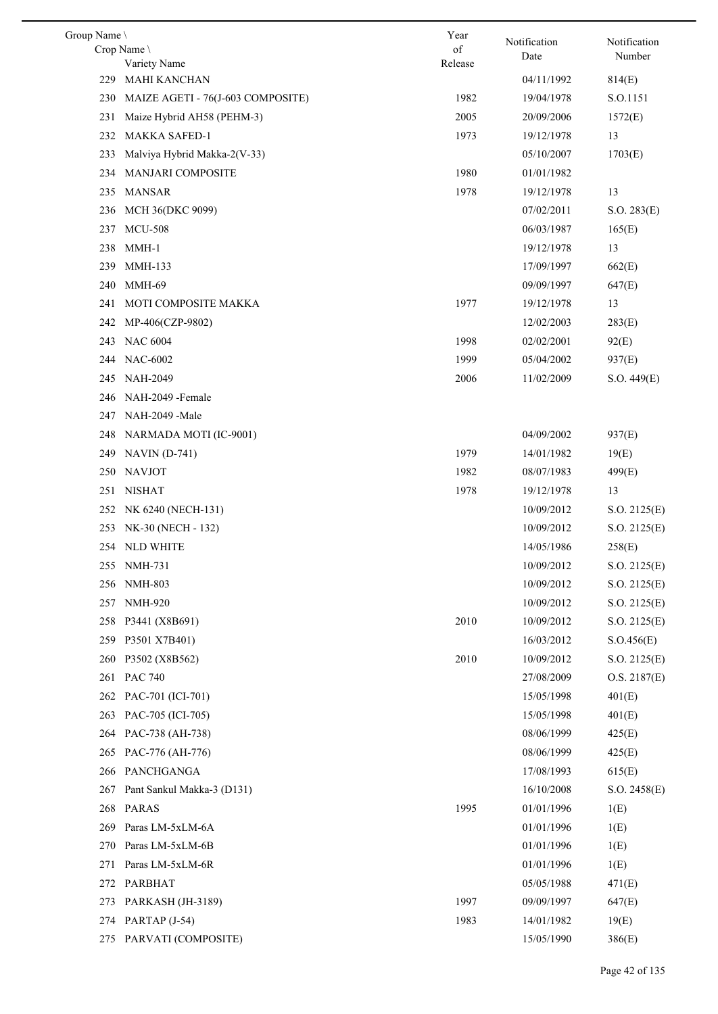| Group Name |                                   | Year    |                      | Notification |
|------------|-----------------------------------|---------|----------------------|--------------|
|            | Crop Name                         | of      | Notification<br>Date | Number       |
|            | Variety Name                      | Release |                      |              |
| 229        | MAHI KANCHAN                      |         | 04/11/1992           | 814(E)       |
| 230        | MAIZE AGETI - 76(J-603 COMPOSITE) | 1982    | 19/04/1978           | S.O.1151     |
| 231        | Maize Hybrid AH58 (PEHM-3)        | 2005    | 20/09/2006           | 1572(E)      |
| 232        | <b>MAKKA SAFED-1</b>              | 1973    | 19/12/1978           | 13           |
| 233        | Malviya Hybrid Makka-2(V-33)      |         | 05/10/2007           | 1703(E)      |
| 234        | MANJARI COMPOSITE                 | 1980    | 01/01/1982           |              |
| 235        | MANSAR                            | 1978    | 19/12/1978           | 13           |
| 236        | MCH 36(DKC 9099)                  |         | 07/02/2011           | S.O. 283(E)  |
| 237        | <b>MCU-508</b>                    |         | 06/03/1987           | 165(E)       |
| 238        | MMH-1                             |         | 19/12/1978           | 13           |
| 239        | <b>MMH-133</b>                    |         | 17/09/1997           | 662(E)       |
| 240        | <b>MMH-69</b>                     |         | 09/09/1997           | 647(E)       |
| 241        | MOTI COMPOSITE MAKKA              | 1977    | 19/12/1978           | 13           |
| 242        | MP-406(CZP-9802)                  |         | 12/02/2003           | 283(E)       |
| 243        | <b>NAC 6004</b>                   | 1998    | 02/02/2001           | 92(E)        |
| 244        | <b>NAC-6002</b>                   | 1999    | 05/04/2002           | 937(E)       |
| 245        | NAH-2049                          | 2006    | 11/02/2009           | S.O. 449(E)  |
| 246        | NAH-2049 - Female                 |         |                      |              |
| 247        | NAH-2049 -Male                    |         |                      |              |
| 248        | NARMADA MOTI (IC-9001)            |         | 04/09/2002           | 937(E)       |
| 249        | $NAVIN(D-741)$                    | 1979    | 14/01/1982           | 19(E)        |
| 250        | <b>NAVJOT</b>                     | 1982    | 08/07/1983           | 499(E)       |
| 251        | <b>NISHAT</b>                     | 1978    | 19/12/1978           | 13           |
| 252        | NK 6240 (NECH-131)                |         | 10/09/2012           | S.O. 2125(E) |
| 253        | NK-30 (NECH - 132)                |         | 10/09/2012           | S.O. 2125(E) |
|            | 254 NLD WHITE                     |         | 14/05/1986           | 258(E)       |
|            | 255 NMH-731                       |         | 10/09/2012           | S.O. 2125(E) |
| 256        | <b>NMH-803</b>                    |         | 10/09/2012           | S.O. 2125(E) |
| 257        | <b>NMH-920</b>                    |         | 10/09/2012           | S.O. 2125(E) |
| 258        | P3441 (X8B691)                    | 2010    | 10/09/2012           | S.O. 2125(E) |
| 259        | P3501 X7B401)                     |         | 16/03/2012           |              |
|            |                                   |         |                      | S. O.456(E)  |
| 260        | P3502 (X8B562)                    | 2010    | 10/09/2012           | S.O. 2125(E) |
|            | 261 PAC 740                       |         | 27/08/2009           | O.S. 2187(E) |
|            | 262 PAC-701 (ICI-701)             |         | 15/05/1998           | 401(E)       |
| 263        | PAC-705 (ICI-705)                 |         | 15/05/1998           | 401(E)       |
|            | 264 PAC-738 (AH-738)              |         | 08/06/1999           | 425(E)       |
| 265        | PAC-776 (AH-776)                  |         | 08/06/1999           | 425(E)       |
| 266        | PANCHGANGA                        |         | 17/08/1993           | 615(E)       |
| 267        | Pant Sankul Makka-3 (D131)        |         | 16/10/2008           | S.O. 2458(E) |
| 268        | <b>PARAS</b>                      | 1995    | 01/01/1996           | 1(E)         |
| 269        | Paras LM-5xLM-6A                  |         | 01/01/1996           | 1(E)         |
| 270        | Paras LM-5xLM-6B                  |         | 01/01/1996           | 1(E)         |
| 271        | Paras LM-5xLM-6R                  |         | 01/01/1996           | 1(E)         |
| 272        | PARBHAT                           |         | 05/05/1988           | 471(E)       |
| 273        | PARKASH (JH-3189)                 | 1997    | 09/09/1997           | 647(E)       |
|            | 274 PARTAP (J-54)                 | 1983    | 14/01/1982           | 19(E)        |
|            | 275 PARVATI (COMPOSITE)           |         | 15/05/1990           | 386(E)       |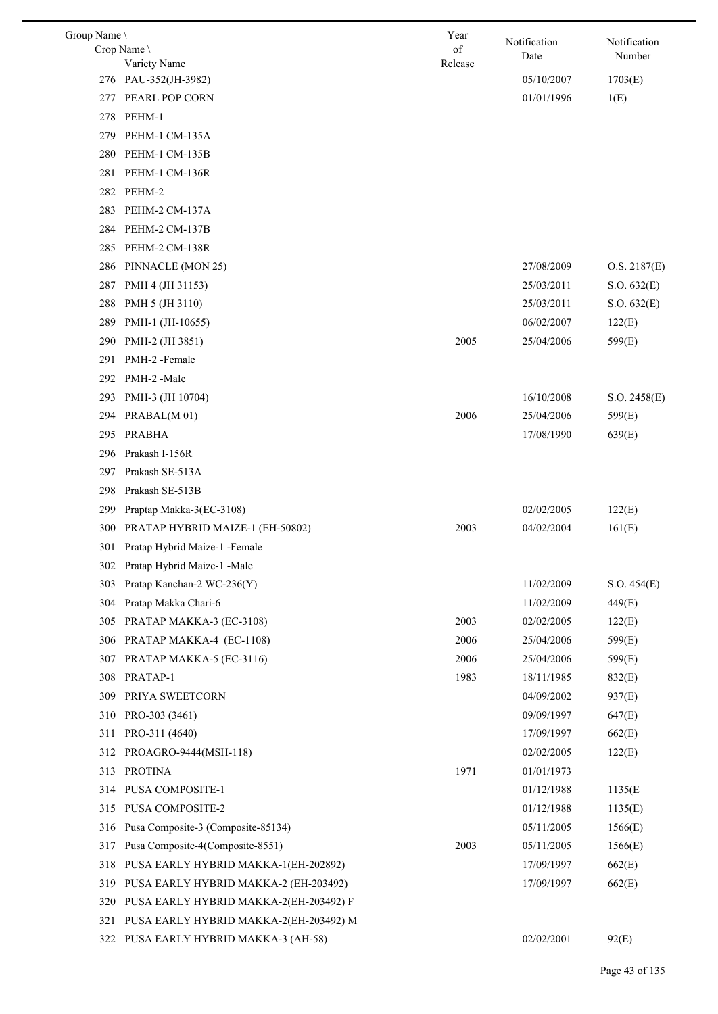| Group Name \ |                                        | Year          | Notification | Notification |
|--------------|----------------------------------------|---------------|--------------|--------------|
|              | Crop Name<br>Variety Name              | of<br>Release | Date         | Number       |
|              | 276 PAU-352(JH-3982)                   |               | 05/10/2007   | 1703(E)      |
| 277          | PEARL POP CORN                         |               | 01/01/1996   | 1(E)         |
| 278          | PEHM-1                                 |               |              |              |
| 279          | PEHM-1 CM-135A                         |               |              |              |
| 280          | PEHM-1 CM-135B                         |               |              |              |
| 281          | PEHM-1 CM-136R                         |               |              |              |
|              | 282 PEHM-2                             |               |              |              |
| 283          | PEHM-2 CM-137A                         |               |              |              |
| 284          | PEHM-2 CM-137B                         |               |              |              |
| 285          | PEHM-2 CM-138R                         |               |              |              |
| 286          | PINNACLE (MON 25)                      |               | 27/08/2009   | O.S. 2187(E) |
| 287          | PMH 4 (JH 31153)                       |               | 25/03/2011   | S.O. 632(E)  |
| 288          | PMH 5 (JH 3110)                        |               | 25/03/2011   | S.O. 632(E)  |
| 289          | PMH-1 (JH-10655)                       |               | 06/02/2007   | 122(E)       |
| 290          | PMH-2 (JH 3851)                        | 2005          | 25/04/2006   | 599(E)       |
| 291          | PMH-2-Female                           |               |              |              |
| 292          | PMH-2-Male                             |               |              |              |
| 293          | PMH-3 (JH 10704)                       |               | 16/10/2008   | S.O. 2458(E) |
| 294          | PRABAL(M 01)                           | 2006          | 25/04/2006   | 599(E)       |
| 295          | <b>PRABHA</b>                          |               | 17/08/1990   | 639(E)       |
| 296          | Prakash I-156R                         |               |              |              |
| 297          | Prakash SE-513A                        |               |              |              |
| 298          | Prakash SE-513B                        |               |              |              |
| 299          | Praptap Makka-3(EC-3108)               |               | 02/02/2005   | 122(E)       |
| 300          | PRATAP HYBRID MAIZE-1 (EH-50802)       | 2003          | 04/02/2004   | 161(E)       |
| 301          | Pratap Hybrid Maize-1 -Female          |               |              |              |
|              | 302 Pratap Hybrid Maize-1 -Male        |               |              |              |
| 303          | Pratap Kanchan-2 WC-236(Y)             |               | 11/02/2009   | S.O. 454(E)  |
| 304          | Pratap Makka Chari-6                   |               | 11/02/2009   | 449(E)       |
| 305          | PRATAP MAKKA-3 (EC-3108)               | 2003          | 02/02/2005   | 122(E)       |
| 306          | PRATAP MAKKA-4 (EC-1108)               | 2006          | 25/04/2006   | 599(E)       |
| 307          | PRATAP MAKKA-5 (EC-3116)               | 2006          | 25/04/2006   | 599(E)       |
| 308          | PRATAP-1                               | 1983          | 18/11/1985   | 832(E)       |
| 309          | PRIYA SWEETCORN                        |               | 04/09/2002   | 937(E)       |
| 310          | PRO-303 (3461)                         |               | 09/09/1997   | 647(E)       |
| 311          | PRO-311 (4640)                         |               | 17/09/1997   | 662(E)       |
| 312          | PROAGRO-9444(MSH-118)                  |               | 02/02/2005   | 122(E)       |
| 313          | <b>PROTINA</b>                         | 1971          | 01/01/1973   |              |
| 314          | PUSA COMPOSITE-1                       |               | 01/12/1988   | 1135(E       |
| 315          | PUSA COMPOSITE-2                       |               | 01/12/1988   | 1135(E)      |
| 316          | Pusa Composite-3 (Composite-85134)     |               | 05/11/2005   | 1566(E)      |
| 317          | Pusa Composite-4(Composite-8551)       | 2003          | 05/11/2005   | 1566(E)      |
| 318          | PUSA EARLY HYBRID MAKKA-1(EH-202892)   |               | 17/09/1997   | 662(E)       |
| 319          | PUSA EARLY HYBRID MAKKA-2 (EH-203492)  |               | 17/09/1997   | 662(E)       |
| 320          | PUSA EARLY HYBRID MAKKA-2(EH-203492) F |               |              |              |
|              |                                        |               |              |              |
| 321          | PUSA EARLY HYBRID MAKKA-2(EH-203492) M |               | 02/02/2001   |              |
| 322          | PUSA EARLY HYBRID MAKKA-3 (AH-58)      |               |              | 92(E)        |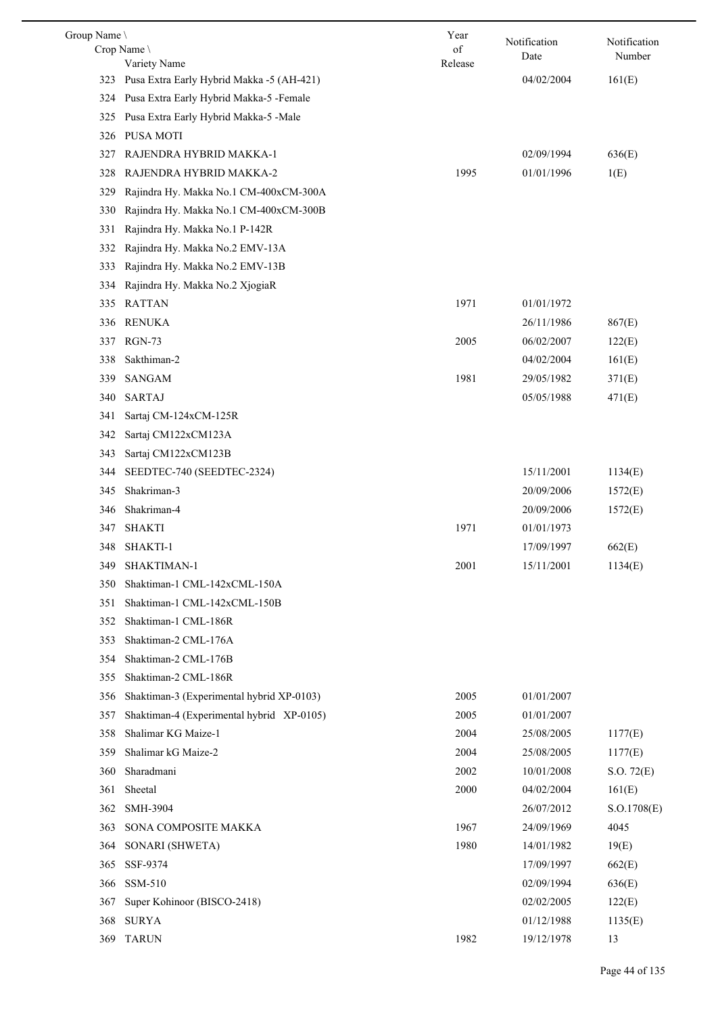| Group Name | Crop Name                                     | Year<br>of | Notification | Notification |
|------------|-----------------------------------------------|------------|--------------|--------------|
|            | Variety Name                                  | Release    | Date         | Number       |
|            | 323 Pusa Extra Early Hybrid Makka -5 (AH-421) |            | 04/02/2004   | 161(E)       |
| 324        | Pusa Extra Early Hybrid Makka-5 -Female       |            |              |              |
| 325        | Pusa Extra Early Hybrid Makka-5 -Male         |            |              |              |
| 326        | <b>PUSA MOTI</b>                              |            |              |              |
| 327        | RAJENDRA HYBRID MAKKA-1                       |            | 02/09/1994   | 636(E)       |
| 328        | RAJENDRA HYBRID MAKKA-2                       | 1995       | 01/01/1996   | 1(E)         |
| 329        | Rajindra Hy. Makka No.1 CM-400xCM-300A        |            |              |              |
| 330        | Rajindra Hy. Makka No.1 CM-400xCM-300B        |            |              |              |
| 331        | Rajindra Hy. Makka No.1 P-142R                |            |              |              |
| 332        | Rajindra Hy. Makka No.2 EMV-13A               |            |              |              |
| 333        | Rajindra Hy. Makka No.2 EMV-13B               |            |              |              |
| 334        | Rajindra Hy. Makka No.2 XjogiaR               |            |              |              |
| 335        | <b>RATTAN</b>                                 | 1971       | 01/01/1972   |              |
| 336        | <b>RENUKA</b>                                 |            | 26/11/1986   | 867(E)       |
| 337        | <b>RGN-73</b>                                 | 2005       | 06/02/2007   | 122(E)       |
| 338        | Sakthiman-2                                   |            | 04/02/2004   | 161(E)       |
| 339        | <b>SANGAM</b>                                 | 1981       | 29/05/1982   | 371(E)       |
| 340        | <b>SARTAJ</b>                                 |            | 05/05/1988   | 471(E)       |
| 341        | Sartaj CM-124xCM-125R                         |            |              |              |
| 342        | Sartaj CM122xCM123A                           |            |              |              |
| 343        | Sartaj CM122xCM123B                           |            |              |              |
| 344        | SEEDTEC-740 (SEEDTEC-2324)                    |            | 15/11/2001   | 1134(E)      |
| 345        | Shakriman-3                                   |            | 20/09/2006   | 1572(E)      |
| 346        | Shakriman-4                                   |            | 20/09/2006   | 1572(E)      |
| 347        | <b>SHAKTI</b>                                 | 1971       | 01/01/1973   |              |
| 348        | SHAKTI-1                                      |            | 17/09/1997   | 662(E)       |
| 349        | SHAKTIMAN-1                                   | 2001       | 15/11/2001   | 1134(E)      |
| 350        | Shaktiman-1 CML-142xCML-150A                  |            |              |              |
| 351        | Shaktiman-1 CML-142xCML-150B                  |            |              |              |
| 352        | Shaktiman-1 CML-186R                          |            |              |              |
| 353        | Shaktiman-2 CML-176A                          |            |              |              |
| 354        | Shaktiman-2 CML-176B                          |            |              |              |
| 355        | Shaktiman-2 CML-186R                          |            |              |              |
| 356        | Shaktiman-3 (Experimental hybrid XP-0103)     | 2005       | 01/01/2007   |              |
| 357        | Shaktiman-4 (Experimental hybrid XP-0105)     | 2005       | 01/01/2007   |              |
| 358        | Shalimar KG Maize-1                           | 2004       | 25/08/2005   | 1177(E)      |
| 359        | Shalimar kG Maize-2                           | 2004       | 25/08/2005   | 1177(E)      |
| 360        | Sharadmani                                    | 2002       | 10/01/2008   | S.O. 72(E)   |
| 361        | Sheetal                                       | 2000       | 04/02/2004   | 161(E)       |
| 362        | SMH-3904                                      |            | 26/07/2012   | S. O.1708(E) |
| 363        | SONA COMPOSITE MAKKA                          | 1967       | 24/09/1969   | 4045         |
| 364        | SONARI (SHWETA)                               | 1980       | 14/01/1982   | 19(E)        |
| 365        | SSF-9374                                      |            | 17/09/1997   | 662(E)       |
| 366        | SSM-510                                       |            | 02/09/1994   | 636(E)       |
| 367        | Super Kohinoor (BISCO-2418)                   |            | 02/02/2005   | 122(E)       |
| 368        | <b>SURYA</b>                                  |            | 01/12/1988   | 1135(E)      |
| 369        | <b>TARUN</b>                                  | 1982       | 19/12/1978   | 13           |

 $\overline{\phantom{0}}$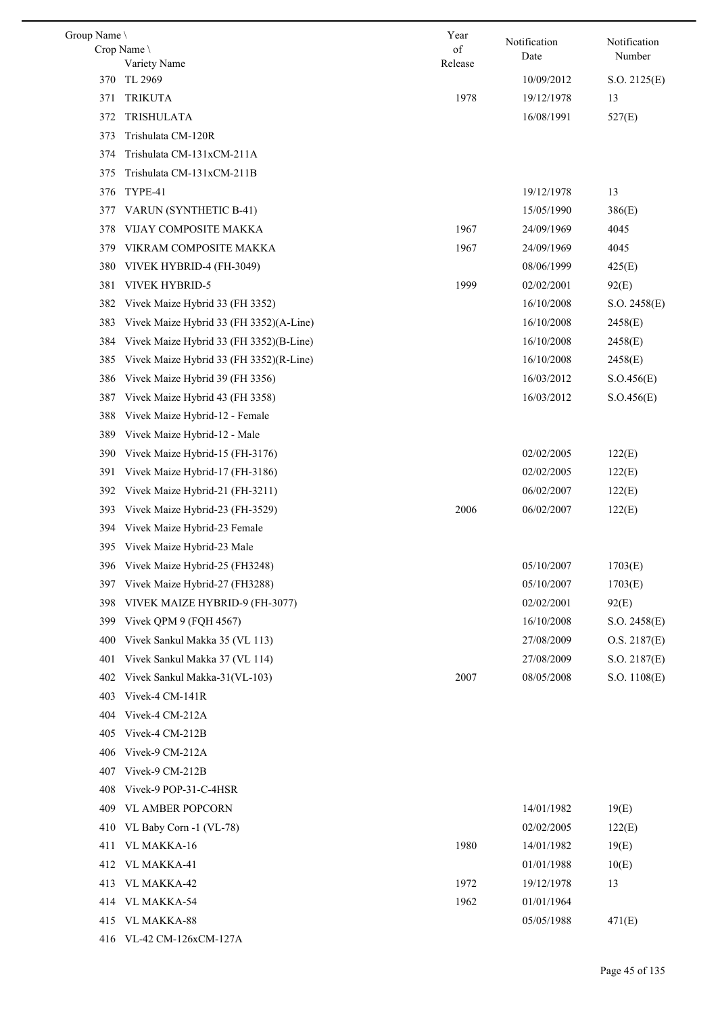| Group Name \ |                                         | Year          | Notification | Notification |
|--------------|-----------------------------------------|---------------|--------------|--------------|
|              | Crop Name \<br>Variety Name             | of<br>Release | Date         | Number       |
| 370          | TL 2969                                 |               | 10/09/2012   | S.O. 2125(E) |
| 371          | <b>TRIKUTA</b>                          | 1978          | 19/12/1978   | 13           |
| 372          | <b>TRISHULATA</b>                       |               | 16/08/1991   | 527(E)       |
| 373          | Trishulata CM-120R                      |               |              |              |
| 374          | Trishulata CM-131xCM-211A               |               |              |              |
| 375          | Trishulata CM-131xCM-211B               |               |              |              |
| 376          | TYPE-41                                 |               | 19/12/1978   | 13           |
| 377          | VARUN (SYNTHETIC B-41)                  |               | 15/05/1990   | 386(E)       |
| 378          | VIJAY COMPOSITE MAKKA                   | 1967          | 24/09/1969   | 4045         |
| 379          | VIKRAM COMPOSITE MAKKA                  | 1967          | 24/09/1969   | 4045         |
| 380          | VIVEK HYBRID-4 (FH-3049)                |               | 08/06/1999   | 425(E)       |
| 381          | VIVEK HYBRID-5                          | 1999          | 02/02/2001   | 92(E)        |
| 382          | Vivek Maize Hybrid 33 (FH 3352)         |               | 16/10/2008   | S.O. 2458(E) |
| 383          | Vivek Maize Hybrid 33 (FH 3352)(A-Line) |               | 16/10/2008   | 2458(E)      |
| 384          | Vivek Maize Hybrid 33 (FH 3352)(B-Line) |               | 16/10/2008   | 2458(E)      |
| 385          | Vivek Maize Hybrid 33 (FH 3352)(R-Line) |               | 16/10/2008   | 2458(E)      |
| 386          | Vivek Maize Hybrid 39 (FH 3356)         |               | 16/03/2012   | S. O.456(E)  |
| 387          | Vivek Maize Hybrid 43 (FH 3358)         |               | 16/03/2012   | S. O.456(E)  |
| 388          | Vivek Maize Hybrid-12 - Female          |               |              |              |
| 389          | Vivek Maize Hybrid-12 - Male            |               |              |              |
| 390          | Vivek Maize Hybrid-15 (FH-3176)         |               | 02/02/2005   | 122(E)       |
| 391          | Vivek Maize Hybrid-17 (FH-3186)         |               | 02/02/2005   | 122(E)       |
| 392          | Vivek Maize Hybrid-21 (FH-3211)         |               | 06/02/2007   | 122(E)       |
| 393          | Vivek Maize Hybrid-23 (FH-3529)         | 2006          | 06/02/2007   | 122(E)       |
| 394          | Vivek Maize Hybrid-23 Female            |               |              |              |
|              | 395 Vivek Maize Hybrid-23 Male          |               |              |              |
| 396          | Vivek Maize Hybrid-25 (FH3248)          |               | 05/10/2007   | 1703(E)      |
| 397          | Vivek Maize Hybrid-27 (FH3288)          |               | 05/10/2007   | 1703(E)      |
| 398          | VIVEK MAIZE HYBRID-9 (FH-3077)          |               | 02/02/2001   | 92(E)        |
| 399          | Vivek QPM 9 (FQH 4567)                  |               | 16/10/2008   | S.O. 2458(E) |
| 400          | Vivek Sankul Makka 35 (VL 113)          |               | 27/08/2009   | O.S. 2187(E) |
| 401          | Vivek Sankul Makka 37 (VL 114)          |               | 27/08/2009   | S.O. 2187(E) |
| 402          | Vivek Sankul Makka-31(VL-103)           | 2007          | 08/05/2008   | S.O. 1108(E) |
| 403          | Vivek-4 CM-141R                         |               |              |              |
| 404          | Vivek-4 CM-212A                         |               |              |              |
| 405          | Vivek-4 CM-212B                         |               |              |              |
| 406          | Vivek-9 CM-212A                         |               |              |              |
| 407          | Vivek-9 CM-212B                         |               |              |              |
| 408          | Vivek-9 POP-31-C-4HSR                   |               |              |              |
| 409          | <b>VL AMBER POPCORN</b>                 |               | 14/01/1982   | 19(E)        |
| 410          | VL Baby Corn -1 (VL-78)                 |               | 02/02/2005   | 122(E)       |
| 411          | VL MAKKA-16                             | 1980          | 14/01/1982   | 19(E)        |
| 412          | VL MAKKA-41                             |               | 01/01/1988   | 10(E)        |
| 413          | VL MAKKA-42                             | 1972          | 19/12/1978   | 13           |
| 414          | VL MAKKA-54                             | 1962          | 01/01/1964   |              |
| 415          | VL MAKKA-88                             |               | 05/05/1988   | 471(E)       |
| 416          | VL-42 CM-126xCM-127A                    |               |              |              |
|              |                                         |               |              |              |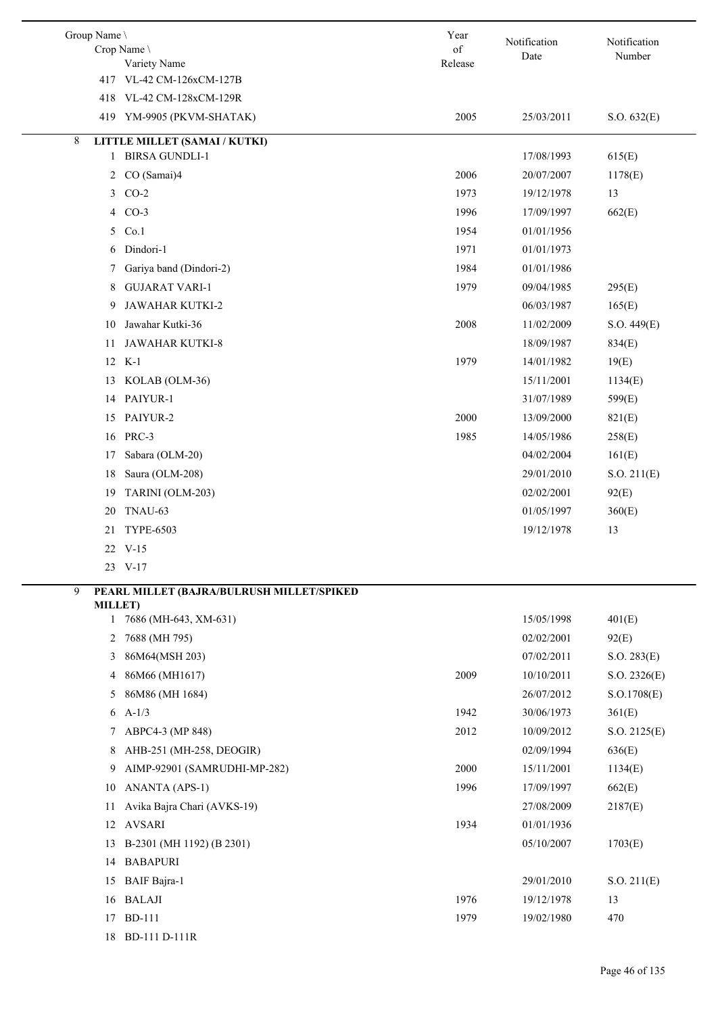| Group Name \   | Crop Name                                 | Year<br>$% \left( \left( \mathcal{A},\mathcal{A}\right) \right) =\left( \mathcal{A},\mathcal{A}\right)$ of | Notification | Notification |
|----------------|-------------------------------------------|------------------------------------------------------------------------------------------------------------|--------------|--------------|
|                | Variety Name                              | Release                                                                                                    | Date         | Number       |
|                | 417 VL-42 CM-126xCM-127B                  |                                                                                                            |              |              |
|                | 418 VL-42 CM-128xCM-129R                  |                                                                                                            |              |              |
|                | 419 YM-9905 (PKVM-SHATAK)                 | 2005                                                                                                       | 25/03/2011   | S.O. 632(E)  |
| 8              | LITTLE MILLET (SAMAI / KUTKI)             |                                                                                                            |              |              |
| 1              | <b>BIRSA GUNDLI-1</b>                     |                                                                                                            | 17/08/1993   | 615(E)       |
| $\overline{2}$ | CO (Samai)4                               | 2006                                                                                                       | 20/07/2007   | 1178(E)      |
|                | 3 CO-2                                    | 1973                                                                                                       | 19/12/1978   | 13           |
|                | 4 CO-3                                    | 1996                                                                                                       | 17/09/1997   | 662(E)       |
| 5              | Co.1                                      | 1954                                                                                                       | 01/01/1956   |              |
| 6              | Dindori-1                                 | 1971                                                                                                       | 01/01/1973   |              |
| 7              | Gariya band (Dindori-2)                   | 1984                                                                                                       | 01/01/1986   |              |
| 8              | <b>GUJARAT VARI-1</b>                     | 1979                                                                                                       | 09/04/1985   | 295(E)       |
| 9              | <b>JAWAHAR KUTKI-2</b>                    |                                                                                                            | 06/03/1987   | 165(E)       |
| 10             | Jawahar Kutki-36                          | 2008                                                                                                       | 11/02/2009   | S.O. 449(E)  |
| 11             | <b>JAWAHAR KUTKI-8</b>                    |                                                                                                            | 18/09/1987   | 834(E)       |
|                | 12 K-1                                    | 1979                                                                                                       | 14/01/1982   | 19(E)        |
| 13             | KOLAB (OLM-36)                            |                                                                                                            | 15/11/2001   | 1134(E)      |
|                | 14 PAIYUR-1                               |                                                                                                            | 31/07/1989   | 599(E)       |
| 15             | PAIYUR-2                                  | 2000                                                                                                       | 13/09/2000   | 821(E)       |
|                | 16 PRC-3                                  | 1985                                                                                                       | 14/05/1986   | 258(E)       |
| 17             | Sabara (OLM-20)                           |                                                                                                            | 04/02/2004   | 161(E)       |
| 18             | Saura (OLM-208)                           |                                                                                                            | 29/01/2010   | S.O. 211(E)  |
| 19             | TARINI (OLM-203)                          |                                                                                                            | 02/02/2001   | 92(E)        |
| 20             | TNAU-63                                   |                                                                                                            | 01/05/1997   | 360(E)       |
| 21             | <b>TYPE-6503</b>                          |                                                                                                            | 19/12/1978   | 13           |
|                | 22 V-15                                   |                                                                                                            |              |              |
|                | 23 V-17                                   |                                                                                                            |              |              |
| 9              | PEARL MILLET (BAJRA/BULRUSH MILLET/SPIKED |                                                                                                            |              |              |
|                | <b>MILLET)</b>                            |                                                                                                            |              |              |
|                | 7686 (MH-643, XM-631)<br>$\mathbf{1}$     |                                                                                                            | 15/05/1998   | 401(E)       |
| 2              | 7688 (MH 795)                             |                                                                                                            | 02/02/2001   | 92(E)        |
| 3              | 86M64(MSH 203)<br>86M66 (MH1617)          | 2009                                                                                                       | 07/02/2011   | S.O. 283(E)  |
| 4              |                                           |                                                                                                            | 10/10/2011   | S.O. 2326(E) |
| 5              | 86M86 (MH 1684)                           |                                                                                                            | 26/07/2012   | S.O.1708(E)  |
| 6              | $A-1/3$                                   | 1942                                                                                                       | 30/06/1973   | 361(E)       |
| 7              | ABPC4-3 (MP 848)                          | 2012                                                                                                       | 10/09/2012   | S.O. 2125(E) |
| 8              | AHB-251 (MH-258, DEOGIR)                  |                                                                                                            | 02/09/1994   | 636(E)       |
| 9              | AIMP-92901 (SAMRUDHI-MP-282)              | 2000                                                                                                       | 15/11/2001   | 1134(E)      |
| 10             | ANANTA (APS-1)                            | 1996                                                                                                       | 17/09/1997   | 662(E)       |
| 11             | Avika Bajra Chari (AVKS-19)               |                                                                                                            | 27/08/2009   | 2187(E)      |
|                | 12 AVSARI                                 | 1934                                                                                                       | 01/01/1936   |              |
| 13             | B-2301 (MH 1192) (B 2301)                 |                                                                                                            | 05/10/2007   | 1703(E)      |
|                | 14 BABAPURI                               |                                                                                                            |              |              |
| 15             | <b>BAIF</b> Bajra-1                       |                                                                                                            | 29/01/2010   | S.O. 211(E)  |
|                | 16 BALAJI                                 | 1976                                                                                                       | 19/12/1978   | 13           |
| 17             | <b>BD-111</b>                             | 1979                                                                                                       | 19/02/1980   | 470          |
|                | 18 BD-111 D-111R                          |                                                                                                            |              |              |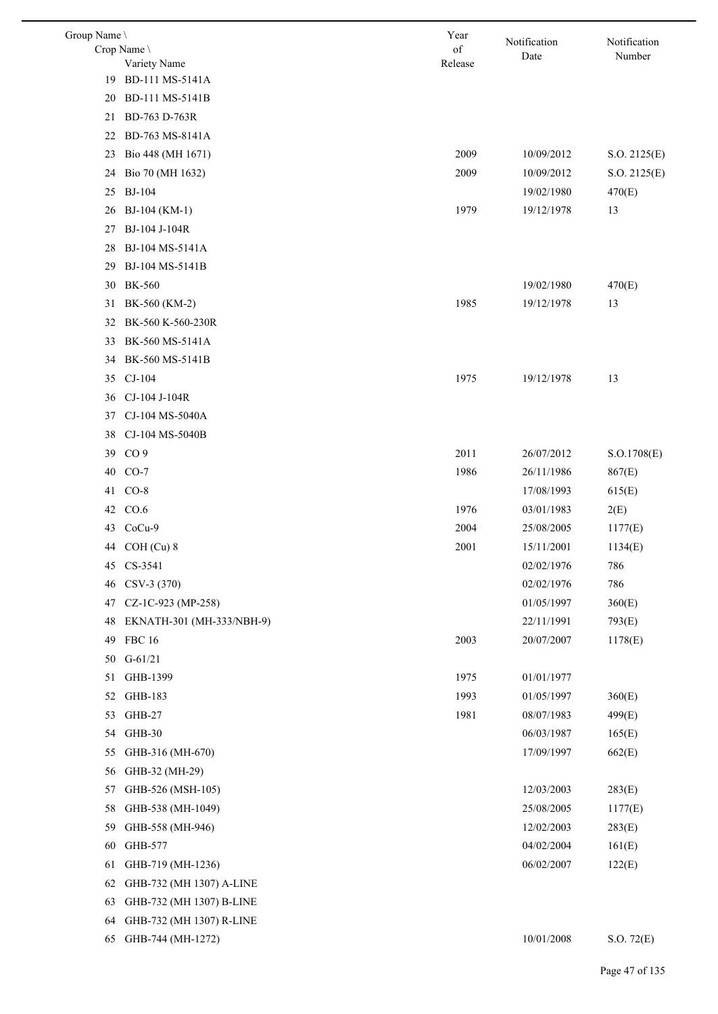| Group Name \ |                                 | Year    | Notification | Notification |
|--------------|---------------------------------|---------|--------------|--------------|
|              | Crop Name \                     | of      | Date         | Number       |
| 19           | Variety Name<br>BD-111 MS-5141A | Release |              |              |
| 20           | BD-111 MS-5141B                 |         |              |              |
| 21           | BD-763 D-763R                   |         |              |              |
| 22           | BD-763 MS-8141A                 |         |              |              |
| 23           | Bio 448 (MH 1671)               | 2009    | 10/09/2012   | S.O. 2125(E) |
| 24           | Bio 70 (MH 1632)                | 2009    | 10/09/2012   | S.O. 2125(E) |
| 25           | <b>BJ-104</b>                   |         | 19/02/1980   | 470(E)       |
| 26           | BJ-104 (KM-1)                   | 1979    | 19/12/1978   | 13           |
| 27           | BJ-104 J-104R                   |         |              |              |
| 28           | BJ-104 MS-5141A                 |         |              |              |
| 29           | BJ-104 MS-5141B                 |         |              |              |
| 30           | <b>BK-560</b>                   |         | 19/02/1980   | 470(E)       |
| 31           | BK-560 (KM-2)                   | 1985    | 19/12/1978   | 13           |
| 32           | BK-560 K-560-230R               |         |              |              |
| 33           | BK-560 MS-5141A                 |         |              |              |
| 34           | BK-560 MS-5141B                 |         |              |              |
| 35           | $CJ-104$                        | 1975    | 19/12/1978   | 13           |
| 36           | CJ-104 J-104R                   |         |              |              |
| 37           | CJ-104 MS-5040A                 |         |              |              |
| 38           | CJ-104 MS-5040B                 |         |              |              |
| 39           | CO <sub>9</sub>                 | 2011    | 26/07/2012   | S.O.1708(E)  |
| 40           | $CO-7$                          | 1986    | 26/11/1986   | 867(E)       |
| 41           | $CO-8$                          |         | 17/08/1993   | 615(E)       |
| 42           | CO.6                            | 1976    | 03/01/1983   | 2(E)         |
| 43           | $CoCu-9$                        | 2004    | 25/08/2005   | 1177(E)      |
|              | 44 COH (Cu) 8                   | 2001    | 15/11/2001   | 1134(E)      |
|              | 45 CS-3541                      |         | 02/02/1976   | 786          |
| 46           | CSV-3 (370)                     |         | 02/02/1976   | 786          |
| 47           | CZ-1C-923 (MP-258)              |         | 01/05/1997   | 360(E)       |
| 48           | EKNATH-301 (MH-333/NBH-9)       |         | 22/11/1991   | 793(E)       |
| 49           | <b>FBC 16</b>                   | 2003    | 20/07/2007   | 1178(E)      |
| 50           | $G-61/21$                       |         |              |              |
| 51           | GHB-1399                        | 1975    | 01/01/1977   |              |
| 52           | GHB-183                         | 1993    | 01/05/1997   | 360(E)       |
| 53           | GHB-27                          | 1981    | 08/07/1983   | 499(E)       |
| 54           | GHB-30                          |         | 06/03/1987   | 165(E)       |
| 55           | GHB-316 (MH-670)                |         | 17/09/1997   | 662(E)       |
| 56           | GHB-32 (MH-29)                  |         |              |              |
| 57           | GHB-526 (MSH-105)               |         | 12/03/2003   | 283(E)       |
| 58           | GHB-538 (MH-1049)               |         | 25/08/2005   | 1177(E)      |
| 59           | GHB-558 (MH-946)                |         | 12/02/2003   | 283(E)       |
| 60           | GHB-577                         |         | 04/02/2004   | 161(E)       |
| 61           | GHB-719 (MH-1236)               |         | 06/02/2007   | 122(E)       |
| 62           | GHB-732 (MH 1307) A-LINE        |         |              |              |
| 63           | GHB-732 (MH 1307) B-LINE        |         |              |              |
| 64           | GHB-732 (MH 1307) R-LINE        |         |              |              |
| 65           | GHB-744 (MH-1272)               |         | 10/01/2008   | S.O. 72(E)   |
|              |                                 |         |              |              |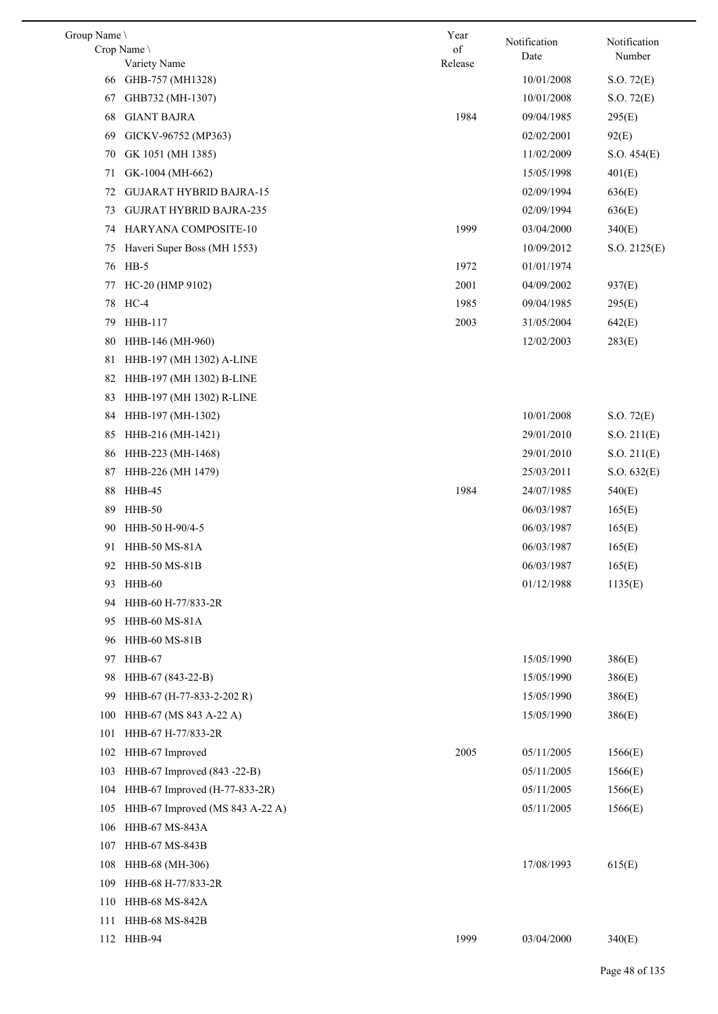| Group Name |                                 | Year          | Notification | Notification |
|------------|---------------------------------|---------------|--------------|--------------|
|            | Crop Name<br>Variety Name       | of<br>Release | Date         | Number       |
| 66         | GHB-757 (MH1328)                |               | 10/01/2008   | S.O. 72(E)   |
| 67         | GHB732 (MH-1307)                |               | 10/01/2008   | S.O. 72(E)   |
| 68         | <b>GIANT BAJRA</b>              | 1984          | 09/04/1985   | 295(E)       |
| 69         | GICKV-96752 (MP363)             |               | 02/02/2001   | 92(E)        |
| 70         | GK 1051 (MH 1385)               |               | 11/02/2009   | S.O. 454(E)  |
| 71         | GK-1004 (MH-662)                |               | 15/05/1998   | 401(E)       |
| 72         | <b>GUJARAT HYBRID BAJRA-15</b>  |               | 02/09/1994   | 636(E)       |
| 73         | <b>GUJRAT HYBRID BAJRA-235</b>  |               | 02/09/1994   | 636(E)       |
| 74         | HARYANA COMPOSITE-10            | 1999          | 03/04/2000   | 340(E)       |
| 75         | Haveri Super Boss (MH 1553)     |               | 10/09/2012   | S.O. 2125(E) |
| 76         | $HB-5$                          | 1972          | 01/01/1974   |              |
| 77         | HC-20 (HMP 9102)                | 2001          | 04/09/2002   | 937(E)       |
| 78         | HC-4                            | 1985          | 09/04/1985   | 295(E)       |
| 79         | HHB-117                         | 2003          | 31/05/2004   | 642(E)       |
| 80         | HHB-146 (MH-960)                |               | 12/02/2003   | 283(E)       |
| 81         | HHB-197 (MH 1302) A-LINE        |               |              |              |
| 82         | HHB-197 (MH 1302) B-LINE        |               |              |              |
| 83         | HHB-197 (MH 1302) R-LINE        |               |              |              |
| 84         | HHB-197 (MH-1302)               |               | 10/01/2008   | S.O. 72(E)   |
| 85         | HHB-216 (MH-1421)               |               | 29/01/2010   | S.O. 211(E)  |
| 86         | HHB-223 (MH-1468)               |               | 29/01/2010   | S.O. 211(E)  |
| 87         | HHB-226 (MH 1479)               |               | 25/03/2011   | S.O. 632(E)  |
| 88         | HHB-45                          | 1984          | 24/07/1985   | 540(E)       |
| 89         | HHB-50                          |               | 06/03/1987   | 165(E)       |
| 90         | HHB-50 H-90/4-5                 |               | 06/03/1987   | 165(E)       |
| 91         | HHB-50 MS-81A                   |               | 06/03/1987   | 165(E)       |
|            | 92 HHB-50 MS-81B                |               | 06/03/1987   | 165(E)       |
| 93.        | HHB-60                          |               | 01/12/1988   | 1135(E)      |
| 94         | HHB-60 H-77/833-2R              |               |              |              |
| 95         | HHB-60 MS-81A                   |               |              |              |
| 96         | HHB-60 MS-81B                   |               |              |              |
| 97         | HHB-67                          |               | 15/05/1990   | 386(E)       |
| 98         | HHB-67 (843-22-B)               |               | 15/05/1990   | 386(E)       |
| 99         | HHB-67 (H-77-833-2-202 R)       |               | 15/05/1990   | 386(E)       |
| 100        | HHB-67 (MS 843 A-22 A)          |               | 15/05/1990   | 386(E)       |
| 101        | HHB-67 H-77/833-2R              |               |              |              |
| 102        | HHB-67 Improved                 | 2005          | 05/11/2005   | 1566(E)      |
| 103        | HHB-67 Improved (843 -22-B)     |               | 05/11/2005   | 1566(E)      |
| 104        | HHB-67 Improved (H-77-833-2R)   |               | 05/11/2005   | 1566(E)      |
| 105        | HHB-67 Improved (MS 843 A-22 A) |               | 05/11/2005   | 1566(E)      |
| 106        | HHB-67 MS-843A                  |               |              |              |
| 107        | HHB-67 MS-843B                  |               |              |              |
| 108        | HHB-68 (MH-306)                 |               | 17/08/1993   | 615(E)       |
| 109        | HHB-68 H-77/833-2R              |               |              |              |
| 110        | HHB-68 MS-842A                  |               |              |              |
| 111        | HHB-68 MS-842B                  |               |              |              |
| 112        | HHB-94                          | 1999          | 03/04/2000   | 340(E)       |
|            |                                 |               |              |              |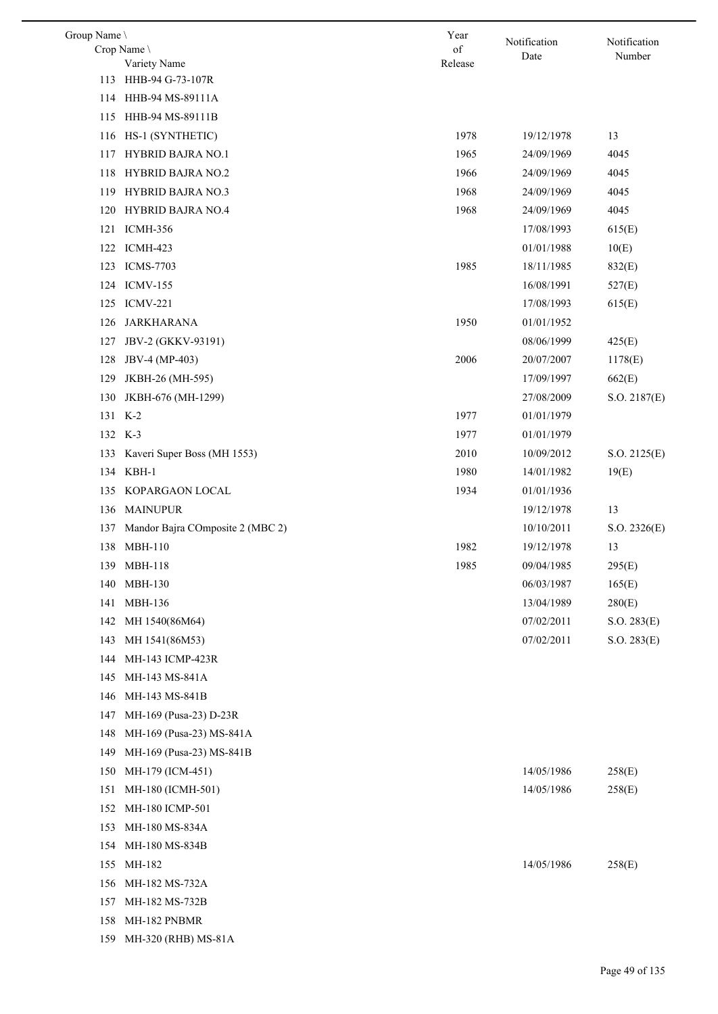| Group Name \ |                                  | Year    |                      | Notification |
|--------------|----------------------------------|---------|----------------------|--------------|
|              | Crop Name                        | of      | Notification<br>Date | Number       |
|              | Variety Name                     | Release |                      |              |
|              | 113 HHB-94 G-73-107R             |         |                      |              |
|              | 114 HHB-94 MS-89111A             |         |                      |              |
| 115          | HHB-94 MS-89111B                 |         |                      |              |
| 116          | HS-1 (SYNTHETIC)                 | 1978    | 19/12/1978           | 13           |
| 117          | <b>HYBRID BAJRA NO.1</b>         | 1965    | 24/09/1969           | 4045         |
| 118          | HYBRID BAJRA NO.2                | 1966    | 24/09/1969           | 4045         |
| 119          | HYBRID BAJRA NO.3                | 1968    | 24/09/1969           | 4045         |
| 120          | HYBRID BAJRA NO.4                | 1968    | 24/09/1969           | 4045         |
| 121          | <b>ICMH-356</b>                  |         | 17/08/1993           | 615(E)       |
|              | 122 ICMH-423                     |         | 01/01/1988           | 10(E)        |
| 123          | <b>ICMS-7703</b>                 | 1985    | 18/11/1985           | 832(E)       |
| 124          | <b>ICMV-155</b>                  |         | 16/08/1991           | 527(E)       |
| 125          | <b>ICMV-221</b>                  |         | 17/08/1993           | 615(E)       |
| 126          | <b>JARKHARANA</b>                | 1950    | 01/01/1952           |              |
| 127          | JBV-2 (GKKV-93191)               |         | 08/06/1999           | 425(E)       |
| 128          | JBV-4 (MP-403)                   | 2006    | 20/07/2007           | 1178(E)      |
| 129          | JKBH-26 (MH-595)                 |         | 17/09/1997           | 662(E)       |
| 130          | JKBH-676 (MH-1299)               |         | 27/08/2009           | S.O. 2187(E) |
|              | 131 K-2                          | 1977    | 01/01/1979           |              |
|              | 132 K-3                          | 1977    | 01/01/1979           |              |
| 133          | Kaveri Super Boss (MH 1553)      | 2010    | 10/09/2012           | S.O. 2125(E) |
|              | 134 KBH-1                        | 1980    | 14/01/1982           | 19(E)        |
| 135          | KOPARGAON LOCAL                  | 1934    | 01/01/1936           |              |
|              | 136 MAINUPUR                     |         | 19/12/1978           | 13           |
| 137          | Mandor Bajra COmposite 2 (MBC 2) |         | 10/10/2011           | S.O. 2326(E) |
|              | 138 MBH-110                      | 1982    | 19/12/1978           | 13           |
|              | 139 MBH-118                      | 1985    | 09/04/1985           | 295(E)       |
| 140          | MBH-130                          |         | 06/03/1987           | 165(E)       |
| 141          | MBH-136                          |         | 13/04/1989           | 280(E)       |
| 142          | MH 1540(86M64)                   |         | 07/02/2011           | S.O. 283(E)  |
| 143          | MH 1541(86M53)                   |         | 07/02/2011           | S.O. 283(E)  |
| 144          | MH-143 ICMP-423R                 |         |                      |              |
| 145          | MH-143 MS-841A                   |         |                      |              |
| 146          | MH-143 MS-841B                   |         |                      |              |
| 147          | MH-169 (Pusa-23) D-23R           |         |                      |              |
| 148          | MH-169 (Pusa-23) MS-841A         |         |                      |              |
| 149          | MH-169 (Pusa-23) MS-841B         |         |                      |              |
| 150          | MH-179 (ICM-451)                 |         | 14/05/1986           | 258(E)       |
| 151          | MH-180 (ICMH-501)                |         | 14/05/1986           | 258(E)       |
| 152          | MH-180 ICMP-501                  |         |                      |              |
| 153          | MH-180 MS-834A                   |         |                      |              |
| 154          | MH-180 MS-834B                   |         |                      |              |
| 155          | MH-182                           |         | 14/05/1986           | 258(E)       |
| 156          | MH-182 MS-732A                   |         |                      |              |
| 157          | MH-182 MS-732B                   |         |                      |              |
| 158          | MH-182 PNBMR                     |         |                      |              |
| 159          | MH-320 (RHB) MS-81A              |         |                      |              |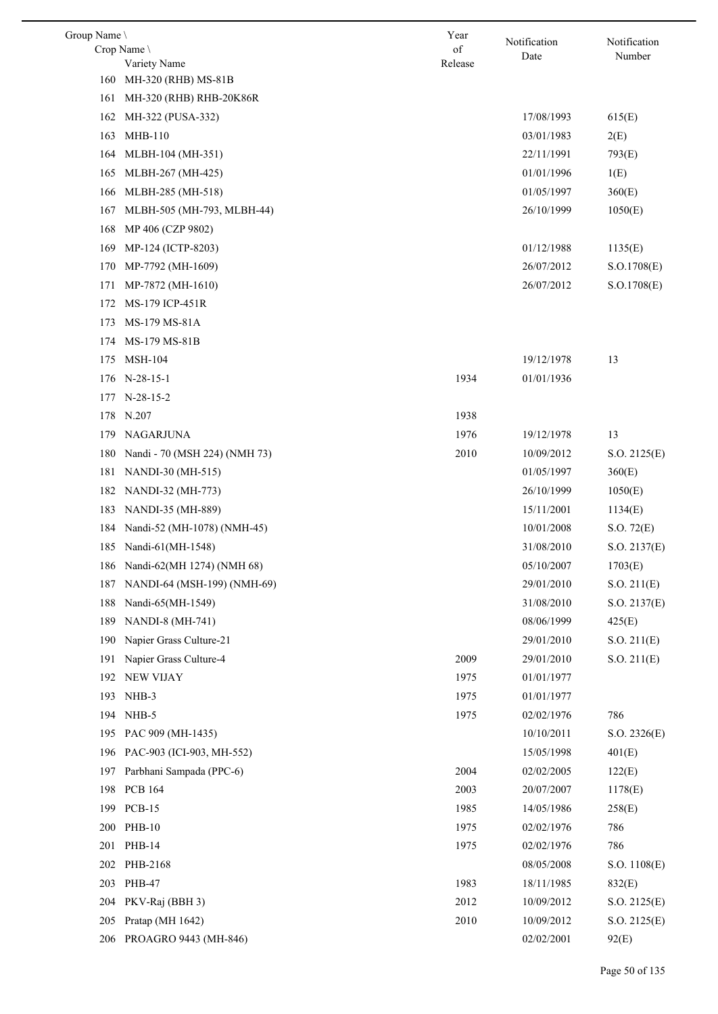| Group Name \ |                                | Year          | Notification | Notification            |
|--------------|--------------------------------|---------------|--------------|-------------------------|
|              | Crop Name<br>Variety Name      | of<br>Release | Date         | Number                  |
| 160          | MH-320 (RHB) MS-81B            |               |              |                         |
| 161          | MH-320 (RHB) RHB-20K86R        |               |              |                         |
| 162          | MH-322 (PUSA-332)              |               | 17/08/1993   | 615(E)                  |
| 163          | <b>MHB-110</b>                 |               | 03/01/1983   | 2(E)                    |
| 164          | MLBH-104 (MH-351)              |               | 22/11/1991   | 793(E)                  |
| 165          | MLBH-267 (MH-425)              |               | 01/01/1996   | 1(E)                    |
|              | 166 MLBH-285 (MH-518)          |               | 01/05/1997   | 360(E)                  |
| 167          | MLBH-505 (MH-793, MLBH-44)     |               | 26/10/1999   | 1050(E)                 |
| 168          | MP 406 (CZP 9802)              |               |              |                         |
| 169          | MP-124 (ICTP-8203)             |               | 01/12/1988   | 1135(E)                 |
| 170          | MP-7792 (MH-1609)              |               | 26/07/2012   | S.O.1708(E)             |
| 171          | MP-7872 (MH-1610)              |               | 26/07/2012   | S.O.1708(E)             |
| 172          | MS-179 ICP-451R                |               |              |                         |
| 173          | MS-179 MS-81A                  |               |              |                         |
| 174          | MS-179 MS-81B                  |               |              |                         |
| 175          | <b>MSH-104</b>                 |               | 19/12/1978   | 13                      |
|              | 176 N-28-15-1                  | 1934          | 01/01/1936   |                         |
| 177          | $N-28-15-2$                    |               |              |                         |
|              | 178 N.207                      | 1938          |              |                         |
| 179          | NAGARJUNA                      | 1976          | 19/12/1978   | 13                      |
| 180          | Nandi - 70 (MSH 224) (NMH 73)  | 2010          | 10/09/2012   | S.O. 2125(E)            |
| 181          | NANDI-30 (MH-515)              |               | 01/05/1997   | 360(E)                  |
| 182          | NANDI-32 (MH-773)              |               | 26/10/1999   | 1050(E)                 |
| 183          | NANDI-35 (MH-889)              |               | 15/11/2001   | 1134(E)                 |
| 184          | Nandi-52 (MH-1078) (NMH-45)    |               | 10/01/2008   | S.O. 72(E)              |
|              | 185 Nandi-61(MH-1548)          |               | 31/08/2010   |                         |
|              | 186 Nandi-62(MH 1274) (NMH 68) |               | 05/10/2007   | S.O. 2137(E)<br>1703(E) |
| 187          | NANDI-64 (MSH-199) (NMH-69)    |               | 29/01/2010   | S.O. 211(E)             |
| 188          | Nandi-65(MH-1549)              |               | 31/08/2010   |                         |
| 189          | NANDI-8 (MH-741)               |               | 08/06/1999   | S.O. 2137(E)            |
| 190          | Napier Grass Culture-21        |               | 29/01/2010   | 425(E)<br>S.O. 211(E)   |
| 191          | Napier Grass Culture-4         | 2009          | 29/01/2010   |                         |
| 192          | <b>NEW VIJAY</b>               | 1975          | 01/01/1977   | S.O. 211(E)             |
| 193          | NHB-3                          | 1975          | 01/01/1977   |                         |
| 194          | NHB-5                          | 1975          | 02/02/1976   | 786                     |
|              |                                |               |              |                         |
|              | 195 PAC 909 (MH-1435)          |               | 10/10/2011   | S.O. 2326(E)            |
| 196          | PAC-903 (ICI-903, MH-552)      |               | 15/05/1998   | 401(E)                  |
| 197          | Parbhani Sampada (PPC-6)       | 2004          | 02/02/2005   | 122(E)                  |
| 198          | <b>PCB 164</b>                 | 2003          | 20/07/2007   | 1178(E)                 |
| 199          | <b>PCB-15</b>                  | 1985          | 14/05/1986   | 258(E)                  |
| 200          | <b>PHB-10</b>                  | 1975          | 02/02/1976   | 786                     |
| 201          | PHB-14                         | 1975          | 02/02/1976   | 786                     |
| 202          | PHB-2168                       |               | 08/05/2008   | S.O. 1108(E)            |
| 203          | PHB-47                         | 1983          | 18/11/1985   | 832(E)                  |
| 204          | PKV-Raj (BBH 3)                | 2012          | 10/09/2012   | S.O. 2125(E)            |
| 205          | Pratap (MH 1642)               | 2010          | 10/09/2012   | S.O. 2125(E)            |
| 206          | PROAGRO 9443 (MH-846)          |               | 02/02/2001   | 92(E)                   |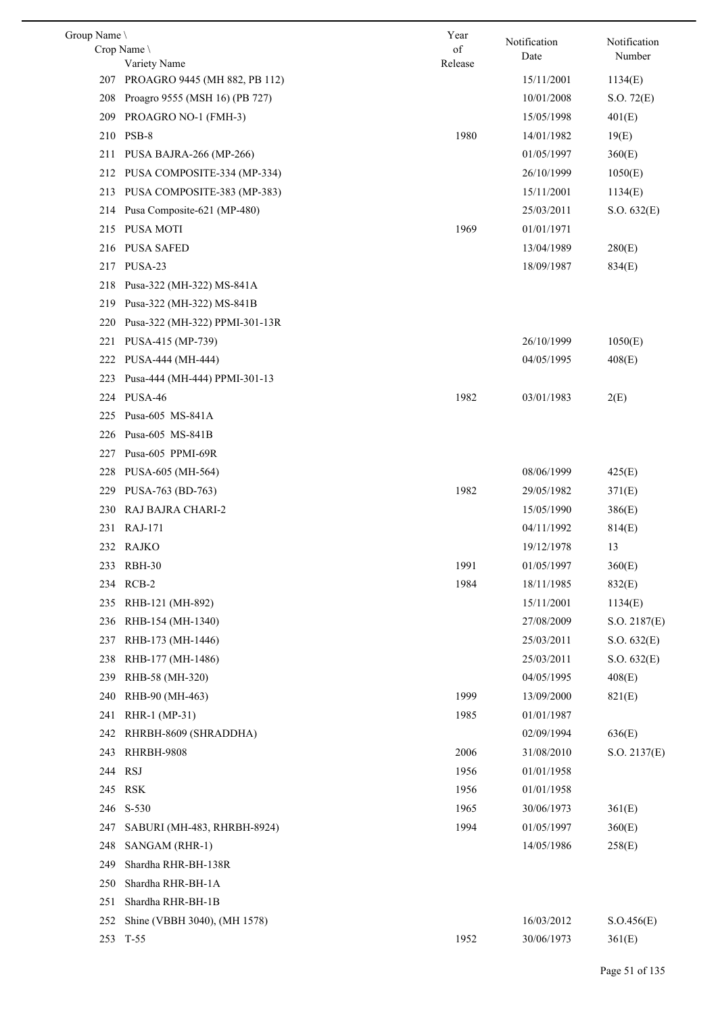| Group Name |                                   | Year    | Notification | Notification |
|------------|-----------------------------------|---------|--------------|--------------|
|            | Crop Name                         | of      | Date         | Number       |
|            | Variety Name                      | Release |              |              |
|            | 207 PROAGRO 9445 (MH 882, PB 112) |         | 15/11/2001   | 1134(E)      |
| 208        | Proagro 9555 (MSH 16) (PB 727)    |         | 10/01/2008   | S.O. 72(E)   |
| 209        | PROAGRO NO-1 (FMH-3)              |         | 15/05/1998   | 401(E)       |
|            | 210 PSB-8                         | 1980    | 14/01/1982   | 19(E)        |
| 211        | PUSA BAJRA-266 (MP-266)           |         | 01/05/1997   | 360(E)       |
| 212        | PUSA COMPOSITE-334 (MP-334)       |         | 26/10/1999   | 1050(E)      |
|            | 213 PUSA COMPOSITE-383 (MP-383)   |         | 15/11/2001   | 1134(E)      |
| 214        | Pusa Composite-621 (MP-480)       |         | 25/03/2011   | S.O. 632(E)  |
|            | 215 PUSA MOTI                     | 1969    | 01/01/1971   |              |
|            | 216 PUSA SAFED                    |         | 13/04/1989   | 280(E)       |
| 217        | PUSA-23                           |         | 18/09/1987   | 834(E)       |
| 218        | Pusa-322 (MH-322) MS-841A         |         |              |              |
| 219        | Pusa-322 (MH-322) MS-841B         |         |              |              |
| 220        | Pusa-322 (MH-322) PPMI-301-13R    |         |              |              |
| 221        | PUSA-415 (MP-739)                 |         | 26/10/1999   | 1050(E)      |
| 222        | PUSA-444 (MH-444)                 |         | 04/05/1995   | 408(E)       |
| 223        | Pusa-444 (MH-444) PPMI-301-13     |         |              |              |
|            | 224 PUSA-46                       | 1982    | 03/01/1983   | 2(E)         |
| 225        | Pusa-605 MS-841A                  |         |              |              |
| 226        | Pusa-605 MS-841B                  |         |              |              |
| 227        | Pusa-605 PPMI-69R                 |         |              |              |
| 228        | PUSA-605 (MH-564)                 |         | 08/06/1999   | 425(E)       |
| 229        | PUSA-763 (BD-763)                 | 1982    | 29/05/1982   | 371(E)       |
| 230        | RAJ BAJRA CHARI-2                 |         | 15/05/1990   | 386(E)       |
| 231        | RAJ-171                           |         | 04/11/1992   | 814(E)       |
|            | 232 RAJKO                         |         | 19/12/1978   | 13           |
|            | 233 RBH-30                        | 1991    | 01/05/1997   | 360(E)       |
|            | 234 RCB-2                         | 1984    | 18/11/1985   | 832(E)       |
| 235        | RHB-121 (MH-892)                  |         | 15/11/2001   | 1134(E)      |
| 236        | RHB-154 (MH-1340)                 |         | 27/08/2009   | S.O. 2187(E) |
| 237        | RHB-173 (MH-1446)                 |         | 25/03/2011   | S.O. 632(E)  |
| 238        | RHB-177 (MH-1486)                 |         | 25/03/2011   | S.O. 632(E)  |
| 239        | RHB-58 (MH-320)                   |         | 04/05/1995   | 408(E)       |
| 240        | RHB-90 (MH-463)                   | 1999    | 13/09/2000   | 821(E)       |
| 241        | RHR-1 (MP-31)                     | 1985    | 01/01/1987   |              |
| 242        | RHRBH-8609 (SHRADDHA)             |         | 02/09/1994   | 636(E)       |
| 243        | RHRBH-9808                        | 2006    | 31/08/2010   | S.O. 2137(E) |
|            | 244 RSJ                           | 1956    | 01/01/1958   |              |
|            | 245 RSK                           | 1956    | 01/01/1958   |              |
|            | 246 S-530                         | 1965    | 30/06/1973   | 361(E)       |
| 247        | SABURI (MH-483, RHRBH-8924)       | 1994    | 01/05/1997   | 360(E)       |
| 248        | SANGAM (RHR-1)                    |         | 14/05/1986   | 258(E)       |
| 249        | Shardha RHR-BH-138R               |         |              |              |
| 250        | Shardha RHR-BH-1A                 |         |              |              |
| 251        | Shardha RHR-BH-1B                 |         |              |              |
| 252        | Shine (VBBH 3040), (MH 1578)      |         | 16/03/2012   | S. O.456(E)  |
|            | 253 T-55                          | 1952    | 30/06/1973   | 361(E)       |
|            |                                   |         |              |              |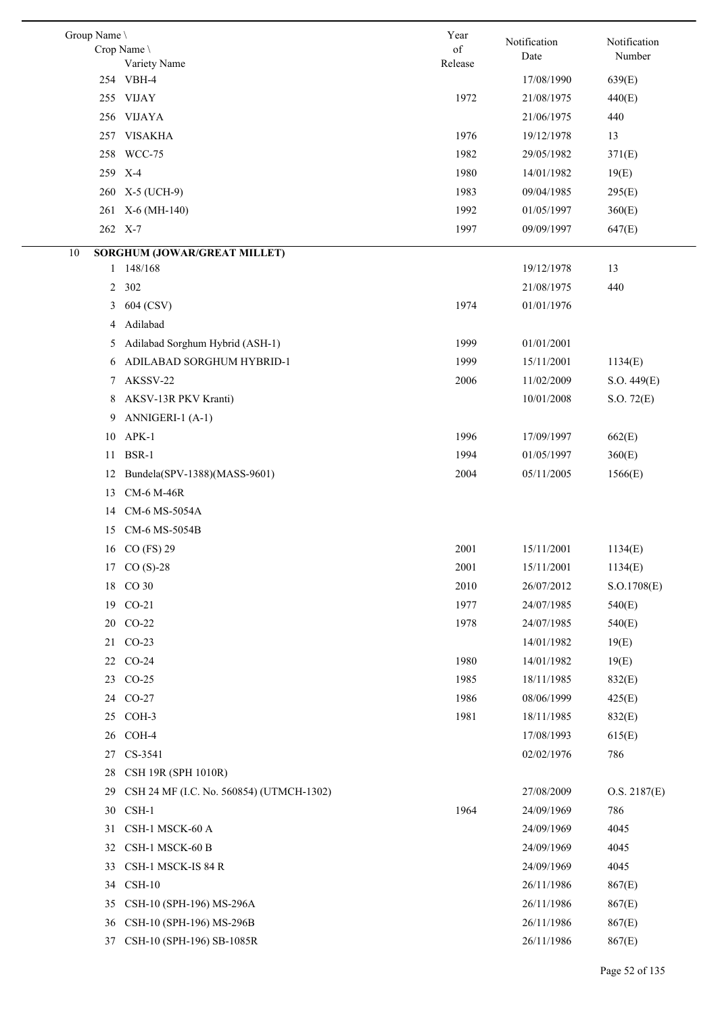| Group Name \   |                                          | Year    |                      | Notification |
|----------------|------------------------------------------|---------|----------------------|--------------|
|                | Crop Name \                              | of      | Notification<br>Date | Number       |
|                | Variety Name<br>254 VBH-4                | Release | 17/08/1990           |              |
|                |                                          |         |                      | 639(E)       |
|                | 255 VIJAY                                | 1972    | 21/08/1975           | 440(E)       |
|                | 256 VIJAYA                               |         | 21/06/1975           | 440          |
| 257            | <b>VISAKHA</b>                           | 1976    | 19/12/1978           | 13           |
|                | 258 WCC-75                               | 1982    | 29/05/1982           | 371(E)       |
|                | 259 X-4                                  | 1980    | 14/01/1982           | 19(E)        |
|                | 260 X-5 (UCH-9)                          | 1983    | 09/04/1985           | 295(E)       |
| 261            | $X-6$ (MH-140)                           | 1992    | 01/05/1997           | 360(E)       |
|                | 262 X-7                                  | 1997    | 09/09/1997           | 647(E)       |
| 10             | SORGHUM (JOWAR/GREAT MILLET)             |         |                      |              |
| $\mathbf{1}$   | 148/168                                  |         | 19/12/1978           | 13           |
| $\overline{2}$ | 302                                      |         | 21/08/1975           | 440          |
| 3              | 604 (CSV)                                | 1974    | 01/01/1976           |              |
| 4              | Adilabad                                 |         |                      |              |
| 5              | Adilabad Sorghum Hybrid (ASH-1)          | 1999    | 01/01/2001           |              |
| 6              | ADILABAD SORGHUM HYBRID-1                | 1999    | 15/11/2001           | 1134(E)      |
| 7              | AKSSV-22                                 | 2006    | 11/02/2009           | S.O. 449(E)  |
| 8              | AKSV-13R PKV Kranti)                     |         | 10/01/2008           | S.O. 72(E)   |
| 9              | ANNIGERI-1 (A-1)                         |         |                      |              |
| 10             | $APK-1$                                  | 1996    | 17/09/1997           | 662(E)       |
| 11             | BSR-1                                    | 1994    | 01/05/1997           | 360(E)       |
| 12             | Bundela(SPV-1388)(MASS-9601)             | 2004    | 05/11/2005           | 1566(E)      |
| 13             | <b>CM-6 M-46R</b>                        |         |                      |              |
| 14             | CM-6 MS-5054A                            |         |                      |              |
| 15             | CM-6 MS-5054B                            |         |                      |              |
| 16             | $CO$ (FS) 29                             | 2001    | 15/11/2001           | 1134(E)      |
| 17             | $CO(S)-28$                               | 2001    | 15/11/2001           | 1134(E)      |
|                | 18 CO 30                                 | 2010    | 26/07/2012           | S.O.1708(E)  |
|                | 19 CO-21                                 | 1977    | 24/07/1985           | 540(E)       |
|                | 20 CO-22                                 | 1978    | 24/07/1985           | 540(E)       |
|                | 21 CO-23                                 |         | 14/01/1982           | 19(E)        |
|                | 22 CO-24                                 | 1980    | 14/01/1982           | 19(E)        |
| 23             | $CO-25$                                  | 1985    | 18/11/1985           | 832(E)       |
| 24             | $CO-27$                                  | 1986    | 08/06/1999           | 425(E)       |
| 25             | COH-3                                    | 1981    | 18/11/1985           | 832(E)       |
| 26             | COH-4                                    |         | 17/08/1993           | 615(E)       |
| 27             | CS-3541                                  |         | 02/02/1976           | 786          |
| 28             | CSH 19R (SPH 1010R)                      |         |                      |              |
| 29             | CSH 24 MF (I.C. No. 560854) (UTMCH-1302) |         | 27/08/2009           | O.S. 2187(E) |
| 30             | CSH-1                                    | 1964    | 24/09/1969           | 786          |
| 31             | CSH-1 MSCK-60 A                          |         | 24/09/1969           | 4045         |
| 32             | CSH-1 MSCK-60 B                          |         | 24/09/1969           | 4045         |
| 33             | CSH-1 MSCK-IS 84 R                       |         | 24/09/1969           | 4045         |
| 34             | $CSH-10$                                 |         | 26/11/1986           | 867(E)       |
| 35             | CSH-10 (SPH-196) MS-296A                 |         | 26/11/1986           | 867(E)       |
| 36             | CSH-10 (SPH-196) MS-296B                 |         | 26/11/1986           | 867(E)       |
| 37             | CSH-10 (SPH-196) SB-1085R                |         | 26/11/1986           | 867(E)       |
|                |                                          |         |                      |              |

 $\overline{a}$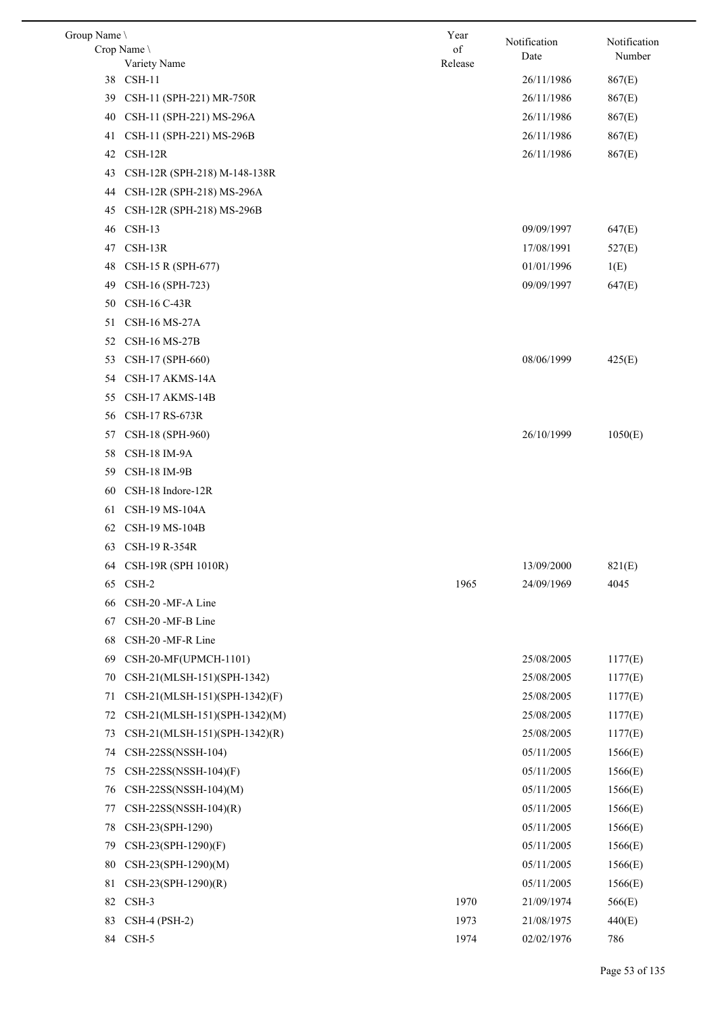| Group Name |                               | Year    | Notification | Notification |
|------------|-------------------------------|---------|--------------|--------------|
|            | Crop Name                     | of      | Date         | Number       |
|            | Variety Name<br>38 CSH-11     | Release |              |              |
|            |                               |         | 26/11/1986   | 867(E)       |
| 39         | CSH-11 (SPH-221) MR-750R      |         | 26/11/1986   | 867(E)       |
| 40         | CSH-11 (SPH-221) MS-296A      |         | 26/11/1986   | 867(E)       |
| 41         | CSH-11 (SPH-221) MS-296B      |         | 26/11/1986   | 867(E)       |
| 42         | $CSH-12R$                     |         | 26/11/1986   | 867(E)       |
| 43         | CSH-12R (SPH-218) M-148-138R  |         |              |              |
| 44         | CSH-12R (SPH-218) MS-296A     |         |              |              |
| 45         | CSH-12R (SPH-218) MS-296B     |         |              |              |
| 46         | $CSH-13$                      |         | 09/09/1997   | 647(E)       |
| 47         | $CSH-13R$                     |         | 17/08/1991   | 527(E)       |
| 48         | CSH-15 R (SPH-677)            |         | 01/01/1996   | 1(E)         |
| 49         | CSH-16 (SPH-723)              |         | 09/09/1997   | 647(E)       |
| 50         | <b>CSH-16 C-43R</b>           |         |              |              |
| 51         | <b>CSH-16 MS-27A</b>          |         |              |              |
| 52         | <b>CSH-16 MS-27B</b>          |         |              |              |
| 53         | CSH-17 (SPH-660)              |         | 08/06/1999   | 425(E)       |
| 54         | CSH-17 AKMS-14A               |         |              |              |
| 55         | CSH-17 AKMS-14B               |         |              |              |
| 56         | CSH-17 RS-673R                |         |              |              |
| 57         | CSH-18 (SPH-960)              |         | 26/10/1999   | 1050(E)      |
| 58         | CSH-18 IM-9A                  |         |              |              |
| 59         | <b>CSH-18 IM-9B</b>           |         |              |              |
| 60         | CSH-18 Indore-12R             |         |              |              |
| 61         | CSH-19 MS-104A                |         |              |              |
| 62         | CSH-19 MS-104B                |         |              |              |
| 63         | CSH-19 R-354R                 |         |              |              |
|            | 64 CSH-19R (SPH 1010R)        |         | 13/09/2000   | 821(E)       |
| 65         | CSH-2                         | 1965    | 24/09/1969   | 4045         |
| 66         | CSH-20 -MF-A Line             |         |              |              |
| 67         | CSH-20 -MF-B Line             |         |              |              |
| 68         | CSH-20 -MF-R Line             |         |              |              |
| 69         | CSH-20-MF(UPMCH-1101)         |         | 25/08/2005   | 1177(E)      |
| 70         | CSH-21(MLSH-151)(SPH-1342)    |         | 25/08/2005   | 1177(E)      |
| 71         | CSH-21(MLSH-151)(SPH-1342)(F) |         | 25/08/2005   | 1177(E)      |
| 72         | CSH-21(MLSH-151)(SPH-1342)(M) |         | 25/08/2005   | 1177(E)      |
| 73         | CSH-21(MLSH-151)(SPH-1342)(R) |         | 25/08/2005   | 1177(E)      |
| 74         | CSH-22SS(NSSH-104)            |         | 05/11/2005   | 1566(E)      |
| 75         | $CSH-22SS(NSSH-104)(F)$       |         | 05/11/2005   | 1566(E)      |
| 76         | $CSH-22SS(NSSH-104)(M)$       |         | 05/11/2005   | 1566(E)      |
| 77         | $CSH-22SS(NSSH-104)(R)$       |         | 05/11/2005   | 1566(E)      |
| 78         | CSH-23(SPH-1290)              |         | 05/11/2005   | 1566(E)      |
| 79         | CSH-23(SPH-1290)(F)           |         | 05/11/2005   | 1566(E)      |
| 80         | CSH-23(SPH-1290)(M)           |         | 05/11/2005   | 1566(E)      |
| 81         | CSH-23(SPH-1290)(R)           |         | 05/11/2005   | 1566(E)      |
| 82         | CSH-3                         | 1970    | 21/09/1974   | 566(E)       |
| 83         | <b>CSH-4 (PSH-2)</b>          | 1973    | 21/08/1975   | 440(E)       |
|            | 84 CSH-5                      | 1974    | 02/02/1976   | 786          |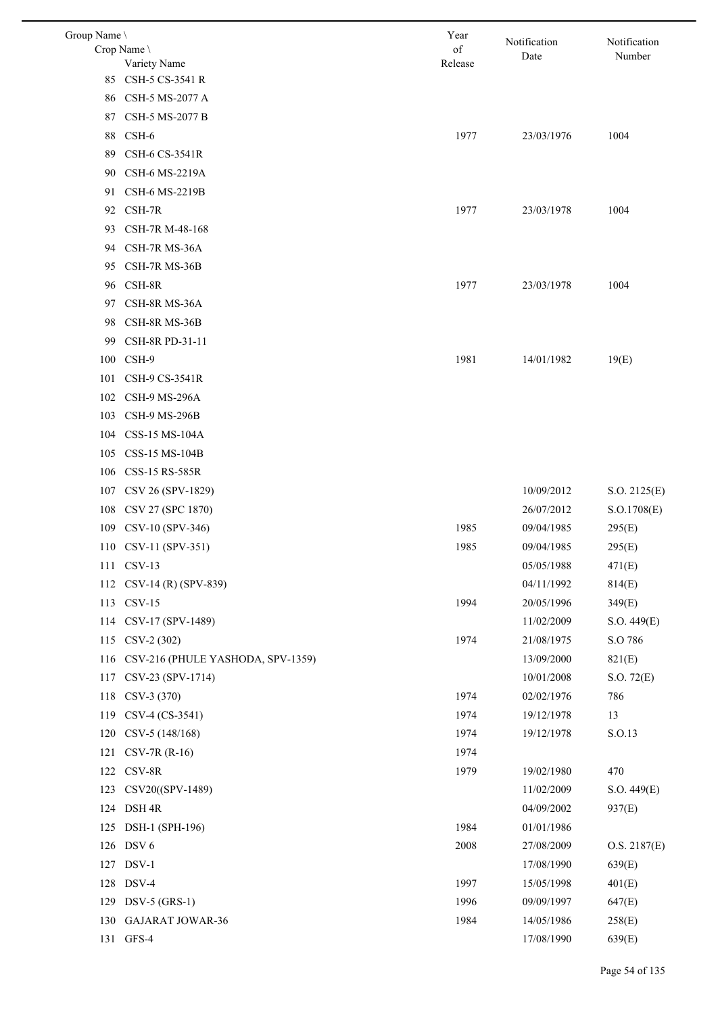| Group Name \ |                                   | Year          | Notification | Notification |
|--------------|-----------------------------------|---------------|--------------|--------------|
|              | Crop Name<br>Variety Name         | of<br>Release | Date         | Number       |
| 85           | CSH-5 CS-3541 R                   |               |              |              |
| 86           | CSH-5 MS-2077 A                   |               |              |              |
| 87           | CSH-5 MS-2077 B                   |               |              |              |
| 88           | CSH-6                             | 1977          | 23/03/1976   | 1004         |
| 89           | CSH-6 CS-3541R                    |               |              |              |
| 90           | CSH-6 MS-2219A                    |               |              |              |
| 91           | CSH-6 MS-2219B                    |               |              |              |
| 92           | CSH-7R                            | 1977          | 23/03/1978   | 1004         |
| 93           | CSH-7R M-48-168                   |               |              |              |
| 94           | CSH-7R MS-36A                     |               |              |              |
| 95           | CSH-7R MS-36B                     |               |              |              |
|              | 96 CSH-8R                         | 1977          | 23/03/1978   | 1004         |
| 97           | CSH-8R MS-36A                     |               |              |              |
| 98           | CSH-8R MS-36B                     |               |              |              |
| 99           | CSH-8R PD-31-11                   |               |              |              |
| 100          | CSH-9                             | 1981          | 14/01/1982   | 19(E)        |
| 101          | CSH-9 CS-3541R                    |               |              |              |
| 102          | CSH-9 MS-296A                     |               |              |              |
| 103          | CSH-9 MS-296B                     |               |              |              |
|              | 104 CSS-15 MS-104A                |               |              |              |
| 105          | CSS-15 MS-104B                    |               |              |              |
| 106          | CSS-15 RS-585R                    |               |              |              |
|              | 107 CSV 26 (SPV-1829)             |               | 10/09/2012   | S.O. 2125(E) |
| 108          | CSV 27 (SPC 1870)                 |               | 26/07/2012   | S.O.1708(E)  |
|              | 109 CSV-10 (SPV-346)              | 1985          | 09/04/1985   | 295(E)       |
|              | 110 CSV-11 (SPV-351)              | 1985          | 09/04/1985   | 295(E)       |
|              | 111 CSV-13                        |               | 05/05/1988   | 471(E)       |
| 112          | CSV-14 (R) (SPV-839)              |               | 04/11/1992   | 814(E)       |
|              | 113 CSV-15                        | 1994          | 20/05/1996   | 349(E)       |
| 114          | CSV-17 (SPV-1489)                 |               | 11/02/2009   | S.O. 449(E)  |
|              | 115 CSV-2 (302)                   | 1974          | 21/08/1975   | S.O 786      |
| 116          | CSV-216 (PHULE YASHODA, SPV-1359) |               | 13/09/2000   | 821(E)       |
| 117          | CSV-23 (SPV-1714)                 |               | 10/01/2008   | S.O. 72(E)   |
| 118          | CSV-3 (370)                       | 1974          | 02/02/1976   | 786          |
| 119          | CSV-4 (CS-3541)                   | 1974          | 19/12/1978   | 13           |
|              | 120 CSV-5 (148/168)               | 1974          | 19/12/1978   | S.O.13       |
| 121          | $CSV-7R (R-16)$                   | 1974          |              |              |
|              | 122 CSV-8R                        | 1979          | 19/02/1980   | 470          |
| 123          | CSV20((SPV-1489)                  |               | 11/02/2009   | S.O. 449(E)  |
| 124          | DSH <sub>4R</sub>                 |               | 04/09/2002   | 937(E)       |
| 125          | DSH-1 (SPH-196)                   | 1984          | 01/01/1986   |              |
|              | 126 DSV 6                         | 2008          | 27/08/2009   | O.S. 2187(E) |
|              | 127 DSV-1                         |               | 17/08/1990   | 639(E)       |
| 128          | DSV-4                             | 1997          | 15/05/1998   | 401(E)       |
| 129          | $DSV-5$ (GRS-1)                   | 1996          | 09/09/1997   | 647(E)       |
| 130          | <b>GAJARAT JOWAR-36</b>           | 1984          | 14/05/1986   | 258(E)       |
|              | 131 GFS-4                         |               | 17/08/1990   | 639(E)       |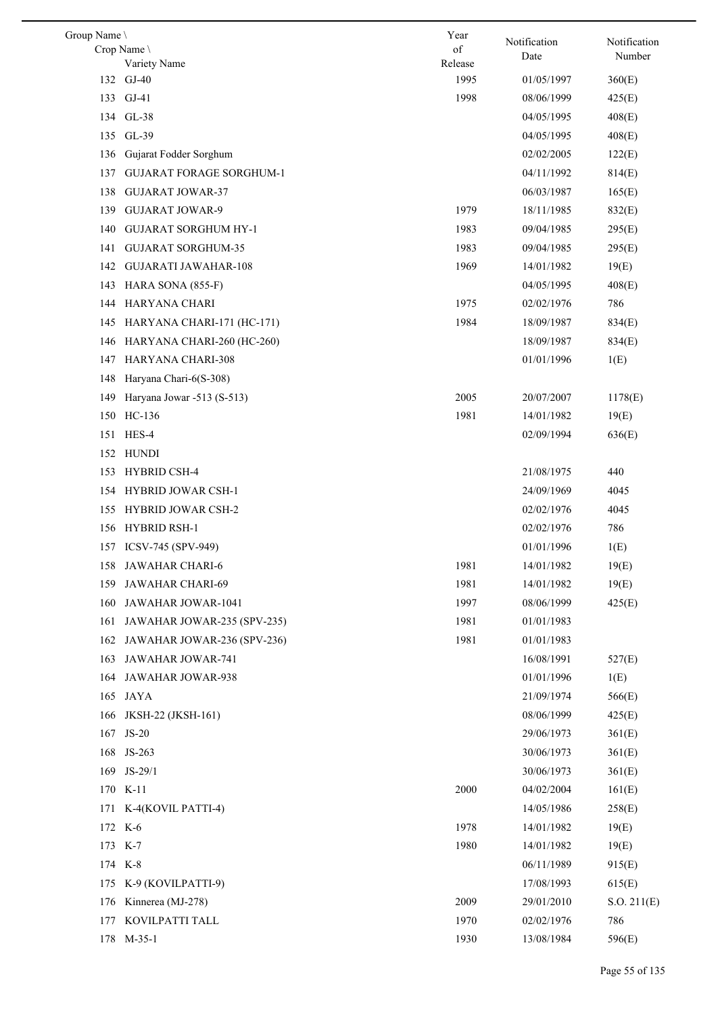| Group Name \ |                                 | Year    | Notification |                        |
|--------------|---------------------------------|---------|--------------|------------------------|
|              | Crop Name                       | of      | Date         | Notification<br>Number |
|              | Variety Name                    | Release |              |                        |
|              | 132 GJ-40                       | 1995    | 01/05/1997   | 360(E)                 |
|              | 133 GJ-41                       | 1998    | 08/06/1999   | 425(E)                 |
|              | 134 GL-38                       |         | 04/05/1995   | 408(E)                 |
|              | 135 GL-39                       |         | 04/05/1995   | 408(E)                 |
| 136          | Gujarat Fodder Sorghum          |         | 02/02/2005   | 122(E)                 |
| 137          | <b>GUJARAT FORAGE SORGHUM-1</b> |         | 04/11/1992   | 814(E)                 |
| 138          | <b>GUJARAT JOWAR-37</b>         |         | 06/03/1987   | 165(E)                 |
| 139          | <b>GUJARAT JOWAR-9</b>          | 1979    | 18/11/1985   | 832(E)                 |
| 140          | <b>GUJARAT SORGHUM HY-1</b>     | 1983    | 09/04/1985   | 295(E)                 |
| 141          | <b>GUJARAT SORGHUM-35</b>       | 1983    | 09/04/1985   | 295(E)                 |
| 142          | <b>GUJARATI JAWAHAR-108</b>     | 1969    | 14/01/1982   | 19(E)                  |
| 143          | HARA SONA (855-F)               |         | 04/05/1995   | 408(E)                 |
| 144          | HARYANA CHARI                   | 1975    | 02/02/1976   | 786                    |
| 145          | HARYANA CHARI-171 (HC-171)      | 1984    | 18/09/1987   | 834(E)                 |
| 146          | HARYANA CHARI-260 (HC-260)      |         | 18/09/1987   | 834(E)                 |
| 147          | <b>HARYANA CHARI-308</b>        |         | 01/01/1996   | 1(E)                   |
| 148          | Haryana Chari-6(S-308)          |         |              |                        |
| 149          | Haryana Jowar -513 (S-513)      | 2005    | 20/07/2007   | 1178(E)                |
| 150          | HC-136                          | 1981    | 14/01/1982   | 19(E)                  |
| 151          | HES-4                           |         | 02/09/1994   | 636(E)                 |
|              | 152 HUNDI                       |         |              |                        |
| 153          | <b>HYBRID CSH-4</b>             |         | 21/08/1975   | 440                    |
|              | 154 HYBRID JOWAR CSH-1          |         | 24/09/1969   | 4045                   |
| 155          | <b>HYBRID JOWAR CSH-2</b>       |         | 02/02/1976   | 4045                   |
| 156          | HYBRID RSH-1                    |         | 02/02/1976   | 786                    |
|              | 157 ICSV-745 (SPV-949)          |         | 01/01/1996   | 1(E)                   |
|              | 158 JAWAHAR CHARI-6             | 1981    | 14/01/1982   | 19(E)                  |
| 159          | JAWAHAR CHARI-69                | 1981    | 14/01/1982   | 19(E)                  |
| 160          | JAWAHAR JOWAR-1041              | 1997    | 08/06/1999   | 425(E)                 |
| 161          | JAWAHAR JOWAR-235 (SPV-235)     | 1981    | 01/01/1983   |                        |
| 162          | JAWAHAR JOWAR-236 (SPV-236)     | 1981    | 01/01/1983   |                        |
| 163          | JAWAHAR JOWAR-741               |         | 16/08/1991   | 527(E)                 |
| 164          | <b>JAWAHAR JOWAR-938</b>        |         | 01/01/1996   | 1(E)                   |
| 165          | JAYA                            |         | 21/09/1974   | 566(E)                 |
| 166          | JKSH-22 (JKSH-161)              |         | 08/06/1999   | 425(E)                 |
|              | 167 JS-20                       |         | 29/06/1973   | 361(E)                 |
| 168          | JS-263                          |         | 30/06/1973   | 361(E)                 |
|              | 169 JS-29/1                     |         | 30/06/1973   | 361(E)                 |
|              | 170 K-11                        | 2000    | 04/02/2004   | 161(E)                 |
|              | 171 K-4(KOVIL PATTI-4)          |         | 14/05/1986   | 258(E)                 |
|              | 172 K-6                         | 1978    | 14/01/1982   | 19(E)                  |
|              | 173 K-7                         | 1980    | 14/01/1982   | 19(E)                  |
|              | 174 K-8                         |         | 06/11/1989   | 915(E)                 |
| 175          | K-9 (KOVILPATTI-9)              |         | 17/08/1993   | 615(E)                 |
|              | 176 Kinnerea (MJ-278)           | 2009    | 29/01/2010   | S.O. 211(E)            |
| 177          | KOVILPATTI TALL                 | 1970    | 02/02/1976   | 786                    |
|              | 178 M-35-1                      | 1930    | 13/08/1984   | 596(E)                 |
|              |                                 |         |              |                        |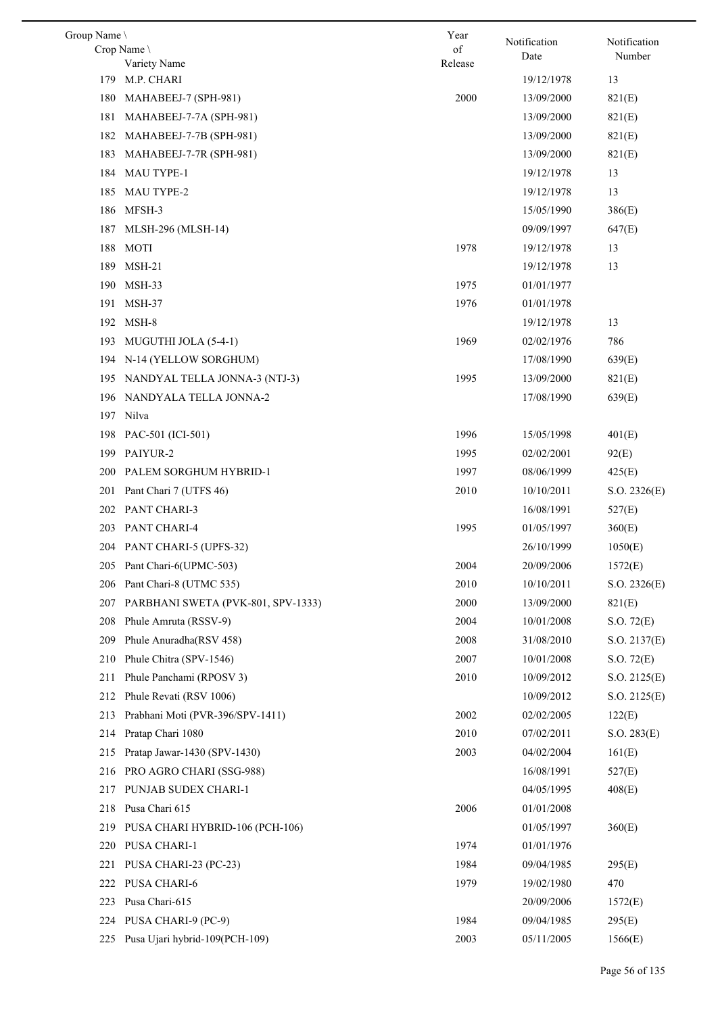| Group Name \ |                                    | Year          | Notification | Notification |
|--------------|------------------------------------|---------------|--------------|--------------|
|              | Crop Name<br>Variety Name          | of<br>Release | Date         | Number       |
| 179          | M.P. CHARI                         |               | 19/12/1978   | 13           |
| 180          | MAHABEEJ-7 (SPH-981)               | 2000          | 13/09/2000   | 821(E)       |
| 181          | MAHABEEJ-7-7A (SPH-981)            |               | 13/09/2000   | 821(E)       |
| 182          | MAHABEEJ-7-7B (SPH-981)            |               | 13/09/2000   | 821(E)       |
| 183          | MAHABEEJ-7-7R (SPH-981)            |               | 13/09/2000   | 821(E)       |
| 184          | <b>MAU TYPE-1</b>                  |               | 19/12/1978   | 13           |
| 185          | <b>MAU TYPE-2</b>                  |               | 19/12/1978   | 13           |
| 186          | MFSH-3                             |               | 15/05/1990   | 386(E)       |
| 187          | MLSH-296 (MLSH-14)                 |               | 09/09/1997   | 647(E)       |
| 188          | MOTI                               | 1978          | 19/12/1978   | 13           |
| 189          | $MSH-21$                           |               | 19/12/1978   | 13           |
| 190          | MSH-33                             | 1975          | 01/01/1977   |              |
| 191          | MSH-37                             | 1976          | 01/01/1978   |              |
| 192          | MSH-8                              |               | 19/12/1978   | 13           |
| 193          | MUGUTHI JOLA (5-4-1)               | 1969          | 02/02/1976   | 786          |
|              | 194 N-14 (YELLOW SORGHUM)          |               | 17/08/1990   | 639(E)       |
| 195          | NANDYAL TELLA JONNA-3 (NTJ-3)      | 1995          | 13/09/2000   | 821(E)       |
| 196          | NANDYALA TELLA JONNA-2             |               | 17/08/1990   | 639(E)       |
|              | 197 Nilva                          |               |              |              |
| 198          | PAC-501 (ICI-501)                  | 1996          | 15/05/1998   | 401(E)       |
|              | 199 PAIYUR-2                       | 1995          | 02/02/2001   | 92(E)        |
| <b>200</b>   | PALEM SORGHUM HYBRID-1             | 1997          | 08/06/1999   | 425(E)       |
| 201          | Pant Chari 7 (UTFS 46)             | 2010          | 10/10/2011   | S.O. 2326(E) |
|              | 202 PANT CHARI-3                   |               | 16/08/1991   | 527(E)       |
| 203          | <b>PANT CHARI-4</b>                | 1995          | 01/05/1997   | 360(E)       |
|              | 204 PANT CHARI-5 (UPFS-32)         |               | 26/10/1999   | 1050(E)      |
|              | 205 Pant Chari-6(UPMC-503)         | 2004          | 20/09/2006   | 1572(E)      |
| 206          | Pant Chari-8 (UTMC 535)            | 2010          | 10/10/2011   | S.O. 2326(E) |
| 207          | PARBHANI SWETA (PVK-801, SPV-1333) | 2000          | 13/09/2000   | 821(E)       |
| 208          | Phule Amruta (RSSV-9)              | 2004          | 10/01/2008   | S.O. 72(E)   |
| 209          | Phule Anuradha(RSV 458)            | 2008          | 31/08/2010   | S.O. 2137(E) |
| 210          | Phule Chitra (SPV-1546)            | 2007          | 10/01/2008   | S.O. 72(E)   |
| 211          | Phule Panchami (RPOSV 3)           | 2010          | 10/09/2012   | S.O. 2125(E) |
| 212          | Phule Revati (RSV 1006)            |               | 10/09/2012   | S.O. 2125(E) |
| 213          | Prabhani Moti (PVR-396/SPV-1411)   | 2002          | 02/02/2005   | 122(E)       |
| 214          | Pratap Chari 1080                  | 2010          | 07/02/2011   | S.O. 283(E)  |
| 215          | Pratap Jawar-1430 (SPV-1430)       | 2003          | 04/02/2004   | 161(E)       |
| 216          | PRO AGRO CHARI (SSG-988)           |               | 16/08/1991   | 527(E)       |
| 217          | PUNJAB SUDEX CHARI-1               |               | 04/05/1995   | 408(E)       |
| 218          | Pusa Chari 615                     | 2006          | 01/01/2008   |              |
| 219          | PUSA CHARI HYBRID-106 (PCH-106)    |               | 01/05/1997   | 360(E)       |
| 220          | PUSA CHARI-1                       | 1974          | 01/01/1976   |              |
| 221          | PUSA CHARI-23 (PC-23)              | 1984          | 09/04/1985   | 295(E)       |
| 222          | <b>PUSA CHARI-6</b>                | 1979          | 19/02/1980   | 470          |
| 223          | Pusa Chari-615                     |               | 20/09/2006   | 1572(E)      |
| 224          | PUSA CHARI-9 (PC-9)                | 1984          | 09/04/1985   | 295(E)       |
| 225          | Pusa Ujari hybrid-109(PCH-109)     | 2003          | 05/11/2005   | 1566(E)      |
|              |                                    |               |              |              |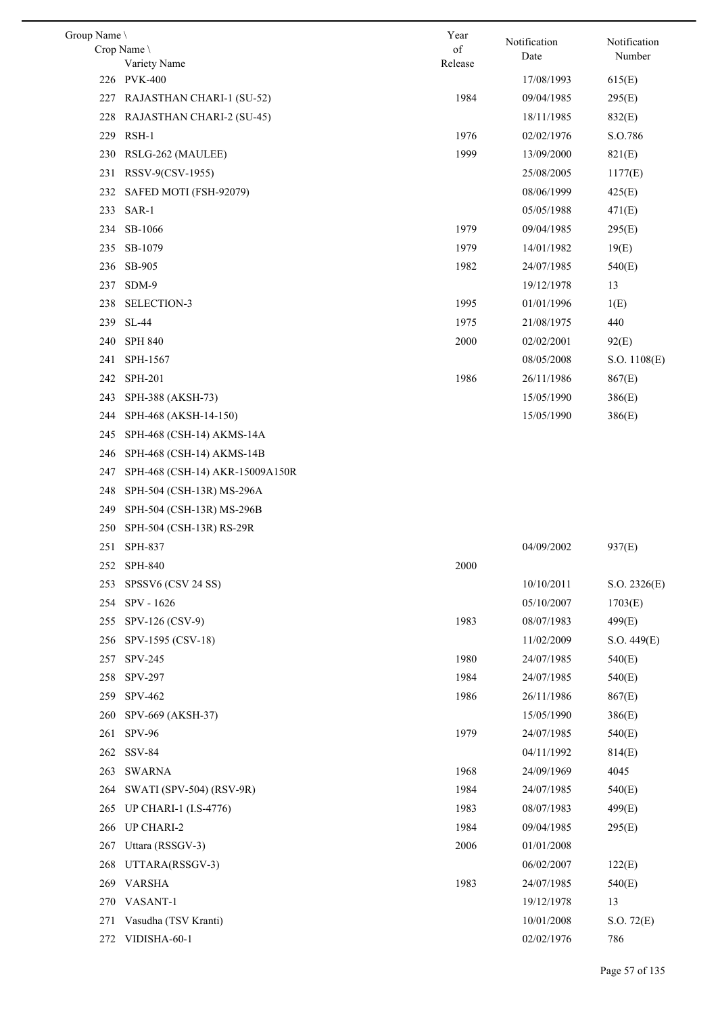| Group Name |                                 | Year    | Notification | Notification |
|------------|---------------------------------|---------|--------------|--------------|
|            | Crop Name                       | of      | Date         | Number       |
|            | Variety Name                    | Release |              |              |
|            | 226 PVK-400                     |         | 17/08/1993   | 615(E)       |
| 227        | RAJASTHAN CHARI-1 (SU-52)       | 1984    | 09/04/1985   | 295(E)       |
| 228        | RAJASTHAN CHARI-2 (SU-45)       |         | 18/11/1985   | 832(E)       |
|            | 229 RSH-1                       | 1976    | 02/02/1976   | S.O.786      |
| 230        | RSLG-262 (MAULEE)               | 1999    | 13/09/2000   | 821(E)       |
| 231        | RSSV-9(CSV-1955)                |         | 25/08/2005   | 1177(E)      |
| 232        | SAFED MOTI (FSH-92079)          |         | 08/06/1999   | 425(E)       |
| 233        | SAR-1                           |         | 05/05/1988   | 471(E)       |
| 234        | SB-1066                         | 1979    | 09/04/1985   | 295(E)       |
| 235        | SB-1079                         | 1979    | 14/01/1982   | 19(E)        |
|            | 236 SB-905                      | 1982    | 24/07/1985   | 540(E)       |
| 237        | SDM-9                           |         | 19/12/1978   | 13           |
| 238        | SELECTION-3                     | 1995    | 01/01/1996   | 1(E)         |
|            | 239 SL-44                       | 1975    | 21/08/1975   | 440          |
| 240        | <b>SPH 840</b>                  | 2000    | 02/02/2001   | 92(E)        |
| 241        | SPH-1567                        |         | 08/05/2008   | S.O. 1108(E) |
| 242        | <b>SPH-201</b>                  | 1986    | 26/11/1986   | 867(E)       |
| 243        | SPH-388 (AKSH-73)               |         | 15/05/1990   | 386(E)       |
| 244        | SPH-468 (AKSH-14-150)           |         | 15/05/1990   | 386(E)       |
| 245        | SPH-468 (CSH-14) AKMS-14A       |         |              |              |
| 246        | SPH-468 (CSH-14) AKMS-14B       |         |              |              |
| 247        | SPH-468 (CSH-14) AKR-15009A150R |         |              |              |
| 248        | SPH-504 (CSH-13R) MS-296A       |         |              |              |
| 249        | SPH-504 (CSH-13R) MS-296B       |         |              |              |
| 250        | SPH-504 (CSH-13R) RS-29R        |         |              |              |
| 251        | SPH-837                         |         | 04/09/2002   | 937(E)       |
|            | 252 SPH-840                     | 2000    |              |              |
| 253        | SPSSV6 (CSV 24 SS)              |         | 10/10/2011   | S.O. 2326(E) |
|            |                                 |         |              |              |
|            | 254 SPV - 1626                  |         | 05/10/2007   | 1703(E)      |
| 255        | SPV-126 (CSV-9)                 | 1983    | 08/07/1983   | 499(E)       |
| 256        | SPV-1595 (CSV-18)               |         | 11/02/2009   | S.O. 449(E)  |
| 257        | SPV-245                         | 1980    | 24/07/1985   | 540(E)       |
|            | 258 SPV-297                     | 1984    | 24/07/1985   | 540(E)       |
| 259        | SPV-462                         | 1986    | 26/11/1986   | 867(E)       |
| 260        | SPV-669 (AKSH-37)               |         | 15/05/1990   | 386(E)       |
| 261        | <b>SPV-96</b>                   | 1979    | 24/07/1985   | 540(E)       |
| 262        | <b>SSV-84</b>                   |         | 04/11/1992   | 814(E)       |
| 263        | SWARNA                          | 1968    | 24/09/1969   | 4045         |
| 264        | SWATI (SPV-504) (RSV-9R)        | 1984    | 24/07/1985   | 540(E)       |
|            | 265 UP CHARI-1 (I.S-4776)       | 1983    | 08/07/1983   | 499(E)       |
| 266        | <b>UP CHARI-2</b>               | 1984    | 09/04/1985   | 295(E)       |
| 267        | Uttara (RSSGV-3)                | 2006    | 01/01/2008   |              |
| 268        | UTTARA(RSSGV-3)                 |         | 06/02/2007   | 122(E)       |
| 269        | <b>VARSHA</b>                   | 1983    | 24/07/1985   | 540(E)       |
|            | 270 VASANT-1                    |         | 19/12/1978   | 13           |
| 271        | Vasudha (TSV Kranti)            |         | 10/01/2008   | S.O. 72(E)   |
|            | 272 VIDISHA-60-1                |         | 02/02/1976   | 786          |
|            |                                 |         |              |              |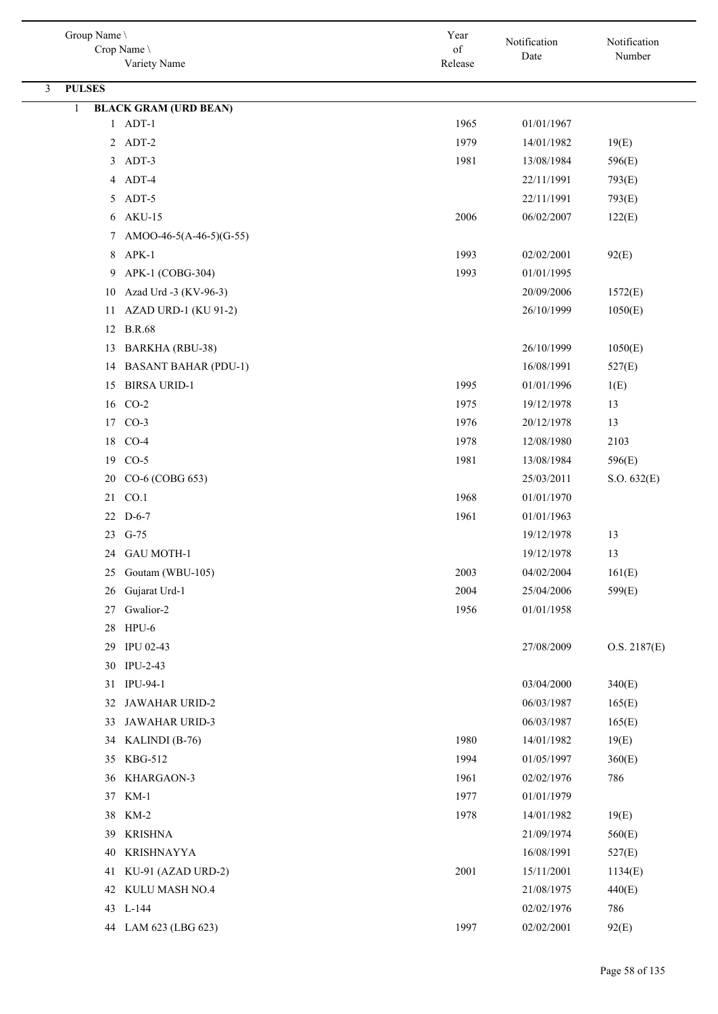| Group Name \<br>Crop Name \<br>Variety Name    | Year<br>$% \left( \left( \mathcal{A},\mathcal{A}\right) \right) =\left( \mathcal{A},\mathcal{A}\right)$ of<br>Release | Notification<br>Date     | Notification<br>Number |
|------------------------------------------------|-----------------------------------------------------------------------------------------------------------------------|--------------------------|------------------------|
|                                                |                                                                                                                       |                          |                        |
| <b>PULSES</b><br>3                             |                                                                                                                       |                          |                        |
| <b>BLACK GRAM (URD BEAN)</b><br>1<br>$1$ ADT-1 | 1965                                                                                                                  | 01/01/1967               |                        |
| 2 ADT-2                                        | 1979                                                                                                                  | 14/01/1982               | 19(E)                  |
| 3 ADT-3                                        | 1981                                                                                                                  |                          |                        |
| 4 ADT-4                                        |                                                                                                                       | 13/08/1984               | 596(E)                 |
| 5 ADT-5                                        |                                                                                                                       | 22/11/1991<br>22/11/1991 | 793(E)                 |
|                                                |                                                                                                                       |                          | 793(E)                 |
| 6 AKU-15                                       | 2006                                                                                                                  | 06/02/2007               | 122(E)                 |
| 7 AMOO-46-5(A-46-5)(G-55)<br>8 APK-1           |                                                                                                                       |                          |                        |
|                                                | 1993                                                                                                                  | 02/02/2001               | 92(E)                  |
| APK-1 (COBG-304)<br>9                          | 1993                                                                                                                  | 01/01/1995               |                        |
| Azad Urd -3 (KV-96-3)<br>10                    |                                                                                                                       | 20/09/2006               | 1572(E)                |
| <b>AZAD URD-1 (KU 91-2)</b><br>11              |                                                                                                                       | 26/10/1999               | 1050(E)                |
| 12 B.R.68                                      |                                                                                                                       |                          |                        |
| <b>BARKHA</b> (RBU-38)<br>13                   |                                                                                                                       | 26/10/1999               | 1050(E)                |
| <b>BASANT BAHAR (PDU-1)</b><br>14              |                                                                                                                       | 16/08/1991               | 527(E)                 |
| <b>BIRSA URID-1</b><br>15                      | 1995                                                                                                                  | 01/01/1996               | 1(E)                   |
| 16 CO-2                                        | 1975                                                                                                                  | 19/12/1978               | 13                     |
| 17 CO-3                                        | 1976                                                                                                                  | 20/12/1978               | 13                     |
| 18 CO-4                                        | 1978                                                                                                                  | 12/08/1980               | 2103                   |
| $CO-5$<br>19                                   | 1981                                                                                                                  | 13/08/1984               | 596(E)                 |
| 20 CO-6 (COBG 653)                             |                                                                                                                       | 25/03/2011               | S.O. 632(E)            |
| 21 CO.1                                        | 1968                                                                                                                  | 01/01/1970               |                        |
| 22 D-6-7                                       | 1961                                                                                                                  | 01/01/1963               |                        |
| 23 G-75                                        |                                                                                                                       | 19/12/1978               | 13                     |
| 24 GAU MOTH-1                                  |                                                                                                                       | 19/12/1978               | 13                     |
| 25 Goutam (WBU-105)                            | 2003                                                                                                                  | 04/02/2004               | 161(E)                 |
| 26 Gujarat Urd-1                               | 2004                                                                                                                  | 25/04/2006               | 599(E)                 |
| 27 Gwalior-2                                   | 1956                                                                                                                  | 01/01/1958               |                        |
| 28 HPU-6                                       |                                                                                                                       |                          |                        |
| 29 IPU 02-43                                   |                                                                                                                       | 27/08/2009               | O.S. 2187(E)           |
| 30 IPU-2-43                                    |                                                                                                                       |                          |                        |
| 31 IPU-94-1                                    |                                                                                                                       | 03/04/2000               | 340(E)                 |
| <b>JAWAHAR URID-2</b><br>32                    |                                                                                                                       | 06/03/1987               | 165(E)                 |
| JAWAHAR URID-3<br>33                           |                                                                                                                       | 06/03/1987               | 165(E)                 |
| 34 KALINDI (B-76)                              | 1980                                                                                                                  | 14/01/1982               | 19(E)                  |
| 35 KBG-512                                     | 1994                                                                                                                  | 01/05/1997               | 360(E)                 |
| 36 KHARGAON-3                                  | 1961                                                                                                                  | 02/02/1976               | 786                    |
| 37 KM-1                                        | 1977                                                                                                                  | 01/01/1979               |                        |
| 38 KM-2                                        | 1978                                                                                                                  | 14/01/1982               | 19(E)                  |
| KRISHNA<br>39                                  |                                                                                                                       | 21/09/1974               | 560(E)                 |
| <b>KRISHNAYYA</b><br>40                        |                                                                                                                       | 16/08/1991               | 527(E)                 |
| KU-91 (AZAD URD-2)<br>41                       | 2001                                                                                                                  | 15/11/2001               | 1134(E)                |
| 42 KULU MASH NO.4                              |                                                                                                                       | 21/08/1975               | 440(E)                 |
| 43 L-144                                       |                                                                                                                       | 02/02/1976               | 786                    |
| 44 LAM 623 (LBG 623)                           | 1997                                                                                                                  | 02/02/2001               | 92(E)                  |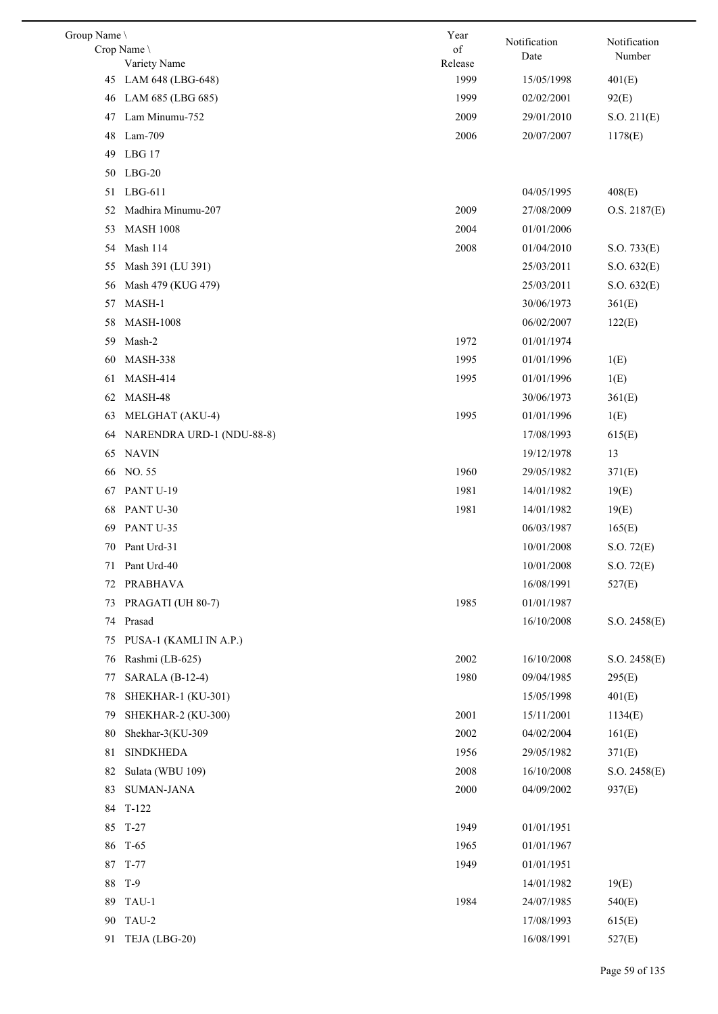| Group Name \ |                             | Year                  | Notification | Notification |
|--------------|-----------------------------|-----------------------|--------------|--------------|
|              | Crop Name \<br>Variety Name | $\sigma f$<br>Release | Date         | Number       |
| 45           | LAM 648 (LBG-648)           | 1999                  | 15/05/1998   | 401(E)       |
| 46           | LAM 685 (LBG 685)           | 1999                  | 02/02/2001   | 92(E)        |
| 47           | Lam Minumu-752              | 2009                  | 29/01/2010   | S.O. 211(E)  |
| 48           | Lam-709                     | 2006                  | 20/07/2007   | 1178(E)      |
| 49           | LBG 17                      |                       |              |              |
| 50           | $LBG-20$                    |                       |              |              |
| 51           | $LBG-611$                   |                       | 04/05/1995   | 408(E)       |
| 52           | Madhira Minumu-207          | 2009                  | 27/08/2009   | O.S. 2187(E) |
| 53           | <b>MASH 1008</b>            | 2004                  | 01/01/2006   |              |
| 54           | Mash 114                    | 2008                  | 01/04/2010   | S.O. 733(E)  |
| 55           | Mash 391 (LU 391)           |                       | 25/03/2011   | S.O. 632(E)  |
| 56           | Mash 479 (KUG 479)          |                       | 25/03/2011   | S.O. 632(E)  |
| 57           | MASH-1                      |                       | 30/06/1973   | 361(E)       |
| 58           | <b>MASH-1008</b>            |                       | 06/02/2007   | 122(E)       |
| 59           | Mash-2                      | 1972                  | 01/01/1974   |              |
| 60           | MASH-338                    | 1995                  | 01/01/1996   | 1(E)         |
| 61           | <b>MASH-414</b>             | 1995                  | 01/01/1996   | 1(E)         |
| 62           | MASH-48                     |                       | 30/06/1973   | 361(E)       |
| 63           | MELGHAT (AKU-4)             | 1995                  | 01/01/1996   | 1(E)         |
| 64           | NARENDRA URD-1 (NDU-88-8)   |                       | 17/08/1993   | 615(E)       |
| 65           | <b>NAVIN</b>                |                       | 19/12/1978   | 13           |
| 66           | NO. 55                      | 1960                  | 29/05/1982   | 371(E)       |
| 67           | PANT U-19                   | 1981                  | 14/01/1982   | 19(E)        |
| 68           | PANT U-30                   | 1981                  | 14/01/1982   | 19(E)        |
| 69           | PANT U-35                   |                       | 06/03/1987   | 165(E)       |
| 70           | Pant Urd-31                 |                       | 10/01/2008   | S.O. 72(E)   |
|              | 71 Pant Urd-40              |                       | $10/01/2008$ | S.O. 72(E)   |
| 72           | <b>PRABHAVA</b>             |                       | 16/08/1991   | 527(E)       |
| 73           | PRAGATI (UH 80-7)           | 1985                  | 01/01/1987   |              |
| 74           | Prasad                      |                       | 16/10/2008   | S.O. 2458(E) |
| 75           | PUSA-1 (KAMLI IN A.P.)      |                       |              |              |
| 76           | Rashmi (LB-625)             | 2002                  | 16/10/2008   | S.O. 2458(E) |
| 77           | SARALA (B-12-4)             | 1980                  | 09/04/1985   | 295(E)       |
| 78           | SHEKHAR-1 (KU-301)          |                       | 15/05/1998   | 401(E)       |
| 79           | SHEKHAR-2 (KU-300)          | 2001                  | 15/11/2001   | 1134(E)      |
| 80           | Shekhar-3(KU-309            | 2002                  | 04/02/2004   | 161(E)       |
| 81           | <b>SINDKHEDA</b>            | 1956                  | 29/05/1982   | 371(E)       |
| 82           | Sulata (WBU 109)            | 2008                  | 16/10/2008   | S.O. 2458(E) |
| 83           | <b>SUMAN-JANA</b>           | 2000                  | 04/09/2002   | 937(E)       |
| 84           | $T-122$                     |                       |              |              |
| 85           | $T-27$                      | 1949                  | 01/01/1951   |              |
| 86           | $T-65$                      | 1965                  | 01/01/1967   |              |
|              | 87 T-77                     | 1949                  | 01/01/1951   |              |
| 88           | $T-9$                       |                       | 14/01/1982   | 19(E)        |
| 89           | TAU-1                       | 1984                  | 24/07/1985   | 540(E)       |
| 90           | TAU-2                       |                       | 17/08/1993   | 615(E)       |
| 91           | TEJA (LBG-20)               |                       | 16/08/1991   | 527(E)       |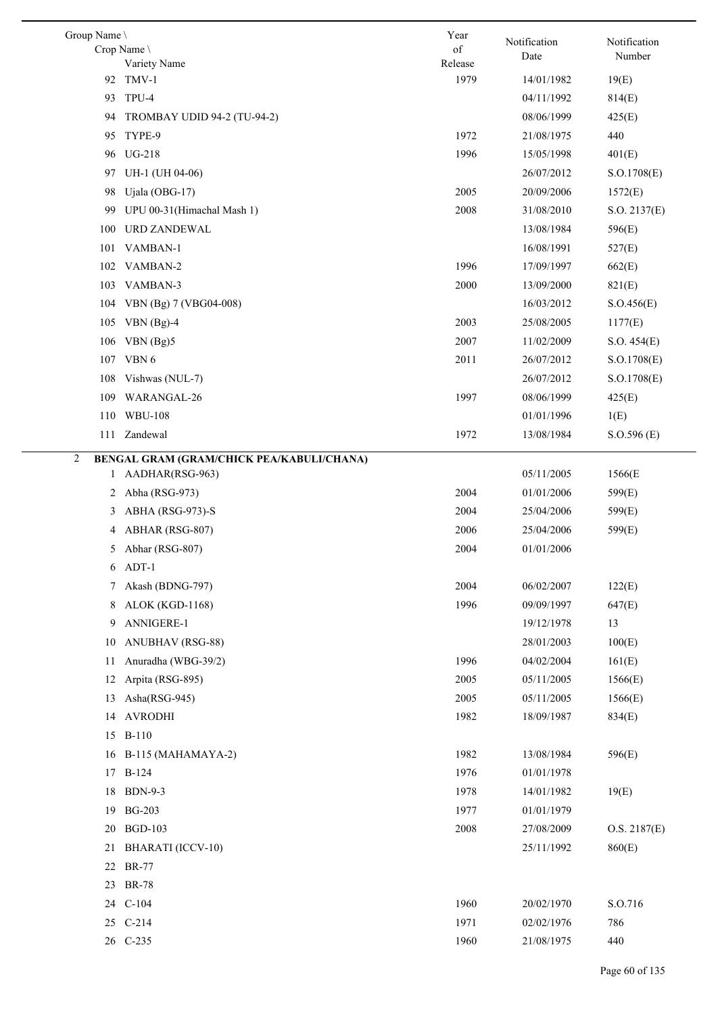| Group Name \<br>Crop Name                      | Year<br>of      | Notification<br>Date | Notification<br>Number |
|------------------------------------------------|-----------------|----------------------|------------------------|
| Variety Name                                   | Release<br>1979 |                      |                        |
| 92 TMV-1                                       |                 | 14/01/1982           | 19(E)                  |
| TPU-4<br>93                                    |                 | 04/11/1992           | 814(E)                 |
| TROMBAY UDID 94-2 (TU-94-2)<br>94              |                 | 08/06/1999           | 425(E)                 |
| TYPE-9<br>95                                   | 1972            | 21/08/1975           | 440                    |
| <b>UG-218</b><br>96                            | 1996            | 15/05/1998           | 401(E)                 |
| UH-1 (UH 04-06)<br>97                          |                 | 26/07/2012           | S.O.1708(E)            |
| Ujala (OBG-17)<br>98                           | 2005            | 20/09/2006           | 1572(E)                |
| UPU 00-31(Himachal Mash 1)<br>99               | 2008            | 31/08/2010           | S.O. 2137(E)           |
| <b>URD ZANDEWAL</b><br>100                     |                 | 13/08/1984           | 596(E)                 |
| VAMBAN-1<br>101                                |                 | 16/08/1991           | 527(E)                 |
| 102 VAMBAN-2                                   | 1996            | 17/09/1997           | 662(E)                 |
| 103 VAMBAN-3                                   | 2000            | 13/09/2000           | 821(E)                 |
| 104<br>VBN (Bg) 7 (VBG04-008)                  |                 | 16/03/2012           | S. O.456(E)            |
| 105 VBN (Bg)-4                                 | 2003            | 25/08/2005           | 1177(E)                |
| VBN (Bg)5<br>106                               | 2007            | 11/02/2009           | S.O. 454(E)            |
| 107 VBN 6                                      | 2011            | 26/07/2012           | S.O.1708(E)            |
| 108<br>Vishwas (NUL-7)                         |                 | 26/07/2012           | S.O.1708(E)            |
| WARANGAL-26<br>109                             | 1997            | 08/06/1999           | 425(E)                 |
| 110 WBU-108                                    |                 | 01/01/1996           | 1(E)                   |
| 111 Zandewal                                   | 1972            | 13/08/1984           | S. O.596(E)            |
| 2<br>BENGAL GRAM (GRAM/CHICK PEA/KABULI/CHANA) |                 |                      |                        |
| 1 AADHAR(RSG-963)                              |                 | 05/11/2005           | 1566(E                 |
| 2 Abha (RSG-973)                               | 2004            | 01/01/2006           | 599(E)                 |
| 3 ABHA (RSG-973)-S                             | 2004            | 25/04/2006           | 599(E)                 |
| 4 ABHAR (RSG-807)                              | 2006            | 25/04/2006           | 599(E)                 |
| Abhar (RSG-807)<br>5                           | 2004            | 01/01/2006           |                        |
| ADT-1<br>6                                     |                 |                      |                        |
| Akash (BDNG-797)<br>7                          | 2004            | 06/02/2007           | 122(E)                 |
| <b>ALOK (KGD-1168)</b><br>8                    | 1996            | 09/09/1997           | 647(E)                 |
| ANNIGERE-1<br>9                                |                 | 19/12/1978           | 13                     |
| <b>ANUBHAV (RSG-88)</b><br>10                  |                 | 28/01/2003           | 100(E)                 |
| Anuradha (WBG-39/2)<br>11                      | 1996            | 04/02/2004           | 161(E)                 |
| Arpita (RSG-895)<br>12                         | 2005            | 05/11/2005           | 1566(E)                |
| Asha(RSG-945)<br>13                            | 2005            | 05/11/2005           | 1566(E)                |
| <b>AVRODHI</b><br>14                           | 1982            | 18/09/1987           | 834(E)                 |
| <b>B-110</b><br>15                             |                 |                      |                        |
| B-115 (MAHAMAYA-2)<br>16                       | 1982            | 13/08/1984           | 596(E)                 |
| <b>B-124</b><br>17                             | 1976            | 01/01/1978           |                        |
| <b>BDN-9-3</b><br>18                           | 1978            | 14/01/1982           | 19(E)                  |
|                                                |                 |                      |                        |
| <b>BG-203</b><br>19                            | 1977            | 01/01/1979           |                        |
| <b>BGD-103</b><br>20                           | 2008            | 27/08/2009           | O.S. 2187(E)           |
| <b>BHARATI</b> (ICCV-10)<br>21                 |                 | 25/11/1992           | 860(E)                 |
| <b>BR-77</b><br>22                             |                 |                      |                        |
| 23<br><b>BR-78</b>                             |                 |                      |                        |
| $C-104$<br>24                                  | 1960            | 20/02/1970           | S.O.716                |
| 25 C-214                                       | 1971            | 02/02/1976           | 786                    |
| 26 C-235                                       | 1960            | 21/08/1975           | 440                    |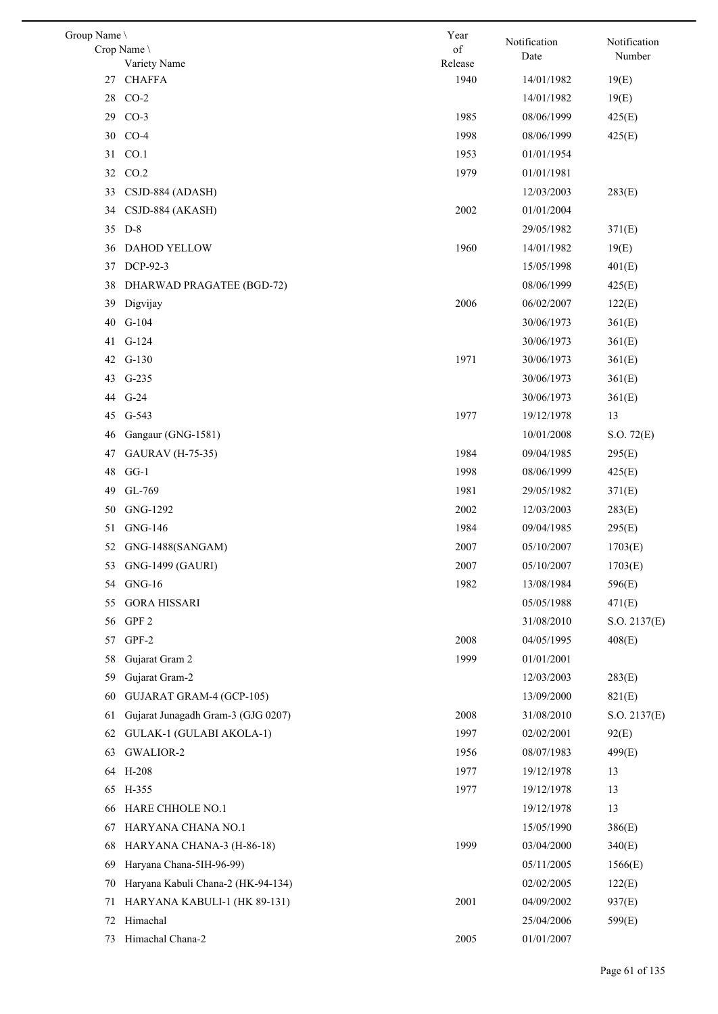| Group Name \ |                                    | Year          | Notification | Notification |
|--------------|------------------------------------|---------------|--------------|--------------|
|              | Crop Name<br>Variety Name          | of<br>Release | Date         | Number       |
| 27           | <b>CHAFFA</b>                      | 1940          | 14/01/1982   | 19(E)        |
| 28           | $CO-2$                             |               | 14/01/1982   | 19(E)        |
| 29           | $CO-3$                             | 1985          | 08/06/1999   | 425(E)       |
|              | 30 CO-4                            | 1998          | 08/06/1999   | 425(E)       |
| 31           | CO.1                               | 1953          | 01/01/1954   |              |
| 32           | CO.2                               | 1979          | 01/01/1981   |              |
| 33           | CSJD-884 (ADASH)                   |               | 12/03/2003   | 283(E)       |
| 34           | CSJD-884 (AKASH)                   | 2002          | 01/01/2004   |              |
|              | 35 D-8                             |               | 29/05/1982   | 371(E)       |
| 36           | DAHOD YELLOW                       | 1960          | 14/01/1982   | 19(E)        |
| 37           | DCP-92-3                           |               | 15/05/1998   | 401(E)       |
| 38           | DHARWAD PRAGATEE (BGD-72)          |               | 08/06/1999   | 425(E)       |
| 39           | Digvijay                           | 2006          | 06/02/2007   | 122(E)       |
| 40           | G-104                              |               | 30/06/1973   | 361(E)       |
| 41           | $G-124$                            |               | 30/06/1973   | 361(E)       |
|              | 42 G-130                           | 1971          | 30/06/1973   | 361(E)       |
|              | 43 G-235                           |               | 30/06/1973   | 361(E)       |
| 44           | $G-24$                             |               | 30/06/1973   | 361(E)       |
| 45           | $G-543$                            | 1977          | 19/12/1978   | 13           |
| 46           | Gangaur (GNG-1581)                 |               | 10/01/2008   | S.O. 72(E)   |
| 47           | <b>GAURAV</b> (H-75-35)            | 1984          | 09/04/1985   | 295(E)       |
| 48           | $GG-1$                             | 1998          | 08/06/1999   | 425(E)       |
| 49           | GL-769                             | 1981          | 29/05/1982   | 371(E)       |
| 50           | GNG-1292                           | 2002          | 12/03/2003   | 283(E)       |
| 51           | <b>GNG-146</b>                     | 1984          | 09/04/1985   | 295(E)       |
| 52           | GNG-1488(SANGAM)                   | 2007          | 05/10/2007   | 1703(E)      |
|              | 53 GNG-1499 (GAURI)                | 2007          | 05/10/2007   | 1703(E)      |
|              | 54 GNG-16                          | 1982          | 13/08/1984   | 596(E)       |
| 55           | <b>GORA HISSARI</b>                |               | 05/05/1988   | 471(E)       |
| 56           | GPF <sub>2</sub>                   |               | 31/08/2010   | S.O. 2137(E) |
| 57           | GPF-2                              | 2008          | 04/05/1995   | 408(E)       |
| 58           | Gujarat Gram 2                     | 1999          | 01/01/2001   |              |
| 59           | Gujarat Gram-2                     |               | 12/03/2003   | 283(E)       |
| 60           | GUJARAT GRAM-4 (GCP-105)           |               | 13/09/2000   | 821(E)       |
| 61           | Gujarat Junagadh Gram-3 (GJG 0207) | 2008          | 31/08/2010   | S.O. 2137(E) |
| 62           | GULAK-1 (GULABI AKOLA-1)           | 1997          | 02/02/2001   | 92(E)        |
| 63           | GWALIOR-2                          | 1956          | 08/07/1983   | 499(E)       |
|              | 64 H-208                           | 1977          | 19/12/1978   | 13           |
| 65           | H-355                              | 1977          | 19/12/1978   | 13           |
| 66           | HARE CHHOLE NO.1                   |               | 19/12/1978   | 13           |
| 67           | HARYANA CHANA NO.1                 |               | 15/05/1990   | 386(E)       |
| 68           | HARYANA CHANA-3 (H-86-18)          | 1999          | 03/04/2000   | 340(E)       |
| 69           | Haryana Chana-5IH-96-99)           |               | 05/11/2005   | 1566(E)      |
| 70           | Haryana Kabuli Chana-2 (HK-94-134) |               | 02/02/2005   | 122(E)       |
| 71           | HARYANA KABULI-1 (HK 89-131)       | 2001          | 04/09/2002   | 937(E)       |
| 72           | Himachal                           |               | 25/04/2006   | 599(E)       |
| 73           | Himachal Chana-2                   | 2005          | 01/01/2007   |              |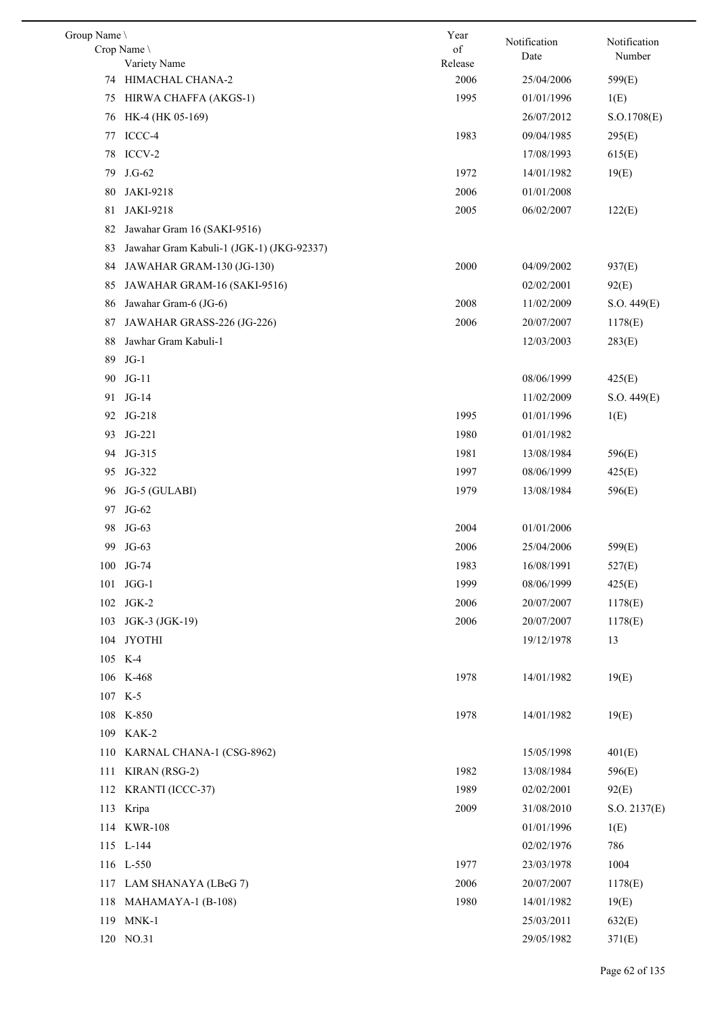| Group Name | Crop Name \                               | Year<br>of | Notification | Notification |
|------------|-------------------------------------------|------------|--------------|--------------|
|            | Variety Name                              | Release    | Date         | Number       |
| 74         | HIMACHAL CHANA-2                          | 2006       | 25/04/2006   | 599(E)       |
| 75         | HIRWA CHAFFA (AKGS-1)                     | 1995       | 01/01/1996   | 1(E)         |
| 76         | HK-4 (HK 05-169)                          |            | 26/07/2012   | S. O.1708(E) |
| 77         | ICCC-4                                    | 1983       | 09/04/1985   | 295(E)       |
| 78         | ICCV-2                                    |            | 17/08/1993   | 615(E)       |
| 79         | $J.G-62$                                  | 1972       | 14/01/1982   | 19(E)        |
| 80         | JAKI-9218                                 | 2006       | 01/01/2008   |              |
| 81         | JAKI-9218                                 | 2005       | 06/02/2007   | 122(E)       |
| 82         | Jawahar Gram 16 (SAKI-9516)               |            |              |              |
| 83         | Jawahar Gram Kabuli-1 (JGK-1) (JKG-92337) |            |              |              |
| 84         | JAWAHAR GRAM-130 (JG-130)                 | 2000       | 04/09/2002   | 937(E)       |
| 85         | JAWAHAR GRAM-16 (SAKI-9516)               |            | 02/02/2001   | 92(E)        |
| 86         | Jawahar Gram-6 (JG-6)                     | 2008       | 11/02/2009   | S.O. 449(E)  |
| 87         | JAWAHAR GRASS-226 (JG-226)                | 2006       | 20/07/2007   | 1178(E)      |
| 88         | Jawhar Gram Kabuli-1                      |            | 12/03/2003   | 283(E)       |
| 89         | $JG-1$                                    |            |              |              |
| 90         | $JG-11$                                   |            | 08/06/1999   | 425(E)       |
| 91         | $JG-14$                                   |            | 11/02/2009   | S.O. 449(E)  |
|            | 92 JG-218                                 | 1995       | 01/01/1996   | 1(E)         |
| 93         | JG-221                                    | 1980       | 01/01/1982   |              |
|            | 94 JG-315                                 | 1981       | 13/08/1984   | 596(E)       |
| 95         | JG-322                                    | 1997       | 08/06/1999   | 425(E)       |
| 96         | JG-5 (GULABI)                             | 1979       | 13/08/1984   | 596(E)       |
|            | 97 JG-62                                  |            |              |              |
| 98         | $JG-63$                                   | 2004       | 01/01/2006   |              |
| 99         | JG-63                                     | 2006       | 25/04/2006   | 599(E)       |
|            | 100 JG-74                                 | 1983       | 16/08/1991   | 527(E)       |
|            | 101 JGG-1                                 | 1999       | 08/06/1999   | 425(E)       |
|            | 102 JGK-2                                 | 2006       | 20/07/2007   | 1178(E)      |
|            | 103 JGK-3 (JGK-19)                        | 2006       | 20/07/2007   | 1178(E)      |
|            | 104 JYOTHI                                |            | 19/12/1978   | 13           |
|            | 105 K-4                                   |            |              |              |
|            | 106 K-468                                 | 1978       | 14/01/1982   | 19(E)        |
|            | 107 K-5                                   |            |              |              |
|            | 108 K-850                                 | 1978       | 14/01/1982   | 19(E)        |
|            | 109 KAK-2                                 |            |              |              |
|            | 110 KARNAL CHANA-1 (CSG-8962)             |            | 15/05/1998   | 401(E)       |
|            | 111 KIRAN (RSG-2)                         | 1982       | 13/08/1984   | 596(E)       |
|            | 112 KRANTI (ICCC-37)                      | 1989       | 02/02/2001   | 92(E)        |
|            | 113 Kripa                                 | 2009       | 31/08/2010   | S.O. 2137(E) |
|            | 114 KWR-108                               |            | 01/01/1996   | 1(E)         |
|            | 115 L-144                                 |            | 02/02/1976   | 786          |
|            | 116 L-550                                 | 1977       | 23/03/1978   | 1004         |
|            | 117 LAM SHANAYA (LBeG 7)                  | 2006       | 20/07/2007   | 1178(E)      |
|            | 118 MAHAMAYA-1 (B-108)                    | 1980       | 14/01/1982   | 19(E)        |
|            | 119 MNK-1                                 |            | 25/03/2011   | 632(E)       |
|            | 120 NO.31                                 |            | 29/05/1982   | 371(E)       |
|            |                                           |            |              |              |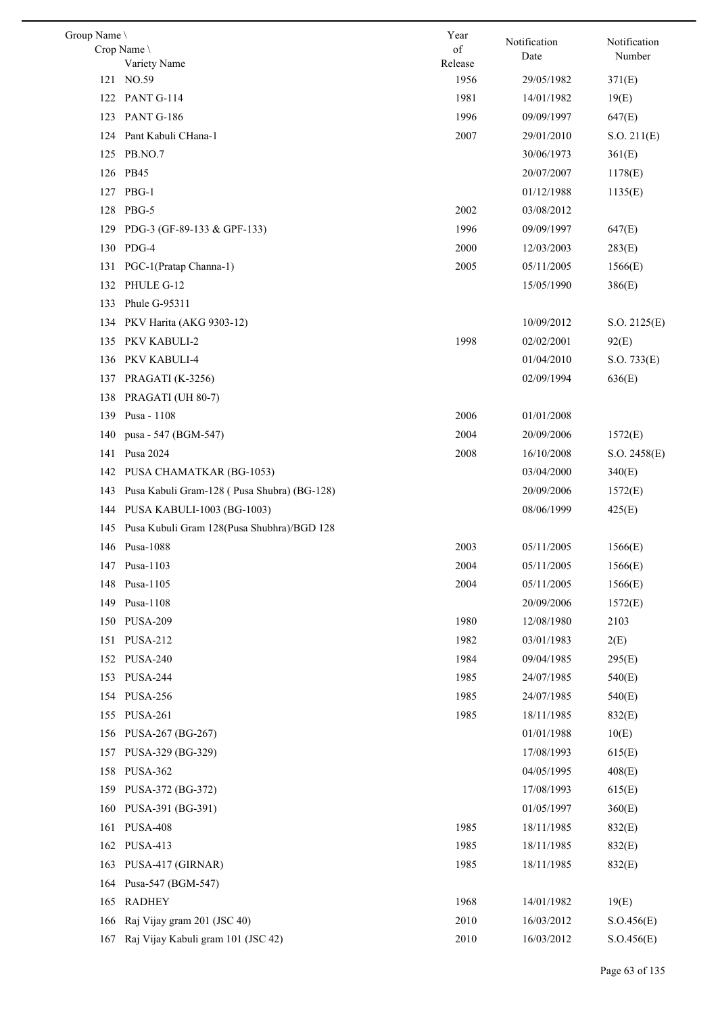| Group Name |                                             | Year    | Notification | Notification |
|------------|---------------------------------------------|---------|--------------|--------------|
|            | Crop Name \                                 | of      | Date         | Number       |
|            | Variety Name                                | Release |              |              |
|            | 121 NO.59                                   | 1956    | 29/05/1982   | 371(E)       |
|            | 122 PANT G-114                              | 1981    | 14/01/1982   | 19(E)        |
| 123        | PANT G-186                                  | 1996    | 09/09/1997   | 647(E)       |
| 124        | Pant Kabuli CHana-1                         | 2007    | 29/01/2010   | S.O. 211(E)  |
| 125        | PB.NO.7                                     |         | 30/06/1973   | 361(E)       |
|            | 126 PB45                                    |         | 20/07/2007   | 1178(E)      |
| 127        | PBG-1                                       |         | 01/12/1988   | 1135(E)      |
| 128        | PBG-5                                       | 2002    | 03/08/2012   |              |
| 129        | PDG-3 (GF-89-133 & GPF-133)                 | 1996    | 09/09/1997   | 647(E)       |
| 130        | PDG-4                                       | 2000    | 12/03/2003   | 283(E)       |
| 131        | PGC-1(Pratap Channa-1)                      | 2005    | 05/11/2005   | 1566(E)      |
| 132        | PHULE G-12                                  |         | 15/05/1990   | 386(E)       |
| 133        | Phule G-95311                               |         |              |              |
| 134        | PKV Harita (AKG 9303-12)                    |         | 10/09/2012   | S.O. 2125(E) |
| 135        | PKV KABULI-2                                | 1998    | 02/02/2001   | 92(E)        |
| 136        | PKV KABULI-4                                |         | 01/04/2010   | S.O. 733(E)  |
| 137        | PRAGATI (K-3256)                            |         | 02/09/1994   | 636(E)       |
| 138        | PRAGATI (UH 80-7)                           |         |              |              |
| 139        | Pusa - 1108                                 | 2006    | 01/01/2008   |              |
| 140        | pusa - 547 (BGM-547)                        | 2004    | 20/09/2006   | 1572(E)      |
| 141        | Pusa 2024                                   | 2008    | 16/10/2008   | S.O. 2458(E) |
| 142        | PUSA CHAMATKAR (BG-1053)                    |         | 03/04/2000   | 340(E)       |
| 143        | Pusa Kabuli Gram-128 (Pusa Shubra) (BG-128) |         | 20/09/2006   | 1572(E)      |
| 144        | PUSA KABULI-1003 (BG-1003)                  |         | 08/06/1999   | 425(E)       |
| 145        | Pusa Kubuli Gram 128(Pusa Shubhra)/BGD 128  |         |              |              |
| 146        | Pusa-1088                                   | 2003    | 05/11/2005   | 1566(E)      |
|            | 147 Pusa-1103                               | 2004    | 05/11/2005   | 1566(E)      |
| 148        | Pusa-1105                                   | 2004    | 05/11/2005   | 1566(E)      |
| 149        | Pusa-1108                                   |         | 20/09/2006   | 1572(E)      |
|            | 150 PUSA-209                                | 1980    | 12/08/1980   | 2103         |
| 151        | <b>PUSA-212</b>                             | 1982    | 03/01/1983   | 2(E)         |
| 152        | <b>PUSA-240</b>                             | 1984    | 09/04/1985   | 295(E)       |
| 153        | <b>PUSA-244</b>                             | 1985    | 24/07/1985   | 540(E)       |
| 154        | <b>PUSA-256</b>                             | 1985    | 24/07/1985   | 540(E)       |
|            | 155 PUSA-261                                | 1985    | 18/11/1985   | 832(E)       |
| 156        | PUSA-267 (BG-267)                           |         | 01/01/1988   | 10(E)        |
|            |                                             |         |              |              |
| 157        | PUSA-329 (BG-329)                           |         | 17/08/1993   | 615(E)       |
| 158        | <b>PUSA-362</b>                             |         | 04/05/1995   | 408(E)       |
| 159        | PUSA-372 (BG-372)                           |         | 17/08/1993   | 615(E)       |
| 160        | PUSA-391 (BG-391)                           |         | 01/05/1997   | 360(E)       |
| 161        | <b>PUSA-408</b>                             | 1985    | 18/11/1985   | 832(E)       |
|            | 162 PUSA-413                                | 1985    | 18/11/1985   | 832(E)       |
| 163        | PUSA-417 (GIRNAR)                           | 1985    | 18/11/1985   | 832(E)       |
| 164        | Pusa-547 (BGM-547)                          |         |              |              |
| 165        | <b>RADHEY</b>                               | 1968    | 14/01/1982   | 19(E)        |
| 166        | Raj Vijay gram 201 (JSC 40)                 | 2010    | 16/03/2012   | S.O.456(E)   |
| 167        | Raj Vijay Kabuli gram 101 (JSC 42)          | 2010    | 16/03/2012   | S.O.456(E)   |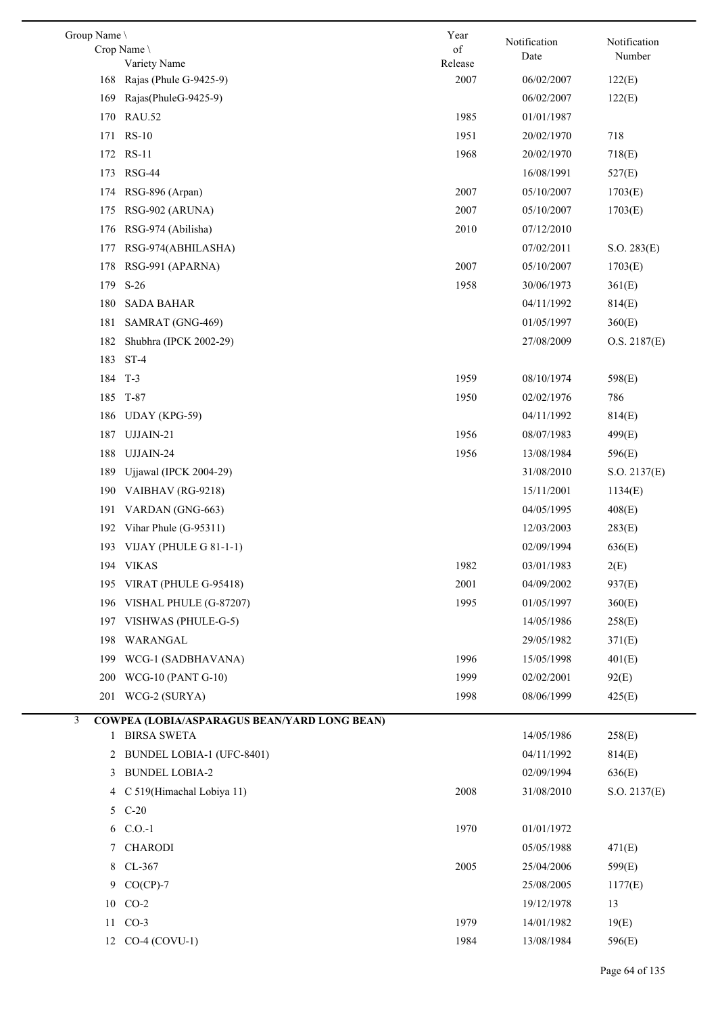| Group Name \ |                                              | Year                                                                                               | Notification | Notification |
|--------------|----------------------------------------------|----------------------------------------------------------------------------------------------------|--------------|--------------|
|              | Crop Name \                                  | $% \left( \left( \mathcal{A},\mathcal{A}\right) \right) =\left( \mathcal{A},\mathcal{A}\right)$ of | Date         | Number       |
|              | Variety Name<br>Rajas (Phule G-9425-9)       | Release<br>2007                                                                                    |              |              |
| 168<br>169   | Rajas(PhuleG-9425-9)                         |                                                                                                    | 06/02/2007   | 122(E)       |
|              |                                              | 1985                                                                                               | 06/02/2007   | 122(E)       |
|              | 170 RAU.52                                   |                                                                                                    | 01/01/1987   |              |
|              | 171 RS-10                                    | 1951                                                                                               | 20/02/1970   | 718          |
|              | 172 RS-11                                    | 1968                                                                                               | 20/02/1970   | 718(E)       |
| 173          | <b>RSG-44</b>                                |                                                                                                    | 16/08/1991   | 527(E)       |
|              | 174 RSG-896 (Arpan)                          | 2007                                                                                               | 05/10/2007   | 1703(E)      |
|              | 175 RSG-902 (ARUNA)                          | 2007                                                                                               | 05/10/2007   | 1703(E)      |
| 176          | RSG-974 (Abilisha)                           | 2010                                                                                               | 07/12/2010   |              |
| 177          | RSG-974(ABHILASHA)                           |                                                                                                    | 07/02/2011   | S.O. 283(E)  |
| 178          | RSG-991 (APARNA)                             | 2007                                                                                               | 05/10/2007   | 1703(E)      |
| 179          | $S-26$                                       | 1958                                                                                               | 30/06/1973   | 361(E)       |
| 180          | <b>SADA BAHAR</b>                            |                                                                                                    | 04/11/1992   | 814(E)       |
| 181          | SAMRAT (GNG-469)                             |                                                                                                    | 01/05/1997   | 360(E)       |
| 182          | Shubhra (IPCK 2002-29)                       |                                                                                                    | 27/08/2009   | O.S. 2187(E) |
| 183          | $ST-4$                                       |                                                                                                    |              |              |
|              | 184 T-3                                      | 1959                                                                                               | 08/10/1974   | 598(E)       |
|              | 185 T-87                                     | 1950                                                                                               | 02/02/1976   | 786          |
| 186          | <b>UDAY</b> (KPG-59)                         |                                                                                                    | 04/11/1992   | 814(E)       |
| 187          | UJJAIN-21                                    | 1956                                                                                               | 08/07/1983   | 499(E)       |
| 188          | UJJAIN-24                                    | 1956                                                                                               | 13/08/1984   | 596(E)       |
| 189          | Ujjawal (IPCK 2004-29)                       |                                                                                                    | 31/08/2010   | S.O. 2137(E) |
| 190          | VAIBHAV (RG-9218)                            |                                                                                                    | 15/11/2001   | 1134(E)      |
| 191          | VARDAN (GNG-663)                             |                                                                                                    | 04/05/1995   | 408(E)       |
| 192          | Vihar Phule (G-95311)                        |                                                                                                    | 12/03/2003   | 283(E)       |
|              | 193 VIJAY (PHULE G 81-1-1)                   |                                                                                                    | 02/09/1994   | 636(E)       |
|              | 194 VIKAS                                    | 1982                                                                                               | 03/01/1983   | 2(E)         |
| 195          | VIRAT (PHULE G-95418)                        | 2001                                                                                               | 04/09/2002   | 937(E)       |
| 196          | VISHAL PHULE (G-87207)                       | 1995                                                                                               | 01/05/1997   | 360(E)       |
| 197          | VISHWAS (PHULE-G-5)                          |                                                                                                    | 14/05/1986   | 258(E)       |
| 198          | WARANGAL                                     |                                                                                                    | 29/05/1982   | 371(E)       |
| 199          | WCG-1 (SADBHAVANA)                           | 1996                                                                                               | 15/05/1998   | 401(E)       |
|              | 200 WCG-10 (PANT G-10)                       | 1999                                                                                               | 02/02/2001   | 92(E)        |
|              | 201 WCG-2 (SURYA)                            | 1998                                                                                               | 08/06/1999   | 425(E)       |
| 3            | COWPEA (LOBIA/ASPARAGUS BEAN/YARD LONG BEAN) |                                                                                                    |              |              |
|              | 1 BIRSA SWETA                                |                                                                                                    | 14/05/1986   | 258(E)       |
|              | 2 BUNDEL LOBIA-1 (UFC-8401)                  |                                                                                                    | 04/11/1992   | 814(E)       |
| 3            | <b>BUNDEL LOBIA-2</b>                        |                                                                                                    | 02/09/1994   | 636(E)       |
| 4            | C 519(Himachal Lobiya 11)                    | 2008                                                                                               | 31/08/2010   | S.O. 2137(E) |
|              | 5 C-20                                       |                                                                                                    |              |              |
|              | 6 C.O.-1                                     | 1970                                                                                               | 01/01/1972   |              |
| 7            | <b>CHARODI</b>                               |                                                                                                    | 05/05/1988   | 471(E)       |
| 8            | $CL-367$                                     | 2005                                                                                               | 25/04/2006   | 599(E)       |
| 9            | $CO(CP)-7$                                   |                                                                                                    | 25/08/2005   | 1177(E)      |
| 10           | $CO-2$                                       |                                                                                                    | 19/12/1978   | 13           |
| 11           | $CO-3$                                       | 1979                                                                                               | 14/01/1982   | 19(E)        |
|              | 12 CO-4 (COVU-1)                             | 1984                                                                                               | 13/08/1984   | 596(E)       |
|              |                                              |                                                                                                    |              |              |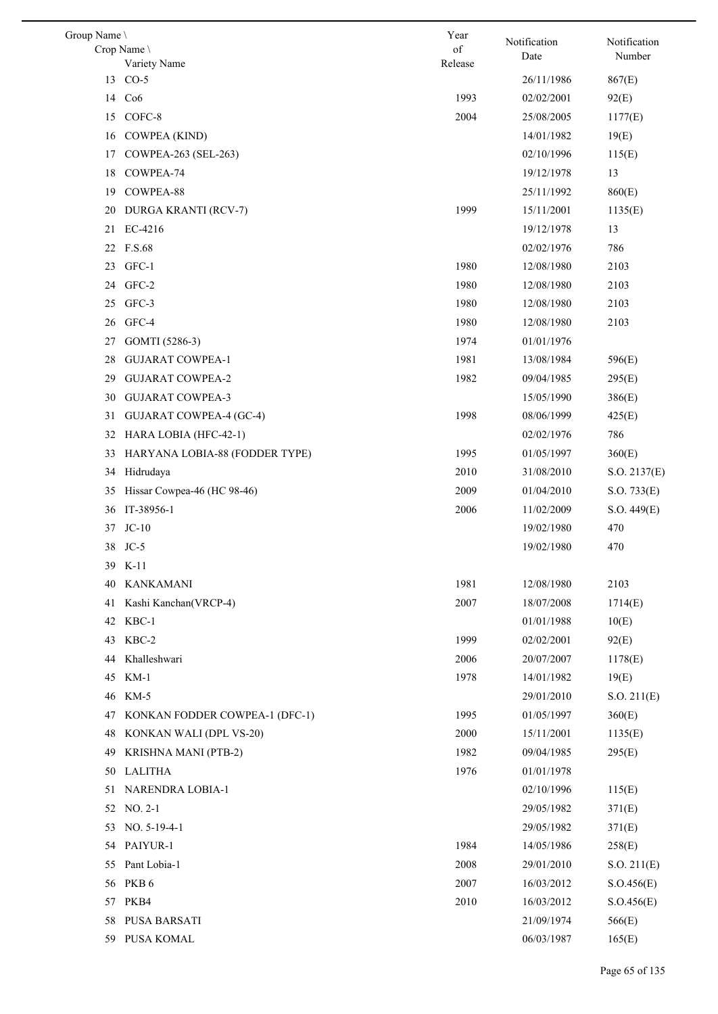| Group Name \ |                                      | Year          | Notification             | Notification     |
|--------------|--------------------------------------|---------------|--------------------------|------------------|
|              | Crop Name<br>Variety Name            | of<br>Release | Date                     | Number           |
| 13           | $CO-5$                               |               | 26/11/1986               | 867(E)           |
|              | 14 Co6                               | 1993          | 02/02/2001               | 92(E)            |
| 15           | COFC-8                               | 2004          | 25/08/2005               | 1177(E)          |
|              | 16 COWPEA (KIND)                     |               | 14/01/1982               | 19(E)            |
| 17           | COWPEA-263 (SEL-263)                 |               | 02/10/1996               | 115(E)           |
| 18           | COWPEA-74                            |               | 19/12/1978               | 13               |
| 19           | COWPEA-88                            |               | 25/11/1992               | 860(E)           |
| 20           | DURGA KRANTI (RCV-7)                 | 1999          | 15/11/2001               | 1135(E)          |
| 21           | EC-4216                              |               | 19/12/1978               | 13               |
|              | 22 F.S.68                            |               | 02/02/1976               | 786              |
|              | 23 GFC-1                             | 1980          | 12/08/1980               | 2103             |
|              | 24 GFC-2                             | 1980          | 12/08/1980               | 2103             |
| 25           | GFC-3                                | 1980          | 12/08/1980               | 2103             |
|              | 26 GFC-4                             | 1980          | 12/08/1980               | 2103             |
| 27           | GOMTI (5286-3)                       | 1974          | 01/01/1976               |                  |
| 28           | <b>GUJARAT COWPEA-1</b>              | 1981          | 13/08/1984               | 596(E)           |
| 29           | <b>GUJARAT COWPEA-2</b>              | 1982          | 09/04/1985               | 295(E)           |
| 30           | <b>GUJARAT COWPEA-3</b>              |               | 15/05/1990               | 386(E)           |
| 31           | GUJARAT COWPEA-4 (GC-4)              | 1998          | 08/06/1999               | 425(E)           |
| 32           | HARA LOBIA (HFC-42-1)                |               | 02/02/1976               | 786              |
| 33           | HARYANA LOBIA-88 (FODDER TYPE)       | 1995          | 01/05/1997               | 360(E)           |
| 34           | Hidrudaya                            | 2010          | 31/08/2010               | S.O. 2137(E)     |
| 35           | Hissar Cowpea-46 (HC 98-46)          | 2009          | 01/04/2010               | S.O. 733(E)      |
| 36           | IT-38956-1                           | 2006          | 11/02/2009               | S.O. 449(E)      |
| 37           | $JC-10$                              |               | 19/02/1980               | 470              |
| 38           | $JC-5$                               |               | 19/02/1980               | 470              |
|              | 39 K-11                              |               |                          |                  |
| 40           | KANKAMANI                            | 1981          | 12/08/1980               | 2103             |
| 41           | Kashi Kanchan(VRCP-4)                | 2007          | 18/07/2008               | 1714(E)          |
| 42           | KBC-1                                |               | 01/01/1988               | 10(E)            |
| 43           | KBC-2                                | 1999          | 02/02/2001               | 92(E)            |
| 44           | Khalleshwari                         | 2006          | 20/07/2007               | 1178(E)          |
| 45           | $KM-1$                               | 1978          | 14/01/1982               | 19(E)            |
| 46           | KM-5                                 |               | 29/01/2010               | S.O. 211(E)      |
| 47           | KONKAN FODDER COWPEA-1 (DFC-1)       | 1995          | 01/05/1997               | 360(E)           |
| 48           | KONKAN WALI (DPL VS-20)              | 2000          | 15/11/2001               | 1135(E)          |
| 49           | KRISHNA MANI (PTB-2)                 | 1982          | 09/04/1985               | 295(E)           |
|              | 50 LALITHA                           | 1976          | 01/01/1978               |                  |
| 51           | NARENDRA LOBIA-1                     |               | 02/10/1996               | 115(E)           |
|              | 52 NO. 2-1                           |               | 29/05/1982               | 371(E)           |
| 53           | $NO. 5-19-4-1$                       |               | 29/05/1982               | 371(E)           |
| 54           | PAIYUR-1                             | 1984          | 14/05/1986               | 258(E)           |
| 55           | Pant Lobia-1                         | 2008          | 29/01/2010               | S.O. 211(E)      |
| 56           | PKB <sub>6</sub>                     | 2007          | 16/03/2012               | S. O.456(E)      |
| 57           | PKB4                                 | 2010          | 16/03/2012               | S.O.456(E)       |
| 58           | <b>PUSA BARSATI</b><br>59 PUSA KOMAL |               | 21/09/1974<br>06/03/1987 | 566(E)<br>165(E) |
|              |                                      |               |                          |                  |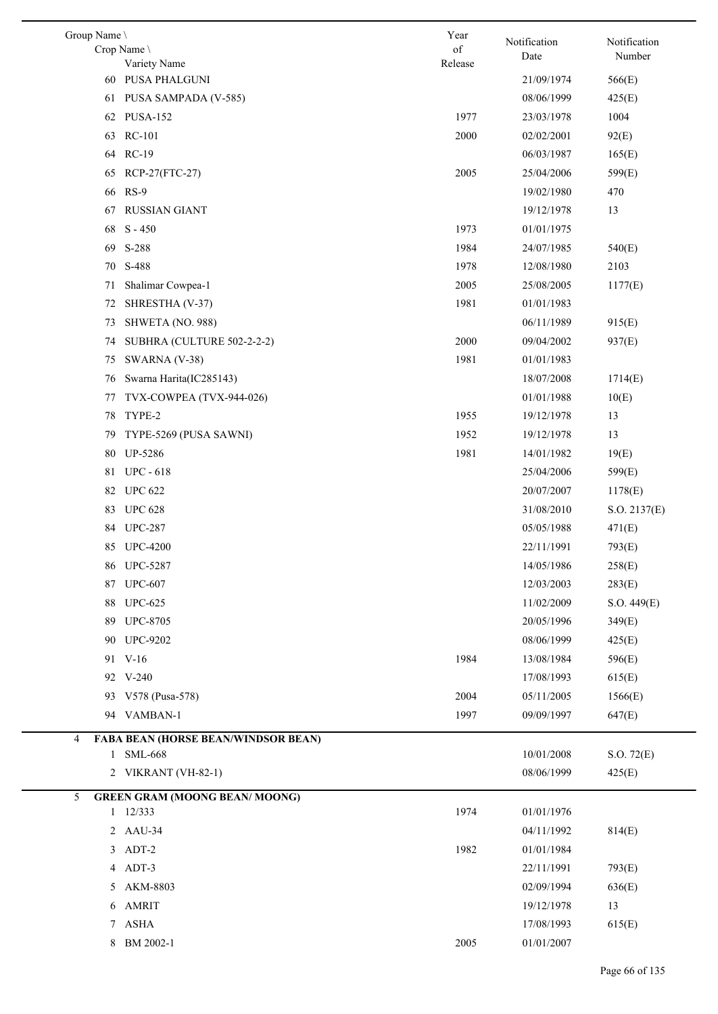| Group Name \ | Crop Name \                          | Year<br>of | Notification | Notification |
|--------------|--------------------------------------|------------|--------------|--------------|
|              | Variety Name                         | Release    | Date         | Number       |
|              | 60 PUSA PHALGUNI                     |            | 21/09/1974   | 566(E)       |
| 61           | PUSA SAMPADA (V-585)                 |            | 08/06/1999   | 425(E)       |
|              | 62 PUSA-152                          | 1977       | 23/03/1978   | 1004         |
| 63           | <b>RC-101</b>                        | 2000       | 02/02/2001   | 92(E)        |
|              | 64 RC-19                             |            | 06/03/1987   | 165(E)       |
| 65           | RCP-27(FTC-27)                       | 2005       | 25/04/2006   | 599(E)       |
| 66           | $RS-9$                               |            | 19/02/1980   | 470          |
| 67           | <b>RUSSIAN GIANT</b>                 |            | 19/12/1978   | 13           |
| 68           | $S - 450$                            | 1973       | 01/01/1975   |              |
|              | 69 S-288                             | 1984       | 24/07/1985   | 540(E)       |
| 70           | S-488                                | 1978       | 12/08/1980   | 2103         |
| 71           | Shalimar Cowpea-1                    | 2005       | 25/08/2005   | 1177(E)      |
| 72           | SHRESTHA (V-37)                      | 1981       | 01/01/1983   |              |
| 73           | SHWETA (NO. 988)                     |            | 06/11/1989   | 915(E)       |
| 74           | SUBHRA (CULTURE 502-2-2-2)           | 2000       | 09/04/2002   | 937(E)       |
| 75           | SWARNA (V-38)                        | 1981       | 01/01/1983   |              |
| 76           | Swarna Harita(IC285143)              |            | 18/07/2008   | 1714(E)      |
| 77           | TVX-COWPEA (TVX-944-026)             |            | 01/01/1988   | 10(E)        |
| 78           | TYPE-2                               | 1955       | 19/12/1978   | 13           |
| 79           | TYPE-5269 (PUSA SAWNI)               | 1952       | 19/12/1978   | 13           |
| 80           | <b>UP-5286</b>                       | 1981       | 14/01/1982   | 19(E)        |
| 81           | <b>UPC - 618</b>                     |            | 25/04/2006   | 599(E)       |
|              | 82 UPC 622                           |            | 20/07/2007   | 1178(E)      |
|              | 83 UPC 628                           |            | 31/08/2010   | S.O. 2137(E) |
|              | 84 UPC-287                           |            | 05/05/1988   | 471(E)       |
|              | 85 UPC-4200                          |            | 22/11/1991   | 793(E)       |
|              | 86 UPC-5287                          |            | 14/05/1986   | 258(E)       |
| 87           | <b>UPC-607</b>                       |            | 12/03/2003   | 283(E)       |
|              | 88 UPC-625                           |            | 11/02/2009   | S.O. 449(E)  |
| 89           | <b>UPC-8705</b>                      |            | 20/05/1996   | 349(E)       |
| 90           | <b>UPC-9202</b>                      |            | 08/06/1999   | 425(E)       |
|              | 91 V-16                              | 1984       | 13/08/1984   | 596(E)       |
|              | 92 V-240                             |            | 17/08/1993   | 615(E)       |
|              | 93 V578 (Pusa-578)                   | 2004       | 05/11/2005   | 1566(E)      |
|              | VAMBAN-1                             | 1997       | 09/09/1997   |              |
| 94           |                                      |            |              | 647(E)       |
| 4            | FABA BEAN (HORSE BEAN/WINDSOR BEAN)  |            |              |              |
|              | 1 SML-668                            |            | 10/01/2008   | S.O. 72(E)   |
| 2            | VIKRANT (VH-82-1)                    |            | 08/06/1999   | 425(E)       |
| 5            | <b>GREEN GRAM (MOONG BEAN/MOONG)</b> |            |              |              |
|              | $1 \quad 12/333$                     | 1974       | 01/01/1976   |              |
| $\mathbf{2}$ | AAU-34                               |            | 04/11/1992   | 814(E)       |
| 3            | ADT-2                                | 1982       | 01/01/1984   |              |
| 4            | ADT-3                                |            | 22/11/1991   | 793(E)       |
| 5            | AKM-8803                             |            | 02/09/1994   | 636(E)       |
| 6            | <b>AMRIT</b>                         |            | 19/12/1978   | 13           |
| 7            | ${\rm ASHA}$                         |            | 17/08/1993   | 615(E)       |
| 8            | BM 2002-1                            | 2005       | 01/01/2007   |              |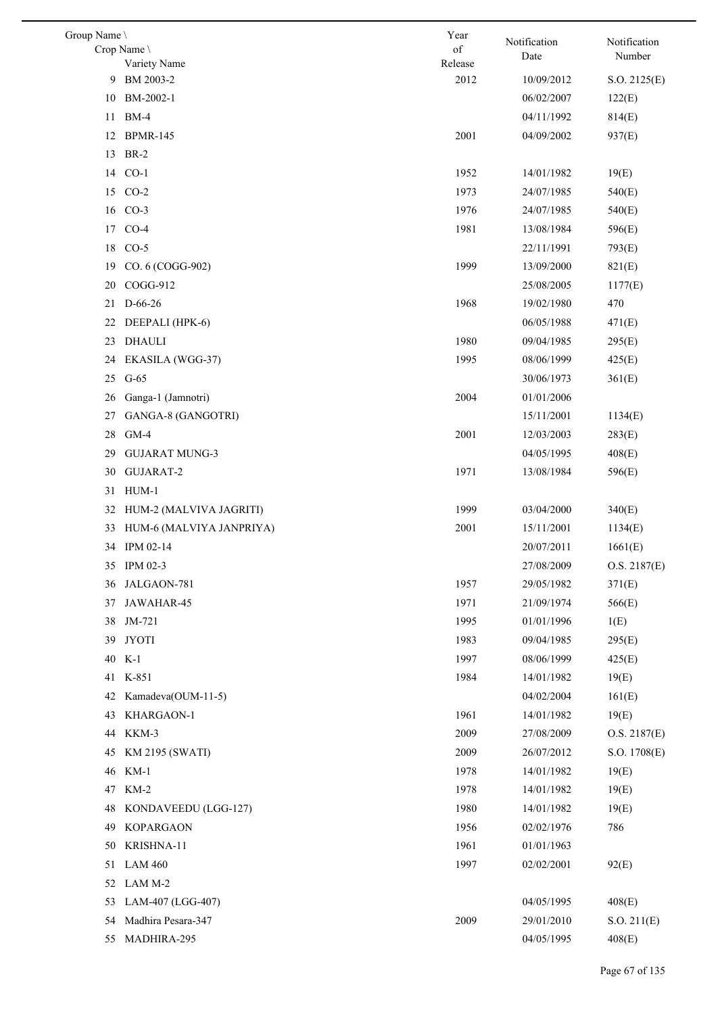| Group Name \ |                           | Year            | Notification | Notification |
|--------------|---------------------------|-----------------|--------------|--------------|
|              | Crop Name                 | of              | Date         | Number       |
| 9            | Variety Name<br>BM 2003-2 | Release<br>2012 | 10/09/2012   | S.O. 2125(E) |
| 10           | BM-2002-1                 |                 | 06/02/2007   | 122(E)       |
| 11           | $BM-4$                    |                 | 04/11/1992   | 814(E)       |
|              | 12 BPMR-145               | 2001            | 04/09/2002   | 937(E)       |
|              | <b>BR-2</b>               |                 |              |              |
| 13           |                           |                 |              |              |
|              | 14 CO-1                   | 1952            | 14/01/1982   | 19(E)        |
|              | 15 CO-2                   | 1973            | 24/07/1985   | 540(E)       |
|              | 16 CO-3                   | 1976            | 24/07/1985   | 540(E)       |
|              | 17 CO-4                   | 1981            | 13/08/1984   | 596(E)       |
| 18           | $CO-5$                    |                 | 22/11/1991   | 793(E)       |
| 19           | CO. 6 (COGG-902)          | 1999            | 13/09/2000   | 821(E)       |
| 20           | COGG-912                  |                 | 25/08/2005   | 1177(E)      |
| 21           | D-66-26                   | 1968            | 19/02/1980   | 470          |
| 22           | DEEPALI (HPK-6)           |                 | 06/05/1988   | 471(E)       |
| 23           | <b>DHAULI</b>             | 1980            | 09/04/1985   | 295(E)       |
| 24           | EKASILA (WGG-37)          | 1995            | 08/06/1999   | 425(E)       |
| 25           | $G-65$                    |                 | 30/06/1973   | 361(E)       |
| 26           | Ganga-1 (Jamnotri)        | 2004            | 01/01/2006   |              |
| 27           | GANGA-8 (GANGOTRI)        |                 | 15/11/2001   | 1134(E)      |
| 28           | $GM-4$                    | 2001            | 12/03/2003   | 283(E)       |
| 29           | <b>GUJARAT MUNG-3</b>     |                 | 04/05/1995   | 408(E)       |
| 30           | GUJARAT-2                 | 1971            | 13/08/1984   | 596(E)       |
|              | 31 HUM-1                  |                 |              |              |
| 32           | HUM-2 (MALVIVA JAGRITI)   | 1999            | 03/04/2000   | 340(E)       |
| 33           | HUM-6 (MALVIYA JANPRIYA)  | 2001            | 15/11/2001   | 1134(E)      |
| 34           | IPM 02-14                 |                 | 20/07/2011   | 1661(E)      |
|              | 35 IPM 02-3               |                 | 27/08/2009   | O.S. 2187(E) |
|              | 36 JALGAON-781            | 1957            | 29/05/1982   | 371(E)       |
| 37           | JAWAHAR-45                | 1971            | 21/09/1974   | 566(E)       |
| 38           | JM-721                    | 1995            | 01/01/1996   | 1(E)         |
| 39           | <b>JYOTI</b>              | 1983            | 09/04/1985   | 295(E)       |
| 40           | $K-1$                     | 1997            | 08/06/1999   | 425(E)       |
|              | 41 K-851                  | 1984            | 14/01/1982   | 19(E)        |
| 42           | Kamadeva(OUM-11-5)        |                 | 04/02/2004   | 161(E)       |
| 43           | KHARGAON-1                | 1961            | 14/01/1982   | 19(E)        |
| 44           | KKM-3                     | 2009            | 27/08/2009   | O.S. 2187(E) |
| 45           | <b>KM 2195 (SWATI)</b>    | 2009            | 26/07/2012   | S.O. 1708(E) |
| 46           | $KM-1$                    | 1978            | 14/01/1982   | 19(E)        |
| 47           | $KM-2$                    | 1978            | 14/01/1982   | 19(E)        |
| 48           | KONDAVEEDU (LGG-127)      | 1980            | 14/01/1982   | 19(E)        |
| 49           | <b>KOPARGAON</b>          | 1956            | 02/02/1976   | 786          |
| 50           | KRISHNA-11                | 1961            | 01/01/1963   |              |
| 51           | <b>LAM 460</b>            | 1997            | 02/02/2001   | 92(E)        |
| 52           | LAM M-2                   |                 |              |              |
| 53           | LAM-407 (LGG-407)         |                 | 04/05/1995   | 408(E)       |
| 54           | Madhira Pesara-347        | 2009            | 29/01/2010   | S.O. 211(E)  |
| 55           | MADHIRA-295               |                 | 04/05/1995   | 408(E)       |
|              |                           |                 |              |              |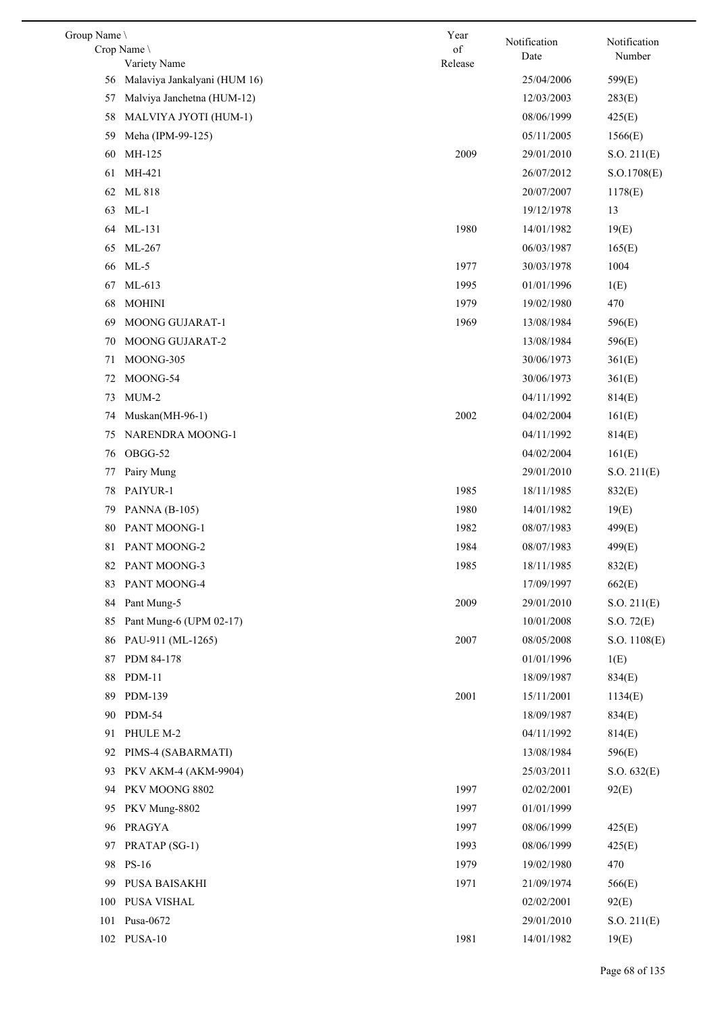| Group Name |                              | Year    | Notification | Notification |
|------------|------------------------------|---------|--------------|--------------|
|            | Crop Name                    | of      | Date         | Number       |
|            | Variety Name                 | Release |              |              |
| 56         | Malaviya Jankalyani (HUM 16) |         | 25/04/2006   | 599(E)       |
| 57         | Malviya Janchetna (HUM-12)   |         | 12/03/2003   | 283(E)       |
| 58         | MALVIYA JYOTI (HUM-1)        |         | 08/06/1999   | 425(E)       |
| 59         | Meha (IPM-99-125)            |         | 05/11/2005   | 1566(E)      |
| 60         | MH-125                       | 2009    | 29/01/2010   | S.O. 211(E)  |
| 61         | MH-421                       |         | 26/07/2012   | S.O.1708(E)  |
| 62         | ML 818                       |         | 20/07/2007   | 1178(E)      |
| 63         | $ML-1$                       |         | 19/12/1978   | 13           |
| 64         | ML-131                       | 1980    | 14/01/1982   | 19(E)        |
| 65         | ML-267                       |         | 06/03/1987   | 165(E)       |
| 66         | $ML-5$                       | 1977    | 30/03/1978   | 1004         |
| 67         | ML-613                       | 1995    | 01/01/1996   | 1(E)         |
| 68         | <b>MOHINI</b>                | 1979    | 19/02/1980   | 470          |
| 69         | MOONG GUJARAT-1              | 1969    | 13/08/1984   | 596(E)       |
| 70         | MOONG GUJARAT-2              |         | 13/08/1984   | 596(E)       |
| 71         | MOONG-305                    |         | 30/06/1973   | 361(E)       |
| 72         | MOONG-54                     |         | 30/06/1973   | 361(E)       |
| 73         | $MUM-2$                      |         | 04/11/1992   | 814(E)       |
| 74         | Muskan(MH-96-1)              | 2002    | 04/02/2004   | 161(E)       |
| 75         | NARENDRA MOONG-1             |         | 04/11/1992   | 814(E)       |
| 76         | OBGG-52                      |         | 04/02/2004   | 161(E)       |
| 77         | Pairy Mung                   |         | 29/01/2010   | S.O. 211(E)  |
| 78         | PAIYUR-1                     | 1985    | 18/11/1985   | 832(E)       |
| 79         | <b>PANNA</b> (B-105)         | 1980    | 14/01/1982   | 19(E)        |
| 80         | PANT MOONG-1                 | 1982    | 08/07/1983   | 499(E)       |
| 81         | PANT MOONG-2                 | 1984    | 08/07/1983   | 499(E)       |
|            | 82 PANT MOONG-3              | 1985    | 18/11/1985   | 832(E)       |
| 83         | PANT MOONG-4                 |         | 17/09/1997   | 662(E)       |
| 84         | Pant Mung-5                  | 2009    | 29/01/2010   | S.O. 211(E)  |
| 85         | Pant Mung-6 (UPM 02-17)      |         | 10/01/2008   | S.O. 72(E)   |
| 86         | PAU-911 (ML-1265)            | 2007    | 08/05/2008   | S.O. 1108(E) |
| 87         | PDM 84-178                   |         | 01/01/1996   | 1(E)         |
| 88         | <b>PDM-11</b>                |         | 18/09/1987   | 834(E)       |
|            |                              | 2001    |              |              |
| 89         | PDM-139                      |         | 15/11/2001   | 1134(E)      |
| 90         | <b>PDM-54</b>                |         | 18/09/1987   | 834(E)       |
| 91         | PHULE M-2                    |         | 04/11/1992   | 814(E)       |
| 92         | PIMS-4 (SABARMATI)           |         | 13/08/1984   | 596(E)       |
| 93         | PKV AKM-4 (AKM-9904)         |         | 25/03/2011   | S.O. 632(E)  |
| 94         | PKV MOONG 8802               | 1997    | 02/02/2001   | 92(E)        |
| 95         | PKV Mung-8802                | 1997    | 01/01/1999   |              |
| 96         | PRAGYA                       | 1997    | 08/06/1999   | 425(E)       |
| 97         | PRATAP (SG-1)                | 1993    | 08/06/1999   | 425(E)       |
| 98         | <b>PS-16</b>                 | 1979    | 19/02/1980   | 470          |
| 99         | PUSA BAISAKHI                | 1971    | 21/09/1974   | 566(E)       |
| 100        | PUSA VISHAL                  |         | 02/02/2001   | 92(E)        |
| 101        | Pusa-0672                    |         | 29/01/2010   | S.O. 211(E)  |
|            | 102 PUSA-10                  | 1981    | 14/01/1982   | 19(E)        |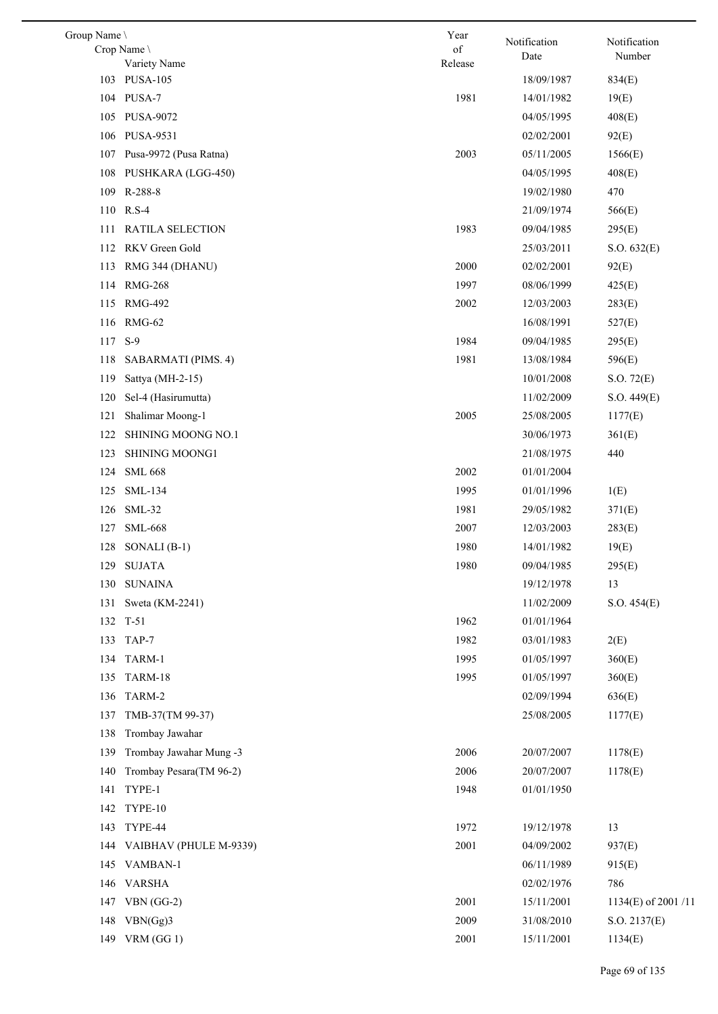| Group Name \ | Crop Name               | Year<br>of   | Notification<br>Date     | Notification<br>Number |
|--------------|-------------------------|--------------|--------------------------|------------------------|
|              | Variety Name            | Release      |                          |                        |
|              | 103 PUSA-105            |              | 18/09/1987               | 834(E)                 |
|              | 104 PUSA-7              | 1981         | 14/01/1982               | 19(E)                  |
| 105          | <b>PUSA-9072</b>        |              | 04/05/1995               | 408(E)                 |
| 106          | PUSA-9531               |              | 02/02/2001               | 92(E)                  |
| 107          | Pusa-9972 (Pusa Ratna)  | 2003         | 05/11/2005               | 1566(E)                |
| 108          | PUSHKARA (LGG-450)      |              | 04/05/1995               | 408(E)                 |
|              | 109 R-288-8             |              | 19/02/1980               | 470                    |
|              | 110 R.S-4               |              | 21/09/1974               | 566(E)                 |
| 111          | <b>RATILA SELECTION</b> | 1983         | 09/04/1985               | 295(E)                 |
| 112          | RKV Green Gold          |              | 25/03/2011               | S.O. 632(E)            |
| 113          | RMG 344 (DHANU)         | 2000         | 02/02/2001               | 92(E)                  |
| 114          | <b>RMG-268</b>          | 1997         | 08/06/1999               | 425(E)                 |
| 115          | <b>RMG-492</b>          | 2002         | 12/03/2003               | 283(E)                 |
| 116          | RMG-62                  |              | 16/08/1991               | 527(E)                 |
| 117          | $S-9$                   | 1984         | 09/04/1985               | 295(E)                 |
| 118          | SABARMATI (PIMS. 4)     | 1981         | 13/08/1984               | 596(E)                 |
| 119          | Sattya (MH-2-15)        |              | 10/01/2008               | S.O. 72(E)             |
| 120          | Sel-4 (Hasirumutta)     |              | 11/02/2009               | S.O. 449(E)            |
| 121          | Shalimar Moong-1        | 2005         | 25/08/2005               | 1177(E)                |
| 122          | SHINING MOONG NO.1      |              | 30/06/1973               | 361(E)                 |
| 123          | SHINING MOONG1          |              | 21/08/1975               | 440                    |
| 124          | <b>SML 668</b>          | 2002         | 01/01/2004               |                        |
| 125          | SML-134                 | 1995         | 01/01/1996               | 1(E)                   |
| 126          | $SML-32$                | 1981         | 29/05/1982               | 371(E)                 |
| 127          | <b>SML-668</b>          | 2007         | 12/03/2003               | 283(E)                 |
|              | 128 SONALI (B-1)        | 1980         | 14/01/1982               | 19(E)                  |
|              | 129 SUJATA              | 1980         | 09/04/1985               | 295(E)                 |
| 130          | <b>SUNAINA</b>          |              | 19/12/1978               | 13                     |
| 131          | Sweta (KM-2241)         |              | 11/02/2009               | S.O. 454(E)            |
| 132          | $T-51$                  | 1962         | 01/01/1964               |                        |
|              | 133 TAP-7               | 1982         | 03/01/1983               | 2(E)                   |
|              |                         |              |                          |                        |
| 134          | TARM-1<br>TARM-18       | 1995<br>1995 | 01/05/1997<br>01/05/1997 | 360(E)                 |
| 135          |                         |              |                          | 360(E)                 |
| 136          | TARM-2                  |              | 02/09/1994               | 636(E)                 |
| 137          | TMB-37(TM 99-37)        |              | 25/08/2005               | 1177(E)                |
| 138          | Trombay Jawahar         |              |                          |                        |
| 139          | Trombay Jawahar Mung -3 | 2006         | 20/07/2007               | 1178(E)                |
| 140          | Trombay Pesara(TM 96-2) | 2006         | 20/07/2007               | 1178(E)                |
| 141          | TYPE-1                  | 1948         | 01/01/1950               |                        |
| 142          | TYPE-10                 |              |                          |                        |
| 143          | TYPE-44                 | 1972         | 19/12/1978               | 13                     |
| 144          | VAIBHAV (PHULE M-9339)  | 2001         | 04/09/2002               | 937(E)                 |
| 145          | VAMBAN-1                |              | 06/11/1989               | 915(E)                 |
| 146          | <b>VARSHA</b>           |              | 02/02/1976               | 786                    |
| 147          | $VBN(GG-2)$             | 2001         | 15/11/2001               | 1134(E) of 2001/11     |
| 148          | VBN(Gg)3                | 2009         | 31/08/2010               | S.O. 2137(E)           |
| 149          | VRM $(GG 1)$            | 2001         | 15/11/2001               | 1134(E)                |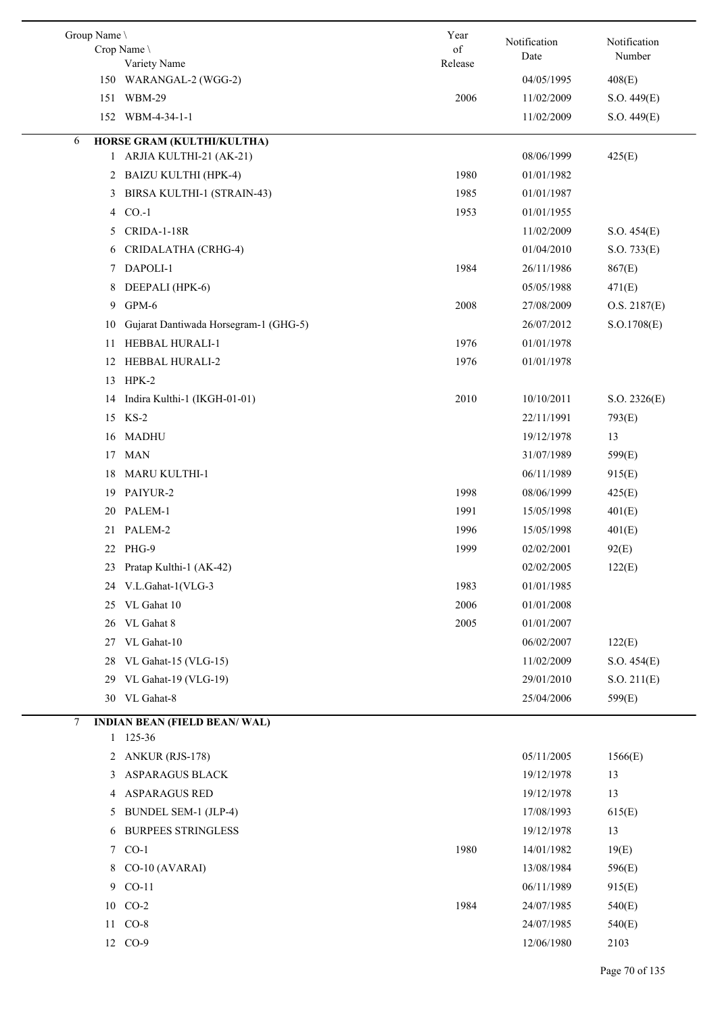| Group Name \<br>Crop Name \                                  | Year<br>$% \left( \left( \mathcal{A},\mathcal{A}\right) \right) =\left( \mathcal{A},\mathcal{A}\right)$ of | Notification<br>Date     | Notification<br>Number     |
|--------------------------------------------------------------|------------------------------------------------------------------------------------------------------------|--------------------------|----------------------------|
| Variety Name                                                 | Release                                                                                                    |                          |                            |
| 150 WARANGAL-2 (WGG-2)                                       |                                                                                                            | 04/05/1995               | 408(E)                     |
| <b>WBM-29</b><br>151<br>152 WBM-4-34-1-1                     | 2006                                                                                                       | 11/02/2009<br>11/02/2009 | S.O. 449(E)<br>S.O. 449(E) |
|                                                              |                                                                                                            |                          |                            |
| HORSE GRAM (KULTHI/KULTHA)<br>6<br>1 ARJIA KULTHI-21 (AK-21) |                                                                                                            | 08/06/1999               | 425(E)                     |
| 2 BAIZU KULTHI (HPK-4)                                       | 1980                                                                                                       | 01/01/1982               |                            |
| BIRSA KULTHI-1 (STRAIN-43)<br>3                              | 1985                                                                                                       | 01/01/1987               |                            |
| 4 CO <sub>-1</sub>                                           | 1953                                                                                                       | 01/01/1955               |                            |
| CRIDA-1-18R<br>5                                             |                                                                                                            | 11/02/2009               | S.O. 454(E)                |
| CRIDALATHA (CRHG-4)<br>6                                     |                                                                                                            | 01/04/2010               | S.O. 733(E)                |
| DAPOLI-1<br>7                                                | 1984                                                                                                       | 26/11/1986               | 867(E)                     |
| DEEPALI (HPK-6)<br>8                                         |                                                                                                            | 05/05/1988               | 471(E)                     |
| GPM-6<br>9                                                   | 2008                                                                                                       | 27/08/2009               | O.S. 2187(E)               |
| Gujarat Dantiwada Horsegram-1 (GHG-5)<br>10                  |                                                                                                            | 26/07/2012               | S.O.1708(E)                |
| HEBBAL HURALI-1<br>11                                        | 1976                                                                                                       | 01/01/1978               |                            |
| HEBBAL HURALI-2<br>12                                        | 1976                                                                                                       | 01/01/1978               |                            |
| $HPK-2$<br>13                                                |                                                                                                            |                          |                            |
| Indira Kulthi-1 (IKGH-01-01)<br>14                           | 2010                                                                                                       | 10/10/2011               | S.O. 2326(E)               |
| 15<br>$KS-2$                                                 |                                                                                                            | 22/11/1991               | 793(E)                     |
| MADHU<br>16                                                  |                                                                                                            | 19/12/1978               | 13                         |
| <b>MAN</b><br>17                                             |                                                                                                            | 31/07/1989               | 599(E)                     |
| MARU KULTHI-1<br>18                                          |                                                                                                            | 06/11/1989               | 915(E)                     |
| PAIYUR-2<br>19                                               | 1998                                                                                                       | 08/06/1999               | 425(E)                     |
| PALEM-1<br>20                                                | 1991                                                                                                       | 15/05/1998               | 401(E)                     |
| PALEM-2<br>21                                                | 1996                                                                                                       | 15/05/1998               | 401(E)                     |
| 22 PHG-9                                                     | 1999                                                                                                       | 02/02/2001               | 92(E)                      |
| 23 Pratap Kulthi-1 (AK-42)                                   |                                                                                                            | 02/02/2005               | 122(E)                     |
| V.L.Gahat-1(VLG-3<br>24                                      | 1983                                                                                                       | 01/01/1985               |                            |
| VL Gahat 10<br>25                                            | 2006                                                                                                       | 01/01/2008               |                            |
| 26 VL Gahat 8                                                | 2005                                                                                                       | 01/01/2007               |                            |
| VL Gahat-10<br>27                                            |                                                                                                            | 06/02/2007               | 122(E)                     |
| VL Gahat-15 (VLG-15)<br>28                                   |                                                                                                            | 11/02/2009               | S.O. 454(E)                |
| 29 VL Gahat-19 (VLG-19)                                      |                                                                                                            | 29/01/2010               | S.O. 211(E)                |
| 30 VL Gahat-8                                                |                                                                                                            | 25/04/2006               | 599(E)                     |
| 7<br><b>INDIAN BEAN (FIELD BEAN/WAL)</b>                     |                                                                                                            |                          |                            |
| 1 125-36                                                     |                                                                                                            |                          |                            |
| 2 ANKUR (RJS-178)                                            |                                                                                                            | 05/11/2005               | 1566(E)                    |
| ASPARAGUS BLACK<br>3                                         |                                                                                                            | 19/12/1978               | 13                         |
| <b>ASPARAGUS RED</b><br>4                                    |                                                                                                            | 19/12/1978               | 13                         |
| <b>BUNDEL SEM-1 (JLP-4)</b><br>5                             |                                                                                                            | 17/08/1993               | 615(E)                     |
| <b>BURPEES STRINGLESS</b><br>6                               |                                                                                                            | 19/12/1978               | 13                         |
| 7 CO-1                                                       | 1980                                                                                                       | 14/01/1982               | 19(E)                      |
| 8 CO-10 (AVARAI)                                             |                                                                                                            | 13/08/1984               | 596(E)                     |
| $CO-11$<br>9                                                 |                                                                                                            | 06/11/1989               | 915(E)                     |
| 10 CO-2                                                      | 1984                                                                                                       | 24/07/1985               | 540(E)                     |
| 11 CO-8                                                      |                                                                                                            | 24/07/1985               | 540(E)                     |
| 12 CO-9                                                      |                                                                                                            | 12/06/1980               | 2103                       |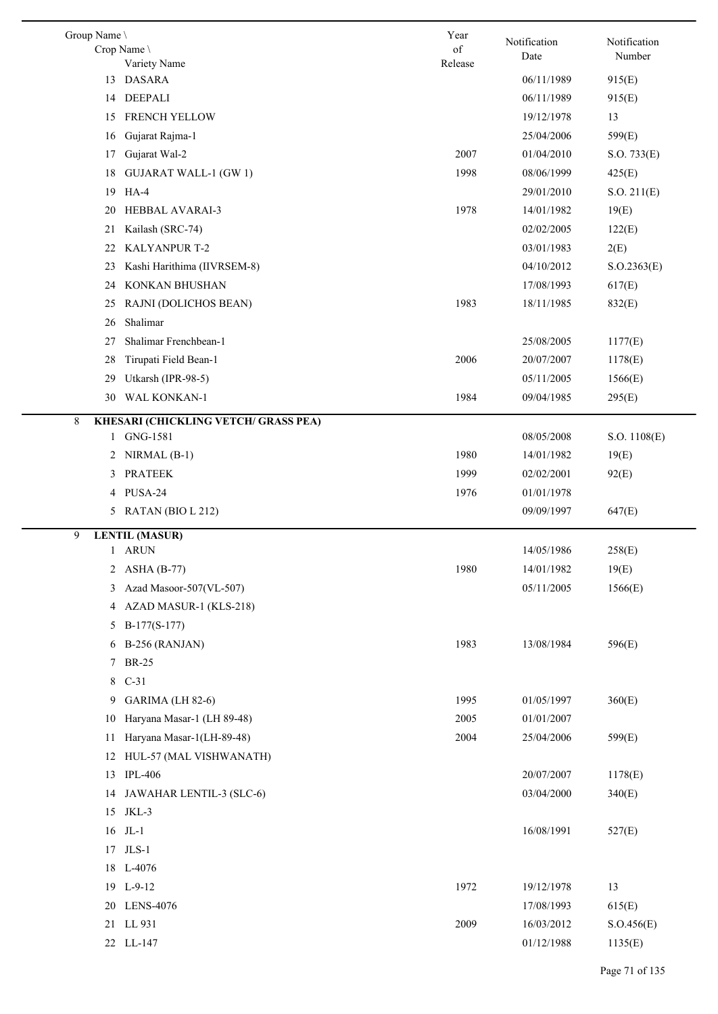| Group Name \<br>Crop Name                        | Year<br>of | Notification | Notification |
|--------------------------------------------------|------------|--------------|--------------|
| Variety Name                                     | Release    | Date         | Number       |
| <b>DASARA</b><br>13                              |            | 06/11/1989   | 915(E)       |
| <b>DEEPALI</b><br>14                             |            | 06/11/1989   | 915(E)       |
| FRENCH YELLOW<br>15                              |            | 19/12/1978   | 13           |
| Gujarat Rajma-1<br>16                            |            | 25/04/2006   | 599(E)       |
| Gujarat Wal-2<br>17                              | 2007       | 01/04/2010   | S.O. 733(E)  |
| <b>GUJARAT WALL-1 (GW 1)</b><br>18               | 1998       | 08/06/1999   | 425(E)       |
| 19 HA-4                                          |            | 29/01/2010   | S.O. 211(E)  |
| HEBBAL AVARAI-3<br>20                            | 1978       | 14/01/1982   | 19(E)        |
| Kailash (SRC-74)<br>21                           |            | 02/02/2005   | 122(E)       |
| KALYANPUR T-2<br>22                              |            | 03/01/1983   | 2(E)         |
| Kashi Harithima (IIVRSEM-8)<br>23                |            | 04/10/2012   | S. O.2363(E) |
| KONKAN BHUSHAN<br>24                             |            | 17/08/1993   | 617(E)       |
| RAJNI (DOLICHOS BEAN)<br>25                      | 1983       | 18/11/1985   | 832(E)       |
| Shalimar<br>26                                   |            |              |              |
| Shalimar Frenchbean-1<br>27                      |            | 25/08/2005   | 1177(E)      |
| Tirupati Field Bean-1<br>28                      | 2006       | 20/07/2007   | 1178(E)      |
| Utkarsh (IPR-98-5)<br>29                         |            | 05/11/2005   | 1566(E)      |
| WAL KONKAN-1<br>30                               | 1984       | 09/04/1985   | 295(E)       |
| <b>KHESARI (CHICKLING VETCH/ GRASS PEA)</b><br>8 |            |              |              |
| GNG-1581<br>1                                    |            | 08/05/2008   | S.O. 1108(E) |
| $NIRMAL$ (B-1)<br>2                              | 1980       | 14/01/1982   | 19(E)        |
| <b>PRATEEK</b><br>3                              | 1999       | 02/02/2001   | 92(E)        |
| PUSA-24<br>4                                     | 1976       | 01/01/1978   |              |
| 5 RATAN (BIO L 212)                              |            | 09/09/1997   | 647(E)       |
| <b>LENTIL</b> (MASUR)<br>9                       |            |              |              |
| 1 ARUN                                           |            | 14/05/1986   | 258(E)       |
| $\overline{c}$<br><b>ASHA (B-77)</b>             | 1980       | 14/01/1982   | 19(E)        |
| Azad Masoor-507(VL-507)<br>3                     |            | 05/11/2005   | 1566(E)      |
| AZAD MASUR-1 (KLS-218)<br>4                      |            |              |              |
| $B-177(S-177)$<br>5                              |            |              |              |
| 6 B-256 (RANJAN)                                 | 1983       | 13/08/1984   | 596(E)       |
| 7 BR-25                                          |            |              |              |
| 8 C-31                                           |            |              |              |
| 9 GARIMA (LH 82-6)                               | 1995       | 01/05/1997   | 360(E)       |
| Haryana Masar-1 (LH 89-48)<br>10                 | 2005       | 01/01/2007   |              |
| Haryana Masar-1(LH-89-48)<br>11                  | 2004       | 25/04/2006   | 599(E)       |
| 12 HUL-57 (MAL VISHWANATH)                       |            |              |              |
| <b>IPL-406</b><br>13                             |            | 20/07/2007   | 1178(E)      |
| 14 JAWAHAR LENTIL-3 (SLC-6)                      |            | 03/04/2000   | 340(E)       |
| 15 JKL-3                                         |            |              |              |
| $16$ JL-1                                        |            | 16/08/1991   | 527(E)       |
| 17 JLS-1                                         |            |              |              |
| 18 L-4076                                        |            |              |              |
| 19 L-9-12                                        | 1972       | 19/12/1978   | 13           |
| 20 LENS-4076                                     |            | 17/08/1993   | 615(E)       |
| 21 LL 931                                        | 2009       | 16/03/2012   | S.O.456(E)   |
| 22 LL-147                                        |            | 01/12/1988   | 1135(E)      |
|                                                  |            |              |              |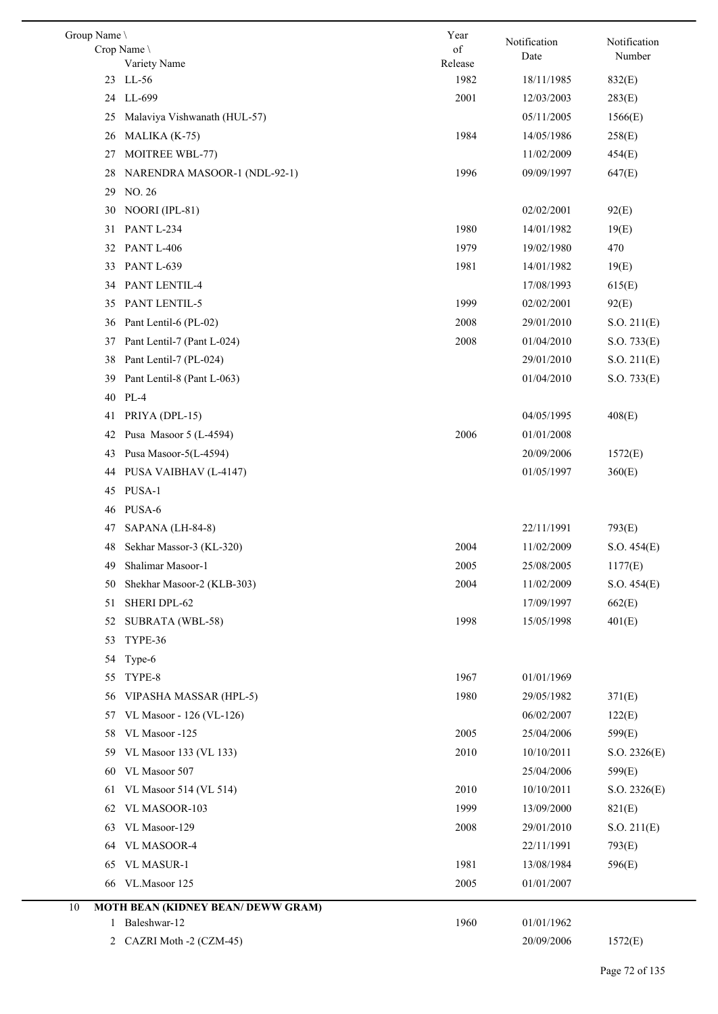| Group Name \ |                                           | Year            | Notification | Notification     |
|--------------|-------------------------------------------|-----------------|--------------|------------------|
|              | Crop Name                                 | of              | Date         | Number           |
|              | Variety Name<br>23 LL-56                  | Release<br>1982 | 18/11/1985   |                  |
|              | 24 LL-699                                 | 2001            | 12/03/2003   | 832(E)<br>283(E) |
| 25           | Malaviya Vishwanath (HUL-57)              |                 | 05/11/2005   | 1566(E)          |
| 26           | MALIKA (K-75)                             | 1984            | 14/05/1986   | 258(E)           |
| 27           | MOITREE WBL-77)                           |                 | 11/02/2009   | 454(E)           |
| 28           | NARENDRA MASOOR-1 (NDL-92-1)              | 1996            | 09/09/1997   | 647(E)           |
| 29           | NO. 26                                    |                 |              |                  |
| 30           | NOORI (IPL-81)                            |                 | 02/02/2001   | 92(E)            |
| 31           | PANT L-234                                | 1980            | 14/01/1982   | 19(E)            |
| 32           | PANT L-406                                | 1979            | 19/02/1980   | 470              |
| 33           | <b>PANT L-639</b>                         | 1981            | 14/01/1982   | 19(E)            |
| 34           | PANT LENTIL-4                             |                 | 17/08/1993   | 615(E)           |
| 35           | PANT LENTIL-5                             | 1999            | 02/02/2001   | 92(E)            |
| 36           | Pant Lentil-6 (PL-02)                     | 2008            | 29/01/2010   | S.O. 211(E)      |
| 37           | Pant Lentil-7 (Pant L-024)                | 2008            | 01/04/2010   | S.O. 733(E)      |
| 38           | Pant Lentil-7 (PL-024)                    |                 | 29/01/2010   | S.O. 211(E)      |
| 39           | Pant Lentil-8 (Pant L-063)                |                 | 01/04/2010   | S.O. 733(E)      |
| 40           | PL-4                                      |                 |              |                  |
| 41           | PRIYA (DPL-15)                            |                 | 04/05/1995   | 408(E)           |
| 42           | Pusa Masoor 5 (L-4594)                    | 2006            | 01/01/2008   |                  |
| 43           | Pusa Masoor-5(L-4594)                     |                 | 20/09/2006   | 1572(E)          |
| 44           | PUSA VAIBHAV (L-4147)                     |                 | 01/05/1997   | 360(E)           |
|              | 45 PUSA-1                                 |                 |              |                  |
| 46           | PUSA-6                                    |                 |              |                  |
| 47           | SAPANA (LH-84-8)                          |                 | 22/11/1991   | 793(E)           |
| 48           | Sekhar Massor-3 (KL-320)                  | 2004            | 11/02/2009   | S.O. 454(E)      |
| 49           | Shalimar Masoor-1                         | 2005            | 25/08/2005   | 1177(E)          |
| 50           | Shekhar Masoor-2 (KLB-303)                | 2004            | 11/02/2009   | S.O. 454(E)      |
| 51           | SHERI DPL-62                              |                 | 17/09/1997   | 662(E)           |
| 52           | SUBRATA (WBL-58)                          | 1998            | 15/05/1998   | 401(E)           |
| 53           | TYPE-36                                   |                 |              |                  |
| 54           | Type-6                                    |                 |              |                  |
| 55           | TYPE-8                                    | 1967            | 01/01/1969   |                  |
| 56           | VIPASHA MASSAR (HPL-5)                    | 1980            | 29/05/1982   | 371(E)           |
| 57           | VL Masoor - 126 (VL-126)                  |                 | 06/02/2007   | 122(E)           |
| 58           | VL Masoor -125                            | 2005            | 25/04/2006   | 599(E)           |
| 59           | VL Masoor 133 (VL 133)                    | 2010            | 10/10/2011   | S.O. 2326(E)     |
| 60           | VL Masoor 507                             |                 | 25/04/2006   | 599(E)           |
| 61           | VL Masoor 514 (VL 514)                    | 2010            | 10/10/2011   | S.O. 2326(E)     |
| 62           | VL MASOOR-103                             | 1999            | 13/09/2000   | 821(E)           |
| 63           | VL Masoor-129                             | 2008            | 29/01/2010   | S.O. 211(E)      |
| 64           | VL MASOOR-4                               |                 | 22/11/1991   | 793(E)           |
| 65           | <b>VL MASUR-1</b>                         | 1981            | 13/08/1984   | 596(E)           |
| 66           | VL.Masoor 125                             | 2005            | 01/01/2007   |                  |
| 10           | <b>MOTH BEAN (KIDNEY BEAN/ DEWW GRAM)</b> |                 |              |                  |
|              | 1 Baleshwar-12                            | 1960            | 01/01/1962   |                  |
| 2            | CAZRI Moth -2 (CZM-45)                    |                 | 20/09/2006   | 1572(E)          |
|              |                                           |                 |              |                  |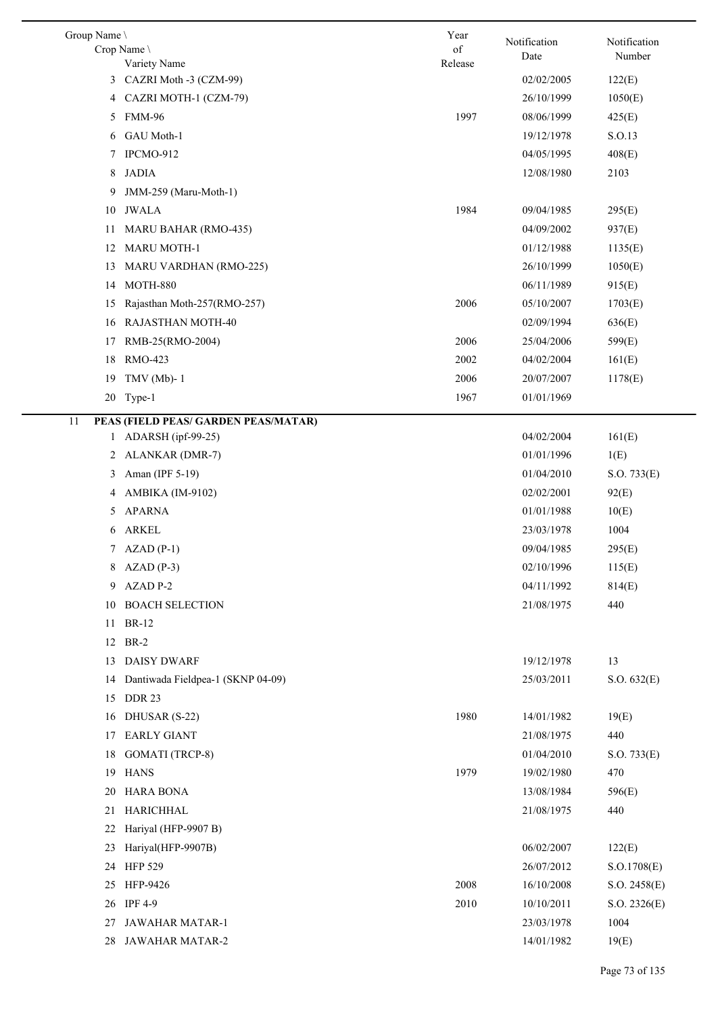| Group Name \<br>Crop Name                   | Year<br>of | Notification<br>Date     | Notification<br>Number |
|---------------------------------------------|------------|--------------------------|------------------------|
| Variety Name<br>CAZRI Moth -3 (CZM-99)<br>3 | Release    | 02/02/2005               | 122(E)                 |
| CAZRI MOTH-1 (CZM-79)<br>4                  |            | 26/10/1999               | 1050(E)                |
| <b>FMM-96</b><br>5                          | 1997       | 08/06/1999               | 425(E)                 |
| GAU Moth-1<br>6                             |            | 19/12/1978               | S.O.13                 |
| IPCMO-912<br>7                              |            | 04/05/1995               | 408(E)                 |
| <b>JADIA</b><br>8                           |            | 12/08/1980               | 2103                   |
| JMM-259 (Maru-Moth-1)<br>9                  |            |                          |                        |
| JWALA<br>10                                 | 1984       | 09/04/1985               | 295(E)                 |
| <b>MARU BAHAR (RMO-435)</b><br>11           |            | 04/09/2002               | 937(E)                 |
| <b>MARU MOTH-1</b><br>12                    |            | 01/12/1988               | 1135(E)                |
| MARU VARDHAN (RMO-225)<br>13                |            | 26/10/1999               | 1050(E)                |
| <b>MOTH-880</b><br>14                       |            | 06/11/1989               | 915(E)                 |
| Rajasthan Moth-257(RMO-257)<br>15           | 2006       | 05/10/2007               | 1703(E)                |
| <b>RAJASTHAN MOTH-40</b><br>16              |            | 02/09/1994               | 636(E)                 |
| RMB-25(RMO-2004)<br>17                      | 2006       | 25/04/2006               | 599(E)                 |
| RMO-423<br>18                               | 2002       | 04/02/2004               | 161(E)                 |
| TMV (Mb)- $1$<br>19                         | 2006       | 20/07/2007               | 1178(E)                |
| 20<br>Type-1                                | 1967       | 01/01/1969               |                        |
|                                             |            |                          |                        |
| PEAS (FIELD PEAS/ GARDEN PEAS/MATAR)<br>11  |            |                          |                        |
| ADARSH (ipf-99-25)<br>1                     |            | 04/02/2004               | 161(E)                 |
| ALANKAR (DMR-7)<br>2                        |            | 01/01/1996               | 1(E)                   |
| Aman (IPF 5-19)<br>3                        |            | 01/04/2010               | S.O. 733(E)            |
| AMBIKA (IM-9102)<br>4<br><b>APARNA</b>      |            | 02/02/2001               | 92(E)                  |
| 5                                           |            | 01/01/1988<br>23/03/1978 | 10(E)                  |
| <b>ARKEL</b><br>6                           |            |                          | 1004                   |
| $AZAD(P-1)$<br>7<br>8 AZAD (P-3)            |            | 09/04/1985<br>02/10/1996 | 295(E)<br>115(E)       |
| AZAD P-2<br>9                               |            | 04/11/1992               |                        |
| 10 BOACH SELECTION                          |            | 21/08/1975               | 814(E)<br>440          |
| <b>BR-12</b><br>11                          |            |                          |                        |
| <b>BR-2</b>                                 |            |                          |                        |
| 12<br><b>DAISY DWARF</b><br>13              |            | 19/12/1978               | 13                     |
| Dantiwada Fieldpea-1 (SKNP 04-09)<br>14     |            | 25/03/2011               | S.O. 632(E)            |
| 15<br><b>DDR 23</b>                         |            |                          |                        |
| 16 DHUSAR (S-22)                            | 1980       | 14/01/1982               | 19(E)                  |
| <b>EARLY GIANT</b><br>17                    |            | 21/08/1975               | 440                    |
| <b>GOMATI</b> (TRCP-8)<br>18                |            | 01/04/2010               | S.O. 733(E)            |
| <b>HANS</b><br>19                           | 1979       | 19/02/1980               | 470                    |
| <b>HARA BONA</b><br>20                      |            | 13/08/1984               | 596(E)                 |
| HARICHHAL<br>21                             |            | 21/08/1975               | 440                    |
| Hariyal (HFP-9907 B)<br>22                  |            |                          |                        |
| Hariyal(HFP-9907B)<br>23                    |            | 06/02/2007               | 122(E)                 |
| <b>HFP 529</b><br>24                        |            | 26/07/2012               | S.O.1708(E)            |
| HFP-9426<br>25                              | 2008       | 16/10/2008               | S.O. 2458(E)           |
| <b>IPF 4-9</b><br>26                        | 2010       | 10/10/2011               | S.O. 2326(E)           |
| JAWAHAR MATAR-1<br>27                       |            | 23/03/1978               | 1004                   |
| JAWAHAR MATAR-2<br>28                       |            | 14/01/1982               | 19(E)                  |
|                                             |            |                          |                        |

 $\overline{\phantom{0}}$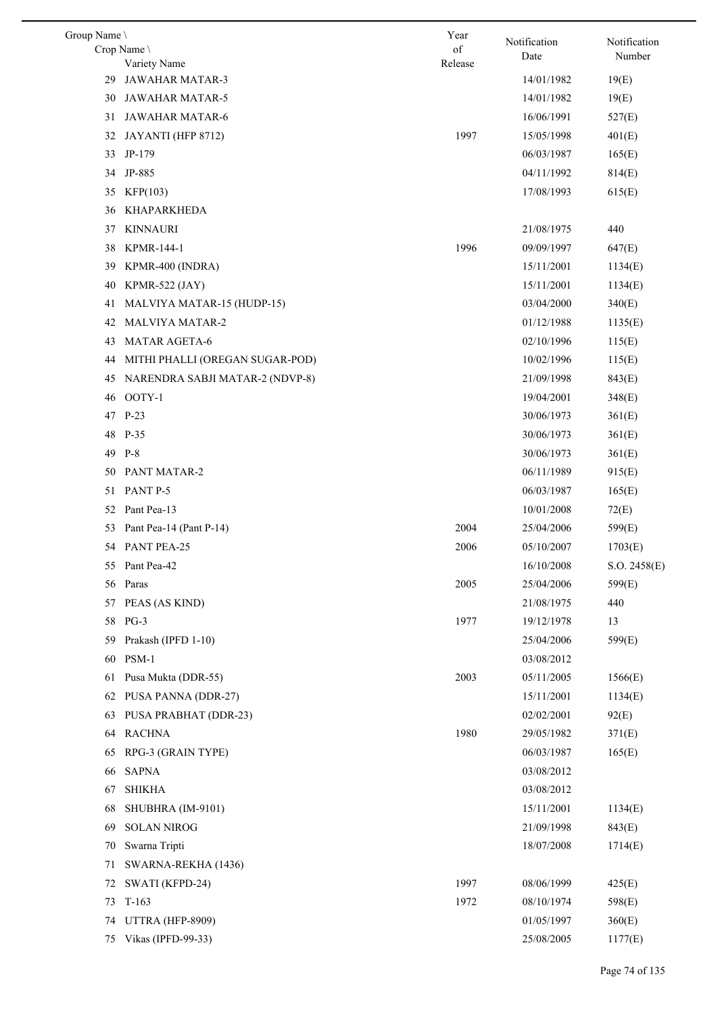| Group Name \                          | Year    | Notification | Notification |
|---------------------------------------|---------|--------------|--------------|
| Crop Name                             | of      | Date         | Number       |
| Variety Name                          | Release |              |              |
| <b>JAWAHAR MATAR-3</b><br>29          |         | 14/01/1982   | 19(E)        |
| <b>JAWAHAR MATAR-5</b><br>30          |         | 14/01/1982   | 19(E)        |
| JAWAHAR MATAR-6<br>31                 |         | 16/06/1991   | 527(E)       |
| 32<br>JAYANTI (HFP 8712)              | 1997    | 15/05/1998   | 401(E)       |
| 33<br>JP-179                          |         | 06/03/1987   | 165(E)       |
| JP-885<br>34                          |         | 04/11/1992   | 814(E)       |
| 35<br>KFP(103)                        |         | 17/08/1993   | 615(E)       |
| KHAPARKHEDA<br>36                     |         |              |              |
| <b>KINNAURI</b><br>37                 |         | 21/08/1975   | 440          |
| KPMR-144-1<br>38                      | 1996    | 09/09/1997   | 647(E)       |
| KPMR-400 (INDRA)<br>39                |         | 15/11/2001   | 1134(E)      |
| 40<br><b>KPMR-522 (JAY)</b>           |         | 15/11/2001   | 1134(E)      |
| 41<br>MALVIYA MATAR-15 (HUDP-15)      |         | 03/04/2000   | 340(E)       |
| 42<br><b>MALVIYA MATAR-2</b>          |         | 01/12/1988   | 1135(E)      |
| <b>MATAR AGETA-6</b><br>43            |         | 02/10/1996   | 115(E)       |
| MITHI PHALLI (OREGAN SUGAR-POD)<br>44 |         | 10/02/1996   | 115(E)       |
| 45<br>NARENDRA SABJI MATAR-2 (NDVP-8) |         | 21/09/1998   | 843(E)       |
| OOTY-1<br>46                          |         | 19/04/2001   | 348(E)       |
| 47<br>$P-23$                          |         | 30/06/1973   | 361(E)       |
| 48<br>$P-35$                          |         | 30/06/1973   | 361(E)       |
| 49 P-8                                |         | 30/06/1973   | 361(E)       |
| PANT MATAR-2<br>50                    |         | 06/11/1989   | 915(E)       |
| PANT P-5<br>51                        |         | 06/03/1987   | 165(E)       |
| Pant Pea-13<br>52                     |         | 10/01/2008   | 72(E)        |
| Pant Pea-14 (Pant P-14)<br>53         | 2004    | 25/04/2006   | 599(E)       |
| 54 PANT PEA-25                        | 2006    | 05/10/2007   | 1703(E)      |
| 55 Pant Pea-42                        |         | 16/10/2008   | S.O. 2458(E) |
| 56 Paras                              | 2005    | 25/04/2006   | 599(E)       |
| PEAS (AS KIND)<br>57                  |         | 21/08/1975   | 440          |
| 58 PG-3                               | 1977    | 19/12/1978   | 13           |
|                                       |         |              |              |
| Prakash (IPFD 1-10)<br>59             |         | 25/04/2006   | 599(E)       |
| PSM-1<br>60                           |         | 03/08/2012   |              |
| Pusa Mukta (DDR-55)<br>61             | 2003    | 05/11/2005   | 1566(E)      |
| PUSA PANNA (DDR-27)<br>62             |         | 15/11/2001   | 1134(E)      |
| PUSA PRABHAT (DDR-23)<br>63           |         | 02/02/2001   | 92(E)        |
| <b>RACHNA</b><br>64                   | 1980    | 29/05/1982   | 371(E)       |
| RPG-3 (GRAIN TYPE)<br>65              |         | 06/03/1987   | 165(E)       |
| <b>SAPNA</b><br>66                    |         | 03/08/2012   |              |
| <b>SHIKHA</b><br>67                   |         | 03/08/2012   |              |
| 68<br>SHUBHRA (IM-9101)               |         | 15/11/2001   | 1134(E)      |
| <b>SOLAN NIROG</b><br>69              |         | 21/09/1998   | 843(E)       |
| Swarna Tripti<br>70                   |         | 18/07/2008   | 1714(E)      |
| 71<br>SWARNA-REKHA (1436)             |         |              |              |
| SWATI (KFPD-24)<br>72                 | 1997    | 08/06/1999   | 425(E)       |
| 73<br>$T-163$                         | 1972    | 08/10/1974   | 598(E)       |
| UTTRA (HFP-8909)<br>74                |         | 01/05/1997   | 360(E)       |
| 75 Vikas (IPFD-99-33)                 |         | 25/08/2005   | 1177(E)      |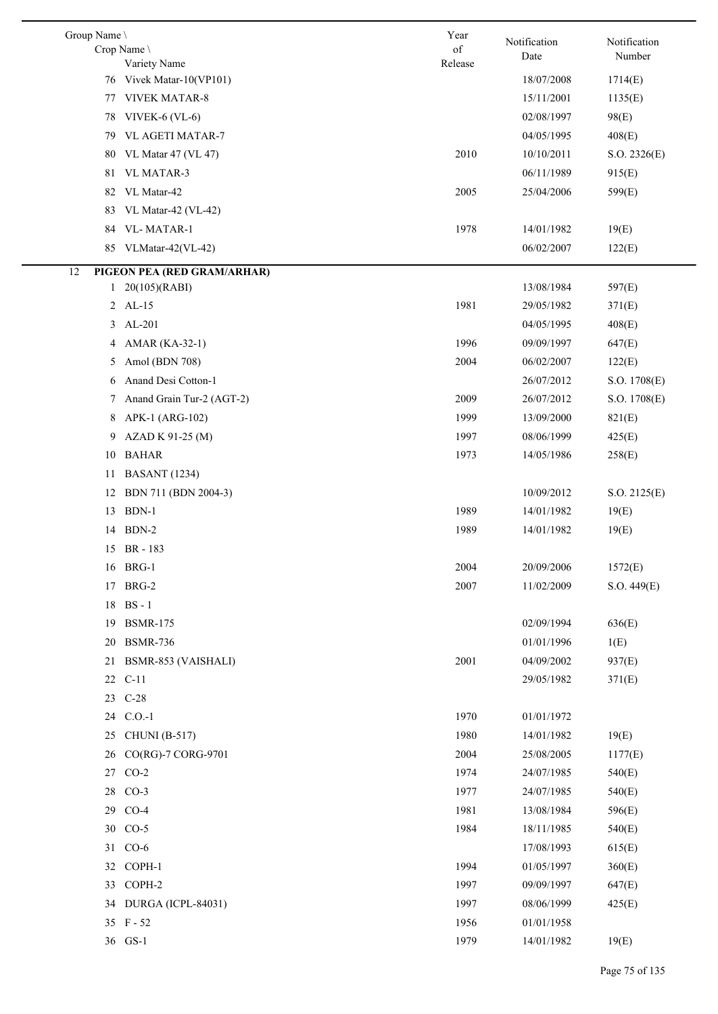| Group Name \ | Crop Name \<br>Variety Name | Year<br>of<br>Release | Notification<br>Date | Notification<br>Number |
|--------------|-----------------------------|-----------------------|----------------------|------------------------|
|              | 76 Vivek Matar-10(VP101)    |                       | 18/07/2008           | 1714(E)                |
|              | 77 VIVEK MATAR-8            |                       | 15/11/2001           | 1135(E)                |
| 78           | VIVEK- $6$ (VL- $6$ )       |                       | 02/08/1997           | 98(E)                  |
| 79.          | <b>VL AGETI MATAR-7</b>     |                       | 04/05/1995           | 408(E)                 |
| 80           | VL Matar 47 (VL 47)         | 2010                  | 10/10/2011           | S.O. 2326(E)           |
| 81           | <b>VL MATAR-3</b>           |                       | 06/11/1989           | 915(E)                 |
|              | 82 VL Matar-42              | 2005                  | 25/04/2006           | 599(E)                 |
| 83           | VL Matar-42 (VL-42)         |                       |                      |                        |
| 84           | VL-MATAR-1                  | 1978                  | 14/01/1982           | 19(E)                  |
|              | 85 VLMatar-42(VL-42)        |                       | 06/02/2007           | 122(E)                 |
| 12           | PIGEON PEA (RED GRAM/ARHAR) |                       |                      |                        |
|              | $1 \quad 20(105)(RABI)$     |                       | 13/08/1984           | 597(E)                 |
|              | 2 AL-15                     | 1981                  | 29/05/1982           | 371(E)                 |
| 3            | AL-201                      |                       | 04/05/1995           | 408(E)                 |
| 4            | AMAR (KA-32-1)              | 1996                  | 09/09/1997           | 647(E)                 |
| 5            | Amol (BDN 708)              | 2004                  | 06/02/2007           | 122(E)                 |
| 6            | Anand Desi Cotton-1         |                       | 26/07/2012           | S.O. 1708(E)           |
| 7            | Anand Grain Tur-2 (AGT-2)   | 2009                  | 26/07/2012           | S.O. 1708(E)           |
| 8            | APK-1 (ARG-102)             | 1999                  | 13/09/2000           | 821(E)                 |
| 9            | AZAD K 91-25 (M)            | 1997                  | 08/06/1999           | 425(E)                 |
| 10           | <b>BAHAR</b>                | 1973                  | 14/05/1986           | 258(E)                 |
| 11           | <b>BASANT</b> (1234)        |                       |                      |                        |
| 12           | BDN 711 (BDN 2004-3)        |                       | 10/09/2012           | S.O. 2125(E)           |
|              | 13 BDN-1                    | 1989                  | 14/01/1982           | 19(E)                  |
|              | 14 BDN-2                    | 1989                  | 14/01/1982           | 19(E)                  |
|              | 15 BR-183                   |                       |                      |                        |
|              | 16 BRG-1                    | 2004                  | 20/09/2006           | 1572(E)                |
| 17           | BRG-2                       | 2007                  | 11/02/2009           | S.O. 449(E)            |
|              | 18 BS-1                     |                       |                      |                        |
| 19           | <b>BSMR-175</b>             |                       | 02/09/1994           | 636(E)                 |
| 20           | <b>BSMR-736</b>             |                       | 01/01/1996           | 1(E)                   |
| 21           | BSMR-853 (VAISHALI)         | 2001                  | 04/09/2002           | 937(E)                 |
| 22           | $C-11$                      |                       | 29/05/1982           | 371(E)                 |
|              | 23 C-28                     |                       |                      |                        |
|              | 24 C.O.-1                   | 1970                  | 01/01/1972           |                        |
| 25           | <b>CHUNI</b> (B-517)        | 1980                  | 14/01/1982           | 19(E)                  |
| 26           | CO(RG)-7 CORG-9701          | 2004                  | 25/08/2005           | 1177(E)                |
| 27           | $CO-2$                      | 1974                  | 24/07/1985           | 540(E)                 |
|              | 28 CO-3                     | 1977                  | 24/07/1985           | 540(E)                 |
| 29           | $CO-4$                      | 1981                  | 13/08/1984           | 596(E)                 |
|              | 30 CO-5                     | 1984                  | 18/11/1985           | 540(E)                 |
|              | 31 CO-6                     |                       | 17/08/1993           | 615(E)                 |
|              | 32 COPH-1                   | 1994                  | 01/05/1997           | 360(E)                 |
| 33           | COPH-2                      | 1997                  | 09/09/1997           | 647(E)                 |
|              | 34 DURGA (ICPL-84031)       | 1997                  | 08/06/1999           | 425(E)                 |
|              | 35 F-52                     | 1956                  | 01/01/1958           |                        |
|              | 36 GS-1                     | 1979                  | 14/01/1982           | 19(E)                  |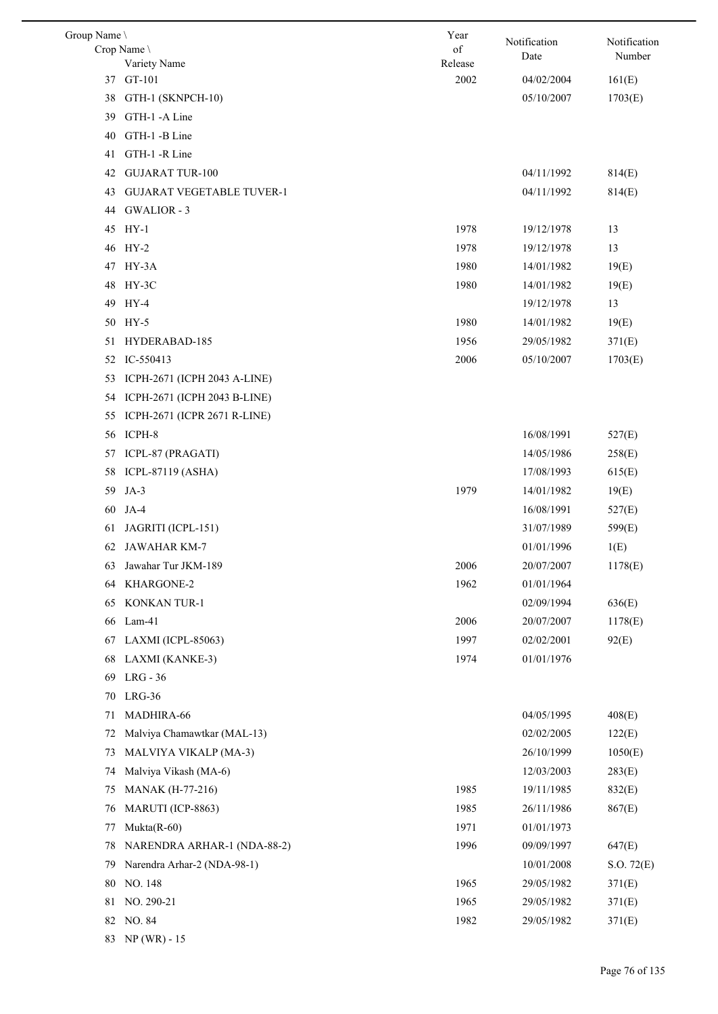| Group Name |                                  | Year          | Notification | Notification |
|------------|----------------------------------|---------------|--------------|--------------|
|            | Crop Name<br>Variety Name        | of<br>Release | Date         | Number       |
|            | 37 GT-101                        | 2002          | 04/02/2004   | 161(E)       |
| 38         | GTH-1 (SKNPCH-10)                |               | 05/10/2007   | 1703(E)      |
| 39         | GTH-1 -A Line                    |               |              |              |
| 40         | GTH-1-B Line                     |               |              |              |
| 41         | GTH-1 -R Line                    |               |              |              |
| 42         | <b>GUJARAT TUR-100</b>           |               | 04/11/1992   | 814(E)       |
| 43         | <b>GUJARAT VEGETABLE TUVER-1</b> |               | 04/11/1992   | 814(E)       |
| 44         | <b>GWALIOR - 3</b>               |               |              |              |
|            | 45 HY-1                          | 1978          | 19/12/1978   | 13           |
|            | 46 HY-2                          | 1978          | 19/12/1978   | 13           |
|            | 47 HY-3A                         | 1980          | 14/01/1982   | 19(E)        |
| 48         | HY-3C                            | 1980          | 14/01/1982   | 19(E)        |
| 49         | HY-4                             |               | 19/12/1978   | 13           |
|            | 50 HY-5                          | 1980          | 14/01/1982   | 19(E)        |
| 51         | HYDERABAD-185                    | 1956          | 29/05/1982   | 371(E)       |
|            | 52 IC-550413                     | 2006          | 05/10/2007   | 1703(E)      |
| 53         | ICPH-2671 (ICPH 2043 A-LINE)     |               |              |              |
| 54         | ICPH-2671 (ICPH 2043 B-LINE)     |               |              |              |
| 55         | ICPH-2671 (ICPR 2671 R-LINE)     |               |              |              |
| 56         | ICPH-8                           |               | 16/08/1991   | 527(E)       |
| 57         | ICPL-87 (PRAGATI)                |               | 14/05/1986   | 258(E)       |
| 58         | ICPL-87119 (ASHA)                |               | 17/08/1993   | 615(E)       |
| 59         | $JA-3$                           | 1979          | 14/01/1982   | 19(E)        |
| 60         | $JA-4$                           |               | 16/08/1991   | 527(E)       |
| 61         | JAGRITI (ICPL-151)               |               | 31/07/1989   | 599(E)       |
|            | 62 JAWAHAR KM-7                  |               | 01/01/1996   | 1(E)         |
| 63         | Jawahar Tur JKM-189              | 2006          | 20/07/2007   | 1178(E)      |
| 64         | KHARGONE-2                       | 1962          | 01/01/1964   |              |
| 65         | KONKAN TUR-1                     |               | 02/09/1994   | 636(E)       |
| 66         | $Lam-41$                         | 2006          | 20/07/2007   | 1178(E)      |
| 67         | LAXMI (ICPL-85063)               | 1997          | 02/02/2001   | 92(E)        |
| 68         | LAXMI (KANKE-3)                  | 1974          | 01/01/1976   |              |
| 69         | LRG - 36                         |               |              |              |
| 70         | $LRG-36$                         |               |              |              |
| 71         | MADHIRA-66                       |               | 04/05/1995   | 408(E)       |
| 72         | Malviya Chamawtkar (MAL-13)      |               | 02/02/2005   | 122(E)       |
| 73         | MALVIYA VIKALP (MA-3)            |               | 26/10/1999   | 1050(E)      |
| 74         | Malviya Vikash (MA-6)            |               | 12/03/2003   | 283(E)       |
| 75         | <b>MANAK</b> (H-77-216)          | 1985          | 19/11/1985   | 832(E)       |
| 76         | MARUTI (ICP-8863)                | 1985          | 26/11/1986   | 867(E)       |
| 77         | $Mukta(R-60)$                    | 1971          | 01/01/1973   |              |
| 78         | NARENDRA ARHAR-1 (NDA-88-2)      | 1996          | 09/09/1997   | 647(E)       |
| 79         | Narendra Arhar-2 (NDA-98-1)      |               | 10/01/2008   | S.O. 72(E)   |
| 80         | NO. 148                          | 1965          | 29/05/1982   | 371(E)       |
| 81         | NO. 290-21                       | 1965          | 29/05/1982   | 371(E)       |
| 82         | NO. 84                           | 1982          | 29/05/1982   | 371(E)       |
| 83         | $NP(WR) - 15$                    |               |              |              |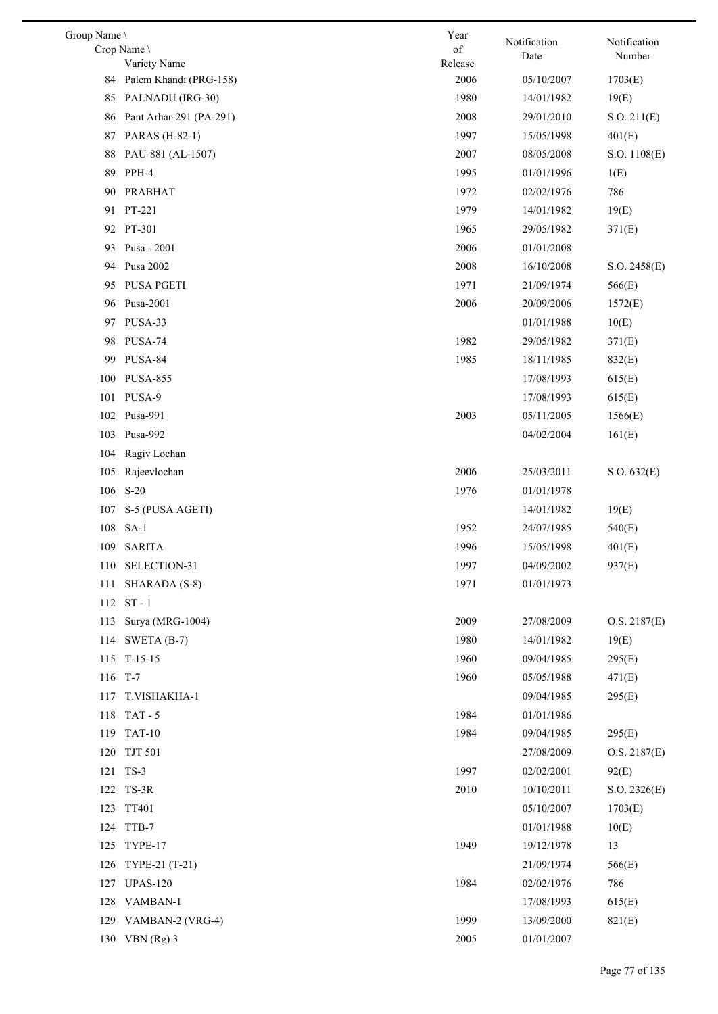| Group Name |                                        | Year            | Notification | Notification |
|------------|----------------------------------------|-----------------|--------------|--------------|
|            | Crop Name                              | of              | Date         | Number       |
| 84         | Variety Name<br>Palem Khandi (PRG-158) | Release<br>2006 | 05/10/2007   | 1703(E)      |
|            | PALNADU (IRG-30)                       | 1980            |              |              |
| 85         |                                        |                 | 14/01/1982   | 19(E)        |
| 86         | Pant Arhar-291 (PA-291)                | 2008            | 29/01/2010   | S.O. 211(E)  |
| 87         | PARAS (H-82-1)                         | 1997            | 15/05/1998   | 401(E)       |
| 88         | PAU-881 (AL-1507)                      | 2007            | 08/05/2008   | S.O. 1108(E) |
| 89         | PPH-4                                  | 1995            | 01/01/1996   | 1(E)         |
| 90         | PRABHAT                                | 1972            | 02/02/1976   | 786          |
| 91         | PT-221                                 | 1979            | 14/01/1982   | 19(E)        |
|            | 92 PT-301                              | 1965            | 29/05/1982   | 371(E)       |
| 93         | Pusa - 2001                            | 2006            | 01/01/2008   |              |
| 94         | Pusa 2002                              | 2008            | 16/10/2008   | S.O. 2458(E) |
| 95         | PUSA PGETI                             | 1971            | 21/09/1974   | 566(E)       |
| 96         | Pusa-2001                              | 2006            | 20/09/2006   | 1572(E)      |
|            | 97 PUSA-33                             |                 | 01/01/1988   | 10(E)        |
| 98         | PUSA-74                                | 1982            | 29/05/1982   | 371(E)       |
| 99         | PUSA-84                                | 1985            | 18/11/1985   | 832(E)       |
| 100        | <b>PUSA-855</b>                        |                 | 17/08/1993   | 615(E)       |
| 101        | PUSA-9                                 |                 | 17/08/1993   | 615(E)       |
| 102        | Pusa-991                               | 2003            | 05/11/2005   | 1566(E)      |
| 103        | Pusa-992                               |                 | 04/02/2004   | 161(E)       |
| 104        | Ragiv Lochan                           |                 |              |              |
| 105        | Rajeevlochan                           | 2006            | 25/03/2011   | S.O. 632(E)  |
| 106        | $S-20$                                 | 1976            | 01/01/1978   |              |
| 107        | S-5 (PUSA AGETI)                       |                 | 14/01/1982   | 19(E)        |
| 108        | $SA-1$                                 | 1952            | 24/07/1985   | 540(E)       |
| 109        | <b>SARITA</b>                          | 1996            | 15/05/1998   | 401(E)       |
|            | 110 SELECTION-31                       | 1997            | 04/09/2002   | 937(E)       |
|            | 111 SHARADA (S-8)                      | 1971            | 01/01/1973   |              |
|            | 112 ST-1                               |                 |              |              |
| 113        | Surya (MRG-1004)                       | 2009            | 27/08/2009   | O.S. 2187(E) |
| 114        | SWETA $(B-7)$                          | 1980            | 14/01/1982   | 19(E)        |
| 115        | $T-15-15$                              | 1960            | 09/04/1985   | 295(E)       |
| 116 T-7    |                                        | 1960            | 05/05/1988   | 471(E)       |
| 117        | T.VISHAKHA-1                           |                 | 09/04/1985   | 295(E)       |
| 118        | $TAT - 5$                              | 1984            | 01/01/1986   |              |
|            | 119 TAT-10                             | 1984            | 09/04/1985   | 295(E)       |
| 120        | <b>TJT 501</b>                         |                 | 27/08/2009   | O.S. 2187(E) |
|            | 121 TS-3                               | 1997            | 02/02/2001   | 92(E)        |
|            | 122 TS-3R                              | 2010            | 10/10/2011   | S.O. 2326(E) |
|            | 123 TT401                              |                 | 05/10/2007   | 1703(E)      |
| 124        | TTB-7                                  |                 | 01/01/1988   | 10(E)        |
| 125        | TYPE-17                                | 1949            | 19/12/1978   | 13           |
|            | 126 TYPE-21 (T-21)                     |                 | 21/09/1974   | 566(E)       |
| 127        | <b>UPAS-120</b>                        | 1984            | 02/02/1976   | 786          |
| 128        | VAMBAN-1                               |                 | 17/08/1993   | 615(E)       |
| 129        | VAMBAN-2 (VRG-4)                       | 1999            | 13/09/2000   | 821(E)       |
|            | 130 VBN (Rg) 3                         | 2005            | 01/01/2007   |              |
|            |                                        |                 |              |              |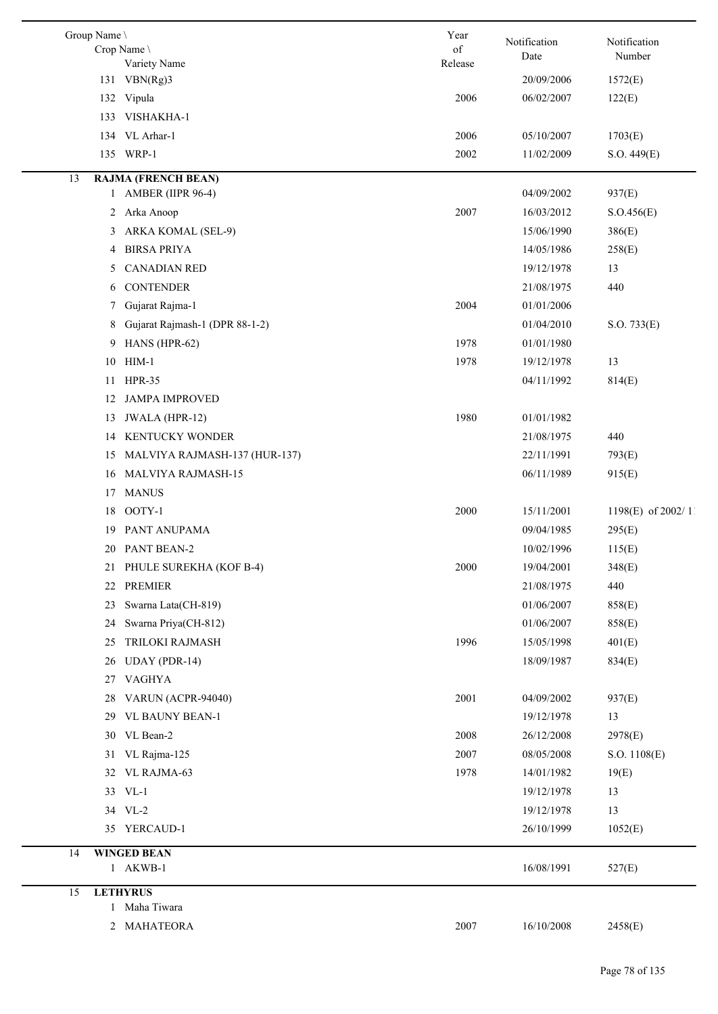| Notification<br>Date | Notification<br>Number |
|----------------------|------------------------|
|                      |                        |
| 20/09/2006           | 1572(E)                |
| 06/02/2007           | 122(E)                 |
|                      |                        |
| 05/10/2007           | 1703(E)                |
| 11/02/2009           | S.O. 449(E)            |
| 04/09/2002           | 937(E)                 |
| 16/03/2012           |                        |
| 15/06/1990           | S. O.456(E)            |
|                      | 386(E)                 |
| 14/05/1986           | 258(E)                 |
| 19/12/1978           | 13                     |
| 21/08/1975           | 440                    |
| 01/01/2006           |                        |
| 01/04/2010           | S.O. 733(E)            |
| 01/01/1980           |                        |
| 19/12/1978           | 13                     |
| 04/11/1992           | 814(E)                 |
|                      |                        |
| 01/01/1982           |                        |
| 21/08/1975           | 440                    |
| 22/11/1991           | 793(E)                 |
| 06/11/1989           | 915(E)                 |
|                      |                        |
| 15/11/2001           | 1198(E) of 2002/11     |
| 09/04/1985           | 295(E)                 |
| 10/02/1996           | 115(E)                 |
| 19/04/2001           | 348(E)                 |
| 21/08/1975           | 440                    |
| 01/06/2007           | 858(E)                 |
| 01/06/2007           | 858(E)                 |
| 15/05/1998           | 401(E)                 |
| 18/09/1987           | 834(E)                 |
|                      |                        |
| 04/09/2002           | 937(E)                 |
| 19/12/1978           | 13                     |
| 26/12/2008           | 2978(E)                |
| 08/05/2008           | S.O. 1108(E)           |
| 14/01/1982           | 19(E)                  |
| 19/12/1978           | 13                     |
| 19/12/1978           | 13                     |
| 26/10/1999           | 1052(E)                |
| 16/08/1991           | 527(E)                 |
|                      |                        |
|                      |                        |
|                      | 2458(E)                |
|                      | 16/10/2008             |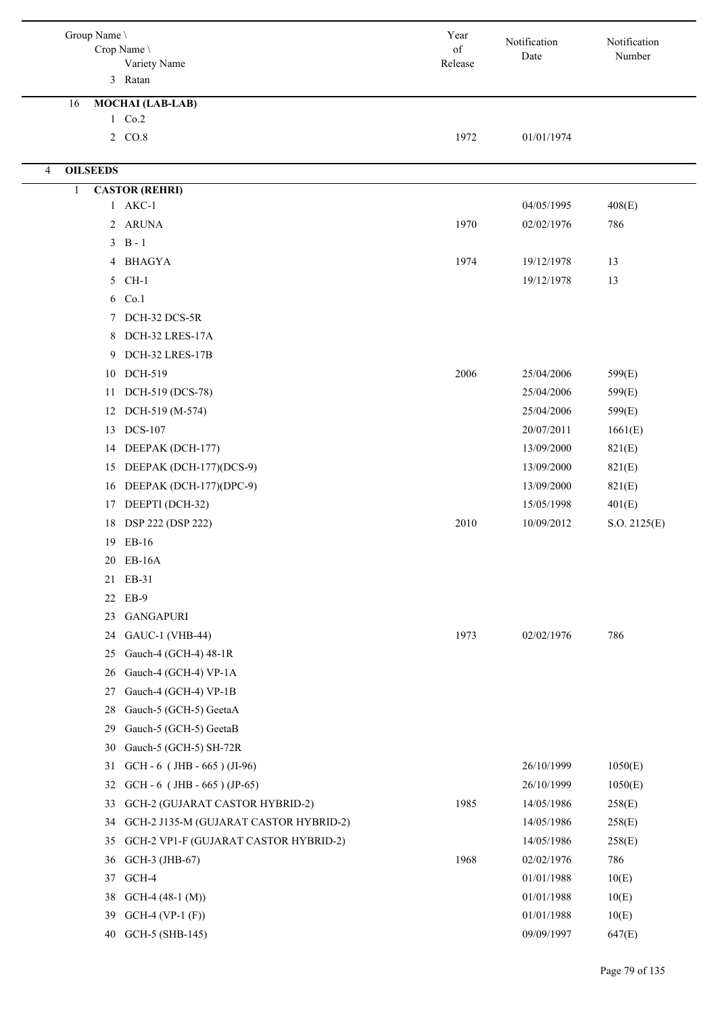| Group Name \                                             | Year                                                                                                          | Notification             | Notification           |
|----------------------------------------------------------|---------------------------------------------------------------------------------------------------------------|--------------------------|------------------------|
| Crop Name \                                              | $% \left( \left( \mathcal{A},\mathcal{A}\right) \right) =\left( \mathcal{A},\mathcal{A}\right)$ of<br>Release | Date                     | Number                 |
| Variety Name<br>3 Ratan                                  |                                                                                                               |                          |                        |
|                                                          |                                                                                                               |                          |                        |
| <b>MOCHAI</b> (LAB-LAB)<br>16<br>1 Co.2                  |                                                                                                               |                          |                        |
| 2 CO.8                                                   | 1972                                                                                                          | 01/01/1974               |                        |
|                                                          |                                                                                                               |                          |                        |
| <b>OILSEEDS</b><br>$\overline{4}$                        |                                                                                                               |                          |                        |
| <b>CASTOR (REHRI)</b><br>$\mathbf{1}$                    |                                                                                                               |                          |                        |
| 1 AKC-1                                                  |                                                                                                               | 04/05/1995               | 408(E)                 |
| 2 ARUNA                                                  | 1970                                                                                                          | 02/02/1976               | 786                    |
| $3 \text{ B} - 1$                                        |                                                                                                               |                          |                        |
| 4 BHAGYA                                                 | 1974                                                                                                          | 19/12/1978               | 13                     |
| 5 CH-1                                                   |                                                                                                               | 19/12/1978               | 13                     |
| 6 Co.1                                                   |                                                                                                               |                          |                        |
| DCH-32 DCS-5R<br>$7^{\circ}$                             |                                                                                                               |                          |                        |
| DCH-32 LRES-17A<br>8                                     |                                                                                                               |                          |                        |
| DCH-32 LRES-17B<br>9                                     |                                                                                                               |                          |                        |
| DCH-519<br>10                                            | 2006                                                                                                          | 25/04/2006               | 599(E)                 |
| DCH-519 (DCS-78)<br>11                                   |                                                                                                               | 25/04/2006               | 599(E)                 |
| DCH-519 (M-574)<br>12                                    |                                                                                                               | 25/04/2006               | 599(E)                 |
| <b>DCS-107</b><br>13                                     |                                                                                                               | 20/07/2011               | 1661(E)                |
| DEEPAK (DCH-177)<br>14                                   |                                                                                                               | 13/09/2000               | 821(E)                 |
| DEEPAK (DCH-177)(DCS-9)<br>15<br>DEEPAK (DCH-177)(DPC-9) |                                                                                                               | 13/09/2000               | 821(E)                 |
| 16<br>DEEPTI (DCH-32)<br>17                              |                                                                                                               | 13/09/2000<br>15/05/1998 | 821(E)                 |
| DSP 222 (DSP 222)<br>18                                  | 2010                                                                                                          | 10/09/2012               | 401(E)<br>S.O. 2125(E) |
| 19 EB-16                                                 |                                                                                                               |                          |                        |
| EB-16A<br>20                                             |                                                                                                               |                          |                        |
| EB-31<br>21                                              |                                                                                                               |                          |                        |
| EB-9<br>22                                               |                                                                                                               |                          |                        |
| <b>GANGAPURI</b><br>23                                   |                                                                                                               |                          |                        |
| <b>GAUC-1 (VHB-44)</b><br>24                             | 1973                                                                                                          | 02/02/1976               | 786                    |
| Gauch-4 (GCH-4) 48-1R<br>25                              |                                                                                                               |                          |                        |
| Gauch-4 (GCH-4) VP-1A<br>26                              |                                                                                                               |                          |                        |
| Gauch-4 (GCH-4) VP-1B<br>27                              |                                                                                                               |                          |                        |
| Gauch-5 (GCH-5) GeetaA<br>28                             |                                                                                                               |                          |                        |
| Gauch-5 (GCH-5) GeetaB<br>29                             |                                                                                                               |                          |                        |
| Gauch-5 (GCH-5) SH-72R<br>30                             |                                                                                                               |                          |                        |
| GCH - $6$ (JHB - $665$ ) (JI-96)<br>31                   |                                                                                                               | 26/10/1999               | 1050(E)                |
| GCH - $6$ (JHB - $665$ ) (JP-65)<br>32                   |                                                                                                               | 26/10/1999               | 1050(E)                |
| 33<br>GCH-2 (GUJARAT CASTOR HYBRID-2)                    | 1985                                                                                                          | 14/05/1986               | 258(E)                 |
| GCH-2 J135-M (GUJARAT CASTOR HYBRID-2)<br>34             |                                                                                                               | 14/05/1986               | 258(E)                 |
| GCH-2 VP1-F (GUJARAT CASTOR HYBRID-2)<br>35              |                                                                                                               | 14/05/1986               | 258(E)                 |
| GCH-3 (JHB-67)<br>36                                     | 1968                                                                                                          | 02/02/1976               | 786                    |
| GCH-4<br>37                                              |                                                                                                               | 01/01/1988               | 10(E)                  |
| $GCH-4$ (48-1 (M))<br>38                                 |                                                                                                               | 01/01/1988               | 10(E)                  |
| $GCH-4 (VP-1 (F))$<br>39                                 |                                                                                                               | 01/01/1988               | 10(E)                  |
| GCH-5 (SHB-145)<br>40                                    |                                                                                                               | 09/09/1997               | 647(E)                 |
|                                                          |                                                                                                               |                          |                        |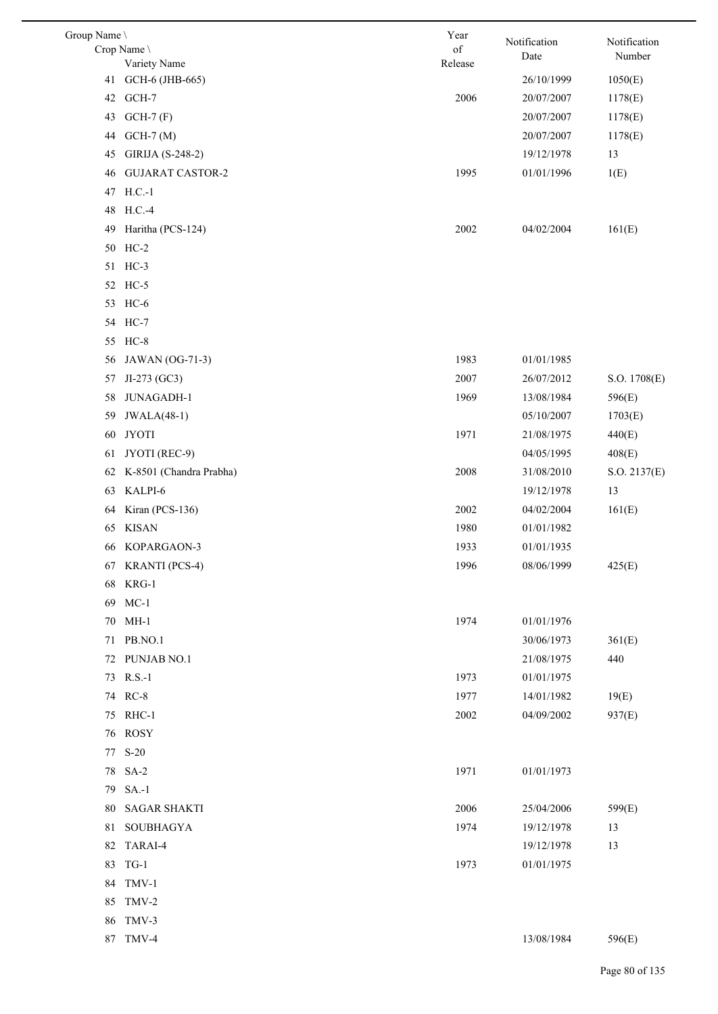| Group Name \ |                         | Year    | Notification | Notification |
|--------------|-------------------------|---------|--------------|--------------|
|              | Crop Name \             | of      | Date         | Number       |
|              | Variety Name            | Release |              |              |
| 41           | GCH-6 (JHB-665)         |         | 26/10/1999   | 1050(E)      |
| 42           | GCH-7                   | 2006    | 20/07/2007   | 1178(E)      |
| 43           | $GCH-7(F)$              |         | 20/07/2007   | 1178(E)      |
| 44           | $GCH-7(M)$              |         | 20/07/2007   | 1178(E)      |
| 45           | GIRIJA (S-248-2)        |         | 19/12/1978   | 13           |
| 46           | <b>GUJARAT CASTOR-2</b> | 1995    | 01/01/1996   | 1(E)         |
|              | 47 H.C.-1               |         |              |              |
|              | 48 H.C.-4               |         |              |              |
| 49           | Haritha (PCS-124)       | 2002    | 04/02/2004   | 161(E)       |
|              | 50 HC-2                 |         |              |              |
|              | 51 HC-3                 |         |              |              |
|              | 52 HC-5                 |         |              |              |
|              | 53 HC-6                 |         |              |              |
|              | 54 HC-7                 |         |              |              |
| 55           | $HC-8$                  |         |              |              |
| 56           | JAWAN (OG-71-3)         | 1983    | 01/01/1985   |              |
| 57           | JI-273 (GC3)            | 2007    | 26/07/2012   | S.O. 1708(E) |
| 58           | JUNAGADH-1              | 1969    | 13/08/1984   | 596(E)       |
| 59           | <b>JWALA(48-1)</b>      |         | 05/10/2007   | 1703(E)      |
| 60           | <b>JYOTI</b>            | 1971    | 21/08/1975   | 440(E)       |
| 61           | JYOTI (REC-9)           |         | 04/05/1995   | 408(E)       |
| 62           | K-8501 (Chandra Prabha) | 2008    | 31/08/2010   | S.O. 2137(E) |
| 63           | KALPI-6                 |         | 19/12/1978   | 13           |
| 64           | Kiran (PCS-136)         | 2002    | 04/02/2004   | 161(E)       |
| 65           | <b>KISAN</b>            | 1980    | 01/01/1982   |              |
| 66           | KOPARGAON-3             | 1933    | 01/01/1935   |              |
|              | 67 KRANTI (PCS-4)       | 1996    | 08/06/1999   | 425(E)       |
|              | 68 KRG-1                |         |              |              |
|              | 69 MC-1                 |         |              |              |
|              | 70 MH-1                 | 1974    | 01/01/1976   |              |
|              | 71 PB.NO.1              |         | 30/06/1973   | 361(E)       |
|              | 72 PUNJAB NO.1          |         | 21/08/1975   | 440          |
|              | 73 R.S.-1               | 1973    | 01/01/1975   |              |
|              | 74 RC-8                 | 1977    | 14/01/1982   | 19(E)        |
|              | 75 RHC-1                | 2002    | 04/09/2002   | 937(E)       |
|              | 76 ROSY                 |         |              |              |
|              | 77 S-20                 |         |              |              |
|              | 78 SA-2                 | 1971    | 01/01/1973   |              |
|              | 79 SA.-1                |         |              |              |
|              | 80 SAGAR SHAKTI         | 2006    | 25/04/2006   | 599(E)       |
|              | 81 SOUBHAGYA            | 1974    | 19/12/1978   | 13           |
|              | 82 TARAI-4              |         | 19/12/1978   | 13           |
| 83           | $TG-1$                  | 1973    | 01/01/1975   |              |
|              | 84 TMV-1                |         |              |              |
|              | 85 TMV-2                |         |              |              |
|              | 86 TMV-3                |         |              |              |
|              | 87 TMV-4                |         | 13/08/1984   | 596(E)       |
|              |                         |         |              |              |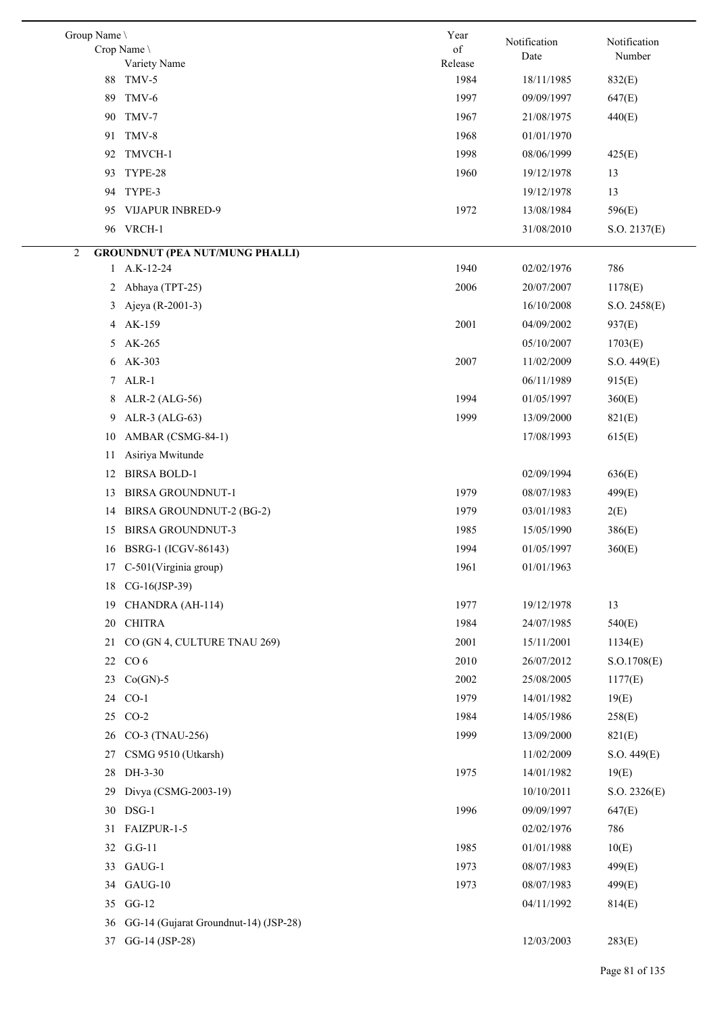| Group Name \   | Crop Name<br>Variety Name                | Year<br>of<br>Release | Notification<br>Date | Notification<br>Number |
|----------------|------------------------------------------|-----------------------|----------------------|------------------------|
| 88             | TMV-5                                    | 1984                  | 18/11/1985           | 832(E)                 |
| 89             | TMV-6                                    | 1997                  | 09/09/1997           | 647(E)                 |
| 90             | TMV-7                                    | 1967                  | 21/08/1975           | 440(E)                 |
|                | 91 TMV-8                                 | 1968                  | 01/01/1970           |                        |
| 92             | TMVCH-1                                  | 1998                  | 08/06/1999           | 425(E)                 |
| 93.            | TYPE-28                                  | 1960                  | 19/12/1978           | 13                     |
|                | 94 TYPE-3                                |                       | 19/12/1978           | 13                     |
| 95.            | <b>VIJAPUR INBRED-9</b>                  | 1972                  | 13/08/1984           | 596(E)                 |
|                | 96 VRCH-1                                |                       | 31/08/2010           | S.O. 2137(E)           |
| $\overline{2}$ | <b>GROUNDNUT (PEA NUT/MUNG PHALLI)</b>   |                       |                      |                        |
|                | 1 A.K-12-24                              | 1940                  | 02/02/1976           | 786                    |
|                | 2 Abhaya (TPT-25)                        | 2006                  | 20/07/2007           | 1178(E)                |
| 3              | Ajeya (R-2001-3)                         |                       | 16/10/2008           | S.O. 2458(E)           |
| 4              | AK-159                                   | 2001                  | 04/09/2002           | 937(E)                 |
|                | 5 AK-265                                 |                       | 05/10/2007           | 1703(E)                |
|                | 6 AK-303                                 | 2007                  | 11/02/2009           | S.O. 449(E)            |
|                | 7 ALR-1                                  |                       | 06/11/1989           | 915(E)                 |
| 8              | ALR-2 (ALG-56)                           | 1994                  | 01/05/1997           | 360(E)                 |
| 9              | ALR-3 (ALG-63)                           | 1999                  | 13/09/2000           | 821(E)                 |
| 10             | AMBAR (CSMG-84-1)                        |                       | 17/08/1993           | 615(E)                 |
| 11             | Asiriya Mwitunde                         |                       |                      |                        |
| 12             | <b>BIRSA BOLD-1</b>                      |                       | 02/09/1994           | 636(E)                 |
| 13             | <b>BIRSA GROUNDNUT-1</b>                 | 1979                  | 08/07/1983           | 499(E)                 |
| 14             | BIRSA GROUNDNUT-2 (BG-2)                 | 1979                  | 03/01/1983           | 2(E)                   |
| 15             | <b>BIRSA GROUNDNUT-3</b>                 | 1985                  | 15/05/1990           | 386(E)                 |
|                | 16 BSRG-1 (ICGV-86143)                   | 1994                  | 01/05/1997           | 360(E)                 |
|                | 17 C-501(Virginia group)                 | 1961                  | 01/01/1963           |                        |
|                | 18 CG-16(JSP-39)                         |                       |                      |                        |
| 19             | CHANDRA (AH-114)                         | 1977                  | 19/12/1978           | 13                     |
| 20             | <b>CHITRA</b>                            | 1984                  | 24/07/1985           | 540(E)                 |
| 21             | CO (GN 4, CULTURE TNAU 269)              | 2001                  | 15/11/2001           | 1134(E)                |
|                | 22 CO 6                                  | 2010                  | 26/07/2012           | S.O.1708(E)            |
| 23             | $Co(GN)-5$                               | 2002                  | 25/08/2005           | 1177(E)                |
|                | 24 CO-1                                  | 1979                  | 14/01/1982           | 19(E)                  |
|                | 25 CO-2                                  | 1984                  | 14/05/1986           | 258(E)                 |
|                | 26 CO-3 (TNAU-256)                       | 1999                  | 13/09/2000           | 821(E)                 |
| 27             | CSMG 9510 (Utkarsh)                      |                       | 11/02/2009           | S.O. 449(E)            |
| 28             | DH-3-30                                  | 1975                  | 14/01/1982           | 19(E)                  |
| 29             | Divya (CSMG-2003-19)                     |                       | 10/10/2011           | S.O. 2326(E)           |
|                | 30 DSG-1                                 | 1996                  | 09/09/1997           | 647(E)                 |
| 31             | FAIZPUR-1-5                              |                       | 02/02/1976           | 786                    |
|                | 32 G.G-11                                | 1985                  | 01/01/1988           | 10(E)                  |
|                | 33 GAUG-1                                | 1973                  | 08/07/1983           | 499(E)                 |
| 34             | GAUG-10                                  | 1973                  | 08/07/1983           | 499(E)                 |
|                | 35 GG-12                                 |                       | 04/11/1992           | 814(E)                 |
|                | 36 GG-14 (Gujarat Groundnut-14) (JSP-28) |                       |                      |                        |
| 37             | GG-14 (JSP-28)                           |                       | 12/03/2003           | 283(E)                 |
|                |                                          |                       |                      |                        |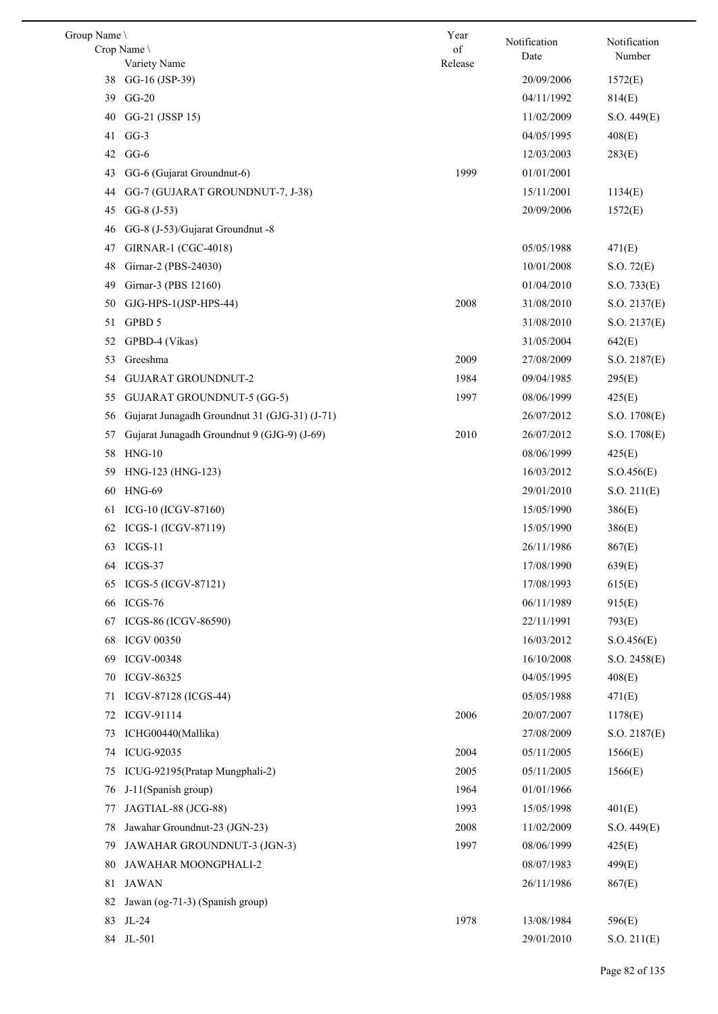| Group Name |                                               | Year    | Notification | Notification |
|------------|-----------------------------------------------|---------|--------------|--------------|
|            | Crop Name                                     | of      | Date         | Number       |
| 38         | Variety Name<br>GG-16 (JSP-39)                | Release | 20/09/2006   | 1572(E)      |
| 39         | $GG-20$                                       |         | 04/11/1992   | 814(E)       |
| 40         | GG-21 (JSSP 15)                               |         | 11/02/2009   | S.O. 449(E)  |
| 41         | $GG-3$                                        |         | 04/05/1995   | 408(E)       |
| 42         | $GG-6$                                        |         | 12/03/2003   | 283(E)       |
| 43         | GG-6 (Gujarat Groundnut-6)                    | 1999    | 01/01/2001   |              |
| 44         | GG-7 (GUJARAT GROUNDNUT-7, J-38)              |         | 15/11/2001   | 1134(E)      |
| 45         | $GG-8$ $(J-53)$                               |         | 20/09/2006   | 1572(E)      |
| 46         | GG-8 (J-53)/Gujarat Groundnut -8              |         |              |              |
| 47         | GIRNAR-1 (CGC-4018)                           |         | 05/05/1988   | 471(E)       |
| 48         | Girnar-2 (PBS-24030)                          |         | 10/01/2008   | S.O. 72(E)   |
| 49         | Girnar-3 (PBS 12160)                          |         | 01/04/2010   | S.O. 733(E)  |
| 50         | GJG-HPS-1(JSP-HPS-44)                         | 2008    | 31/08/2010   | S.O. 2137(E) |
| 51         | GPBD 5                                        |         | 31/08/2010   | S.O. 2137(E) |
| 52         | GPBD-4 (Vikas)                                |         | 31/05/2004   | 642(E)       |
| 53         | Greeshma                                      | 2009    | 27/08/2009   | S.O. 2187(E) |
| 54         | <b>GUJARAT GROUNDNUT-2</b>                    | 1984    | 09/04/1985   | 295(E)       |
| 55         | <b>GUJARAT GROUNDNUT-5 (GG-5)</b>             | 1997    | 08/06/1999   | 425(E)       |
| 56         | Gujarat Junagadh Groundnut 31 (GJG-31) (J-71) |         | 26/07/2012   | S.O. 1708(E) |
| 57         | Gujarat Junagadh Groundnut 9 (GJG-9) (J-69)   | 2010    | 26/07/2012   | S.O. 1708(E) |
| 58         | $HNG-10$                                      |         | 08/06/1999   | 425(E)       |
| 59         | HNG-123 (HNG-123)                             |         | 16/03/2012   | S. O.456(E)  |
| 60         | <b>HNG-69</b>                                 |         | 29/01/2010   | S.O. 211(E)  |
| 61         | ICG-10 (ICGV-87160)                           |         | 15/05/1990   | 386(E)       |
| 62         | ICGS-1 (ICGV-87119)                           |         | 15/05/1990   | 386(E)       |
| 63         | $ICGS-11$                                     |         | 26/11/1986   | 867(E)       |
|            | 64 ICGS-37                                    |         | 17/08/1990   | 639(E)       |
| 65         | ICGS-5 (ICGV-87121)                           |         | 17/08/1993   | 615(E)       |
| 66         | ICGS-76                                       |         | 06/11/1989   | 915(E)       |
| 67         | ICGS-86 (ICGV-86590)                          |         | 22/11/1991   | 793(E)       |
| 68         | <b>ICGV 00350</b>                             |         | 16/03/2012   | S. O.456(E)  |
| 69         | <b>ICGV-00348</b>                             |         | 16/10/2008   | S.O. 2458(E) |
| 70         | ICGV-86325                                    |         | 04/05/1995   | 408(E)       |
| 71         | ICGV-87128 (ICGS-44)                          |         | 05/05/1988   | 471(E)       |
| 72         | ICGV-91114                                    | 2006    | 20/07/2007   | 1178(E)      |
| 73         | ICHG00440(Mallika)                            |         | 27/08/2009   | S.O. 2187(E) |
| 74         | ICUG-92035                                    | 2004    | 05/11/2005   | 1566(E)      |
| 75         | ICUG-92195(Pratap Mungphali-2)                | 2005    | 05/11/2005   | 1566(E)      |
| 76         | J-11(Spanish group)                           | 1964    | 01/01/1966   |              |
| 77         | JAGTIAL-88 (JCG-88)                           | 1993    | 15/05/1998   | 401(E)       |
| 78         | Jawahar Groundnut-23 (JGN-23)                 | 2008    | 11/02/2009   | S.O. 449(E)  |
| 79         | JAWAHAR GROUNDNUT-3 (JGN-3)                   | 1997    | 08/06/1999   | 425(E)       |
| 80         | JAWAHAR MOONGPHALI-2                          |         | 08/07/1983   | 499(E)       |
| 81         | <b>JAWAN</b>                                  |         | 26/11/1986   | 867(E)       |
| 82         | Jawan (og-71-3) (Spanish group)               |         |              |              |
| 83         | JL-24                                         | 1978    | 13/08/1984   | 596(E)       |
|            | 84 JL-501                                     |         | 29/01/2010   | S.O. 211(E)  |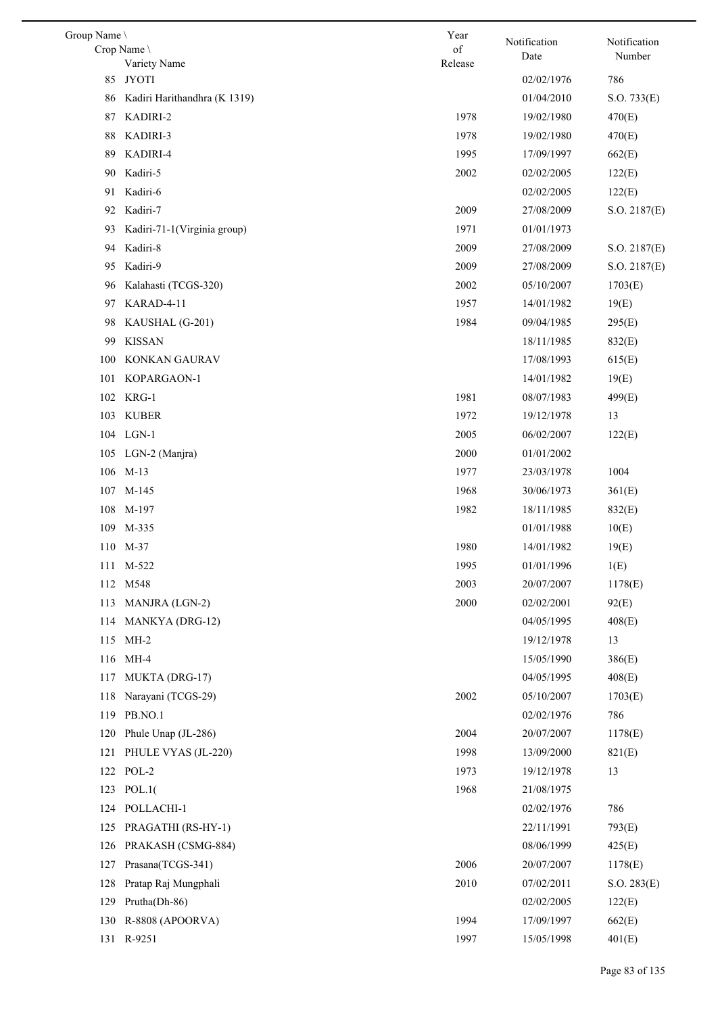| Group Name \ |                              | Year          | Notification | Notification |
|--------------|------------------------------|---------------|--------------|--------------|
|              | Crop Name \<br>Variety Name  | of<br>Release | Date         | Number       |
| 85           | <b>JYOTI</b>                 |               | 02/02/1976   | 786          |
| 86           | Kadiri Harithandhra (K 1319) |               | 01/04/2010   | S.O. 733(E)  |
| 87           | KADIRI-2                     | 1978          | 19/02/1980   | 470(E)       |
| 88           | KADIRI-3                     | 1978          | 19/02/1980   | 470(E)       |
| 89           | KADIRI-4                     | 1995          | 17/09/1997   | 662(E)       |
| 90           | Kadiri-5                     | 2002          | 02/02/2005   | 122(E)       |
|              | 91 Kadiri-6                  |               | 02/02/2005   | 122(E)       |
| 92           | Kadiri-7                     | 2009          | 27/08/2009   | S.O. 2187(E) |
| 93           | Kadiri-71-1(Virginia group)  | 1971          | 01/01/1973   |              |
| 94           | Kadiri-8                     | 2009          | 27/08/2009   | S.O. 2187(E) |
| 95           | Kadiri-9                     | 2009          | 27/08/2009   | S.O. 2187(E) |
| 96           | Kalahasti (TCGS-320)         | 2002          | 05/10/2007   | 1703(E)      |
| 97           | KARAD-4-11                   | 1957          | 14/01/1982   | 19(E)        |
| 98           | KAUSHAL (G-201)              | 1984          | 09/04/1985   | 295(E)       |
| 99           | <b>KISSAN</b>                |               | 18/11/1985   | 832(E)       |
| 100          | KONKAN GAURAV                |               | 17/08/1993   | 615(E)       |
| 101          | KOPARGAON-1                  |               | 14/01/1982   | 19(E)        |
| 102          | KRG-1                        | 1981          | 08/07/1983   | 499(E)       |
|              | 103 KUBER                    | 1972          | 19/12/1978   | 13           |
|              | 104 LGN-1                    | 2005          | 06/02/2007   | 122(E)       |
|              | 105 LGN-2 (Manjra)           | 2000          | 01/01/2002   |              |
|              | 106 M-13                     | 1977          | 23/03/1978   | 1004         |
|              | 107 M-145                    | 1968          | 30/06/1973   | 361(E)       |
|              | 108 M-197                    | 1982          | 18/11/1985   | 832(E)       |
|              | 109 M-335                    |               | 01/01/1988   | 10(E)        |
|              | 110 M-37                     | 1980          | 14/01/1982   | 19(E)        |
|              | 111 M-522                    | 1995          | 01/01/1996   | 1(E)         |
| 112          | M548                         | 2003          | 20/07/2007   | 1178(E)      |
| 113          | MANJRA (LGN-2)               | 2000          | 02/02/2001   | 92(E)        |
| 114          | MANKYA (DRG-12)              |               | 04/05/1995   | 408(E)       |
| 115          | $MH-2$                       |               | 19/12/1978   | 13           |
| 116          | MH-4                         |               | 15/05/1990   | 386(E)       |
| 117          | MUKTA (DRG-17)               |               | 04/05/1995   | 408(E)       |
| 118          | Narayani (TCGS-29)           | 2002          | 05/10/2007   | 1703(E)      |
| 119          | PB.NO.1                      |               | 02/02/1976   | 786          |
| 120          | Phule Unap (JL-286)          | 2004          | 20/07/2007   | 1178(E)      |
| 121          | PHULE VYAS (JL-220)          | 1998          | 13/09/2000   | 821(E)       |
|              | 122 POL-2                    | 1973          | 19/12/1978   | 13           |
|              | 123 POL.1(                   | 1968          | 21/08/1975   |              |
| 124          | POLLACHI-1                   |               | 02/02/1976   | 786          |
| 125          | PRAGATHI (RS-HY-1)           |               | 22/11/1991   | 793(E)       |
| 126          | PRAKASH (CSMG-884)           |               | 08/06/1999   | 425(E)       |
| 127          | Prasana(TCGS-341)            | 2006          | 20/07/2007   | 1178(E)      |
| 128          | Pratap Raj Mungphali         | 2010          | 07/02/2011   | S.O. 283(E)  |
| 129          | Prutha(Dh-86)                |               | 02/02/2005   | 122(E)       |
| 130          | R-8808 (APOORVA)             | 1994          | 17/09/1997   | 662(E)       |
| 131          | R-9251                       | 1997          | 15/05/1998   | 401(E)       |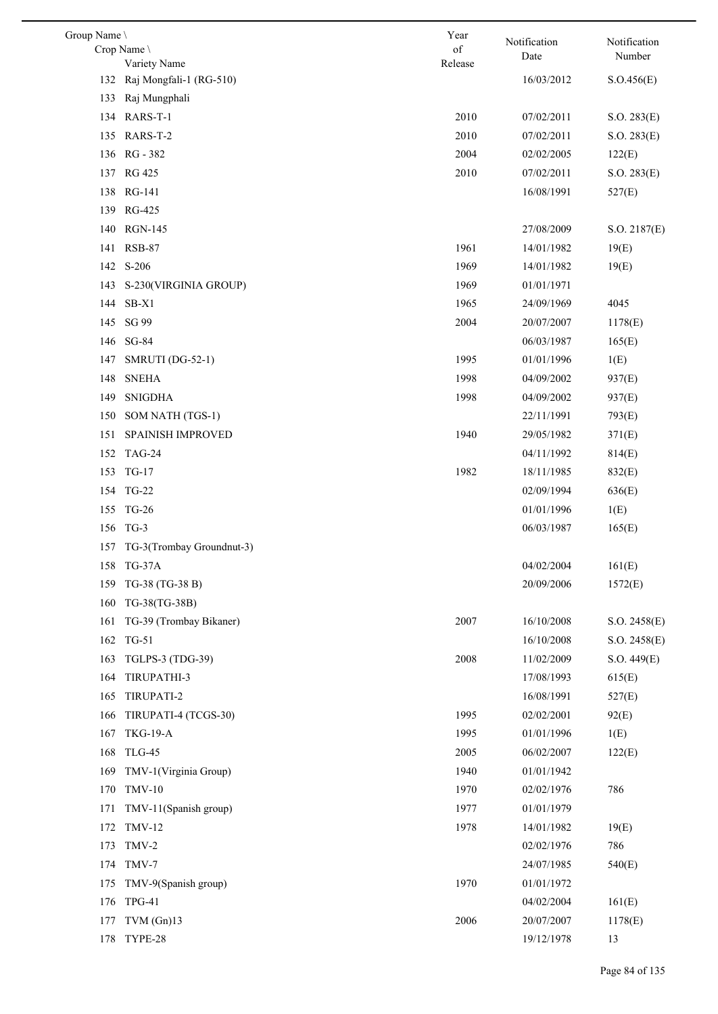| Group Name \ |                                             | Year       | Notification | Notification |
|--------------|---------------------------------------------|------------|--------------|--------------|
|              | Crop Name                                   | $\sigma f$ | Date         | Number       |
|              | Variety Name<br>132 Raj Mongfali-1 (RG-510) | Release    |              |              |
|              |                                             |            | 16/03/2012   | S. O.456(E)  |
| 133          | Raj Mungphali                               | 2010       |              |              |
|              | 134 RARS-T-1<br>135 RARS-T-2                | 2010       | 07/02/2011   | S.O. 283(E)  |
|              |                                             |            | 07/02/2011   | S.O. 283(E)  |
|              | 136 RG-382                                  | 2004       | 02/02/2005   | 122(E)       |
|              | 137 RG 425                                  | 2010       | 07/02/2011   | S.O. 283(E)  |
|              | 138 RG-141                                  |            | 16/08/1991   | 527(E)       |
|              | 139 RG-425                                  |            |              |              |
|              | 140 RGN-145                                 |            | 27/08/2009   | S.O. 2187(E) |
|              | 141 RSB-87                                  | 1961       | 14/01/1982   | 19(E)        |
|              | 142 S-206                                   | 1969       | 14/01/1982   | 19(E)        |
| 143          | S-230(VIRGINIA GROUP)                       | 1969       | 01/01/1971   |              |
| 144          | $SB-X1$                                     | 1965       | 24/09/1969   | 4045         |
|              | 145 SG 99                                   | 2004       | 20/07/2007   | 1178(E)      |
| 146          | SG-84                                       |            | 06/03/1987   | 165(E)       |
| 147          | SMRUTI (DG-52-1)                            | 1995       | 01/01/1996   | 1(E)         |
| 148          | <b>SNEHA</b>                                | 1998       | 04/09/2002   | 937(E)       |
| 149          | <b>SNIGDHA</b>                              | 1998       | 04/09/2002   | 937(E)       |
| 150          | SOM NATH (TGS-1)                            |            | 22/11/1991   | 793(E)       |
| 151          | SPAINISH IMPROVED                           | 1940       | 29/05/1982   | 371(E)       |
|              | 152 TAG-24                                  |            | 04/11/1992   | 814(E)       |
| 153          | TG-17                                       | 1982       | 18/11/1985   | 832(E)       |
|              | 154 TG-22                                   |            | 02/09/1994   | 636(E)       |
|              | 155 TG-26                                   |            | 01/01/1996   | 1(E)         |
|              | 156 TG-3                                    |            | 06/03/1987   | 165(E)       |
|              | 157 TG-3(Trombay Groundnut-3)               |            |              |              |
|              | 158 TG-37A                                  |            | 04/02/2004   | 161(E)       |
| 159          | TG-38 (TG-38 B)                             |            | 20/09/2006   | 1572(E)      |
| 160          | TG-38(TG-38B)                               |            |              |              |
| 161          | TG-39 (Trombay Bikaner)                     | 2007       | 16/10/2008   | S.O. 2458(E) |
|              | 162 TG-51                                   |            | 16/10/2008   | S.O. 2458(E) |
| 163          | TGLPS-3 (TDG-39)                            | 2008       | 11/02/2009   | S.O. 449(E)  |
| 164          | TIRUPATHI-3                                 |            | 17/08/1993   | 615(E)       |
| 165          | TIRUPATI-2                                  |            | 16/08/1991   | 527(E)       |
| 166          | TIRUPATI-4 (TCGS-30)                        | 1995       | 02/02/2001   | 92(E)        |
| 167          | <b>TKG-19-A</b>                             | 1995       | 01/01/1996   | 1(E)         |
| 168          | <b>TLG-45</b>                               | 2005       | 06/02/2007   | 122(E)       |
| 169          | TMV-1(Virginia Group)                       | 1940       | 01/01/1942   |              |
| 170          | <b>TMV-10</b>                               | 1970       | 02/02/1976   | 786          |
| 171          | TMV-11(Spanish group)                       | 1977       | 01/01/1979   |              |
| 172          | <b>TMV-12</b>                               | 1978       | 14/01/1982   | 19(E)        |
| 173          | TMV-2                                       |            | 02/02/1976   | 786          |
|              | 174 TMV-7                                   |            | 24/07/1985   | 540(E)       |
| 175          | TMV-9(Spanish group)                        | 1970       | 01/01/1972   |              |
| 176          | $TPG-41$                                    |            | 04/02/2004   | 161(E)       |
| 177          | $TVM$ (Gn)13                                | 2006       | 20/07/2007   | 1178(E)      |
| 178          | TYPE-28                                     |            | 19/12/1978   | 13           |
|              |                                             |            |              |              |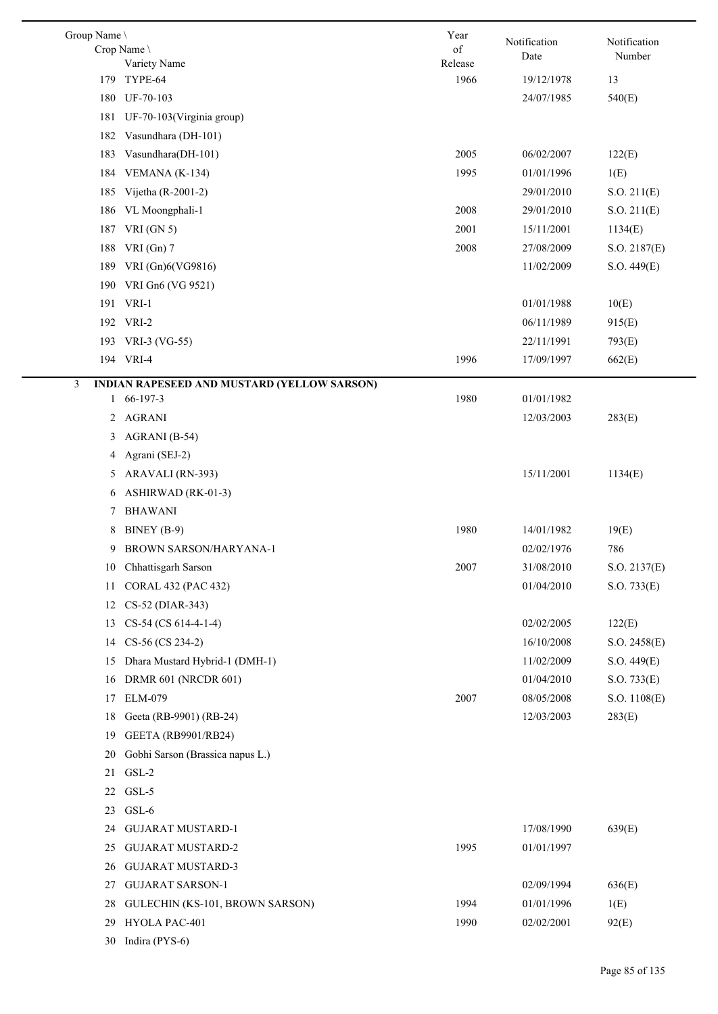| Group Name \<br>Crop Name                        | Year<br>of      | Notification<br>Date | Notification<br>Number |
|--------------------------------------------------|-----------------|----------------------|------------------------|
| Variety Name<br>TYPE-64<br>179                   | Release<br>1966 | 19/12/1978           | 13                     |
| UF-70-103<br>180                                 |                 | 24/07/1985           | 540(E)                 |
| 181<br>UF-70-103 (Virginia group)                |                 |                      |                        |
| Vasundhara (DH-101)<br>182                       |                 |                      |                        |
| Vasundhara(DH-101)<br>183                        | 2005            | 06/02/2007           | 122(E)                 |
|                                                  | 1995            | 01/01/1996           |                        |
| VEMANA (K-134)<br>184                            |                 |                      | 1(E)                   |
| Vijetha (R-2001-2)<br>185                        |                 | 29/01/2010           | S.O. 211(E)            |
| VL Moongphali-1<br>186                           | 2008            | 29/01/2010           | S.O. 211(E)            |
| VRI $(GN 5)$<br>187                              | 2001            | 15/11/2001           | 1134(E)                |
| VRI $(Gn)$ 7<br>188                              | 2008            | 27/08/2009           | S.O. 2187(E)           |
| 189 VRI (Gn)6(VG9816)                            |                 | 11/02/2009           | S.O. 449(E)            |
| VRI Gn6 (VG 9521)<br>190                         |                 |                      |                        |
| 191 VRI-1                                        |                 | 01/01/1988           | 10(E)                  |
| 192 VRI-2                                        |                 | 06/11/1989           | 915(E)                 |
| 193 VRI-3 (VG-55)                                |                 | 22/11/1991           | 793(E)                 |
| 194 VRI-4                                        | 1996            | 17/09/1997           | 662(E)                 |
| 3<br>INDIAN RAPESEED AND MUSTARD (YELLOW SARSON) |                 |                      |                        |
| 1 66-197-3                                       | 1980            | 01/01/1982           |                        |
| <b>AGRANI</b><br>2                               |                 | 12/03/2003           | 283(E)                 |
| AGRANI (B-54)<br>3                               |                 |                      |                        |
| Agrani (SEJ-2)<br>4                              |                 |                      |                        |
| ARAVALI (RN-393)<br>5                            |                 | 15/11/2001           | 1134(E)                |
| ASHIRWAD (RK-01-3)<br>6                          |                 |                      |                        |
| <b>BHAWANI</b><br>7                              |                 |                      |                        |
| BINEY (B-9)<br>8                                 | 1980            | 14/01/1982           | 19(E)                  |
| BROWN SARSON/HARYANA-1<br>9                      |                 | 02/02/1976           | 786                    |
| 10 <sup>°</sup><br>Chhattisgarh Sarson           | $2007\,$        | 31/08/2010           | S.O. 2137(E)           |
| CORAL 432 (PAC 432)<br>11                        |                 | 01/04/2010           | S.O. 733(E)            |
| CS-52 (DIAR-343)<br>12                           |                 |                      |                        |
| CS-54 (CS 614-4-1-4)<br>13                       |                 | 02/02/2005           | 122(E)                 |
| CS-56 (CS 234-2)<br>14                           |                 | 16/10/2008           | S.O. 2458(E)           |
| Dhara Mustard Hybrid-1 (DMH-1)<br>15             |                 | 11/02/2009           | S.O. 449(E)            |
| <b>DRMR 601 (NRCDR 601)</b><br>16                |                 | 01/04/2010           | S.O. 733(E)            |
| <b>ELM-079</b><br>17                             | 2007            | 08/05/2008           | S.O. 1108(E)           |
| Geeta (RB-9901) (RB-24)<br>18                    |                 | 12/03/2003           | 283(E)                 |
| GEETA (RB9901/RB24)<br>19                        |                 |                      |                        |
| Gobhi Sarson (Brassica napus L.)<br>20           |                 |                      |                        |
| GSL-2<br>21                                      |                 |                      |                        |
| GSL-5<br>22                                      |                 |                      |                        |
| GSL-6<br>23                                      |                 |                      |                        |
| <b>GUJARAT MUSTARD-1</b><br>24                   |                 | 17/08/1990           | 639(E)                 |
| <b>GUJARAT MUSTARD-2</b><br>25                   | 1995            | 01/01/1997           |                        |
| <b>GUJARAT MUSTARD-3</b><br>26                   |                 |                      |                        |
| <b>GUJARAT SARSON-1</b><br>27                    |                 | 02/09/1994           | 636(E)                 |
| GULECHIN (KS-101, BROWN SARSON)<br>28            | 1994            | 01/01/1996           | 1(E)                   |
| HYOLA PAC-401<br>29                              | 1990            | 02/02/2001           | 92(E)                  |
| Indira (PYS-6)<br>30                             |                 |                      |                        |
|                                                  |                 |                      |                        |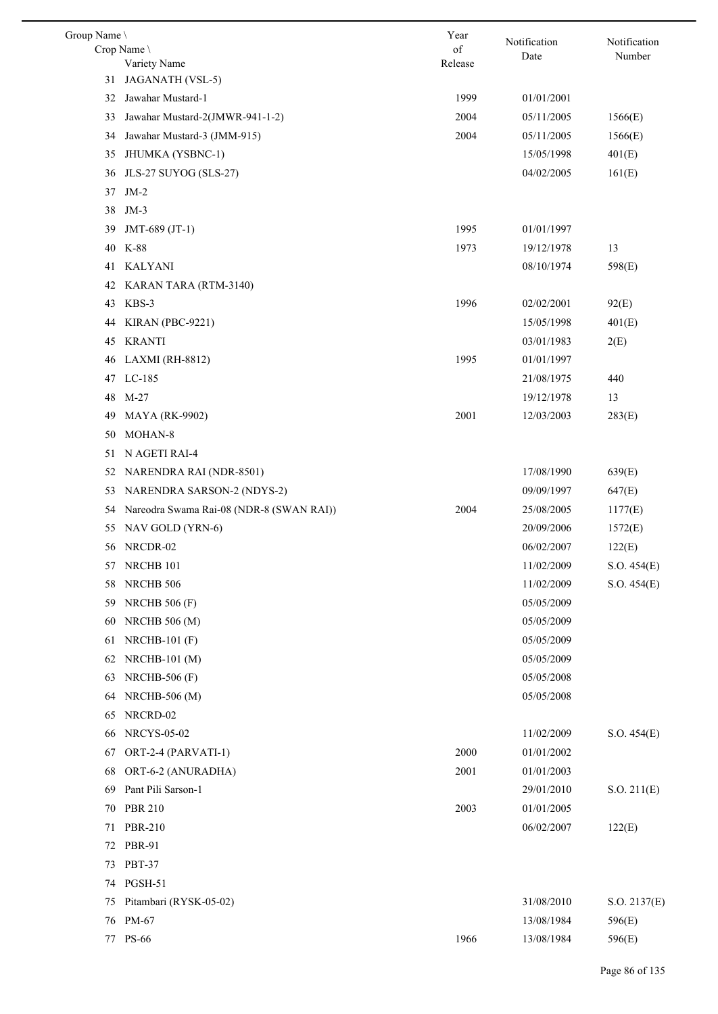| Group Name \                                   | Year    | Notification | Notification |
|------------------------------------------------|---------|--------------|--------------|
| Crop Name                                      | of      | Date         | Number       |
| Variety Name<br>JAGANATH (VSL-5)<br>31         | Release |              |              |
| Jawahar Mustard-1<br>32                        | 1999    | 01/01/2001   |              |
| Jawahar Mustard-2(JMWR-941-1-2)<br>33          | 2004    | 05/11/2005   | 1566(E)      |
|                                                | 2004    |              |              |
| 34<br>Jawahar Mustard-3 (JMM-915)              |         | 05/11/2005   | 1566(E)      |
| JHUMKA (YSBNC-1)<br>35                         |         | 15/05/1998   | 401(E)       |
| JLS-27 SUYOG (SLS-27)<br>36                    |         | 04/02/2005   | 161(E)       |
| 37<br>$JM-2$                                   |         |              |              |
| 38<br>$JM-3$                                   | 1995    |              |              |
| 39<br>JMT-689 (JT-1)<br>40<br>K-88             | 1973    | 01/01/1997   | 13           |
|                                                |         | 19/12/1978   |              |
| <b>KALYANI</b><br>41                           |         | 08/10/1974   | 598(E)       |
| 42<br>KARAN TARA (RTM-3140)                    |         |              |              |
| KBS-3<br>43                                    | 1996    | 02/02/2001   | 92(E)        |
| KIRAN (PBC-9221)<br>44                         |         | 15/05/1998   | 401(E)       |
| <b>KRANTI</b><br>45                            |         | 03/01/1983   | 2(E)         |
| LAXMI (RH-8812)<br>46                          | 1995    | 01/01/1997   |              |
| LC-185<br>47                                   |         | 21/08/1975   | 440          |
| 48<br>$M-27$                                   |         | 19/12/1978   | 13           |
| 49<br><b>MAYA</b> (RK-9902)                    | 2001    | 12/03/2003   | 283(E)       |
| MOHAN-8<br>50                                  |         |              |              |
| N AGETI RAI-4<br>51                            |         |              |              |
| NARENDRA RAI (NDR-8501)<br>52                  |         | 17/08/1990   | 639(E)       |
| NARENDRA SARSON-2 (NDYS-2)<br>53               |         | 09/09/1997   | 647(E)       |
| Nareodra Swama Rai-08 (NDR-8 (SWAN RAI))<br>54 | 2004    | 25/08/2005   | 1177(E)      |
| NAV GOLD (YRN-6)<br>55                         |         | 20/09/2006   | 1572(E)      |
| 56 NRCDR-02                                    |         | 06/02/2007   | 122(E)       |
| 57 NRCHB 101                                   |         | 11/02/2009   | S.O. 454(E)  |
| NRCHB 506<br>58                                |         | 11/02/2009   | S.O. 454(E)  |
| 59<br><b>NRCHB 506 (F)</b>                     |         | 05/05/2009   |              |
| <b>NRCHB 506 (M)</b><br>60                     |         | 05/05/2009   |              |
| NRCHB-101 $(F)$<br>61                          |         | 05/05/2009   |              |
| $NRCHB-101(M)$<br>62                           |         | 05/05/2009   |              |
| NRCHB-506 $(F)$<br>63                          |         | 05/05/2008   |              |
| <b>NRCHB-506 (M)</b><br>64                     |         | 05/05/2008   |              |
| NRCRD-02<br>65                                 |         |              |              |
| <b>NRCYS-05-02</b><br>66                       |         | 11/02/2009   | S.O. 454(E)  |
| ORT-2-4 (PARVATI-1)<br>67                      | 2000    | 01/01/2002   |              |
| 68<br>ORT-6-2 (ANURADHA)                       | 2001    | 01/01/2003   |              |
| Pant Pili Sarson-1<br>69                       |         | 29/01/2010   | S.O. 211(E)  |
| <b>PBR 210</b><br>70                           | 2003    | 01/01/2005   |              |
| <b>PBR-210</b><br>71                           |         | 06/02/2007   | 122(E)       |
| PBR-91<br>72                                   |         |              |              |
| <b>PBT-37</b><br>73                            |         |              |              |
| <b>PGSH-51</b><br>74                           |         |              |              |
| Pitambari (RYSK-05-02)<br>75                   |         | 31/08/2010   | S.O. 2137(E) |
| PM-67<br>76                                    |         | 13/08/1984   | 596(E)       |
| 77 PS-66                                       | 1966    | 13/08/1984   | 596(E)       |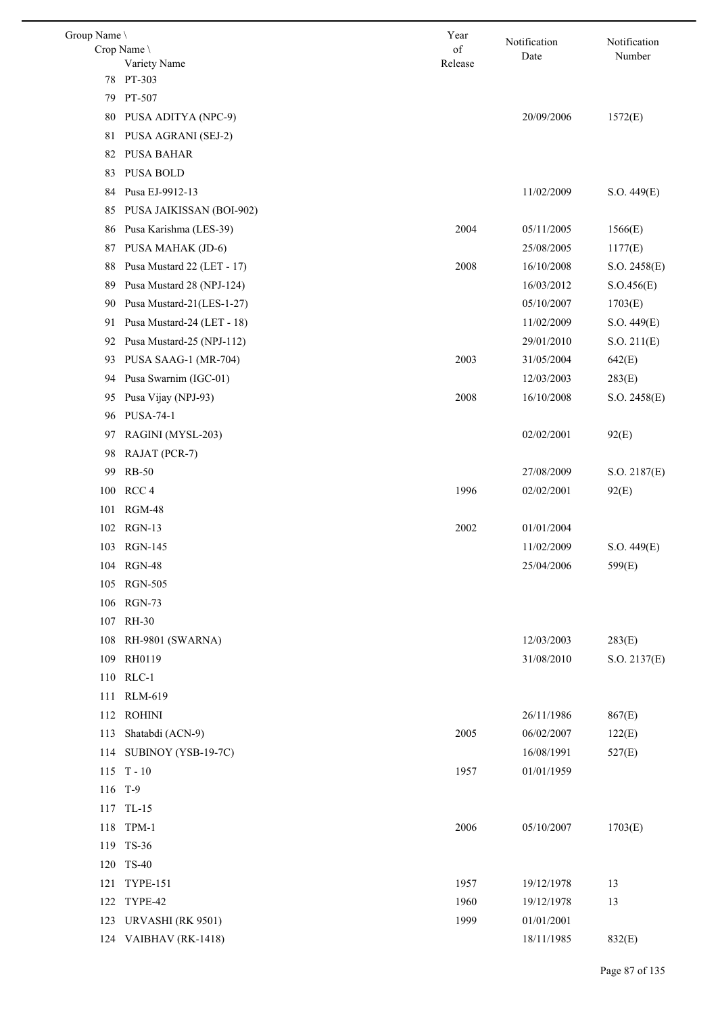| Group Name \ |                             | Year          | Notification | Notification |
|--------------|-----------------------------|---------------|--------------|--------------|
|              | Crop Name \<br>Variety Name | of<br>Release | Date         | Number       |
| 78           | PT-303                      |               |              |              |
| 79           | PT-507                      |               |              |              |
| 80           | PUSA ADITYA (NPC-9)         |               | 20/09/2006   | 1572(E)      |
| 81           | PUSA AGRANI (SEJ-2)         |               |              |              |
| 82           | <b>PUSA BAHAR</b>           |               |              |              |
| 83           | <b>PUSA BOLD</b>            |               |              |              |
| 84           | Pusa EJ-9912-13             |               | 11/02/2009   | S.O. 449(E)  |
| 85           | PUSA JAIKISSAN (BOI-902)    |               |              |              |
| 86           | Pusa Karishma (LES-39)      | 2004          | 05/11/2005   | 1566(E)      |
| 87           | PUSA MAHAK (JD-6)           |               | 25/08/2005   | 1177(E)      |
| 88           | Pusa Mustard 22 (LET - 17)  | 2008          | 16/10/2008   | S.O. 2458(E) |
| 89           | Pusa Mustard 28 (NPJ-124)   |               | 16/03/2012   | S.O.456(E)   |
| 90           | Pusa Mustard-21(LES-1-27)   |               | 05/10/2007   | 1703(E)      |
| 91           | Pusa Mustard-24 (LET - 18)  |               | 11/02/2009   | S.O. 449(E)  |
| 92           | Pusa Mustard-25 (NPJ-112)   |               | 29/01/2010   | S.O. 211(E)  |
| 93           | PUSA SAAG-1 (MR-704)        | 2003          | 31/05/2004   | 642(E)       |
| 94           | Pusa Swarnim (IGC-01)       |               | 12/03/2003   | 283(E)       |
| 95           | Pusa Vijay (NPJ-93)         | 2008          | 16/10/2008   | S.O. 2458(E) |
| 96           | <b>PUSA-74-1</b>            |               |              |              |
| 97           | RAGINI (MYSL-203)           |               | 02/02/2001   | 92(E)        |
| 98           | RAJAT (PCR-7)               |               |              |              |
| 99           | <b>RB-50</b>                |               | 27/08/2009   | S.O. 2187(E) |
| 100          | RCC <sub>4</sub>            | 1996          | 02/02/2001   | 92(E)        |
|              | 101 RGM-48                  |               |              |              |
|              | 102 RGN-13                  | 2002          | 01/01/2004   |              |
|              | 103 RGN-145                 |               | 11/02/2009   | S.O. 449(E)  |
| 104          | <b>RGN-48</b>               |               | 25/04/2006   | 599(E)       |
| 105          | <b>RGN-505</b>              |               |              |              |
|              | 106 RGN-73                  |               |              |              |
| 107          | <b>RH-30</b>                |               |              |              |
| 108          | RH-9801 (SWARNA)            |               | 12/03/2003   | 283(E)       |
| 109          | RH0119                      |               | 31/08/2010   | S.O. 2137(E) |
| 110          | RLC-1                       |               |              |              |
| 111          | <b>RLM-619</b>              |               |              |              |
| 112          | <b>ROHINI</b>               |               | 26/11/1986   | 867(E)       |
| 113          | Shatabdi (ACN-9)            | 2005          | 06/02/2007   | 122(E)       |
| 114          | SUBINOY (YSB-19-7C)         |               | 16/08/1991   | 527(E)       |
|              | $115$ T - 10                | 1957          | 01/01/1959   |              |
| 116 T-9      |                             |               |              |              |
| 117          | TL-15                       |               |              |              |
|              | 118 TPM-1                   | 2006          | 05/10/2007   | 1703(E)      |
| 119          | TS-36                       |               |              |              |
| 120          | <b>TS-40</b>                |               |              |              |
| 121          | <b>TYPE-151</b>             | 1957          | 19/12/1978   | 13           |
| 122          | TYPE-42                     | 1960          | 19/12/1978   | 13           |
| 123          | URVASHI (RK 9501)           | 1999          | 01/01/2001   |              |
|              | 124 VAIBHAV (RK-1418)       |               | 18/11/1985   | 832(E)       |
|              |                             |               |              |              |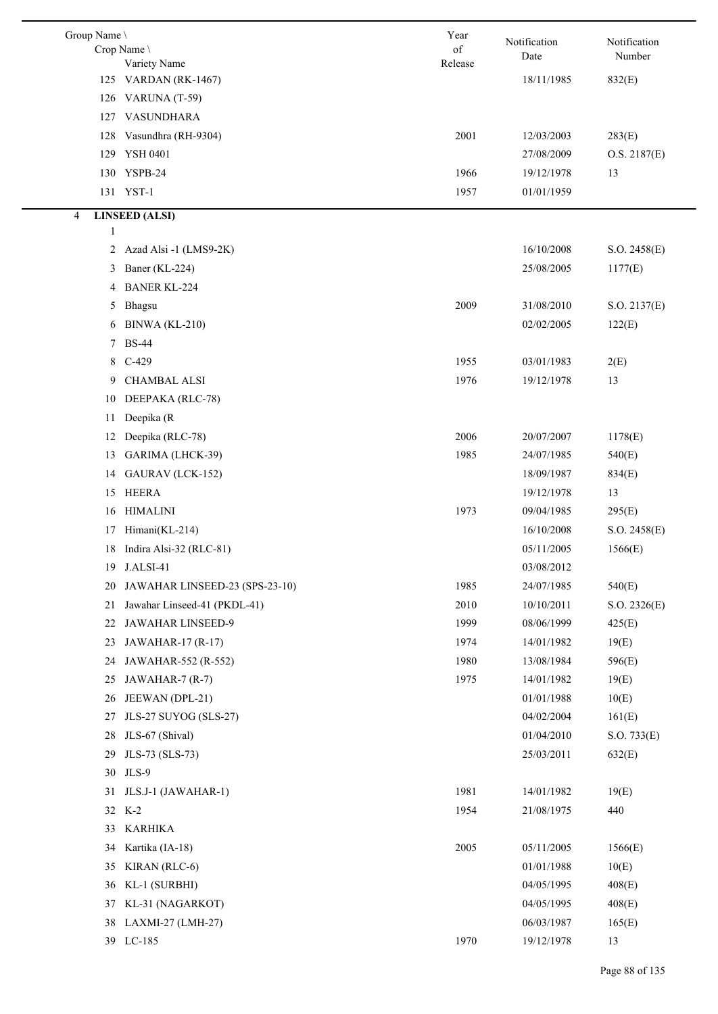| Group Name \ | Crop Name                      | Year<br>of | Notification | Notification<br>Number |
|--------------|--------------------------------|------------|--------------|------------------------|
|              | Variety Name                   | Release    | Date         |                        |
|              | 125 VARDAN (RK-1467)           |            | 18/11/1985   | 832(E)                 |
|              | 126 VARUNA (T-59)              |            |              |                        |
| 127          | VASUNDHARA                     |            |              |                        |
| 128          | Vasundhra (RH-9304)            | 2001       | 12/03/2003   | 283(E)                 |
| 129          | YSH 0401                       |            | 27/08/2009   | O.S. 2187(E)           |
|              | 130 YSPB-24                    | 1966       | 19/12/1978   | 13                     |
|              | 131 YST-1                      | 1957       | 01/01/1959   |                        |
| 4            | <b>LINSEED (ALSI)</b>          |            |              |                        |
| 1            |                                |            |              |                        |
| 2            | Azad Alsi -1 (LMS9-2K)         |            | 16/10/2008   | S.O. 2458(E)           |
| 3            | Baner (KL-224)                 |            | 25/08/2005   | 1177(E)                |
| 4            | <b>BANER KL-224</b>            |            |              |                        |
| 5            | Bhagsu                         | 2009       | 31/08/2010   | S.O. 2137(E)           |
| 6            | BINWA (KL-210)                 |            | 02/02/2005   | 122(E)                 |
| 7            | <b>BS-44</b>                   |            |              |                        |
| 8            | $C-429$                        | 1955       | 03/01/1983   | 2(E)                   |
| 9            | <b>CHAMBAL ALSI</b>            | 1976       | 19/12/1978   | 13                     |
| 10           | DEEPAKA (RLC-78)               |            |              |                        |
| 11           | Deepika (R                     |            |              |                        |
| 12           | Deepika (RLC-78)               | 2006       | 20/07/2007   | 1178(E)                |
| 13           | GARIMA (LHCK-39)               | 1985       | 24/07/1985   | 540(E)                 |
| 14           | GAURAV (LCK-152)               |            | 18/09/1987   | 834(E)                 |
| 15           | <b>HEERA</b>                   |            | 19/12/1978   | 13                     |
| 16           | HIMALINI                       | 1973       | 09/04/1985   | 295(E)                 |
| 17           | Himani(KL-214)                 |            | 16/10/2008   | S.O. 2458(E)           |
| 18           | Indira Alsi-32 (RLC-81)        |            | 05/11/2005   | 1566(E)                |
| 19           | J.ALSI-41                      |            | 03/08/2012   |                        |
| 20           | JAWAHAR LINSEED-23 (SPS-23-10) | 1985       | 24/07/1985   | 540(E)                 |
| 21           | Jawahar Linseed-41 (PKDL-41)   | 2010       | 10/10/2011   | S.O. 2326(E)           |
| 22           | JAWAHAR LINSEED-9              | 1999       | 08/06/1999   | 425(E)                 |
| 23           | JAWAHAR-17 (R-17)              | 1974       | 14/01/1982   | 19(E)                  |
| 24           | JAWAHAR-552 (R-552)            | 1980       | 13/08/1984   | 596(E)                 |
| 25           | JAWAHAR-7 (R-7)                | 1975       | 14/01/1982   | 19(E)                  |
| 26           | JEEWAN (DPL-21)                |            | 01/01/1988   | 10(E)                  |
| 27           | JLS-27 SUYOG (SLS-27)          |            | 04/02/2004   | 161(E)                 |
| 28           | JLS-67 (Shival)                |            | 01/04/2010   | S.O. 733(E)            |
| 29           | JLS-73 (SLS-73)                |            | 25/03/2011   | 632(E)                 |
| 30           | JLS-9                          |            |              |                        |
| 31           | JLS.J-1 (JAWAHAR-1)            | 1981       | 14/01/1982   | 19(E)                  |
|              | 32 K-2                         | 1954       | 21/08/1975   | 440                    |
| 33           | <b>KARHIKA</b>                 |            |              |                        |
| 34           | Kartika (IA-18)                | 2005       | 05/11/2005   | 1566(E)                |
| 35           | KIRAN (RLC-6)                  |            | 01/01/1988   | 10(E)                  |
| 36           | KL-1 (SURBHI)                  |            | 04/05/1995   | 408(E)                 |
| 37           | KL-31 (NAGARKOT)               |            | 04/05/1995   | 408(E)                 |
| 38           | LAXMI-27 (LMH-27)              |            | 06/03/1987   | 165(E)                 |
|              | 39 LC-185                      | 1970       | 19/12/1978   | 13                     |
|              |                                |            |              |                        |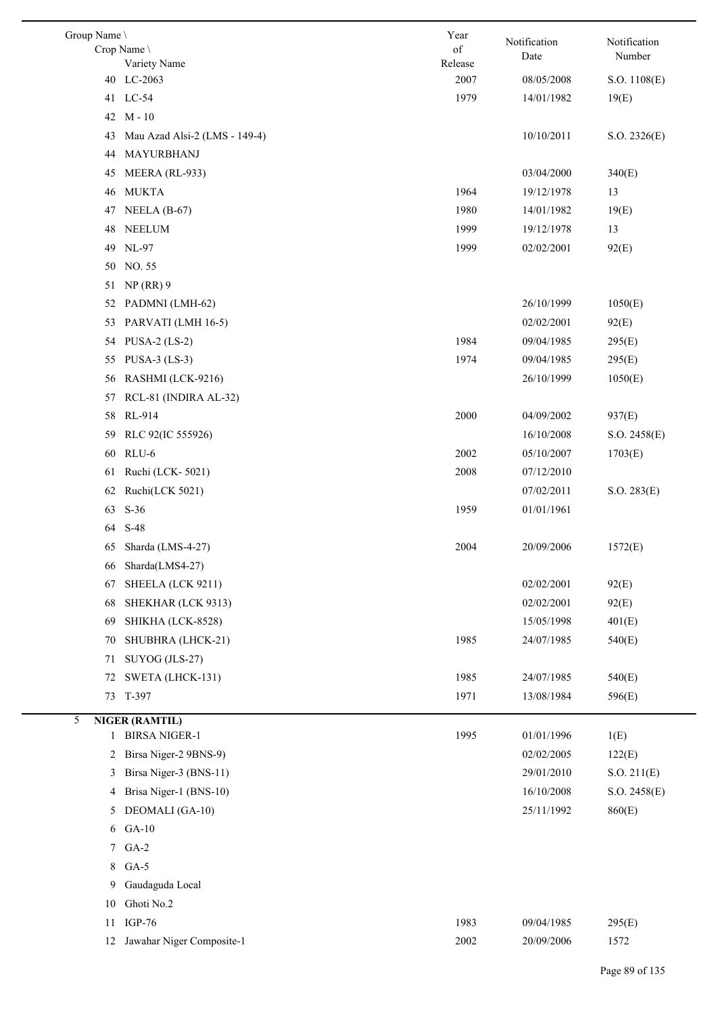| Group Name \<br>Crop Name \ | Variety Name                  | Year<br>of<br>Release | Notification<br>Date | Notification<br>Number |
|-----------------------------|-------------------------------|-----------------------|----------------------|------------------------|
|                             | 40 LC-2063                    | 2007                  | 08/05/2008           | S.O. 1108(E)           |
|                             | 41 LC-54                      | 1979                  | 14/01/1982           | 19(E)                  |
|                             | 42 M-10                       |                       |                      |                        |
| 43                          | Mau Azad Alsi-2 (LMS - 149-4) |                       | 10/10/2011           | S.O. 2326(E)           |
| 44                          | MAYURBHANJ                    |                       |                      |                        |
| 45                          | MEERA (RL-933)                |                       | 03/04/2000           | 340(E)                 |
| 46                          | <b>MUKTA</b>                  | 1964                  | 19/12/1978           | 13                     |
| 47                          | NEELA $(B-67)$                | 1980                  | 14/01/1982           | 19(E)                  |
| 48                          | <b>NEELUM</b>                 | 1999                  | 19/12/1978           | 13                     |
| 49                          | NL-97                         | 1999                  | 02/02/2001           | 92(E)                  |
| 50                          | NO. 55                        |                       |                      |                        |
| 51                          | $NP(RR)$ 9                    |                       |                      |                        |
| 52                          | PADMNI (LMH-62)               |                       | 26/10/1999           | 1050(E)                |
| 53                          | PARVATI (LMH 16-5)            |                       | 02/02/2001           | 92(E)                  |
| 54                          | PUSA-2 $(LS-2)$               | 1984                  | 09/04/1985           | 295(E)                 |
| 55                          | PUSA-3 $(LS-3)$               | 1974                  | 09/04/1985           | 295(E)                 |
| 56                          | RASHMI (LCK-9216)             |                       | 26/10/1999           | 1050(E)                |
| 57                          | RCL-81 (INDIRA AL-32)         |                       |                      |                        |
| 58                          | RL-914                        | 2000                  | 04/09/2002           | 937(E)                 |
| 59                          | RLC 92(IC 555926)             |                       | 16/10/2008           | S.O. 2458(E)           |
| 60                          | RLU-6                         | 2002                  | 05/10/2007           | 1703(E)                |
|                             |                               | 2008                  |                      |                        |
| 61                          | Ruchi (LCK-5021)              |                       | 07/12/2010           |                        |
| 62                          | Ruchi(LCK 5021)               |                       | 07/02/2011           | S.O. 283(E)            |
| 63                          | $S-36$                        | 1959                  | 01/01/1961           |                        |
| 64                          | S-48                          |                       |                      |                        |
| 65                          | Sharda (LMS-4-27)             | 2004                  | 20/09/2006           | 1572(E)                |
|                             | 66 Sharda(LMS4-27)            |                       |                      |                        |
| 67                          | SHEELA (LCK 9211)             |                       | 02/02/2001           | 92(E)                  |
| 68                          | SHEKHAR (LCK 9313)            |                       | 02/02/2001           | 92(E)                  |
| 69                          | SHIKHA (LCK-8528)             |                       | 15/05/1998           | 401(E)                 |
| 70                          | SHUBHRA (LHCK-21)             | 1985                  | 24/07/1985           | 540(E)                 |
| 71                          | SUYOG (JLS-27)                |                       |                      |                        |
| 72                          | SWETA (LHCK-131)              | 1985                  | 24/07/1985           | 540(E)                 |
| 73                          | T-397                         | 1971                  | 13/08/1984           | 596(E)                 |
| 5                           | <b>NIGER (RAMTIL)</b>         |                       |                      |                        |
|                             | 1 BIRSA NIGER-1               | 1995                  | 01/01/1996           | 1(E)                   |
| 2                           | Birsa Niger-2 9BNS-9)         |                       | 02/02/2005           | 122(E)                 |
| 3                           | Birsa Niger-3 (BNS-11)        |                       | 29/01/2010           | S.O. 211(E)            |
| 4                           | Brisa Niger-1 (BNS-10)        |                       | 16/10/2008           | S.O. 2458(E)           |
| 5                           | DEOMALI (GA-10)               |                       | 25/11/1992           | 860(E)                 |
|                             | 6 GA-10                       |                       |                      |                        |
|                             | 7 GA-2                        |                       |                      |                        |
| 8                           | $GA-5$                        |                       |                      |                        |
| 9                           | Gaudaguda Local               |                       |                      |                        |
| 10                          | Ghoti No.2                    |                       |                      |                        |
| 11                          | $IGP-76$                      | 1983                  | 09/04/1985           | 295(E)                 |
|                             | 12 Jawahar Niger Composite-1  | 2002                  | 20/09/2006           | 1572                   |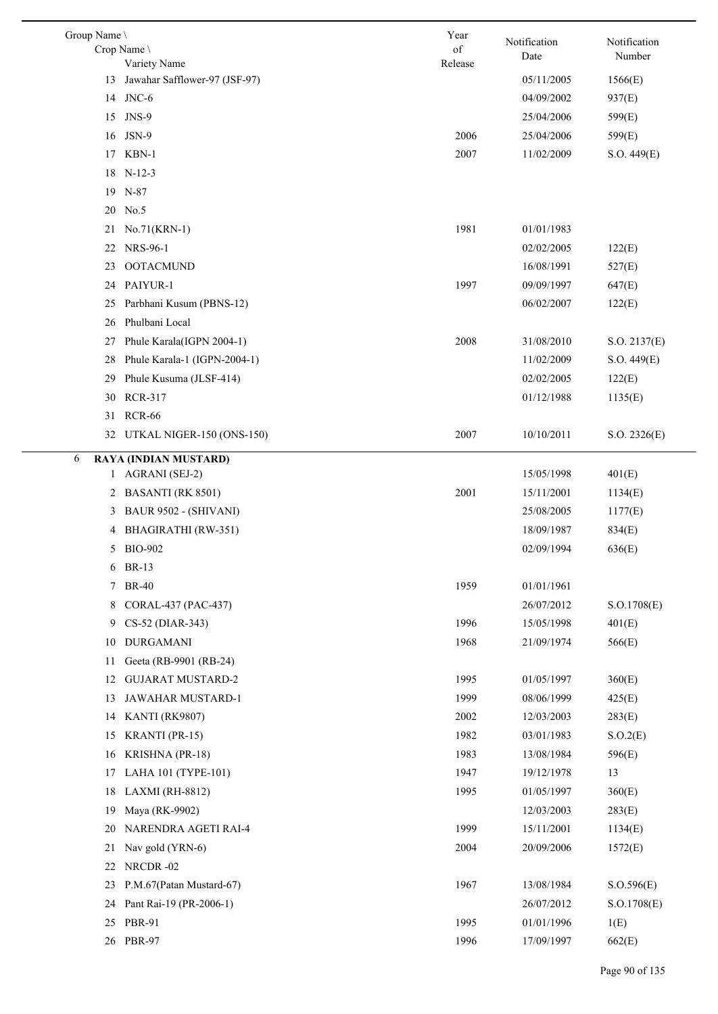| Group Name \ | Crop Name \                                   | Year<br>of | Notification<br>Date | Notification<br>Number |
|--------------|-----------------------------------------------|------------|----------------------|------------------------|
| 13           | Variety Name<br>Jawahar Safflower-97 (JSF-97) | Release    | 05/11/2005           | 1566(E)                |
|              | 14 JNC-6                                      |            | 04/09/2002           | 937(E)                 |
|              | 15 JNS-9                                      |            | 25/04/2006           |                        |
|              | 16 JSN-9                                      | 2006       |                      | 599(E)                 |
|              |                                               |            | 25/04/2006           | 599(E)                 |
|              | 17 KBN-1                                      | 2007       | 11/02/2009           | S.O. 449(E)            |
|              | 18 N-12-3                                     |            |                      |                        |
|              | 19 N-87                                       |            |                      |                        |
| 20           | No.5                                          | 1981       |                      |                        |
| 21           | No.71(KRN-1)<br>NRS-96-1                      |            | 01/01/1983           |                        |
| 22           |                                               |            | 02/02/2005           | 122(E)                 |
| 23           | <b>OOTACMUND</b>                              |            | 16/08/1991           | 527(E)                 |
| 24           | PAIYUR-1                                      | 1997       | 09/09/1997           | 647(E)                 |
| 25           | Parbhani Kusum (PBNS-12)                      |            | 06/02/2007           | 122(E)                 |
| 26           | Phulbani Local                                |            |                      |                        |
| 27           | Phule Karala(IGPN 2004-1)                     | 2008       | 31/08/2010           | S.O. 2137(E)           |
| 28           | Phule Karala-1 (IGPN-2004-1)                  |            | 11/02/2009           | S.O. 449(E)            |
| 29           | Phule Kusuma (JLSF-414)                       |            | 02/02/2005           | 122(E)                 |
| 30           | <b>RCR-317</b>                                |            | 01/12/1988           | 1135(E)                |
|              | 31 RCR-66                                     |            |                      |                        |
|              | 32 UTKAL NIGER-150 (ONS-150)                  | 2007       | 10/10/2011           | S.O. 2326(E)           |
| 6            | RAYA (INDIAN MUSTARD)                         |            |                      |                        |
|              | 1 AGRANI (SEJ-2)                              |            | 15/05/1998           | 401(E)                 |
|              | 2 BASANTI (RK 8501)                           | 2001       | 15/11/2001           | 1134(E)                |
| 3            | BAUR 9502 - (SHIVANI)                         |            | 25/08/2005           | 1177(E)                |
| 4            | BHAGIRATHI (RW-351)                           |            | 18/09/1987           | 834(E)                 |
| 5            | <b>BIO-902</b>                                |            | 02/09/1994           | 636(E)                 |
| 6            | BR-13                                         |            |                      |                        |
| 7            | <b>BR-40</b>                                  | 1959       | 01/01/1961           |                        |
| 8            | CORAL-437 (PAC-437)                           |            | 26/07/2012           | S.O.1708(E)            |
| 9            | CS-52 (DIAR-343)                              | 1996       | 15/05/1998           | 401(E)                 |
| 10           | <b>DURGAMANI</b>                              | 1968       | 21/09/1974           | 566(E)                 |
| 11           | Geeta (RB-9901 (RB-24)                        |            |                      |                        |
| 12           | <b>GUJARAT MUSTARD-2</b>                      | 1995       | 01/05/1997           | 360(E)                 |
| 13           | JAWAHAR MUSTARD-1                             | 1999       | 08/06/1999           | 425(E)                 |
| 14           | KANTI (RK9807)                                | 2002       | 12/03/2003           | 283(E)                 |
| 15           | <b>KRANTI</b> (PR-15)                         | 1982       | 03/01/1983           | S.O.2(E)               |
| 16           | KRISHNA (PR-18)                               | 1983       | 13/08/1984           | 596(E)                 |
| 17           | LAHA 101 (TYPE-101)                           | 1947       | 19/12/1978           | 13                     |
| 18           | LAXMI (RH-8812)                               | 1995       | 01/05/1997           | 360(E)                 |
| 19           | Maya (RK-9902)                                |            | 12/03/2003           | 283(E)                 |
| 20           | NARENDRA AGETI RAI-4                          | 1999       | 15/11/2001           | 1134(E)                |
| 21           | Nav gold (YRN-6)                              | 2004       | 20/09/2006           | 1572(E)                |
| 22           | NRCDR-02                                      |            |                      |                        |
| 23           | P.M.67(Patan Mustard-67)                      | 1967       | 13/08/1984           | S. O.596(E)            |
| 24           | Pant Rai-19 (PR-2006-1)                       |            | 26/07/2012           | S.O.1708(E)            |
|              | 25 PBR-91                                     | 1995       | 01/01/1996           | 1(E)                   |
|              | 26 PBR-97                                     | 1996       | 17/09/1997           | 662(E)                 |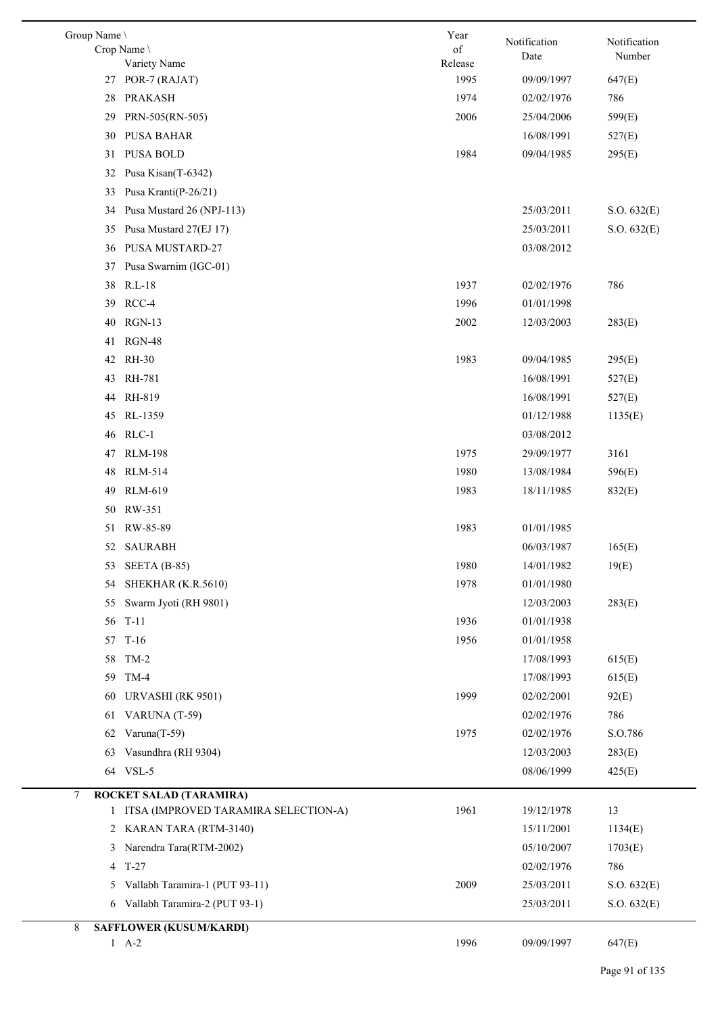| Group Name \ |                                        | Year          | Notification | Notification |
|--------------|----------------------------------------|---------------|--------------|--------------|
|              | Crop Name<br>Variety Name              | of<br>Release | Date         | Number       |
| 27           | POR-7 (RAJAT)                          | 1995          | 09/09/1997   | 647(E)       |
| 28           | <b>PRAKASH</b>                         | 1974          | 02/02/1976   | 786          |
| 29           | PRN-505(RN-505)                        | 2006          | 25/04/2006   | 599(E)       |
| 30           | PUSA BAHAR                             |               | 16/08/1991   | 527(E)       |
| 31           | <b>PUSA BOLD</b>                       | 1984          | 09/04/1985   | 295(E)       |
| 32           | Pusa Kisan(T-6342)                     |               |              |              |
| 33           | Pusa Kranti(P-26/21)                   |               |              |              |
| 34           | Pusa Mustard 26 (NPJ-113)              |               | 25/03/2011   | S.O. 632(E)  |
| 35           | Pusa Mustard 27(EJ 17)                 |               | 25/03/2011   | S.O. 632(E)  |
| 36           | <b>PUSA MUSTARD-27</b>                 |               | 03/08/2012   |              |
| 37           | Pusa Swarnim (IGC-01)                  |               |              |              |
| 38           | $R.L-18$                               | 1937          | 02/02/1976   | 786          |
| 39           | RCC-4                                  | 1996          | 01/01/1998   |              |
| 40           | $RGN-13$                               | 2002          | 12/03/2003   | 283(E)       |
| 41           | <b>RGN-48</b>                          |               |              |              |
| 42           | <b>RH-30</b>                           | 1983          | 09/04/1985   | 295(E)       |
| 43           | RH-781                                 |               | 16/08/1991   | 527(E)       |
| 44           | RH-819                                 |               | 16/08/1991   | 527(E)       |
| 45           | RL-1359                                |               | 01/12/1988   | 1135(E)      |
| 46           | $RLC-1$                                |               | 03/08/2012   |              |
| 47           | <b>RLM-198</b>                         | 1975          | 29/09/1977   | 3161         |
| 48           | <b>RLM-514</b>                         | 1980          | 13/08/1984   | 596(E)       |
| 49           | <b>RLM-619</b>                         | 1983          | 18/11/1985   | 832(E)       |
| 50           | RW-351                                 |               |              |              |
| 51           | RW-85-89                               | 1983          | 01/01/1985   |              |
| 52           | <b>SAURABH</b>                         |               | 06/03/1987   | 165(E)       |
|              | 53 SEETA (B-85)                        | 1980          | 14/01/1982   | 19(E)        |
| 54           | SHEKHAR (K.R.5610)                     | 1978          | 01/01/1980   |              |
| 55           | Swarm Jyoti (RH 9801)                  |               | 12/03/2003   | 283(E)       |
| 56           | $T-11$                                 | 1936          | 01/01/1938   |              |
| 57           | $T-16$                                 | 1956          | 01/01/1958   |              |
| 58           | $TM-2$                                 |               | 17/08/1993   | 615(E)       |
| 59           | $TM-4$                                 |               | 17/08/1993   | 615(E)       |
| 60           | URVASHI (RK 9501)                      | 1999          | 02/02/2001   | 92(E)        |
| 61           | VARUNA (T-59)                          |               | 02/02/1976   | 786          |
| 62           | Varuna(T-59)                           | 1975          | 02/02/1976   | S.O.786      |
| 63           | Vasundhra (RH 9304)                    |               | 12/03/2003   | 283(E)       |
| 64           | VSL-5                                  |               | 08/06/1999   | 425(E)       |
| 7            | ROCKET SALAD (TARAMIRA)                |               |              |              |
|              | 1 ITSA (IMPROVED TARAMIRA SELECTION-A) | 1961          | 19/12/1978   | 13           |
|              | 2 KARAN TARA (RTM-3140)                |               | 15/11/2001   | 1134(E)      |
| 3            | Narendra Tara(RTM-2002)                |               | 05/10/2007   | 1703(E)      |
|              | 4 T-27                                 |               | 02/02/1976   | 786          |
| 5            | Vallabh Taramira-1 (PUT 93-11)         | 2009          | 25/03/2011   | S.O. 632(E)  |
| 6            | Vallabh Taramira-2 (PUT 93-1)          |               | 25/03/2011   | S.O. 632(E)  |
| 8            | <b>SAFFLOWER (KUSUM/KARDI)</b>         |               |              |              |
|              | $1 \quad A-2$                          | 1996          | 09/09/1997   | 647(E)       |
|              |                                        |               |              |              |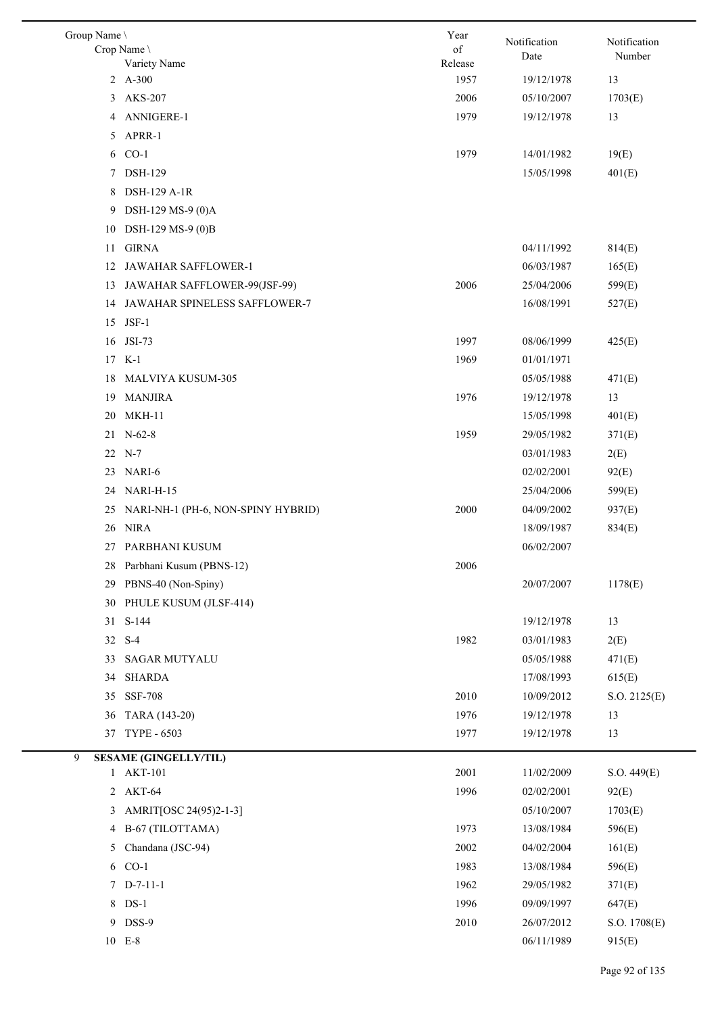| Group Name \ | Crop Name \                        | Year<br>$% \left( \left( \mathcal{A},\mathcal{A}\right) \right) =\left( \mathcal{A},\mathcal{A}\right)$ of | Notification<br>Date | Notification<br>Number |
|--------------|------------------------------------|------------------------------------------------------------------------------------------------------------|----------------------|------------------------|
|              | Variety Name<br>2 A-300            | Release<br>1957                                                                                            |                      |                        |
|              |                                    |                                                                                                            | 19/12/1978           | 13                     |
| 3            | <b>AKS-207</b>                     | 2006                                                                                                       | 05/10/2007           | 1703(E)                |
|              | 4 ANNIGERE-1                       | 1979                                                                                                       | 19/12/1978           | 13                     |
| 5            | APRR-1                             |                                                                                                            |                      |                        |
|              | 6 CO-1                             | 1979                                                                                                       | 14/01/1982           | 19(E)                  |
| 7            | <b>DSH-129</b>                     |                                                                                                            | 15/05/1998           | 401(E)                 |
| 8            | DSH-129 A-1R                       |                                                                                                            |                      |                        |
| 9            | DSH-129 MS-9 (0)A                  |                                                                                                            |                      |                        |
| 10           | DSH-129 MS-9 (0)B                  |                                                                                                            |                      |                        |
| 11           | <b>GIRNA</b>                       |                                                                                                            | 04/11/1992           | 814(E)                 |
| 12           | JAWAHAR SAFFLOWER-1                |                                                                                                            | 06/03/1987           | 165(E)                 |
|              | 13 JAWAHAR SAFFLOWER-99(JSF-99)    | 2006                                                                                                       | 25/04/2006           | 599(E)                 |
|              | 14 JAWAHAR SPINELESS SAFFLOWER-7   |                                                                                                            | 16/08/1991           | 527(E)                 |
| 15           | $JSF-1$                            |                                                                                                            |                      |                        |
| 16           | <b>JSI-73</b>                      | 1997                                                                                                       | 08/06/1999           | 425(E)                 |
| 17           | K-1                                | 1969                                                                                                       | 01/01/1971           |                        |
| 18           | MALVIYA KUSUM-305                  |                                                                                                            | 05/05/1988           | 471(E)                 |
| 19           | <b>MANJIRA</b>                     | 1976                                                                                                       | 19/12/1978           | 13                     |
| 20           | MKH-11                             |                                                                                                            | 15/05/1998           | 401(E)                 |
|              | 21 N-62-8                          | 1959                                                                                                       | 29/05/1982           | 371(E)                 |
|              | 22 N-7                             |                                                                                                            | 03/01/1983           | 2(E)                   |
| 23           | NARI-6                             |                                                                                                            | 02/02/2001           | 92(E)                  |
| 24           | NARI-H-15                          |                                                                                                            | 25/04/2006           | 599(E)                 |
| 25           | NARI-NH-1 (PH-6, NON-SPINY HYBRID) | 2000                                                                                                       | 04/09/2002           | 937(E)                 |
|              | 26 NIRA                            |                                                                                                            | 18/09/1987           | 834(E)                 |
|              | 27 PARBHANI KUSUM                  |                                                                                                            | 06/02/2007           |                        |
| 28           | Parbhani Kusum (PBNS-12)           | 2006                                                                                                       |                      |                        |
| 29           | PBNS-40 (Non-Spiny)                |                                                                                                            | 20/07/2007           | 1178(E)                |
| 30           | PHULE KUSUM (JLSF-414)             |                                                                                                            |                      |                        |
| 31           | $S-144$                            |                                                                                                            | 19/12/1978           | 13                     |
|              | 32 S-4                             | 1982                                                                                                       | 03/01/1983           | 2(E)                   |
| 33           | <b>SAGAR MUTYALU</b>               |                                                                                                            | 05/05/1988           | 471(E)                 |
| 34           | <b>SHARDA</b>                      |                                                                                                            | 17/08/1993           | 615(E)                 |
| 35           | <b>SSF-708</b>                     | 2010                                                                                                       | 10/09/2012           | S.O. 2125(E)           |
| 36           | TARA (143-20)                      | 1976                                                                                                       | 19/12/1978           | 13                     |
| 37           | <b>TYPE - 6503</b>                 | 1977                                                                                                       | 19/12/1978           | 13                     |
| 9            | <b>SESAME (GINGELLY/TIL)</b>       |                                                                                                            |                      |                        |
|              | 1 AKT-101                          | 2001                                                                                                       | 11/02/2009           | S.O. 449(E)            |
|              | 2 AKT-64                           | 1996                                                                                                       | 02/02/2001           | 92(E)                  |
| 3            | AMRIT[OSC 24(95)2-1-3]             |                                                                                                            | 05/10/2007           | 1703(E)                |
| 4            | B-67 (TILOTTAMA)                   | 1973                                                                                                       | 13/08/1984           | 596(E)                 |
| 5            | Chandana (JSC-94)                  | 2002                                                                                                       | 04/02/2004           | 161(E)                 |
| 6            | $CO-1$                             | 1983                                                                                                       | 13/08/1984           | 596(E)                 |
|              | $7$ D-7-11-1                       | 1962                                                                                                       | 29/05/1982           | 371(E)                 |
| 8            | $DS-1$                             | 1996                                                                                                       | 09/09/1997           | 647(E)                 |
|              | 9 DSS-9                            | 2010                                                                                                       | 26/07/2012           | S.O. 1708(E)           |
|              | 10 E-8                             |                                                                                                            | 06/11/1989           | 915(E)                 |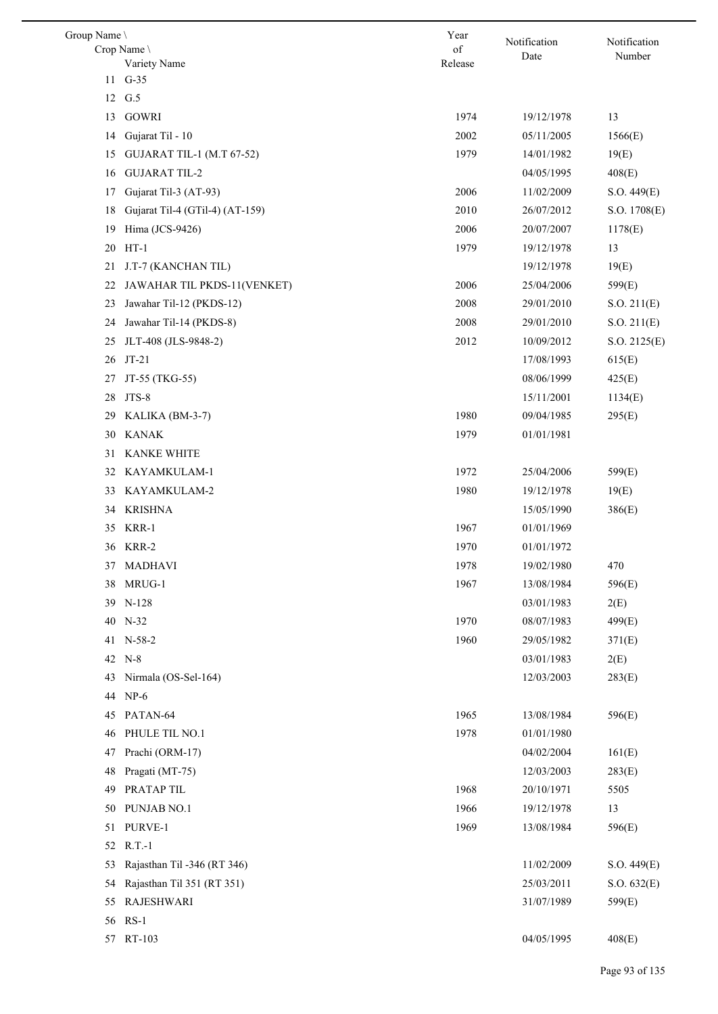| Group Name | Crop Name \                      | Year<br>of | Notification<br>Date | Notification<br>Number |
|------------|----------------------------------|------------|----------------------|------------------------|
|            | Variety Name                     | Release    |                      |                        |
|            | 11 G-35                          |            |                      |                        |
|            | 12 G.5                           |            |                      |                        |
| 13         | <b>GOWRI</b>                     | 1974       | 19/12/1978           | 13                     |
| 14         | Gujarat Til - 10                 | 2002       | 05/11/2005           | 1566(E)                |
| 15         | <b>GUJARAT TIL-1 (M.T 67-52)</b> | 1979       | 14/01/1982           | 19(E)                  |
| 16         | <b>GUJARAT TIL-2</b>             |            | 04/05/1995           | 408(E)                 |
| 17         | Gujarat Til-3 (AT-93)            | 2006       | 11/02/2009           | S.O. 449(E)            |
| 18         | Gujarat Til-4 (GTil-4) (AT-159)  | 2010       | 26/07/2012           | S.O. 1708(E)           |
| 19         | Hima (JCS-9426)                  | 2006       | 20/07/2007           | 1178(E)                |
| 20         | $HT-1$                           | 1979       | 19/12/1978           | 13                     |
| 21         | J.T-7 (KANCHAN TIL)              |            | 19/12/1978           | 19(E)                  |
| 22         | JAWAHAR TIL PKDS-11(VENKET)      | 2006       | 25/04/2006           | 599(E)                 |
| 23         | Jawahar Til-12 (PKDS-12)         | 2008       | 29/01/2010           | S.O. 211(E)            |
| 24         | Jawahar Til-14 (PKDS-8)          | 2008       | 29/01/2010           | S.O. 211(E)            |
| 25         | JLT-408 (JLS-9848-2)             | 2012       | 10/09/2012           | S.O. 2125(E)           |
| 26         | $JT-21$                          |            | 17/08/1993           | 615(E)                 |
| 27         | JT-55 (TKG-55)                   |            | 08/06/1999           | 425(E)                 |
| 28         | JTS-8                            |            | 15/11/2001           | 1134(E)                |
| 29         | KALIKA (BM-3-7)                  | 1980       | 09/04/1985           | 295(E)                 |
| 30         | <b>KANAK</b>                     | 1979       | 01/01/1981           |                        |
| 31         | <b>KANKE WHITE</b>               |            |                      |                        |
|            | 32 KAYAMKULAM-1                  | 1972       | 25/04/2006           | 599(E)                 |
| 33         | KAYAMKULAM-2                     | 1980       | 19/12/1978           | 19(E)                  |
| 34         | <b>KRISHNA</b>                   |            | 15/05/1990           | 386(E)                 |
| 35         | KRR-1                            | 1967       | 01/01/1969           |                        |
|            | 36 KRR-2                         | 1970       | 01/01/1972           |                        |
| 37         | <b>MADHAVI</b>                   | 1978       | 19/02/1980           | 470                    |
| 38         | MRUG-1                           | 1967       | 13/08/1984           | 596(E)                 |
|            | 39 N-128                         |            | 03/01/1983           | 2(E)                   |
|            | 40 N-32                          | 1970       | 08/07/1983           | 499(E)                 |
|            | 41 N-58-2                        | 1960       | 29/05/1982           | 371(E)                 |
|            | 42 N-8                           |            | 03/01/1983           | 2(E)                   |
| 43         | Nirmala (OS-Sel-164)             |            | 12/03/2003           | 283(E)                 |
| 44         | $NP-6$                           |            |                      |                        |
| 45         | PATAN-64                         | 1965       | 13/08/1984           | 596(E)                 |
| 46         | PHULE TIL NO.1                   | 1978       | 01/01/1980           |                        |
| 47         | Prachi (ORM-17)                  |            | 04/02/2004           | 161(E)                 |
| 48         | Pragati (MT-75)                  |            | 12/03/2003           | 283(E)                 |
| 49         | PRATAP TIL                       | 1968       | 20/10/1971           | 5505                   |
| 50         | PUNJAB NO.1                      | 1966       | 19/12/1978           | 13                     |
| 51         | PURVE-1                          | 1969       | 13/08/1984           | 596(E)                 |
| 52         | $R.T.-1$                         |            |                      |                        |
| 53         | Rajasthan Til -346 (RT 346)      |            | 11/02/2009           | S.O. 449(E)            |
| 54         | Rajasthan Til 351 (RT 351)       |            | 25/03/2011           | S.O. 632(E)            |
| 55         | <b>RAJESHWARI</b>                |            | 31/07/1989           | 599(E)                 |
| 56         | $RS-1$                           |            |                      |                        |
| 57         | RT-103                           |            | 04/05/1995           | 408(E)                 |
|            |                                  |            |                      |                        |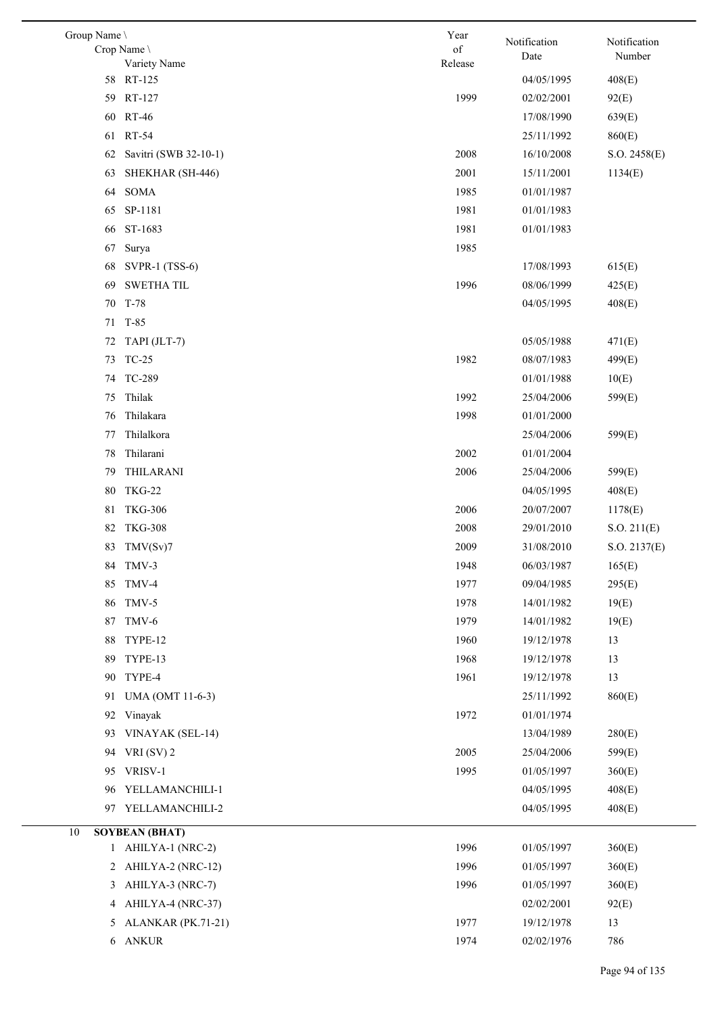| Group Name \<br>Crop Name \<br>Variety Name                     | Year<br>$\sigma f$<br>Release | Notification<br>Date | Notification<br>Number |
|-----------------------------------------------------------------|-------------------------------|----------------------|------------------------|
| 58 RT-125                                                       |                               | 04/05/1995           | 408(E)                 |
| 59 RT-127                                                       | 1999                          | 02/02/2001           | 92(E)                  |
| 60 RT-46                                                        |                               | 17/08/1990           | 639(E)                 |
| <b>RT-54</b><br>61                                              |                               | 25/11/1992           | 860(E)                 |
| Savitri (SWB 32-10-1)<br>62                                     | 2008                          | 16/10/2008           | S.O. 2458(E)           |
| SHEKHAR (SH-446)<br>63                                          | 2001                          | 15/11/2001           | 1134(E)                |
| SOMA<br>64                                                      | 1985                          | 01/01/1987           |                        |
| SP-1181<br>65                                                   | 1981                          | 01/01/1983           |                        |
| ST-1683<br>66                                                   | 1981                          | 01/01/1983           |                        |
| 67<br>Surya                                                     | 1985                          |                      |                        |
| <b>SVPR-1 (TSS-6)</b><br>68                                     |                               | 17/08/1993           | 615(E)                 |
| <b>SWETHA TIL</b><br>69                                         | 1996                          | 08/06/1999           | 425(E)                 |
| T-78<br>70                                                      |                               | 04/05/1995           | 408(E)                 |
| 71 T-85                                                         |                               |                      |                        |
| TAPI (JLT-7)<br>72                                              |                               | 05/05/1988           | 471(E)                 |
| <b>TC-25</b><br>73                                              | 1982                          | 08/07/1983           | 499(E)                 |
| 74 TC-289                                                       |                               | 01/01/1988           | 10(E)                  |
| Thilak<br>75                                                    | 1992                          | 25/04/2006           | 599(E)                 |
| Thilakara<br>76                                                 | 1998                          | 01/01/2000           |                        |
| Thilalkora<br>77                                                |                               | 25/04/2006           | 599(E)                 |
| Thilarani<br>78                                                 | 2002                          | 01/01/2004           |                        |
| THILARANI<br>79                                                 | 2006                          | 25/04/2006           | 599(E)                 |
| <b>TKG-22</b><br>80                                             |                               | 04/05/1995           | 408(E)                 |
| <b>TKG-306</b><br>81                                            | 2006                          | 20/07/2007           | 1178(E)                |
| <b>TKG-308</b><br>82                                            | 2008                          | 29/01/2010           | S.O. 211(E)            |
| 83 TMV(Sv)7                                                     | 2009                          | 31/08/2010           | S.O. 2137(E)           |
| 84 TMV-3                                                        | 1948                          | 06/03/1987           | 165(E)                 |
| TMV-4<br>85                                                     | 1977                          | 09/04/1985           | 295(E)                 |
| TMV-5<br>86                                                     | 1978                          | 14/01/1982           | 19(E)                  |
| TMV-6<br>87                                                     | 1979                          | 14/01/1982           | 19(E)                  |
| TYPE-12<br>88                                                   | 1960                          | 19/12/1978           | 13                     |
| TYPE-13<br>89                                                   | 1968                          | 19/12/1978           | 13                     |
| TYPE-4<br>90                                                    | 1961                          | 19/12/1978           | 13                     |
| 91<br>UMA (OMT 11-6-3)                                          |                               | 25/11/1992           | 860(E)                 |
| Vinayak<br>92                                                   | 1972                          | 01/01/1974           |                        |
| VINAYAK (SEL-14)<br>93                                          |                               | 13/04/1989           | 280(E)                 |
| VRI $(SV)$ 2<br>94                                              | 2005                          | 25/04/2006           | 599(E)                 |
| VRISV-1<br>95                                                   | 1995                          | 01/05/1997           | 360(E)                 |
| YELLAMANCHILI-1<br>96                                           |                               | 04/05/1995           | 408(E)                 |
| YELLAMANCHILI-2<br>97                                           |                               | 04/05/1995           | 408(E)                 |
|                                                                 |                               |                      |                        |
| <b>SOYBEAN (BHAT)</b><br>10<br>AHILYA-1 (NRC-2)<br>$\mathbf{1}$ | 1996                          | 01/05/1997           | 360(E)                 |
| AHILYA-2 (NRC-12)<br>2                                          | 1996                          | 01/05/1997           | 360(E)                 |
| 3<br>AHILYA-3 (NRC-7)                                           | 1996                          | 01/05/1997           | 360(E)                 |
| AHILYA-4 (NRC-37)<br>4                                          |                               | 02/02/2001           | 92(E)                  |
| ALANKAR (PK.71-21)<br>5                                         | 1977                          | 19/12/1978           | 13                     |
| 6 ANKUR                                                         | 1974                          | 02/02/1976           | 786                    |
|                                                                 |                               |                      |                        |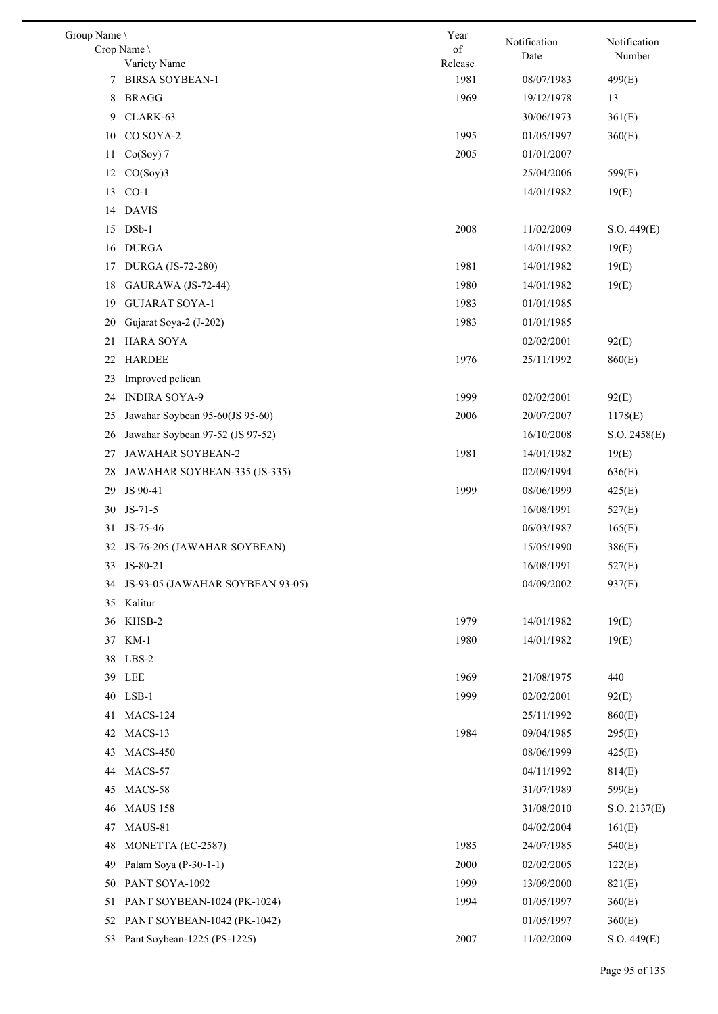| Group Name |                                        | Year            | Notification | Notification |
|------------|----------------------------------------|-----------------|--------------|--------------|
|            | Crop Name                              | $\sigma f$      | Date         | Number       |
| 7          | Variety Name<br><b>BIRSA SOYBEAN-1</b> | Release<br>1981 | 08/07/1983   | 499(E)       |
| 8          | <b>BRAGG</b>                           | 1969            | 19/12/1978   | 13           |
| 9          | CLARK-63                               |                 | 30/06/1973   | 361(E)       |
| 10         | CO SOYA-2                              | 1995            | 01/05/1997   | 360(E)       |
|            |                                        | 2005            |              |              |
| 11         | $Co(Soy)$ 7<br>CO(Soy)3                |                 | 01/01/2007   |              |
| 12         | $CO-1$                                 |                 | 25/04/2006   | 599(E)       |
| 13         |                                        |                 | 14/01/1982   | 19(E)        |
| 14         | <b>DAVIS</b>                           |                 |              |              |
| 15         | $DSb-1$                                | 2008            | 11/02/2009   | S.O. 449(E)  |
| 16         | <b>DURGA</b>                           |                 | 14/01/1982   | 19(E)        |
| 17         | DURGA (JS-72-280)                      | 1981            | 14/01/1982   | 19(E)        |
| 18         | GAURAWA (JS-72-44)                     | 1980            | 14/01/1982   | 19(E)        |
| 19         | <b>GUJARAT SOYA-1</b>                  | 1983            | 01/01/1985   |              |
| 20         | Gujarat Soya-2 (J-202)                 | 1983            | 01/01/1985   |              |
| 21         | <b>HARA SOYA</b>                       |                 | 02/02/2001   | 92(E)        |
| 22         | <b>HARDEE</b>                          | 1976            | 25/11/1992   | 860(E)       |
| 23         | Improved pelican                       |                 |              |              |
| 24         | <b>INDIRA SOYA-9</b>                   | 1999            | 02/02/2001   | 92(E)        |
| 25         | Jawahar Soybean 95-60(JS 95-60)        | 2006            | 20/07/2007   | 1178(E)      |
| 26         | Jawahar Soybean 97-52 (JS 97-52)       |                 | 16/10/2008   | S.O. 2458(E) |
| 27         | JAWAHAR SOYBEAN-2                      | 1981            | 14/01/1982   | 19(E)        |
| 28         | JAWAHAR SOYBEAN-335 (JS-335)           |                 | 02/09/1994   | 636(E)       |
| 29         | JS 90-41                               | 1999            | 08/06/1999   | 425(E)       |
| 30         | $JS-71-5$                              |                 | 16/08/1991   | 527(E)       |
| 31         | JS-75-46                               |                 | 06/03/1987   | 165(E)       |
| 32         | JS-76-205 (JAWAHAR SOYBEAN)            |                 | 15/05/1990   | 386(E)       |
|            | 33 JS-80-21                            |                 | 16/08/1991   | 527(E)       |
| 34         | JS-93-05 (JAWAHAR SOYBEAN 93-05)       |                 | 04/09/2002   | 937(E)       |
| 35         | Kalitur                                |                 |              |              |
| 36         | KHSB-2                                 | 1979            | 14/01/1982   | 19(E)        |
| 37         | KM-1                                   | 1980            | 14/01/1982   | 19(E)        |
| 38         | LBS-2                                  |                 |              |              |
| 39         | LEE                                    | 1969            | 21/08/1975   | 440          |
| 40         | $LSB-1$                                | 1999            | 02/02/2001   | 92(E)        |
| 41         | MACS-124                               |                 | 25/11/1992   | 860(E)       |
| 42         | MACS-13                                | 1984            | 09/04/1985   | 295(E)       |
| 43         | MACS-450                               |                 | 08/06/1999   | 425(E)       |
| 44         | MACS-57                                |                 | 04/11/1992   | 814(E)       |
| 45         | MACS-58                                |                 | 31/07/1989   | 599(E)       |
| 46         | <b>MAUS 158</b>                        |                 | 31/08/2010   | S.O. 2137(E) |
| 47         | MAUS-81                                |                 | 04/02/2004   | 161(E)       |
| 48         | MONETTA (EC-2587)                      | 1985            | 24/07/1985   | 540(E)       |
| 49         | Palam Soya (P-30-1-1)                  | 2000            | 02/02/2005   | 122(E)       |
| 50         | PANT SOYA-1092                         | 1999            | 13/09/2000   | 821(E)       |
| 51         | PANT SOYBEAN-1024 (PK-1024)            | 1994            | 01/05/1997   | 360(E)       |
| 52         | PANT SOYBEAN-1042 (PK-1042)            |                 | 01/05/1997   | 360(E)       |
| 53         | Pant Soybean-1225 (PS-1225)            | 2007            | 11/02/2009   | S.O. 449(E)  |
|            |                                        |                 |              |              |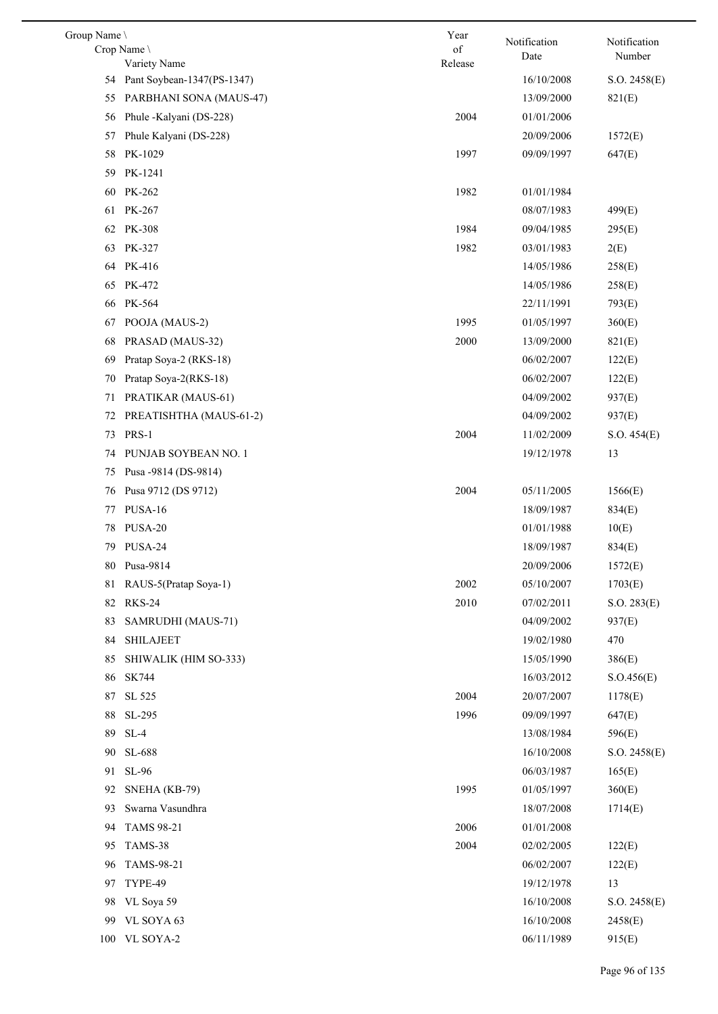| Group Name \ |                                            | Year    | Notification | Notification |
|--------------|--------------------------------------------|---------|--------------|--------------|
|              | Crop Name                                  | of      | Date         | Number       |
|              | Variety Name<br>Pant Soybean-1347(PS-1347) | Release | 16/10/2008   |              |
| 54           |                                            |         |              | S.O. 2458(E) |
| 55           | PARBHANI SONA (MAUS-47)                    |         | 13/09/2000   | 821(E)       |
| 56           | Phule -Kalyani (DS-228)                    | 2004    | 01/01/2006   |              |
| 57           | Phule Kalyani (DS-228)                     |         | 20/09/2006   | 1572(E)      |
| 58           | PK-1029                                    | 1997    | 09/09/1997   | 647(E)       |
| 59           | PK-1241                                    |         |              |              |
| 60           | PK-262                                     | 1982    | 01/01/1984   |              |
| 61           | PK-267                                     |         | 08/07/1983   | 499(E)       |
| 62           | <b>PK-308</b>                              | 1984    | 09/04/1985   | 295(E)       |
| 63           | PK-327                                     | 1982    | 03/01/1983   | 2(E)         |
| 64           | PK-416                                     |         | 14/05/1986   | 258(E)       |
| 65           | PK-472                                     |         | 14/05/1986   | 258(E)       |
| 66           | PK-564                                     |         | 22/11/1991   | 793(E)       |
| 67           | POOJA (MAUS-2)                             | 1995    | 01/05/1997   | 360(E)       |
| 68           | PRASAD (MAUS-32)                           | 2000    | 13/09/2000   | 821(E)       |
| 69           | Pratap Soya-2 (RKS-18)                     |         | 06/02/2007   | 122(E)       |
| 70           | Pratap Soya-2(RKS-18)                      |         | 06/02/2007   | 122(E)       |
| 71           | PRATIKAR (MAUS-61)                         |         | 04/09/2002   | 937(E)       |
| 72           | PREATISHTHA (MAUS-61-2)                    |         | 04/09/2002   | 937(E)       |
| 73           | PRS-1                                      | 2004    | 11/02/2009   | S.O. 454(E)  |
| 74           | PUNJAB SOYBEAN NO. 1                       |         | 19/12/1978   | 13           |
| 75           | Pusa -9814 (DS-9814)                       |         |              |              |
| 76           | Pusa 9712 (DS 9712)                        | 2004    | 05/11/2005   | 1566(E)      |
| 77           | PUSA-16                                    |         | 18/09/1987   | 834(E)       |
| 78           | PUSA-20                                    |         | 01/01/1988   | 10(E)        |
|              | 79 PUSA-24                                 |         | 18/09/1987   | 834(E)       |
|              | 80 Pusa-9814                               |         | 20/09/2006   | 1572(E)      |
| 81           | RAUS-5(Pratap Soya-1)                      | 2002    | 05/10/2007   | 1703(E)      |
| 82           | <b>RKS-24</b>                              | 2010    | 07/02/2011   | S.O. 283(E)  |
| 83           | SAMRUDHI (MAUS-71)                         |         | 04/09/2002   | 937(E)       |
| 84           | <b>SHILAJEET</b>                           |         | 19/02/1980   | 470          |
| 85           | SHIWALIK (HIM SO-333)                      |         | 15/05/1990   | 386(E)       |
| 86           | <b>SK744</b>                               |         | 16/03/2012   | S.O.456(E)   |
| 87           | SL 525                                     | 2004    | 20/07/2007   | 1178(E)      |
| 88           | SL-295                                     | 1996    | 09/09/1997   | 647(E)       |
| 89           | $SL-4$                                     |         | 13/08/1984   | 596(E)       |
| 90           | SL-688                                     |         | 16/10/2008   | S.O. 2458(E) |
| 91           | SL-96                                      |         | 06/03/1987   | 165(E)       |
| 92           | SNEHA (KB-79)                              | 1995    | 01/05/1997   | 360(E)       |
| 93           | Swarna Vasundhra                           |         | 18/07/2008   | 1714(E)      |
| 94           | <b>TAMS 98-21</b>                          | 2006    | 01/01/2008   |              |
| 95           | TAMS-38                                    | 2004    | 02/02/2005   | 122(E)       |
| 96           | TAMS-98-21                                 |         | 06/02/2007   | 122(E)       |
| 97           | TYPE-49                                    |         | 19/12/1978   | 13           |
| 98           | VL Soya 59                                 |         | 16/10/2008   | S.O. 2458(E) |
| 99           | VL SOYA 63                                 |         | 16/10/2008   | 2458(E)      |
| 100          | VL SOYA-2                                  |         | 06/11/1989   | 915(E)       |
|              |                                            |         |              |              |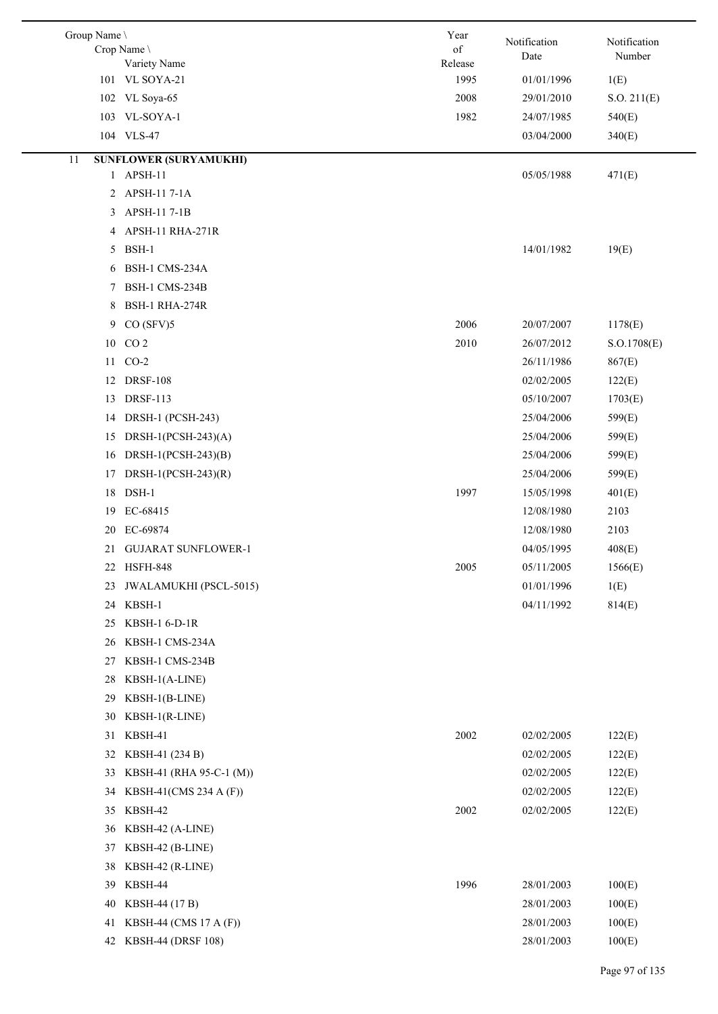| Group Name \<br>Crop Name | Variety Name                  | Year<br>of<br>Release | Notification<br>Date | Notification<br>Number |
|---------------------------|-------------------------------|-----------------------|----------------------|------------------------|
| 101 VL SOYA-21            |                               | 1995                  | 01/01/1996           | 1(E)                   |
| 102 VL Soya-65            |                               | 2008                  | 29/01/2010           | S.O. 211(E)            |
| 103 VL-SOYA-1             |                               | 1982                  | 24/07/1985           | 540(E)                 |
| 104 VLS-47                |                               |                       | 03/04/2000           | 340(E)                 |
| 11                        | <b>SUNFLOWER (SURYAMUKHI)</b> |                       |                      |                        |
| 1 APSH-11                 |                               |                       | 05/05/1988           | 471(E)                 |
| 2                         | APSH-11 7-1A                  |                       |                      |                        |
| 3                         | APSH-11 7-1B                  |                       |                      |                        |
| 4                         | APSH-11 RHA-271R              |                       |                      |                        |
| BSH-1<br>5                |                               |                       | 14/01/1982           | 19(E)                  |
| 6                         | BSH-1 CMS-234A                |                       |                      |                        |
| 7                         | BSH-1 CMS-234B                |                       |                      |                        |
| 8                         | BSH-1 RHA-274R                |                       |                      |                        |
| 9                         | CO(SFV)5                      | 2006                  | 20/07/2007           | 1178(E)                |
| 10 CO 2                   |                               | 2010                  | 26/07/2012           | S.O.1708(E)            |
| 11 CO-2                   |                               |                       | 26/11/1986           | 867(E)                 |
| <b>DRSF-108</b><br>12     |                               |                       | 02/02/2005           | 122(E)                 |
| <b>DRSF-113</b><br>13     |                               |                       | 05/10/2007           | 1703(E)                |
| 14                        | DRSH-1 (PCSH-243)             |                       | 25/04/2006           | 599(E)                 |
| 15                        | DRSH-1(PCSH-243)(A)           |                       | 25/04/2006           | 599(E)                 |
| 16                        | DRSH-1(PCSH-243) $(B)$        |                       | 25/04/2006           | 599(E)                 |
| 17                        | DRSH-1(PCSH-243) $(R)$        |                       | 25/04/2006           | 599(E)                 |
| $DSH-1$<br>18             |                               | 1997                  | 15/05/1998           | 401(E)                 |
| EC-68415<br>19            |                               |                       | 12/08/1980           | 2103                   |
| EC-69874<br>20            |                               |                       | 12/08/1980           | 2103                   |
| 21                        | <b>GUJARAT SUNFLOWER-1</b>    |                       | 04/05/1995           | 408(E)                 |
| 22<br>HSFH-848            |                               | 2005                  | 05/11/2005           | 1566(E)                |
| 23                        | JWALAMUKHI (PSCL-5015)        |                       | 01/01/1996           | 1(E)                   |
| KBSH-1<br>24              |                               |                       | 04/11/1992           | 814(E)                 |
| 25                        | KBSH-1 6-D-1R                 |                       |                      |                        |
| 26                        | KBSH-1 CMS-234A               |                       |                      |                        |
| 27                        | KBSH-1 CMS-234B               |                       |                      |                        |
| 28                        | KBSH-1(A-LINE)                |                       |                      |                        |
| 29                        | KBSH-1(B-LINE)                |                       |                      |                        |
| 30                        | $KBSH-1(R-LINE)$              |                       |                      |                        |
| KBSH-41<br>31             |                               | 2002                  | 02/02/2005           | 122(E)                 |
| 32                        | KBSH-41 (234 B)               |                       | 02/02/2005           | 122(E)                 |
| 33                        | KBSH-41 (RHA 95-C-1 (M))      |                       | 02/02/2005           | 122(E)                 |
| 34                        | KBSH-41(CMS 234 A (F))        |                       | 02/02/2005           | 122(E)                 |
| KBSH-42<br>35             |                               | 2002                  | 02/02/2005           | 122(E)                 |
| 36                        | KBSH-42 (A-LINE)              |                       |                      |                        |
| 37                        | KBSH-42 (B-LINE)              |                       |                      |                        |
| 38                        | KBSH-42 (R-LINE)              |                       |                      |                        |
| KBSH-44<br>39             |                               | 1996                  | 28/01/2003           | 100(E)                 |
| 40                        | KBSH-44 (17 B)                |                       | 28/01/2003           | 100(E)                 |
| 41                        | KBSH-44 (CMS 17 A (F))        |                       | 28/01/2003           | 100(E)                 |
| 42                        | <b>KBSH-44 (DRSF 108)</b>     |                       | 28/01/2003           | 100(E)                 |
|                           |                               |                       |                      |                        |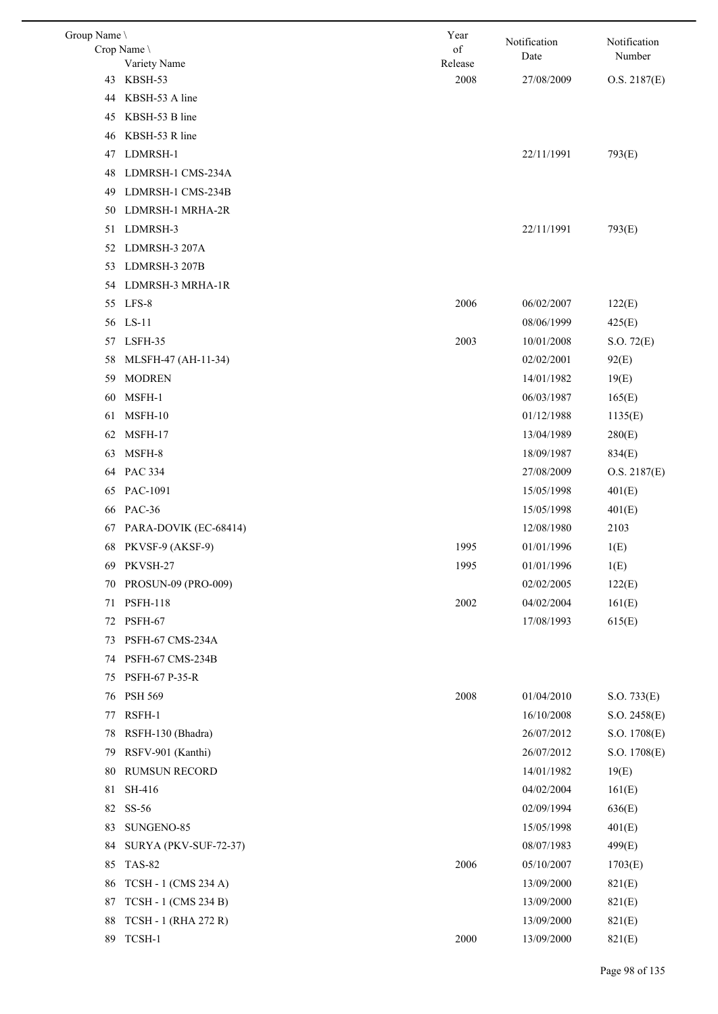| Group Name | Crop Name \                 | Year<br>of | Notification<br>Date | Notification<br>Number |
|------------|-----------------------------|------------|----------------------|------------------------|
|            | Variety Name                | Release    |                      |                        |
| 43         | KBSH-53                     | 2008       | 27/08/2009           | O.S. 2187(E)           |
| 44         | KBSH-53 A line              |            |                      |                        |
| 45         | KBSH-53 B line              |            |                      |                        |
| 46         | KBSH-53 R line              |            |                      |                        |
| 47         | LDMRSH-1                    |            | 22/11/1991           | 793(E)                 |
| 48         | LDMRSH-1 CMS-234A           |            |                      |                        |
| 49         | LDMRSH-1 CMS-234B           |            |                      |                        |
| 50         | LDMRSH-1 MRHA-2R            |            |                      |                        |
| 51         | LDMRSH-3                    |            | 22/11/1991           | 793(E)                 |
|            | 52 LDMRSH-3 207A            |            |                      |                        |
| 53         | LDMRSH-3 207B               |            |                      |                        |
| 54         | LDMRSH-3 MRHA-1R            |            |                      |                        |
|            | 55 LFS-8                    | 2006       | 06/02/2007           | 122(E)                 |
|            | 56 LS-11                    |            | 08/06/1999           | 425(E)                 |
|            | 57 LSFH-35                  | 2003       | 10/01/2008           | S.O. 72(E)             |
| 58         | MLSFH-47 (AH-11-34)         |            | 02/02/2001           | 92(E)                  |
| 59         | <b>MODREN</b>               |            | 14/01/1982           | 19(E)                  |
| 60         | MSFH-1                      |            | 06/03/1987           | 165(E)                 |
| 61         | MSFH-10                     |            | 01/12/1988           | 1135(E)                |
| 62         | MSFH-17                     |            | 13/04/1989           | 280(E)                 |
| 63         | MSFH-8                      |            | 18/09/1987           | 834(E)                 |
|            | 64 PAC 334                  |            | 27/08/2009           | O.S. 2187(E)           |
| 65         | PAC-1091                    |            | 15/05/1998           | 401(E)                 |
| 66         | <b>PAC-36</b>               |            | 15/05/1998           | 401(E)                 |
| 67         | PARA-DOVIK (EC-68414)       |            | 12/08/1980           | 2103                   |
|            | 68 PKVSF-9 (AKSF-9)         | 1995       | 01/01/1996           | 1(E)                   |
|            | 69 PKVSH-27                 | 1995       | 01/01/1996           | 1(E)                   |
| 70         | PROSUN-09 (PRO-009)         |            | 02/02/2005           | 122(E)                 |
| 71         | <b>PSFH-118</b>             | 2002       | 04/02/2004           | 161(E)                 |
| 72         | PSFH-67                     |            | 17/08/1993           | 615(E)                 |
| 73         | PSFH-67 CMS-234A            |            |                      |                        |
| 74         | PSFH-67 CMS-234B            |            |                      |                        |
| 75         | PSFH-67 P-35-R              |            |                      |                        |
| 76         | PSH 569                     | 2008       | 01/04/2010           | S.O. 733(E)            |
| 77         | RSFH-1                      |            | 16/10/2008           | S.O. 2458(E)           |
| 78         | RSFH-130 (Bhadra)           |            | 26/07/2012           | S.O. 1708(E)           |
| 79         | RSFV-901 (Kanthi)           |            | 26/07/2012           | S.O. 1708(E)           |
| 80         | <b>RUMSUN RECORD</b>        |            | 14/01/1982           | 19(E)                  |
| 81         | SH-416                      |            | 04/02/2004           | 161(E)                 |
| 82         | SS-56                       |            | 02/09/1994           | 636(E)                 |
| 83         | SUNGENO-85                  |            | 15/05/1998           | 401(E)                 |
| 84         | SURYA (PKV-SUF-72-37)       |            | 08/07/1983           | 499(E)                 |
| 85         | <b>TAS-82</b>               | 2006       | 05/10/2007           | 1703(E)                |
| 86         | TCSH - 1 (CMS 234 A)        |            | 13/09/2000           | 821(E)                 |
| 87         | <b>TCSH - 1 (CMS 234 B)</b> |            | 13/09/2000           | 821(E)                 |
| 88         | <b>TCSH - 1 (RHA 272 R)</b> |            | 13/09/2000           | 821(E)                 |
| 89         | TCSH-1                      | $2000\,$   | 13/09/2000           | 821(E)                 |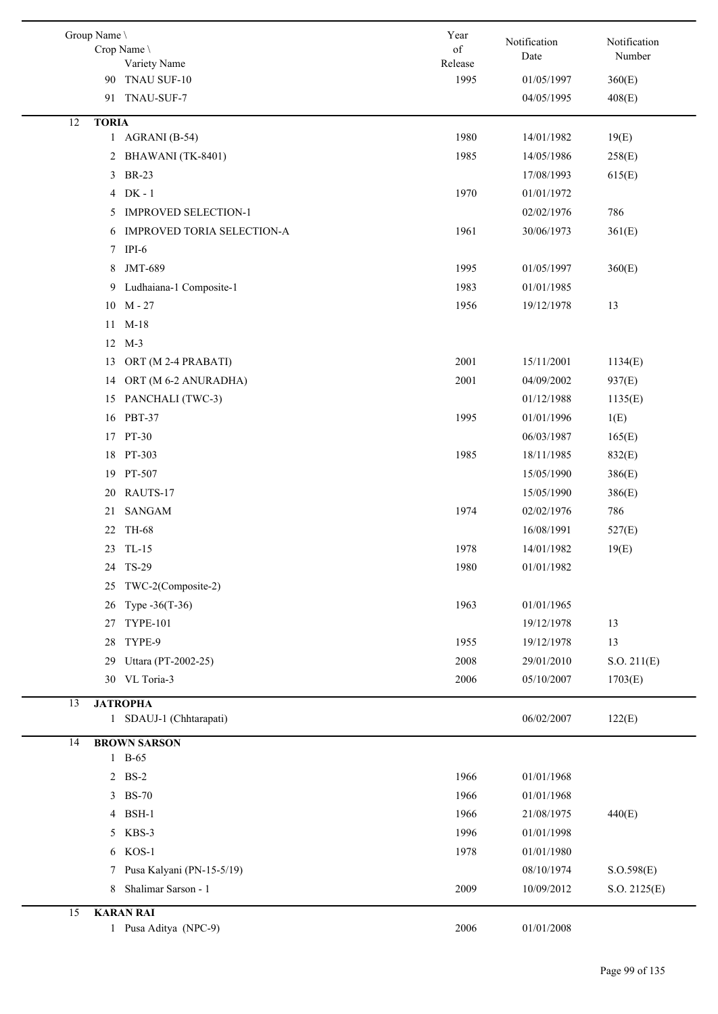|    | Group Name \ | Crop Name \<br>Variety Name | Year<br>of<br>Release | Notification<br>Date | Notification<br>Number |
|----|--------------|-----------------------------|-----------------------|----------------------|------------------------|
|    |              | 90 TNAU SUF-10              | 1995                  | 01/05/1997           | 360(E)                 |
|    | 91           | TNAU-SUF-7                  |                       | 04/05/1995           | 408(E)                 |
| 12 | <b>TORIA</b> |                             |                       |                      |                        |
|    |              | 1 AGRANI $(B-54)$           | 1980                  | 14/01/1982           | 19(E)                  |
|    | 2            | BHAWANI (TK-8401)           | 1985                  | 14/05/1986           | 258(E)                 |
|    |              | 3 BR-23                     |                       | 17/08/1993           | 615(E)                 |
|    | 4            | $DK - 1$                    | 1970                  | 01/01/1972           |                        |
|    | 5            | <b>IMPROVED SELECTION-1</b> |                       | 02/02/1976           | 786                    |
|    | 6            | IMPROVED TORIA SELECTION-A  | 1961                  | 30/06/1973           | 361(E)                 |
|    |              | $7$ IPI-6                   |                       |                      |                        |
|    | 8            | <b>JMT-689</b>              | 1995                  | 01/05/1997           | 360(E)                 |
|    | 9            | Ludhaiana-1 Composite-1     | 1983                  | 01/01/1985           |                        |
|    |              | $10 M - 27$                 | 1956                  | 19/12/1978           | 13                     |
|    |              | 11 M-18                     |                       |                      |                        |
|    |              | 12 M-3                      |                       |                      |                        |
|    | 13           | ORT (M 2-4 PRABATI)         | 2001                  | 15/11/2001           | 1134(E)                |
|    | 14           | ORT (M 6-2 ANURADHA)        | 2001                  | 04/09/2002           | 937(E)                 |
|    | 15           | PANCHALI (TWC-3)            |                       | 01/12/1988           | 1135(E)                |
|    | 16           | <b>PBT-37</b>               | 1995                  | 01/01/1996           | 1(E)                   |
|    |              | 17 PT-30                    |                       | 06/03/1987           | 165(E)                 |
|    | 18           | PT-303                      | 1985                  | 18/11/1985           | 832(E)                 |
|    | 19           | PT-507                      |                       | 15/05/1990           | 386(E)                 |
|    | 20           | RAUTS-17                    |                       | 15/05/1990           | 386(E)                 |
|    | 21           | <b>SANGAM</b>               | 1974                  | 02/02/1976           | 786                    |
|    | 22           | <b>TH-68</b>                |                       | 16/08/1991           | 527(E)                 |
|    | 23           | $TL-15$                     | 1978                  | 14/01/1982           | 19(E)                  |
|    | 24           | TS-29                       | 1980                  | 01/01/1982           |                        |
|    | 25           | TWC-2(Composite-2)          |                       |                      |                        |
|    | 26           | Type -36(T-36)              | 1963                  | 01/01/1965           |                        |
|    | 27           | <b>TYPE-101</b>             |                       | 19/12/1978           | 13                     |
|    | 28           | TYPE-9                      | 1955                  | 19/12/1978           | 13                     |
|    | 29           | Uttara (PT-2002-25)         | 2008                  | 29/01/2010           | S.O. 211(E)            |
|    |              | 30 VL Toria-3               | 2006                  | 05/10/2007           | 1703(E)                |
| 13 |              | <b>JATROPHA</b>             |                       |                      |                        |
|    |              | 1 SDAUJ-1 (Chhtarapati)     |                       | 06/02/2007           | 122(E)                 |
| 14 |              | <b>BROWN SARSON</b>         |                       |                      |                        |
|    |              | 1 B-65                      |                       |                      |                        |
|    |              | 2 BS-2                      | 1966                  | 01/01/1968           |                        |
|    |              | 3 BS-70                     | 1966                  | 01/01/1968           |                        |
|    |              | 4 BSH-1                     | 1966                  | 21/08/1975           | 440(E)                 |
|    |              | 5 KBS-3                     | 1996                  | 01/01/1998           |                        |
|    |              | 6 KOS-1                     | 1978                  | 01/01/1980           |                        |
|    |              | 7 Pusa Kalyani (PN-15-5/19) |                       | 08/10/1974           | S. O.598(E)            |
|    | 8            | Shalimar Sarson - 1         | 2009                  | 10/09/2012           | S.O. 2125(E)           |
| 15 |              | <b>KARAN RAI</b>            |                       |                      |                        |
|    |              | 1 Pusa Aditya (NPC-9)       | 2006                  | 01/01/2008           |                        |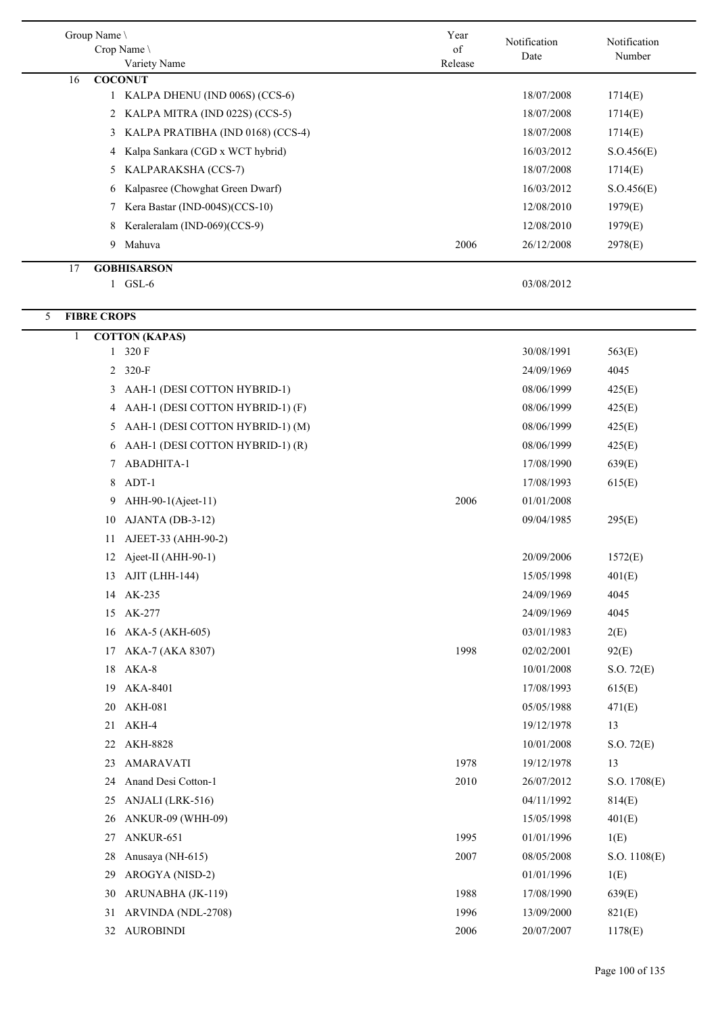| Group Name \            |                                                    | Year    | Notification | Notification |
|-------------------------|----------------------------------------------------|---------|--------------|--------------|
|                         | Crop Name                                          | of      | Date         | Number       |
|                         | Variety Name                                       | Release |              |              |
| 16                      | <b>COCONUT</b><br>1 KALPA DHENU (IND 006S) (CCS-6) |         | 18/07/2008   | 1714(E)      |
|                         | 2 KALPA MITRA (IND 022S) (CCS-5)                   |         | 18/07/2008   | 1714(E)      |
|                         | KALPA PRATIBHA (IND 0168) (CCS-4)<br>3             |         | 18/07/2008   | 1714(E)      |
|                         | Kalpa Sankara (CGD x WCT hybrid)<br>4              |         | 16/03/2012   | S. O.456(E)  |
|                         | KALPARAKSHA (CCS-7)<br>5                           |         | 18/07/2008   | 1714(E)      |
|                         | Kalpasree (Chowghat Green Dwarf)<br>6              |         | 16/03/2012   | S. O.456(E)  |
|                         | Kera Bastar (IND-004S)(CCS-10)<br>7                |         | 12/08/2010   | 1979(E)      |
|                         | Keraleralam (IND-069)(CCS-9)<br>8                  |         | 12/08/2010   | 1979(E)      |
|                         | Mahuva<br>9                                        | 2006    | 26/12/2008   | 2978(E)      |
|                         |                                                    |         |              |              |
| 17                      | <b>GOBHISARSON</b><br>$1$ GSL-6                    |         |              |              |
|                         |                                                    |         | 03/08/2012   |              |
| <b>FIBRE CROPS</b><br>5 |                                                    |         |              |              |
| 1                       | <b>COTTON</b> (KAPAS)                              |         |              |              |
|                         | 320 F<br>$\mathbf{1}$                              |         | 30/08/1991   | 563(E)       |
|                         | $320-F$<br>2                                       |         | 24/09/1969   | 4045         |
|                         | AAH-1 (DESI COTTON HYBRID-1)<br>3                  |         | 08/06/1999   | 425(E)       |
|                         | AAH-1 (DESI COTTON HYBRID-1) (F)<br>4              |         | 08/06/1999   | 425(E)       |
|                         | AAH-1 (DESI COTTON HYBRID-1) (M)<br>5              |         | 08/06/1999   | 425(E)       |
|                         | AAH-1 (DESI COTTON HYBRID-1) (R)<br>6              |         | 08/06/1999   | 425(E)       |
|                         | ABADHITA-1<br>7                                    |         | 17/08/1990   | 639(E)       |
|                         | 8<br>$ADT-1$                                       |         | 17/08/1993   | 615(E)       |
|                         | AHH-90-1(Ajeet-11)<br>9                            | 2006    | 01/01/2008   |              |
| 10                      | AJANTA (DB-3-12)                                   |         | 09/04/1985   | 295(E)       |
| 11                      | AJEET-33 (AHH-90-2)                                |         |              |              |
|                         | 12 Ajeet-II (AHH-90-1)                             |         | 20/09/2006   | 1572(E)      |
|                         | 13 AJIT (LHH-144)                                  |         | 15/05/1998   | 401(E)       |
| 14                      | AK-235                                             |         | 24/09/1969   | 4045         |
|                         | 15 AK-277                                          |         | 24/09/1969   | 4045         |
| 16                      | AKA-5 (AKH-605)                                    |         | 03/01/1983   | 2(E)         |
| 17                      | AKA-7 (AKA 8307)                                   | 1998    | 02/02/2001   | 92(E)        |
| 18                      | AKA-8                                              |         | 10/01/2008   | S.O. 72(E)   |
| 19                      | AKA-8401                                           |         | 17/08/1993   | 615(E)       |
| 20                      | <b>AKH-081</b>                                     |         | 05/05/1988   | 471(E)       |
| 21                      | AKH-4                                              |         | 19/12/1978   | 13           |
| 22                      | <b>AKH-8828</b>                                    |         | 10/01/2008   | S.O. 72(E)   |
| 23                      | <b>AMARAVATI</b>                                   | 1978    | 19/12/1978   | 13           |
| 24                      | Anand Desi Cotton-1                                | 2010    | 26/07/2012   | S.O. 1708(E) |
| 25                      | ANJALI (LRK-516)                                   |         | 04/11/1992   | 814(E)       |
| 26                      | <b>ANKUR-09 (WHH-09)</b>                           |         | 15/05/1998   | 401(E)       |
| 27                      | ANKUR-651                                          | 1995    | 01/01/1996   | 1(E)         |
| 28                      | Anusaya (NH-615)                                   | 2007    | 08/05/2008   | S.O. 1108(E) |
| 29                      | AROGYA (NISD-2)                                    |         | 01/01/1996   | 1(E)         |
| 30                      | ARUNABHA (JK-119)                                  | 1988    | 17/08/1990   | 639(E)       |
| 31                      | ARVINDA (NDL-2708)                                 | 1996    | 13/09/2000   | 821(E)       |
| 32                      | <b>AUROBINDI</b>                                   | 2006    | 20/07/2007   | 1178(E)      |
|                         |                                                    |         |              |              |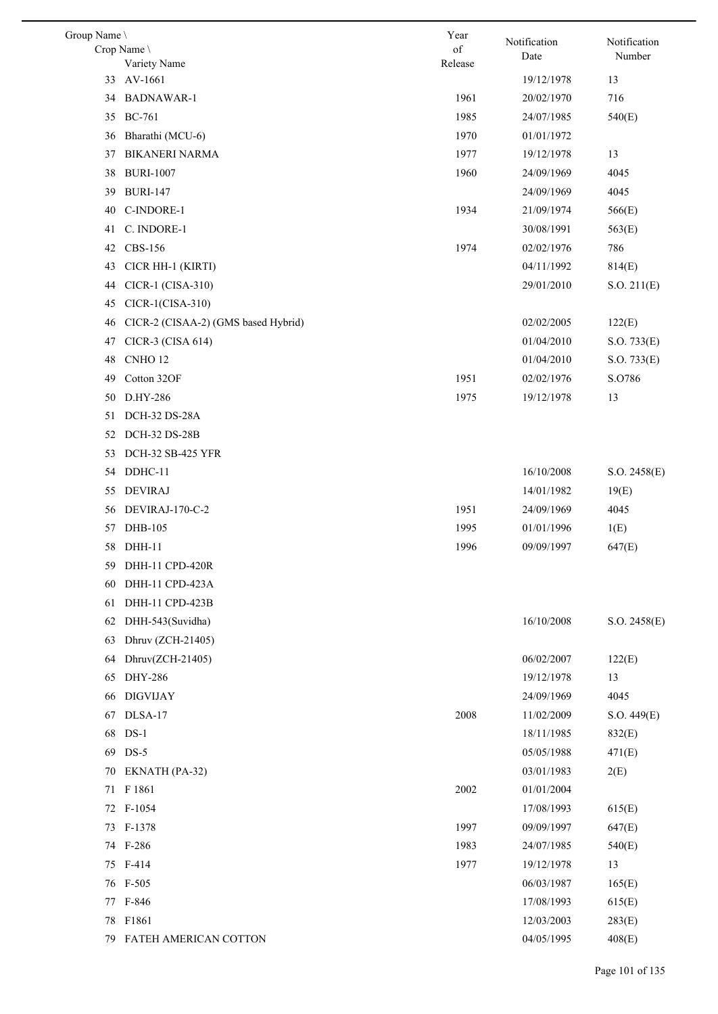| Group Name \ |                                     | Year          | Notification | Notification |
|--------------|-------------------------------------|---------------|--------------|--------------|
|              | Crop Name \<br>Variety Name         | of<br>Release | Date         | Number       |
| 33           | AV-1661                             |               | 19/12/1978   | 13           |
| 34           | <b>BADNAWAR-1</b>                   | 1961          | 20/02/1970   | 716          |
|              | 35 BC-761                           | 1985          | 24/07/1985   | 540(E)       |
| 36           | Bharathi (MCU-6)                    | 1970          | 01/01/1972   |              |
| 37           | <b>BIKANERI NARMA</b>               | 1977          | 19/12/1978   | 13           |
| 38           | <b>BURI-1007</b>                    | 1960          | 24/09/1969   | 4045         |
| 39           | <b>BURI-147</b>                     |               | 24/09/1969   | 4045         |
| 40           | C-INDORE-1                          | 1934          | 21/09/1974   | 566(E)       |
| 41           | C. INDORE-1                         |               | 30/08/1991   | 563(E)       |
| 42           | CBS-156                             | 1974          | 02/02/1976   | 786          |
| 43           | CICR HH-1 (KIRTI)                   |               | 04/11/1992   | 814(E)       |
| 44           | CICR-1 (CISA-310)                   |               | 29/01/2010   | S.O. 211(E)  |
| 45           | CICR-1(CISA-310)                    |               |              |              |
| 46           | CICR-2 (CISAA-2) (GMS based Hybrid) |               | 02/02/2005   | 122(E)       |
| 47           | CICR-3 (CISA 614)                   |               | 01/04/2010   | S.O. 733(E)  |
| 48           | CNHO <sub>12</sub>                  |               | 01/04/2010   | S.O. 733(E)  |
| 49           | Cotton 32OF                         | 1951          | 02/02/1976   | S.O786       |
| 50           | D.HY-286                            | 1975          | 19/12/1978   | 13           |
| 51           | DCH-32 DS-28A                       |               |              |              |
| 52           | DCH-32 DS-28B                       |               |              |              |
| 53           | <b>DCH-32 SB-425 YFR</b>            |               |              |              |
| 54           | DDHC-11                             |               | 16/10/2008   | S.O. 2458(E) |
| 55           | <b>DEVIRAJ</b>                      |               | 14/01/1982   | 19(E)        |
| 56           | DEVIRAJ-170-C-2                     | 1951          | 24/09/1969   | 4045         |
| 57           | DHB-105                             | 1995          | 01/01/1996   | 1(E)         |
| 58           | DHH-11                              | 1996          | 09/09/1997   | 647(E)       |
|              | 59 DHH-11 CPD-420R                  |               |              |              |
| 60           | DHH-11 CPD-423A                     |               |              |              |
| 61           | DHH-11 CPD-423B                     |               |              |              |
| 62           | DHH-543(Suvidha)                    |               | 16/10/2008   | S.O. 2458(E) |
| 63           | Dhruv (ZCH-21405)                   |               |              |              |
| 64           | Dhruv(ZCH-21405)                    |               | 06/02/2007   | 122(E)       |
| 65           | DHY-286                             |               | 19/12/1978   | 13           |
| 66           | <b>DIGVIJAY</b>                     |               | 24/09/1969   | 4045         |
| 67           | DLSA-17                             | 2008          | 11/02/2009   | S.O. 449(E)  |
| 68           | $DS-1$                              |               | 18/11/1985   | 832(E)       |
| 69           | $DS-5$                              |               | 05/05/1988   | 471(E)       |
| 70           | EKNATH (PA-32)                      |               | 03/01/1983   | 2(E)         |
|              | 71 F 1861                           | 2002          | 01/01/2004   |              |
|              | 72 F-1054                           |               | 17/08/1993   | 615(E)       |
| 73           | F-1378                              | 1997          | 09/09/1997   | 647(E)       |
|              | 74 F-286                            | 1983          | 24/07/1985   | 540(E)       |
|              | 75 F-414                            | 1977          | 19/12/1978   | 13           |
|              | 76 F-505                            |               | 06/03/1987   | 165(E)       |
|              | 77 F-846                            |               | 17/08/1993   | 615(E)       |
| 78           | F1861                               |               | 12/03/2003   | 283(E)       |
|              | 79 FATEH AMERICAN COTTON            |               | 04/05/1995   | 408(E)       |
|              |                                     |               |              |              |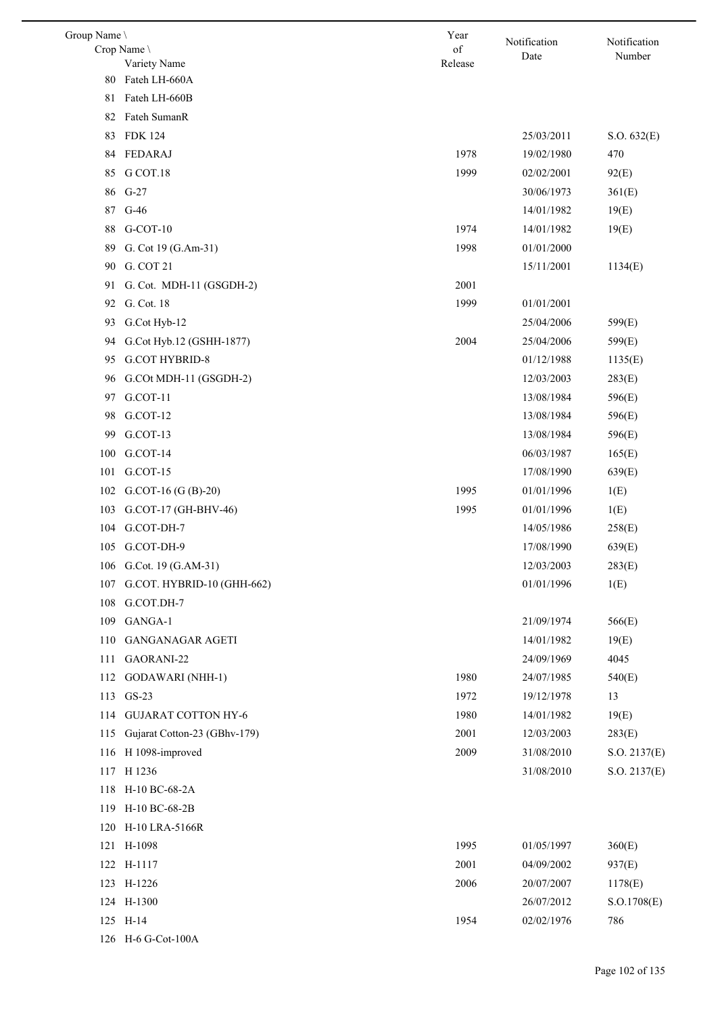| Group Name \ | Crop Name \<br>Variety Name  | Year<br>of<br>Release | Notification<br>Date | Notification<br>Number |
|--------------|------------------------------|-----------------------|----------------------|------------------------|
| 80           | Fateh LH-660A                |                       |                      |                        |
| 81           | Fateh LH-660B                |                       |                      |                        |
| 82           | Fateh SumanR                 |                       |                      |                        |
| 83           | <b>FDK 124</b>               |                       | 25/03/2011           | S.O. 632(E)            |
| 84           | FEDARAJ                      | 1978                  | 19/02/1980           | 470                    |
| 85           | G COT.18                     | 1999                  | 02/02/2001           |                        |
|              |                              |                       |                      | 92(E)                  |
| 86           | $G-27$                       |                       | 30/06/1973           | 361(E)                 |
| 87           | $G-46$<br>$G-COT-10$         | 1974                  | 14/01/1982           | 19(E)                  |
| 88           |                              | 1998                  | 14/01/1982           | 19(E)                  |
| 89           | G. Cot 19 (G.Am-31)          |                       | 01/01/2000           |                        |
| 90           | G. COT 21                    |                       | 15/11/2001           | 1134(E)                |
| 91           | G. Cot. MDH-11 (GSGDH-2)     | 2001                  |                      |                        |
| 92           | G. Cot. 18                   | 1999                  | 01/01/2001           |                        |
| 93           | G.Cot Hyb-12                 |                       | 25/04/2006           | 599(E)                 |
| 94           | G.Cot Hyb.12 (GSHH-1877)     | 2004                  | 25/04/2006           | 599(E)                 |
| 95           | <b>G.COT HYBRID-8</b>        |                       | 01/12/1988           | 1135(E)                |
| 96           | G.COt MDH-11 (GSGDH-2)       |                       | 12/03/2003           | 283(E)                 |
| 97           | G.COT-11                     |                       | 13/08/1984           | 596(E)                 |
| 98           | G.COT-12                     |                       | 13/08/1984           | 596(E)                 |
| 99           | G.COT-13                     |                       | 13/08/1984           | 596(E)                 |
| 100          | G.COT-14                     |                       | 06/03/1987           | 165(E)                 |
| 101          | G.COT-15                     |                       | 17/08/1990           | 639(E)                 |
| 102          | $G.$ COT-16 $(G (B)-20)$     | 1995                  | 01/01/1996           | 1(E)                   |
| 103          | G.COT-17 (GH-BHV-46)         | 1995                  | 01/01/1996           | 1(E)                   |
| 104          | G.COT-DH-7                   |                       | 14/05/1986           | 258(E)                 |
| 105          | G.COT-DH-9                   |                       | 17/08/1990           | 639(E)                 |
| 106          | G.Cot. 19 (G.AM-31)          |                       | 12/03/2003           | 283(E)                 |
| 107          | G.COT. HYBRID-10 (GHH-662)   |                       | 01/01/1996           | 1(E)                   |
| 108          | G.COT.DH-7                   |                       |                      |                        |
| 109          | GANGA-1                      |                       | 21/09/1974           | 566(E)                 |
| 110          | <b>GANGANAGAR AGETI</b>      |                       | 14/01/1982           | 19(E)                  |
| 111          | GAORANI-22                   |                       | 24/09/1969           | 4045                   |
| 112          | <b>GODAWARI</b> (NHH-1)      | 1980                  | 24/07/1985           | 540(E)                 |
| 113          | $GS-23$                      | 1972                  | 19/12/1978           | 13                     |
| 114          | <b>GUJARAT COTTON HY-6</b>   | 1980                  | 14/01/1982           | 19(E)                  |
| 115          | Gujarat Cotton-23 (GBhv-179) | 2001                  | 12/03/2003           | 283(E)                 |
| 116          | H 1098-improved              | 2009                  | 31/08/2010           | S.O. 2137(E)           |
| 117          | H 1236                       |                       | 31/08/2010           | S.O. 2137(E)           |
| 118          | H-10 BC-68-2A                |                       |                      |                        |
| 119          | H-10 BC-68-2B                |                       |                      |                        |
| 120          | H-10 LRA-5166R               |                       |                      |                        |
|              | 121 H-1098                   | 1995                  | 01/05/1997           | 360(E)                 |
|              | 122 H-1117                   | 2001                  | 04/09/2002           | 937(E)                 |
|              | 123 H-1226                   | 2006                  | 20/07/2007           | 1178(E)                |
|              | 124 H-1300                   |                       | 26/07/2012           | S. O.1708(E)           |
|              | 125 H-14                     | 1954                  | 02/02/1976           | 786                    |
|              | 126 H-6 G-Cot-100A           |                       |                      |                        |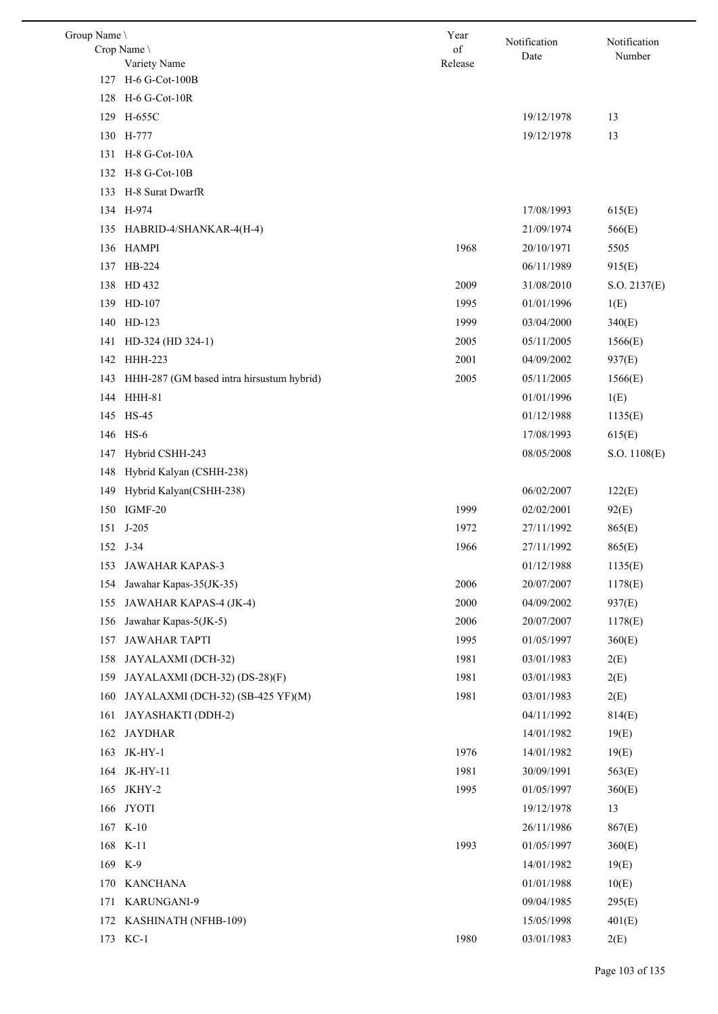| Group Name \ |                                           | Year          | Notification | Notification |
|--------------|-------------------------------------------|---------------|--------------|--------------|
|              | Crop Name<br>Variety Name                 | of<br>Release | Date         | Number       |
|              | 127 H-6 G-Cot-100B                        |               |              |              |
|              | 128 H-6 G-Cot-10R                         |               |              |              |
|              | 129 H-655C                                |               | 19/12/1978   | 13           |
|              | 130 H-777                                 |               | 19/12/1978   | 13           |
| 131          | H-8 G-Cot-10A                             |               |              |              |
| 132          | H-8 G-Cot-10B                             |               |              |              |
| 133          | H-8 Surat DwarfR                          |               |              |              |
|              | 134 H-974                                 |               | 17/08/1993   | 615(E)       |
| 135          | HABRID-4/SHANKAR-4(H-4)                   |               | 21/09/1974   | 566(E)       |
|              | 136 HAMPI                                 | 1968          | 20/10/1971   | 5505         |
|              | 137 HB-224                                |               | 06/11/1989   | 915(E)       |
|              | 138 HD 432                                | 2009          | 31/08/2010   | S.O. 2137(E) |
|              | 139 HD-107                                | 1995          | 01/01/1996   | 1(E)         |
|              | 140 HD-123                                | 1999          | 03/04/2000   | 340(E)       |
| 141          | HD-324 (HD 324-1)                         | 2005          | 05/11/2005   | 1566(E)      |
| 142          | <b>HHH-223</b>                            | 2001          | 04/09/2002   | 937(E)       |
| 143          | HHH-287 (GM based intra hirsustum hybrid) | 2005          | 05/11/2005   | 1566(E)      |
| 144          | HHH-81                                    |               | 01/01/1996   | 1(E)         |
|              | 145 HS-45                                 |               | 01/12/1988   | 1135(E)      |
|              | 146 HS-6                                  |               | 17/08/1993   | 615(E)       |
| 147          | Hybrid CSHH-243                           |               | 08/05/2008   | S.O. 1108(E) |
| 148          | Hybrid Kalyan (CSHH-238)                  |               |              |              |
| 149          | Hybrid Kalyan(CSHH-238)                   |               | 06/02/2007   | 122(E)       |
|              | 150 IGMF-20                               | 1999          | 02/02/2001   | 92(E)        |
| 151          | $J-205$                                   | 1972          | 27/11/1992   | 865(E)       |
|              | 152 J-34                                  | 1966          | 27/11/1992   | 865(E)       |
|              | 153 JAWAHAR KAPAS-3                       |               | 01/12/1988   | 1135(E)      |
| 154          | Jawahar Kapas-35(JK-35)                   | 2006          | 20/07/2007   | 1178(E)      |
| 155          | JAWAHAR KAPAS-4 (JK-4)                    | 2000          | 04/09/2002   | 937(E)       |
| 156          | Jawahar Kapas-5(JK-5)                     | 2006          | 20/07/2007   | 1178(E)      |
| 157          | <b>JAWAHAR TAPTI</b>                      | 1995          | 01/05/1997   | 360(E)       |
| 158          | JAYALAXMI (DCH-32)                        | 1981          | 03/01/1983   | 2(E)         |
| 159          | JAYALAXMI (DCH-32) (DS-28)(F)             | 1981          | 03/01/1983   | 2(E)         |
| 160          | JAYALAXMI (DCH-32) (SB-425 YF)(M)         | 1981          | 03/01/1983   | 2(E)         |
| 161          | JAYASHAKTI (DDH-2)                        |               | 04/11/1992   | 814(E)       |
| 162          | <b>JAYDHAR</b>                            |               | 14/01/1982   | 19(E)        |
| 163          | JK-HY-1                                   | 1976          | 14/01/1982   | 19(E)        |
| 164          | JK-HY-11                                  | 1981          | 30/09/1991   | 563(E)       |
| 165          | JKHY-2                                    | 1995          | 01/05/1997   | 360(E)       |
| 166          | <b>JYOTI</b>                              |               | 19/12/1978   | 13           |
|              | 167 K-10                                  |               | 26/11/1986   | 867(E)       |
| 168          | $K-11$                                    | 1993          | 01/05/1997   | 360(E)       |
|              | 169 K-9                                   |               | 14/01/1982   | 19(E)        |
| 170          | <b>KANCHANA</b>                           |               | 01/01/1988   | 10(E)        |
| 171          | KARUNGANI-9                               |               | 09/04/1985   | 295(E)       |
| 172          | KASHINATH (NFHB-109)                      |               | 15/05/1998   | 401(E)       |
|              | 173 KC-1                                  | 1980          | 03/01/1983   | 2(E)         |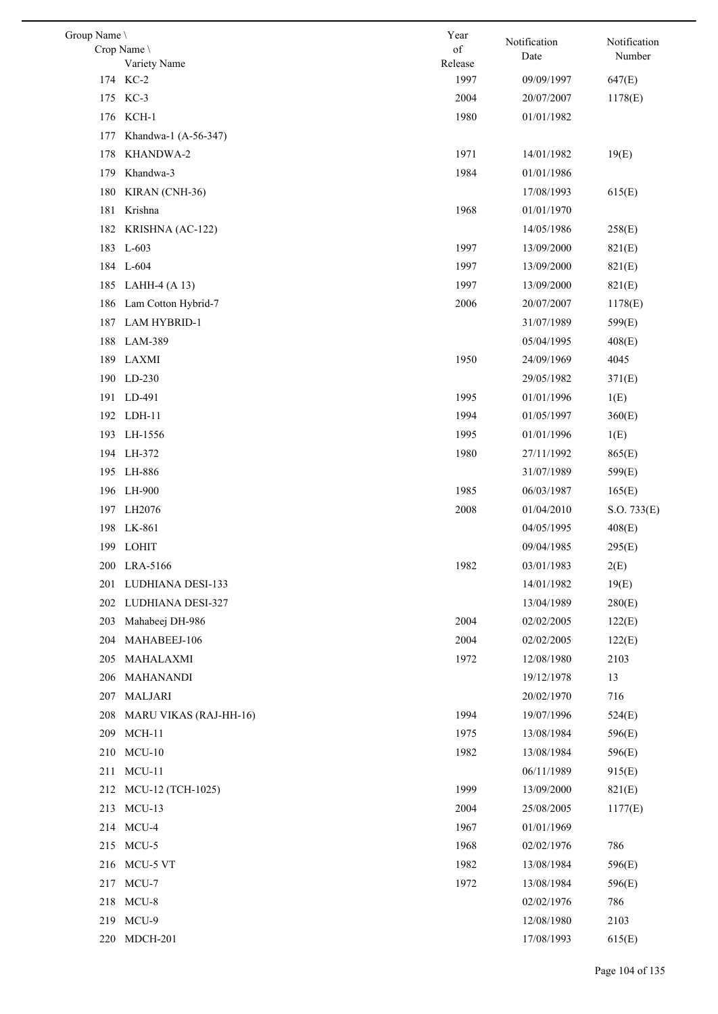| Group Name \ |                        | Year    | Notification | Notification |
|--------------|------------------------|---------|--------------|--------------|
|              | Crop Name \            | of      | Date         | Number       |
|              | Variety Name           | Release |              |              |
|              | 174 KC-2               | 1997    | 09/09/1997   | 647(E)       |
|              | 175 KC-3               | 2004    | 20/07/2007   | 1178(E)      |
| 176          | KCH-1                  | 1980    | 01/01/1982   |              |
| 177          | Khandwa-1 (A-56-347)   |         |              |              |
| 178          | KHANDWA-2              | 1971    | 14/01/1982   | 19(E)        |
| 179          | Khandwa-3              | 1984    | 01/01/1986   |              |
| 180          | KIRAN (CNH-36)         |         | 17/08/1993   | 615(E)       |
| 181          | Krishna                | 1968    | 01/01/1970   |              |
| 182          | KRISHNA (AC-122)       |         | 14/05/1986   | 258(E)       |
| 183          | $L-603$                | 1997    | 13/09/2000   | 821(E)       |
|              | 184 L-604              | 1997    | 13/09/2000   | 821(E)       |
| 185          | LAHH-4 $(A 13)$        | 1997    | 13/09/2000   | 821(E)       |
| 186          | Lam Cotton Hybrid-7    | 2006    | 20/07/2007   | 1178(E)      |
| 187          | <b>LAM HYBRID-1</b>    |         | 31/07/1989   | 599(E)       |
| 188          | LAM-389                |         | 05/04/1995   | 408(E)       |
|              | 189 LAXMI              | 1950    | 24/09/1969   | 4045         |
|              | 190 LD-230             |         | 29/05/1982   | 371(E)       |
|              | 191 LD-491             | 1995    | 01/01/1996   | 1(E)         |
|              | 192 LDH-11             | 1994    | 01/05/1997   | 360(E)       |
| 193          | LH-1556                | 1995    | 01/01/1996   | 1(E)         |
|              | 194 LH-372             | 1980    | 27/11/1992   | 865(E)       |
|              | 195 LH-886             |         | 31/07/1989   | 599(E)       |
|              | 196 LH-900             | 1985    | 06/03/1987   | 165(E)       |
|              | 197 LH2076             | 2008    | 01/04/2010   | S.O. 733(E)  |
|              | 198 LK-861             |         | 04/05/1995   | 408(E)       |
|              | 199 LOHIT              |         | 09/04/1985   | 295(E)       |
|              | 200 LRA-5166           | 1982    | 03/01/1983   | 2(E)         |
| 201          | LUDHIANA DESI-133      |         | 14/01/1982   | 19(E)        |
|              | 202 LUDHIANA DESI-327  |         | 13/04/1989   | 280(E)       |
| 203          | Mahabeej DH-986        | 2004    | 02/02/2005   | 122(E)       |
| 204          | MAHABEEJ-106           | 2004    | 02/02/2005   | 122(E)       |
| 205          | MAHALAXMI              | 1972    | 12/08/1980   | 2103         |
|              | 206 MAHANANDI          |         | 19/12/1978   | 13           |
| 207          | MALJARI                |         | 20/02/1970   | 716          |
| 208          | MARU VIKAS (RAJ-HH-16) | 1994    | 19/07/1996   | 524(E)       |
| 209          | $MCH-11$               | 1975    | 13/08/1984   | 596(E)       |
|              | $MCU-10$               | 1982    |              |              |
| 210          |                        |         | 13/08/1984   | 596(E)       |
| 211          | $MCU-11$               |         | 06/11/1989   | 915(E)       |
|              | 212 MCU-12 (TCH-1025)  | 1999    | 13/09/2000   | 821(E)       |
|              | 213 MCU-13             | 2004    | 25/08/2005   | 1177(E)      |
|              | 214 MCU-4              | 1967    | 01/01/1969   |              |
|              | 215 MCU-5              | 1968    | 02/02/1976   | 786          |
|              | 216 MCU-5 VT           | 1982    | 13/08/1984   | 596(E)       |
| 217          | MCU-7                  | 1972    | 13/08/1984   | 596(E)       |
|              | 218 MCU-8              |         | 02/02/1976   | 786          |
|              | 219 MCU-9              |         | 12/08/1980   | 2103         |
| 220          | MDCH-201               |         | 17/08/1993   | 615(E)       |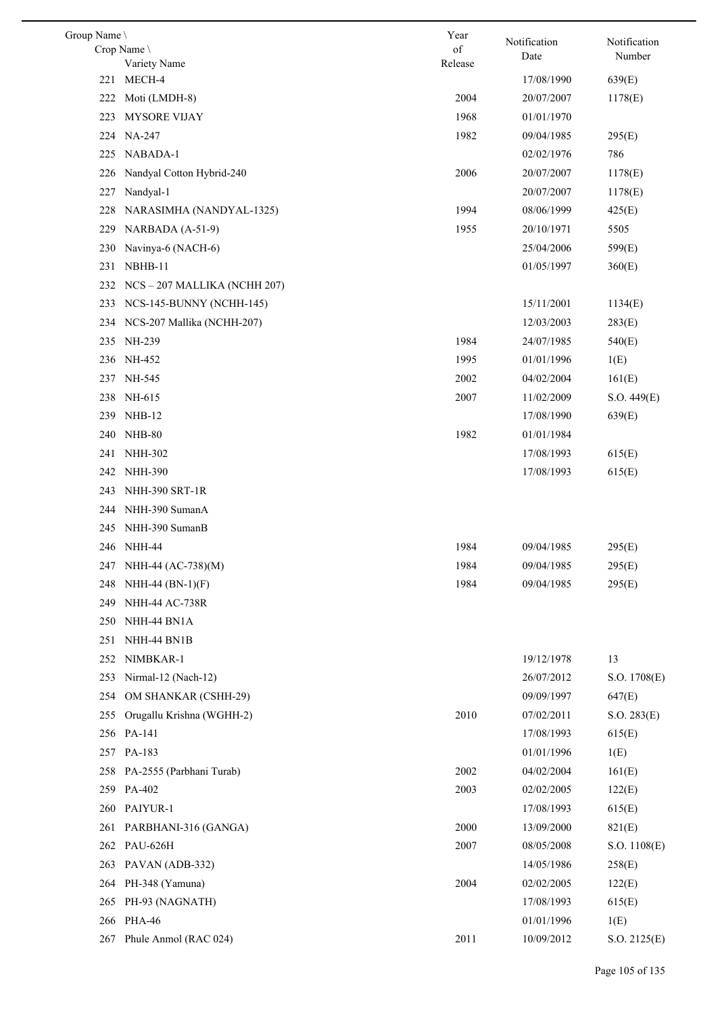| Group Name \ |                                | Year    | Notification | Notification |
|--------------|--------------------------------|---------|--------------|--------------|
|              | Crop Name                      | of      | Date         | Number       |
| 221          | Variety Name<br>MECH-4         | Release | 17/08/1990   | 639(E)       |
| 222          | Moti (LMDH-8)                  | 2004    | 20/07/2007   | 1178(E)      |
| 223          | MYSORE VIJAY                   | 1968    | 01/01/1970   |              |
|              | 224 NA-247                     | 1982    | 09/04/1985   | 295(E)       |
| 225          | NABADA-1                       |         | 02/02/1976   | 786          |
| 226          | Nandyal Cotton Hybrid-240      | 2006    | 20/07/2007   | 1178(E)      |
| 227          | Nandyal-1                      |         | 20/07/2007   | 1178(E)      |
| 228          | NARASIMHA (NANDYAL-1325)       | 1994    | 08/06/1999   | 425(E)       |
| 229          | NARBADA (A-51-9)               | 1955    | 20/10/1971   | 5505         |
| 230          | Navinya-6 (NACH-6)             |         | 25/04/2006   | 599(E)       |
| 231          | NBHB-11                        |         | 01/05/1997   | 360(E)       |
| 232          | NCS – 207 MALLIKA (NCHH 207)   |         |              |              |
| 233          | NCS-145-BUNNY (NCHH-145)       |         | 15/11/2001   | 1134(E)      |
|              | 234 NCS-207 Mallika (NCHH-207) |         | 12/03/2003   | 283(E)       |
| 235          | NH-239                         | 1984    | 24/07/1985   | 540(E)       |
| 236          | NH-452                         | 1995    | 01/01/1996   | 1(E)         |
|              | 237 NH-545                     | 2002    | 04/02/2004   | 161(E)       |
| 238          | NH-615                         | 2007    | 11/02/2009   | S.O. 449(E)  |
| 239          | $NHB-12$                       |         | 17/08/1990   | 639(E)       |
| 240          | NHB-80                         | 1982    | 01/01/1984   |              |
| 241          | NHH-302                        |         | 17/08/1993   | 615(E)       |
| 242          | <b>NHH-390</b>                 |         | 17/08/1993   | 615(E)       |
| 243          | NHH-390 SRT-1R                 |         |              |              |
|              | 244 NHH-390 SumanA             |         |              |              |
| 245          | NHH-390 SumanB                 |         |              |              |
|              | 246 NHH-44                     | 1984    | 09/04/1985   | 295(E)       |
|              | 247 NHH-44 (AC-738)(M)         | 1984    | 09/04/1985   | 295(E)       |
| 248          | NHH-44 $(BN-1)(F)$             | 1984    | 09/04/1985   | 295(E)       |
| 249          | NHH-44 AC-738R                 |         |              |              |
| 250          | NHH-44 BN1A                    |         |              |              |
| 251          | NHH-44 BN1B                    |         |              |              |
| 252          | NIMBKAR-1                      |         | 19/12/1978   | 13           |
| 253          | Nirmal-12 (Nach-12)            |         | 26/07/2012   | S.O. 1708(E) |
| 254          | OM SHANKAR (CSHH-29)           |         | 09/09/1997   | 647(E)       |
| 255          | Orugallu Krishna (WGHH-2)      | 2010    | 07/02/2011   | S.O. 283(E)  |
|              | 256 PA-141                     |         | 17/08/1993   | 615(E)       |
| 257          | PA-183                         |         | 01/01/1996   | 1(E)         |
| 258          | PA-2555 (Parbhani Turab)       | 2002    | 04/02/2004   | 161(E)       |
| 259          | PA-402                         | 2003    | 02/02/2005   | 122(E)       |
| 260          | PAIYUR-1                       |         | 17/08/1993   | 615(E)       |
| 261          | PARBHANI-316 (GANGA)           | 2000    | 13/09/2000   | 821(E)       |
| 262          | <b>PAU-626H</b>                | 2007    | 08/05/2008   | S.O. 1108(E) |
| 263          | PAVAN (ADB-332)                |         | 14/05/1986   | 258(E)       |
| 264          | PH-348 (Yamuna)                | 2004    | 02/02/2005   | 122(E)       |
| 265          | PH-93 (NAGNATH)                |         | 17/08/1993   | 615(E)       |
| 266          | <b>PHA-46</b>                  |         | 01/01/1996   | 1(E)         |
| 267          | Phule Anmol (RAC 024)          | 2011    | 10/09/2012   | S.O. 2125(E) |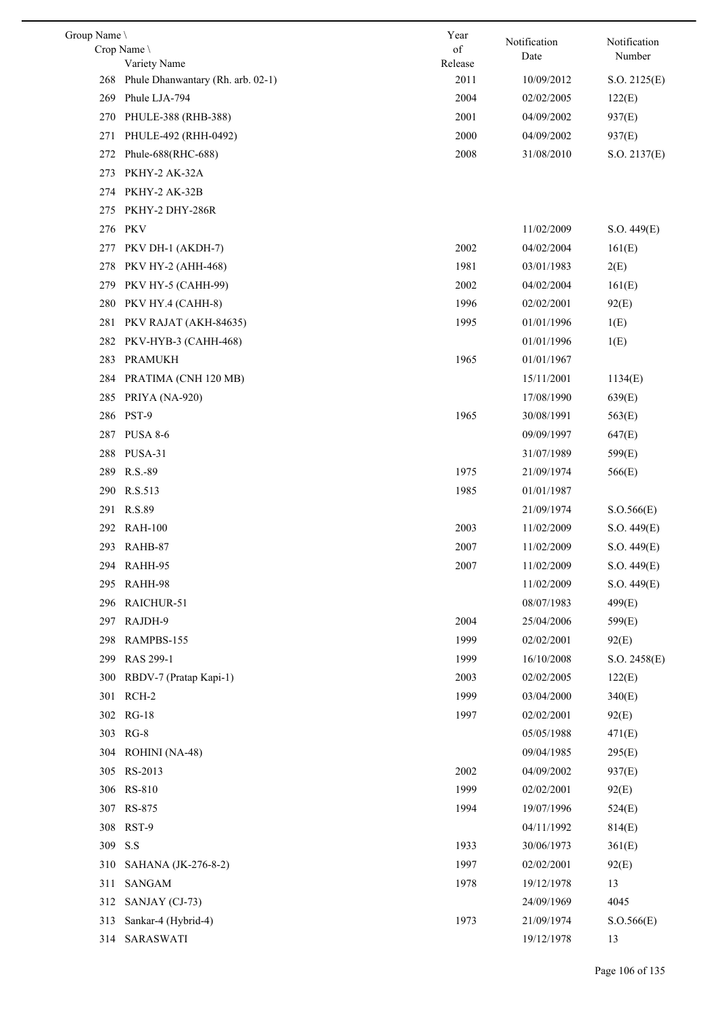| Group Name \ |                                                   | Year            | Notification | Notification |
|--------------|---------------------------------------------------|-----------------|--------------|--------------|
|              | Crop Name                                         | of              | Date         | Number       |
| 268          | Variety Name<br>Phule Dhanwantary (Rh. arb. 02-1) | Release<br>2011 | 10/09/2012   | S.O. 2125(E) |
| 269          | Phule LJA-794                                     | 2004            | 02/02/2005   | 122(E)       |
|              |                                                   |                 |              |              |
| 270          | PHULE-388 (RHB-388)                               | 2001            | 04/09/2002   | 937(E)       |
| 271          | PHULE-492 (RHH-0492)                              | 2000            | 04/09/2002   | 937(E)       |
| 272          | Phule-688(RHC-688)                                | 2008            | 31/08/2010   | S.O. 2137(E) |
| 273          | PKHY-2 AK-32A                                     |                 |              |              |
| 274          | PKHY-2 AK-32B                                     |                 |              |              |
| 275          | PKHY-2 DHY-286R                                   |                 |              |              |
| 276          | PKV                                               |                 | 11/02/2009   | S.O. 449(E)  |
| 277          | PKV DH-1 (AKDH-7)                                 | 2002            | 04/02/2004   | 161(E)       |
| 278          | <b>PKV HY-2 (AHH-468)</b>                         | 1981            | 03/01/1983   | 2(E)         |
| 279          | PKV HY-5 (CAHH-99)                                | 2002            | 04/02/2004   | 161(E)       |
| 280          | PKV HY.4 (CAHH-8)                                 | 1996            | 02/02/2001   | 92(E)        |
| 281          | PKV RAJAT (AKH-84635)                             | 1995            | 01/01/1996   | 1(E)         |
| 282          | PKV-HYB-3 (CAHH-468)                              |                 | 01/01/1996   | 1(E)         |
| 283          | <b>PRAMUKH</b>                                    | 1965            | 01/01/1967   |              |
| 284          | PRATIMA (CNH 120 MB)                              |                 | 15/11/2001   | 1134(E)      |
| 285          | PRIYA (NA-920)                                    |                 | 17/08/1990   | 639(E)       |
| 286          | PST-9                                             | 1965            | 30/08/1991   | 563(E)       |
|              | 287 PUSA 8-6                                      |                 | 09/09/1997   | 647(E)       |
| 288          | PUSA-31                                           |                 | 31/07/1989   | 599(E)       |
|              | 289 R.S.-89                                       | 1975            | 21/09/1974   | 566(E)       |
|              | 290 R.S.513                                       | 1985            | 01/01/1987   |              |
|              | 291 R.S.89                                        |                 | 21/09/1974   | S. O.566(E)  |
|              | 292 RAH-100                                       | 2003            | 11/02/2009   | S.O. 449(E)  |
|              | 293 RAHB-87                                       | 2007            | 11/02/2009   | S.O. 449(E)  |
| 294          | RAHH-95                                           | 2007            | 11/02/2009   | S.O. 449(E)  |
| 295          | RAHH-98                                           |                 | 11/02/2009   | S.O. 449(E)  |
|              | 296 RAICHUR-51                                    |                 | 08/07/1983   | 499(E)       |
| 297          | RAJDH-9                                           | 2004            | 25/04/2006   | 599(E)       |
| 298          | RAMPBS-155                                        | 1999            | 02/02/2001   | 92(E)        |
| 299          | RAS 299-1                                         | 1999            | 16/10/2008   | S.O. 2458(E) |
| 300          | RBDV-7 (Pratap Kapi-1)                            | 2003            | 02/02/2005   | 122(E)       |
|              | 301 RCH-2                                         | 1999            | 03/04/2000   | 340(E)       |
|              | 302 RG-18                                         | 1997            | 02/02/2001   | 92(E)        |
|              | 303 RG-8                                          |                 | 05/05/1988   | 471(E)       |
| 304          | ROHINI (NA-48)                                    |                 | 09/04/1985   | 295(E)       |
|              | 305 RS-2013                                       | 2002            | 04/09/2002   | 937(E)       |
|              | 306 RS-810                                        | 1999            | 02/02/2001   | 92(E)        |
|              | 307 RS-875                                        | 1994            | 19/07/1996   | 524(E)       |
|              | 308 RST-9                                         |                 | 04/11/1992   | 814(E)       |
| 309          | S.S                                               | 1933            | 30/06/1973   | 361(E)       |
|              |                                                   | 1997            |              |              |
| 310          | SAHANA (JK-276-8-2)                               |                 | 02/02/2001   | 92(E)        |
| 311          | <b>SANGAM</b>                                     | 1978            | 19/12/1978   | 13           |
| 312          | SANJAY (CJ-73)                                    |                 | 24/09/1969   | 4045         |
| 313          | Sankar-4 (Hybrid-4)                               | 1973            | 21/09/1974   | S. O.566(E)  |
| 314          | SARASWATI                                         |                 | 19/12/1978   | 13           |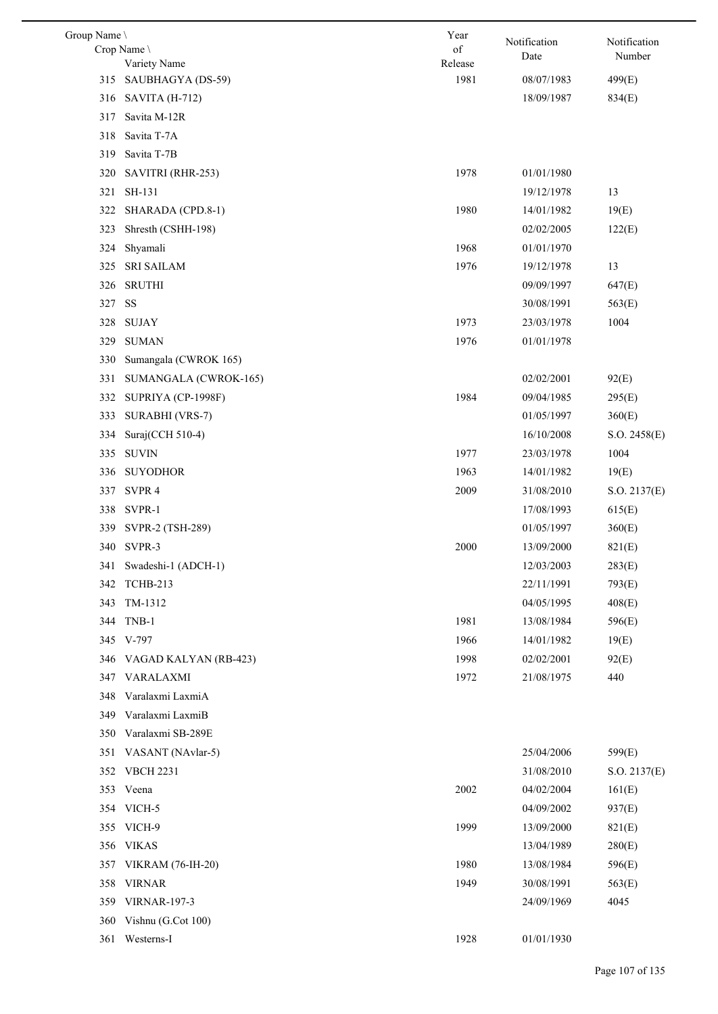| Group Name | Crop Name<br>Variety Name | Year<br>of<br>Release | Notification<br>Date | Notification<br>Number |
|------------|---------------------------|-----------------------|----------------------|------------------------|
|            | 315 SAUBHAGYA (DS-59)     | 1981                  | 08/07/1983           | 499(E)                 |
|            | 316 SAVITA (H-712)        |                       | 18/09/1987           | 834(E)                 |
| 317        | Savita M-12R              |                       |                      |                        |
| 318        | Savita T-7A               |                       |                      |                        |
| 319        | Savita T-7B               |                       |                      |                        |
| 320        | SAVITRI (RHR-253)         | 1978                  | 01/01/1980           |                        |
| 321        | SH-131                    |                       | 19/12/1978           | 13                     |
| 322        | SHARADA (CPD.8-1)         | 1980                  | 14/01/1982           | 19(E)                  |
| 323        | Shresth (CSHH-198)        |                       | 02/02/2005           | 122(E)                 |
| 324        | Shyamali                  | 1968                  | 01/01/1970           |                        |
| 325        | <b>SRI SAILAM</b>         | 1976                  | 19/12/1978           | 13                     |
| 326        | <b>SRUTHI</b>             |                       | 09/09/1997           | 647(E)                 |
| 327        | <b>SS</b>                 |                       | 30/08/1991           | 563(E)                 |
| 328        | SUJAY                     | 1973                  | 23/03/1978           | 1004                   |
| 329        | <b>SUMAN</b>              | 1976                  | 01/01/1978           |                        |
| 330        | Sumangala (CWROK 165)     |                       |                      |                        |
| 331        | SUMANGALA (CWROK-165)     |                       | 02/02/2001           | 92(E)                  |
| 332        | SUPRIYA (CP-1998F)        | 1984                  | 09/04/1985           | 295(E)                 |
| 333        | SURABHI (VRS-7)           |                       | 01/05/1997           | 360(E)                 |
| 334        | Suraj(CCH 510-4)          |                       | 16/10/2008           | S.O. 2458(E)           |
| 335        | <b>SUVIN</b>              | 1977                  | 23/03/1978           | 1004                   |
| 336        | <b>SUYODHOR</b>           | 1963                  | 14/01/1982           | 19(E)                  |
| 337        | SVPR 4                    | 2009                  | 31/08/2010           | S.O. 2137(E)           |
|            | 338 SVPR-1                |                       | 17/08/1993           | 615(E)                 |
|            | 339 SVPR-2 (TSH-289)      |                       | 01/05/1997           | 360(E)                 |
|            | 340 SVPR-3                | 2000                  | 13/09/2000           | 821(E)                 |
|            | 341 Swadeshi-1 (ADCH-1)   |                       | 12/03/2003           | 283(E)                 |
| 342        | <b>TCHB-213</b>           |                       | 22/11/1991           | 793(E)                 |
| 343        | TM-1312                   |                       | 04/05/1995           | 408(E)                 |
| 344        | TNB-1                     | 1981                  | 13/08/1984           | 596(E)                 |
|            | 345 V-797                 | 1966                  | 14/01/1982           | 19(E)                  |
| 346        | VAGAD KALYAN (RB-423)     | 1998                  | 02/02/2001           | 92(E)                  |
| 347        | VARALAXMI                 | 1972                  | 21/08/1975           | 440                    |
| 348        | Varalaxmi LaxmiA          |                       |                      |                        |
| 349        | Varalaxmi LaxmiB          |                       |                      |                        |
|            | 350 Varalaxmi SB-289E     |                       |                      |                        |
| 351        | VASANT (NAvlar-5)         |                       | 25/04/2006           | 599(E)                 |
| 352        | <b>VBCH 2231</b>          |                       | 31/08/2010           | S.O. 2137(E)           |
| 353        | Veena                     | 2002                  | 04/02/2004           | 161(E)                 |
|            | 354 VICH-5                |                       | 04/09/2002           | 937(E)                 |
| 355        | VICH-9                    | 1999                  | 13/09/2000           | 821(E)                 |
| 356        | <b>VIKAS</b>              |                       | 13/04/1989           | 280(E)                 |
|            | 357 VIKRAM (76-IH-20)     | 1980                  | 13/08/1984           | 596(E)                 |
| 358        | <b>VIRNAR</b>             | 1949                  | 30/08/1991           | 563(E)                 |
| 359        | <b>VIRNAR-197-3</b>       |                       | 24/09/1969           | 4045                   |
| 360        | Vishnu (G.Cot 100)        |                       |                      |                        |
| 361        | Westerns-I                | 1928                  | 01/01/1930           |                        |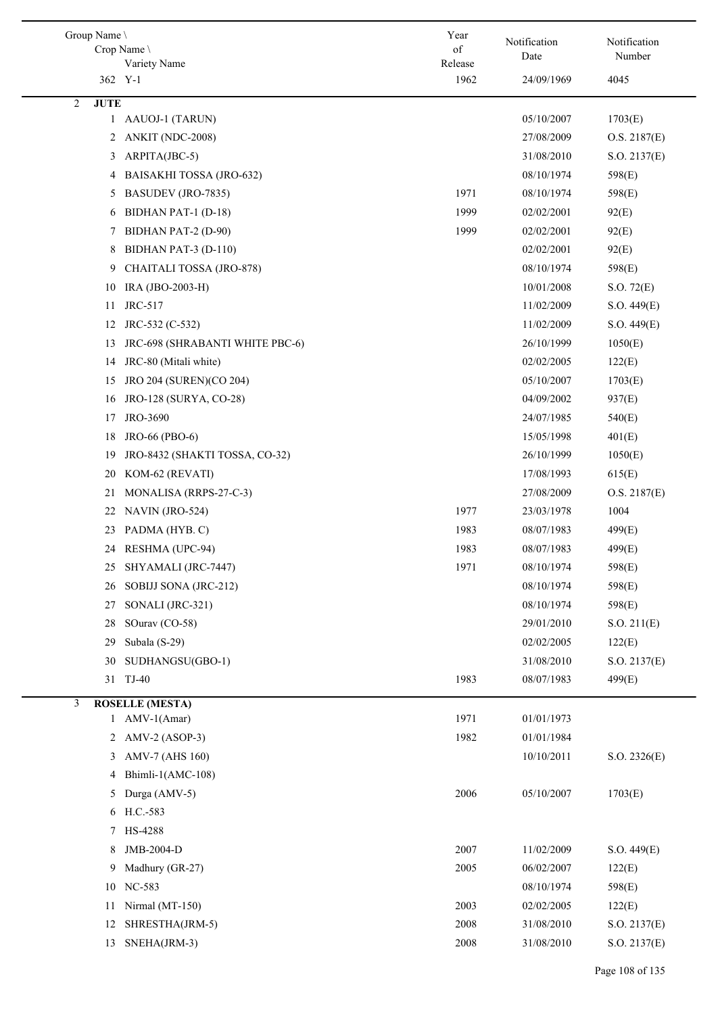| Group Name       | Crop Name \<br>Variety Name               | Year<br>of<br>Release | Notification<br>Date | Notification<br>Number |
|------------------|-------------------------------------------|-----------------------|----------------------|------------------------|
|                  | 362 Y-1                                   | 1962                  | 24/09/1969           | 4045                   |
| <b>JUTE</b><br>2 |                                           |                       |                      |                        |
| $\mathbf{1}$     | AAUOJ-1 (TARUN)                           |                       | 05/10/2007           | 1703(E)                |
| 2                | ANKIT (NDC-2008)                          |                       | 27/08/2009           | O.S. 2187(E)           |
| 3                | ARPITA(JBC-5)                             |                       | 31/08/2010           | S.O. 2137(E)           |
| 4                | BAISAKHI TOSSA (JRO-632)                  |                       | 08/10/1974           | 598(E)                 |
| 5                | BASUDEV (JRO-7835)                        | 1971                  | 08/10/1974           | 598(E)                 |
| 6                | BIDHAN PAT-1 (D-18)                       | 1999                  | 02/02/2001           | 92(E)                  |
| 7                | BIDHAN PAT-2 (D-90)                       | 1999                  | 02/02/2001           | 92(E)                  |
| 8                | BIDHAN PAT-3 (D-110)                      |                       | 02/02/2001           | 92(E)                  |
| 9                | CHAITALI TOSSA (JRO-878)                  |                       | 08/10/1974           | 598(E)                 |
| 10               | IRA (JBO-2003-H)                          |                       | 10/01/2008           | S.O. 72(E)             |
| 11               | JRC-517                                   |                       | 11/02/2009           | S.O. 449(E)            |
| 12               | JRC-532 (C-532)                           |                       | 11/02/2009           | S.O. 449(E)            |
| 13               | JRC-698 (SHRABANTI WHITE PBC-6)           |                       | 26/10/1999           | 1050(E)                |
| 14               | JRC-80 (Mitali white)                     |                       | 02/02/2005           | 122(E)                 |
| 15               | JRO 204 (SUREN)(CO 204)                   |                       | 05/10/2007           | 1703(E)                |
| 16               | JRO-128 (SURYA, CO-28)                    |                       | 04/09/2002           | 937(E)                 |
| 17               | JRO-3690                                  |                       | 24/07/1985           | 540(E)                 |
| 18               | JRO-66 (PBO-6)                            |                       | 15/05/1998           | 401(E)                 |
| 19               | JRO-8432 (SHAKTI TOSSA, CO-32)            |                       | 26/10/1999           | 1050(E)                |
| 20               | KOM-62 (REVATI)                           |                       | 17/08/1993           | 615(E)                 |
| 21               | MONALISA (RRPS-27-C-3)                    |                       | 27/08/2009           | O.S. 2187(E)           |
| 22               | NAVIN (JRO-524)                           | 1977                  | 23/03/1978           | 1004                   |
| 23               | PADMA (HYB. C)                            | 1983                  | 08/07/1983           | 499(E)                 |
| 24               | RESHMA (UPC-94)                           | 1983                  | 08/07/1983           | 499(E)                 |
| 25               | SHYAMALI (JRC-7447)                       | 1971                  | 08/10/1974           | 598(E)                 |
| 26               | SOBIJJ SONA (JRC-212)                     |                       | 08/10/1974           | 598(E)                 |
| 27               | SONALI (JRC-321)                          |                       | 08/10/1974           | 598(E)                 |
| 28               | SOurav (CO-58)                            |                       | 29/01/2010           | S.O. 211(E)            |
| 29               | Subala (S-29)                             |                       | 02/02/2005           | 122(E)                 |
| 30               | SUDHANGSU(GBO-1)                          |                       | 31/08/2010           | S.O. 2137(E)           |
| 31               | TJ-40                                     | 1983                  | 08/07/1983           | 499(E)                 |
|                  |                                           |                       |                      |                        |
| 3                | <b>ROSELLE (MESTA)</b><br>1 $AMV-1(Amar)$ | 1971                  | 01/01/1973           |                        |
|                  |                                           |                       |                      |                        |
| 2                | $AMV-2 (ASOP-3)$                          | 1982                  | 01/01/1984           |                        |
| 3                | AMV-7 (AHS 160)                           |                       | 10/10/2011           | S.O. 2326(E)           |
| 4                | Bhimli-1(AMC-108)                         |                       |                      |                        |
| 5                | Durga (AMV-5)                             | 2006                  | 05/10/2007           | 1703(E)                |
|                  | 6 H.C.-583                                |                       |                      |                        |
| 7                | HS-4288                                   |                       |                      |                        |
| 8                | JMB-2004-D                                | 2007                  | 11/02/2009           | S.O. 449(E)            |
| 9                | Madhury (GR-27)                           | 2005                  | 06/02/2007           | 122(E)                 |
| 10               | NC-583                                    |                       | 08/10/1974           | 598(E)                 |
| 11               | Nirmal (MT-150)                           | 2003                  | 02/02/2005           | 122(E)                 |
| 12               | SHRESTHA(JRM-5)                           | 2008                  | 31/08/2010           | S.O. 2137(E)           |
| 13               | SNEHA(JRM-3)                              | 2008                  | 31/08/2010           | S.O. 2137(E)           |

 $\overline{\phantom{a}}$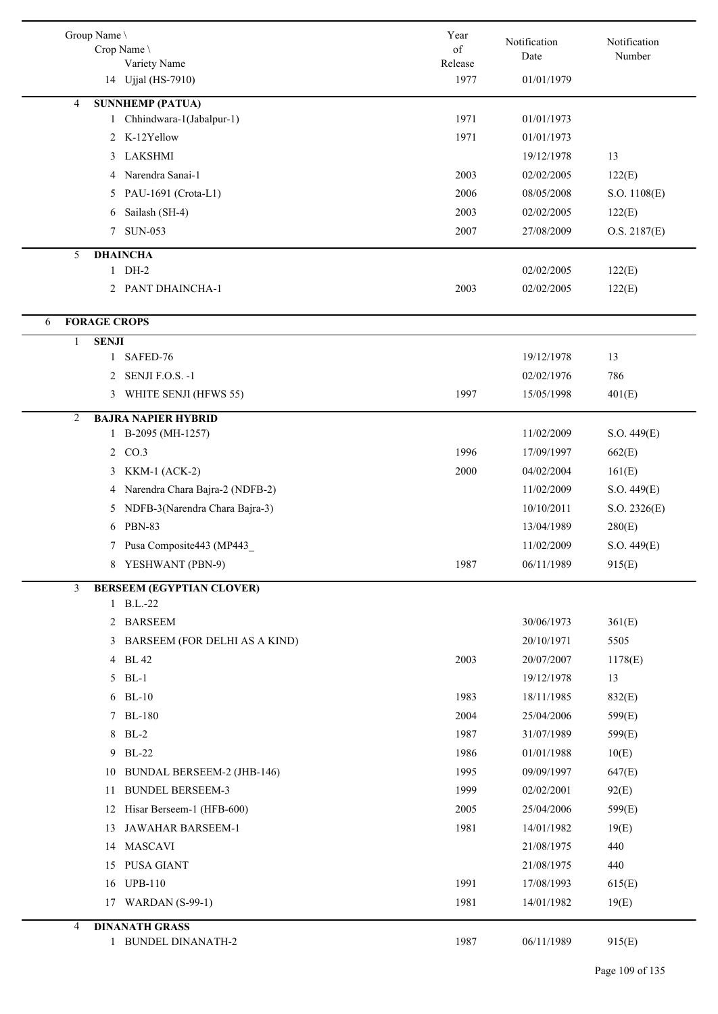|                | Group Name \<br>Crop Name<br>Variety Name     | Year<br>of<br>Release | Notification<br>Date     | Notification<br>Number |
|----------------|-----------------------------------------------|-----------------------|--------------------------|------------------------|
|                | 14 Ujjal (HS-7910)                            | 1977                  | 01/01/1979               |                        |
| 4              | <b>SUNNHEMP (PATUA)</b>                       |                       |                          |                        |
|                | 1 Chhindwara-1(Jabalpur-1)                    | 1971                  | 01/01/1973               |                        |
|                | 2 K-12Yellow                                  | 1971                  | 01/01/1973               |                        |
|                | 3 LAKSHMI                                     |                       | 19/12/1978               | 13                     |
|                | Narendra Sanai-1<br>4                         | 2003                  | 02/02/2005               | 122(E)                 |
|                | PAU-1691 (Crota-L1)<br>5                      | 2006                  | 08/05/2008               | S.O. 1108(E)           |
|                | Sailash (SH-4)<br>6                           | 2003                  | 02/02/2005               | 122(E)                 |
|                | <b>SUN-053</b><br>7                           | 2007                  | 27/08/2009               | O.S. 2187(E)           |
| 5              | <b>DHAINCHA</b>                               |                       |                          |                        |
|                | 1 DH-2<br>2 PANT DHAINCHA-1                   | 2003                  | 02/02/2005<br>02/02/2005 | 122(E)<br>122(E)       |
|                |                                               |                       |                          |                        |
| 6              | <b>FORAGE CROPS</b>                           |                       |                          |                        |
| 1              | <b>SENJI</b>                                  |                       |                          |                        |
|                | 1 SAFED-76                                    |                       | 19/12/1978               | 13                     |
|                | SENJI F.O.S. -1<br>2                          |                       | 02/02/1976               | 786                    |
|                | WHITE SENJI (HFWS 55)<br>3                    | 1997                  | 15/05/1998               | 401(E)                 |
| $\overline{2}$ | <b>BAJRA NAPIER HYBRID</b>                    |                       |                          |                        |
|                | 1 B-2095 (MH-1257)                            |                       | 11/02/2009               | S.O. 449(E)            |
|                | 2 CO.3                                        | 1996                  | 17/09/1997               | 662(E)                 |
|                | <b>KKM-1 (ACK-2)</b><br>3                     | 2000                  | 04/02/2004               | 161(E)                 |
|                | Narendra Chara Bajra-2 (NDFB-2)<br>4          |                       | 11/02/2009               | S.O. 449(E)            |
|                | NDFB-3(Narendra Chara Bajra-3)<br>5           |                       | 10/10/2011               | S.O. 2326(E)           |
|                | <b>PBN-83</b><br>6                            |                       | 13/04/1989               | 280(E)                 |
|                | 7 Pusa Composite443 (MP443                    |                       | 11/02/2009               | S.O. 449(E)            |
|                | 8 YESHWANT (PBN-9)                            | 1987                  | 06/11/1989               | 915(E)                 |
| 3              | <b>BERSEEM (EGYPTIAN CLOVER)</b><br>1 B.L.-22 |                       |                          |                        |
|                | 2 BARSEEM                                     |                       | 30/06/1973               | 361(E)                 |
|                | 3 BARSEEM (FOR DELHI AS A KIND)               |                       | 20/10/1971               | 5505                   |
|                | 4 BL 42                                       | 2003                  | 20/07/2007               | 1178(E)                |
|                | 5 BL-1                                        |                       | 19/12/1978               | 13                     |
|                | 6 BL-10                                       | 1983                  | 18/11/1985               | 832(E)                 |
|                | 7 BL-180                                      | 2004                  | 25/04/2006               | 599(E)                 |
|                | 8 BL-2                                        | 1987                  | 31/07/1989               | 599(E)                 |
|                | <b>BL-22</b><br>9                             | 1986                  | 01/01/1988               | 10(E)                  |
|                | <b>BUNDAL BERSEEM-2 (JHB-146)</b><br>10       | 1995                  | 09/09/1997               | 647(E)                 |
|                | <b>BUNDEL BERSEEM-3</b><br>11                 | 1999                  | 02/02/2001               | 92(E)                  |
|                | Hisar Berseem-1 (HFB-600)<br>12               | 2005                  | 25/04/2006               | 599(E)                 |
|                | JAWAHAR BARSEEM-1<br>13                       | 1981                  | 14/01/1982               | 19(E)                  |
|                | 14 MASCAVI                                    |                       | 21/08/1975               | 440                    |
|                | 15 PUSA GIANT                                 |                       | 21/08/1975               | 440                    |
|                | 16 UPB-110                                    | 1991                  | 17/08/1993               | 615(E)                 |
|                | 17 WARDAN (S-99-1)                            | 1981                  | 14/01/1982               | 19(E)                  |
| 4              | <b>DINANATH GRASS</b>                         |                       |                          |                        |
|                | <b>BUNDEL DINANATH-2</b><br>1                 | 1987                  | 06/11/1989               | 915(E)                 |
|                |                                               |                       |                          |                        |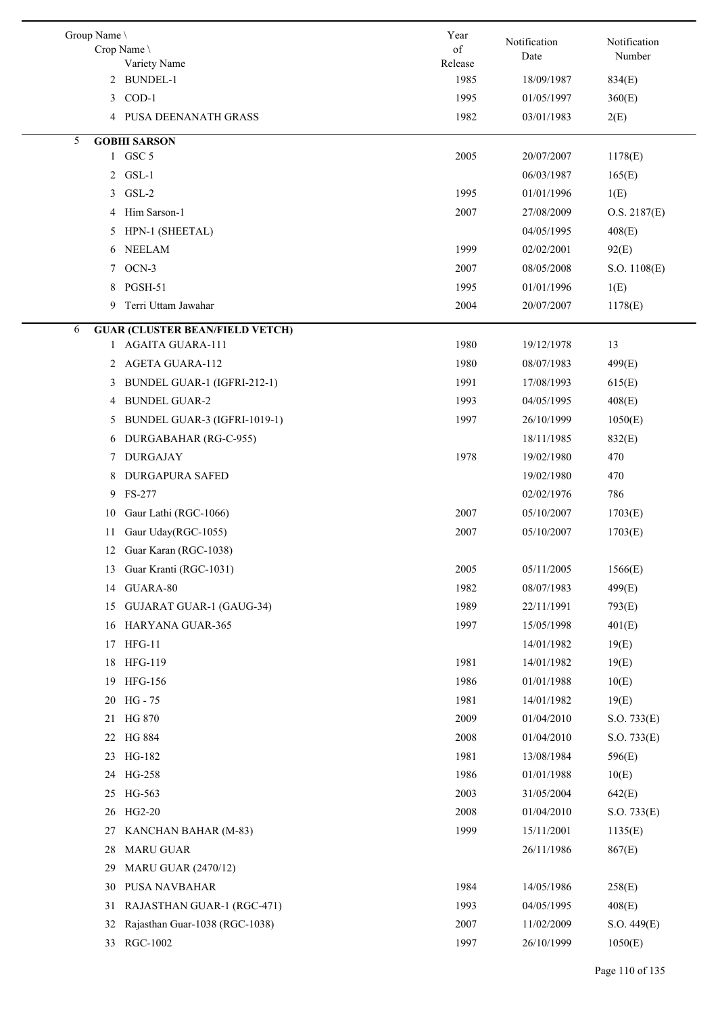| Group Name \<br>Crop Name<br>Variety Name   | Year<br>of<br>Release | Notification<br>Date | Notification<br>Number |
|---------------------------------------------|-----------------------|----------------------|------------------------|
| 2 BUNDEL-1                                  | 1985                  | 18/09/1987           | 834(E)                 |
| 3 COD-1                                     | 1995                  | 01/05/1997           | 360(E)                 |
| 4 PUSA DEENANATH GRASS                      | 1982                  | 03/01/1983           | 2(E)                   |
| <b>GOBHI SARSON</b><br>5                    |                       |                      |                        |
| 1 GSC 5                                     | 2005                  | 20/07/2007           | 1178(E)                |
| 2 GSL-1                                     |                       | 06/03/1987           | 165(E)                 |
| GSL-2<br>3                                  | 1995                  | 01/01/1996           | 1(E)                   |
| Him Sarson-1<br>4                           | 2007                  | 27/08/2009           | O.S. 2187(E)           |
| 5 HPN-1 (SHEETAL)                           |                       | 04/05/1995           | 408(E)                 |
| 6 NEELAM                                    | 1999                  | 02/02/2001           | 92(E)                  |
| 7 OCN-3                                     | 2007                  | 08/05/2008           | S.O. 1108(E)           |
| 8 PGSH-51                                   | 1995                  | 01/01/1996           | 1(E)                   |
| Terri Uttam Jawahar<br>9.                   | 2004                  | 20/07/2007           | 1178(E)                |
| <b>GUAR (CLUSTER BEAN/FIELD VETCH)</b><br>6 |                       |                      |                        |
| 1 AGAITA GUARA-111                          | 1980                  | 19/12/1978           | 13                     |
| 2 AGETA GUARA-112                           | 1980                  | 08/07/1983           | 499(E)                 |
| BUNDEL GUAR-1 (IGFRI-212-1)<br>3            | 1991                  | 17/08/1993           | 615(E)                 |
| 4 BUNDEL GUAR-2                             | 1993                  | 04/05/1995           | 408(E)                 |
| 5 BUNDEL GUAR-3 (IGFRI-1019-1)              | 1997                  | 26/10/1999           | 1050(E)                |
| 6 DURGABAHAR (RG-C-955)                     |                       | 18/11/1985           | 832(E)                 |
| <b>DURGAJAY</b><br>7                        | 1978                  | 19/02/1980           | 470                    |
| <b>DURGAPURA SAFED</b><br>8                 |                       | 19/02/1980           | 470                    |
| FS-277<br>9                                 |                       | 02/02/1976           | 786                    |
| Gaur Lathi (RGC-1066)<br>10                 | 2007                  | 05/10/2007           | 1703(E)                |
| Gaur Uday(RGC-1055)<br>11                   | 2007                  | 05/10/2007           | 1703(E)                |
| Guar Karan (RGC-1038)<br>12                 |                       |                      |                        |
| Guar Kranti (RGC-1031)<br>13                | 2005                  | 05/11/2005           | 1566(E)                |
| GUARA-80<br>14                              | 1982                  | 08/07/1983           | 499(E)                 |
| <b>GUJARAT GUAR-1 (GAUG-34)</b><br>15       | 1989                  | 22/11/1991           | 793(E)                 |
| 16 HARYANA GUAR-365                         | 1997                  | 15/05/1998           | 401(E)                 |
| 17 HFG-11                                   |                       | 14/01/1982           | 19(E)                  |
| 18 HFG-119                                  | 1981                  | 14/01/1982           | 19(E)                  |
| <b>HFG-156</b><br>19                        | 1986                  | 01/01/1988           | 10(E)                  |
| 20 HG-75                                    | 1981                  | 14/01/1982           | 19(E)                  |
| 21 HG 870                                   | 2009                  | 01/04/2010           | S.O. 733(E)            |
| 22 HG 884                                   | 2008                  | 01/04/2010           | S.O. 733(E)            |
| 23 HG-182                                   | 1981                  | 13/08/1984           | 596(E)                 |
| 24 HG-258                                   | 1986                  | 01/01/1988           | 10(E)                  |
| 25 HG-563                                   | 2003                  | 31/05/2004           | 642(E)                 |
| 26 HG2-20                                   | 2008                  | 01/04/2010           | S.O. 733(E)            |
| KANCHAN BAHAR (M-83)<br>27                  | 1999                  | 15/11/2001           | 1135(E)                |
| <b>MARU GUAR</b><br>28                      |                       | 26/11/1986           | 867(E)                 |
|                                             |                       |                      |                        |
| <b>MARU GUAR (2470/12)</b><br>29            |                       |                      |                        |
| PUSA NAVBAHAR<br>30                         | 1984                  | 14/05/1986           | 258(E)                 |
| 31<br>RAJASTHAN GUAR-1 (RGC-471)            | 1993                  | 04/05/1995           | 408(E)                 |
| Rajasthan Guar-1038 (RGC-1038)<br>32        | 2007                  | 11/02/2009           | S.O. 449(E)            |
| 33 RGC-1002                                 | 1997                  | 26/10/1999           | 1050(E)                |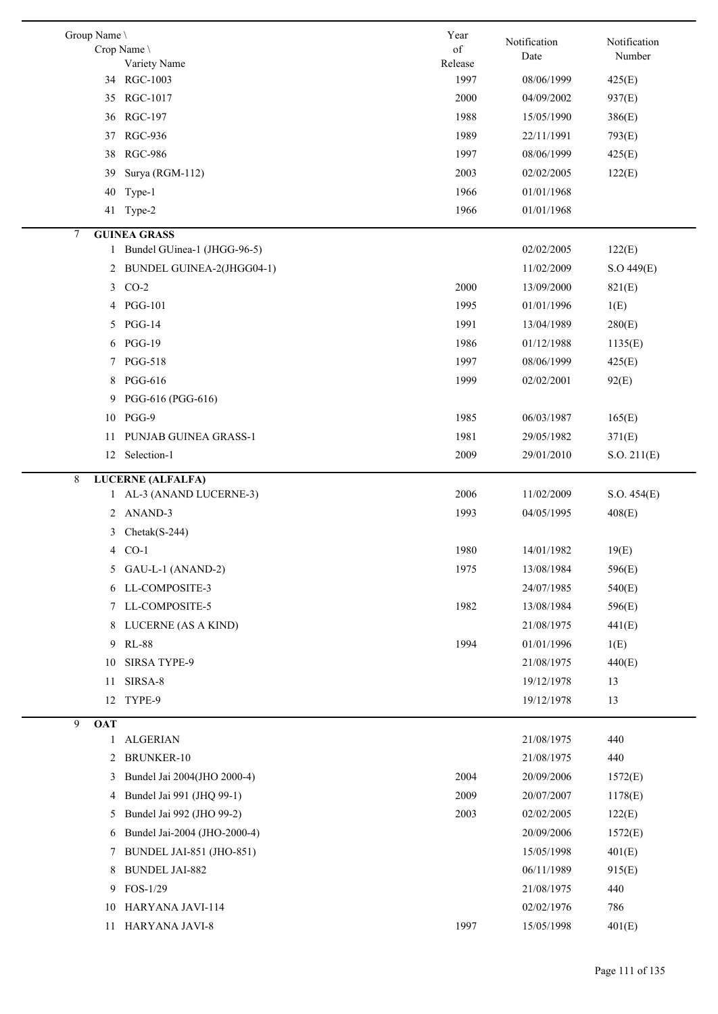| Group Name \    |                                 | Year            | Notification | Notification |
|-----------------|---------------------------------|-----------------|--------------|--------------|
|                 | Crop Name                       | of              | Date         | Number       |
|                 | Variety Name<br>34 RGC-1003     | Release<br>1997 | 08/06/1999   | 425(E)       |
| 35              | RGC-1017                        | 2000            | 04/09/2002   | 937(E)       |
| 36              | RGC-197                         | 1988            | 15/05/1990   | 386(E)       |
| 37              | <b>RGC-936</b>                  | 1989            | 22/11/1991   | 793(E)       |
|                 |                                 |                 | 08/06/1999   |              |
| 38              | <b>RGC-986</b>                  | 1997            |              | 425(E)       |
| 39              | Surya (RGM-112)                 | 2003            | 02/02/2005   | 122(E)       |
| 40              | Type-1                          | 1966            | 01/01/1968   |              |
|                 | 41 Type-2                       | 1966            | 01/01/1968   |              |
| 7               | <b>GUINEA GRASS</b>             |                 |              |              |
| 1               | Bundel GUinea-1 (JHGG-96-5)     |                 | 02/02/2005   | 122(E)       |
| 2               | BUNDEL GUINEA-2(JHGG04-1)       |                 | 11/02/2009   | S.O.449(E)   |
| 3               | $CO-2$                          | 2000            | 13/09/2000   | 821(E)       |
| 4               | <b>PGG-101</b>                  | 1995            | 01/01/1996   | 1(E)         |
| 5               | $PGG-14$                        | 1991            | 13/04/1989   | 280(E)       |
| 6               | <b>PGG-19</b>                   | 1986            | 01/12/1988   | 1135(E)      |
| 7               | <b>PGG-518</b>                  | 1997            | 08/06/1999   | 425(E)       |
| 8               | <b>PGG-616</b>                  | 1999            | 02/02/2001   | 92(E)        |
| 9               | PGG-616 (PGG-616)               |                 |              |              |
| 10              | PGG-9                           | 1985            | 06/03/1987   | 165(E)       |
| 11              | PUNJAB GUINEA GRASS-1           | 1981            | 29/05/1982   | 371(E)       |
| 12              | Selection-1                     | 2009            | 29/01/2010   | S.O. 211(E)  |
| 8               | <b>LUCERNE (ALFALFA)</b>        |                 |              |              |
| 1               | AL-3 (ANAND LUCERNE-3)          | 2006            | 11/02/2009   | S.O. 454(E)  |
| 2               | ANAND-3                         | 1993            | 04/05/1995   | 408(E)       |
| 3               | $Check(S-244)$                  |                 |              |              |
| $\overline{4}$  | $CO-1$                          | 1980            | 14/01/1982   | 19(E)        |
| 5               | GAU-L-1 (ANAND-2)               | 1975            | 13/08/1984   | 596(E)       |
| 6               | LL-COMPOSITE-3                  |                 | 24/07/1985   | 540(E)       |
|                 | 7 LL-COMPOSITE-5                | 1982            | 13/08/1984   | 596(E)       |
| 8               | LUCERNE (AS A KIND)             |                 | 21/08/1975   | 441(E)       |
|                 | 9 RL-88                         | 1994            | 01/01/1996   | 1(E)         |
| 10              | <b>SIRSA TYPE-9</b>             |                 | 21/08/1975   | 440(E)       |
| 11              | SIRSA-8                         |                 | 19/12/1978   | 13           |
| 12              | TYPE-9                          |                 | 19/12/1978   | 13           |
| 9<br><b>OAT</b> |                                 |                 |              |              |
| $\mathbf{1}$    | <b>ALGERIAN</b>                 |                 | 21/08/1975   | 440          |
| 2               | <b>BRUNKER-10</b>               |                 | 21/08/1975   | 440          |
| 3               | Bundel Jai 2004(JHO 2000-4)     | 2004            | 20/09/2006   | 1572(E)      |
| 4               | Bundel Jai 991 (JHQ 99-1)       | 2009            | 20/07/2007   | 1178(E)      |
| 5               | Bundel Jai 992 (JHO 99-2)       | 2003            | 02/02/2005   | 122(E)       |
| 6               | Bundel Jai-2004 (JHO-2000-4)    |                 | 20/09/2006   | 1572(E)      |
| 7               | <b>BUNDEL JAI-851 (JHO-851)</b> |                 | 15/05/1998   | 401(E)       |
| 8               | <b>BUNDEL JAI-882</b>           |                 | 06/11/1989   | 915(E)       |
| 9               | $FOS-1/29$                      |                 | 21/08/1975   | 440          |
|                 | 10 HARYANA JAVI-114             |                 | 02/02/1976   | 786          |
|                 | 11 HARYANA JAVI-8               | 1997            | 15/05/1998   | 401(E)       |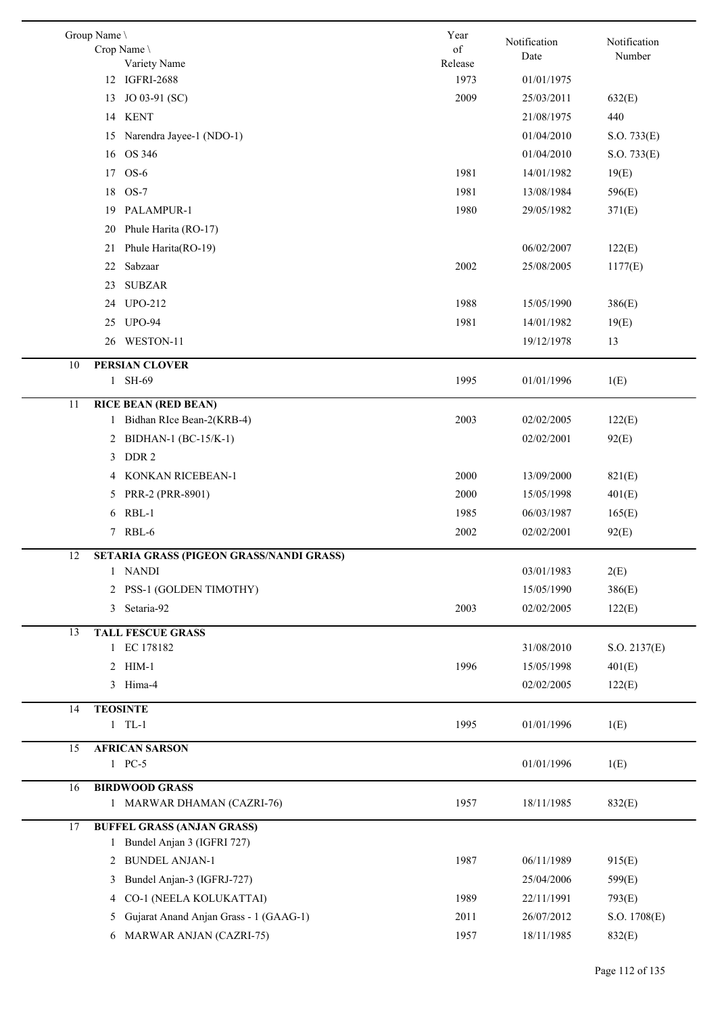|    | Group Name \<br>Crop Name<br>Variety Name                         | Year<br>of<br>Release | Notification<br>Date | Notification<br>Number |
|----|-------------------------------------------------------------------|-----------------------|----------------------|------------------------|
|    | 12 IGFRI-2688                                                     | 1973                  | 01/01/1975           |                        |
|    | JO 03-91 (SC)<br>13                                               | 2009                  | 25/03/2011           | 632(E)                 |
|    | <b>KENT</b><br>14                                                 |                       | 21/08/1975           | 440                    |
|    | Narendra Jayee-1 (NDO-1)<br>15                                    |                       | 01/04/2010           | S.O. 733(E)            |
|    | OS 346<br>16                                                      |                       | 01/04/2010           | S.O. 733(E)            |
|    | $OS-6$<br>17                                                      | 1981                  | 14/01/1982           | 19(E)                  |
|    | 18 OS-7                                                           | 1981                  | 13/08/1984           | 596(E)                 |
|    | PALAMPUR-1<br>19                                                  | 1980                  | 29/05/1982           | 371(E)                 |
|    | Phule Harita (RO-17)<br>20                                        |                       |                      |                        |
|    | Phule Harita(RO-19)<br>21                                         |                       | 06/02/2007           | 122(E)                 |
|    | Sabzaar<br>22                                                     | 2002                  | 25/08/2005           | 1177(E)                |
|    |                                                                   |                       |                      |                        |
|    | <b>SUBZAR</b><br>23                                               |                       |                      |                        |
|    | <b>UPO-212</b><br>24                                              | 1988                  | 15/05/1990           | 386(E)                 |
|    | 25 UPO-94                                                         | 1981                  | 14/01/1982           | 19(E)                  |
|    | WESTON-11<br>26                                                   |                       | 19/12/1978           | 13                     |
| 10 | <b>PERSIAN CLOVER</b>                                             |                       |                      |                        |
|    | 1 SH-69                                                           | 1995                  | 01/01/1996           | 1(E)                   |
| 11 | <b>RICE BEAN (RED BEAN)</b>                                       |                       |                      |                        |
|    | 1 Bidhan RIce Bean-2(KRB-4)                                       | 2003                  | 02/02/2005           | 122(E)                 |
|    | BIDHAN-1 (BC-15/K-1)<br>2                                         |                       | 02/02/2001           | 92(E)                  |
|    | DDR <sub>2</sub><br>3                                             |                       |                      |                        |
|    | KONKAN RICEBEAN-1<br>4                                            | 2000                  | 13/09/2000           | 821(E)                 |
|    | 5 PRR-2 (PRR-8901)                                                | 2000                  | 15/05/1998           | 401(E)                 |
|    | $RBL-1$<br>6                                                      | 1985                  | 06/03/1987           | 165(E)                 |
|    | 7 RBL-6                                                           | 2002                  | 02/02/2001           | 92(E)                  |
|    |                                                                   |                       |                      |                        |
| 12 | SETARIA GRASS (PIGEON GRASS/NANDI GRASS)<br>1 NANDI               |                       | 03/01/1983           |                        |
|    |                                                                   |                       |                      | 2(E)                   |
|    | 2 PSS-1 (GOLDEN TIMOTHY)                                          |                       | 15/05/1990           | 386(E)                 |
|    | Setaria-92<br>3                                                   | 2003                  | 02/02/2005           | 122(E)                 |
| 13 | <b>TALL FESCUE GRASS</b>                                          |                       |                      |                        |
|    | 1 EC 178182                                                       |                       | 31/08/2010           | S.O. 2137(E)           |
|    | 2 HIM-1                                                           | 1996                  | 15/05/1998           | 401(E)                 |
|    | 3 Hima-4                                                          |                       | 02/02/2005           | 122(E)                 |
| 14 | <b>TEOSINTE</b>                                                   |                       |                      |                        |
|    | $1$ TL-1                                                          | 1995                  | 01/01/1996           | 1(E)                   |
| 15 | <b>AFRICAN SARSON</b>                                             |                       |                      |                        |
|    | 1 PC-5                                                            |                       | 01/01/1996           | 1(E)                   |
| 16 | <b>BIRDWOOD GRASS</b>                                             |                       |                      |                        |
|    | 1 MARWAR DHAMAN (CAZRI-76)                                        | 1957                  | 18/11/1985           | 832(E)                 |
|    |                                                                   |                       |                      |                        |
| 17 | <b>BUFFEL GRASS (ANJAN GRASS)</b><br>1 Bundel Anjan 3 (IGFRI 727) |                       |                      |                        |
|    | <b>BUNDEL ANJAN-1</b>                                             | 1987                  | 06/11/1989           |                        |
|    | 2                                                                 |                       |                      | 915(E)                 |
|    | Bundel Anjan-3 (IGFRJ-727)<br>3                                   |                       | 25/04/2006           | 599(E)                 |
|    | CO-1 (NEELA KOLUKATTAI)<br>4                                      | 1989                  | 22/11/1991           | 793(E)                 |
|    | Gujarat Anand Anjan Grass - 1 (GAAG-1)<br>5                       | 2011                  | 26/07/2012           | S.O. 1708(E)           |
|    | 6 MARWAR ANJAN (CAZRI-75)                                         | 1957                  | 18/11/1985           | 832(E)                 |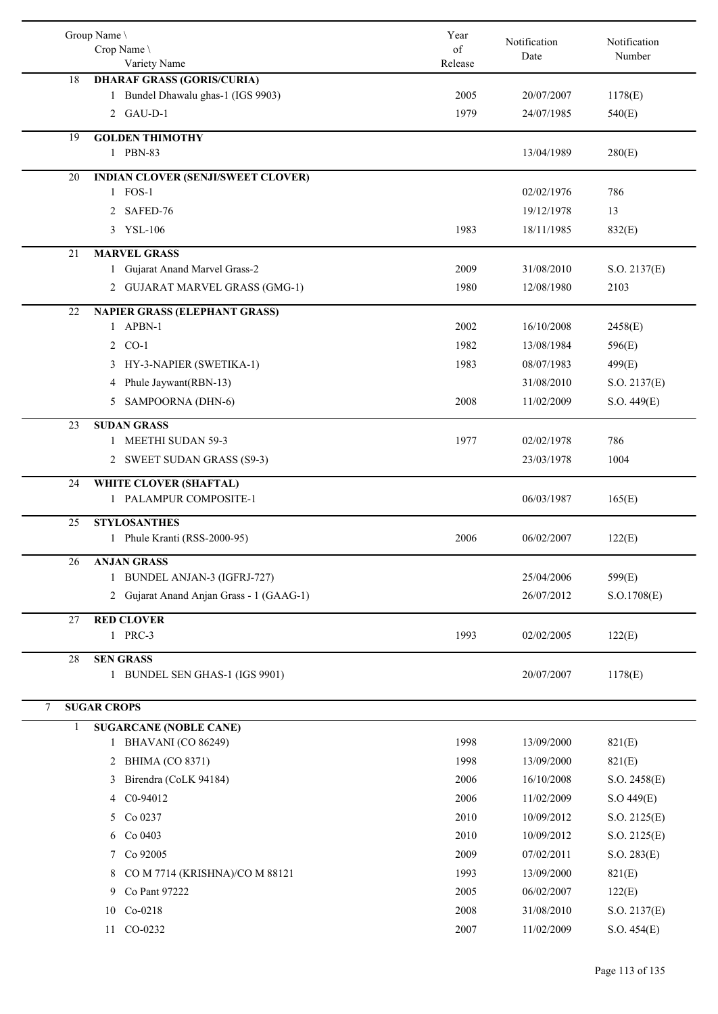|    | Group Name \<br>Crop Name \<br>Variety Name           | Year<br>of<br>Release | Notification<br>Date | Notification<br>Number |
|----|-------------------------------------------------------|-----------------------|----------------------|------------------------|
| 18 | <b>DHARAF GRASS (GORIS/CURIA)</b>                     |                       |                      |                        |
|    | 1 Bundel Dhawalu ghas-1 (IGS 9903)                    | 2005                  | 20/07/2007           | 1178(E)                |
|    | 2 GAU-D-1                                             | 1979                  | 24/07/1985           | 540(E)                 |
| 19 | <b>GOLDEN THIMOTHY</b><br>1 PBN-83                    |                       | 13/04/1989           | 280(E)                 |
| 20 | <b>INDIAN CLOVER (SENJI/SWEET CLOVER)</b><br>1 FOS-1  |                       | 02/02/1976           | 786                    |
|    | 2 SAFED-76                                            |                       | 19/12/1978           | 13                     |
|    | 3 YSL-106                                             | 1983                  | 18/11/1985           | 832(E)                 |
|    |                                                       |                       |                      |                        |
| 21 | <b>MARVEL GRASS</b><br>1 Gujarat Anand Marvel Grass-2 | 2009                  | 31/08/2010           | S.O. 2137(E)           |
|    | 2 GUJARAT MARVEL GRASS (GMG-1)                        | 1980                  | 12/08/1980           | 2103                   |
|    |                                                       |                       |                      |                        |
| 22 | <b>NAPIER GRASS (ELEPHANT GRASS)</b><br>APBN-1<br>1   | 2002                  | 16/10/2008           | 2458(E)                |
|    | 2 CO-1                                                | 1982                  | 13/08/1984           | 596(E)                 |
|    | 3 HY-3-NAPIER (SWETIKA-1)                             | 1983                  | 08/07/1983           | 499(E)                 |
|    | Phule Jaywant(RBN-13)<br>4                            |                       | 31/08/2010           | S.O. 2137(E)           |
|    | 5 SAMPOORNA (DHN-6)                                   | 2008                  | 11/02/2009           | S.O. 449(E)            |
|    |                                                       |                       |                      |                        |
| 23 | <b>SUDAN GRASS</b><br>1 MEETHI SUDAN 59-3             | 1977                  | 02/02/1978           | 786                    |
|    | 2 SWEET SUDAN GRASS (S9-3)                            |                       | 23/03/1978           | 1004                   |
|    |                                                       |                       |                      |                        |
| 24 | WHITE CLOVER (SHAFTAL)<br>PALAMPUR COMPOSITE-1        |                       | 06/03/1987           | 165(E)                 |
| 25 | <b>STYLOSANTHES</b>                                   |                       |                      |                        |
|    | 1 Phule Kranti (RSS-2000-95)                          | 2006                  | 06/02/2007           | 122(E)                 |
| 26 | <b>ANJAN GRASS</b>                                    |                       |                      |                        |
|    | 1 BUNDEL ANJAN-3 (IGFRJ-727)                          |                       | 25/04/2006           | 599(E)                 |
|    | 2 Gujarat Anand Anjan Grass - 1 (GAAG-1)              |                       | 26/07/2012           | S. O.1708(E)           |
| 27 | <b>RED CLOVER</b>                                     |                       |                      |                        |
|    | 1 PRC-3                                               | 1993                  | 02/02/2005           | 122(E)                 |
| 28 | <b>SEN GRASS</b><br>1 BUNDEL SEN GHAS-1 (IGS 9901)    |                       | 20/07/2007           | 1178(E)                |
|    |                                                       |                       |                      |                        |
| 7  | <b>SUGAR CROPS</b>                                    |                       |                      |                        |
| 1  | <b>SUGARCANE (NOBLE CANE)</b>                         |                       |                      |                        |
|    | BHAVANI (CO 86249)<br>1                               | 1998                  | 13/09/2000           | 821(E)                 |
|    | 2 BHIMA (CO 8371)                                     | 1998                  | 13/09/2000           | 821(E)                 |
|    | Birendra (CoLK 94184)<br>3                            | 2006                  | 16/10/2008           | S.O. 2458(E)           |
|    | 4 C0-94012                                            | 2006                  | 11/02/2009           | S.O.449(E)             |
|    | 5 Co 0237                                             | 2010                  | 10/09/2012           | S.O. 2125(E)           |
|    | Co 0403<br>6                                          | 2010                  | 10/09/2012           | S.O. 2125(E)           |
|    | 7 Co 92005                                            | 2009                  | 07/02/2011           | S.O. 283(E)            |
|    | CO M 7714 (KRISHNA)/CO M 88121<br>8                   | 1993                  | 13/09/2000           | 821(E)                 |
|    | Co Pant 97222<br>9                                    | 2005                  | 06/02/2007           | 122(E)                 |
|    | 10 Co-0218                                            | 2008                  | 31/08/2010           | S.O. 2137(E)           |
|    | CO-0232<br>11                                         | 2007                  | 11/02/2009           | S.O. 454(E)            |
|    |                                                       |                       |                      |                        |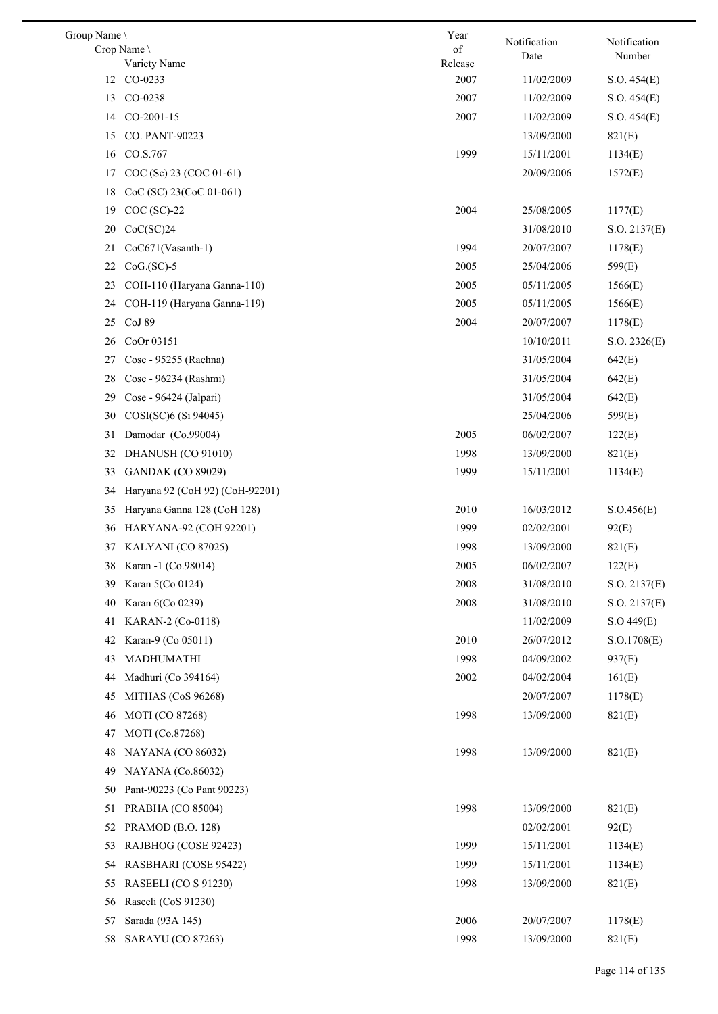| Group Name | Crop Name<br>Variety Name       | Year<br>of<br>Release | Notification<br>Date | Notification<br>Number |
|------------|---------------------------------|-----------------------|----------------------|------------------------|
| 12         | CO-0233                         | 2007                  | 11/02/2009           | S.O. 454(E)            |
| 13         | CO-0238                         | 2007                  | 11/02/2009           | S.O. 454(E)            |
| 14         | CO-2001-15                      | 2007                  | 11/02/2009           | S.O. 454(E)            |
| 15         | CO. PANT-90223                  |                       | 13/09/2000           | 821(E)                 |
| 16         | CO.S.767                        | 1999                  | 15/11/2001           | 1134(E)                |
| 17         | COC (Sc) 23 (COC 01-61)         |                       | 20/09/2006           | 1572(E)                |
| 18         | CoC (SC) 23(CoC 01-061)         |                       |                      |                        |
| 19         | $COC$ (SC)-22                   | 2004                  | 25/08/2005           | 1177(E)                |
| 20         | CoC(SC)24                       |                       | 31/08/2010           | S.O. 2137(E)           |
| 21         | CoC671(Vasanth-1)               | 1994                  | 20/07/2007           | 1178(E)                |
| 22         | $CoG.(SC)-5$                    | 2005                  | 25/04/2006           | 599(E)                 |
| 23         | COH-110 (Haryana Ganna-110)     | 2005                  | 05/11/2005           | 1566(E)                |
| 24         | COH-119 (Haryana Ganna-119)     | 2005                  | 05/11/2005           | 1566(E)                |
| 25         | CoJ 89                          | 2004                  | 20/07/2007           | 1178(E)                |
| 26         | CoOr 03151                      |                       | 10/10/2011           | S.O. 2326(E)           |
| 27         | Cose - 95255 (Rachna)           |                       | 31/05/2004           | 642(E)                 |
| 28         | Cose - 96234 (Rashmi)           |                       | 31/05/2004           | 642(E)                 |
| 29         | Cose - 96424 (Jalpari)          |                       | 31/05/2004           | 642(E)                 |
| 30         | COSI(SC)6 (Si 94045)            |                       | 25/04/2006           | 599(E)                 |
| 31         | Damodar (Co.99004)              | 2005                  | 06/02/2007           | 122(E)                 |
| 32         | DHANUSH (CO 91010)              | 1998                  | 13/09/2000           | 821(E)                 |
| 33         | <b>GANDAK (CO 89029)</b>        | 1999                  | 15/11/2001           | 1134(E)                |
| 34         | Haryana 92 (CoH 92) (CoH-92201) |                       |                      |                        |
| 35         | Haryana Ganna 128 (CoH 128)     | 2010                  | 16/03/2012           | S.O.456(E)             |
| 36         | <b>HARYANA-92 (COH 92201)</b>   | 1999                  | 02/02/2001           | 92(E)                  |
| 37         | KALYANI (CO 87025)              | 1998                  | 13/09/2000           | 821(E)                 |
|            | 38 Karan -1 (Co.98014)          | 2005                  | 06/02/2007           | 122(E)                 |
| 39         | Karan 5(Co 0124)                | 2008                  | 31/08/2010           | S.O. 2137(E)           |
| 40         | Karan 6(Co 0239)                | 2008                  | 31/08/2010           | S.O. 2137(E)           |
| 41         | KARAN-2 (Co-0118)               |                       | 11/02/2009           | S.O.449(E)             |
| 42         | Karan-9 (Co 05011)              | 2010                  | 26/07/2012           | S. O.1708(E)           |
| 43         | MADHUMATHI                      | 1998                  | 04/09/2002           | 937(E)                 |
| 44         | Madhuri (Co 394164)             | 2002                  | 04/02/2004           | 161(E)                 |
| 45         | MITHAS (CoS 96268)              |                       | 20/07/2007           | 1178(E)                |
| 46         | MOTI (CO 87268)                 | 1998                  | 13/09/2000           | 821(E)                 |
| 47         | MOTI (Co.87268)                 |                       |                      |                        |
| 48         | <b>NAYANA</b> (CO 86032)        | 1998                  | 13/09/2000           | 821(E)                 |
| 49         | NAYANA (Co.86032)               |                       |                      |                        |
| 50         | Pant-90223 (Co Pant 90223)      |                       |                      |                        |
| 51         | PRABHA (CO 85004)               | 1998                  | 13/09/2000           | 821(E)                 |
| 52         | PRAMOD (B.O. 128)               |                       | 02/02/2001           | 92(E)                  |
| 53         | RAJBHOG (COSE 92423)            | 1999                  | 15/11/2001           | 1134(E)                |
| 54         | RASBHARI (COSE 95422)           | 1999                  | 15/11/2001           | 1134(E)                |
| 55         | RASEELI (CO S 91230)            | 1998                  | 13/09/2000           | 821(E)                 |
| 56         | Raseeli (CoS 91230)             |                       |                      |                        |
| 57         | Sarada (93A 145)                | 2006                  | 20/07/2007           | 1178(E)                |
| 58         | SARAYU (CO 87263)               | 1998                  | 13/09/2000           | 821(E)                 |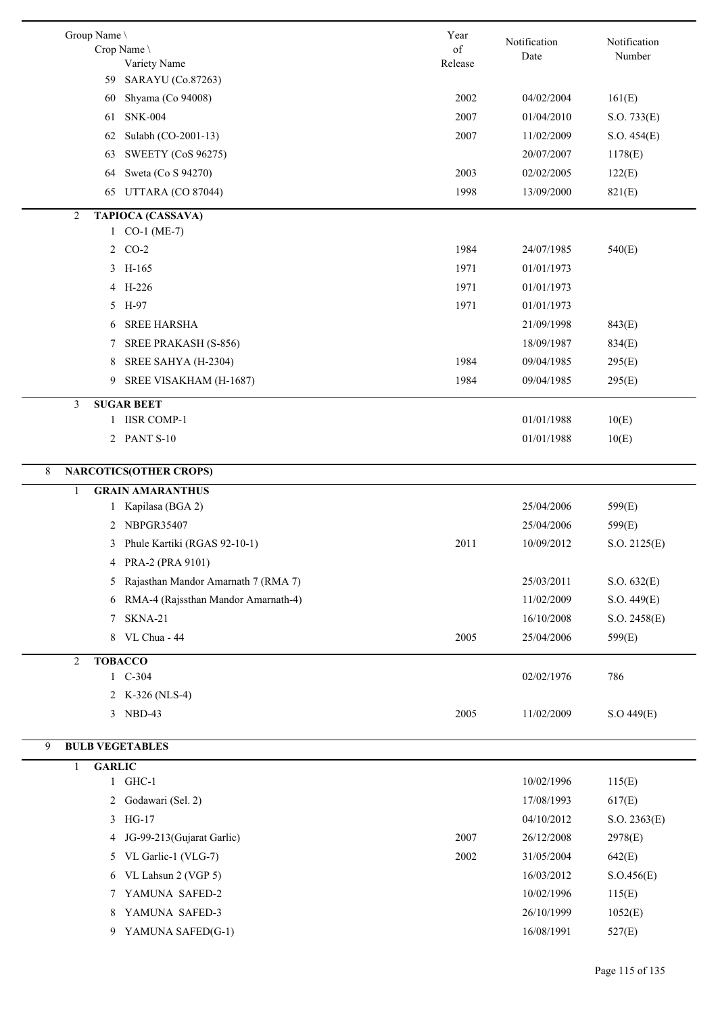| Group Name \<br>Crop Name \                                 | Year<br>$\sigma f$ | Notification       | Notification |
|-------------------------------------------------------------|--------------------|--------------------|--------------|
| Variety Name                                                | Release            | Date               | Number       |
| 59 SARAYU (Co.87263)                                        |                    |                    |              |
| Shyama (Co 94008)<br>60                                     |                    | 2002<br>04/02/2004 | 161(E)       |
| <b>SNK-004</b><br>61                                        |                    | 2007<br>01/04/2010 | S.O. 733(E)  |
| Sulabh (CO-2001-13)<br>62                                   |                    | 2007<br>11/02/2009 | S.O. 454(E)  |
| <b>SWEETY (CoS 96275)</b><br>63                             |                    | 20/07/2007         | 1178(E)      |
| Sweta (Co S 94270)<br>64                                    |                    | 2003<br>02/02/2005 | 122(E)       |
| 65 UTTARA (CO 87044)                                        |                    | 1998<br>13/09/2000 | 821(E)       |
| <b>TAPIOCA (CASSAVA)</b><br>2<br>$1 CO-1 (ME-7)$            |                    |                    |              |
| 2 CO-2                                                      |                    | 1984<br>24/07/1985 | 540(E)       |
| 3 H-165                                                     |                    | 1971               |              |
|                                                             |                    | 01/01/1973         |              |
| 4 H-226                                                     |                    | 1971<br>01/01/1973 |              |
| 5 H-97                                                      |                    | 1971<br>01/01/1973 |              |
| <b>SREE HARSHA</b><br>6                                     |                    | 21/09/1998         | 843(E)       |
| SREE PRAKASH (S-856)<br>7                                   |                    | 18/09/1987         | 834(E)       |
| SREE SAHYA (H-2304)<br>8                                    |                    | 1984<br>09/04/1985 | 295(E)       |
| 9<br>SREE VISAKHAM (H-1687)                                 |                    | 1984<br>09/04/1985 | 295(E)       |
| <b>SUGAR BEET</b><br>3<br><b>IISR COMP-1</b><br>1           |                    | 01/01/1988         | 10(E)        |
| 2 PANT S-10                                                 |                    | 01/01/1988         | 10(E)        |
|                                                             |                    |                    |              |
| <b>NARCOTICS(OTHER CROPS)</b><br>8                          |                    |                    |              |
| <b>GRAIN AMARANTHUS</b><br>$\mathbf{1}$<br>Kapilasa (BGA 2) |                    | 25/04/2006         | 599(E)       |
| 1<br>NBPGR35407<br>2                                        |                    | 25/04/2006         |              |
|                                                             |                    | 2011<br>10/09/2012 | 599(E)       |
| Phule Kartiki (RGAS 92-10-1)<br>3<br>PRA-2 (PRA 9101)       |                    |                    | S.O. 2125(E) |
| 4                                                           |                    |                    |              |
| Rajasthan Mandor Amarnath 7 (RMA 7)<br>5.                   |                    | 25/03/2011         | S.O. 632(E)  |
| RMA-4 (Rajssthan Mandor Amarnath-4)<br>6                    |                    | 11/02/2009         | S.O. 449(E)  |
| SKNA-21<br>7                                                |                    | 16/10/2008         | S.O. 2458(E) |
| VL Chua - 44<br>8                                           |                    | 2005<br>25/04/2006 | 599(E)       |
| <b>TOBACCO</b><br>$\overline{c}$                            |                    |                    |              |
| 1 C-304                                                     |                    | 02/02/1976         | 786          |
| 2 K-326 (NLS-4)                                             |                    |                    |              |
| 3 NBD-43                                                    |                    | 2005<br>11/02/2009 | S.O.449(E)   |
| 9<br><b>BULB VEGETABLES</b>                                 |                    |                    |              |
| <b>GARLIC</b><br>1                                          |                    |                    |              |
| 1 GHC-1                                                     |                    | 10/02/1996         | 115(E)       |
| 2 Godawari (Sel. 2)                                         |                    | 17/08/1993         | 617(E)       |
| 3 HG-17                                                     |                    | 04/10/2012         | S.O. 2363(E) |
| JG-99-213(Gujarat Garlic)<br>4                              |                    | 2007<br>26/12/2008 | 2978(E)      |
| 5 VL Garlic-1 (VLG-7)                                       |                    | 2002<br>31/05/2004 | 642(E)       |
| VL Lahsun 2 (VGP 5)<br>6                                    |                    | 16/03/2012         | S. O.456(E)  |
| YAMUNA SAFED-2<br>7                                         |                    | 10/02/1996         | 115(E)       |
| YAMUNA SAFED-3<br>8                                         |                    | 26/10/1999         | 1052(E)      |
| YAMUNA SAFED(G-1)<br>9                                      |                    | 16/08/1991         | 527(E)       |
|                                                             |                    |                    |              |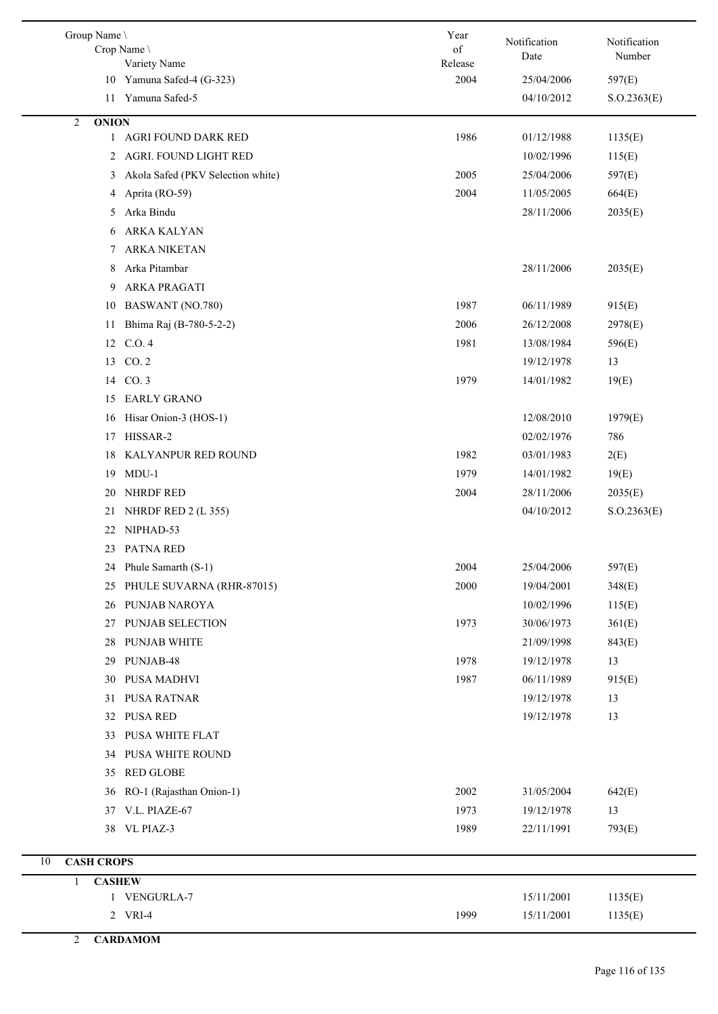| Group Name                    | Crop Name<br>Variety Name         | Year<br>of<br>Release | Notification<br>Date | Notification<br>Number |
|-------------------------------|-----------------------------------|-----------------------|----------------------|------------------------|
|                               | 10 Yamuna Safed-4 (G-323)         | 2004                  | 25/04/2006           | 597(E)                 |
|                               | 11 Yamuna Safed-5                 |                       | 04/10/2012           | S. O.2363(E)           |
| <b>ONION</b><br>2             |                                   |                       |                      |                        |
|                               | 1 AGRI FOUND DARK RED             | 1986                  | 01/12/1988           | 1135(E)                |
|                               | 2 AGRI. FOUND LIGHT RED           |                       | 10/02/1996           | 115(E)                 |
| 3                             | Akola Safed (PKV Selection white) | 2005                  | 25/04/2006           | 597(E)                 |
| 4                             | Aprita (RO-59)                    | 2004                  | 11/05/2005           | 664(E)                 |
| 5                             | Arka Bindu                        |                       | 28/11/2006           | 2035(E)                |
| 6                             | ARKA KALYAN                       |                       |                      |                        |
| 7                             | <b>ARKA NIKETAN</b>               |                       |                      |                        |
| 8                             | Arka Pitambar                     |                       | 28/11/2006           | 2035(E)                |
| 9                             | ARKA PRAGATI                      |                       |                      |                        |
| 10                            | <b>BASWANT</b> (NO.780)           | 1987                  | 06/11/1989           | 915(E)                 |
| 11                            | Bhima Raj (B-780-5-2-2)           | 2006                  | 26/12/2008           | 2978(E)                |
|                               | 12 C.O. 4                         | 1981                  | 13/08/1984           | 596(E)                 |
| 13                            | CO.2                              |                       | 19/12/1978           | 13                     |
|                               | 14 CO. 3                          | 1979                  | 14/01/1982           | 19(E)                  |
| 15                            | <b>EARLY GRANO</b>                |                       |                      |                        |
| 16                            | Hisar Onion-3 (HOS-1)             |                       | 12/08/2010           | 1979(E)                |
| 17                            | HISSAR-2                          |                       | 02/02/1976           | 786                    |
| 18                            | KALYANPUR RED ROUND               | 1982                  | 03/01/1983           | 2(E)                   |
| 19                            | $MDU-1$                           | 1979                  | 14/01/1982           | 19(E)                  |
| 20                            | NHRDF RED                         | 2004                  | 28/11/2006           | 2035(E)                |
| 21                            | NHRDF RED 2 (L 355)               |                       | 04/10/2012           | S. O.2363(E)           |
| 22                            | NIPHAD-53                         |                       |                      |                        |
| 23                            | <b>PATNA RED</b>                  |                       |                      |                        |
|                               | 24 Phule Samarth (S-1)            | 2004                  | 25/04/2006           | 597(E)                 |
| 25                            | PHULE SUVARNA (RHR-87015)         | 2000                  | 19/04/2001           | 348(E)                 |
| 26                            | PUNJAB NAROYA                     |                       | 10/02/1996           | 115(E)                 |
| 27                            | PUNJAB SELECTION                  | 1973                  | 30/06/1973           | 361(E)                 |
| 28                            | PUNJAB WHITE                      |                       | 21/09/1998           | 843(E)                 |
| 29                            | PUNJAB-48                         | 1978                  | 19/12/1978           | 13                     |
| 30                            | PUSA MADHVI                       | 1987                  | 06/11/1989           | 915(E)                 |
| 31                            | <b>PUSA RATNAR</b>                |                       | 19/12/1978           | 13                     |
|                               | 32 PUSA RED                       |                       | 19/12/1978           | 13                     |
| 33                            | <b>PUSA WHITE FLAT</b>            |                       |                      |                        |
| 34                            | PUSA WHITE ROUND                  |                       |                      |                        |
| 35                            | <b>RED GLOBE</b>                  |                       |                      |                        |
| 36                            | RO-1 (Rajasthan Onion-1)          | 2002                  | 31/05/2004           | 642(E)                 |
| 37                            | V.L. PIAZE-67                     | 1973                  | 19/12/1978           | 13                     |
|                               | 38 VL PIAZ-3                      | 1989                  | 22/11/1991           | 793(E)                 |
| <b>CASH CROPS</b><br>$10\,$   |                                   |                       |                      |                        |
| <b>CASHEW</b><br>$\mathbf{1}$ |                                   |                       |                      |                        |
|                               | 1 VENGURLA-7                      |                       | 15/11/2001           | 1135(E)                |
|                               | 2 VRI-4                           | 1999                  | 15/11/2001           | 1135(E)                |
| $\overline{2}$                | <b>CARDAMOM</b>                   |                       |                      |                        |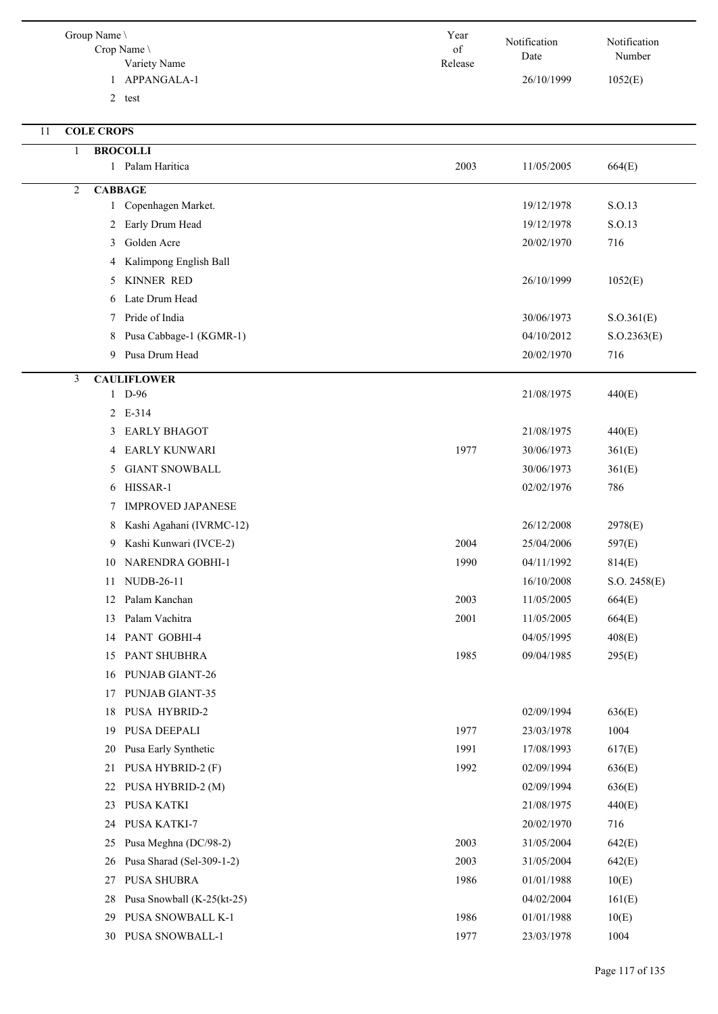| Group Name \<br>Crop Name<br>Variety Name | Year<br>of<br>Release | Notification<br>Date | Notification<br>Number |
|-------------------------------------------|-----------------------|----------------------|------------------------|
| APPANGALA-1<br>1                          |                       | 26/10/1999           | 1052(E)                |
| $\overline{2}$<br>test                    |                       |                      |                        |
|                                           |                       |                      |                        |
| <b>COLE CROPS</b><br>11                   |                       |                      |                        |
| <b>BROCOLLI</b><br>1                      |                       |                      |                        |
| 1 Palam Haritica                          | 2003                  | 11/05/2005           | 664(E)                 |
| 2<br><b>CABBAGE</b>                       |                       |                      |                        |
| Copenhagen Market.<br>$\mathbf{1}$        |                       | 19/12/1978           | S.O.13                 |
| Early Drum Head<br>2                      |                       | 19/12/1978           | S.O.13                 |
| Golden Acre<br>3                          |                       | 20/02/1970           | 716                    |
| Kalimpong English Ball<br>4               |                       |                      |                        |
| <b>KINNER RED</b><br>5                    |                       | 26/10/1999           | 1052(E)                |
| Late Drum Head<br>6                       |                       |                      |                        |
| Pride of India<br>7                       |                       | 30/06/1973           | S. O.361(E)            |
| Pusa Cabbage-1 (KGMR-1)<br>8              |                       | 04/10/2012           | S. O.2363(E)           |
| Pusa Drum Head<br>9                       |                       | 20/02/1970           | 716                    |
| 3<br><b>CAULIFLOWER</b>                   |                       |                      |                        |
| 1 D-96                                    |                       | 21/08/1975           | 440(E)                 |
| 2 E-314                                   |                       |                      |                        |
| <b>EARLY BHAGOT</b><br>3                  |                       | 21/08/1975           | 440(E)                 |
| <b>EARLY KUNWARI</b><br>4                 | 1977                  | 30/06/1973           | 361(E)                 |
| <b>GIANT SNOWBALL</b><br>5                |                       | 30/06/1973           | 361(E)                 |
| HISSAR-1<br>6                             |                       | 02/02/1976           | 786                    |
| <b>IMPROVED JAPANESE</b><br>7             |                       |                      |                        |
| Kashi Agahani (IVRMC-12)<br>8             |                       | 26/12/2008           | 2978(E)                |
| Kashi Kunwari (IVCE-2)<br>9               | 2004                  | 25/04/2006           | 597(E)                 |
| 10 NARENDRA GOBHI-1                       | 1990                  | 04/11/1992           | 814(E)                 |
| NUDB-26-11<br>11                          |                       | 16/10/2008           | S.O. 2458(E)           |
| Palam Kanchan<br>12                       | 2003                  | 11/05/2005           | 664(E)                 |
| Palam Vachitra<br>13                      | 2001                  | 11/05/2005           | 664(E)                 |
| PANT GOBHI-4<br>14                        |                       | 04/05/1995           | 408(E)                 |
| PANT SHUBHRA<br>15                        | 1985                  | 09/04/1985           | 295(E)                 |
| PUNJAB GIANT-26<br>16                     |                       |                      |                        |
| PUNJAB GIANT-35<br>17                     |                       |                      |                        |
| PUSA HYBRID-2<br>18                       |                       | 02/09/1994           | 636(E)                 |
| PUSA DEEPALI<br>19                        | 1977                  | 23/03/1978           | 1004                   |
| Pusa Early Synthetic<br>20                | 1991                  | 17/08/1993           | 617(E)                 |
| PUSA HYBRID-2 (F)<br>21                   | 1992                  | 02/09/1994           | 636(E)                 |
| PUSA HYBRID-2 (M)<br>22                   |                       | 02/09/1994           | 636(E)                 |
| PUSA KATKI<br>23                          |                       | 21/08/1975           | 440(E)                 |
| PUSA KATKI-7<br>24                        |                       | 20/02/1970           | 716                    |
| Pusa Meghna (DC/98-2)<br>25               | 2003                  | 31/05/2004           | 642(E)                 |
| Pusa Sharad (Sel-309-1-2)<br>26           | 2003                  | 31/05/2004           | 642(E)                 |
| PUSA SHUBRA<br>27                         | 1986                  | 01/01/1988           | 10(E)                  |
| Pusa Snowball (K-25(kt-25)<br>28          |                       | 04/02/2004           | 161(E)                 |
| PUSA SNOWBALL K-1<br>29                   | 1986                  | 01/01/1988           | 10(E)                  |
| 30 PUSA SNOWBALL-1                        | 1977                  | 23/03/1978           | 1004                   |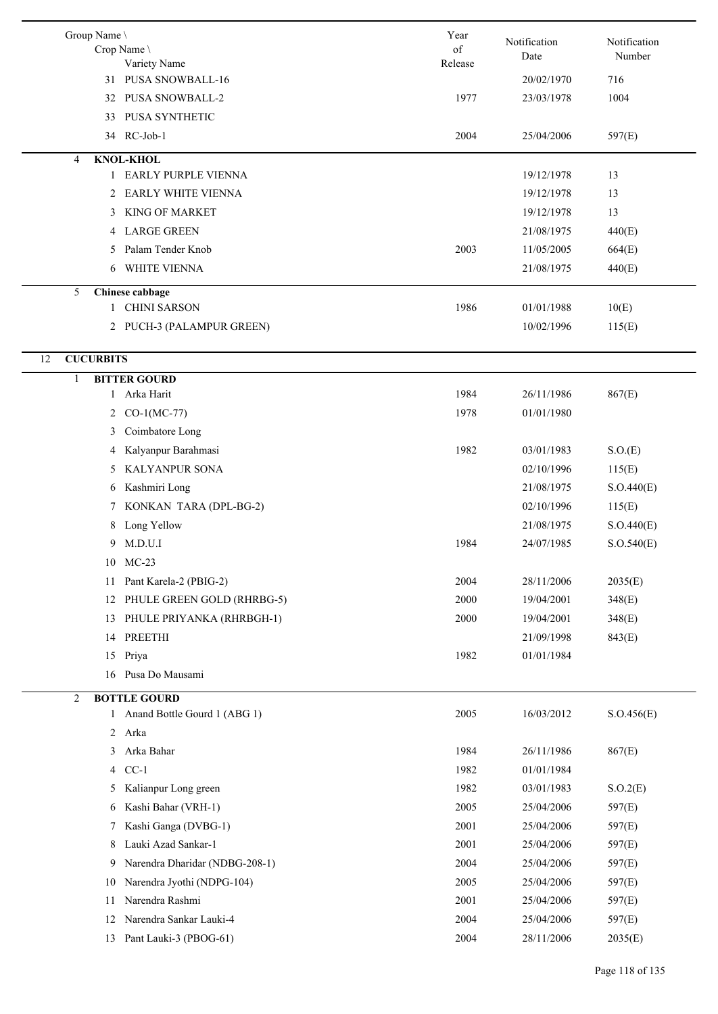| Group Name \           | Crop Name<br>Variety Name                             | Year<br>of<br>Release | Notification<br>Date     | Notification<br>Number |
|------------------------|-------------------------------------------------------|-----------------------|--------------------------|------------------------|
|                        | 31 PUSA SNOWBALL-16                                   |                       | 20/02/1970               | 716                    |
| 32                     | <b>PUSA SNOWBALL-2</b>                                | 1977                  | 23/03/1978               | 1004                   |
| 33                     | PUSA SYNTHETIC                                        |                       |                          |                        |
| 34                     | RC-Job-1                                              | 2004                  | 25/04/2006               | 597(E)                 |
| 4                      | <b>KNOL-KHOL</b>                                      |                       |                          |                        |
| 1                      | <b>EARLY PURPLE VIENNA</b>                            |                       | 19/12/1978               | 13                     |
| 2                      | <b>EARLY WHITE VIENNA</b>                             |                       | 19/12/1978               | 13                     |
| 3                      | <b>KING OF MARKET</b>                                 |                       | 19/12/1978               | 13                     |
|                        | 4 LARGE GREEN                                         |                       | 21/08/1975               | 440(E)                 |
| 5                      | Palam Tender Knob                                     | 2003                  | 11/05/2005               | 664(E)                 |
| 6                      | WHITE VIENNA                                          |                       | 21/08/1975               | 440(E)                 |
| 5                      | Chinese cabbage                                       |                       |                          |                        |
|                        | 1 CHINI SARSON                                        | 1986                  | 01/01/1988               | 10(E)                  |
|                        | 2 PUCH-3 (PALAMPUR GREEN)                             |                       | 10/02/1996               | 115(E)                 |
| <b>CUCURBITS</b><br>12 |                                                       |                       |                          |                        |
| 1                      | <b>BITTER GOURD</b>                                   |                       |                          |                        |
|                        | 1 Arka Harit                                          | 1984                  | 26/11/1986               | 867(E)                 |
| 2                      | $CO-1(MC-77)$                                         | 1978                  | 01/01/1980               |                        |
| 3                      | Coimbatore Long                                       |                       |                          |                        |
| 4                      | Kalyanpur Barahmasi                                   | 1982                  | 03/01/1983               | S.O(E)                 |
| 5                      | KALYANPUR SONA                                        |                       | 02/10/1996               | 115(E)                 |
|                        | 6 Kashmiri Long                                       |                       | 21/08/1975               | S.O.440(E)             |
| 7                      | KONKAN TARA (DPL-BG-2)                                |                       | 02/10/1996               | 115(E)                 |
| 8                      | Long Yellow                                           |                       | 21/08/1975               | S.O.440(E)             |
| 9                      | M.D.U.I                                               | 1984                  | 24/07/1985               | S.O.540(E)             |
|                        | 10 MC-23                                              |                       |                          |                        |
| 11                     | Pant Karela-2 (PBIG-2)                                | 2004                  | 28/11/2006               | 2035(E)                |
| 12                     | PHULE GREEN GOLD (RHRBG-5)                            | 2000                  | 19/04/2001               | 348(E)                 |
| 13                     | PHULE PRIYANKA (RHRBGH-1)                             | 2000                  | 19/04/2001               | 348(E)                 |
|                        |                                                       |                       |                          |                        |
| 14                     | PREETHI                                               | 1982                  | 21/09/1998<br>01/01/1984 | 843(E)                 |
| 15                     | Priya<br>16 Pusa Do Mausami                           |                       |                          |                        |
|                        |                                                       |                       |                          |                        |
| 2                      | <b>BOTTLE GOURD</b><br>1 Anand Bottle Gourd 1 (ABG 1) | 2005                  | 16/03/2012               | S. O.456(E)            |
|                        | 2 Arka                                                |                       |                          |                        |
| 3                      | Arka Bahar                                            | 1984                  | 26/11/1986               | 867(E)                 |
|                        | 4 CC-1                                                | 1982                  |                          |                        |
|                        |                                                       |                       | 01/01/1984               |                        |
| 5                      | Kalianpur Long green                                  | 1982                  | 03/01/1983               | S.O.2(E)               |
| 6                      | Kashi Bahar (VRH-1)                                   | 2005                  | 25/04/2006               | 597(E)                 |
| 7                      | Kashi Ganga (DVBG-1)                                  | 2001                  | 25/04/2006               | 597(E)                 |
| 8                      | Lauki Azad Sankar-1                                   | 2001                  | 25/04/2006               | 597(E)                 |
| 9                      | Narendra Dharidar (NDBG-208-1)                        | 2004                  | 25/04/2006               | 597(E)                 |
| 10                     | Narendra Jyothi (NDPG-104)                            | 2005                  | 25/04/2006               | 597(E)                 |
| 11                     | Narendra Rashmi                                       | 2001                  | 25/04/2006               | 597(E)                 |
| 12                     | Narendra Sankar Lauki-4                               | 2004                  | 25/04/2006               | 597(E)                 |
| 13                     | Pant Lauki-3 (PBOG-61)                                | 2004                  | 28/11/2006               | 2035(E)                |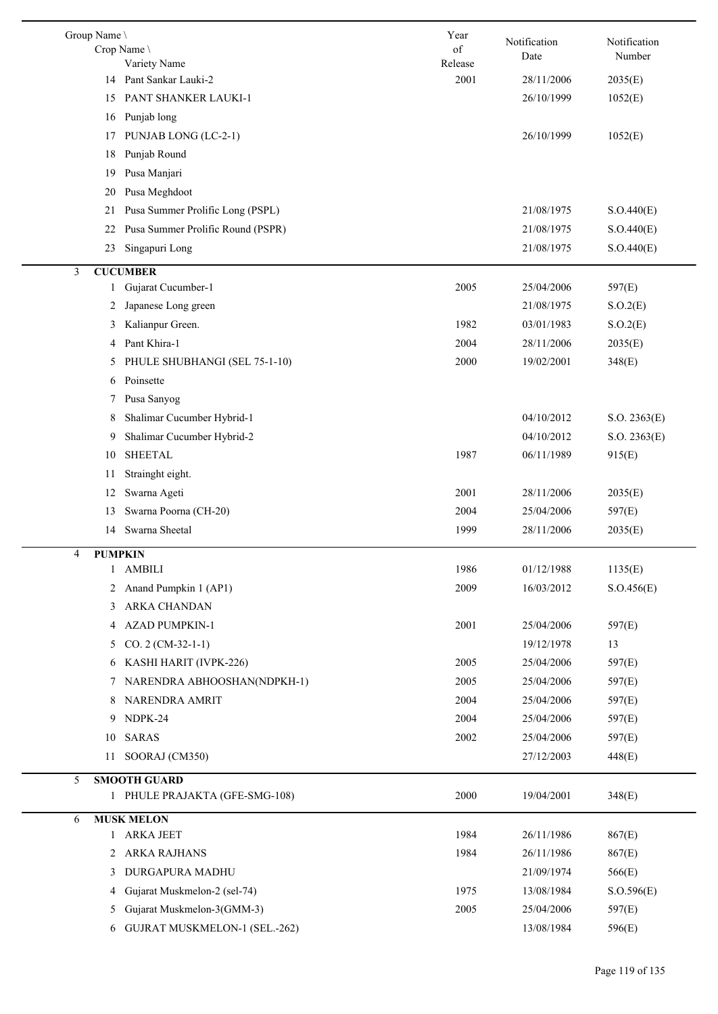| Group Name \      | Crop Name<br>Variety Name             | Year<br>of<br>Release | Notification<br>Date | Notification<br>Number |
|-------------------|---------------------------------------|-----------------------|----------------------|------------------------|
| 14                | Pant Sankar Lauki-2                   | 2001                  | 28/11/2006           | 2035(E)                |
| 15                | PANT SHANKER LAUKI-1                  |                       | 26/10/1999           | 1052(E)                |
| 16                | Punjab long                           |                       |                      |                        |
| 17                | PUNJAB LONG (LC-2-1)                  |                       | 26/10/1999           | 1052(E)                |
| 18                | Punjab Round                          |                       |                      |                        |
| 19                | Pusa Manjari                          |                       |                      |                        |
| 20                | Pusa Meghdoot                         |                       |                      |                        |
| 21                | Pusa Summer Prolific Long (PSPL)      |                       | 21/08/1975           | S.O.440(E)             |
| 22                | Pusa Summer Prolific Round (PSPR)     |                       | 21/08/1975           | S.O.440(E)             |
| 23                | Singapuri Long                        |                       | 21/08/1975           | S.O.440(E)             |
|                   |                                       |                       |                      |                        |
| 3<br>$\mathbf{1}$ | <b>CUCUMBER</b><br>Gujarat Cucumber-1 | 2005                  | 25/04/2006           | 597(E)                 |
|                   | Japanese Long green                   |                       | 21/08/1975           |                        |
| 2                 |                                       |                       |                      | S.O.2(E)               |
| 3                 | Kalianpur Green.                      | 1982                  | 03/01/1983           | S.O.2(E)               |
| 4                 | Pant Khira-1                          | 2004                  | 28/11/2006           | 2035(E)                |
| 5                 | PHULE SHUBHANGI (SEL 75-1-10)         | 2000                  | 19/02/2001           | 348(E)                 |
| 6                 | Poinsette                             |                       |                      |                        |
| 7                 | Pusa Sanyog                           |                       |                      |                        |
| 8                 | Shalimar Cucumber Hybrid-1            |                       | 04/10/2012           | S.O. 2363(E)           |
| 9                 | Shalimar Cucumber Hybrid-2            |                       | 04/10/2012           | S.O. 2363(E)           |
| 10                | <b>SHEETAL</b>                        | 1987                  | 06/11/1989           | 915(E)                 |
| 11                | Strainght eight.                      |                       |                      |                        |
| 12                | Swarna Ageti                          | 2001                  | 28/11/2006           | 2035(E)                |
| 13                | Swarna Poorna (CH-20)                 | 2004                  | 25/04/2006           | 597(E)                 |
| 14                | Swarna Sheetal                        | 1999                  | 28/11/2006           | 2035(E)                |
| 4                 | <b>PUMPKIN</b>                        |                       |                      |                        |
| $\mathbf{1}$      | <b>AMBILI</b>                         | 1986                  | 01/12/1988           | 1135(E)                |
| 2                 | Anand Pumpkin 1 (AP1)                 | 2009                  | 16/03/2012           | S.O.456(E)             |
| 3                 | ARKA CHANDAN                          |                       |                      |                        |
|                   | 4 AZAD PUMPKIN-1                      | 2001                  | 25/04/2006           | 597(E)                 |
| 5                 | $CO. 2 (CM-32-1-1)$                   |                       | 19/12/1978           | 13                     |
| 6                 | KASHI HARIT (IVPK-226)                | 2005                  | 25/04/2006           | 597(E)                 |
| 7                 | NARENDRA ABHOOSHAN(NDPKH-1)           | 2005                  | 25/04/2006           | 597(E)                 |
| 8                 | NARENDRA AMRIT                        | 2004                  | 25/04/2006           | 597(E)                 |
| 9                 | NDPK-24                               | 2004                  | 25/04/2006           | 597(E)                 |
| 10                | <b>SARAS</b>                          | 2002                  | 25/04/2006           | 597(E)                 |
| 11                | SOORAJ (CM350)                        |                       | 27/12/2003           | 448(E)                 |
| 5                 | <b>SMOOTH GUARD</b>                   |                       |                      |                        |
|                   | 1 PHULE PRAJAKTA (GFE-SMG-108)        | 2000                  | 19/04/2001           | 348(E)                 |
|                   |                                       |                       |                      |                        |
| 6                 | <b>MUSK MELON</b><br>1 ARKA JEET      | 1984                  | 26/11/1986           | 867(E)                 |
| $\overline{2}$    | <b>ARKA RAJHANS</b>                   | 1984                  | 26/11/1986           | 867(E)                 |
| 3                 | DURGAPURA MADHU                       |                       | 21/09/1974           | 566(E)                 |
| 4                 | Gujarat Muskmelon-2 (sel-74)          | 1975                  | 13/08/1984           | S. O.596(E)            |
|                   | Gujarat Muskmelon-3(GMM-3)            | 2005                  | 25/04/2006           | 597(E)                 |
| 5                 |                                       |                       |                      |                        |
| 6                 | <b>GUJRAT MUSKMELON-1 (SEL.-262)</b>  |                       | 13/08/1984           | 596(E)                 |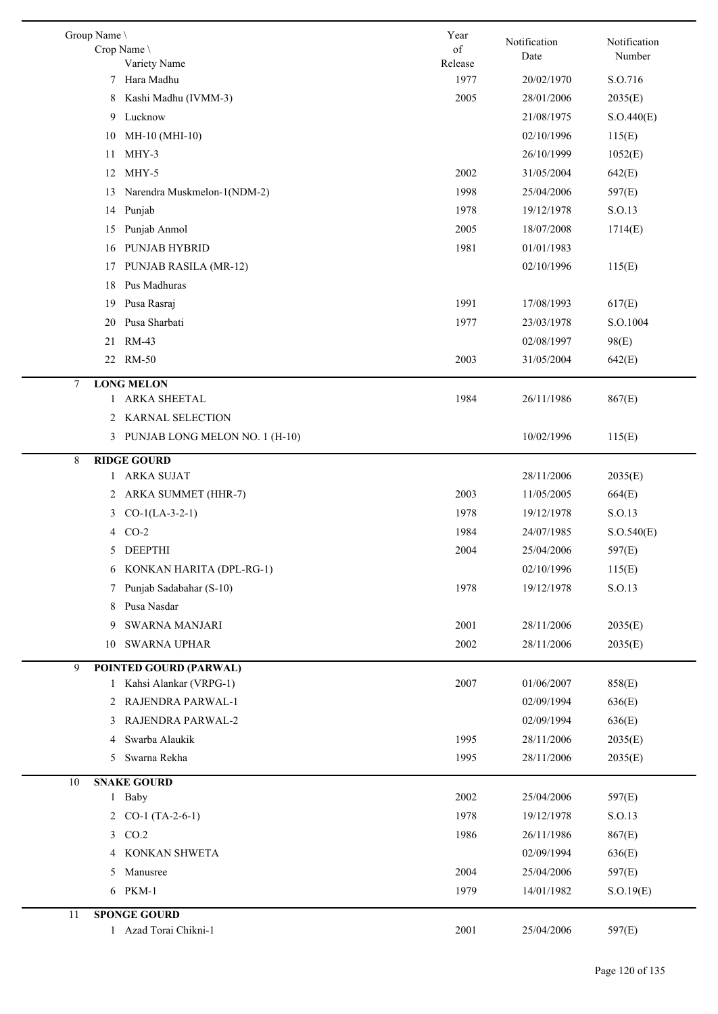| Group Name \<br>Crop Name<br>Variety Name                     | Year<br>of<br>Release | Notification<br>Date | Notification<br>Number |  |
|---------------------------------------------------------------|-----------------------|----------------------|------------------------|--|
| 7 Hara Madhu                                                  | 1977                  | 20/02/1970           | S.O.716                |  |
| Kashi Madhu (IVMM-3)<br>8                                     | 2005                  | 28/01/2006           | 2035(E)                |  |
| Lucknow<br>9                                                  |                       | 21/08/1975           | S.O.440(E)             |  |
| MH-10 (MHI-10)<br>10                                          |                       | 02/10/1996           | 115(E)                 |  |
| $MHY-3$<br>11                                                 |                       | 26/10/1999           | 1052(E)                |  |
| MHY-5<br>12                                                   | 2002                  | 31/05/2004           | 642(E)                 |  |
| Narendra Muskmelon-1(NDM-2)<br>13                             | 1998                  | 25/04/2006           | 597(E)                 |  |
| Punjab<br>14                                                  | 1978                  | 19/12/1978           | S.O.13                 |  |
| Punjab Anmol<br>15                                            | 2005                  | 18/07/2008           | 1714(E)                |  |
| PUNJAB HYBRID<br>16                                           | 1981                  | 01/01/1983           |                        |  |
| PUNJAB RASILA (MR-12)<br>17                                   |                       | 02/10/1996           | 115(E)                 |  |
| Pus Madhuras<br>18                                            |                       |                      |                        |  |
| Pusa Rasraj<br>19                                             | 1991                  | 17/08/1993           | 617(E)                 |  |
| Pusa Sharbati<br>20                                           | 1977                  | 23/03/1978           | S.O.1004               |  |
| RM-43<br>21                                                   |                       | 02/08/1997           | 98(E)                  |  |
| 22 RM-50                                                      | 2003                  | 31/05/2004           | 642(E)                 |  |
|                                                               |                       |                      |                        |  |
| <b>LONG MELON</b><br>7<br><b>ARKA SHEETAL</b><br>$\mathbf{1}$ | 1984                  | 26/11/1986           | 867(E)                 |  |
| 2 KARNAL SELECTION                                            |                       |                      |                        |  |
| 3 PUNJAB LONG MELON NO. 1 (H-10)                              |                       | 10/02/1996           | 115(E)                 |  |
|                                                               |                       |                      |                        |  |
| <b>RIDGE GOURD</b><br>8<br>1 ARKA SUJAT                       |                       | 28/11/2006           | 2035(E)                |  |
| ARKA SUMMET (HHR-7)<br>2                                      | 2003                  | 11/05/2005           | 664(E)                 |  |
| $CO-1(LA-3-2-1)$<br>3                                         | 1978                  | 19/12/1978           | S.O.13                 |  |
| $CO-2$                                                        | 1984                  | 24/07/1985           |                        |  |
| 4<br>5 DEEPTHI                                                | 2004                  | 25/04/2006           | S.O.540(E)             |  |
| 6 KONKAN HARITA (DPL-RG-1)                                    |                       | 02/10/1996           | 597(E)                 |  |
|                                                               |                       |                      | 115(E)                 |  |
| 7 Punjab Sadabahar (S-10)                                     | 1978                  | 19/12/1978           | S.O.13                 |  |
| Pusa Nasdar<br>8                                              |                       |                      |                        |  |
| <b>SWARNA MANJARI</b><br>9                                    | 2001                  | 28/11/2006           | 2035(E)                |  |
| <b>SWARNA UPHAR</b><br>10                                     | 2002                  | 28/11/2006           | 2035(E)                |  |
| 9<br><b>POINTED GOURD (PARWAL)</b>                            |                       |                      |                        |  |
| 1 Kahsi Alankar (VRPG-1)                                      | 2007                  | 01/06/2007           | 858(E)                 |  |
| 2 RAJENDRA PARWAL-1                                           |                       | 02/09/1994           | 636(E)                 |  |
| 3 RAJENDRA PARWAL-2                                           |                       | 02/09/1994           | 636(E)                 |  |
| Swarba Alaukik<br>4                                           | 1995                  | 28/11/2006           | 2035(E)                |  |
| Swarna Rekha<br>5                                             | 1995                  | 28/11/2006           | 2035(E)                |  |
| <b>SNAKE GOURD</b><br>10                                      |                       |                      |                        |  |
| 1 Baby                                                        | 2002                  | 25/04/2006           | 597(E)                 |  |
| 2 $CO-1$ (TA-2-6-1)                                           | 1978                  | 19/12/1978           | S.O.13                 |  |
| 3 CO.2                                                        | 1986                  | 26/11/1986           | 867(E)                 |  |
| 4 KONKAN SHWETA                                               |                       | 02/09/1994           | 636(E)                 |  |
| 5 Manusree                                                    | 2004                  | 25/04/2006           | 597(E)                 |  |
| 6 PKM-1                                                       | 1979                  | 14/01/1982           | S.O.19(E)              |  |
| 11<br><b>SPONGE GOURD</b>                                     |                       |                      |                        |  |
| 1 Azad Torai Chikni-1                                         | 2001                  | 25/04/2006           | 597(E)                 |  |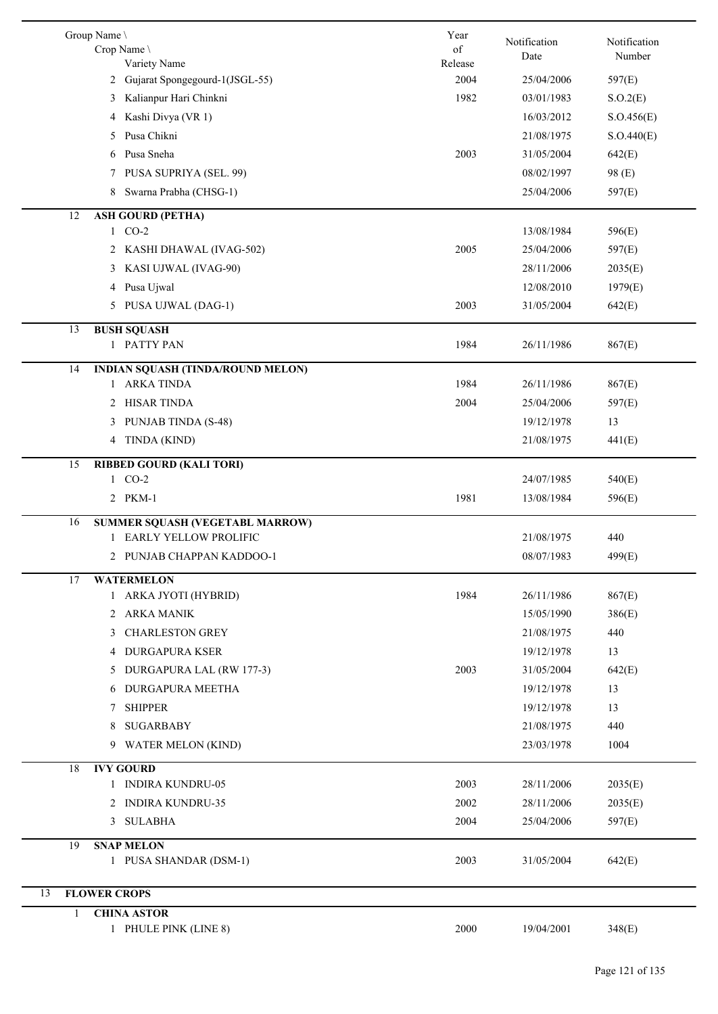|    | Group Name \<br>Crop Name<br>Variety Name                | Year<br>of<br>Release | Notification<br>Date | Notification<br>Number |
|----|----------------------------------------------------------|-----------------------|----------------------|------------------------|
|    | 2 Gujarat Spongegourd-1(JSGL-55)                         | 2004                  | 25/04/2006           | 597(E)                 |
|    | 3 Kalianpur Hari Chinkni                                 | 1982                  | 03/01/1983           | S.O.2(E)               |
|    | Kashi Divya (VR 1)<br>4                                  |                       | 16/03/2012           | S.O.456(E)             |
|    | Pusa Chikni<br>5                                         |                       | 21/08/1975           | S.O.440(E)             |
|    | Pusa Sneha<br>6                                          | 2003                  | 31/05/2004           | 642(E)                 |
|    | PUSA SUPRIYA (SEL. 99)<br>7                              |                       | 08/02/1997           | 98 (E)                 |
|    | Swarna Prabha (CHSG-1)<br>8                              |                       | 25/04/2006           | 597(E)                 |
| 12 | <b>ASH GOURD (PETHA)</b>                                 |                       |                      |                        |
|    | 1 CO-2                                                   |                       | 13/08/1984           | 596(E)                 |
|    | 2 KASHI DHAWAL (IVAG-502)                                | 2005                  | 25/04/2006           | 597(E)                 |
|    | KASI UJWAL (IVAG-90)<br>3                                |                       | 28/11/2006           | 2035(E)                |
|    | 4 Pusa Ujwal                                             |                       | 12/08/2010           | 1979(E)                |
|    | 5 PUSA UJWAL (DAG-1)                                     | 2003                  | 31/05/2004           | 642(E)                 |
|    |                                                          |                       |                      |                        |
| 13 | <b>BUSH SQUASH</b><br>1 PATTY PAN                        | 1984                  | 26/11/1986           | 867(E)                 |
|    |                                                          |                       |                      |                        |
| 14 | <b>INDIAN SQUASH (TINDA/ROUND MELON)</b><br>1 ARKA TINDA | 1984                  | 26/11/1986           | 867(E)                 |
|    | 2 HISAR TINDA                                            | 2004                  | 25/04/2006           | 597(E)                 |
|    | 3 PUNJAB TINDA (S-48)                                    |                       | 19/12/1978           | 13                     |
|    | 4 TINDA (KIND)                                           |                       | 21/08/1975           | 441(E)                 |
|    |                                                          |                       |                      |                        |
| 15 | <b>RIBBED GOURD (KALI TORI)</b>                          |                       |                      |                        |
|    | 1 CO-2                                                   |                       | 24/07/1985           | 540(E)                 |
|    | 2 PKM-1                                                  | 1981                  | 13/08/1984           | 596(E)                 |
| 16 | <b>SUMMER SQUASH (VEGETABL MARROW)</b>                   |                       |                      |                        |
|    | <b>EARLY YELLOW PROLIFIC</b>                             |                       | 21/08/1975           | 440                    |
|    | 2 PUNJAB CHAPPAN KADDOO-1                                |                       | 08/07/1983           | 499(E)                 |
| 17 | <b>WATERMELON</b>                                        |                       |                      |                        |
|    | 1 ARKA JYOTI (HYBRID)                                    | 1984                  | 26/11/1986           | 867(E)                 |
|    | 2 ARKA MANIK                                             |                       | 15/05/1990           | 386(E)                 |
|    | <b>CHARLESTON GREY</b><br>3                              |                       | 21/08/1975           | 440                    |
|    | <b>DURGAPURA KSER</b><br>4                               |                       | 19/12/1978           | 13                     |
|    | 5 DURGAPURA LAL (RW 177-3)                               | 2003                  | 31/05/2004           | 642(E)                 |
|    | 6 DURGAPURA MEETHA                                       |                       | 19/12/1978           | 13                     |
|    | <b>SHIPPER</b><br>7                                      |                       | 19/12/1978           | 13                     |
|    | <b>SUGARBABY</b><br>8                                    |                       | 21/08/1975           | 440                    |
|    | <b>WATER MELON (KIND)</b><br>9                           |                       | 23/03/1978           | 1004                   |
| 18 | <b>IVY GOURD</b>                                         |                       |                      |                        |
|    | 1 INDIRA KUNDRU-05                                       | 2003                  | 28/11/2006           | 2035(E)                |
|    | 2 INDIRA KUNDRU-35                                       | 2002                  | 28/11/2006           | 2035(E)                |
|    | 3 SULABHA                                                | 2004                  | 25/04/2006           | 597(E)                 |
| 19 | <b>SNAP MELON</b>                                        |                       |                      |                        |
|    | 1 PUSA SHANDAR (DSM-1)                                   | 2003                  | 31/05/2004           | 642(E)                 |
|    |                                                          |                       |                      |                        |
| 13 | <b>FLOWER CROPS</b>                                      |                       |                      |                        |
| 1  | <b>CHINA ASTOR</b>                                       |                       |                      |                        |
|    | 1 PHULE PINK (LINE 8)                                    | 2000                  | 19/04/2001           | 348(E)                 |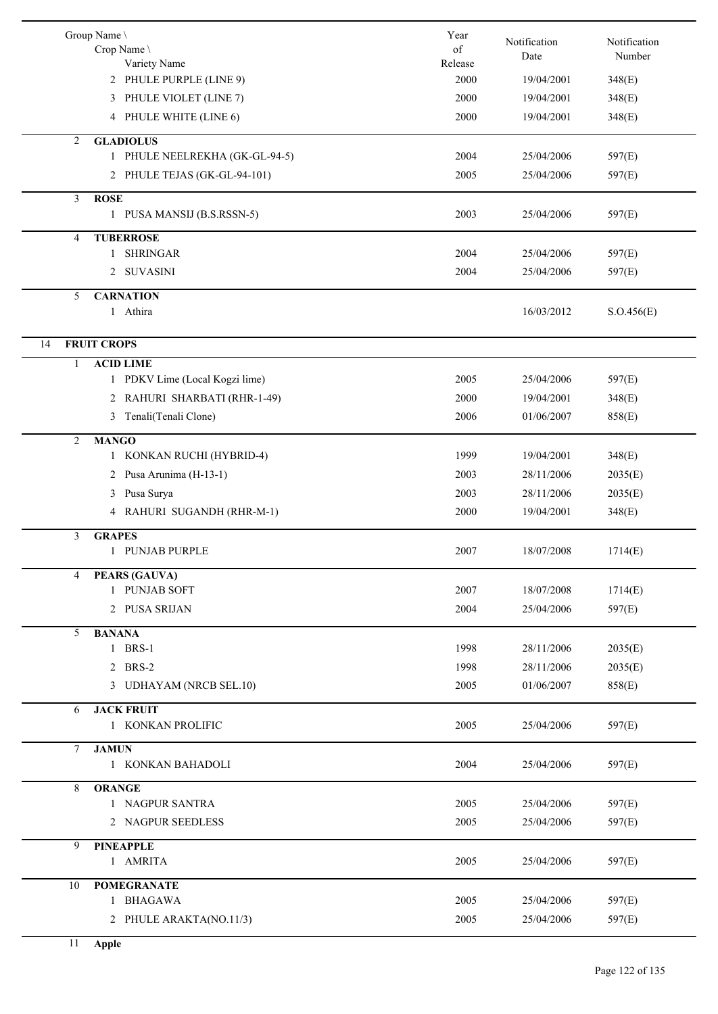|        | Group Name \<br>Crop Name<br>Variety Name | Year<br>of<br>Release | Notification<br>Date | Notification<br>Number |
|--------|-------------------------------------------|-----------------------|----------------------|------------------------|
|        | 2 PHULE PURPLE (LINE 9)                   | 2000                  | 19/04/2001           | 348(E)                 |
|        | 3 PHULE VIOLET (LINE 7)                   | 2000                  | 19/04/2001           | 348(E)                 |
|        | 4 PHULE WHITE (LINE 6)                    | 2000                  | 19/04/2001           | 348(E)                 |
| 2      | <b>GLADIOLUS</b>                          |                       |                      |                        |
|        | 1 PHULE NEELREKHA (GK-GL-94-5)            | 2004                  | 25/04/2006           | 597(E)                 |
|        | 2 PHULE TEJAS (GK-GL-94-101)              | 2005                  | 25/04/2006           | 597(E)                 |
| 3      | <b>ROSE</b><br>1 PUSA MANSIJ (B.S.RSSN-5) | 2003                  | 25/04/2006           | 597(E)                 |
| 4      | <b>TUBERROSE</b>                          |                       |                      |                        |
|        | 1 SHRINGAR                                | 2004                  | 25/04/2006           | 597(E)                 |
|        | 2 SUVASINI                                | 2004                  | 25/04/2006           | 597(E)                 |
| 5      | <b>CARNATION</b>                          |                       |                      |                        |
|        | 1 Athira                                  |                       | 16/03/2012           | S. O.456(E)            |
| 14     | <b>FRUIT CROPS</b>                        |                       |                      |                        |
| 1      | <b>ACID LIME</b>                          |                       |                      |                        |
|        | 1 PDKV Lime (Local Kogzi lime)            | 2005                  | 25/04/2006           | 597(E)                 |
|        | 2 RAHURI SHARBATI (RHR-1-49)              | 2000                  | 19/04/2001           | 348(E)                 |
|        | 3 Tenali(Tenali Clone)                    | 2006                  | 01/06/2007           | 858(E)                 |
|        |                                           |                       |                      |                        |
| 2      | <b>MANGO</b><br>1 KONKAN RUCHI (HYBRID-4) | 1999                  | 19/04/2001           | 348(E)                 |
|        | 2 Pusa Arunima (H-13-1)                   | 2003                  | 28/11/2006           | 2035(E)                |
|        |                                           | 2003                  | 28/11/2006           |                        |
|        | Pusa Surya<br>3                           |                       |                      | 2035(E)                |
|        | RAHURI SUGANDH (RHR-M-1)<br>4             | 2000                  | 19/04/2001           | 348(E)                 |
| 3      | <b>GRAPES</b>                             |                       |                      |                        |
|        | 1 PUNJAB PURPLE                           | 2007                  | 18/07/2008           | 1714(E)                |
| 4      | <b>PEARS (GAUVA)</b>                      |                       |                      |                        |
|        | 1 PUNJAB SOFT                             | 2007                  | 18/07/2008           | 1714(E)                |
|        | 2 PUSA SRIJAN                             | 2004                  | 25/04/2006           | 597(E)                 |
| 5      | <b>BANANA</b><br>1 BRS-1                  |                       |                      |                        |
|        |                                           | 1998                  | 28/11/2006           | 2035(E)                |
|        | 2 BRS-2                                   | 1998                  | 28/11/2006           | 2035(E)                |
|        | 3 UDHAYAM (NRCB SEL.10)                   | 2005                  | 01/06/2007           | 858(E)                 |
| 6      | <b>JACK FRUIT</b>                         |                       |                      |                        |
|        | 1 KONKAN PROLIFIC                         | 2005                  | 25/04/2006           | 597(E)                 |
| $\tau$ | <b>JAMUN</b>                              |                       |                      |                        |
|        | 1 KONKAN BAHADOLI                         | 2004                  | 25/04/2006           | 597(E)                 |
| 8      | <b>ORANGE</b>                             |                       |                      |                        |
|        | 1 NAGPUR SANTRA                           | 2005                  | 25/04/2006           | 597(E)                 |
|        | 2 NAGPUR SEEDLESS                         | 2005                  | 25/04/2006           | 597(E)                 |
| 9      | <b>PINEAPPLE</b>                          |                       |                      |                        |
|        | 1 AMRITA                                  | 2005                  | 25/04/2006           | 597(E)                 |
| 10     | <b>POMEGRANATE</b>                        |                       |                      |                        |
|        | 1 BHAGAWA                                 | 2005                  | 25/04/2006           | 597(E)                 |
|        | 2 PHULE ARAKTA(NO.11/3)                   | 2005                  | 25/04/2006           | 597(E)                 |
|        |                                           |                       |                      |                        |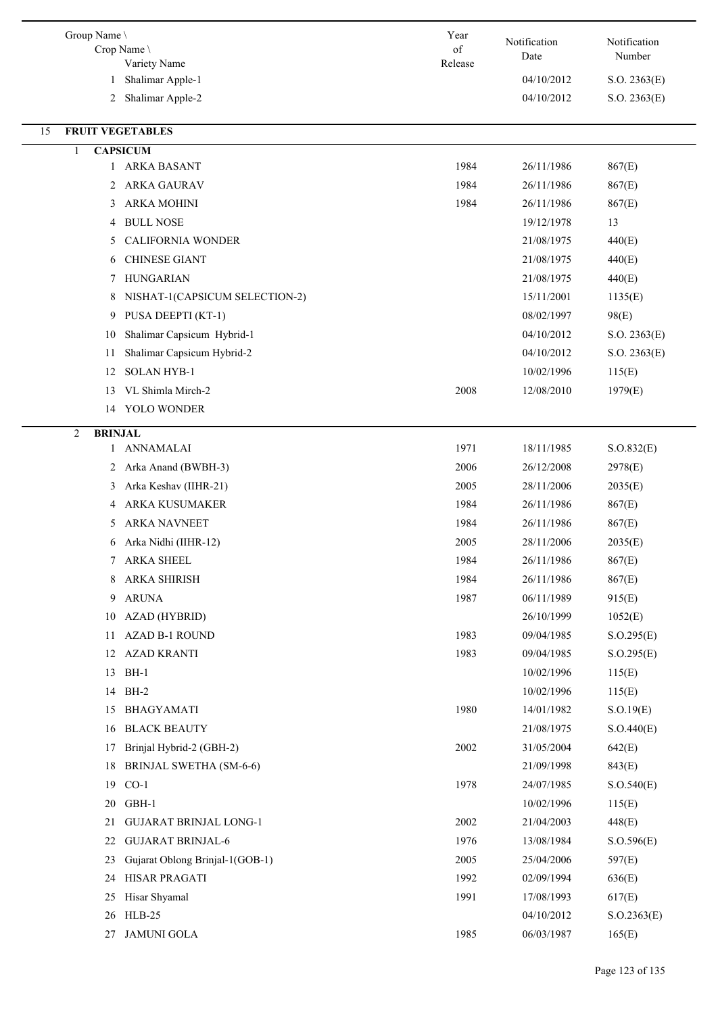| Group Name \<br>Crop Name<br>Variety Name | Year<br>of<br>Release | Notification<br>Date | Notification<br>Number |
|-------------------------------------------|-----------------------|----------------------|------------------------|
| Shalimar Apple-1<br>1                     |                       | 04/10/2012           | S.O. 2363(E)           |
| Shalimar Apple-2<br>$\overline{2}$        |                       | 04/10/2012           | S.O. 2363(E)           |
| <b>FRUIT VEGETABLES</b><br>15             |                       |                      |                        |
| <b>CAPSICUM</b><br>1                      |                       |                      |                        |
| 1 ARKA BASANT                             | 1984                  | 26/11/1986           | 867(E)                 |
| <b>ARKA GAURAV</b><br>2                   | 1984                  | 26/11/1986           | 867(E)                 |
| <b>ARKA MOHINI</b><br>3                   | 1984                  | 26/11/1986           | 867(E)                 |
| <b>BULL NOSE</b><br>4                     |                       | 19/12/1978           | 13                     |
| <b>CALIFORNIA WONDER</b><br>5             |                       | 21/08/1975           | 440(E)                 |
| <b>CHINESE GIANT</b><br>6                 |                       | 21/08/1975           | 440(E)                 |
| <b>HUNGARIAN</b><br>7                     |                       | 21/08/1975           | 440(E)                 |
| NISHAT-1(CAPSICUM SELECTION-2)<br>8       |                       | 15/11/2001           | 1135(E)                |
| PUSA DEEPTI (KT-1)<br>9                   |                       | 08/02/1997           | 98(E)                  |
| Shalimar Capsicum Hybrid-1<br>10          |                       | 04/10/2012           | S.O. 2363(E)           |
| Shalimar Capsicum Hybrid-2<br>11          |                       | 04/10/2012           | S.O. 2363(E)           |
| <b>SOLAN HYB-1</b><br>12                  |                       | 10/02/1996           | 115(E)                 |
| VL Shimla Mirch-2<br>13                   | 2008                  | 12/08/2010           | 1979(E)                |
| YOLO WONDER<br>14                         |                       |                      |                        |
| <b>BRINJAL</b><br>$\overline{2}$          |                       |                      |                        |
| <b>ANNAMALAI</b><br>1                     | 1971                  | 18/11/1985           | S. O.832(E)            |
| Arka Anand (BWBH-3)<br>2                  | 2006                  | 26/12/2008           | 2978(E)                |
| Arka Keshav (IIHR-21)<br>3                | 2005                  | 28/11/2006           | 2035(E)                |
| <b>ARKA KUSUMAKER</b><br>4                | 1984                  | 26/11/1986           | 867(E)                 |
| <b>ARKA NAVNEET</b><br>5                  | 1984                  | 26/11/1986           | 867(E)                 |
| Arka Nidhi (IIHR-12)<br>6                 | 2005                  | 28/11/2006           | 2035(E)                |
| <b>ARKA SHEEL</b><br>7                    | 1984                  | 26/11/1986           | 867(E)                 |
| <b>ARKA SHIRISH</b><br>8                  | 1984                  | 26/11/1986           | 867(E)                 |
| <b>ARUNA</b><br>9                         | 1987                  | 06/11/1989           | 915(E)                 |
| AZAD (HYBRID)<br>10                       |                       | 26/10/1999           | 1052(E)                |
| AZAD B-1 ROUND<br>11                      | 1983                  | 09/04/1985           | S. O.295(E)            |
| <b>AZAD KRANTI</b><br>12                  | 1983                  | 09/04/1985           | S. O.295(E)            |
| 13<br>$BH-1$                              |                       | 10/02/1996           | 115(E)                 |
| $BH-2$<br>14                              |                       | 10/02/1996           | 115(E)                 |
| <b>BHAGYAMATI</b><br>15                   | 1980                  | 14/01/1982           | S.O.19(E)              |
| <b>BLACK BEAUTY</b><br>16                 |                       | 21/08/1975           | S. O.440(E)            |
| Brinjal Hybrid-2 (GBH-2)<br>17            | 2002                  | 31/05/2004           | 642(E)                 |
| 18<br><b>BRINJAL SWETHA (SM-6-6)</b>      |                       | 21/09/1998           | 843(E)                 |
| $CO-1$<br>19                              | 1978                  | 24/07/1985           | S.O.540(E)             |
| 20<br>GBH-1                               |                       | 10/02/1996           | 115(E)                 |
| <b>GUJARAT BRINJAL LONG-1</b><br>21       | 2002                  | 21/04/2003           | 448(E)                 |
| <b>GUJARAT BRINJAL-6</b><br>22            | 1976                  | 13/08/1984           | S. O.596(E)            |
| Gujarat Oblong Brinjal-1(GOB-1)<br>23     | 2005                  | 25/04/2006           | 597(E)                 |
| HISAR PRAGATI<br>24                       | 1992                  | 02/09/1994           | 636(E)                 |
| Hisar Shyamal<br>25                       | 1991                  | 17/08/1993           | 617(E)                 |
| $HLB-25$<br>26                            |                       | 04/10/2012           | S. O.2363(E)           |
| <b>JAMUNI GOLA</b><br>27                  | 1985                  | 06/03/1987           | 165(E)                 |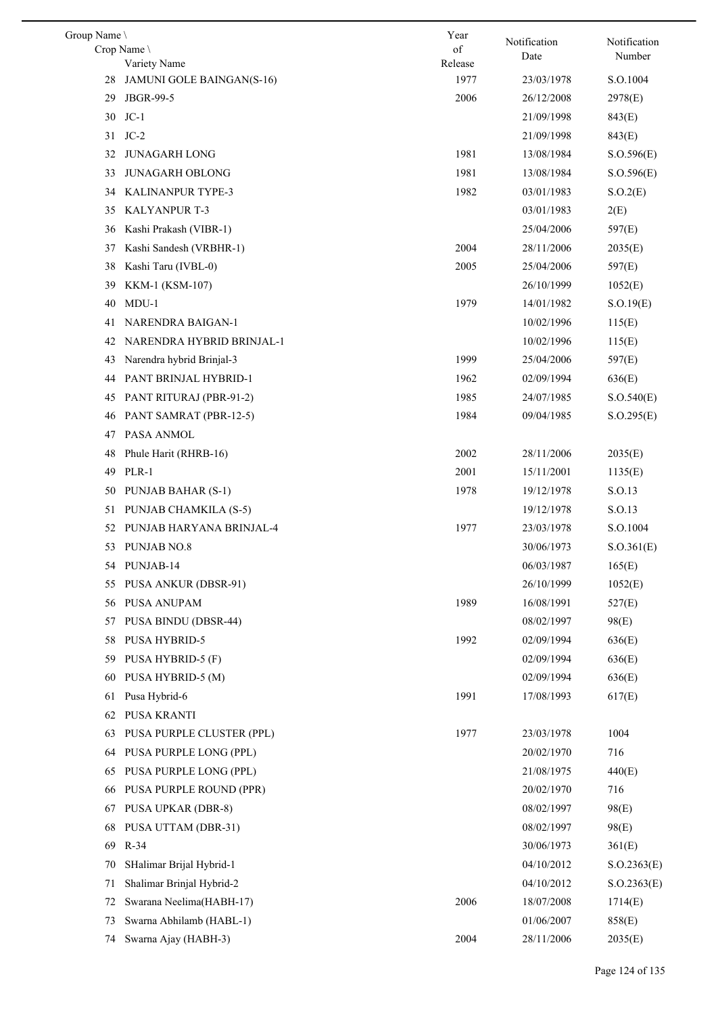| Group Name |                             | Year    | Notification | Notification |
|------------|-----------------------------|---------|--------------|--------------|
|            | Crop Name                   | of      | Date         | Number       |
|            | Variety Name                | Release |              |              |
| 28         | JAMUNI GOLE BAINGAN(S-16)   | 1977    | 23/03/1978   | S.O.1004     |
| 29         | JBGR-99-5                   | 2006    | 26/12/2008   | 2978(E)      |
| 30         | $JC-1$                      |         | 21/09/1998   | 843(E)       |
|            | 31 JC-2                     |         | 21/09/1998   | 843(E)       |
| 32         | <b>JUNAGARH LONG</b>        | 1981    | 13/08/1984   | S. O.596(E)  |
| 33         | <b>JUNAGARH OBLONG</b>      | 1981    | 13/08/1984   | S. O.596(E)  |
| 34         | KALINANPUR TYPE-3           | 1982    | 03/01/1983   | S.O.2(E)     |
| 35         | <b>KALYANPUR T-3</b>        |         | 03/01/1983   | 2(E)         |
| 36         | Kashi Prakash (VIBR-1)      |         | 25/04/2006   | 597(E)       |
| 37         | Kashi Sandesh (VRBHR-1)     | 2004    | 28/11/2006   | 2035(E)      |
| 38         | Kashi Taru (IVBL-0)         | 2005    | 25/04/2006   | 597(E)       |
| 39         | KKM-1 (KSM-107)             |         | 26/10/1999   | 1052(E)      |
| 40         | $MDU-1$                     | 1979    | 14/01/1982   | S.O.19(E)    |
| 41         | NARENDRA BAIGAN-1           |         | 10/02/1996   | 115(E)       |
| 42         | NARENDRA HYBRID BRINJAL-1   |         | 10/02/1996   | 115(E)       |
| 43         | Narendra hybrid Brinjal-3   | 1999    | 25/04/2006   | 597(E)       |
| 44         | PANT BRINJAL HYBRID-1       | 1962    | 02/09/1994   | 636(E)       |
| 45         | PANT RITURAJ (PBR-91-2)     | 1985    | 24/07/1985   | S.O.540(E)   |
| 46         | PANT SAMRAT (PBR-12-5)      | 1984    | 09/04/1985   | S. O.295(E)  |
| 47         | PASA ANMOL                  |         |              |              |
| 48         | Phule Harit (RHRB-16)       | 2002    | 28/11/2006   | 2035(E)      |
| 49         | PLR-1                       | 2001    | 15/11/2001   | 1135(E)      |
| 50         | PUNJAB BAHAR (S-1)          | 1978    | 19/12/1978   | S.O.13       |
| 51         | PUNJAB CHAMKILA (S-5)       |         | 19/12/1978   | S.O.13       |
| 52         | PUNJAB HARYANA BRINJAL-4    | 1977    | 23/03/1978   | S.O.1004     |
| 53         | PUNJAB NO.8                 |         | 30/06/1973   | S. O.361(E)  |
|            | 54 PUNJAB-14                |         | 06/03/1987   | 165(E)       |
| 55         | <b>PUSA ANKUR (DBSR-91)</b> |         | 26/10/1999   | 1052(E)      |
| 56         | PUSA ANUPAM                 | 1989    | 16/08/1991   | 527(E)       |
| 57         | PUSA BINDU (DBSR-44)        |         | 08/02/1997   | 98(E)        |
| 58         | <b>PUSA HYBRID-5</b>        | 1992    | 02/09/1994   | 636(E)       |
| 59         | PUSA HYBRID-5 (F)           |         | 02/09/1994   | 636(E)       |
| 60         | PUSA HYBRID-5 (M)           |         | 02/09/1994   | 636(E)       |
| 61         | Pusa Hybrid-6               | 1991    | 17/08/1993   | 617(E)       |
| 62         | PUSA KRANTI                 |         |              |              |
| 63         | PUSA PURPLE CLUSTER (PPL)   | 1977    | 23/03/1978   | 1004         |
| 64         | PUSA PURPLE LONG (PPL)      |         | 20/02/1970   | 716          |
| 65         | PUSA PURPLE LONG (PPL)      |         | 21/08/1975   | 440(E)       |
| 66         | PUSA PURPLE ROUND (PPR)     |         | 20/02/1970   | 716          |
| 67         | <b>PUSA UPKAR (DBR-8)</b>   |         | 08/02/1997   | 98(E)        |
| 68         | PUSA UTTAM (DBR-31)         |         | 08/02/1997   | 98(E)        |
| 69         | $R-34$                      |         | 30/06/1973   | 361(E)       |
| 70         | SHalimar Brijal Hybrid-1    |         | 04/10/2012   | S. O.2363(E) |
| 71         | Shalimar Brinjal Hybrid-2   |         | 04/10/2012   | S. O.2363(E) |
| 72         | Swarana Neelima(HABH-17)    | 2006    | 18/07/2008   | 1714(E)      |
| 73         | Swarna Abhilamb (HABL-1)    |         | 01/06/2007   | 858(E)       |
| 74         | Swarna Ajay (HABH-3)        | 2004    | 28/11/2006   | 2035(E)      |
|            |                             |         |              |              |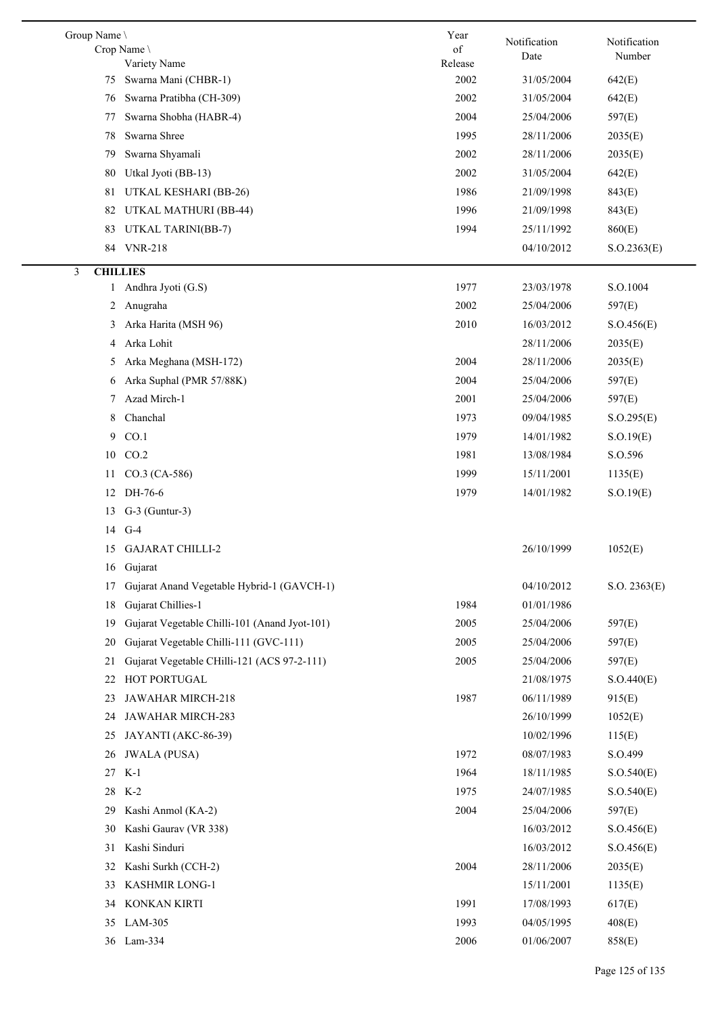| Group Name \<br>Crop Name | Variety Name                                  | Year<br>of<br>Release | Notification<br>Date | Notification<br>Number |
|---------------------------|-----------------------------------------------|-----------------------|----------------------|------------------------|
| 75                        | Swarna Mani (CHBR-1)                          | 2002                  | 31/05/2004           | 642(E)                 |
| 76                        | Swarna Pratibha (CH-309)                      | 2002                  | 31/05/2004           | 642(E)                 |
| 77                        | Swarna Shobha (HABR-4)                        | 2004                  | 25/04/2006           | 597(E)                 |
| 78                        | Swarna Shree                                  | 1995                  | 28/11/2006           | 2035(E)                |
| 79                        | Swarna Shyamali                               | 2002                  | 28/11/2006           | 2035(E)                |
| 80                        | Utkal Jyoti (BB-13)                           | 2002                  | 31/05/2004           | 642(E)                 |
| 81                        | UTKAL KESHARI (BB-26)                         | 1986                  | 21/09/1998           | 843(E)                 |
| 82                        | UTKAL MATHURI (BB-44)                         | 1996                  | 21/09/1998           | 843(E)                 |
| 83                        | UTKAL TARINI(BB-7)                            | 1994                  | 25/11/1992           | 860(E)                 |
|                           | 84 VNR-218                                    |                       | 04/10/2012           | S. O.2363(E)           |
|                           |                                               |                       |                      |                        |
| 3<br><b>CHILLIES</b><br>1 | Andhra Jyoti (G.S)                            | 1977                  | 23/03/1978           | S.O.1004               |
|                           | Anugraha                                      | 2002                  | 25/04/2006           | 597(E)                 |
| 2                         | Arka Harita (MSH 96)                          | 2010                  | 16/03/2012           |                        |
| 3                         |                                               |                       |                      | S. O.456(E)            |
| 4                         | Arka Lohit                                    |                       | 28/11/2006           | 2035(E)                |
| 5                         | Arka Meghana (MSH-172)                        | 2004                  | 28/11/2006           | 2035(E)                |
| 6                         | Arka Suphal (PMR 57/88K)                      | 2004                  | 25/04/2006           | 597(E)                 |
| 7                         | Azad Mirch-1                                  | 2001                  | 25/04/2006           | 597(E)                 |
| 8                         | Chanchal                                      | 1973                  | 09/04/1985           | S. O.295(E)            |
| 9                         | CO.1                                          | 1979                  | 14/01/1982           | S.O.19(E)              |
| 10                        | CO.2                                          | 1981                  | 13/08/1984           | S.O.596                |
| 11                        | CO.3 (CA-586)                                 | 1999                  | 15/11/2001           | 1135(E)                |
| 12                        | DH-76-6                                       | 1979                  | 14/01/1982           | S.O.19(E)              |
| 13                        | $G-3$ (Guntur-3)                              |                       |                      |                        |
|                           | 14 G-4                                        |                       |                      |                        |
| 15                        | <b>GAJARAT CHILLI-2</b>                       |                       | 26/10/1999           | 1052(E)                |
| 16                        | Gujarat                                       |                       |                      |                        |
| 17                        | Gujarat Anand Vegetable Hybrid-1 (GAVCH-1)    |                       | 04/10/2012           | S.O. 2363(E)           |
| 18                        | Gujarat Chillies-1                            | 1984                  | 01/01/1986           |                        |
| 19                        | Gujarat Vegetable Chilli-101 (Anand Jyot-101) | 2005                  | 25/04/2006           | 597(E)                 |
| 20                        | Gujarat Vegetable Chilli-111 (GVC-111)        | 2005                  | 25/04/2006           | 597(E)                 |
| 21                        | Gujarat Vegetable CHilli-121 (ACS 97-2-111)   | 2005                  | 25/04/2006           | 597(E)                 |
| 22                        | HOT PORTUGAL                                  |                       | 21/08/1975           | S.O.440(E)             |
| 23                        | JAWAHAR MIRCH-218                             | 1987                  | 06/11/1989           | 915(E)                 |
| 24                        | JAWAHAR MIRCH-283                             |                       | 26/10/1999           | 1052(E)                |
| 25                        | JAYANTI (AKC-86-39)                           |                       | 10/02/1996           | 115(E)                 |
| 26                        | <b>JWALA</b> (PUSA)                           | 1972                  | 08/07/1983           | S.O.499                |
| 27                        | $K-1$                                         | 1964                  | 18/11/1985           | S.O.540(E)             |
| 28                        | $K-2$                                         | 1975                  | 24/07/1985           | S.O.540(E)             |
| 29                        | Kashi Anmol (KA-2)                            | 2004                  | 25/04/2006           | 597(E)                 |
| 30                        | Kashi Gaurav (VR 338)                         |                       | 16/03/2012           | S. O.456(E)            |
| 31                        | Kashi Sinduri                                 |                       | 16/03/2012           | S. O.456(E)            |
| 32                        | Kashi Surkh (CCH-2)                           | 2004                  | 28/11/2006           | 2035(E)                |
| 33                        | KASHMIR LONG-1                                |                       | 15/11/2001           | 1135(E)                |
| 34                        | KONKAN KIRTI                                  | 1991                  | 17/08/1993           | 617(E)                 |
| 35                        | LAM-305                                       | 1993                  | 04/05/1995           | 408(E)                 |
| 36                        | $Lam-334$                                     | 2006                  | 01/06/2007           | 858(E)                 |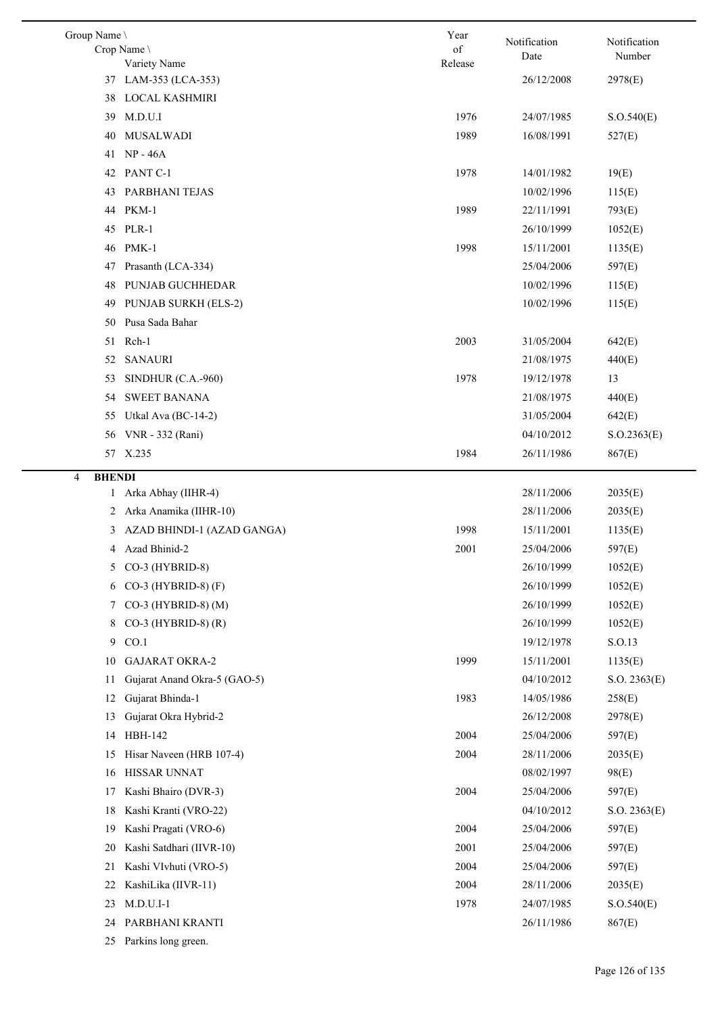| Group Name \<br>Crop Name \<br>Variety Name | Year<br>of<br>Release | Notification<br>Date | Notification<br>Number |
|---------------------------------------------|-----------------------|----------------------|------------------------|
| 37 LAM-353 (LCA-353)                        |                       | 26/12/2008           | 2978(E)                |
| LOCAL KASHMIRI<br>38                        |                       |                      |                        |
| M.D.U.I<br>39                               | 1976                  | 24/07/1985           | S. O.540(E)            |
| <b>MUSALWADI</b><br>40                      | 1989                  | 16/08/1991           | 527(E)                 |
| 41 NP-46A                                   |                       |                      |                        |
| PANT C-1<br>42                              | 1978                  | 14/01/1982           | 19(E)                  |
| PARBHANI TEJAS<br>43                        |                       | 10/02/1996           | 115(E)                 |
| PKM-1<br>44                                 | 1989                  | 22/11/1991           | 793(E)                 |
| PLR-1<br>45                                 |                       | 26/10/1999           | 1052(E)                |
| PMK-1<br>46                                 | 1998                  | 15/11/2001           | 1135(E)                |
| Prasanth (LCA-334)<br>47                    |                       | 25/04/2006           | 597(E)                 |
| PUNJAB GUCHHEDAR<br>48                      |                       | 10/02/1996           | 115(E)                 |
| <b>PUNJAB SURKH (ELS-2)</b><br>49           |                       | 10/02/1996           | 115(E)                 |
| Pusa Sada Bahar<br>50                       |                       |                      |                        |
| Rch-1<br>51                                 | 2003                  | 31/05/2004           | 642(E)                 |
| <b>SANAURI</b><br>52                        |                       | 21/08/1975           | 440(E)                 |
| SINDHUR (C.A.-960)<br>53                    | 1978                  | 19/12/1978           | 13                     |
| <b>SWEET BANANA</b><br>54                   |                       | 21/08/1975           | 440(E)                 |
| Utkal Ava (BC-14-2)<br>55                   |                       | 31/05/2004           | 642(E)                 |
| VNR - 332 (Rani)<br>56                      |                       | 04/10/2012           | S. O.2363(E)           |
| 57 X.235                                    | 1984                  | 26/11/1986           | 867(E)                 |
| <b>BHENDI</b><br>4                          |                       |                      |                        |
| Arka Abhay (IIHR-4)<br>$\mathbf{1}$         |                       | 28/11/2006           | 2035(E)                |
| Arka Anamika (IIHR-10)<br>2                 |                       | 28/11/2006           | 2035(E)                |
| AZAD BHINDI-1 (AZAD GANGA)<br>3             | 1998                  | 15/11/2001           | 1135(E)                |
| Azad Bhinid-2<br>4                          | 2001                  | 25/04/2006           | 597(E)                 |
| CO-3 (HYBRID-8)<br>5                        |                       | 26/10/1999           | 1052(E)                |
| CO-3 (HYBRID-8) $(F)$<br>6                  |                       | 26/10/1999           | 1052(E)                |
| CO-3 (HYBRID-8) (M)<br>7                    |                       | 26/10/1999           | 1052(E)                |
| $CO-3$ (HYBRID-8) (R)<br>8                  |                       | 26/10/1999           | 1052(E)                |
| CO.1<br>9                                   |                       | 19/12/1978           | S.O.13                 |
| <b>GAJARAT OKRA-2</b><br>10                 | 1999                  | 15/11/2001           | 1135(E)                |
| Gujarat Anand Okra-5 (GAO-5)<br>11          |                       | 04/10/2012           | S.O. 2363(E)           |
| Gujarat Bhinda-1<br>12                      | 1983                  | 14/05/1986           | 258(E)                 |
| Gujarat Okra Hybrid-2<br>13                 |                       | 26/12/2008           | 2978(E)                |
| HBH-142<br>14                               | 2004                  | 25/04/2006           | 597(E)                 |
| Hisar Naveen (HRB 107-4)<br>15              | 2004                  | 28/11/2006           | 2035(E)                |
| HISSAR UNNAT<br>16                          |                       | 08/02/1997           | 98(E)                  |
| Kashi Bhairo (DVR-3)<br>17                  | 2004                  | 25/04/2006           | 597(E)                 |
| Kashi Kranti (VRO-22)<br>18                 |                       | 04/10/2012           | S.O. 2363(E)           |
| Kashi Pragati (VRO-6)<br>19                 | 2004                  | 25/04/2006           | 597(E)                 |
| Kashi Satdhari (IIVR-10)<br>20              | 2001                  | 25/04/2006           | 597(E)                 |
| Kashi VIvhuti (VRO-5)<br>21                 | 2004                  | 25/04/2006           | 597(E)                 |
| KashiLika (IIVR-11)<br>22                   | 2004                  | 28/11/2006           | 2035(E)                |
| $M.D.U.I-1$<br>23                           | 1978                  | 24/07/1985           | S. O.540(E)            |
| PARBHANI KRANTI<br>24                       |                       | 26/11/1986           | 867(E)                 |
| 25 Parkins long green.                      |                       |                      |                        |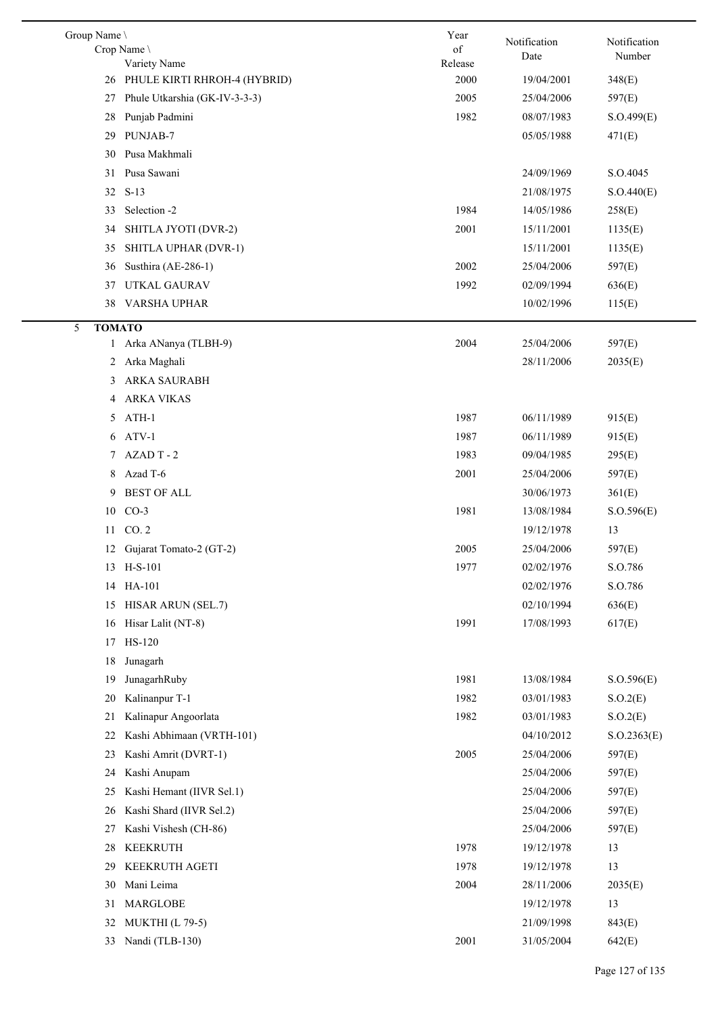| Group Name \       | Crop Name                       | Year<br>of | Notification | Notification |
|--------------------|---------------------------------|------------|--------------|--------------|
|                    | Variety Name                    | Release    | Date         | Number       |
|                    | 26 PHULE KIRTI RHROH-4 (HYBRID) | 2000       | 19/04/2001   | 348(E)       |
| 27                 | Phule Utkarshia (GK-IV-3-3-3)   | 2005       | 25/04/2006   | 597(E)       |
| 28                 | Punjab Padmini                  | 1982       | 08/07/1983   | S.O.499(E)   |
| 29                 | PUNJAB-7                        |            | 05/05/1988   | 471(E)       |
| 30                 | Pusa Makhmali                   |            |              |              |
| 31                 | Pusa Sawani                     |            | 24/09/1969   | S.O.4045     |
| 32                 | $S-13$                          |            | 21/08/1975   | S.O.440(E)   |
| 33                 | Selection -2                    | 1984       | 14/05/1986   | 258(E)       |
| 34                 | SHITLA JYOTI (DVR-2)            | 2001       | 15/11/2001   | 1135(E)      |
| 35                 | SHITLA UPHAR (DVR-1)            |            | 15/11/2001   | 1135(E)      |
| 36                 | Susthira (AE-286-1)             | 2002       | 25/04/2006   | 597(E)       |
| 37                 | UTKAL GAURAV                    | 1992       | 02/09/1994   | 636(E)       |
| 38                 | VARSHA UPHAR                    |            | 10/02/1996   | 115(E)       |
| 5<br><b>TOMATO</b> |                                 |            |              |              |
| $\mathbf{1}$       | Arka ANanya (TLBH-9)            | 2004       | 25/04/2006   | 597(E)       |
|                    | 2 Arka Maghali                  |            | 28/11/2006   | 2035(E)      |
| 3                  | ARKA SAURABH                    |            |              |              |
| 4                  | <b>ARKA VIKAS</b>               |            |              |              |
| 5                  | ATH-1                           | 1987       | 06/11/1989   | 915(E)       |
| 6                  | ATV-1                           | 1987       | 06/11/1989   | 915(E)       |
| 7                  | AZAD T-2                        | 1983       | 09/04/1985   | 295(E)       |
| 8                  | Azad T-6                        | 2001       | 25/04/2006   | 597(E)       |
| 9                  | <b>BEST OF ALL</b>              |            | 30/06/1973   | 361(E)       |
| 10                 | $CO-3$                          | 1981       | 13/08/1984   | S. O.596(E)  |
| 11                 | CO.2                            |            | 19/12/1978   | 13           |
| 12                 | Gujarat Tomato-2 (GT-2)         | 2005       | 25/04/2006   | 597(E)       |
| 13                 | $H-S-101$                       | 1977       | 02/02/1976   | S.O.786      |
| 14                 | HA-101                          |            | 02/02/1976   | S.O.786      |
| 15                 | HISAR ARUN (SEL.7)              |            | 02/10/1994   | 636(E)       |
| 16                 | Hisar Lalit (NT-8)              | 1991       | 17/08/1993   | 617(E)       |
| 17                 | HS-120                          |            |              |              |
| 18                 | Junagarh                        |            |              |              |
| 19                 | JunagarhRuby                    | 1981       | 13/08/1984   | S.O.596(E)   |
| 20                 | Kalinanpur T-1                  | 1982       | 03/01/1983   | S.O.2(E)     |
| 21                 | Kalinapur Angoorlata            | 1982       | 03/01/1983   | S.O.2(E)     |
| 22                 | Kashi Abhimaan (VRTH-101)       |            | 04/10/2012   | S. O.2363(E) |
| 23                 | Kashi Amrit (DVRT-1)            | 2005       | 25/04/2006   | 597(E)       |
| 24                 | Kashi Anupam                    |            | 25/04/2006   | 597(E)       |
| 25                 | Kashi Hemant (IIVR Sel.1)       |            | 25/04/2006   | 597(E)       |
| 26                 | Kashi Shard (IIVR Sel.2)        |            | 25/04/2006   | 597(E)       |
| 27                 | Kashi Vishesh (CH-86)           |            | 25/04/2006   | 597(E)       |
| 28                 | <b>KEEKRUTH</b>                 | 1978       | 19/12/1978   | 13           |
| 29                 | KEEKRUTH AGETI                  | 1978       | 19/12/1978   | 13           |
| 30                 | Mani Leima                      | 2004       | 28/11/2006   | 2035(E)      |
| 31                 | MARGLOBE                        |            | 19/12/1978   | 13           |
| 32                 | <b>MUKTHI</b> (L 79-5)          |            | 21/09/1998   | 843(E)       |
| 33                 | Nandi (TLB-130)                 | 2001       | 31/05/2004   | 642(E)       |
|                    |                                 |            |              |              |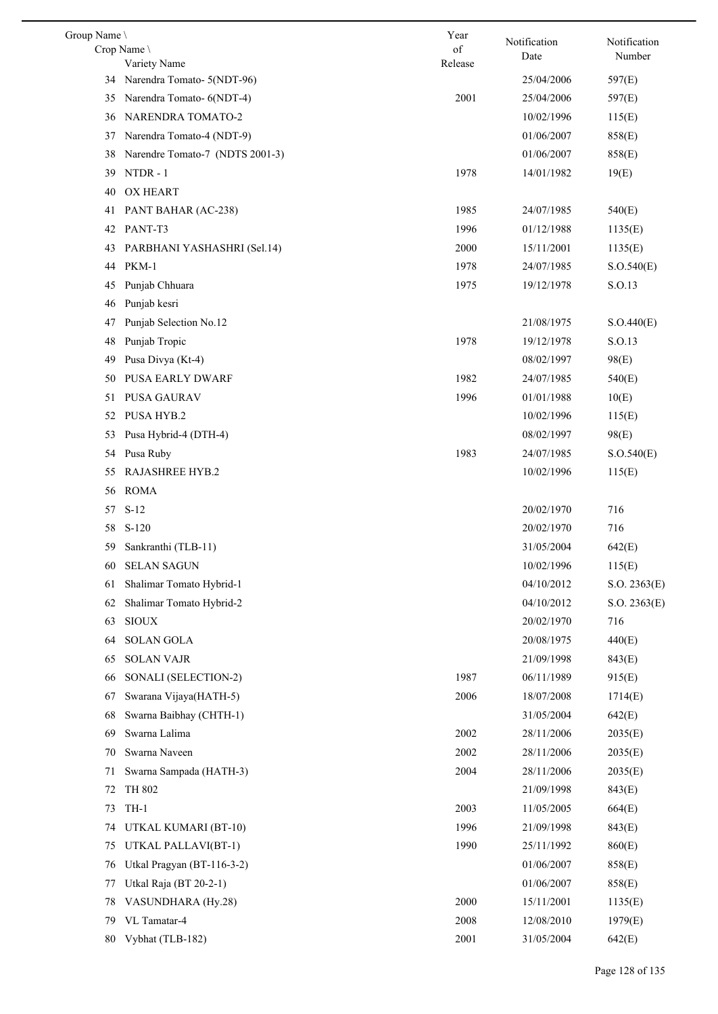| Group Name \ |                                            | Year    | Notification             | Notification |
|--------------|--------------------------------------------|---------|--------------------------|--------------|
|              | Crop Name                                  | of      | Date                     | Number       |
| 34           | Variety Name<br>Narendra Tomato- 5(NDT-96) | Release | 25/04/2006               | 597(E)       |
| 35           | Narendra Tomato- 6(NDT-4)                  | 2001    | 25/04/2006               | 597(E)       |
| 36           | NARENDRA TOMATO-2                          |         | 10/02/1996               | 115(E)       |
| 37           | Narendra Tomato-4 (NDT-9)                  |         | 01/06/2007               | 858(E)       |
| 38           | Narendre Tomato-7 (NDTS 2001-3)            |         | 01/06/2007               | 858(E)       |
| 39           | NTDR-1                                     | 1978    | 14/01/1982               | 19(E)        |
| 40           | <b>OX HEART</b>                            |         |                          |              |
| 41           | PANT BAHAR (AC-238)                        | 1985    | 24/07/1985               | 540(E)       |
| 42           | PANT-T3                                    | 1996    | 01/12/1988               | 1135(E)      |
| 43           | PARBHANI YASHASHRI (Sel.14)                | 2000    | 15/11/2001               | 1135(E)      |
| 44           | PKM-1                                      | 1978    | 24/07/1985               | S.O.540(E)   |
| 45           | Punjab Chhuara                             | 1975    | 19/12/1978               | S.O.13       |
| 46           | Punjab kesri                               |         |                          |              |
| 47           | Punjab Selection No.12                     |         | 21/08/1975               | S.O.440(E)   |
| 48           | Punjab Tropic                              | 1978    | 19/12/1978               | S.O.13       |
| 49           | Pusa Divya (Kt-4)                          |         | 08/02/1997               | 98(E)        |
| 50           | PUSA EARLY DWARF                           | 1982    | 24/07/1985               | 540(E)       |
| 51           | PUSA GAURAV                                | 1996    | 01/01/1988               | 10(E)        |
| 52           | PUSA HYB.2                                 |         |                          |              |
|              |                                            |         | 10/02/1996<br>08/02/1997 | 115(E)       |
| 53           | Pusa Hybrid-4 (DTH-4)                      | 1983    |                          | 98(E)        |
| 54           | Pusa Ruby                                  |         | 24/07/1985               | S.O.540(E)   |
| 55           | RAJASHREE HYB.2                            |         | 10/02/1996               | 115(E)       |
| 56           | <b>ROMA</b>                                |         |                          |              |
| 57           | $S-12$                                     |         | 20/02/1970               | 716          |
| 58           | $S-120$                                    |         | 20/02/1970               | 716          |
| 59           | Sankranthi (TLB-11)                        |         | 31/05/2004               | 642(E)       |
|              | 60 SELAN SAGUN                             |         | 10/02/1996               | 115(E)       |
| 61           | Shalimar Tomato Hybrid-1                   |         | 04/10/2012               | S.O. 2363(E) |
| 62           | Shalimar Tomato Hybrid-2                   |         | 04/10/2012               | S.O. 2363(E) |
| 63           | <b>SIOUX</b>                               |         | 20/02/1970               | 716          |
| 64           | <b>SOLAN GOLA</b>                          |         | 20/08/1975               | 440(E)       |
| 65           | <b>SOLAN VAJR</b>                          |         | 21/09/1998               | 843(E)       |
| 66           | SONALI (SELECTION-2)                       | 1987    | 06/11/1989               | 915(E)       |
| 67           | Swarana Vijaya(HATH-5)                     | 2006    | 18/07/2008               | 1714(E)      |
| 68           | Swarna Baibhay (CHTH-1)                    |         | 31/05/2004               | 642(E)       |
| 69           | Swarna Lalima                              | 2002    | 28/11/2006               | 2035(E)      |
| 70           | Swarna Naveen                              | 2002    | 28/11/2006               | 2035(E)      |
| 71           | Swarna Sampada (HATH-3)                    | 2004    | 28/11/2006               | 2035(E)      |
| 72           | TH 802                                     |         | 21/09/1998               | 843(E)       |
| 73           | $TH-1$                                     | 2003    | 11/05/2005               | 664(E)       |
| 74           | UTKAL KUMARI (BT-10)                       | 1996    | 21/09/1998               | 843(E)       |
| 75           | UTKAL PALLAVI(BT-1)                        | 1990    | 25/11/1992               | 860(E)       |
| 76           | Utkal Pragyan (BT-116-3-2)                 |         | 01/06/2007               | 858(E)       |
| 77           | Utkal Raja (BT 20-2-1)                     |         | 01/06/2007               | 858(E)       |
| 78           | VASUNDHARA (Hy.28)                         | 2000    | 15/11/2001               | 1135(E)      |
| 79           | VL Tamatar-4                               | 2008    | 12/08/2010               | 1979(E)      |
| 80           | Vybhat (TLB-182)                           | 2001    | 31/05/2004               | 642(E)       |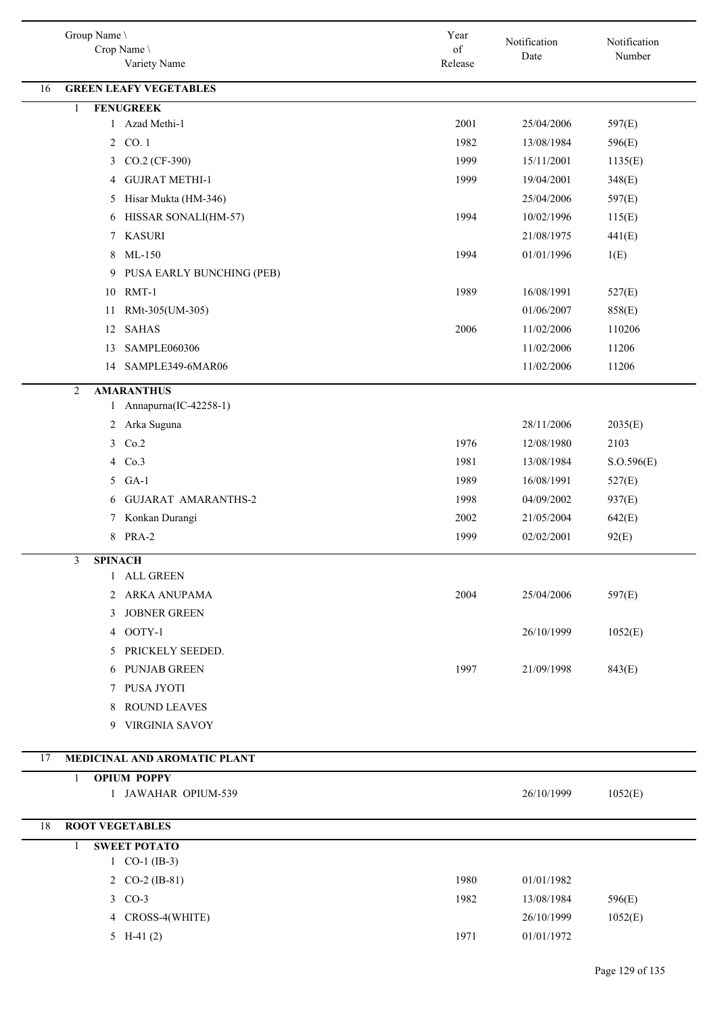| Group Name \<br>Crop Name<br>Variety Name | Year<br>of<br>Release | Notification<br>Date | Notification<br>Number |
|-------------------------------------------|-----------------------|----------------------|------------------------|
| <b>GREEN LEAFY VEGETABLES</b><br>16       |                       |                      |                        |
| <b>FENUGREEK</b><br>$\mathbf{1}$          |                       |                      |                        |
| Azad Methi-1<br>$\mathbf{1}$              | 2001                  | 25/04/2006           | 597(E)                 |
| 2 CO. 1                                   | 1982                  | 13/08/1984           | 596(E)                 |
| CO.2 (CF-390)<br>$\mathfrak{Z}$           | 1999                  | 15/11/2001           | 1135(E)                |
| <b>GUJRAT METHI-1</b><br>4                | 1999                  | 19/04/2001           | 348(E)                 |
| Hisar Mukta (HM-346)<br>5                 |                       | 25/04/2006           | 597(E)                 |
| HISSAR SONALI(HM-57)<br>6                 | 1994                  | 10/02/1996           | 115(E)                 |
| <b>KASURI</b><br>7                        |                       | 21/08/1975           | 441(E)                 |
| $ML-150$<br>8                             | 1994                  | 01/01/1996           | 1(E)                   |
| PUSA EARLY BUNCHING (PEB)<br>9            |                       |                      |                        |
| 10 RMT-1                                  | 1989                  | 16/08/1991           | 527(E)                 |
| RMt-305(UM-305)<br>11                     |                       | 01/06/2007           | 858(E)                 |
| <b>SAHAS</b><br>12                        | 2006                  | 11/02/2006           | 110206                 |
| SAMPLE060306<br>13                        |                       | 11/02/2006           | 11206                  |
| SAMPLE349-6MAR06<br>14                    |                       | 11/02/2006           | 11206                  |
| <b>AMARANTHUS</b><br>$\overline{2}$       |                       |                      |                        |
| 1 Annapurna(IC-42258-1)                   |                       |                      |                        |
| 2 Arka Suguna                             |                       | 28/11/2006           | 2035(E)                |
| 3 Co.2                                    | 1976                  | 12/08/1980           | 2103                   |
| 4 Co.3                                    | 1981                  | 13/08/1984           | S. O.596(E)            |
| 5 GA-1                                    | 1989                  | 16/08/1991           | 527(E)                 |
| <b>GUJARAT AMARANTHS-2</b><br>6           | 1998                  | 04/09/2002           | 937(E)                 |
| Konkan Durangi<br>7                       | 2002                  | 21/05/2004           | 642(E)                 |
| 8 PRA-2                                   | 1999                  | 02/02/2001           | 92(E)                  |
| 3<br><b>SPINACH</b>                       |                       |                      |                        |
| 1 ALL GREEN                               |                       |                      |                        |
| 2 ARKA ANUPAMA                            | 2004                  | 25/04/2006           | 597(E)                 |
| 3 JOBNER GREEN                            |                       |                      |                        |
| 4 OOTY-1                                  |                       | 26/10/1999           | 1052(E)                |
| 5 PRICKELY SEEDED.                        |                       |                      |                        |
| 6 PUNJAB GREEN                            | 1997                  | 21/09/1998           | 843(E)                 |
| 7 PUSA JYOTI                              |                       |                      |                        |
| 8 ROUND LEAVES                            |                       |                      |                        |
| 9 VIRGINIA SAVOY                          |                       |                      |                        |
| 17<br>MEDICINAL AND AROMATIC PLANT        |                       |                      |                        |
| <b>OPIUM POPPY</b><br>1                   |                       |                      |                        |
| 1 JAWAHAR OPIUM-539                       |                       | 26/10/1999           | 1052(E)                |
| <b>ROOT VEGETABLES</b><br>18              |                       |                      |                        |
| <b>SWEET POTATO</b><br>1                  |                       |                      |                        |
| 1 $CO-1$ (IB-3)                           |                       |                      |                        |
| 2 CO-2 (IB-81)                            | 1980                  | 01/01/1982           |                        |
| 3 CO-3                                    | 1982                  | 13/08/1984           | 596(E)                 |
| 4 CROSS-4(WHITE)                          |                       | 26/10/1999           | 1052(E)                |
| 5 H-41 $(2)$                              | 1971                  | 01/01/1972           |                        |
|                                           |                       |                      |                        |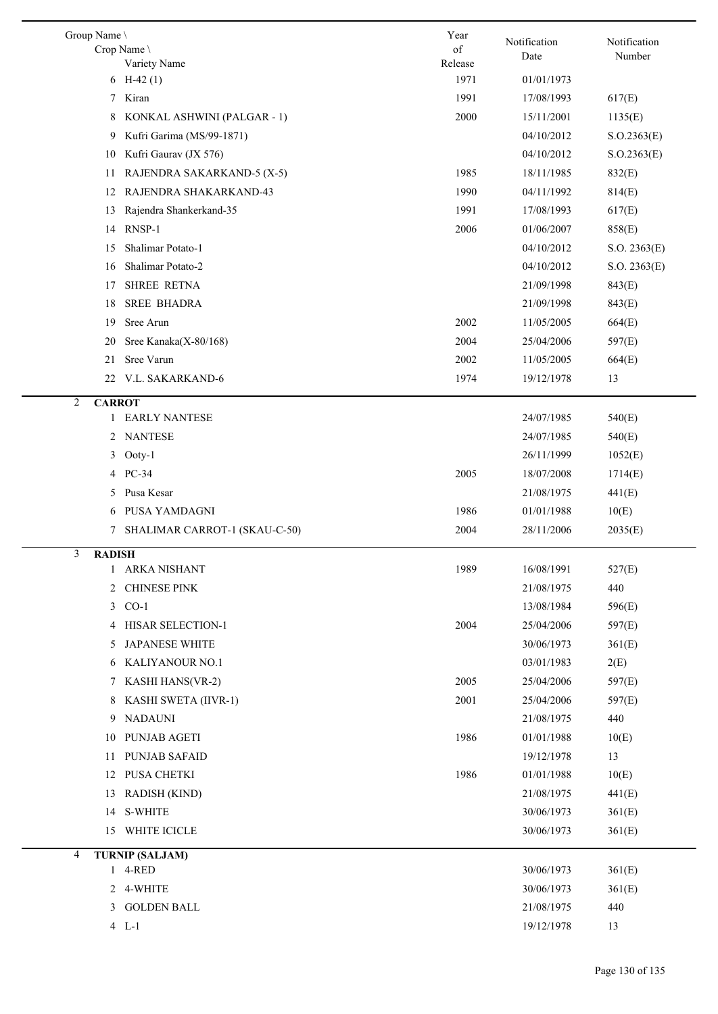| Group Name \                       | Year          | Notification | Notification |
|------------------------------------|---------------|--------------|--------------|
| Crop Name<br>Variety Name          | of<br>Release | Date         | Number       |
| 6 H-42 $(1)$                       | 1971          | 01/01/1973   |              |
| Kiran<br>7                         | 1991          | 17/08/1993   | 617(E)       |
| 8<br>KONKAL ASHWINI (PALGAR - 1)   | 2000          | 15/11/2001   | 1135(E)      |
| Kufri Garima (MS/99-1871)<br>9     |               | 04/10/2012   | S. O.2363(E) |
| Kufri Gaurav (JX 576)<br>10        |               | 04/10/2012   | S. O.2363(E) |
| RAJENDRA SAKARKAND-5 (X-5)<br>11   | 1985          | 18/11/1985   | 832(E)       |
| RAJENDRA SHAKARKAND-43<br>12       | 1990          | 04/11/1992   | 814(E)       |
| Rajendra Shankerkand-35<br>13      | 1991          | 17/08/1993   | 617(E)       |
| RNSP-1<br>14                       | 2006          | 01/06/2007   | 858(E)       |
| Shalimar Potato-1<br>15            |               | 04/10/2012   | S.O. 2363(E) |
| Shalimar Potato-2<br>16            |               | 04/10/2012   | S.O. 2363(E) |
| <b>SHREE RETNA</b><br>17           |               | 21/09/1998   | 843(E)       |
| <b>SREE BHADRA</b><br>18           |               | 21/09/1998   | 843(E)       |
| Sree Arun<br>19                    | 2002          | 11/05/2005   | 664(E)       |
| Sree Kanaka(X-80/168)<br>20        | 2004          | 25/04/2006   | 597(E)       |
| Sree Varun<br>21                   | 2002          | 11/05/2005   | 664(E)       |
| V.L. SAKARKAND-6<br>22             | 1974          | 19/12/1978   | 13           |
| 2<br><b>CARROT</b>                 |               |              |              |
| <b>EARLY NANTESE</b><br>1          |               | 24/07/1985   | 540(E)       |
| <b>NANTESE</b><br>2                |               | 24/07/1985   | 540(E)       |
| 3<br>Ooty-1                        |               | 26/11/1999   | 1052(E)      |
| 4 PC-34                            | 2005          | 18/07/2008   | 1714(E)      |
| Pusa Kesar<br>5.                   |               | 21/08/1975   | 441(E)       |
| PUSA YAMDAGNI<br>6                 | 1986          | 01/01/1988   | 10(E)        |
| SHALIMAR CARROT-1 (SKAU-C-50)<br>7 | 2004          | 28/11/2006   | 2035(E)      |
| 3<br><b>RADISH</b>                 |               |              |              |
| <b>ARKA NISHANT</b>                | 1989          | 16/08/1991   | 527(E)       |
| 2 CHINESE PINK                     |               | 21/08/1975   | 440          |
| $CO-1$<br>3                        |               | 13/08/1984   | 596(E)       |
| 4 HISAR SELECTION-1                | 2004          | 25/04/2006   | 597(E)       |
| <b>JAPANESE WHITE</b><br>5.        |               | 30/06/1973   | 361(E)       |
| KALIYANOUR NO.1<br>6               |               | 03/01/1983   | 2(E)         |
| <b>KASHI HANS(VR-2)</b><br>7       | 2005          | 25/04/2006   | 597(E)       |
| KASHI SWETA (IIVR-1)<br>8          | 2001          | 25/04/2006   | 597(E)       |
| <b>NADAUNI</b><br>9                |               | 21/08/1975   | 440          |
| PUNJAB AGETI<br>10                 | 1986          | 01/01/1988   | 10(E)        |
| <b>PUNJAB SAFAID</b><br>11         |               | 19/12/1978   | 13           |
| PUSA CHETKI<br>12                  | 1986          | 01/01/1988   | 10(E)        |
| <b>RADISH (KIND)</b><br>13         |               | 21/08/1975   | 441(E)       |
| <b>S-WHITE</b><br>14               |               | 30/06/1973   | 361(E)       |
| WHITE ICICLE<br>15                 |               | 30/06/1973   | 361(E)       |
| <b>TURNIP (SALJAM)</b><br>4        |               |              |              |
| 1 4-RED                            |               | 30/06/1973   | 361(E)       |
| 2 4-WHITE                          |               | 30/06/1973   | 361(E)       |
| 3 GOLDEN BALL                      |               | 21/08/1975   | 440          |
| $4 L-1$                            |               | 19/12/1978   | 13           |
|                                    |               |              |              |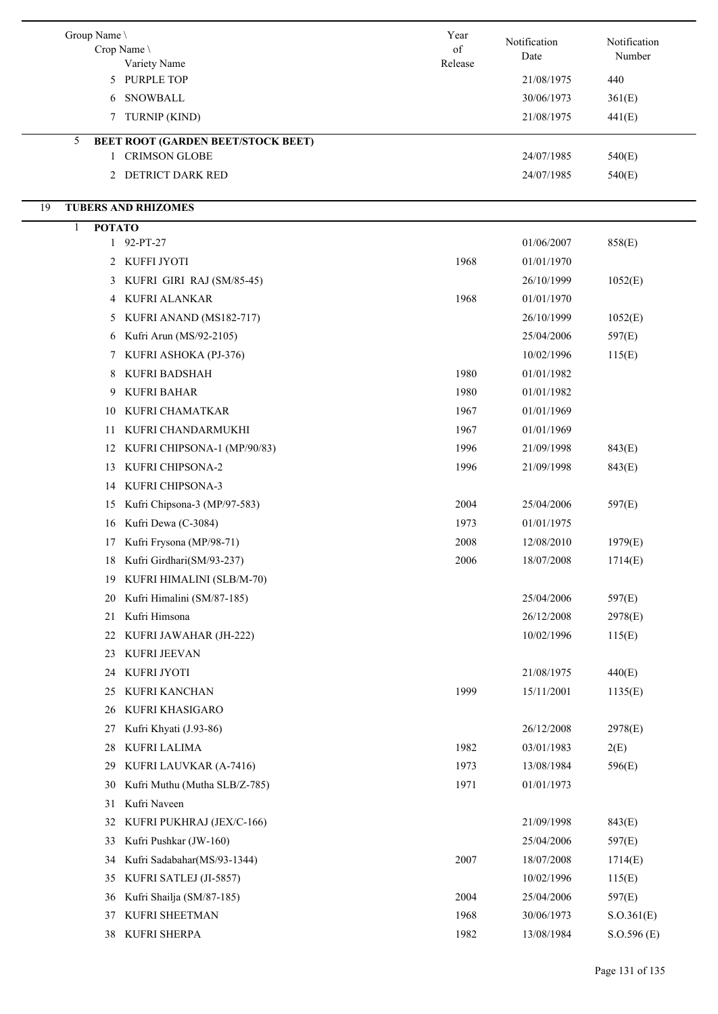| Group Name<br>Crop Name<br>Variety Name        | Year<br>of<br>Release | Notification<br>Date | Notification<br>Number |
|------------------------------------------------|-----------------------|----------------------|------------------------|
| 5 PURPLE TOP                                   |                       | 21/08/1975           | 440                    |
| 6 SNOWBALL                                     |                       | 30/06/1973           | 361(E)                 |
| 7 TURNIP (KIND)                                |                       | 21/08/1975           | 441(E)                 |
| <b>BEET ROOT (GARDEN BEET/STOCK BEET)</b><br>5 |                       |                      |                        |
| <b>CRIMSON GLOBE</b><br>$\mathbf{1}$           |                       | 24/07/1985           | 540(E)                 |
| 2 DETRICT DARK RED                             |                       | 24/07/1985           | 540(E)                 |
| 19<br><b>TUBERS AND RHIZOMES</b>               |                       |                      |                        |
| <b>POTATO</b><br>1                             |                       |                      |                        |
| $1\quad 92-PT-27$                              |                       | 01/06/2007           | 858(E)                 |
| 2 KUFFI JYOTI                                  | 1968                  | 01/01/1970           |                        |
| KUFRI GIRI RAJ (SM/85-45)<br>3                 |                       | 26/10/1999           | 1052(E)                |
| 4 KUFRI ALANKAR                                | 1968                  | 01/01/1970           |                        |
| 5 KUFRI ANAND (MS182-717)                      |                       | 26/10/1999           | 1052(E)                |
| 6 Kufri Arun (MS/92-2105)                      |                       | 25/04/2006           | 597(E)                 |
| 7 KUFRI ASHOKA (PJ-376)                        |                       | 10/02/1996           | 115(E)                 |
| KUFRI BADSHAH<br>8                             | 1980                  | 01/01/1982           |                        |
| KUFRI BAHAR<br>9                               | 1980                  | 01/01/1982           |                        |
| KUFRI CHAMATKAR<br>10                          | 1967                  | 01/01/1969           |                        |
| KUFRI CHANDARMUKHI<br>11                       | 1967                  | 01/01/1969           |                        |
| KUFRI CHIPSONA-1 (MP/90/83)<br>12              | 1996                  | 21/09/1998           | 843(E)                 |
| KUFRI CHIPSONA-2<br>13                         | 1996                  | 21/09/1998           | 843(E)                 |
| KUFRI CHIPSONA-3<br>14                         |                       |                      |                        |
| Kufri Chipsona-3 (MP/97-583)<br>15             | 2004                  | 25/04/2006           | 597(E)                 |
| Kufri Dewa (C-3084)<br>16                      | 1973                  | 01/01/1975           |                        |
| Kufri Frysona (MP/98-71)<br>17                 | 2008                  | 12/08/2010           | 1979(E)                |
| 18 Kufri Girdhari(SM/93-237)                   | 2006                  | 18/07/2008           | 1714(E)                |
| KUFRI HIMALINI (SLB/M-70)<br>19                |                       |                      |                        |
| Kufri Himalini (SM/87-185)<br>20               |                       | 25/04/2006           | 597(E)                 |
| Kufri Himsona<br>21                            |                       | 26/12/2008           | 2978(E)                |
| KUFRI JAWAHAR (JH-222)<br>22                   |                       | 10/02/1996           | 115(E)                 |
| KUFRI JEEVAN<br>23                             |                       |                      |                        |
| KUFRI JYOTI<br>24                              |                       | 21/08/1975           | 440(E)                 |
| KUFRI KANCHAN<br>25                            | 1999                  | 15/11/2001           | 1135(E)                |
| KUFRI KHASIGARO<br>26                          |                       |                      |                        |
| Kufri Khyati (J.93-86)<br>27                   |                       | 26/12/2008           | 2978(E)                |
| KUFRI LALIMA<br>28                             | 1982                  | 03/01/1983           | 2(E)                   |
| KUFRI LAUVKAR (A-7416)<br>29                   | 1973                  | 13/08/1984           | 596(E)                 |
| Kufri Muthu (Mutha SLB/Z-785)<br>30            | 1971                  | 01/01/1973           |                        |
| Kufri Naveen<br>31                             |                       |                      |                        |
| KUFRI PUKHRAJ (JEX/C-166)<br>32                |                       | 21/09/1998           | 843(E)                 |
| Kufri Pushkar (JW-160)<br>33                   |                       | 25/04/2006           | 597(E)                 |
| Kufri Sadabahar(MS/93-1344)<br>34              | 2007                  | 18/07/2008           | 1714(E)                |
| KUFRI SATLEJ (JI-5857)<br>35                   |                       | 10/02/1996           | 115(E)                 |
| Kufri Shailja (SM/87-185)<br>36                | 2004                  | 25/04/2006           | 597(E)                 |
| KUFRI SHEETMAN<br>37                           | 1968                  | 30/06/1973           | S. O.361(E)            |
| 38 KUFRI SHERPA                                | 1982                  | 13/08/1984           | S. O.596(E)            |
|                                                |                       |                      |                        |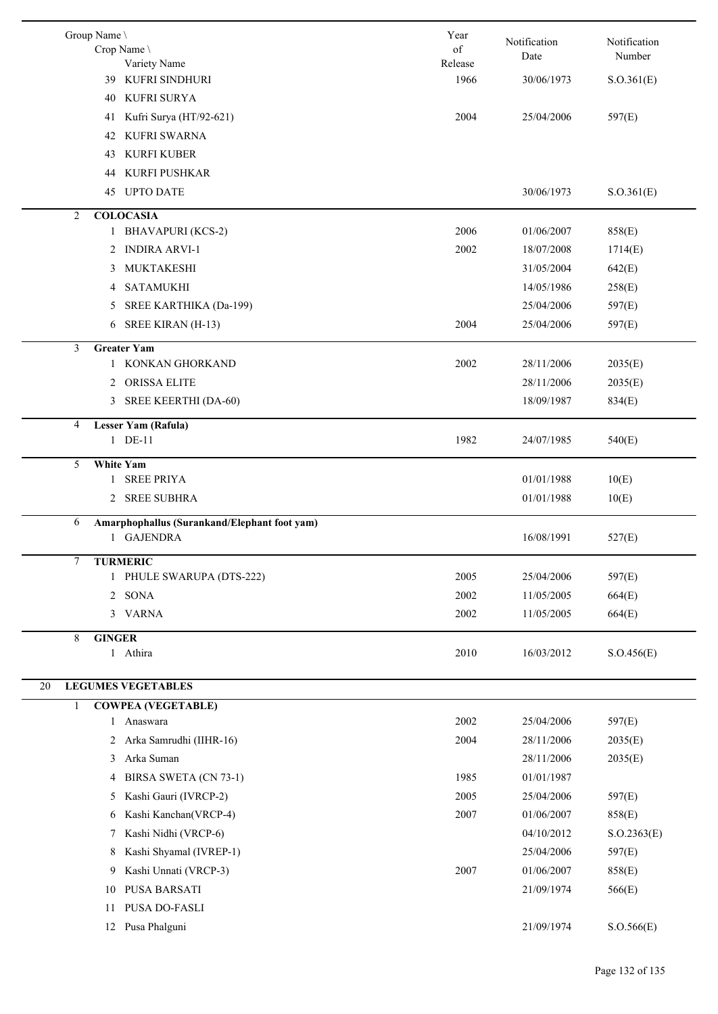| Group Name \   | Crop Name                                    | Year<br>of | Notification | Notification |
|----------------|----------------------------------------------|------------|--------------|--------------|
|                | Variety Name                                 | Release    | Date         | Number       |
| 39             | KUFRI SINDHURI                               | 1966       | 30/06/1973   | S. O.361(E)  |
| 40             | KUFRI SURYA                                  |            |              |              |
|                | 41 Kufri Surya (HT/92-621)                   | 2004       | 25/04/2006   | 597(E)       |
| 42             | <b>KUFRI SWARNA</b>                          |            |              |              |
| 43             | KURFI KUBER                                  |            |              |              |
|                | 44 KURFI PUSHKAR                             |            |              |              |
|                | 45 UPTO DATE                                 |            | 30/06/1973   | S. O.361(E)  |
| $\overline{2}$ | <b>COLOCASIA</b>                             |            |              |              |
|                | 1 BHAVAPURI (KCS-2)                          | 2006       | 01/06/2007   | 858(E)       |
|                | <b>INDIRA ARVI-1</b><br>2                    | 2002       | 18/07/2008   | 1714(E)      |
|                | MUKTAKESHI<br>3                              |            | 31/05/2004   | 642(E)       |
|                | <b>SATAMUKHI</b><br>4                        |            | 14/05/1986   | 258(E)       |
|                | SREE KARTHIKA (Da-199)<br>5                  |            | 25/04/2006   | 597(E)       |
|                | SREE KIRAN (H-13)<br>6                       | 2004       | 25/04/2006   | 597(E)       |
| 3              | <b>Greater Yam</b>                           |            |              |              |
|                | 1 KONKAN GHORKAND                            | 2002       | 28/11/2006   | 2035(E)      |
|                | <b>ORISSA ELITE</b><br>$\mathbf{2}$          |            | 28/11/2006   | 2035(E)      |
|                | SREE KEERTHI (DA-60)<br>3                    |            | 18/09/1987   | 834(E)       |
| 4              | <b>Lesser Yam (Rafula)</b>                   |            |              |              |
|                | 1 DE-11                                      | 1982       | 24/07/1985   | 540(E)       |
| 5              | <b>White Yam</b>                             |            |              |              |
|                | <b>SREE PRIYA</b><br>$\mathbf{1}$            |            | 01/01/1988   | 10(E)        |
|                | <b>SREE SUBHRA</b><br>$\overline{2}$         |            | 01/01/1988   | 10(E)        |
| 6              | Amarphophallus (Surankand/Elephant foot yam) |            |              |              |
|                | 1 GAJENDRA                                   |            | 16/08/1991   | 527(E)       |
| $\tau$         | <b>TURMERIC</b>                              |            |              |              |
|                | 1 PHULE SWARUPA (DTS-222)                    | 2005       | 25/04/2006   | 597(E)       |
|                | 2 SONA                                       | 2002       | 11/05/2005   | 664(E)       |
|                | 3 VARNA                                      | 2002       | 11/05/2005   | 664(E)       |
| 8              | <b>GINGER</b>                                |            |              |              |
|                | 1 Athira                                     | 2010       | 16/03/2012   | S. O.456(E)  |
| 20             | <b>LEGUMES VEGETABLES</b>                    |            |              |              |
| $\mathbf{1}$   | <b>COWPEA (VEGETABLE)</b>                    |            |              |              |
|                | 1 Anaswara                                   | 2002       | 25/04/2006   | 597(E)       |
|                | Arka Samrudhi (IIHR-16)<br>2                 | 2004       | 28/11/2006   | 2035(E)      |
|                | Arka Suman<br>3                              |            | 28/11/2006   | 2035(E)      |
|                | BIRSA SWETA (CN 73-1)<br>4                   | 1985       | 01/01/1987   |              |
|                | Kashi Gauri (IVRCP-2)<br>5                   | 2005       | 25/04/2006   | 597(E)       |
|                | Kashi Kanchan(VRCP-4)<br>6                   | 2007       | 01/06/2007   | 858(E)       |
|                | Kashi Nidhi (VRCP-6)<br>7                    |            | 04/10/2012   | S. O.2363(E) |
|                | Kashi Shyamal (IVREP-1)<br>8                 |            | 25/04/2006   | 597(E)       |
|                | Kashi Unnati (VRCP-3)<br>9                   | 2007       | 01/06/2007   | 858(E)       |
| 10             | PUSA BARSATI                                 |            | 21/09/1974   | 566(E)       |
| 11             | PUSA DO-FASLI                                |            |              |              |
|                | 12 Pusa Phalguni                             |            | 21/09/1974   | S. O.566(E)  |
|                |                                              |            |              |              |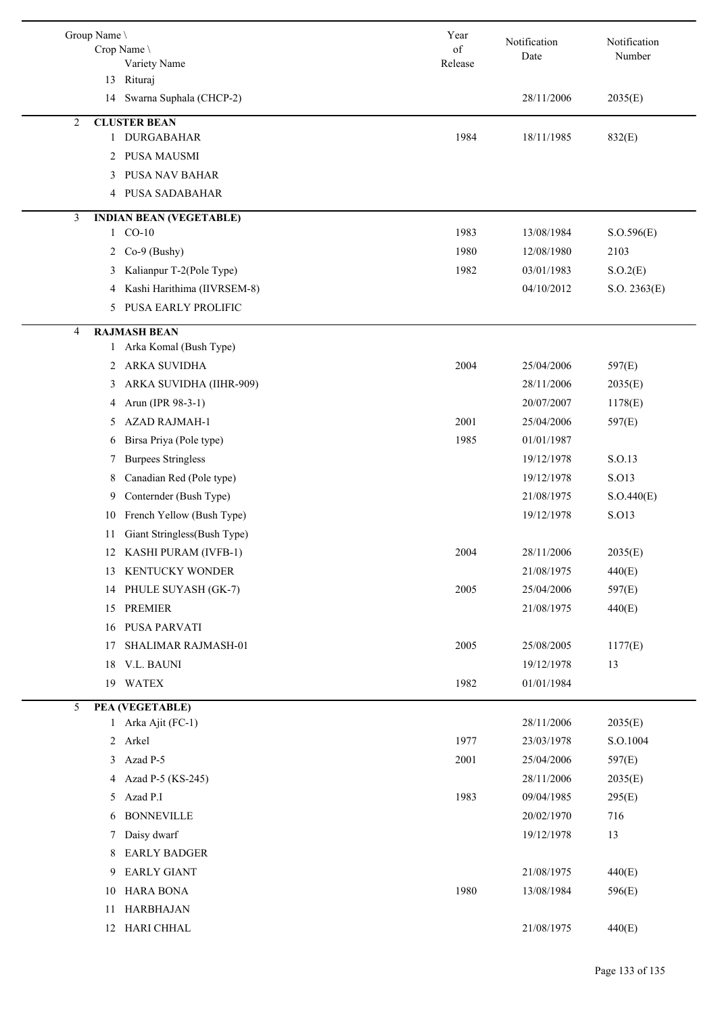| Group Name \                          |                                | Year          | Notification | Notification |  |
|---------------------------------------|--------------------------------|---------------|--------------|--------------|--|
| Crop Name<br>Variety Name             |                                | of<br>Release | Date         | Number       |  |
| 13 Rituraj                            |                                |               |              |              |  |
| 14                                    | Swarna Suphala (CHCP-2)        |               | 28/11/2006   | 2035(E)      |  |
| $\overline{2}$<br><b>CLUSTER BEAN</b> |                                |               |              |              |  |
| 1 DURGABAHAR                          |                                | 1984          | 18/11/1985   | 832(E)       |  |
| 2 PUSA MAUSMI                         |                                |               |              |              |  |
| 3                                     | PUSA NAV BAHAR                 |               |              |              |  |
| 4                                     | PUSA SADABAHAR                 |               |              |              |  |
| 3                                     | <b>INDIAN BEAN (VEGETABLE)</b> |               |              |              |  |
| 1 CO-10                               |                                | 1983          | 13/08/1984   | S. O.596(E)  |  |
| $Co-9$ (Bushy)<br>$\mathbf{2}$        |                                | 1980          | 12/08/1980   | 2103         |  |
| 3                                     | Kalianpur T-2(Pole Type)       | 1982          | 03/01/1983   | S.O.2(E)     |  |
| 4                                     | Kashi Harithima (IIVRSEM-8)    |               | 04/10/2012   | S.O. 2363(E) |  |
|                                       | 5 PUSA EARLY PROLIFIC          |               |              |              |  |
| <b>RAJMASH BEAN</b><br>4              |                                |               |              |              |  |
|                                       | 1 Arka Komal (Bush Type)       |               |              |              |  |
| 2 ARKA SUVIDHA                        |                                | 2004          | 25/04/2006   | 597(E)       |  |
| 3                                     | ARKA SUVIDHA (IIHR-909)        |               | 28/11/2006   | 2035(E)      |  |
| Arun (IPR 98-3-1)<br>4                |                                |               | 20/07/2007   | 1178(E)      |  |
| <b>AZAD RAJMAH-1</b><br>5             |                                | 2001          | 25/04/2006   | 597(E)       |  |
| 6                                     | Birsa Priya (Pole type)        | 1985          | 01/01/1987   |              |  |
| <b>Burpees Stringless</b><br>7        |                                |               | 19/12/1978   | S.O.13       |  |
| 8                                     | Canadian Red (Pole type)       |               | 19/12/1978   | S.O13        |  |
| 9                                     | Conternder (Bush Type)         |               | 21/08/1975   | S.O.440(E)   |  |
| 10                                    | French Yellow (Bush Type)      |               | 19/12/1978   | S.O13        |  |
| 11                                    | Giant Stringless(Bush Type)    |               |              |              |  |
|                                       | 12 KASHI PURAM (IVFB-1)        | 2004          | 28/11/2006   | 2035(E)      |  |
|                                       | 13 KENTUCKY WONDER             |               | 21/08/1975   | 440(E)       |  |
| 14                                    | PHULE SUYASH (GK-7)            | 2005          | 25/04/2006   | 597(E)       |  |
| 15 PREMIER                            |                                |               | 21/08/1975   | 440(E)       |  |
| PUSA PARVATI<br>16                    |                                |               |              |              |  |
| 17                                    | SHALIMAR RAJMASH-01            | 2005          | 25/08/2005   | 1177(E)      |  |
| 18 V.L. BAUNI                         |                                |               | 19/12/1978   | 13           |  |
| 19 WATEX                              |                                | 1982          | 01/01/1984   |              |  |
| 5<br>PEA (VEGETABLE)                  |                                |               |              |              |  |
| 1 Arka Ajit (FC-1)                    |                                |               | 28/11/2006   | 2035(E)      |  |
| 2 Arkel                               |                                | 1977          | 23/03/1978   | S.O.1004     |  |
| 3 Azad P-5                            |                                | 2001          | 25/04/2006   | 597(E)       |  |
| 4 Azad P-5 (KS-245)                   |                                |               | 28/11/2006   | 2035(E)      |  |
| 5 Azad P.I                            |                                | 1983          | 09/04/1985   | 295(E)       |  |
| <b>BONNEVILLE</b><br>6                |                                |               | 20/02/1970   | 716          |  |
| Daisy dwarf<br>7                      |                                |               | 19/12/1978   | 13           |  |
| <b>EARLY BADGER</b><br>8              |                                |               |              |              |  |
| 9 EARLY GIANT                         |                                |               | 21/08/1975   | 440(E)       |  |
| 10 HARA BONA                          |                                | 1980          | 13/08/1984   | 596(E)       |  |
| <b>HARBHAJAN</b><br>11                |                                |               |              |              |  |
| 12 HARI CHHAL                         |                                |               | 21/08/1975   | 440(E)       |  |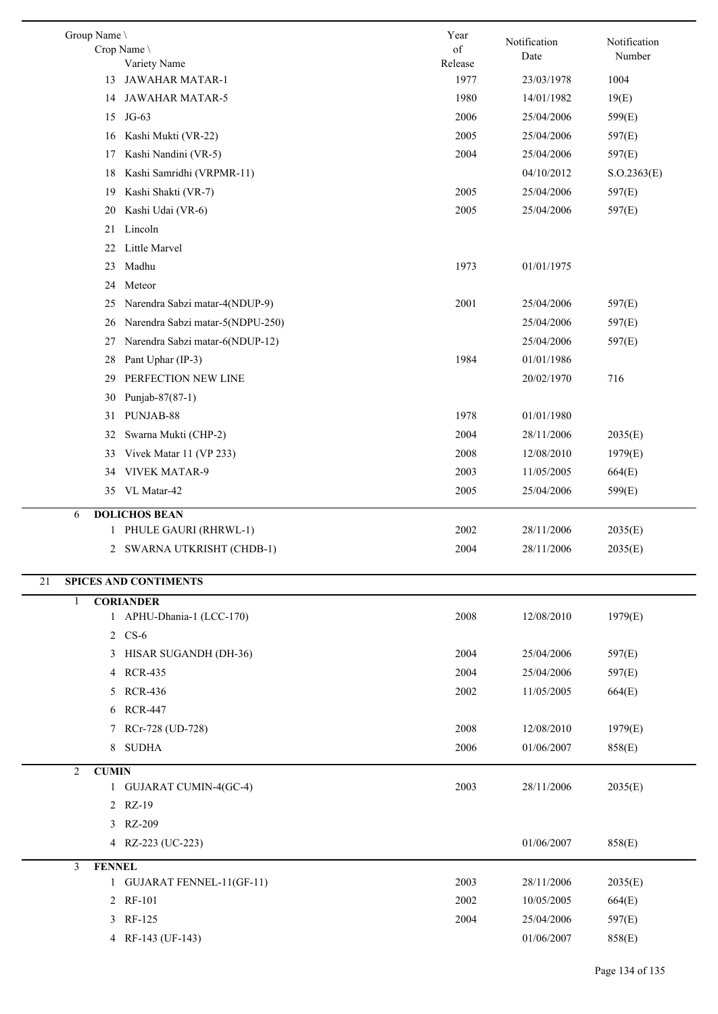| Group Name \                           | Year       |                      |                        |  |  |  |
|----------------------------------------|------------|----------------------|------------------------|--|--|--|
| Crop Name \                            | $\sigma f$ | Notification<br>Date | Notification<br>Number |  |  |  |
| Variety Name                           | Release    |                      |                        |  |  |  |
| 13 JAWAHAR MATAR-1                     | 1977       | 23/03/1978           | 1004                   |  |  |  |
| <b>JAWAHAR MATAR-5</b><br>14           | 1980       | 14/01/1982           | 19(E)                  |  |  |  |
| 15<br>$JG-63$                          | 2006       | 25/04/2006           | 599(E)                 |  |  |  |
| Kashi Mukti (VR-22)<br>16              | 2005       | 25/04/2006           | 597(E)                 |  |  |  |
| Kashi Nandini (VR-5)<br>17             | 2004       | 25/04/2006           | 597(E)                 |  |  |  |
| Kashi Samridhi (VRPMR-11)<br>18        |            | 04/10/2012           | S. O.2363(E)           |  |  |  |
| Kashi Shakti (VR-7)<br>19              | 2005       | 25/04/2006           | 597(E)                 |  |  |  |
| Kashi Udai (VR-6)<br>20                | 2005       | 25/04/2006           | 597(E)                 |  |  |  |
| Lincoln<br>21                          |            |                      |                        |  |  |  |
| Little Marvel<br>22                    |            |                      |                        |  |  |  |
| Madhu<br>23                            | 1973       | 01/01/1975           |                        |  |  |  |
| Meteor<br>24                           |            |                      |                        |  |  |  |
| Narendra Sabzi matar-4(NDUP-9)<br>25   | 2001       | 25/04/2006           | 597(E)                 |  |  |  |
| Narendra Sabzi matar-5(NDPU-250)<br>26 |            | 25/04/2006           | 597(E)                 |  |  |  |
| Narendra Sabzi matar-6(NDUP-12)<br>27  |            | 25/04/2006           | 597(E)                 |  |  |  |
| Pant Uphar (IP-3)<br>28                | 1984       | 01/01/1986           |                        |  |  |  |
| PERFECTION NEW LINE<br>29              |            | 20/02/1970           | 716                    |  |  |  |
| Punjab-87(87-1)<br>30                  |            |                      |                        |  |  |  |
| PUNJAB-88<br>31                        | 1978       | 01/01/1980           |                        |  |  |  |
| 32<br>Swarna Mukti (CHP-2)             | 2004       | 28/11/2006           | 2035(E)                |  |  |  |
| Vivek Matar 11 (VP 233)<br>33          | 2008       | 12/08/2010           | 1979(E)                |  |  |  |
| 34 VIVEK MATAR-9                       | 2003       | 11/05/2005           | 664(E)                 |  |  |  |
| 35 VL Matar-42                         | 2005       | 25/04/2006           | 599(E)                 |  |  |  |
| <b>DOLICHOS BEAN</b><br>6              |            |                      |                        |  |  |  |
| 1 PHULE GAURI (RHRWL-1)                | 2002       | 28/11/2006           | 2035(E)                |  |  |  |
| 2 SWARNA UTKRISHT (CHDB-1)             | 2004       | 28/11/2006           | 2035(E)                |  |  |  |
| <b>SPICES AND CONTIMENTS</b><br>21     |            |                      |                        |  |  |  |
| <b>CORIANDER</b><br>$\mathbf{1}$       |            |                      |                        |  |  |  |
| 1 APHU-Dhania-1 (LCC-170)              | 2008       | 12/08/2010           | 1979(E)                |  |  |  |
| 2 CS-6                                 |            |                      |                        |  |  |  |
| 3 HISAR SUGANDH (DH-36)                | 2004       | 25/04/2006           | 597(E)                 |  |  |  |
| 4 RCR-435                              | 2004       | 25/04/2006           | 597(E)                 |  |  |  |
| 5 RCR-436                              | 2002       | 11/05/2005           | 664(E)                 |  |  |  |
| 6 RCR-447                              |            |                      |                        |  |  |  |
| 7 RCr-728 (UD-728)                     | 2008       | 12/08/2010           | 1979(E)                |  |  |  |
| 8 SUDHA                                | 2006       | 01/06/2007           | 858(E)                 |  |  |  |
| 2<br><b>CUMIN</b>                      |            |                      |                        |  |  |  |
| 1 GUJARAT CUMIN-4(GC-4)                | 2003       | 28/11/2006           | 2035(E)                |  |  |  |
| 2 RZ-19                                |            |                      |                        |  |  |  |
| 3 RZ-209                               |            |                      |                        |  |  |  |
| 4 RZ-223 (UC-223)                      |            | 01/06/2007           | 858(E)                 |  |  |  |
| <b>FENNEL</b><br>3                     |            |                      |                        |  |  |  |
| 1 GUJARAT FENNEL-11(GF-11)             | 2003       | 28/11/2006           | 2035(E)                |  |  |  |
| 2 RF-101                               | 2002       | 10/05/2005           | 664(E)                 |  |  |  |
| 3 RF-125                               | 2004       | 25/04/2006           | 597(E)                 |  |  |  |
| 4 RF-143 (UF-143)                      |            | 01/06/2007           | 858(E)                 |  |  |  |